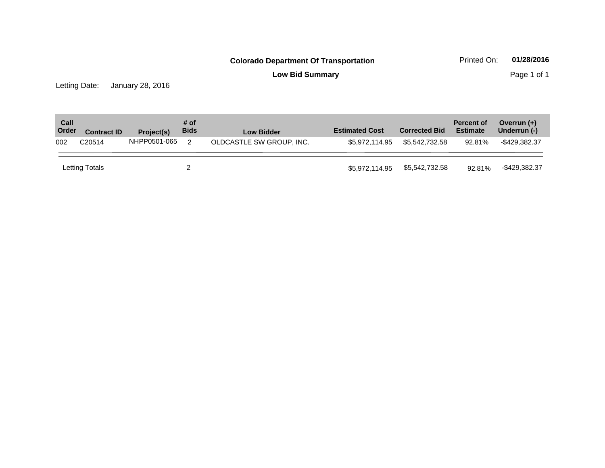**Low Bid Summary Page 1 of 1** 

Letting Date: January 28, 2016

| Call<br>Order | <b>Contract ID</b>                                                  | Project(s) | # of<br><b>Bids</b> | <b>Low Bidder</b> | <b>Estimated Cost</b> | <b>Corrected Bid</b> | <b>Percent of</b><br><b>Estimate</b> | Overrun $(+)$<br>Underrun (-) |
|---------------|---------------------------------------------------------------------|------------|---------------------|-------------------|-----------------------|----------------------|--------------------------------------|-------------------------------|
| 002           | NHPP0501-065<br>OLDCASTLE SW GROUP, INC.<br>C <sub>20514</sub><br>2 |            | \$5.972.114.95      | \$5,542,732.58    | 92.81%                | -\$429.382.37        |                                      |                               |
|               | Letting Totals                                                      |            |                     |                   | \$5,972,114.95        | \$5,542,732.58       | 92.81%                               | -\$429,382.37                 |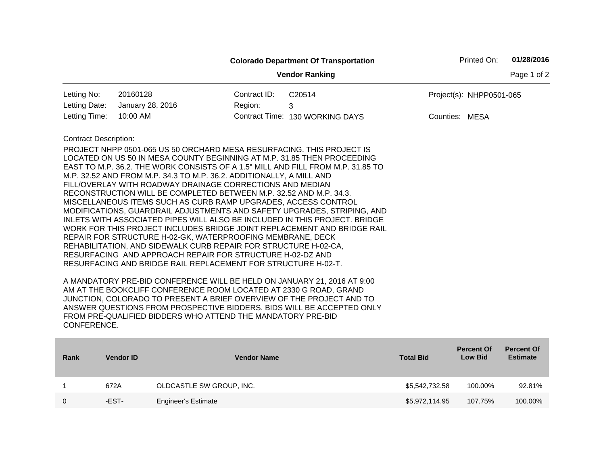|                                                                                                                                                                                                                                                                                                                                                                                                                                                                                                                                                                                                                                                                                                                                                                                                                                                                                                                                                                                                                                                                                                                                                                                                                                                                                                                                                                                                                     |                  |                    | <b>Colorado Department Of Transportation</b> |                  | Printed On:                         | 01/28/2016                           |  |  |
|---------------------------------------------------------------------------------------------------------------------------------------------------------------------------------------------------------------------------------------------------------------------------------------------------------------------------------------------------------------------------------------------------------------------------------------------------------------------------------------------------------------------------------------------------------------------------------------------------------------------------------------------------------------------------------------------------------------------------------------------------------------------------------------------------------------------------------------------------------------------------------------------------------------------------------------------------------------------------------------------------------------------------------------------------------------------------------------------------------------------------------------------------------------------------------------------------------------------------------------------------------------------------------------------------------------------------------------------------------------------------------------------------------------------|------------------|--------------------|----------------------------------------------|------------------|-------------------------------------|--------------------------------------|--|--|
|                                                                                                                                                                                                                                                                                                                                                                                                                                                                                                                                                                                                                                                                                                                                                                                                                                                                                                                                                                                                                                                                                                                                                                                                                                                                                                                                                                                                                     |                  |                    | <b>Vendor Ranking</b>                        |                  |                                     | Page 1 of 2                          |  |  |
| Letting No:                                                                                                                                                                                                                                                                                                                                                                                                                                                                                                                                                                                                                                                                                                                                                                                                                                                                                                                                                                                                                                                                                                                                                                                                                                                                                                                                                                                                         | 20160128         | Contract ID:       | C20514                                       |                  | Project(s): NHPP0501-065            |                                      |  |  |
| Letting Date:                                                                                                                                                                                                                                                                                                                                                                                                                                                                                                                                                                                                                                                                                                                                                                                                                                                                                                                                                                                                                                                                                                                                                                                                                                                                                                                                                                                                       | January 28, 2016 | Region:            | 3                                            |                  |                                     |                                      |  |  |
| Letting Time:                                                                                                                                                                                                                                                                                                                                                                                                                                                                                                                                                                                                                                                                                                                                                                                                                                                                                                                                                                                                                                                                                                                                                                                                                                                                                                                                                                                                       | 10:00 AM         |                    | Contract Time: 130 WORKING DAYS              | Counties: MESA   |                                     |                                      |  |  |
|                                                                                                                                                                                                                                                                                                                                                                                                                                                                                                                                                                                                                                                                                                                                                                                                                                                                                                                                                                                                                                                                                                                                                                                                                                                                                                                                                                                                                     |                  |                    |                                              |                  |                                     |                                      |  |  |
| <b>Contract Description:</b><br>PROJECT NHPP 0501-065 US 50 ORCHARD MESA RESURFACING. THIS PROJECT IS<br>LOCATED ON US 50 IN MESA COUNTY BEGINNING AT M.P. 31.85 THEN PROCEEDING<br>EAST TO M.P. 36.2. THE WORK CONSISTS OF A 1.5" MILL AND FILL FROM M.P. 31.85 TO<br>M.P. 32.52 AND FROM M.P. 34.3 TO M.P. 36.2. ADDITIONALLY, A MILL AND<br>FILL/OVERLAY WITH ROADWAY DRAINAGE CORRECTIONS AND MEDIAN<br>RECONSTRUCTION WILL BE COMPLETED BETWEEN M.P. 32.52 AND M.P. 34.3.<br>MISCELLANEOUS ITEMS SUCH AS CURB RAMP UPGRADES, ACCESS CONTROL<br>MODIFICATIONS, GUARDRAIL ADJUSTMENTS AND SAFETY UPGRADES, STRIPING, AND<br>INLETS WITH ASSOCIATED PIPES WILL ALSO BE INCLUDED IN THIS PROJECT. BRIDGE<br>WORK FOR THIS PROJECT INCLUDES BRIDGE JOINT REPLACEMENT AND BRIDGE RAIL<br>REPAIR FOR STRUCTURE H-02-GK, WATERPROOFING MEMBRANE, DECK<br>REHABILITATION, AND SIDEWALK CURB REPAIR FOR STRUCTURE H-02-CA,<br>RESURFACING AND APPROACH REPAIR FOR STRUCTURE H-02-DZ AND<br>RESURFACING AND BRIDGE RAIL REPLACEMENT FOR STRUCTURE H-02-T.<br>A MANDATORY PRE-BID CONFERENCE WILL BE HELD ON JANUARY 21, 2016 AT 9:00<br>AM AT THE BOOKCLIFF CONFERENCE ROOM LOCATED AT 2330 G ROAD, GRAND<br>JUNCTION, COLORADO TO PRESENT A BRIEF OVERVIEW OF THE PROJECT AND TO<br>ANSWER QUESTIONS FROM PROSPECTIVE BIDDERS. BIDS WILL BE ACCEPTED ONLY<br>FROM PRE-QUALIFIED BIDDERS WHO ATTEND THE MANDATORY PRE-BID |                  |                    |                                              |                  |                                     |                                      |  |  |
| <b>Rank</b>                                                                                                                                                                                                                                                                                                                                                                                                                                                                                                                                                                                                                                                                                                                                                                                                                                                                                                                                                                                                                                                                                                                                                                                                                                                                                                                                                                                                         | <b>Vendor ID</b> | <b>Vendor Name</b> |                                              | <b>Total Bid</b> | <b>Percent Of</b><br><b>Low Bid</b> | <b>Percent Of</b><br><b>Estimate</b> |  |  |

| 672A  | OLDCASTLE SW GROUP, INC.   | \$5,542,732.58 | 100.00% | 92.81%  |
|-------|----------------------------|----------------|---------|---------|
| -EST- | <b>Engineer's Estimate</b> | \$5,972,114.95 | 107.75% | 100.00% |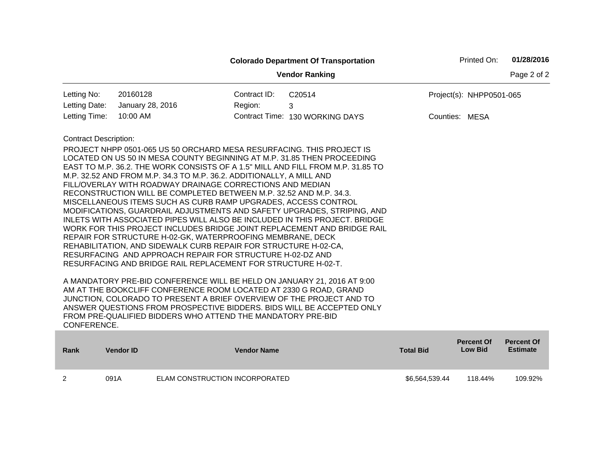|                                                                                                                                                                                                                                                                                                                                                                                                                                                                                                                                                                                                                                                                                                                                                                                                                                                                                                                                                                                                                                                                                                                                                                                                                                                                                                                                                                                                                                                                                                                                                                                                                                                                                       |                  |                                |                    |             |                  | Printed On:                         | 01/28/2016                           |
|---------------------------------------------------------------------------------------------------------------------------------------------------------------------------------------------------------------------------------------------------------------------------------------------------------------------------------------------------------------------------------------------------------------------------------------------------------------------------------------------------------------------------------------------------------------------------------------------------------------------------------------------------------------------------------------------------------------------------------------------------------------------------------------------------------------------------------------------------------------------------------------------------------------------------------------------------------------------------------------------------------------------------------------------------------------------------------------------------------------------------------------------------------------------------------------------------------------------------------------------------------------------------------------------------------------------------------------------------------------------------------------------------------------------------------------------------------------------------------------------------------------------------------------------------------------------------------------------------------------------------------------------------------------------------------------|------------------|--------------------------------|--------------------|-------------|------------------|-------------------------------------|--------------------------------------|
| <b>Colorado Department Of Transportation</b><br><b>Vendor Ranking</b><br>Letting No:<br>20160128<br>Contract ID:<br>C20514<br>January 28, 2016<br>Letting Date:<br>Region:<br>3<br>Letting Time:<br>10:00 AM<br>Contract Time: 130 WORKING DAYS<br><b>Contract Description:</b><br>PROJECT NHPP 0501-065 US 50 ORCHARD MESA RESURFACING. THIS PROJECT IS<br>LOCATED ON US 50 IN MESA COUNTY BEGINNING AT M.P. 31.85 THEN PROCEEDING<br>EAST TO M.P. 36.2. THE WORK CONSISTS OF A 1.5" MILL AND FILL FROM M.P. 31.85 TO<br>M.P. 32.52 AND FROM M.P. 34.3 TO M.P. 36.2. ADDITIONALLY, A MILL AND<br>FILL/OVERLAY WITH ROADWAY DRAINAGE CORRECTIONS AND MEDIAN<br>RECONSTRUCTION WILL BE COMPLETED BETWEEN M.P. 32.52 AND M.P. 34.3.<br>MISCELLANEOUS ITEMS SUCH AS CURB RAMP UPGRADES, ACCESS CONTROL<br>MODIFICATIONS, GUARDRAIL ADJUSTMENTS AND SAFETY UPGRADES, STRIPING, AND<br>INLETS WITH ASSOCIATED PIPES WILL ALSO BE INCLUDED IN THIS PROJECT. BRIDGE<br>WORK FOR THIS PROJECT INCLUDES BRIDGE JOINT REPLACEMENT AND BRIDGE RAIL<br>REPAIR FOR STRUCTURE H-02-GK, WATERPROOFING MEMBRANE, DECK<br>REHABILITATION, AND SIDEWALK CURB REPAIR FOR STRUCTURE H-02-CA,<br>RESURFACING AND APPROACH REPAIR FOR STRUCTURE H-02-DZ AND<br>RESURFACING AND BRIDGE RAIL REPLACEMENT FOR STRUCTURE H-02-T.<br>A MANDATORY PRE-BID CONFERENCE WILL BE HELD ON JANUARY 21, 2016 AT 9:00<br>AM AT THE BOOKCLIFF CONFERENCE ROOM LOCATED AT 2330 G ROAD, GRAND<br>JUNCTION, COLORADO TO PRESENT A BRIEF OVERVIEW OF THE PROJECT AND TO<br>ANSWER QUESTIONS FROM PROSPECTIVE BIDDERS. BIDS WILL BE ACCEPTED ONLY<br>FROM PRE-QUALIFIED BIDDERS WHO ATTEND THE MANDATORY PRE-BID<br>CONFERENCE. |                  |                                |                    | Page 2 of 2 |                  |                                     |                                      |
|                                                                                                                                                                                                                                                                                                                                                                                                                                                                                                                                                                                                                                                                                                                                                                                                                                                                                                                                                                                                                                                                                                                                                                                                                                                                                                                                                                                                                                                                                                                                                                                                                                                                                       |                  |                                |                    |             |                  | Project(s): NHPP0501-065            |                                      |
|                                                                                                                                                                                                                                                                                                                                                                                                                                                                                                                                                                                                                                                                                                                                                                                                                                                                                                                                                                                                                                                                                                                                                                                                                                                                                                                                                                                                                                                                                                                                                                                                                                                                                       |                  |                                |                    |             |                  |                                     |                                      |
|                                                                                                                                                                                                                                                                                                                                                                                                                                                                                                                                                                                                                                                                                                                                                                                                                                                                                                                                                                                                                                                                                                                                                                                                                                                                                                                                                                                                                                                                                                                                                                                                                                                                                       |                  |                                |                    |             |                  | Counties: MESA                      |                                      |
|                                                                                                                                                                                                                                                                                                                                                                                                                                                                                                                                                                                                                                                                                                                                                                                                                                                                                                                                                                                                                                                                                                                                                                                                                                                                                                                                                                                                                                                                                                                                                                                                                                                                                       |                  |                                |                    |             |                  |                                     |                                      |
|                                                                                                                                                                                                                                                                                                                                                                                                                                                                                                                                                                                                                                                                                                                                                                                                                                                                                                                                                                                                                                                                                                                                                                                                                                                                                                                                                                                                                                                                                                                                                                                                                                                                                       |                  |                                |                    |             |                  |                                     |                                      |
|                                                                                                                                                                                                                                                                                                                                                                                                                                                                                                                                                                                                                                                                                                                                                                                                                                                                                                                                                                                                                                                                                                                                                                                                                                                                                                                                                                                                                                                                                                                                                                                                                                                                                       |                  |                                |                    |             |                  |                                     |                                      |
| <b>Rank</b>                                                                                                                                                                                                                                                                                                                                                                                                                                                                                                                                                                                                                                                                                                                                                                                                                                                                                                                                                                                                                                                                                                                                                                                                                                                                                                                                                                                                                                                                                                                                                                                                                                                                           | <b>Vendor ID</b> |                                | <b>Vendor Name</b> |             | <b>Total Bid</b> | <b>Percent Of</b><br><b>Low Bid</b> | <b>Percent Of</b><br><b>Estimate</b> |
| $\overline{2}$                                                                                                                                                                                                                                                                                                                                                                                                                                                                                                                                                                                                                                                                                                                                                                                                                                                                                                                                                                                                                                                                                                                                                                                                                                                                                                                                                                                                                                                                                                                                                                                                                                                                        | 091A             | ELAM CONSTRUCTION INCORPORATED |                    |             | \$6,564,539.44   | 118.44%                             | 109.92%                              |

п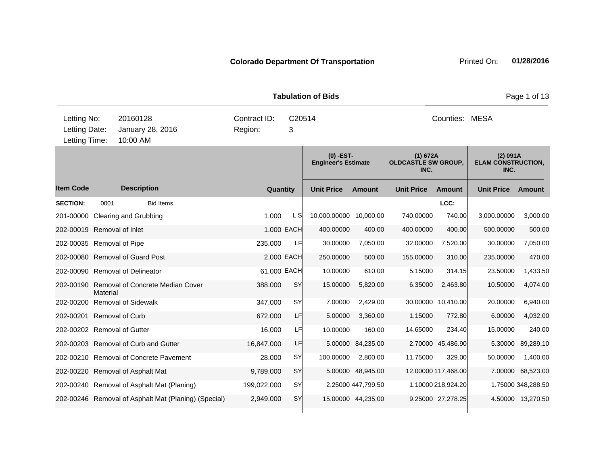|                                               |          |                                                      |             | Page 1 of 13<br><b>Tabulation of Bids</b> |             |                                           |                    |                                                |                     |                                               |                    |  |
|-----------------------------------------------|----------|------------------------------------------------------|-------------|-------------------------------------------|-------------|-------------------------------------------|--------------------|------------------------------------------------|---------------------|-----------------------------------------------|--------------------|--|
| Letting No:<br>Letting Date:<br>Letting Time: |          | 20160128<br>January 28, 2016<br>10:00 AM             | Region:     | Contract ID:<br>C20514<br>3               |             |                                           |                    | Counties: MESA                                 |                     |                                               |                    |  |
|                                               |          |                                                      |             |                                           |             | $(0)$ -EST-<br><b>Engineer's Estimate</b> |                    | (1) 672A<br><b>OLDCASTLE SW GROUP,</b><br>INC. |                     | (2) 091A<br><b>ELAM CONSTRUCTION,</b><br>INC. |                    |  |
| <b>Item Code</b>                              |          | <b>Description</b>                                   |             | Quantity                                  |             | <b>Unit Price</b>                         | <b>Amount</b>      | <b>Unit Price</b>                              | <b>Amount</b>       | <b>Unit Price</b>                             | Amount             |  |
| <b>SECTION:</b>                               | 0001     | <b>Bid Items</b>                                     |             |                                           |             |                                           |                    |                                                | LCC:                |                                               |                    |  |
|                                               |          | 201-00000 Clearing and Grubbing                      |             | 1.000                                     | L SI        | 10,000.00000 10,000.00                    |                    | 740.00000                                      | 740.00              | 3,000.00000                                   | 3,000.00           |  |
| 202-00019 Removal of Inlet                    |          |                                                      |             |                                           | 1.000 EACH  | 400.00000                                 | 400.00             | 400.00000                                      | 400.00              | 500.00000                                     | 500.00             |  |
| 202-00035 Removal of Pipe                     |          |                                                      |             | 235.000                                   | LF          | 30.00000                                  | 7,050.00           | 32.00000                                       | 7,520.00            | 30.00000                                      | 7,050.00           |  |
|                                               |          | 202-00080 Removal of Guard Post                      |             |                                           | 2.000 EACH  | 250.00000                                 | 500.00             | 155.00000                                      | 310.00              | 235.00000                                     | 470.00             |  |
|                                               |          | 202-00090 Removal of Delineator                      |             |                                           | 61.000 EACH | 10.00000                                  | 610.00             | 5.15000                                        | 314.15              | 23.50000                                      | 1,433.50           |  |
|                                               | Material | 202-00190 Removal of Concrete Median Cover           |             | 388.000                                   | <b>SY</b>   | 15.00000                                  | 5,820.00           | 6.35000                                        | 2,463.80            | 10.50000                                      | 4,074.00           |  |
|                                               |          | 202-00200 Removal of Sidewalk                        |             | 347.000                                   | SY          | 7.00000                                   | 2,429.00           |                                                | 30.00000 10,410.00  | 20.00000                                      | 6,940.00           |  |
| 202-00201 Removal of Curb                     |          |                                                      |             | 672.000                                   | LF          | 5.00000                                   | 3,360.00           | 1.15000                                        | 772.80              | 6.00000                                       | 4,032.00           |  |
| 202-00202 Removal of Gutter                   |          |                                                      |             | 16.000                                    | LF          | 10.00000                                  | 160.00             | 14.65000                                       | 234.40              | 15.00000                                      | 240.00             |  |
|                                               |          | 202-00203 Removal of Curb and Gutter                 | 16,847.000  |                                           | LF          | 5.00000                                   | 84,235.00          |                                                | 2.70000 45,486.90   | 5.30000                                       | 89,289.10          |  |
|                                               |          | 202-00210 Removal of Concrete Pavement               |             | 28.000                                    | SY          | 100.00000                                 | 2,800.00           | 11.75000                                       | 329.00              | 50.00000                                      | 1,400.00           |  |
|                                               |          | 202-00220 Removal of Asphalt Mat                     |             | 9,789.000                                 | SY          |                                           | 5.00000 48,945.00  |                                                | 12.00000 117,468.00 | 7.00000                                       | 68,523.00          |  |
|                                               |          | 202-00240 Removal of Asphalt Mat (Planing)           | 199,022.000 |                                           | SY          |                                           | 2.25000 447,799.50 |                                                | 1.10000 218,924.20  |                                               | 1.75000 348,288.50 |  |
|                                               |          | 202-00246 Removal of Asphalt Mat (Planing) (Special) |             | 2,949.000                                 | SY          |                                           | 15.00000 44,235.00 |                                                | 9.25000 27,278.25   |                                               | 4.50000 13,270.50  |  |
|                                               |          |                                                      |             |                                           |             |                                           |                    |                                                |                     |                                               |                    |  |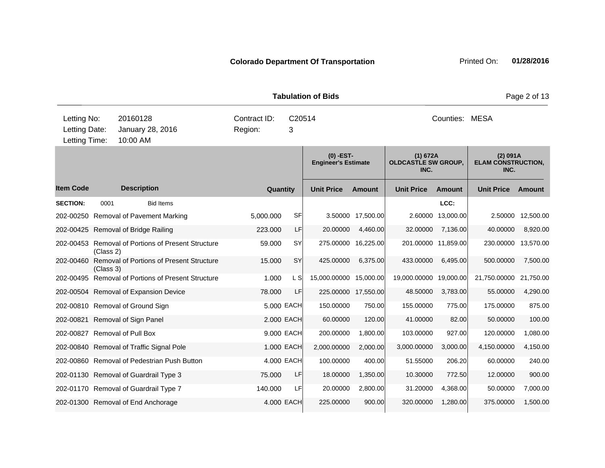| <b>Colorado Department Of Transportation</b> |  |
|----------------------------------------------|--|
|----------------------------------------------|--|

| Letting No:<br>Letting Date:<br>Letting Time: |           | 20160128<br>January 28, 2016<br>10:00 AM           | Contract ID:<br>Region: | C20514<br>3                               |                        |                     |                                                | Counties: MESA      |                                               |           |
|-----------------------------------------------|-----------|----------------------------------------------------|-------------------------|-------------------------------------------|------------------------|---------------------|------------------------------------------------|---------------------|-----------------------------------------------|-----------|
|                                               |           |                                                    |                         | $(0)$ -EST-<br><b>Engineer's Estimate</b> |                        |                     | (1) 672A<br><b>OLDCASTLE SW GROUP,</b><br>INC. |                     | (2) 091A<br><b>ELAM CONSTRUCTION,</b><br>INC. |           |
| <b>Item Code</b>                              |           | <b>Description</b>                                 | Quantity                |                                           | <b>Unit Price</b>      | <b>Amount</b>       | <b>Unit Price</b>                              | <b>Amount</b>       | <b>Unit Price</b>                             | Amount    |
| <b>SECTION:</b>                               | 0001      | <b>Bid Items</b>                                   |                         |                                           |                        |                     |                                                | LCC:                |                                               |           |
|                                               |           | 202-00250 Removal of Pavement Marking              | 5,000.000               | <b>SF</b>                                 |                        | 3.50000 17,500.00   |                                                | 2.60000 13,000.00   | 2.50000                                       | 12,500.00 |
|                                               |           | 202-00425 Removal of Bridge Railing                | 223.000                 | LF                                        | 20.00000               | 4,460.00            | 32.00000                                       | 7,136.00            | 40.00000                                      | 8,920.00  |
|                                               | (Class 2) | 202-00453 Removal of Portions of Present Structure | 59.000                  | <b>SY</b>                                 |                        | 275.00000 16,225.00 |                                                | 201.00000 11,859.00 | 230.00000                                     | 13,570.00 |
| 202-00460                                     | (Class 3) | <b>Removal of Portions of Present Structure</b>    | 15.000                  | <b>SY</b>                                 | 425.00000              | 6,375.00            | 433.00000                                      | 6,495.00            | 500.00000                                     | 7,500.00  |
|                                               |           | 202-00495 Removal of Portions of Present Structure | 1.000                   | L SI                                      | 15,000.00000 15,000.00 |                     | 19,000.00000 19,000.00                         |                     | 21,750.00000 21,750.00                        |           |
|                                               |           | 202-00504 Removal of Expansion Device              | 78.000                  | LF                                        |                        | 225.00000 17,550.00 | 48.50000                                       | 3,783.00            | 55.00000                                      | 4,290.00  |
|                                               |           | 202-00810 Removal of Ground Sign                   |                         | 5.000 EACH                                | 150.00000              | 750.00              | 155.00000                                      | 775.00              | 175.00000                                     | 875.00    |
|                                               |           | 202-00821 Removal of Sign Panel                    |                         | 2.000 EACH                                | 60.00000               | 120.00              | 41.00000                                       | 82.00               | 50.00000                                      | 100.00    |
|                                               |           | 202-00827 Removal of Pull Box                      |                         | 9,000 EACH                                | 200.00000              | 1,800.00            | 103.00000                                      | 927.00              | 120.00000                                     | 1,080.00  |
|                                               |           | 202-00840 Removal of Traffic Signal Pole           |                         | 1.000 EACH                                | 2,000.00000            | 2,000.00            | 3,000.00000                                    | 3,000.00            | 4,150.00000                                   | 4,150.00  |
|                                               |           | 202-00860 Removal of Pedestrian Push Button        |                         | 4.000 EACH                                | 100.00000              | 400.00              | 51.55000                                       | 206.20              | 60.00000                                      | 240.00    |
|                                               |           | 202-01130 Removal of Guardrail Type 3              | 75.000                  | LF                                        | 18.00000               | 1,350.00            | 10.30000                                       | 772.50              | 12.00000                                      | 900.00    |
|                                               |           | 202-01170 Removal of Guardrail Type 7              | 140.000                 | LF                                        | 20.00000               | 2,800.00            | 31.20000                                       | 4,368.00            | 50.00000                                      | 7,000.00  |
|                                               |           | 202-01300 Removal of End Anchorage                 |                         | 4.000 EACH                                | 225.00000              | 900.00              | 320.00000                                      | 1,280.00            | 375.00000                                     | 1,500.00  |

**Tabulation of Bids Page 2 of 13**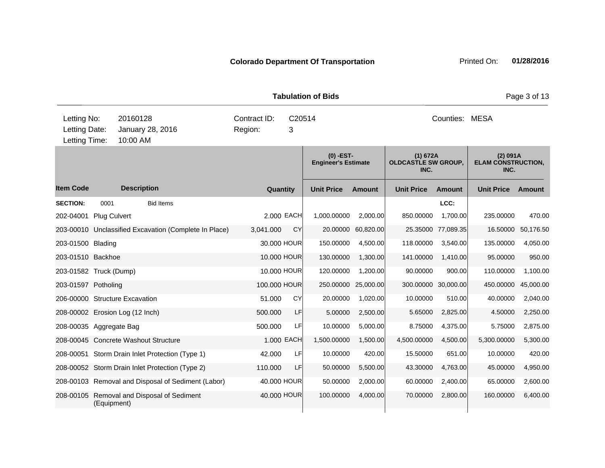|                                               |                     |                                                       | <b>Tabulation of Bids</b> |             | Page 3 of 13                              |               |                                                |                     |                                               |           |
|-----------------------------------------------|---------------------|-------------------------------------------------------|---------------------------|-------------|-------------------------------------------|---------------|------------------------------------------------|---------------------|-----------------------------------------------|-----------|
| Letting No:<br>Letting Date:<br>Letting Time: |                     | 20160128<br>January 28, 2016<br>10:00 AM              | Contract ID:<br>Region:   | C20514<br>3 |                                           |               |                                                | Counties: MESA      |                                               |           |
|                                               |                     |                                                       |                           |             | $(0)$ -EST-<br><b>Engineer's Estimate</b> |               | (1) 672A<br><b>OLDCASTLE SW GROUP,</b><br>INC. |                     | (2) 091A<br><b>ELAM CONSTRUCTION,</b><br>INC. |           |
| <b>Item Code</b>                              |                     | <b>Description</b>                                    |                           | Quantity    | <b>Unit Price</b>                         | <b>Amount</b> | <b>Unit Price</b>                              | <b>Amount</b>       | <b>Unit Price</b>                             | Amount    |
| <b>SECTION:</b>                               | 0001                | <b>Bid Items</b>                                      |                           |             |                                           |               |                                                | LCC:                |                                               |           |
| 202-04001                                     | <b>Plug Culvert</b> |                                                       |                           | 2.000 EACH  | 1,000.00000                               | 2,000.00      | 850.00000                                      | 1,700.00            | 235.00000                                     | 470.00    |
|                                               |                     | 203-00010 Unclassified Excavation (Complete In Place) | 3,041.000                 | CY          | 20.00000                                  | 60,820.00     | 25.35000                                       | 77,089.35           | 16.50000                                      | 50,176.50 |
| 203-01500 Blading                             |                     |                                                       |                           | 30.000 HOUR | 150.00000                                 | 4,500.00      | 118.00000                                      | 3,540.00            | 135.00000                                     | 4,050.00  |
| 203-01510 Backhoe                             |                     |                                                       |                           | 10.000 HOUR | 130.00000                                 | 1,300.00      | 141.00000                                      | 1,410.00            | 95.00000                                      | 950.00    |
| 203-01582 Truck (Dump)                        |                     |                                                       |                           | 10.000 HOUR | 120.00000                                 | 1,200.00      | 90.00000                                       | 900.00              | 110.00000                                     | 1,100.00  |
| 203-01597 Potholing                           |                     |                                                       | 100.000 HOUR              |             | 250.00000                                 | 25,000.00     |                                                | 300.00000 30,000.00 | 450.00000                                     | 45,000.00 |
|                                               |                     | 206-00000 Structure Excavation                        | 51.000                    | <b>CY</b>   | 20.00000                                  | 1,020.00      | 10.00000                                       | 510.00              | 40.00000                                      | 2,040.00  |
|                                               |                     | 208-00002 Erosion Log (12 Inch)                       | 500.000                   | LF          | 5.00000                                   | 2,500.00      | 5.65000                                        | 2,825.00            | 4.50000                                       | 2,250.00  |
| 208-00035 Aggregate Bag                       |                     |                                                       | 500.000                   | LF          | 10.00000                                  | 5,000.00      | 8.75000                                        | 4,375.00            | 5.75000                                       | 2,875.00  |
|                                               |                     | 208-00045 Concrete Washout Structure                  |                           | 1.000 EACH  | 1,500.00000                               | 1,500.00      | 4,500.00000                                    | 4,500.00            | 5,300.00000                                   | 5,300.00  |
|                                               |                     | 208-00051 Storm Drain Inlet Protection (Type 1)       | 42.000                    | LF          | 10.00000                                  | 420.00        | 15.50000                                       | 651.00              | 10.00000                                      | 420.00    |
|                                               |                     | 208-00052 Storm Drain Inlet Protection (Type 2)       | 110.000                   | LF          | 50.00000                                  | 5,500.00      | 43.30000                                       | 4,763.00            | 45.00000                                      | 4,950.00  |
|                                               |                     | 208-00103 Removal and Disposal of Sediment (Labor)    |                           | 40.000 HOUR | 50.00000                                  | 2,000.00      | 60.00000                                       | 2,400.00            | 65.00000                                      | 2,600.00  |
| 208-00105                                     | (Equipment)         | Removal and Disposal of Sediment                      |                           | 40.000 HOUR | 100.00000                                 | 4,000.00      | 70.00000                                       | 2,800.00            | 160.00000                                     | 6,400.00  |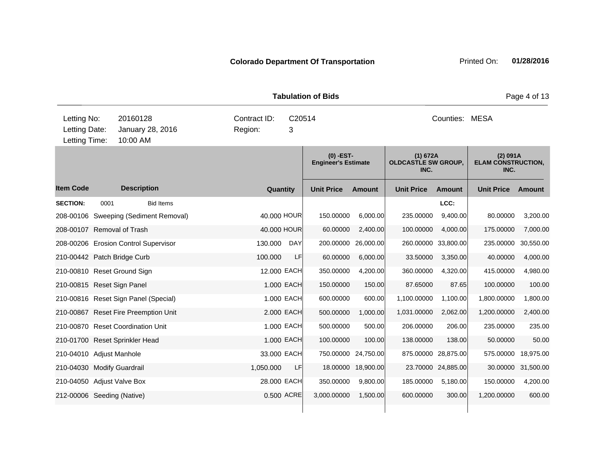|                                               |                                          |                                       |           | <b>Tabulation of Bids</b>   |             |                                           |               |                                                |                     |                                               | Page 4 of 13 |  |  |
|-----------------------------------------------|------------------------------------------|---------------------------------------|-----------|-----------------------------|-------------|-------------------------------------------|---------------|------------------------------------------------|---------------------|-----------------------------------------------|--------------|--|--|
| Letting No:<br>Letting Date:<br>Letting Time: | 20160128<br>January 28, 2016<br>10:00 AM |                                       | Region:   | Contract ID:<br>C20514<br>3 |             |                                           |               | Counties: MESA                                 |                     |                                               |              |  |  |
|                                               |                                          |                                       |           |                             |             | $(0)$ -EST-<br><b>Engineer's Estimate</b> |               | (1) 672A<br><b>OLDCASTLE SW GROUP,</b><br>INC. |                     | (2) 091A<br><b>ELAM CONSTRUCTION,</b><br>INC. |              |  |  |
| <b>Item Code</b>                              |                                          | <b>Description</b>                    |           |                             | Quantity    | <b>Unit Price</b>                         | <b>Amount</b> | <b>Unit Price</b>                              | <b>Amount</b>       | <b>Unit Price</b>                             | Amount       |  |  |
| <b>SECTION:</b>                               | 0001                                     | <b>Bid Items</b>                      |           |                             |             |                                           |               |                                                | LCC:                |                                               |              |  |  |
|                                               |                                          | 208-00106 Sweeping (Sediment Removal) |           |                             | 40,000 HOUR | 150.00000                                 | 6,000.00      | 235.00000                                      | 9,400.00            | 80.00000                                      | 3,200.00     |  |  |
| 208-00107 Removal of Trash                    |                                          |                                       |           |                             | 40.000 HOUR | 60.00000                                  | 2,400.00      | 100.00000                                      | 4,000.00            | 175.00000                                     | 7,000.00     |  |  |
|                                               |                                          | 208-00206 Erosion Control Supervisor  | 130.000   |                             | <b>DAY</b>  | 200.00000                                 | 26,000.00     |                                                | 260.00000 33,800.00 | 235.00000                                     | 30,550.00    |  |  |
| 210-00442 Patch Bridge Curb                   |                                          |                                       | 100.000   |                             | LF          | 60.00000                                  | 6,000.00      | 33.50000                                       | 3,350.00            | 40.00000                                      | 4,000.00     |  |  |
|                                               |                                          | 210-00810 Reset Ground Sign           |           |                             | 12.000 EACH | 350.00000                                 | 4,200.00      | 360.00000                                      | 4,320.00            | 415.00000                                     | 4,980.00     |  |  |
| 210-00815 Reset Sign Panel                    |                                          |                                       |           |                             | 1.000 EACH  | 150.00000                                 | 150.00        | 87.65000                                       | 87.65               | 100.00000                                     | 100.00       |  |  |
|                                               |                                          | 210-00816 Reset Sign Panel (Special)  |           |                             | 1.000 EACH  | 600.00000                                 | 600.00        | 1,100.00000                                    | 1,100.00            | 1,800.00000                                   | 1,800.00     |  |  |
|                                               |                                          | 210-00867 Reset Fire Preemption Unit  |           |                             | 2.000 EACH  | 500.00000                                 | 1,000.00      | 1,031.00000                                    | 2,062.00            | 1,200.00000                                   | 2,400.00     |  |  |
|                                               |                                          | 210-00870 Reset Coordination Unit     |           |                             | 1.000 EACH  | 500.00000                                 | 500.00        | 206.00000                                      | 206.00              | 235.00000                                     | 235.00       |  |  |
|                                               |                                          | 210-01700 Reset Sprinkler Head        |           |                             | 1.000 EACH  | 100.00000                                 | 100.00        | 138.00000                                      | 138.00              | 50.00000                                      | 50.00        |  |  |
| 210-04010 Adjust Manhole                      |                                          |                                       |           |                             | 33.000 EACH | 750.00000                                 | 24,750.00     |                                                | 875.00000 28,875.00 | 575.00000                                     | 18,975.00    |  |  |
| 210-04030 Modify Guardrail                    |                                          |                                       | 1,050.000 |                             | LF          | 18.00000                                  | 18,900.00     |                                                | 23.70000 24,885.00  | 30.00000                                      | 31,500.00    |  |  |
| 210-04050 Adjust Valve Box                    |                                          |                                       |           |                             | 28.000 EACH | 350.00000                                 | 9,800.00      | 185.00000                                      | 5,180.00            | 150.00000                                     | 4,200.00     |  |  |
| 212-00006 Seeding (Native)                    |                                          |                                       |           |                             | 0.500 ACRE  | 3,000.00000                               | 1,500.00      | 600.00000                                      | 300.00              | 1,200.00000                                   | 600.00       |  |  |
|                                               |                                          |                                       |           |                             |             |                                           |               |                                                |                     |                                               |              |  |  |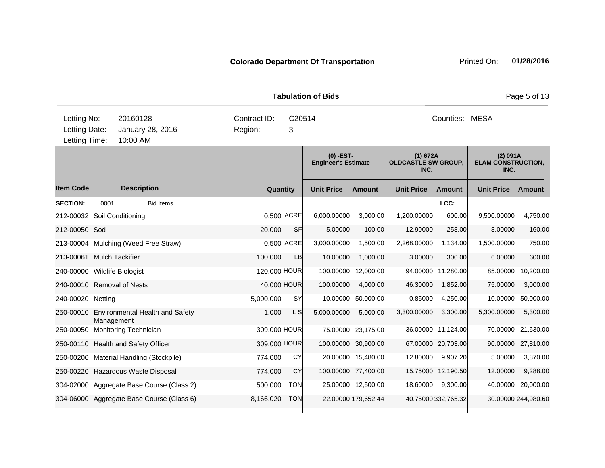|                                               |            |                                           |                         | <b>Tabulation of Bids</b> |             |                                           |                     |                                                |                     | Page 5 of 13                                  |                     |  |
|-----------------------------------------------|------------|-------------------------------------------|-------------------------|---------------------------|-------------|-------------------------------------------|---------------------|------------------------------------------------|---------------------|-----------------------------------------------|---------------------|--|
| Letting No:<br>Letting Date:<br>Letting Time: |            | 20160128<br>January 28, 2016<br>10:00 AM  | Contract ID:<br>Region: |                           | C20514<br>3 |                                           |                     |                                                | Counties: MESA      |                                               |                     |  |
|                                               |            |                                           |                         |                           |             | $(0)$ -EST-<br><b>Engineer's Estimate</b> |                     | (1) 672A<br><b>OLDCASTLE SW GROUP,</b><br>INC. |                     | (2) 091A<br><b>ELAM CONSTRUCTION,</b><br>INC. |                     |  |
| <b>Item Code</b>                              |            | <b>Description</b>                        |                         | Quantity                  |             | <b>Unit Price</b>                         | <b>Amount</b>       | <b>Unit Price</b>                              | <b>Amount</b>       | <b>Unit Price</b>                             | Amount              |  |
| <b>SECTION:</b>                               | 0001       | <b>Bid Items</b>                          |                         |                           |             |                                           |                     |                                                | LCC:                |                                               |                     |  |
| 212-00032 Soil Conditioning                   |            |                                           |                         |                           | 0.500 ACRE  | 6,000.00000                               | 3,000.00            | 1,200.00000                                    | 600.00              | 9,500.00000                                   | 4,750.00            |  |
| 212-00050 Sod                                 |            |                                           |                         | 20,000                    | SF          | 5.00000                                   | 100.00              | 12.90000                                       | 258.00              | 8.00000                                       | 160.00              |  |
|                                               |            | 213-00004 Mulching (Weed Free Straw)      |                         |                           | 0.500 ACRE  | 3,000.00000                               | 1,500.00            | 2,268.00000                                    | 1,134.00            | 1,500.00000                                   | 750.00              |  |
| 213-00061 Mulch Tackifier                     |            |                                           |                         | 100.000                   | LB          | 10.00000                                  | 1,000.00            | 3.00000                                        | 300.00              | 6.00000                                       | 600.00              |  |
| 240-00000 Wildlife Biologist                  |            |                                           |                         | 120.000 HOUR              |             |                                           | 100.00000 12,000.00 |                                                | 94.00000 11,280.00  | 85.00000                                      | 10,200.00           |  |
| 240-00010 Removal of Nests                    |            |                                           |                         | 40.000 HOUR               |             | 100.00000                                 | 4,000.00            | 46.30000                                       | 1,852.00            | 75.00000                                      | 3,000.00            |  |
| 240-00020 Netting                             |            |                                           |                         | 5,000.000                 | SY          | 10.00000                                  | 50,000.00           | 0.85000                                        | 4,250.00            | 10.00000                                      | 50,000.00           |  |
|                                               | Management | 250-00010 Environmental Health and Safety |                         | 1.000                     | L S         | 5,000.00000                               | 5,000.00            | 3,300.00000                                    | 3,300.00            | 5,300.00000                                   | 5,300.00            |  |
|                                               |            | 250-00050 Monitoring Technician           |                         | 309.000 HOUR              |             |                                           | 75.00000 23,175.00  |                                                | 36.00000 11,124.00  | 70.00000                                      | 21,630.00           |  |
|                                               |            | 250-00110 Health and Safety Officer       |                         | 309.000 HOUR              |             |                                           | 100.00000 30,900.00 |                                                | 67.00000 20,703.00  | 90.00000                                      | 27,810.00           |  |
|                                               |            | 250-00200 Material Handling (Stockpile)   |                         | 774.000                   | CY          |                                           | 20.00000 15,480.00  | 12.80000                                       | 9,907.20            | 5.00000                                       | 3,870.00            |  |
|                                               |            | 250-00220 Hazardous Waste Disposal        |                         | 774.000                   | <b>CY</b>   |                                           | 100.00000 77,400.00 |                                                | 15.75000 12,190.50  | 12.00000                                      | 9,288.00            |  |
|                                               |            | 304-02000 Aggregate Base Course (Class 2) |                         | 500.000                   | <b>TON</b>  |                                           | 25.00000 12,500.00  | 18.60000                                       | 9,300.00            | 40.00000                                      | 20,000.00           |  |
|                                               |            | 304-06000 Aggregate Base Course (Class 6) |                         | 8,166.020                 | <b>TON</b>  |                                           | 22.00000 179,652.44 |                                                | 40.75000 332,765.32 |                                               | 30.00000 244,980.60 |  |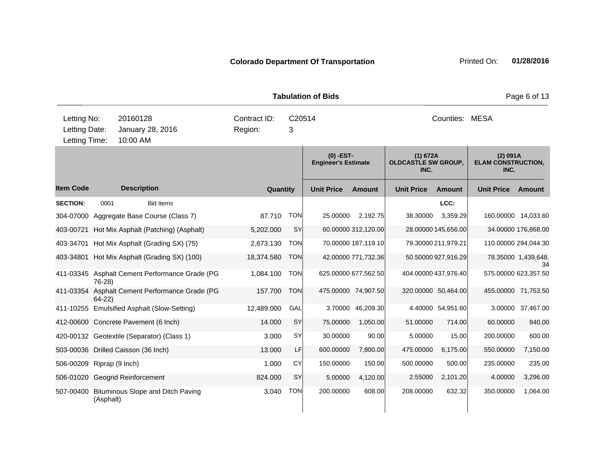|                  |                                     |                                                |              |            |                                           | Page 6 of 13         |                                                |                     |                                               |                           |
|------------------|-------------------------------------|------------------------------------------------|--------------|------------|-------------------------------------------|----------------------|------------------------------------------------|---------------------|-----------------------------------------------|---------------------------|
| Letting No:      |                                     | 20160128                                       | Contract ID: | C20514     |                                           |                      |                                                | Counties: MESA      |                                               |                           |
| Letting Date:    |                                     | January 28, 2016                               | Region:      | 3          |                                           |                      |                                                |                     |                                               |                           |
| Letting Time:    |                                     | 10:00 AM                                       |              |            |                                           |                      |                                                |                     |                                               |                           |
|                  |                                     |                                                |              |            | $(0)$ -EST-<br><b>Engineer's Estimate</b> |                      | (1) 672A<br><b>OLDCASTLE SW GROUP.</b><br>INC. |                     | (2) 091A<br><b>ELAM CONSTRUCTION,</b><br>INC. |                           |
| <b>Item Code</b> |                                     | <b>Description</b>                             | Quantity     |            | <b>Unit Price</b>                         | <b>Amount</b>        | <b>Unit Price</b>                              | <b>Amount</b>       | <b>Unit Price</b>                             | Amount                    |
| <b>SECTION:</b>  | 0001                                | <b>Bid Items</b>                               |              |            |                                           |                      |                                                | LCC:                |                                               |                           |
|                  |                                     | 304-07000 Aggregate Base Course (Class 7)      | 87.710       | <b>TON</b> | 25.00000                                  | 2,192.75             | 38.30000                                       | 3,359.29            |                                               | 160.00000 14,033.60       |
|                  |                                     | 403-00721 Hot Mix Asphalt (Patching) (Asphalt) | 5,202.000    | <b>SY</b>  |                                           | 60.00000 312,120.00  |                                                | 28.00000 145,656.00 |                                               | 34.00000 176,868.00       |
|                  |                                     | 403-34701 Hot Mix Asphalt (Grading SX) (75)    | 2,673.130    | <b>TON</b> |                                           | 70.00000 187,119.10  |                                                | 79.30000 211,979.21 |                                               | 110.00000 294,044.30      |
|                  |                                     | 403-34801 Hot Mix Asphalt (Grading SX) (100)   | 18,374.580   | <b>TON</b> |                                           | 42.00000 771,732.36  |                                                | 50.50000 927,916.29 |                                               | 78.35000 1,439,648.<br>34 |
|                  | $76-28$                             | 411-03345 Asphalt Cement Performance Grade (PG | 1,084.100    | <b>TON</b> |                                           | 625.00000 677,562.50 | 404.00000 437,976.40                           |                     |                                               | 575.00000 623,357.50      |
|                  | $64-22$                             | 411-03354 Asphalt Cement Performance Grade (PG | 157.700      | <b>TON</b> |                                           | 475.00000 74,907.50  |                                                | 320.00000 50,464.00 |                                               | 455.00000 71,753.50       |
|                  |                                     | 411-10255 Emulsified Asphalt (Slow-Setting)    | 12,489.000   | GAL        | 3.70000                                   | 46,209.30            |                                                | 4.40000 54,951.60   | 3.00000                                       | 37,467.00                 |
|                  |                                     | 412-00600 Concrete Pavement (6 Inch)           | 14.000       | SY         | 75.00000                                  | 1,050.00             | 51.00000                                       | 714.00              | 60.00000                                      | 840.00                    |
|                  |                                     | 420-00132 Geotextile (Separator) (Class 1)     | 3.000        | SY         | 30.00000                                  | 90.00                | 5.00000                                        | 15.00               | 200.00000                                     | 600.00                    |
|                  | 503-00036 Drilled Caisson (36 Inch) |                                                | 13.000       | LF         | 600.00000                                 | 7,800.00             | 475.00000                                      | 6,175.00            | 550.00000                                     | 7,150.00                  |
|                  | 506-00209 Riprap (9 Inch)           |                                                | 1.000        | CY         | 150.00000                                 | 150.00               | 500.00000                                      | 500.00              | 235.00000                                     | 235.00                    |
|                  | 506-01020 Geogrid Reinforcement     |                                                | 824.000      | SY         | 5.00000                                   | 4,120.00             | 2.55000                                        | 2,101.20            | 4.00000                                       | 3,296.00                  |
| 507-00400        | (Asphalt)                           | Bituminous Slope and Ditch Paving              | 3.040        | <b>TON</b> | 200.00000                                 | 608.00               | 208.00000                                      | 632.32              | 350.00000                                     | 1,064.00                  |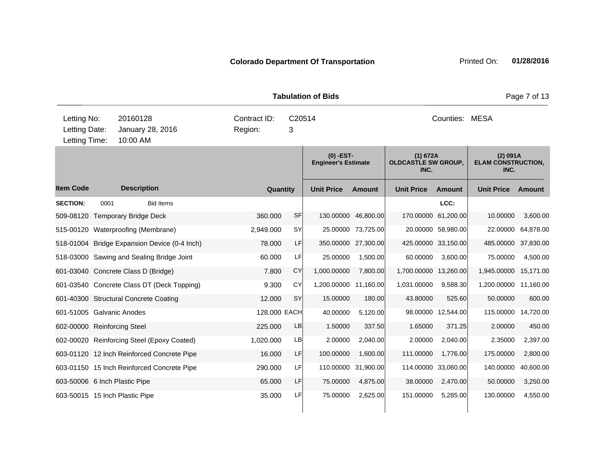|                                               |      |                      |                                              |         |              |             | <b>Tabulation of Bids</b>                 |                     |                                                |                    |                                               | Page 7 of 13  |
|-----------------------------------------------|------|----------------------|----------------------------------------------|---------|--------------|-------------|-------------------------------------------|---------------------|------------------------------------------------|--------------------|-----------------------------------------------|---------------|
| Letting No:<br>Letting Date:<br>Letting Time: |      | 20160128<br>10:00 AM | January 28, 2016                             | Region: | Contract ID: | C20514<br>3 |                                           |                     |                                                | Counties: MESA     |                                               |               |
|                                               |      |                      |                                              |         |              |             | $(0)$ -EST-<br><b>Engineer's Estimate</b> |                     | (1) 672A<br><b>OLDCASTLE SW GROUP,</b><br>INC. |                    | (2) 091A<br><b>ELAM CONSTRUCTION,</b><br>INC. |               |
| <b>Item Code</b>                              |      | <b>Description</b>   |                                              |         | Quantity     |             | <b>Unit Price</b>                         | <b>Amount</b>       | <b>Unit Price</b>                              | <b>Amount</b>      | <b>Unit Price</b>                             | <b>Amount</b> |
| <b>SECTION:</b>                               | 0001 |                      | <b>Bid Items</b>                             |         |              |             |                                           |                     |                                                | LCC:               |                                               |               |
| 509-08120 Temporary Bridge Deck               |      |                      |                                              |         | 360.000      | SF          | 130.00000                                 | 46,800.00           | 170.00000                                      | 61,200.00          | 10.00000                                      | 3,600.00      |
| 515-00120 Waterproofing (Membrane)            |      |                      |                                              |         | 2,949.000    | SY          |                                           | 25.00000 73,725.00  |                                                | 20.00000 58,980.00 | 22.00000                                      | 64,878.00     |
|                                               |      |                      | 518-01004 Bridge Expansion Device (0-4 Inch) |         | 78,000       | LF          |                                           | 350.00000 27,300.00 | 425.00000 33,150.00                            |                    | 485.00000                                     | 37,830.00     |
|                                               |      |                      | 518-03000 Sawing and Sealing Bridge Joint    |         | 60.000       | LF          | 25.00000                                  | 1,500.00            | 60.00000                                       | 3,600.00           | 75.00000                                      | 4,500.00      |
| 601-03040 Concrete Class D (Bridge)           |      |                      |                                              |         | 7.800        | CY          | 1,000.00000                               | 7,800.00            | 1,700.00000 13,260.00                          |                    | 1,945.00000                                   | 15,171.00     |
|                                               |      |                      | 601-03540 Concrete Class DT (Deck Topping)   |         | 9.300        | CY          | 1,200.00000 11,160.00                     |                     | 1,031.00000                                    | 9,588.30           | 1,200.00000                                   | 11,160.00     |
| 601-40300 Structural Concrete Coating         |      |                      |                                              |         | 12.000       | <b>SY</b>   | 15.00000                                  | 180.00              | 43.80000                                       | 525.60             | 50.00000                                      | 600.00        |
| 601-51005 Galvanic Anodes                     |      |                      |                                              |         | 128.000 EACH |             | 40.00000                                  | 5,120.00            |                                                | 98.00000 12,544.00 | 115.00000 14,720.00                           |               |
| 602-00000 Reinforcing Steel                   |      |                      |                                              |         | 225.000      | LB          | 1.50000                                   | 337.50              | 1.65000                                        | 371.25             | 2.00000                                       | 450.00        |
|                                               |      |                      | 602-00020 Reinforcing Steel (Epoxy Coated)   |         | 1,020.000    | LB          | 2.00000                                   | 2,040.00            | 2.00000                                        | 2,040.00           | 2.35000                                       | 2,397.00      |
|                                               |      |                      | 603-01120 12 Inch Reinforced Concrete Pipe   |         | 16.000       | <b>LF</b>   | 100.00000                                 | 1,600.00            | 111.00000                                      | 1,776.00           | 175.00000                                     | 2,800.00      |
|                                               |      |                      | 603-01150 15 Inch Reinforced Concrete Pipe   |         | 290.000      | LF          | 110.00000                                 | 31,900.00           | 114.00000 33,060.00                            |                    | 140.00000                                     | 40,600.00     |
| 603-50006 6 Inch Plastic Pipe                 |      |                      |                                              |         | 65.000       | LF          | 75.00000                                  | 4,875.00            | 38.00000                                       | 2,470.00           | 50.00000                                      | 3,250.00      |
| 603-50015 15 Inch Plastic Pipe                |      |                      |                                              |         | 35.000       | LFI         | 75.00000                                  | 2,625.00            | 151.00000                                      | 5,285.00           | 130.00000                                     | 4,550.00      |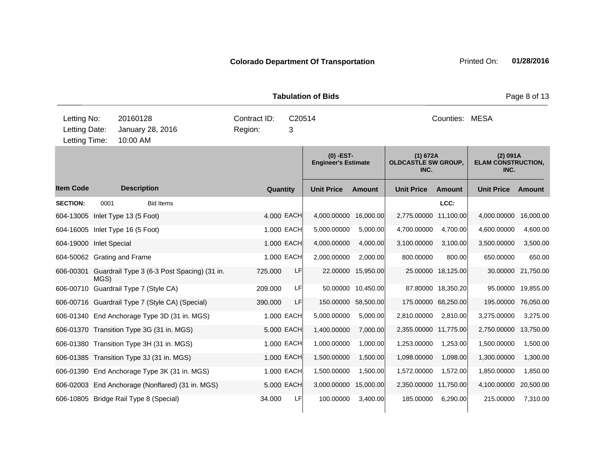**Quantity Unit Price Unit Price Ext** Item Code Description Quantity Unit Price Amount Unit Price Amount Unit Price **Ext Unit Price Amount Ext Amount (0) -EST-Engineer's Estimate (1) 672A OLDCASTLE SW GROUP, INC. (2) 091A ELAM CONSTRUCTION, INC. Description SECTION:** 0001 Bid Items **LCC:** 604-13005 Inlet Type 13 (5 Foot) 4.000 EACH 4,000.00000 16,000.00 2,775.00000 11,100.00 4,000.00000 16,000.00 604-16005 Inlet Type 16 (5 Foot) 1.000 EACH 5,000.00000 5,000.00 4,700.00000 4,700.00 4,600.00000 4,600.00 604-19000 Inlet Special 1.000 EACH 4,000.00000 4,000.000 3,100.0000 3,100.00 3,500.000 3,500.00 3,500.00 604-50062 Grating and Frame 1.000 EACH 2,000.00000 2,000.00 800.00000 800.00 650.00000 650.00 606-00301 Guardrail Type 3 (6-3 Post Spacing) (31 in. MGS) 725.000 LF 22.00000 15,950.00 25.00000 18,125.00 30.00000 21,750.00 606-00710 Guardrail Type 7 (Style CA) 209.000 LF 50.00000 10,450.00 87.80000 18,350.20 95.00000 19,855.00 606-00716 Guardrail Type 7 (Style CA) (Special) 390.000 LF 150.00000 58,500.00 175.00000 68,250.00 195.00000 76,050.00 606-01340 End Anchorage Type 3D (31 in. MGS) 1.000 EACH 5,000.00000 5,000.00 2,810.00000 2,810.00 3,275.00000 3,275.00 606-01370 Transition Type 3G (31 in. MGS) 5.000 EACH 1,400.00000 7,000.00 2,355.00000 11,775.00 2,750.00000 13,750.00 606-01380 Transition Type 3H (31 in. MGS) 1.000 EACH 1,000.00000 1,000.00 1,253.00000 1,253.00 1,500.00000 1,500.00 606-01385 Transition Type 3J (31 in. MGS) 1.000 EACH 1,500.00000 1,500.00 1,098.00000 1,098.00 1,300.00000 1,300.00 606-01390 End Anchorage Type 3K (31 in. MGS) 1.000 EACH 1,500.00000 1,500.00 1,572.00000 1,572.00 1,850.00000 1,850.00 606-02003 End Anchorage (Nonflared) (31 in. MGS) 5.000 EACH 3,000.00000 15,000.00 2,350.00000 11,750.00 4,100.00000 20,500.00 606-10805 Bridge Rail Type 8 (Special) 34.000 LF 100.00000 3,400.00 185.00000 6,290.00 215.00000 7,310.00 **Tabulation of Bids Page 8 of 13** 10:00 AM Counties: MESA Letting Date: January 28, 2016 Pregion: 3 C20514 Region: Letting Time: Letting No: 20160128 Contract ID: Counties: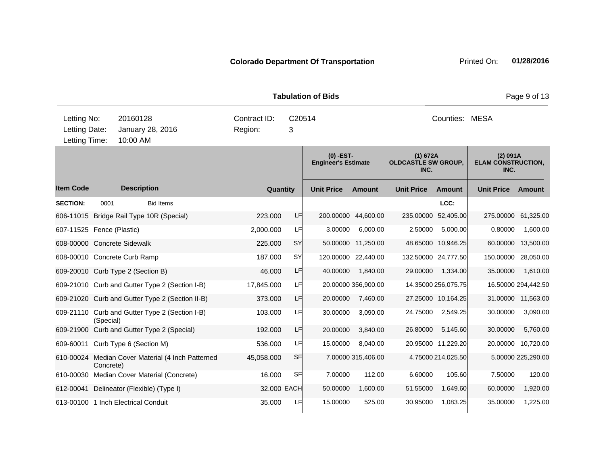|                                               |           |                                            |                                                   |                         |             | <b>Tabulation of Bids</b>                 |                     |                                                |                     |                                               | Page 9 of 13        |
|-----------------------------------------------|-----------|--------------------------------------------|---------------------------------------------------|-------------------------|-------------|-------------------------------------------|---------------------|------------------------------------------------|---------------------|-----------------------------------------------|---------------------|
| Letting No:<br>Letting Date:<br>Letting Time: |           | 20160128<br>January 28, 2016<br>10:00 AM   |                                                   | Contract ID:<br>Region: | 3           | C20514                                    |                     |                                                | Counties: MESA      |                                               |                     |
|                                               |           |                                            |                                                   |                         |             | $(0)$ -EST-<br><b>Engineer's Estimate</b> |                     | (1) 672A<br><b>OLDCASTLE SW GROUP,</b><br>INC. |                     | (2) 091A<br><b>ELAM CONSTRUCTION,</b><br>INC. |                     |
| <b>Item Code</b>                              |           | <b>Description</b>                         |                                                   |                         | Quantity    | <b>Unit Price</b>                         | <b>Amount</b>       | <b>Unit Price</b>                              | <b>Amount</b>       | <b>Unit Price</b>                             | Amount              |
| <b>SECTION:</b>                               | 0001      |                                            | <b>Bid Items</b>                                  |                         |             |                                           |                     |                                                | LCC:                |                                               |                     |
|                                               |           | 606-11015 Bridge Rail Type 10R (Special)   |                                                   | 223.000                 | LF          | 200.00000                                 | 44,600.00           | 235.00000                                      | 52,405.00           | 275.00000                                     | 61,325.00           |
| 607-11525 Fence (Plastic)                     |           |                                            |                                                   | 2,000.000               | LF          | 3.00000                                   | 6,000.00            | 2.50000                                        | 5,000.00            | 0.80000                                       | 1,600.00            |
| 608-00000 Concrete Sidewalk                   |           |                                            |                                                   | 225.000                 | <b>SY</b>   |                                           | 50.00000 11,250.00  |                                                | 48.65000 10,946.25  | 60.00000                                      | 13,500.00           |
|                                               |           | 608-00010 Concrete Curb Ramp               |                                                   | 187.000                 | SY          | 120.00000                                 | 22,440.00           |                                                | 132.50000 24,777.50 | 150.00000                                     | 28,050.00           |
|                                               |           | 609-20010 Curb Type 2 (Section B)          |                                                   | 46.000                  | LF          | 40.00000                                  | 1,840.00            | 29.00000                                       | 1,334.00            | 35.00000                                      | 1,610.00            |
|                                               |           |                                            | 609-21010 Curb and Gutter Type 2 (Section I-B)    | 17,845.000              | LF          |                                           | 20.00000 356,900.00 |                                                | 14.35000 256,075.75 |                                               | 16.50000 294,442.50 |
|                                               |           |                                            | 609-21020 Curb and Gutter Type 2 (Section II-B)   | 373.000                 | LF          | 20.00000                                  | 7,460.00            |                                                | 27.25000 10,164.25  |                                               | 31.00000 11,563.00  |
|                                               | (Special) |                                            | 609-21110 Curb and Gutter Type 2 (Section I-B)    | 103.000                 | LF          | 30.00000                                  | 3,090.00            | 24.75000                                       | 2,549.25            | 30.00000                                      | 3,090.00            |
|                                               |           | 609-21900 Curb and Gutter Type 2 (Special) |                                                   | 192.000                 | LF          | 20.00000                                  | 3,840.00            | 26.80000                                       | 5,145.60            | 30.00000                                      | 5,760.00            |
|                                               |           | 609-60011 Curb Type 6 (Section M)          |                                                   | 536.000                 | LF          | 15.00000                                  | 8,040.00            |                                                | 20.95000 11,229.20  | 20.00000                                      | 10,720.00           |
|                                               | Concrete) |                                            | 610-00024 Median Cover Material (4 Inch Patterned | 45,058.000              | <b>SF</b>   |                                           | 7.00000 315,406.00  |                                                | 4.75000 214,025.50  |                                               | 5.00000 225,290.00  |
|                                               |           | 610-00030 Median Cover Material (Concrete) |                                                   | 16.000                  | <b>SF</b>   | 7.00000                                   | 112.00              | 6.60000                                        | 105.60              | 7.50000                                       | 120.00              |
|                                               |           | 612-00041 Delineator (Flexible) (Type I)   |                                                   |                         | 32.000 EACH | 50.00000                                  | 1,600.00            | 51.55000                                       | 1,649.60            | 60.00000                                      | 1,920.00            |
|                                               |           | 613-00100 1 Inch Electrical Conduit        |                                                   | 35.000                  | LF          | 15.00000                                  | 525.00              | 30.95000                                       | 1,083.25            | 35.00000                                      | 1,225.00            |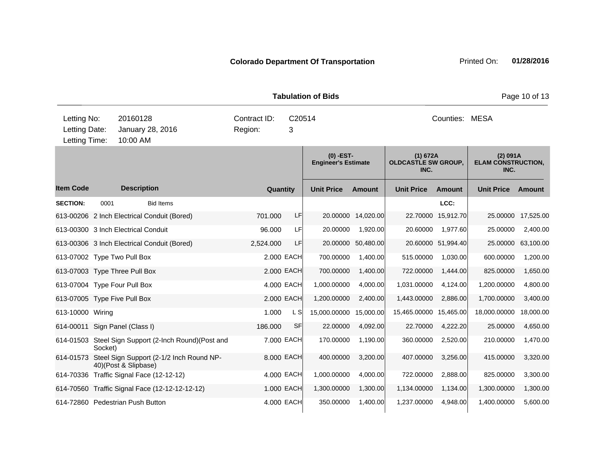|                                               |         |                      |                                                      |                         |             | <b>Tabulation of Bids</b>                 |                    |                                                |                    |                                               | Page 10 of 13 |
|-----------------------------------------------|---------|----------------------|------------------------------------------------------|-------------------------|-------------|-------------------------------------------|--------------------|------------------------------------------------|--------------------|-----------------------------------------------|---------------|
| Letting No:<br>Letting Date:<br>Letting Time: |         | 20160128<br>10:00 AM | January 28, 2016                                     | Contract ID:<br>Region: | C20514<br>3 |                                           |                    |                                                | Counties: MESA     |                                               |               |
|                                               |         |                      |                                                      |                         |             | $(0)$ -EST-<br><b>Engineer's Estimate</b> |                    | (1) 672A<br><b>OLDCASTLE SW GROUP,</b><br>INC. |                    | (2) 091A<br><b>ELAM CONSTRUCTION,</b><br>INC. |               |
| <b>Item Code</b>                              |         | <b>Description</b>   |                                                      |                         | Quantity    | <b>Unit Price</b>                         | <b>Amount</b>      | <b>Unit Price</b>                              | Amount             | <b>Unit Price</b>                             | Amount        |
| <b>SECTION:</b>                               | 0001    |                      | <b>Bid Items</b>                                     |                         |             |                                           |                    |                                                | LCC:               |                                               |               |
|                                               |         |                      | 613-00206 2 Inch Electrical Conduit (Bored)          | 701.000                 | LF          |                                           | 20.00000 14,020.00 |                                                | 22.70000 15,912.70 | 25.00000                                      | 17,525.00     |
| 613-00300 3 Inch Electrical Conduit           |         |                      |                                                      | 96.000                  | LF          | 20.00000                                  | 1.920.00           | 20.60000                                       | 1,977.60           | 25.00000                                      | 2,400.00      |
|                                               |         |                      | 613-00306 3 Inch Electrical Conduit (Bored)          | 2,524.000               | LF          | 20.00000                                  | 50,480.00          |                                                | 20.60000 51,994.40 | 25.00000                                      | 63,100.00     |
| 613-07002 Type Two Pull Box                   |         |                      |                                                      |                         | 2.000 EACH  | 700.00000                                 | 1,400.00           | 515.00000                                      | 1,030.00           | 600.00000                                     | 1,200.00      |
| 613-07003 Type Three Pull Box                 |         |                      |                                                      |                         | 2.000 EACH  | 700.00000                                 | 1,400.00           | 722.00000                                      | 1,444.00           | 825.00000                                     | 1,650.00      |
| 613-07004 Type Four Pull Box                  |         |                      |                                                      |                         | 4.000 EACH  | 1,000.00000                               | 4,000.00           | 1,031.00000                                    | 4,124.00           | 1,200.00000                                   | 4,800.00      |
| 613-07005 Type Five Pull Box                  |         |                      |                                                      |                         | 2.000 EACH  | 1,200.00000                               | 2,400.00           | 1,443.00000                                    | 2,886.00           | 1,700.00000                                   | 3,400.00      |
| 613-10000 Wiring                              |         |                      |                                                      | 1.000                   | L S         | 15,000.00000                              | 15,000.00          | 15,465.00000                                   | 15,465.00          | 18,000.00000                                  | 18,000.00     |
| 614-00011                                     |         | Sign Panel (Class I) |                                                      | 186.000                 | SF          | 22.00000                                  | 4,092.00           | 22.70000                                       | 4,222.20           | 25.00000                                      | 4,650.00      |
|                                               | Socket) |                      | 614-01503 Steel Sign Support (2-Inch Round)(Post and |                         | 7.000 EACH  | 170.00000                                 | 1,190.00           | 360.00000                                      | 2,520.00           | 210.00000                                     | 1,470.00      |
| 614-01573                                     |         | 40)(Post & Slipbase) | Steel Sign Support (2-1/2 Inch Round NP-             |                         | 8.000 EACH  | 400.00000                                 | 3,200.00           | 407.00000                                      | 3,256.00           | 415.00000                                     | 3,320.00      |
|                                               |         |                      | 614-70336 Traffic Signal Face (12-12-12)             |                         | 4.000 EACH  | 1,000.00000                               | 4,000.00           | 722.00000                                      | 2,888.00           | 825.00000                                     | 3,300.00      |
|                                               |         |                      | 614-70560 Traffic Signal Face (12-12-12-12-12)       |                         | 1.000 EACH  | 1,300.00000                               | 1,300.00           | 1,134.00000                                    | 1,134.00           | 1,300.00000                                   | 1,300.00      |
| 614-72860 Pedestrian Push Button              |         |                      |                                                      |                         | 4.000 EACH  | 350.00000                                 | 1,400.00           | 1,237.00000                                    | 4,948.00           | 1,400.00000                                   | 5,600.00      |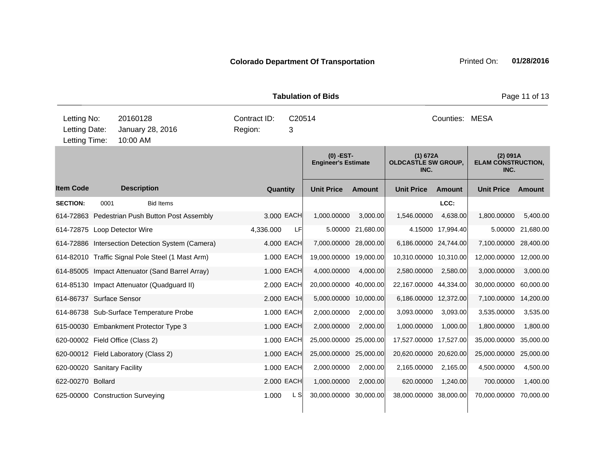|                                               |      |                      |                                                  |                         |           |             | <b>Tabulation of Bids</b>                 |                   |                                                |                   |                                               | Page 11 of 13 |
|-----------------------------------------------|------|----------------------|--------------------------------------------------|-------------------------|-----------|-------------|-------------------------------------------|-------------------|------------------------------------------------|-------------------|-----------------------------------------------|---------------|
| Letting No:<br>Letting Date:<br>Letting Time: |      | 20160128<br>10:00 AM | January 28, 2016                                 | Contract ID:<br>Region: |           | C20514<br>3 |                                           |                   |                                                | Counties: MESA    |                                               |               |
|                                               |      |                      |                                                  |                         |           |             | $(0)$ -EST-<br><b>Engineer's Estimate</b> |                   | (1) 672A<br><b>OLDCASTLE SW GROUP,</b><br>INC. |                   | (2) 091A<br><b>ELAM CONSTRUCTION,</b><br>INC. |               |
| <b>Item Code</b>                              |      | <b>Description</b>   |                                                  |                         | Quantity  |             | <b>Unit Price</b>                         | Amount            | <b>Unit Price</b>                              | Amount            | <b>Unit Price</b>                             | Amount        |
| <b>SECTION:</b>                               | 0001 |                      | <b>Bid Items</b>                                 |                         |           |             |                                           |                   |                                                | LCC:              |                                               |               |
|                                               |      |                      | 614-72863 Pedestrian Push Button Post Assembly   |                         |           | 3.000 EACH  | 1,000.00000                               | 3,000.00          | 1,546.00000                                    | 4,638.00          | 1,800.00000                                   | 5,400.00      |
| 614-72875 Loop Detector Wire                  |      |                      |                                                  |                         | 4,336.000 | LF          |                                           | 5.00000 21,680.00 |                                                | 4.15000 17,994.40 | 5.00000                                       | 21,680.00     |
|                                               |      |                      | 614-72886 Intersection Detection System (Camera) |                         |           | 4.000 EACH  | 7,000.00000 28,000.00                     |                   | 6,186.00000 24,744.00                          |                   | 7,100.00000 28,400.00                         |               |
|                                               |      |                      | 614-82010 Traffic Signal Pole Steel (1 Mast Arm) |                         |           | 1.000 EACH  | 19,000.00000 19,000.00                    |                   | 10,310.00000 10,310.00                         |                   | 12,000.00000                                  | 12,000.00     |
|                                               |      |                      | 614-85005 Impact Attenuator (Sand Barrel Array)  |                         |           | 1.000 EACH  | 4,000.00000                               | 4,000.00          | 2,580.00000                                    | 2,580.00          | 3,000.00000                                   | 3,000.00      |
|                                               |      |                      | 614-85130 Impact Attenuator (Quadguard II)       |                         |           | 2.000 EACH  | 20,000.00000                              | 40,000.00         | 22,167.00000 44,334.00                         |                   | 30,000.00000                                  | 60,000.00     |
| 614-86737 Surface Sensor                      |      |                      |                                                  |                         |           | 2,000 EACH  | 5,000.00000                               | 10,000.00         | 6,186.00000 12,372.00                          |                   | 7,100.00000                                   | 14,200.00     |
|                                               |      |                      | 614-86738 Sub-Surface Temperature Probe          |                         |           | 1.000 EACH  | 2,000.00000                               | 2,000.00          | 3,093.00000                                    | 3,093.00          | 3,535.00000                                   | 3,535.00      |
|                                               |      |                      | 615-00030 Embankment Protector Type 3            |                         |           | 1.000 EACH  | 2,000.00000                               | 2,000.00          | 1,000.00000                                    | 1,000.00          | 1,800.00000                                   | 1,800.00      |
| 620-00002 Field Office (Class 2)              |      |                      |                                                  |                         |           | 1.000 EACH  | 25,000.00000                              | 25,000.00         | 17,527.00000 17,527.00                         |                   | 35,000.00000                                  | 35,000.00     |
| 620-00012 Field Laboratory (Class 2)          |      |                      |                                                  |                         |           | 1.000 EACH  | 25,000.00000 25,000.00                    |                   | 20,620.00000 20,620.00                         |                   | 25,000.00000                                  | 25,000.00     |
| 620-00020 Sanitary Facility                   |      |                      |                                                  |                         |           | 1.000 EACH  | 2,000.00000                               | 2,000.00          | 2,165.00000                                    | 2,165.00          | 4,500.00000                                   | 4,500.00      |
| 622-00270 Bollard                             |      |                      |                                                  |                         |           | 2.000 EACH  | 1,000.00000                               | 2,000.00          | 620.00000                                      | 1,240.00          | 700.00000                                     | 1,400.00      |
| 625-00000 Construction Surveying              |      |                      |                                                  |                         | 1.000     | L SI        | 30,000.00000 30,000.00                    |                   | 38,000.00000 38,000.00                         |                   | 70,000.00000                                  | 70,000.00     |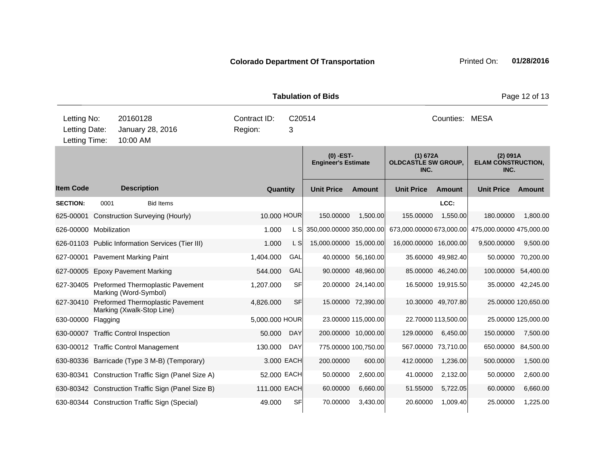|                                               |      |                                                                         |                         |             | <b>Tabulation of Bids</b>                 |                      |                                                |                     |                                               | Page 12 of 13       |
|-----------------------------------------------|------|-------------------------------------------------------------------------|-------------------------|-------------|-------------------------------------------|----------------------|------------------------------------------------|---------------------|-----------------------------------------------|---------------------|
| Letting No:<br>Letting Date:<br>Letting Time: |      | 20160128<br>January 28, 2016<br>10:00 AM                                | Contract ID:<br>Region: | C20514<br>3 |                                           |                      |                                                | Counties: MESA      |                                               |                     |
|                                               |      |                                                                         |                         |             | $(0)$ -EST-<br><b>Engineer's Estimate</b> |                      | (1) 672A<br><b>OLDCASTLE SW GROUP,</b><br>INC. |                     | (2) 091A<br><b>ELAM CONSTRUCTION,</b><br>INC. |                     |
| <b>Item Code</b>                              |      | <b>Description</b>                                                      | Quantity                |             | <b>Unit Price</b>                         | <b>Amount</b>        | <b>Unit Price</b>                              | <b>Amount</b>       | <b>Unit Price</b>                             | <b>Amount</b>       |
| <b>SECTION:</b>                               | 0001 | <b>Bid Items</b>                                                        |                         |             |                                           |                      |                                                | LCC:                |                                               |                     |
| 625-00001                                     |      | <b>Construction Surveying (Hourly)</b>                                  | 10.000 HOUR             |             | 150.00000                                 | 1,500.00             | 155.00000                                      | 1,550.00            | 180.00000                                     | 1,800.00            |
| 626-00000 Mobilization                        |      |                                                                         | 1.000                   | L S         | 350,000.00000 350,000.00                  |                      | 673,000.00000 673,000.00                       |                     | 475,000.00000 475,000.00                      |                     |
|                                               |      | 626-01103 Public Information Services (Tier III)                        | 1.000                   | L S         | 15,000.00000 15,000.00                    |                      | 16,000.00000 16,000.00                         |                     | 9,500.00000                                   | 9,500.00            |
|                                               |      | 627-00001 Pavement Marking Paint                                        | 1,404.000               | GAL         |                                           | 40.00000 56,160.00   |                                                | 35.60000 49,982.40  |                                               | 50.00000 70,200.00  |
|                                               |      | 627-00005 Epoxy Pavement Marking                                        | 544.000                 | GAL         |                                           | 90.00000 48,960.00   |                                                | 85.00000 46,240.00  | 100.00000                                     | 54,400.00           |
|                                               |      | 627-30405 Preformed Thermoplastic Pavement<br>Marking (Word-Symbol)     | 1,207.000               | <b>SF</b>   |                                           | 20.00000 24,140.00   |                                                | 16.50000 19,915.50  |                                               | 35.00000 42,245.00  |
|                                               |      | 627-30410 Preformed Thermoplastic Pavement<br>Marking (Xwalk-Stop Line) | 4,826.000               | <b>SF</b>   |                                           | 15.00000 72,390.00   |                                                | 10.30000 49.707.80  |                                               | 25.00000 120,650.00 |
| 630-00000 Flagging                            |      |                                                                         | 5,000.000 HOUR          |             |                                           | 23.00000 115,000.00  |                                                | 22.70000 113,500.00 |                                               | 25.00000 125,000.00 |
|                                               |      | 630-00007 Traffic Control Inspection                                    | 50.000                  | <b>DAY</b>  |                                           | 200.00000 10,000.00  | 129.00000                                      | 6,450.00            | 150.00000                                     | 7,500.00            |
|                                               |      | 630-00012 Traffic Control Management                                    | 130.000                 | <b>DAY</b>  |                                           | 775.00000 100,750.00 | 567.00000 73,710.00                            |                     | 650.00000                                     | 84,500.00           |
|                                               |      | 630-80336 Barricade (Type 3 M-B) (Temporary)                            |                         | 3.000 EACH  | 200.00000                                 | 600.00               | 412.00000                                      | 1,236.00            | 500.00000                                     | 1,500.00            |
|                                               |      | 630-80341 Construction Traffic Sign (Panel Size A)                      | 52.000 EACH             |             | 50.00000                                  | 2,600.00             | 41.00000                                       | 2,132.00            | 50.00000                                      | 2,600.00            |
|                                               |      | 630-80342 Construction Traffic Sign (Panel Size B)                      | 111.000 EACH            |             | 60.00000                                  | 6,660.00             | 51.55000                                       | 5.722.05            | 60.00000                                      | 6,660.00            |

630-80344 Construction Traffic Sign (Special) 49.000 SF 70.00000 3,430.00 20.60000 1,009.40 25.00000 1,225.00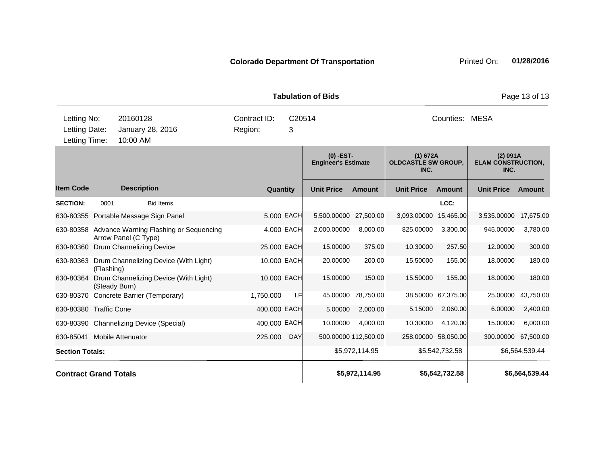| Letting No:                        |               | 20160128             |                                                  | Contract ID: |          | C20514     |                                           |                      |                                                | Counties:           | MESA                                          |                     |
|------------------------------------|---------------|----------------------|--------------------------------------------------|--------------|----------|------------|-------------------------------------------|----------------------|------------------------------------------------|---------------------|-----------------------------------------------|---------------------|
| Letting Date:                      |               |                      | January 28, 2016                                 | Region:      |          | 3          |                                           |                      |                                                |                     |                                               |                     |
| Letting Time:                      |               | 10:00 AM             |                                                  |              |          |            |                                           |                      |                                                |                     |                                               |                     |
|                                    |               |                      |                                                  |              |          |            | $(0)$ -EST-<br><b>Engineer's Estimate</b> |                      | (1) 672A<br><b>OLDCASTLE SW GROUP,</b><br>INC. |                     | (2) 091A<br><b>ELAM CONSTRUCTION,</b><br>INC. |                     |
| <b>Item Code</b>                   |               | <b>Description</b>   |                                                  |              | Quantity |            | <b>Unit Price</b>                         | <b>Amount</b>        | <b>Unit Price</b>                              | <b>Amount</b>       | <b>Unit Price</b>                             | Amount              |
| <b>SECTION:</b>                    | 0001          |                      | <b>Bid Items</b>                                 |              |          |            |                                           |                      |                                                | LCC:                |                                               |                     |
|                                    |               |                      | 630-80355 Portable Message Sign Panel            |              |          | 5,000 EACH | 5,500.00000 27,500.00                     |                      | 3,093.00000                                    | 15,465.00           | 3,535.00000                                   | 17,675.00           |
|                                    |               | Arrow Panel (C Type) | 630-80358 Advance Warning Flashing or Sequencing |              |          | 4.000 EACH | 2,000.00000                               | 8,000.00             | 825.00000                                      | 3,300.00            | 945.00000                                     | 3,780.00            |
| 630-80360 Drum Channelizing Device |               |                      |                                                  | 25.000 EACH  |          |            | 15.00000                                  | 375.00               | 10.30000                                       | 257.50              | 12.00000                                      | 300.00              |
|                                    | (Flashing)    |                      | 630-80363 Drum Channelizing Device (With Light)  | 10.000 EACH  |          |            | 20.00000                                  | 200.00               | 15.50000                                       | 155.00              | 18.00000                                      | 180.00              |
| 630-80364                          | (Steady Burn) |                      | Drum Channelizing Device (With Light)            | 10,000 EACH  |          |            | 15.00000                                  | 150.00               | 15.50000                                       | 155.00              | 18.00000                                      | 180.00              |
| 630-80370                          |               |                      | Concrete Barrier (Temporary)                     | 1,750.000    |          | LF         | 45.00000                                  | 78,750.00            |                                                | 38.50000 67,375.00  | 25.00000                                      | 43,750.00           |
| 630-80380 Traffic Cone             |               |                      |                                                  | 400.000 EACH |          |            | 5.00000                                   | 2,000.00             | 5.15000                                        | 2,060.00            | 6.00000                                       | 2,400.00            |
|                                    |               |                      | 630-80390 Channelizing Device (Special)          | 400.000 EACH |          |            | 10.00000                                  | 4,000.00             | 10.30000                                       | 4,120.00            | 15.00000                                      | 6,000.00            |
| 630-85041 Mobile Attenuator        |               |                      |                                                  | 225.000      |          | <b>DAY</b> |                                           | 500.00000 112,500.00 |                                                | 258.00000 58,050.00 |                                               | 300.00000 67,500.00 |
| <b>Section Totals:</b>             |               |                      |                                                  |              |          |            |                                           | \$5,972,114.95       |                                                | \$5,542,732.58      |                                               | \$6,564,539.44      |
| <b>Contract Grand Totals</b>       |               |                      |                                                  |              |          |            |                                           | \$5,972,114.95       |                                                | \$5,542,732.58      |                                               | \$6,564,539.44      |

**Tabulation of Bids Page 13 of 13**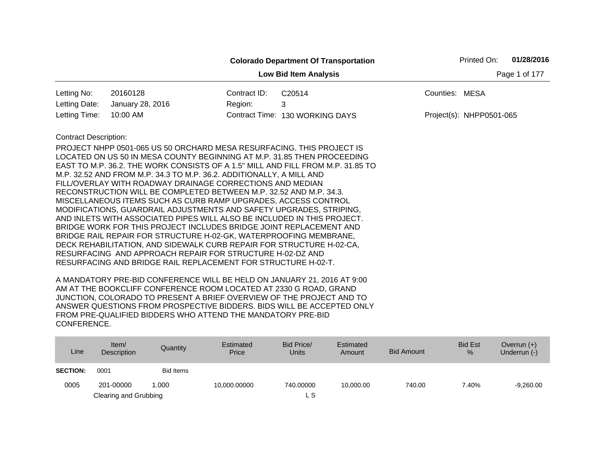|                              |                                                                                                                                                         |              | <b>Colorado Department Of Transportation</b> |                | Printed On:              | 01/28/2016    |
|------------------------------|---------------------------------------------------------------------------------------------------------------------------------------------------------|--------------|----------------------------------------------|----------------|--------------------------|---------------|
|                              |                                                                                                                                                         |              | <b>Low Bid Item Analysis</b>                 |                |                          | Page 1 of 177 |
| Letting No:                  | 20160128                                                                                                                                                | Contract ID: | C20514                                       | Counties: MESA |                          |               |
| Letting Date:                | January 28, 2016                                                                                                                                        | Region:      | 3                                            |                |                          |               |
| Letting Time:                | 10:00 AM                                                                                                                                                |              | Contract Time: 130 WORKING DAYS              |                | Project(s): NHPP0501-065 |               |
| <b>Contract Description:</b> |                                                                                                                                                         |              |                                              |                |                          |               |
|                              | PROJECT NHPP 0501-065 US 50 ORCHARD MESA RESURFACING. THIS PROJECT IS                                                                                   |              |                                              |                |                          |               |
|                              | LOCATED ON US 50 IN MESA COUNTY BEGINNING AT M.P. 31.85 THEN PROCEEDING                                                                                 |              |                                              |                |                          |               |
|                              | EAST TO M.P. 36.2. THE WORK CONSISTS OF A 1.5" MILL AND FILL FROM M.P. 31.85 TO<br>M.P. 32.52 AND FROM M.P. 34.3 TO M.P. 36.2. ADDITIONALLY, A MILL AND |              |                                              |                |                          |               |
|                              | FILL/OVERLAY WITH ROADWAY DRAINAGE CORRECTIONS AND MEDIAN                                                                                               |              |                                              |                |                          |               |
|                              | RECONSTRUCTION WILL BE COMPLETED BETWEEN M.P. 32.52 AND M.P. 34.3.                                                                                      |              |                                              |                |                          |               |
|                              | MISCELLANEOUS ITEMS SUCH AS CURB RAMP UPGRADES, ACCESS CONTROL                                                                                          |              |                                              |                |                          |               |
|                              | MODIFICATIONS, GUARDRAIL ADJUSTMENTS AND SAFETY UPGRADES, STRIPING,                                                                                     |              |                                              |                |                          |               |
|                              | AND INLETS WITH ASSOCIATED PIPES WILL ALSO BE INCLUDED IN THIS PROJECT.                                                                                 |              |                                              |                |                          |               |
|                              | BRIDGE WORK FOR THIS PROJECT INCLUDES BRIDGE JOINT REPLACEMENT AND                                                                                      |              |                                              |                |                          |               |
|                              | BRIDGE RAIL REPAIR FOR STRUCTURE H-02-GK, WATERPROOFING MEMBRANE,                                                                                       |              |                                              |                |                          |               |
|                              | DECK REHABILITATION, AND SIDEWALK CURB REPAIR FOR STRUCTURE H-02-CA.                                                                                    |              |                                              |                |                          |               |
|                              | RESURFACING AND APPROACH REPAIR FOR STRUCTURE H-02-DZ AND<br>RESURFACING AND BRIDGE RAIL REPLACEMENT FOR STRUCTURE H-02-T.                              |              |                                              |                |                          |               |
|                              |                                                                                                                                                         |              |                                              |                |                          |               |

| Line            | Item $/$<br>Description | Quantity         | Estimated<br>Price | Bid Price/<br><b>Units</b> | Estimated<br>Amount | Bid Amount | <b>Bid Est</b><br>% | Overrun $(+)$<br>Underrun (-) |
|-----------------|-------------------------|------------------|--------------------|----------------------------|---------------------|------------|---------------------|-------------------------------|
| <b>SECTION:</b> | 0001                    | <b>Bid Items</b> |                    |                            |                     |            |                     |                               |
| 0005            | 201-00000               | 1.000            | 10,000.00000       | 740.00000                  | 10,000.00           | 740.00     | 7.40%               | $-9,260.00$                   |
|                 | Clearing and Grubbing   |                  |                    | L S                        |                     |            |                     |                               |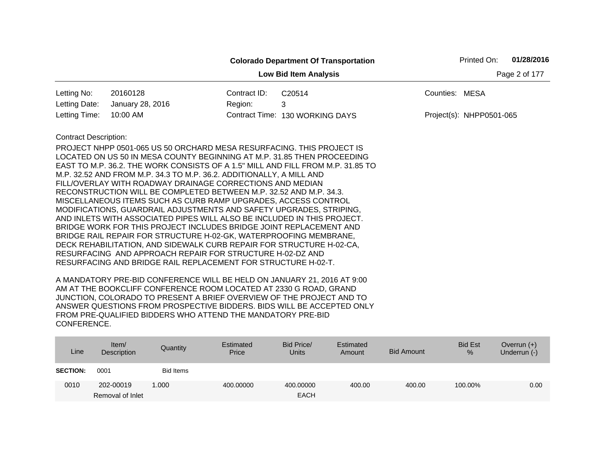|                              |                                                                                                                                                                                                                                                                                                                                                                                                                                                                                                                                                                                                                                                                                                                                                                                                                                                                                                                                                                                                                     |                         | <b>Colorado Department Of Transportation</b> |                | Printed On:              | 01/28/2016    |
|------------------------------|---------------------------------------------------------------------------------------------------------------------------------------------------------------------------------------------------------------------------------------------------------------------------------------------------------------------------------------------------------------------------------------------------------------------------------------------------------------------------------------------------------------------------------------------------------------------------------------------------------------------------------------------------------------------------------------------------------------------------------------------------------------------------------------------------------------------------------------------------------------------------------------------------------------------------------------------------------------------------------------------------------------------|-------------------------|----------------------------------------------|----------------|--------------------------|---------------|
|                              |                                                                                                                                                                                                                                                                                                                                                                                                                                                                                                                                                                                                                                                                                                                                                                                                                                                                                                                                                                                                                     |                         | <b>Low Bid Item Analysis</b>                 |                |                          | Page 2 of 177 |
| Letting No:<br>Letting Date: | 20160128<br>January 28, 2016                                                                                                                                                                                                                                                                                                                                                                                                                                                                                                                                                                                                                                                                                                                                                                                                                                                                                                                                                                                        | Contract ID:<br>Region: | C <sub>20514</sub><br>3                      | Counties: MESA |                          |               |
| Letting Time:                | 10:00 AM                                                                                                                                                                                                                                                                                                                                                                                                                                                                                                                                                                                                                                                                                                                                                                                                                                                                                                                                                                                                            |                         | Contract Time: 130 WORKING DAYS              |                | Project(s): NHPP0501-065 |               |
| <b>Contract Description:</b> | PROJECT NHPP 0501-065 US 50 ORCHARD MESA RESURFACING. THIS PROJECT IS<br>LOCATED ON US 50 IN MESA COUNTY BEGINNING AT M.P. 31.85 THEN PROCEEDING<br>EAST TO M.P. 36.2. THE WORK CONSISTS OF A 1.5" MILL AND FILL FROM M.P. 31.85 TO<br>M.P. 32.52 AND FROM M.P. 34.3 TO M.P. 36.2. ADDITIONALLY, A MILL AND<br>FILL/OVERLAY WITH ROADWAY DRAINAGE CORRECTIONS AND MEDIAN<br>RECONSTRUCTION WILL BE COMPLETED BETWEEN M.P. 32.52 AND M.P. 34.3.<br>MISCELLANEOUS ITEMS SUCH AS CURB RAMP UPGRADES, ACCESS CONTROL<br>MODIFICATIONS, GUARDRAIL ADJUSTMENTS AND SAFETY UPGRADES, STRIPING,<br>AND INLETS WITH ASSOCIATED PIPES WILL ALSO BE INCLUDED IN THIS PROJECT.<br>BRIDGE WORK FOR THIS PROJECT INCLUDES BRIDGE JOINT REPLACEMENT AND<br>BRIDGE RAIL REPAIR FOR STRUCTURE H-02-GK, WATERPROOFING MEMBRANE,<br>DECK REHABILITATION, AND SIDEWALK CURB REPAIR FOR STRUCTURE H-02-CA,<br>RESURFACING AND APPROACH REPAIR FOR STRUCTURE H-02-DZ AND<br>RESURFACING AND BRIDGE RAIL REPLACEMENT FOR STRUCTURE H-02-T. |                         |                                              |                |                          |               |

| Line            | Item/<br>Description | Quantity         | Estimated<br>Price | Bid Price/<br><b>Units</b> | Estimated<br>Amount | <b>Bid Amount</b> | <b>Bid Est</b><br>% | Overrun $(+)$<br>Underrun (-) |
|-----------------|----------------------|------------------|--------------------|----------------------------|---------------------|-------------------|---------------------|-------------------------------|
| <b>SECTION:</b> | 0001                 | <b>Bid Items</b> |                    |                            |                     |                   |                     |                               |
| 0010            | 202-00019            | 1.000            | 400.00000          | 400.00000                  | 400.00              | 400.00            | 100.00%             | 0.00                          |
|                 | Removal of Inlet     |                  |                    | <b>EACH</b>                |                     |                   |                     |                               |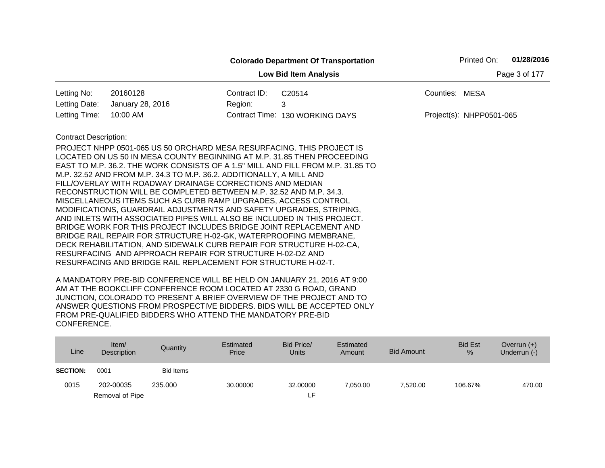|                              |                                                                                                                                                  |              | <b>Colorado Department Of Transportation</b> |                | Printed On:              | 01/28/2016    |
|------------------------------|--------------------------------------------------------------------------------------------------------------------------------------------------|--------------|----------------------------------------------|----------------|--------------------------|---------------|
|                              |                                                                                                                                                  |              | <b>Low Bid Item Analysis</b>                 |                |                          | Page 3 of 177 |
| Letting No:                  | 20160128                                                                                                                                         | Contract ID: | C20514                                       | Counties: MESA |                          |               |
| Letting Date:                | January 28, 2016                                                                                                                                 | Region:      | 3                                            |                |                          |               |
| Letting Time:                | 10:00 AM                                                                                                                                         |              | Contract Time: 130 WORKING DAYS              |                | Project(s): NHPP0501-065 |               |
| <b>Contract Description:</b> |                                                                                                                                                  |              |                                              |                |                          |               |
|                              | PROJECT NHPP 0501-065 US 50 ORCHARD MESA RESURFACING. THIS PROJECT IS<br>LOCATED ON US 50 IN MESA COUNTY BEGINNING AT M.P. 31.85 THEN PROCEEDING |              |                                              |                |                          |               |
|                              | EAST TO M.P. 36.2. THE WORK CONSISTS OF A 1.5" MILL AND FILL FROM M.P. 31.85 TO                                                                  |              |                                              |                |                          |               |
|                              | M.P. 32.52 AND FROM M.P. 34.3 TO M.P. 36.2. ADDITIONALLY, A MILL AND                                                                             |              |                                              |                |                          |               |
|                              | FILL/OVERLAY WITH ROADWAY DRAINAGE CORRECTIONS AND MEDIAN                                                                                        |              |                                              |                |                          |               |
|                              | RECONSTRUCTION WILL BE COMPLETED BETWEEN M.P. 32.52 AND M.P. 34.3.                                                                               |              |                                              |                |                          |               |
|                              | MISCELLANEOUS ITEMS SUCH AS CURB RAMP UPGRADES, ACCESS CONTROL<br>MODIFICATIONS, GUARDRAIL ADJUSTMENTS AND SAFETY UPGRADES, STRIPING,            |              |                                              |                |                          |               |
|                              | AND INLETS WITH ASSOCIATED PIPES WILL ALSO BE INCLUDED IN THIS PROJECT.                                                                          |              |                                              |                |                          |               |
|                              | BRIDGE WORK FOR THIS PROJECT INCLUDES BRIDGE JOINT REPLACEMENT AND                                                                               |              |                                              |                |                          |               |
|                              | BRIDGE RAIL REPAIR FOR STRUCTURE H-02-GK, WATERPROOFING MEMBRANE,                                                                                |              |                                              |                |                          |               |
|                              | DECK REHABILITATION, AND SIDEWALK CURB REPAIR FOR STRUCTURE H-02-CA,                                                                             |              |                                              |                |                          |               |
|                              | RESURFACING AND APPROACH REPAIR FOR STRUCTURE H-02-DZ AND                                                                                        |              |                                              |                |                          |               |
|                              | RESURFACING AND BRIDGE RAIL REPLACEMENT FOR STRUCTURE H-02-T.                                                                                    |              |                                              |                |                          |               |

| Line            | Item/<br>Description | Quantity  | Estimated<br>Price | Bid Price/<br><b>Units</b> | Estimated<br>Amount | Bid Amount | <b>Bid Est</b><br>% | Overrun $(+)$<br>Underrun (-) |
|-----------------|----------------------|-----------|--------------------|----------------------------|---------------------|------------|---------------------|-------------------------------|
| <b>SECTION:</b> | 0001                 | Bid Items |                    |                            |                     |            |                     |                               |
| 0015            | 202-00035            | 235,000   | 30.00000           | 32,00000                   | 7,050.00            | 7.520.00   | 106.67%             | 470.00                        |
|                 | Removal of Pipe      |           |                    | ٢F.                        |                     |            |                     |                               |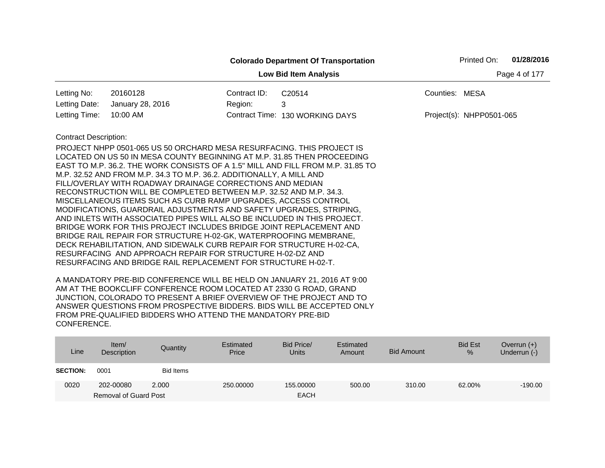|                              |                                                                                                                                                |              | <b>Colorado Department Of Transportation</b> |                | Printed On:              | 01/28/2016    |
|------------------------------|------------------------------------------------------------------------------------------------------------------------------------------------|--------------|----------------------------------------------|----------------|--------------------------|---------------|
|                              |                                                                                                                                                |              | <b>Low Bid Item Analysis</b>                 |                |                          | Page 4 of 177 |
| Letting No:                  | 20160128                                                                                                                                       | Contract ID: | C20514                                       | Counties: MESA |                          |               |
| Letting Date:                | January 28, 2016                                                                                                                               | Region:      | 3                                            |                |                          |               |
| Letting Time:                | 10:00 AM                                                                                                                                       |              | Contract Time: 130 WORKING DAYS              |                | Project(s): NHPP0501-065 |               |
| <b>Contract Description:</b> |                                                                                                                                                |              |                                              |                |                          |               |
|                              | PROJECT NHPP 0501-065 US 50 ORCHARD MESA RESURFACING. THIS PROJECT IS                                                                          |              |                                              |                |                          |               |
|                              | LOCATED ON US 50 IN MESA COUNTY BEGINNING AT M.P. 31.85 THEN PROCEEDING                                                                        |              |                                              |                |                          |               |
|                              | EAST TO M.P. 36.2. THE WORK CONSISTS OF A 1.5" MILL AND FILL FROM M.P. 31.85 TO                                                                |              |                                              |                |                          |               |
|                              | M.P. 32.52 AND FROM M.P. 34.3 TO M.P. 36.2. ADDITIONALLY, A MILL AND                                                                           |              |                                              |                |                          |               |
|                              | FILL/OVERLAY WITH ROADWAY DRAINAGE CORRECTIONS AND MEDIAN                                                                                      |              |                                              |                |                          |               |
|                              | RECONSTRUCTION WILL BE COMPLETED BETWEEN M.P. 32.52 AND M.P. 34.3.                                                                             |              |                                              |                |                          |               |
|                              | MISCELLANEOUS ITEMS SUCH AS CURB RAMP UPGRADES, ACCESS CONTROL                                                                                 |              |                                              |                |                          |               |
|                              | MODIFICATIONS, GUARDRAIL ADJUSTMENTS AND SAFETY UPGRADES, STRIPING,<br>AND INLETS WITH ASSOCIATED PIPES WILL ALSO BE INCLUDED IN THIS PROJECT. |              |                                              |                |                          |               |
|                              | BRIDGE WORK FOR THIS PROJECT INCLUDES BRIDGE JOINT REPLACEMENT AND                                                                             |              |                                              |                |                          |               |
|                              | BRIDGE RAIL REPAIR FOR STRUCTURE H-02-GK, WATERPROOFING MEMBRANE,                                                                              |              |                                              |                |                          |               |
|                              | DECK REHABILITATION, AND SIDEWALK CURB REPAIR FOR STRUCTURE H-02-CA,                                                                           |              |                                              |                |                          |               |
|                              | RESURFACING AND APPROACH REPAIR FOR STRUCTURE H-02-DZ AND                                                                                      |              |                                              |                |                          |               |
|                              | RESURFACING AND BRIDGE RAIL REPLACEMENT FOR STRUCTURE H-02-T.                                                                                  |              |                                              |                |                          |               |

| Line            | Item/<br>Description         | Quantity  | Estimated<br>Price | Bid Price/<br><b>Units</b> | Estimated<br>Amount | <b>Bid Amount</b> | <b>Bid Est</b><br>% | Overrun $(+)$<br>Underrun (-) |
|-----------------|------------------------------|-----------|--------------------|----------------------------|---------------------|-------------------|---------------------|-------------------------------|
| <b>SECTION:</b> | 0001                         | Bid Items |                    |                            |                     |                   |                     |                               |
| 0020            | 202-00080                    | 2.000     | 250,00000          | 155.00000                  | 500.00              | 310.00            | 62.00%              | $-190.00$                     |
|                 | <b>Removal of Guard Post</b> |           |                    | <b>EACH</b>                |                     |                   |                     |                               |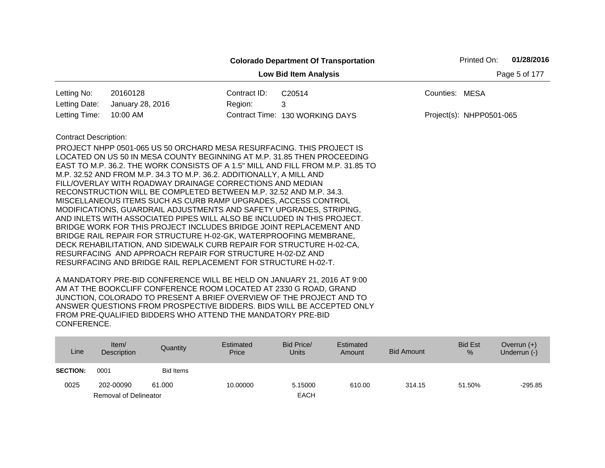|                              |                                                                                                                                                                                                                                                                                                                                                                                                                                                                                                                                                                                                                                                                                                                                                                                                                                                                                                                                                                                                                     |               | <b>Colorado Department Of Transportation</b> |                | Printed On:              | 01/28/2016 |
|------------------------------|---------------------------------------------------------------------------------------------------------------------------------------------------------------------------------------------------------------------------------------------------------------------------------------------------------------------------------------------------------------------------------------------------------------------------------------------------------------------------------------------------------------------------------------------------------------------------------------------------------------------------------------------------------------------------------------------------------------------------------------------------------------------------------------------------------------------------------------------------------------------------------------------------------------------------------------------------------------------------------------------------------------------|---------------|----------------------------------------------|----------------|--------------------------|------------|
|                              |                                                                                                                                                                                                                                                                                                                                                                                                                                                                                                                                                                                                                                                                                                                                                                                                                                                                                                                                                                                                                     | Page 5 of 177 |                                              |                |                          |            |
| Letting No:                  | 20160128                                                                                                                                                                                                                                                                                                                                                                                                                                                                                                                                                                                                                                                                                                                                                                                                                                                                                                                                                                                                            | Contract ID:  | C20514                                       | Counties: MESA |                          |            |
| Letting Date:                | January 28, 2016                                                                                                                                                                                                                                                                                                                                                                                                                                                                                                                                                                                                                                                                                                                                                                                                                                                                                                                                                                                                    | Region:       | 3                                            |                |                          |            |
| Letting Time:                | 10:00 AM                                                                                                                                                                                                                                                                                                                                                                                                                                                                                                                                                                                                                                                                                                                                                                                                                                                                                                                                                                                                            |               | Contract Time: 130 WORKING DAYS              |                | Project(s): NHPP0501-065 |            |
| <b>Contract Description:</b> | PROJECT NHPP 0501-065 US 50 ORCHARD MESA RESURFACING. THIS PROJECT IS<br>LOCATED ON US 50 IN MESA COUNTY BEGINNING AT M.P. 31.85 THEN PROCEEDING<br>EAST TO M.P. 36.2. THE WORK CONSISTS OF A 1.5" MILL AND FILL FROM M.P. 31.85 TO<br>M.P. 32.52 AND FROM M.P. 34.3 TO M.P. 36.2. ADDITIONALLY, A MILL AND<br>FILL/OVERLAY WITH ROADWAY DRAINAGE CORRECTIONS AND MEDIAN<br>RECONSTRUCTION WILL BE COMPLETED BETWEEN M.P. 32.52 AND M.P. 34.3.<br>MISCELLANEOUS ITEMS SUCH AS CURB RAMP UPGRADES, ACCESS CONTROL<br>MODIFICATIONS, GUARDRAIL ADJUSTMENTS AND SAFETY UPGRADES, STRIPING,<br>AND INLETS WITH ASSOCIATED PIPES WILL ALSO BE INCLUDED IN THIS PROJECT.<br>BRIDGE WORK FOR THIS PROJECT INCLUDES BRIDGE JOINT REPLACEMENT AND<br>BRIDGE RAIL REPAIR FOR STRUCTURE H-02-GK, WATERPROOFING MEMBRANE,<br>DECK REHABILITATION, AND SIDEWALK CURB REPAIR FOR STRUCTURE H-02-CA,<br>RESURFACING AND APPROACH REPAIR FOR STRUCTURE H-02-DZ AND<br>RESURFACING AND BRIDGE RAIL REPLACEMENT FOR STRUCTURE H-02-T. |               |                                              |                |                          |            |

| Line            | Item/<br><b>Description</b>  | Quantity         | Estimated<br>Price | Bid Price/<br>Units | Estimated<br>Amount | <b>Bid Amount</b> | <b>Bid Est</b><br>% | Overrun $(+)$<br>Underrun (-) |
|-----------------|------------------------------|------------------|--------------------|---------------------|---------------------|-------------------|---------------------|-------------------------------|
| <b>SECTION:</b> | 0001                         | <b>Bid Items</b> |                    |                     |                     |                   |                     |                               |
| 0025            | 202-00090                    | 61.000           | 10.00000           | 5.15000             | 610.00              | 314.15            | 51.50%              | $-295.85$                     |
|                 | <b>Removal of Delineator</b> |                  |                    | <b>EACH</b>         |                     |                   |                     |                               |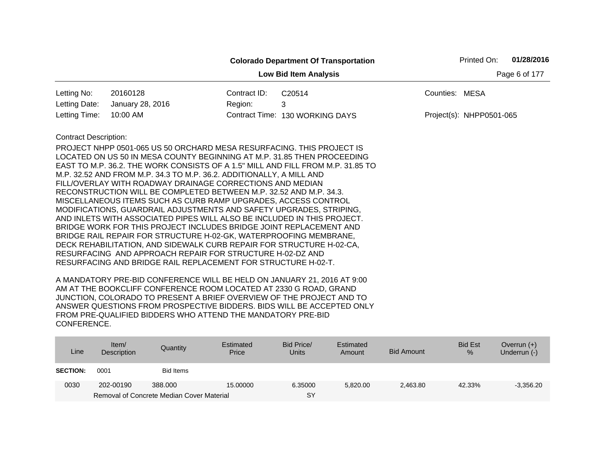|                                               |                                                                                                                                                                                                                                                                                                                                                                                                                                                                                                                                                                                                                                                                                                                                                                                                                                                                                                                                                                                                                     |                         | <b>Colorado Department Of Transportation</b>               |                | Printed On:              | 01/28/2016 |
|-----------------------------------------------|---------------------------------------------------------------------------------------------------------------------------------------------------------------------------------------------------------------------------------------------------------------------------------------------------------------------------------------------------------------------------------------------------------------------------------------------------------------------------------------------------------------------------------------------------------------------------------------------------------------------------------------------------------------------------------------------------------------------------------------------------------------------------------------------------------------------------------------------------------------------------------------------------------------------------------------------------------------------------------------------------------------------|-------------------------|------------------------------------------------------------|----------------|--------------------------|------------|
|                                               |                                                                                                                                                                                                                                                                                                                                                                                                                                                                                                                                                                                                                                                                                                                                                                                                                                                                                                                                                                                                                     |                         | Page 6 of 177                                              |                |                          |            |
| Letting No:<br>Letting Date:<br>Letting Time: | 20160128<br>January 28, 2016<br>10:00 AM                                                                                                                                                                                                                                                                                                                                                                                                                                                                                                                                                                                                                                                                                                                                                                                                                                                                                                                                                                            | Contract ID:<br>Region: | C <sub>20514</sub><br>3<br>Contract Time: 130 WORKING DAYS | Counties: MESA | Project(s): NHPP0501-065 |            |
| <b>Contract Description:</b>                  | PROJECT NHPP 0501-065 US 50 ORCHARD MESA RESURFACING. THIS PROJECT IS<br>LOCATED ON US 50 IN MESA COUNTY BEGINNING AT M.P. 31.85 THEN PROCEEDING<br>EAST TO M.P. 36.2. THE WORK CONSISTS OF A 1.5" MILL AND FILL FROM M.P. 31.85 TO<br>M.P. 32.52 AND FROM M.P. 34.3 TO M.P. 36.2. ADDITIONALLY, A MILL AND<br>FILL/OVERLAY WITH ROADWAY DRAINAGE CORRECTIONS AND MEDIAN<br>RECONSTRUCTION WILL BE COMPLETED BETWEEN M.P. 32.52 AND M.P. 34.3.<br>MISCELLANEOUS ITEMS SUCH AS CURB RAMP UPGRADES, ACCESS CONTROL<br>MODIFICATIONS, GUARDRAIL ADJUSTMENTS AND SAFETY UPGRADES, STRIPING,<br>AND INLETS WITH ASSOCIATED PIPES WILL ALSO BE INCLUDED IN THIS PROJECT.<br>BRIDGE WORK FOR THIS PROJECT INCLUDES BRIDGE JOINT REPLACEMENT AND<br>BRIDGE RAIL REPAIR FOR STRUCTURE H-02-GK, WATERPROOFING MEMBRANE,<br>DECK REHABILITATION, AND SIDEWALK CURB REPAIR FOR STRUCTURE H-02-CA,<br>RESURFACING AND APPROACH REPAIR FOR STRUCTURE H-02-DZ AND<br>RESURFACING AND BRIDGE RAIL REPLACEMENT FOR STRUCTURE H-02-T. |                         |                                                            |                |                          |            |

| Line            | Item $\sqrt{ }$<br>Description | Quantity                                  | Estimated<br>Price | Bid Price/<br>Units | Estimated<br>Amount | Bid Amount | <b>Bid Est</b><br>% | Overrun $(+)$<br>Underrun (-) |
|-----------------|--------------------------------|-------------------------------------------|--------------------|---------------------|---------------------|------------|---------------------|-------------------------------|
| <b>SECTION:</b> | 0001                           | <b>Bid Items</b>                          |                    |                     |                     |            |                     |                               |
| 0030            | 202-00190                      | 388,000                                   | 15,00000           | 6.35000             | 5.820.00            | 2,463.80   | 42.33%              | $-3.356.20$                   |
|                 |                                | Removal of Concrete Median Cover Material |                    | <b>SY</b>           |                     |            |                     |                               |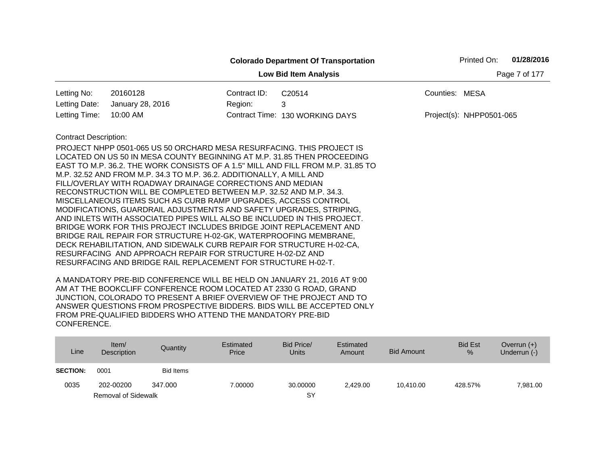|                              |                                                                                                                                   |               | <b>Colorado Department Of Transportation</b> |                | Printed On:              | 01/28/2016 |
|------------------------------|-----------------------------------------------------------------------------------------------------------------------------------|---------------|----------------------------------------------|----------------|--------------------------|------------|
|                              |                                                                                                                                   | Page 7 of 177 |                                              |                |                          |            |
| Letting No:                  | 20160128                                                                                                                          | Contract ID:  | C20514                                       | Counties: MESA |                          |            |
| Letting Date:                | January 28, 2016                                                                                                                  | Region:       | 3                                            |                |                          |            |
| Letting Time:                | 10:00 AM                                                                                                                          |               | Contract Time: 130 WORKING DAYS              |                | Project(s): NHPP0501-065 |            |
| <b>Contract Description:</b> |                                                                                                                                   |               |                                              |                |                          |            |
|                              | PROJECT NHPP 0501-065 US 50 ORCHARD MESA RESURFACING. THIS PROJECT IS                                                             |               |                                              |                |                          |            |
|                              | LOCATED ON US 50 IN MESA COUNTY BEGINNING AT M.P. 31.85 THEN PROCEEDING                                                           |               |                                              |                |                          |            |
|                              | EAST TO M.P. 36.2. THE WORK CONSISTS OF A 1.5" MILL AND FILL FROM M.P. 31.85 TO                                                   |               |                                              |                |                          |            |
|                              | M.P. 32.52 AND FROM M.P. 34.3 TO M.P. 36.2. ADDITIONALLY, A MILL AND<br>FILL/OVERLAY WITH ROADWAY DRAINAGE CORRECTIONS AND MEDIAN |               |                                              |                |                          |            |
|                              | RECONSTRUCTION WILL BE COMPLETED BETWEEN M.P. 32.52 AND M.P. 34.3.                                                                |               |                                              |                |                          |            |
|                              | MISCELLANEOUS ITEMS SUCH AS CURB RAMP UPGRADES, ACCESS CONTROL                                                                    |               |                                              |                |                          |            |
|                              | MODIFICATIONS, GUARDRAIL ADJUSTMENTS AND SAFETY UPGRADES, STRIPING,                                                               |               |                                              |                |                          |            |
|                              | AND INLETS WITH ASSOCIATED PIPES WILL ALSO BE INCLUDED IN THIS PROJECT.                                                           |               |                                              |                |                          |            |
|                              | BRIDGE WORK FOR THIS PROJECT INCLUDES BRIDGE JOINT REPLACEMENT AND                                                                |               |                                              |                |                          |            |
|                              | BRIDGE RAIL REPAIR FOR STRUCTURE H-02-GK, WATERPROOFING MEMBRANE,                                                                 |               |                                              |                |                          |            |
|                              | DECK REHABILITATION, AND SIDEWALK CURB REPAIR FOR STRUCTURE H-02-CA,                                                              |               |                                              |                |                          |            |
|                              | RESURFACING AND APPROACH REPAIR FOR STRUCTURE H-02-DZ AND<br>RESURFACING AND BRIDGE RAIL REPLACEMENT FOR STRUCTURE H-02-T.        |               |                                              |                |                          |            |
|                              |                                                                                                                                   |               |                                              |                |                          |            |

| Line            | Item/<br>Description       | Quantity         | Estimated<br>Price | Bid Price/<br>Units | Estimated<br>Amount | <b>Bid Amount</b> | <b>Bid Est</b><br>% | Overrun $(+)$<br>Underrun (-) |
|-----------------|----------------------------|------------------|--------------------|---------------------|---------------------|-------------------|---------------------|-------------------------------|
| <b>SECTION:</b> | 0001                       | <b>Bid Items</b> |                    |                     |                     |                   |                     |                               |
| 0035            | 202-00200                  | 347.000          | 7.00000            | 30.00000            | 2.429.00            | 10.410.00         | 428.57%             | 7,981.00                      |
|                 | <b>Removal of Sidewalk</b> |                  |                    | <b>SY</b>           |                     |                   |                     |                               |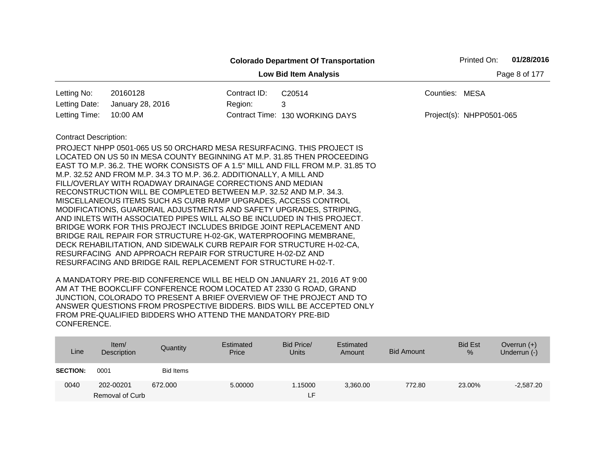|                              |                                                                                                                                                                                                                                                                                                                                                                                                                                                                                                                                                                                                                                                                                                                                                                                                                                                                                                                                  |              | <b>Colorado Department Of Transportation</b>                                    |                | Printed On:              | 01/28/2016 |
|------------------------------|----------------------------------------------------------------------------------------------------------------------------------------------------------------------------------------------------------------------------------------------------------------------------------------------------------------------------------------------------------------------------------------------------------------------------------------------------------------------------------------------------------------------------------------------------------------------------------------------------------------------------------------------------------------------------------------------------------------------------------------------------------------------------------------------------------------------------------------------------------------------------------------------------------------------------------|--------------|---------------------------------------------------------------------------------|----------------|--------------------------|------------|
|                              |                                                                                                                                                                                                                                                                                                                                                                                                                                                                                                                                                                                                                                                                                                                                                                                                                                                                                                                                  |              | Page 8 of 177                                                                   |                |                          |            |
| Letting No:                  | 20160128                                                                                                                                                                                                                                                                                                                                                                                                                                                                                                                                                                                                                                                                                                                                                                                                                                                                                                                         | Contract ID: | C20514                                                                          | Counties: MESA |                          |            |
| Letting Date:                | January 28, 2016                                                                                                                                                                                                                                                                                                                                                                                                                                                                                                                                                                                                                                                                                                                                                                                                                                                                                                                 | Region:      | 3                                                                               |                |                          |            |
| Letting Time:                | 10:00 AM                                                                                                                                                                                                                                                                                                                                                                                                                                                                                                                                                                                                                                                                                                                                                                                                                                                                                                                         |              | Contract Time: 130 WORKING DAYS                                                 |                | Project(s): NHPP0501-065 |            |
| <b>Contract Description:</b> | PROJECT NHPP 0501-065 US 50 ORCHARD MESA RESURFACING. THIS PROJECT IS<br>LOCATED ON US 50 IN MESA COUNTY BEGINNING AT M.P. 31.85 THEN PROCEEDING<br>M.P. 32.52 AND FROM M.P. 34.3 TO M.P. 36.2. ADDITIONALLY, A MILL AND<br>FILL/OVERLAY WITH ROADWAY DRAINAGE CORRECTIONS AND MEDIAN<br>RECONSTRUCTION WILL BE COMPLETED BETWEEN M.P. 32.52 AND M.P. 34.3.<br>MISCELLANEOUS ITEMS SUCH AS CURB RAMP UPGRADES, ACCESS CONTROL<br>MODIFICATIONS, GUARDRAIL ADJUSTMENTS AND SAFETY UPGRADES, STRIPING,<br>AND INLETS WITH ASSOCIATED PIPES WILL ALSO BE INCLUDED IN THIS PROJECT.<br>BRIDGE WORK FOR THIS PROJECT INCLUDES BRIDGE JOINT REPLACEMENT AND<br>BRIDGE RAIL REPAIR FOR STRUCTURE H-02-GK, WATERPROOFING MEMBRANE,<br>DECK REHABILITATION, AND SIDEWALK CURB REPAIR FOR STRUCTURE H-02-CA,<br>RESURFACING AND APPROACH REPAIR FOR STRUCTURE H-02-DZ AND<br>RESURFACING AND BRIDGE RAIL REPLACEMENT FOR STRUCTURE H-02-T. |              | EAST TO M.P. 36.2. THE WORK CONSISTS OF A 1.5" MILL AND FILL FROM M.P. 31.85 TO |                |                          |            |

| Line            | Item $\sqrt{ }$<br>Description | Quantity         | Estimated<br>Price | Bid Price/<br>Units | Estimated<br>Amount | Bid Amount | <b>Bid Est</b><br>% | Overrun $(+)$<br>Underrun (-) |
|-----------------|--------------------------------|------------------|--------------------|---------------------|---------------------|------------|---------------------|-------------------------------|
| <b>SECTION:</b> | 0001                           | <b>Bid Items</b> |                    |                     |                     |            |                     |                               |
| 0040            | 202-00201                      | 672.000          | 5.00000            | .15000              | 3,360.00            | 772.80     | 23.00%              | $-2,587.20$                   |
|                 | Removal of Curb                |                  |                    | LF.                 |                     |            |                     |                               |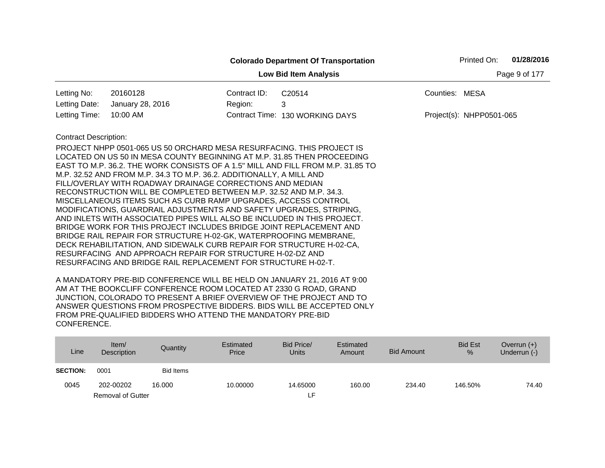|                              |                                                                                                                                                         |              | <b>Colorado Department Of Transportation</b> |                | Printed On:                | 01/28/2016    |
|------------------------------|---------------------------------------------------------------------------------------------------------------------------------------------------------|--------------|----------------------------------------------|----------------|----------------------------|---------------|
|                              |                                                                                                                                                         |              | <b>Low Bid Item Analysis</b>                 |                |                            | Page 9 of 177 |
| Letting No:                  | 20160128                                                                                                                                                | Contract ID: | C20514                                       | Counties: MESA |                            |               |
| Letting Date:                | January 28, 2016                                                                                                                                        | Region:      | 3                                            |                |                            |               |
| Letting Time:                | 10:00 AM                                                                                                                                                |              | Contract Time: 130 WORKING DAYS              |                | $Project(s): NHPP0501-065$ |               |
| <b>Contract Description:</b> |                                                                                                                                                         |              |                                              |                |                            |               |
|                              | PROJECT NHPP 0501-065 US 50 ORCHARD MESA RESURFACING. THIS PROJECT IS                                                                                   |              |                                              |                |                            |               |
|                              | LOCATED ON US 50 IN MESA COUNTY BEGINNING AT M.P. 31.85 THEN PROCEEDING                                                                                 |              |                                              |                |                            |               |
|                              | EAST TO M.P. 36.2. THE WORK CONSISTS OF A 1.5" MILL AND FILL FROM M.P. 31.85 TO<br>M.P. 32.52 AND FROM M.P. 34.3 TO M.P. 36.2. ADDITIONALLY, A MILL AND |              |                                              |                |                            |               |
|                              | FILL/OVERLAY WITH ROADWAY DRAINAGE CORRECTIONS AND MEDIAN                                                                                               |              |                                              |                |                            |               |
|                              | RECONSTRUCTION WILL BE COMPLETED BETWEEN M.P. 32.52 AND M.P. 34.3.                                                                                      |              |                                              |                |                            |               |
|                              | MISCELLANEOUS ITEMS SUCH AS CURB RAMP UPGRADES, ACCESS CONTROL                                                                                          |              |                                              |                |                            |               |
|                              | MODIFICATIONS, GUARDRAIL ADJUSTMENTS AND SAFETY UPGRADES, STRIPING,                                                                                     |              |                                              |                |                            |               |
|                              | AND INLETS WITH ASSOCIATED PIPES WILL ALSO BE INCLUDED IN THIS PROJECT.                                                                                 |              |                                              |                |                            |               |
|                              | BRIDGE WORK FOR THIS PROJECT INCLUDES BRIDGE JOINT REPLACEMENT AND                                                                                      |              |                                              |                |                            |               |
|                              | BRIDGE RAIL REPAIR FOR STRUCTURE H-02-GK, WATERPROOFING MEMBRANE,<br>DECK REHABILITATION, AND SIDEWALK CURB REPAIR FOR STRUCTURE H-02-CA,               |              |                                              |                |                            |               |
|                              | RESURFACING AND APPROACH REPAIR FOR STRUCTURE H-02-DZ AND                                                                                               |              |                                              |                |                            |               |
|                              | RESURFACING AND BRIDGE RAIL REPLACEMENT FOR STRUCTURE H-02-T.                                                                                           |              |                                              |                |                            |               |
|                              |                                                                                                                                                         |              |                                              |                |                            |               |

| Line            | Item/<br>Description     | Quantity         | Estimated<br>Price | Bid Price/<br>Units | Estimated<br>Amount | <b>Bid Amount</b> | <b>Bid Est</b><br>% | Overrun $(+)$<br>Underrun (-) |
|-----------------|--------------------------|------------------|--------------------|---------------------|---------------------|-------------------|---------------------|-------------------------------|
| <b>SECTION:</b> | 0001                     | <b>Bid Items</b> |                    |                     |                     |                   |                     |                               |
| 0045            | 202-00202                | 16.000           | 10.00000           | 14.65000            | 160.00              | 234.40            | 146.50%             | 74.40                         |
|                 | <b>Removal of Gutter</b> |                  |                    | ιF.                 |                     |                   |                     |                               |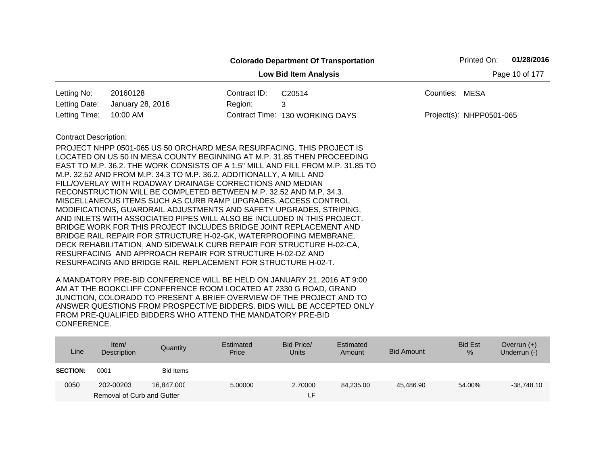|                              |                                                                                                                                                                                                                                                                                                                                                                                                                                                                                                                  |                | <b>Colorado Department Of Transportation</b> | Printed On:              | 01/28/2016 |
|------------------------------|------------------------------------------------------------------------------------------------------------------------------------------------------------------------------------------------------------------------------------------------------------------------------------------------------------------------------------------------------------------------------------------------------------------------------------------------------------------------------------------------------------------|----------------|----------------------------------------------|--------------------------|------------|
|                              |                                                                                                                                                                                                                                                                                                                                                                                                                                                                                                                  | Page 10 of 177 |                                              |                          |            |
| Letting No:                  | 20160128                                                                                                                                                                                                                                                                                                                                                                                                                                                                                                         | Contract ID:   | C20514                                       | Counties: MESA           |            |
| Letting Date:                | January 28, 2016                                                                                                                                                                                                                                                                                                                                                                                                                                                                                                 | Region:        | 3                                            |                          |            |
| Letting Time:                | 10:00 AM                                                                                                                                                                                                                                                                                                                                                                                                                                                                                                         |                | Contract Time: 130 WORKING DAYS              | Project(s): NHPP0501-065 |            |
| <b>Contract Description:</b> |                                                                                                                                                                                                                                                                                                                                                                                                                                                                                                                  |                |                                              |                          |            |
|                              | PROJECT NHPP 0501-065 US 50 ORCHARD MESA RESURFACING. THIS PROJECT IS<br>LOCATED ON US 50 IN MESA COUNTY BEGINNING AT M.P. 31.85 THEN PROCEEDING<br>EAST TO M.P. 36.2. THE WORK CONSISTS OF A 1.5" MILL AND FILL FROM M.P. 31.85 TO<br>M.P. 32.52 AND FROM M.P. 34.3 TO M.P. 36.2. ADDITIONALLY, A MILL AND<br>FILL/OVERLAY WITH ROADWAY DRAINAGE CORRECTIONS AND MEDIAN<br>RECONSTRUCTION WILL BE COMPLETED BETWEEN M.P. 32.52 AND M.P. 34.3.<br>MISCELLANEOUS ITEMS SUCH AS CURB RAMP UPGRADES, ACCESS CONTROL |                |                                              |                          |            |
|                              | MODIFICATIONS, GUARDRAIL ADJUSTMENTS AND SAFETY UPGRADES, STRIPING,<br>AND INLETS WITH ASSOCIATED PIPES WILL ALSO BE INCLUDED IN THIS PROJECT.<br>BRIDGE WORK FOR THIS PROJECT INCLUDES BRIDGE JOINT REPLACEMENT AND<br>BRIDGE RAIL REPAIR FOR STRUCTURE H-02-GK, WATERPROOFING MEMBRANE,<br>DECK REHABILITATION, AND SIDEWALK CURB REPAIR FOR STRUCTURE H-02-CA,<br>RESURFACING AND APPROACH REPAIR FOR STRUCTURE H-02-DZ AND<br>RESURFACING AND BRIDGE RAIL REPLACEMENT FOR STRUCTURE H-02-T.                  |                |                                              |                          |            |

| Line            | Item $/$<br>Description    | Quantity   | Estimated<br>Price | Bid Price/<br><b>Units</b> | Estimated<br>Amount | <b>Bid Amount</b> | <b>Bid Est</b><br>% | Overrun $(+)$<br>Underrun (-) |
|-----------------|----------------------------|------------|--------------------|----------------------------|---------------------|-------------------|---------------------|-------------------------------|
| <b>SECTION:</b> | 0001                       | Bid Items  |                    |                            |                     |                   |                     |                               |
| 0050            | 202-00203                  | 16.847.000 | 5.00000            | 2.70000                    | 84,235.00           | 45.486.90         | 54.00%              | $-38,748.10$                  |
|                 | Removal of Curb and Gutter |            |                    | LF.                        |                     |                   |                     |                               |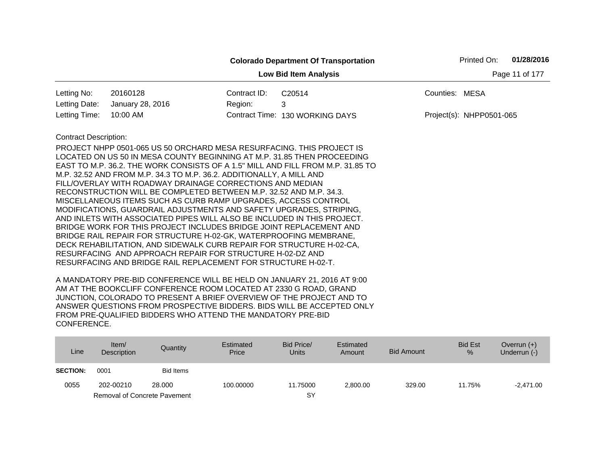|                                                                                                                                                                                                                                                                                                                                                                                                                                                                                                                                                                                                                                                                                                                                                                                                                                                                                                                                                                                                                                                     |              |                                 |                | Printed On:              | 01/28/2016 |  |  |  |  |  |
|-----------------------------------------------------------------------------------------------------------------------------------------------------------------------------------------------------------------------------------------------------------------------------------------------------------------------------------------------------------------------------------------------------------------------------------------------------------------------------------------------------------------------------------------------------------------------------------------------------------------------------------------------------------------------------------------------------------------------------------------------------------------------------------------------------------------------------------------------------------------------------------------------------------------------------------------------------------------------------------------------------------------------------------------------------|--------------|---------------------------------|----------------|--------------------------|------------|--|--|--|--|--|
| Page 11 of 177<br><b>Low Bid Item Analysis</b>                                                                                                                                                                                                                                                                                                                                                                                                                                                                                                                                                                                                                                                                                                                                                                                                                                                                                                                                                                                                      |              |                                 |                |                          |            |  |  |  |  |  |
| 20160128<br>Letting No:                                                                                                                                                                                                                                                                                                                                                                                                                                                                                                                                                                                                                                                                                                                                                                                                                                                                                                                                                                                                                             | Contract ID: | C20514                          | Counties: MESA |                          |            |  |  |  |  |  |
| Letting Date:<br>January 28, 2016                                                                                                                                                                                                                                                                                                                                                                                                                                                                                                                                                                                                                                                                                                                                                                                                                                                                                                                                                                                                                   | Region:      | 3                               |                |                          |            |  |  |  |  |  |
| 10:00 AM<br>Letting Time:                                                                                                                                                                                                                                                                                                                                                                                                                                                                                                                                                                                                                                                                                                                                                                                                                                                                                                                                                                                                                           |              | Contract Time: 130 WORKING DAYS |                | Project(s): NHPP0501-065 |            |  |  |  |  |  |
| <b>Contract Description:</b><br>PROJECT NHPP 0501-065 US 50 ORCHARD MESA RESURFACING. THIS PROJECT IS<br>LOCATED ON US 50 IN MESA COUNTY BEGINNING AT M.P. 31.85 THEN PROCEEDING<br>EAST TO M.P. 36.2. THE WORK CONSISTS OF A 1.5" MILL AND FILL FROM M.P. 31.85 TO<br>M.P. 32.52 AND FROM M.P. 34.3 TO M.P. 36.2. ADDITIONALLY, A MILL AND<br>FILL/OVERLAY WITH ROADWAY DRAINAGE CORRECTIONS AND MEDIAN<br>RECONSTRUCTION WILL BE COMPLETED BETWEEN M.P. 32.52 AND M.P. 34.3.<br>MISCELLANEOUS ITEMS SUCH AS CURB RAMP UPGRADES, ACCESS CONTROL<br>MODIFICATIONS, GUARDRAIL ADJUSTMENTS AND SAFETY UPGRADES, STRIPING,<br>AND INLETS WITH ASSOCIATED PIPES WILL ALSO BE INCLUDED IN THIS PROJECT.<br>BRIDGE WORK FOR THIS PROJECT INCLUDES BRIDGE JOINT REPLACEMENT AND<br>BRIDGE RAIL REPAIR FOR STRUCTURE H-02-GK, WATERPROOFING MEMBRANE,<br>DECK REHABILITATION, AND SIDEWALK CURB REPAIR FOR STRUCTURE H-02-CA,<br>RESURFACING AND APPROACH REPAIR FOR STRUCTURE H-02-DZ AND<br>RESURFACING AND BRIDGE RAIL REPLACEMENT FOR STRUCTURE H-02-T. |              |                                 |                |                          |            |  |  |  |  |  |

| Line            | Item $/$<br>Description             | Quantity         | Estimated<br>Price | Bid Price/<br>Units | Estimated<br>Amount | <b>Bid Amount</b> | <b>Bid Est</b><br>% | Overrun $(+)$<br>Underrun (-) |
|-----------------|-------------------------------------|------------------|--------------------|---------------------|---------------------|-------------------|---------------------|-------------------------------|
| <b>SECTION:</b> | 0001                                | <b>Bid Items</b> |                    |                     |                     |                   |                     |                               |
| 0055            | 202-00210                           | 28,000           | 100.00000          | 11.75000            | 2,800.00            | 329.00            | 11.75%              | $-2.471.00$                   |
|                 | <b>Removal of Concrete Pavement</b> |                  |                    | SY                  |                     |                   |                     |                               |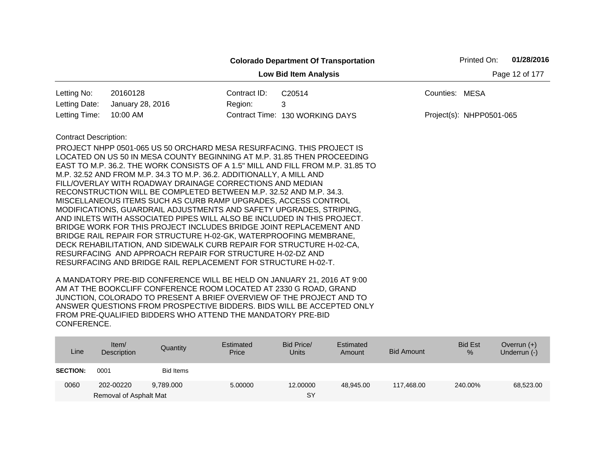|                                                |                                                                                                                                                                                                                                                                                                                                                                                                                                                                                                                                                                                                                                                                                                                                                                                                                                                                                                                                                                                                                     |              | <b>Colorado Department Of Transportation</b> | Printed On:              | 01/28/2016 |  |  |  |  |
|------------------------------------------------|---------------------------------------------------------------------------------------------------------------------------------------------------------------------------------------------------------------------------------------------------------------------------------------------------------------------------------------------------------------------------------------------------------------------------------------------------------------------------------------------------------------------------------------------------------------------------------------------------------------------------------------------------------------------------------------------------------------------------------------------------------------------------------------------------------------------------------------------------------------------------------------------------------------------------------------------------------------------------------------------------------------------|--------------|----------------------------------------------|--------------------------|------------|--|--|--|--|
| <b>Low Bid Item Analysis</b><br>Page 12 of 177 |                                                                                                                                                                                                                                                                                                                                                                                                                                                                                                                                                                                                                                                                                                                                                                                                                                                                                                                                                                                                                     |              |                                              |                          |            |  |  |  |  |
| Letting No:                                    | 20160128                                                                                                                                                                                                                                                                                                                                                                                                                                                                                                                                                                                                                                                                                                                                                                                                                                                                                                                                                                                                            | Contract ID: | C20514                                       | Counties: MESA           |            |  |  |  |  |
| Letting Date:                                  | January 28, 2016                                                                                                                                                                                                                                                                                                                                                                                                                                                                                                                                                                                                                                                                                                                                                                                                                                                                                                                                                                                                    | Region:      | 3                                            |                          |            |  |  |  |  |
| Letting Time:                                  | 10:00 AM                                                                                                                                                                                                                                                                                                                                                                                                                                                                                                                                                                                                                                                                                                                                                                                                                                                                                                                                                                                                            |              | Contract Time: 130 WORKING DAYS              | Project(s): NHPP0501-065 |            |  |  |  |  |
| <b>Contract Description:</b>                   | PROJECT NHPP 0501-065 US 50 ORCHARD MESA RESURFACING. THIS PROJECT IS<br>LOCATED ON US 50 IN MESA COUNTY BEGINNING AT M.P. 31.85 THEN PROCEEDING<br>EAST TO M.P. 36.2. THE WORK CONSISTS OF A 1.5" MILL AND FILL FROM M.P. 31.85 TO<br>M.P. 32.52 AND FROM M.P. 34.3 TO M.P. 36.2. ADDITIONALLY, A MILL AND<br>FILL/OVERLAY WITH ROADWAY DRAINAGE CORRECTIONS AND MEDIAN<br>RECONSTRUCTION WILL BE COMPLETED BETWEEN M.P. 32.52 AND M.P. 34.3.<br>MISCELLANEOUS ITEMS SUCH AS CURB RAMP UPGRADES, ACCESS CONTROL<br>MODIFICATIONS, GUARDRAIL ADJUSTMENTS AND SAFETY UPGRADES, STRIPING,<br>AND INLETS WITH ASSOCIATED PIPES WILL ALSO BE INCLUDED IN THIS PROJECT.<br>BRIDGE WORK FOR THIS PROJECT INCLUDES BRIDGE JOINT REPLACEMENT AND<br>BRIDGE RAIL REPAIR FOR STRUCTURE H-02-GK, WATERPROOFING MEMBRANE,<br>DECK REHABILITATION, AND SIDEWALK CURB REPAIR FOR STRUCTURE H-02-CA,<br>RESURFACING AND APPROACH REPAIR FOR STRUCTURE H-02-DZ AND<br>RESURFACING AND BRIDGE RAIL REPLACEMENT FOR STRUCTURE H-02-T. |              |                                              |                          |            |  |  |  |  |

| Line            | Item/<br>Description   | Quantity  | Estimated<br>Price | Bid Price/<br><b>Units</b> | Estimated<br>Amount | Bid Amount | <b>Bid Est</b><br>% | Overrun $(+)$<br>Underrun (-) |
|-----------------|------------------------|-----------|--------------------|----------------------------|---------------------|------------|---------------------|-------------------------------|
| <b>SECTION:</b> | 0001                   | Bid Items |                    |                            |                     |            |                     |                               |
| 0060            | 202-00220              | 9.789.000 | 5.00000            | 12,00000                   | 48.945.00           | 117.468.00 | 240.00%             | 68,523.00                     |
|                 | Removal of Asphalt Mat |           |                    | SY                         |                     |            |                     |                               |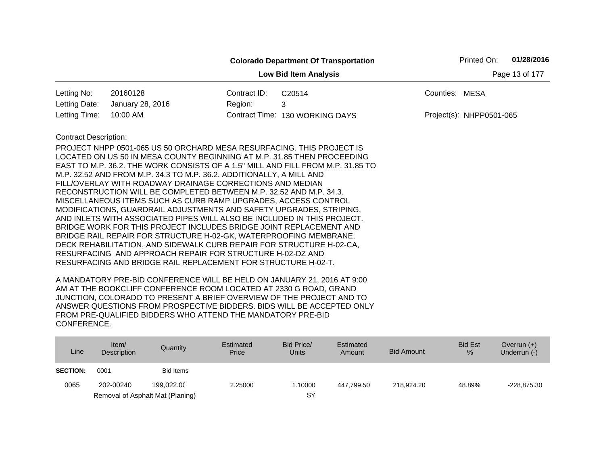|                                                |                                                                                                                                                                                                                                                                                                                                                                                                                                                                                                                                                                                                                                                                                                                                                                                                                                                                                                                                                                                                                     |              | <b>Colorado Department Of Transportation</b> |                | Printed On:              | 01/28/2016 |  |  |  |  |
|------------------------------------------------|---------------------------------------------------------------------------------------------------------------------------------------------------------------------------------------------------------------------------------------------------------------------------------------------------------------------------------------------------------------------------------------------------------------------------------------------------------------------------------------------------------------------------------------------------------------------------------------------------------------------------------------------------------------------------------------------------------------------------------------------------------------------------------------------------------------------------------------------------------------------------------------------------------------------------------------------------------------------------------------------------------------------|--------------|----------------------------------------------|----------------|--------------------------|------------|--|--|--|--|
| Page 13 of 177<br><b>Low Bid Item Analysis</b> |                                                                                                                                                                                                                                                                                                                                                                                                                                                                                                                                                                                                                                                                                                                                                                                                                                                                                                                                                                                                                     |              |                                              |                |                          |            |  |  |  |  |
| Letting No:                                    | 20160128                                                                                                                                                                                                                                                                                                                                                                                                                                                                                                                                                                                                                                                                                                                                                                                                                                                                                                                                                                                                            | Contract ID: | C20514                                       | Counties: MESA |                          |            |  |  |  |  |
| Letting Date:                                  | January 28, 2016                                                                                                                                                                                                                                                                                                                                                                                                                                                                                                                                                                                                                                                                                                                                                                                                                                                                                                                                                                                                    | Region:      | 3                                            |                |                          |            |  |  |  |  |
| Letting Time:                                  | 10:00 AM                                                                                                                                                                                                                                                                                                                                                                                                                                                                                                                                                                                                                                                                                                                                                                                                                                                                                                                                                                                                            |              | Contract Time: 130 WORKING DAYS              |                | Project(s): NHPP0501-065 |            |  |  |  |  |
| <b>Contract Description:</b>                   | PROJECT NHPP 0501-065 US 50 ORCHARD MESA RESURFACING. THIS PROJECT IS<br>LOCATED ON US 50 IN MESA COUNTY BEGINNING AT M.P. 31.85 THEN PROCEEDING<br>EAST TO M.P. 36.2. THE WORK CONSISTS OF A 1.5" MILL AND FILL FROM M.P. 31.85 TO<br>M.P. 32.52 AND FROM M.P. 34.3 TO M.P. 36.2. ADDITIONALLY, A MILL AND<br>FILL/OVERLAY WITH ROADWAY DRAINAGE CORRECTIONS AND MEDIAN<br>RECONSTRUCTION WILL BE COMPLETED BETWEEN M.P. 32.52 AND M.P. 34.3.<br>MISCELLANEOUS ITEMS SUCH AS CURB RAMP UPGRADES, ACCESS CONTROL<br>MODIFICATIONS, GUARDRAIL ADJUSTMENTS AND SAFETY UPGRADES, STRIPING,<br>AND INLETS WITH ASSOCIATED PIPES WILL ALSO BE INCLUDED IN THIS PROJECT.<br>BRIDGE WORK FOR THIS PROJECT INCLUDES BRIDGE JOINT REPLACEMENT AND<br>BRIDGE RAIL REPAIR FOR STRUCTURE H-02-GK, WATERPROOFING MEMBRANE,<br>DECK REHABILITATION, AND SIDEWALK CURB REPAIR FOR STRUCTURE H-02-CA,<br>RESURFACING AND APPROACH REPAIR FOR STRUCTURE H-02-DZ AND<br>RESURFACING AND BRIDGE RAIL REPLACEMENT FOR STRUCTURE H-02-T. |              |                                              |                |                          |            |  |  |  |  |
|                                                |                                                                                                                                                                                                                                                                                                                                                                                                                                                                                                                                                                                                                                                                                                                                                                                                                                                                                                                                                                                                                     |              |                                              |                |                          |            |  |  |  |  |

| Line            | Item/<br>Description | Quantity                         | Estimated<br>Price | Bid Price/<br>Units | Estimated<br>Amount | <b>Bid Amount</b> | <b>Bid Est</b><br>$\%$ | Overrun $(+)$<br>Underrun (-) |
|-----------------|----------------------|----------------------------------|--------------------|---------------------|---------------------|-------------------|------------------------|-------------------------------|
| <b>SECTION:</b> | 0001                 | Bid Items                        |                    |                     |                     |                   |                        |                               |
| 0065            | 202-00240            | 199.022.00                       | 2.25000            | 1.10000             | 447.799.50          | 218.924.20        | 48.89%                 | $-228,875.30$                 |
|                 |                      | Removal of Asphalt Mat (Planing) |                    | SY                  |                     |                   |                        |                               |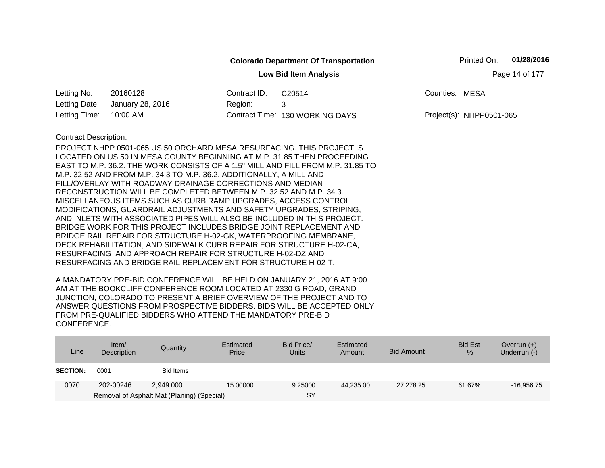|                              |                                                                                                                                                                                                                                                                                                                                                                                                                                                                                                                                                                                                                                                                                                                                                                                                                                                                                                                                  |              | <b>Colorado Department Of Transportation</b>                                    | Printed On:              | 01/28/2016     |
|------------------------------|----------------------------------------------------------------------------------------------------------------------------------------------------------------------------------------------------------------------------------------------------------------------------------------------------------------------------------------------------------------------------------------------------------------------------------------------------------------------------------------------------------------------------------------------------------------------------------------------------------------------------------------------------------------------------------------------------------------------------------------------------------------------------------------------------------------------------------------------------------------------------------------------------------------------------------|--------------|---------------------------------------------------------------------------------|--------------------------|----------------|
|                              |                                                                                                                                                                                                                                                                                                                                                                                                                                                                                                                                                                                                                                                                                                                                                                                                                                                                                                                                  |              | <b>Low Bid Item Analysis</b>                                                    |                          | Page 14 of 177 |
| Letting No:                  | 20160128                                                                                                                                                                                                                                                                                                                                                                                                                                                                                                                                                                                                                                                                                                                                                                                                                                                                                                                         | Contract ID: | C20514                                                                          | Counties: MESA           |                |
| Letting Date:                | January 28, 2016                                                                                                                                                                                                                                                                                                                                                                                                                                                                                                                                                                                                                                                                                                                                                                                                                                                                                                                 | Region:      | 3                                                                               |                          |                |
| Letting Time:                | 10:00 AM                                                                                                                                                                                                                                                                                                                                                                                                                                                                                                                                                                                                                                                                                                                                                                                                                                                                                                                         |              | Contract Time: 130 WORKING DAYS                                                 | Project(s): NHPP0501-065 |                |
| <b>Contract Description:</b> | PROJECT NHPP 0501-065 US 50 ORCHARD MESA RESURFACING. THIS PROJECT IS<br>LOCATED ON US 50 IN MESA COUNTY BEGINNING AT M.P. 31.85 THEN PROCEEDING<br>M.P. 32.52 AND FROM M.P. 34.3 TO M.P. 36.2. ADDITIONALLY, A MILL AND<br>FILL/OVERLAY WITH ROADWAY DRAINAGE CORRECTIONS AND MEDIAN<br>RECONSTRUCTION WILL BE COMPLETED BETWEEN M.P. 32.52 AND M.P. 34.3.<br>MISCELLANEOUS ITEMS SUCH AS CURB RAMP UPGRADES, ACCESS CONTROL<br>MODIFICATIONS, GUARDRAIL ADJUSTMENTS AND SAFETY UPGRADES, STRIPING,<br>AND INLETS WITH ASSOCIATED PIPES WILL ALSO BE INCLUDED IN THIS PROJECT.<br>BRIDGE WORK FOR THIS PROJECT INCLUDES BRIDGE JOINT REPLACEMENT AND<br>BRIDGE RAIL REPAIR FOR STRUCTURE H-02-GK, WATERPROOFING MEMBRANE,<br>DECK REHABILITATION, AND SIDEWALK CURB REPAIR FOR STRUCTURE H-02-CA,<br>RESURFACING AND APPROACH REPAIR FOR STRUCTURE H-02-DZ AND<br>RESURFACING AND BRIDGE RAIL REPLACEMENT FOR STRUCTURE H-02-T. |              | EAST TO M.P. 36.2. THE WORK CONSISTS OF A 1.5" MILL AND FILL FROM M.P. 31.85 TO |                          |                |

| Line            | Item $/$<br>Description | Quantity                                   | Estimated<br>Price | Bid Price/<br><b>Units</b> | Estimated<br>Amount | <b>Bid Amount</b> | <b>Bid Est</b><br>% | Overrun $(+)$<br>Underrun (-) |
|-----------------|-------------------------|--------------------------------------------|--------------------|----------------------------|---------------------|-------------------|---------------------|-------------------------------|
| <b>SECTION:</b> | 0001                    | Bid Items                                  |                    |                            |                     |                   |                     |                               |
| 0070            | 202-00246               | 2.949.000                                  | 15,00000           | 9.25000                    | 44.235.00           | 27.278.25         | 61.67%              | $-16.956.75$                  |
|                 |                         | Removal of Asphalt Mat (Planing) (Special) |                    | SY                         |                     |                   |                     |                               |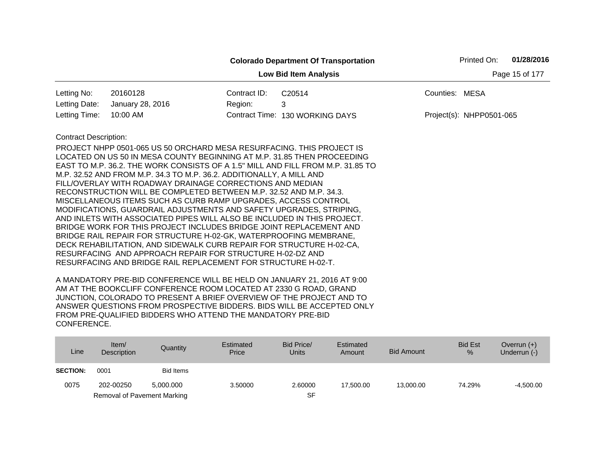|                                                |                                                                                                                                                                                                                                                                                                                                                                                                                                                                                                                                                                                                                                                                                                                                                                                                                                                                                                                                                                                                                     |              | <b>Colorado Department Of Transportation</b> |                | Printed On:              | 01/28/2016 |  |  |  |
|------------------------------------------------|---------------------------------------------------------------------------------------------------------------------------------------------------------------------------------------------------------------------------------------------------------------------------------------------------------------------------------------------------------------------------------------------------------------------------------------------------------------------------------------------------------------------------------------------------------------------------------------------------------------------------------------------------------------------------------------------------------------------------------------------------------------------------------------------------------------------------------------------------------------------------------------------------------------------------------------------------------------------------------------------------------------------|--------------|----------------------------------------------|----------------|--------------------------|------------|--|--|--|
| <b>Low Bid Item Analysis</b><br>Page 15 of 177 |                                                                                                                                                                                                                                                                                                                                                                                                                                                                                                                                                                                                                                                                                                                                                                                                                                                                                                                                                                                                                     |              |                                              |                |                          |            |  |  |  |
| Letting No:                                    | 20160128                                                                                                                                                                                                                                                                                                                                                                                                                                                                                                                                                                                                                                                                                                                                                                                                                                                                                                                                                                                                            | Contract ID: | C20514                                       | Counties: MESA |                          |            |  |  |  |
| Letting Date:                                  | January 28, 2016                                                                                                                                                                                                                                                                                                                                                                                                                                                                                                                                                                                                                                                                                                                                                                                                                                                                                                                                                                                                    | Region:      | 3                                            |                |                          |            |  |  |  |
| Letting Time:                                  | 10:00 AM                                                                                                                                                                                                                                                                                                                                                                                                                                                                                                                                                                                                                                                                                                                                                                                                                                                                                                                                                                                                            |              | Contract Time: 130 WORKING DAYS              |                | Project(s): NHPP0501-065 |            |  |  |  |
| <b>Contract Description:</b>                   | PROJECT NHPP 0501-065 US 50 ORCHARD MESA RESURFACING. THIS PROJECT IS<br>LOCATED ON US 50 IN MESA COUNTY BEGINNING AT M.P. 31.85 THEN PROCEEDING<br>EAST TO M.P. 36.2. THE WORK CONSISTS OF A 1.5" MILL AND FILL FROM M.P. 31.85 TO<br>M.P. 32.52 AND FROM M.P. 34.3 TO M.P. 36.2. ADDITIONALLY, A MILL AND<br>FILL/OVERLAY WITH ROADWAY DRAINAGE CORRECTIONS AND MEDIAN<br>RECONSTRUCTION WILL BE COMPLETED BETWEEN M.P. 32.52 AND M.P. 34.3.<br>MISCELLANEOUS ITEMS SUCH AS CURB RAMP UPGRADES, ACCESS CONTROL<br>MODIFICATIONS, GUARDRAIL ADJUSTMENTS AND SAFETY UPGRADES, STRIPING,<br>AND INLETS WITH ASSOCIATED PIPES WILL ALSO BE INCLUDED IN THIS PROJECT.<br>BRIDGE WORK FOR THIS PROJECT INCLUDES BRIDGE JOINT REPLACEMENT AND<br>BRIDGE RAIL REPAIR FOR STRUCTURE H-02-GK, WATERPROOFING MEMBRANE,<br>DECK REHABILITATION, AND SIDEWALK CURB REPAIR FOR STRUCTURE H-02-CA,<br>RESURFACING AND APPROACH REPAIR FOR STRUCTURE H-02-DZ AND<br>RESURFACING AND BRIDGE RAIL REPLACEMENT FOR STRUCTURE H-02-T. |              |                                              |                |                          |            |  |  |  |

| Line            | Item/<br>Description        | Quantity  | Estimated<br>Price | Bid Price/<br><b>Units</b> | Estimated<br>Amount | <b>Bid Amount</b> | <b>Bid Est</b><br>% | Overrun $(+)$<br>Underrun (-) |
|-----------------|-----------------------------|-----------|--------------------|----------------------------|---------------------|-------------------|---------------------|-------------------------------|
| <b>SECTION:</b> | 0001                        | Bid Items |                    |                            |                     |                   |                     |                               |
| 0075            | 202-00250                   | 5.000.000 | 3.50000            | 2.60000                    | 17.500.00           | 13,000.00         | 74.29%              | $-4,500.00$                   |
|                 | Removal of Pavement Marking |           |                    | SF                         |                     |                   |                     |                               |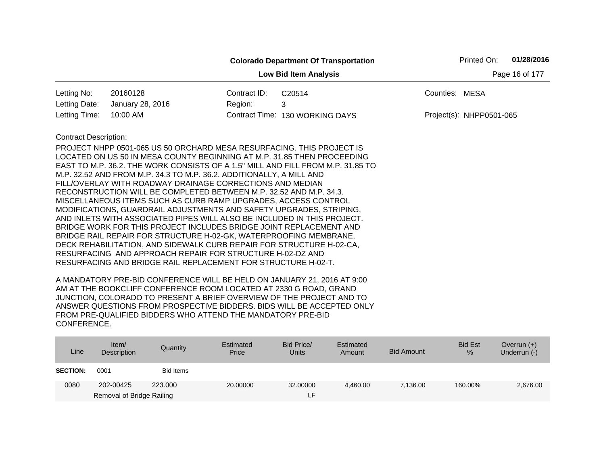|                              |                                                                                                                                   |              | <b>Colorado Department Of Transportation</b> |                          | Printed On: | 01/28/2016 |  |  |
|------------------------------|-----------------------------------------------------------------------------------------------------------------------------------|--------------|----------------------------------------------|--------------------------|-------------|------------|--|--|
| <b>Low Bid Item Analysis</b> |                                                                                                                                   |              |                                              |                          |             |            |  |  |
| Letting No:                  | 20160128                                                                                                                          | Contract ID: | C20514                                       | Counties: MESA           |             |            |  |  |
| Letting Date:                | January 28, 2016                                                                                                                  | Region:      | 3                                            |                          |             |            |  |  |
| Letting Time:                | 10:00 AM                                                                                                                          |              | Contract Time: 130 WORKING DAYS              | Project(s): NHPP0501-065 |             |            |  |  |
| <b>Contract Description:</b> |                                                                                                                                   |              |                                              |                          |             |            |  |  |
|                              | PROJECT NHPP 0501-065 US 50 ORCHARD MESA RESURFACING. THIS PROJECT IS                                                             |              |                                              |                          |             |            |  |  |
|                              | LOCATED ON US 50 IN MESA COUNTY BEGINNING AT M.P. 31.85 THEN PROCEEDING                                                           |              |                                              |                          |             |            |  |  |
|                              | EAST TO M.P. 36.2. THE WORK CONSISTS OF A 1.5" MILL AND FILL FROM M.P. 31.85 TO                                                   |              |                                              |                          |             |            |  |  |
|                              | M.P. 32.52 AND FROM M.P. 34.3 TO M.P. 36.2. ADDITIONALLY, A MILL AND<br>FILL/OVERLAY WITH ROADWAY DRAINAGE CORRECTIONS AND MEDIAN |              |                                              |                          |             |            |  |  |
|                              | RECONSTRUCTION WILL BE COMPLETED BETWEEN M.P. 32.52 AND M.P. 34.3.                                                                |              |                                              |                          |             |            |  |  |
|                              | MISCELLANEOUS ITEMS SUCH AS CURB RAMP UPGRADES, ACCESS CONTROL                                                                    |              |                                              |                          |             |            |  |  |
|                              | MODIFICATIONS, GUARDRAIL ADJUSTMENTS AND SAFETY UPGRADES, STRIPING,                                                               |              |                                              |                          |             |            |  |  |
|                              | AND INLETS WITH ASSOCIATED PIPES WILL ALSO BE INCLUDED IN THIS PROJECT.                                                           |              |                                              |                          |             |            |  |  |
|                              | BRIDGE WORK FOR THIS PROJECT INCLUDES BRIDGE JOINT REPLACEMENT AND                                                                |              |                                              |                          |             |            |  |  |
|                              | BRIDGE RAIL REPAIR FOR STRUCTURE H-02-GK, WATERPROOFING MEMBRANE,                                                                 |              |                                              |                          |             |            |  |  |
|                              | DECK REHABILITATION, AND SIDEWALK CURB REPAIR FOR STRUCTURE H-02-CA,                                                              |              |                                              |                          |             |            |  |  |
|                              | RESURFACING AND APPROACH REPAIR FOR STRUCTURE H-02-DZ AND                                                                         |              |                                              |                          |             |            |  |  |
|                              | RESURFACING AND BRIDGE RAIL REPLACEMENT FOR STRUCTURE H-02-T.                                                                     |              |                                              |                          |             |            |  |  |

| Line            | Item $/$<br>Description   | Quantity  | Estimated<br>Price | Bid Price/<br><b>Units</b> | Estimated<br>Amount | <b>Bid Amount</b> | <b>Bid Est</b><br>% | Overrun $(+)$<br>Underrun (-) |
|-----------------|---------------------------|-----------|--------------------|----------------------------|---------------------|-------------------|---------------------|-------------------------------|
| <b>SECTION:</b> | 0001                      | Bid Items |                    |                            |                     |                   |                     |                               |
| 0080            | 202-00425                 | 223,000   | 20,00000           | 32,00000                   | 4,460.00            | 7.136.00          | 160.00%             | 2,676.00                      |
|                 | Removal of Bridge Railing |           |                    | LH.                        |                     |                   |                     |                               |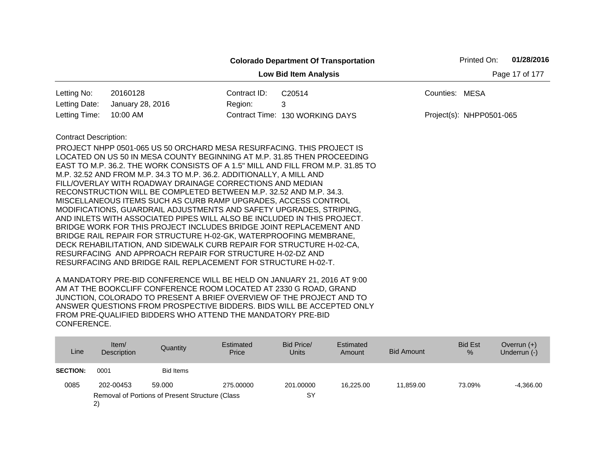|                                                |                                                                                                                                                                                                                                                                                                                                                                                                                                                                                                                                                                                                                                                                                                                                                                                                                                                                                                                                  |              | <b>Colorado Department Of Transportation</b>                                    |                | Printed On:              | 01/28/2016 |  |  |
|------------------------------------------------|----------------------------------------------------------------------------------------------------------------------------------------------------------------------------------------------------------------------------------------------------------------------------------------------------------------------------------------------------------------------------------------------------------------------------------------------------------------------------------------------------------------------------------------------------------------------------------------------------------------------------------------------------------------------------------------------------------------------------------------------------------------------------------------------------------------------------------------------------------------------------------------------------------------------------------|--------------|---------------------------------------------------------------------------------|----------------|--------------------------|------------|--|--|
| Page 17 of 177<br><b>Low Bid Item Analysis</b> |                                                                                                                                                                                                                                                                                                                                                                                                                                                                                                                                                                                                                                                                                                                                                                                                                                                                                                                                  |              |                                                                                 |                |                          |            |  |  |
| Letting No:                                    | 20160128                                                                                                                                                                                                                                                                                                                                                                                                                                                                                                                                                                                                                                                                                                                                                                                                                                                                                                                         | Contract ID: | C20514                                                                          | Counties: MESA |                          |            |  |  |
| Letting Date:                                  | January 28, 2016                                                                                                                                                                                                                                                                                                                                                                                                                                                                                                                                                                                                                                                                                                                                                                                                                                                                                                                 | Region:      | 3                                                                               |                |                          |            |  |  |
| Letting Time:                                  | 10:00 AM                                                                                                                                                                                                                                                                                                                                                                                                                                                                                                                                                                                                                                                                                                                                                                                                                                                                                                                         |              | Contract Time: 130 WORKING DAYS                                                 |                | Project(s): NHPP0501-065 |            |  |  |
| <b>Contract Description:</b>                   | PROJECT NHPP 0501-065 US 50 ORCHARD MESA RESURFACING. THIS PROJECT IS<br>LOCATED ON US 50 IN MESA COUNTY BEGINNING AT M.P. 31.85 THEN PROCEEDING<br>M.P. 32.52 AND FROM M.P. 34.3 TO M.P. 36.2. ADDITIONALLY, A MILL AND<br>FILL/OVERLAY WITH ROADWAY DRAINAGE CORRECTIONS AND MEDIAN<br>RECONSTRUCTION WILL BE COMPLETED BETWEEN M.P. 32.52 AND M.P. 34.3.<br>MISCELLANEOUS ITEMS SUCH AS CURB RAMP UPGRADES, ACCESS CONTROL<br>MODIFICATIONS, GUARDRAIL ADJUSTMENTS AND SAFETY UPGRADES, STRIPING,<br>AND INLETS WITH ASSOCIATED PIPES WILL ALSO BE INCLUDED IN THIS PROJECT.<br>BRIDGE WORK FOR THIS PROJECT INCLUDES BRIDGE JOINT REPLACEMENT AND<br>BRIDGE RAIL REPAIR FOR STRUCTURE H-02-GK, WATERPROOFING MEMBRANE,<br>DECK REHABILITATION, AND SIDEWALK CURB REPAIR FOR STRUCTURE H-02-CA,<br>RESURFACING AND APPROACH REPAIR FOR STRUCTURE H-02-DZ AND<br>RESURFACING AND BRIDGE RAIL REPLACEMENT FOR STRUCTURE H-02-T. |              | EAST TO M.P. 36.2. THE WORK CONSISTS OF A 1.5" MILL AND FILL FROM M.P. 31.85 TO |                |                          |            |  |  |

| Line            | Item/<br>Description                                  | Quantity         | Estimated<br>Price | Bid Price/<br><b>Units</b> | Estimated<br>Amount | <b>Bid Amount</b> | <b>Bid Est</b><br>$\frac{9}{6}$ | Overrun $(+)$<br>Underrun (-) |
|-----------------|-------------------------------------------------------|------------------|--------------------|----------------------------|---------------------|-------------------|---------------------------------|-------------------------------|
| <b>SECTION:</b> | 0001                                                  | <b>Bid Items</b> |                    |                            |                     |                   |                                 |                               |
| 0085            | 202-00453                                             | 59,000           | 275,00000          | 201.00000                  | 16.225.00           | 11.859.00         | 73.09%                          | $-4,366.00$                   |
|                 | Removal of Portions of Present Structure (Class<br>2) |                  |                    | SY                         |                     |                   |                                 |                               |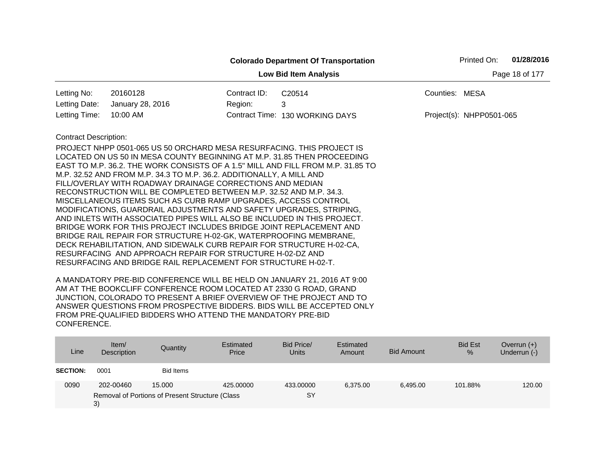|                                                |                                                                         |              | <b>Colorado Department Of Transportation</b>                                    |                | Printed On:              | 01/28/2016 |  |  |
|------------------------------------------------|-------------------------------------------------------------------------|--------------|---------------------------------------------------------------------------------|----------------|--------------------------|------------|--|--|
| Page 18 of 177<br><b>Low Bid Item Analysis</b> |                                                                         |              |                                                                                 |                |                          |            |  |  |
| Letting No:                                    | 20160128                                                                | Contract ID: | C20514                                                                          | Counties: MESA |                          |            |  |  |
| Letting Date:                                  | January 28, 2016                                                        | Region:      | 3                                                                               |                |                          |            |  |  |
| Letting Time:                                  | 10:00 AM                                                                |              | Contract Time: 130 WORKING DAYS                                                 |                | Project(s): NHPP0501-065 |            |  |  |
| <b>Contract Description:</b>                   |                                                                         |              |                                                                                 |                |                          |            |  |  |
|                                                | PROJECT NHPP 0501-065 US 50 ORCHARD MESA RESURFACING. THIS PROJECT IS   |              |                                                                                 |                |                          |            |  |  |
|                                                | LOCATED ON US 50 IN MESA COUNTY BEGINNING AT M.P. 31.85 THEN PROCEEDING |              |                                                                                 |                |                          |            |  |  |
|                                                |                                                                         |              | EAST TO M.P. 36.2. THE WORK CONSISTS OF A 1.5" MILL AND FILL FROM M.P. 31.85 TO |                |                          |            |  |  |
|                                                | M.P. 32.52 AND FROM M.P. 34.3 TO M.P. 36.2. ADDITIONALLY, A MILL AND    |              |                                                                                 |                |                          |            |  |  |
|                                                | FILL/OVERLAY WITH ROADWAY DRAINAGE CORRECTIONS AND MEDIAN               |              |                                                                                 |                |                          |            |  |  |
|                                                | RECONSTRUCTION WILL BE COMPLETED BETWEEN M.P. 32.52 AND M.P. 34.3.      |              |                                                                                 |                |                          |            |  |  |
|                                                | MISCELLANEOUS ITEMS SUCH AS CURB RAMP UPGRADES, ACCESS CONTROL          |              |                                                                                 |                |                          |            |  |  |
|                                                | MODIFICATIONS, GUARDRAIL ADJUSTMENTS AND SAFETY UPGRADES, STRIPING,     |              |                                                                                 |                |                          |            |  |  |
|                                                | AND INLETS WITH ASSOCIATED PIPES WILL ALSO BE INCLUDED IN THIS PROJECT. |              |                                                                                 |                |                          |            |  |  |
|                                                | BRIDGE WORK FOR THIS PROJECT INCLUDES BRIDGE JOINT REPLACEMENT AND      |              |                                                                                 |                |                          |            |  |  |
|                                                | BRIDGE RAIL REPAIR FOR STRUCTURE H-02-GK, WATERPROOFING MEMBRANE,       |              |                                                                                 |                |                          |            |  |  |
|                                                | DECK REHABILITATION, AND SIDEWALK CURB REPAIR FOR STRUCTURE H-02-CA,    |              |                                                                                 |                |                          |            |  |  |
|                                                | RESURFACING AND APPROACH REPAIR FOR STRUCTURE H-02-DZ AND               |              |                                                                                 |                |                          |            |  |  |
|                                                | RESURFACING AND BRIDGE RAIL REPLACEMENT FOR STRUCTURE H-02-T.           |              |                                                                                 |                |                          |            |  |  |

| Line            | Item $/$<br>Description | Quantity                                        | Estimated<br>Price | Bid Price/<br><b>Units</b> | Estimated<br>Amount | <b>Bid Amount</b> | <b>Bid Est</b><br>% | Overrun $(+)$<br>Underrun (-) |
|-----------------|-------------------------|-------------------------------------------------|--------------------|----------------------------|---------------------|-------------------|---------------------|-------------------------------|
| <b>SECTION:</b> | 0001                    | <b>Bid Items</b>                                |                    |                            |                     |                   |                     |                               |
| 0090            | 202-00460               | 15.000                                          | 425,00000          | 433.00000                  | 6.375.00            | 6.495.00          | 101.88%             | 120.00                        |
|                 | 3)                      | Removal of Portions of Present Structure (Class |                    | SY                         |                     |                   |                     |                               |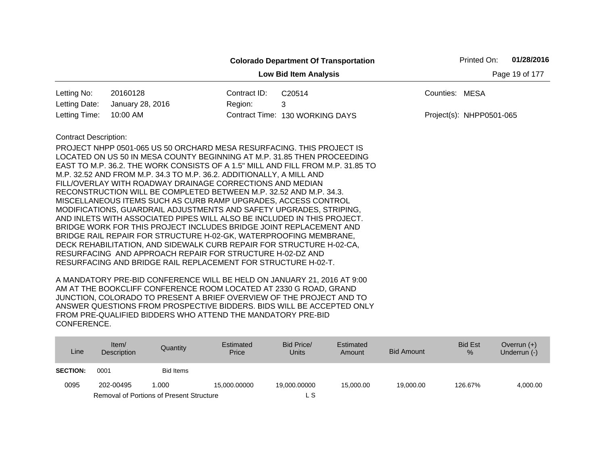|                                                |                                                                                                                                                                                                                                                                                                                                                                                                                                                                                                                                                                                                                                                                                                                                                                                                                                                                                                                                  |              | <b>Colorado Department Of Transportation</b>                                    |                | Printed On:              | 01/28/2016 |  |  |
|------------------------------------------------|----------------------------------------------------------------------------------------------------------------------------------------------------------------------------------------------------------------------------------------------------------------------------------------------------------------------------------------------------------------------------------------------------------------------------------------------------------------------------------------------------------------------------------------------------------------------------------------------------------------------------------------------------------------------------------------------------------------------------------------------------------------------------------------------------------------------------------------------------------------------------------------------------------------------------------|--------------|---------------------------------------------------------------------------------|----------------|--------------------------|------------|--|--|
| <b>Low Bid Item Analysis</b><br>Page 19 of 177 |                                                                                                                                                                                                                                                                                                                                                                                                                                                                                                                                                                                                                                                                                                                                                                                                                                                                                                                                  |              |                                                                                 |                |                          |            |  |  |
| Letting No:                                    | 20160128                                                                                                                                                                                                                                                                                                                                                                                                                                                                                                                                                                                                                                                                                                                                                                                                                                                                                                                         | Contract ID: | C20514                                                                          | Counties: MESA |                          |            |  |  |
| Letting Date:                                  | January 28, 2016                                                                                                                                                                                                                                                                                                                                                                                                                                                                                                                                                                                                                                                                                                                                                                                                                                                                                                                 | Region:      | 3                                                                               |                |                          |            |  |  |
| Letting Time:                                  | 10:00 AM                                                                                                                                                                                                                                                                                                                                                                                                                                                                                                                                                                                                                                                                                                                                                                                                                                                                                                                         |              | Contract Time: 130 WORKING DAYS                                                 |                | Project(s): NHPP0501-065 |            |  |  |
| <b>Contract Description:</b>                   | PROJECT NHPP 0501-065 US 50 ORCHARD MESA RESURFACING. THIS PROJECT IS<br>LOCATED ON US 50 IN MESA COUNTY BEGINNING AT M.P. 31.85 THEN PROCEEDING<br>M.P. 32.52 AND FROM M.P. 34.3 TO M.P. 36.2. ADDITIONALLY, A MILL AND<br>FILL/OVERLAY WITH ROADWAY DRAINAGE CORRECTIONS AND MEDIAN<br>RECONSTRUCTION WILL BE COMPLETED BETWEEN M.P. 32.52 AND M.P. 34.3.<br>MISCELLANEOUS ITEMS SUCH AS CURB RAMP UPGRADES, ACCESS CONTROL<br>MODIFICATIONS, GUARDRAIL ADJUSTMENTS AND SAFETY UPGRADES, STRIPING,<br>AND INLETS WITH ASSOCIATED PIPES WILL ALSO BE INCLUDED IN THIS PROJECT.<br>BRIDGE WORK FOR THIS PROJECT INCLUDES BRIDGE JOINT REPLACEMENT AND<br>BRIDGE RAIL REPAIR FOR STRUCTURE H-02-GK, WATERPROOFING MEMBRANE,<br>DECK REHABILITATION, AND SIDEWALK CURB REPAIR FOR STRUCTURE H-02-CA,<br>RESURFACING AND APPROACH REPAIR FOR STRUCTURE H-02-DZ AND<br>RESURFACING AND BRIDGE RAIL REPLACEMENT FOR STRUCTURE H-02-T. |              | EAST TO M.P. 36.2. THE WORK CONSISTS OF A 1.5" MILL AND FILL FROM M.P. 31.85 TO |                |                          |            |  |  |

| Line            | Item $/$<br>Description | Quantity                                        | Estimated<br>Price | Bid Price/<br>Units | Estimated<br>Amount | Bid Amount | <b>Bid Est</b><br>% | Overrun $(+)$<br>Underrun (-) |
|-----------------|-------------------------|-------------------------------------------------|--------------------|---------------------|---------------------|------------|---------------------|-------------------------------|
| <b>SECTION:</b> | 0001                    | <b>Bid Items</b>                                |                    |                     |                     |            |                     |                               |
| 0095            | 202-00495               | 1.000                                           | 15.000.00000       | 19.000.00000        | 15,000,00           | 19,000.00  | 126.67%             | 4,000.00                      |
|                 |                         | <b>Removal of Portions of Present Structure</b> |                    | ∟ S                 |                     |            |                     |                               |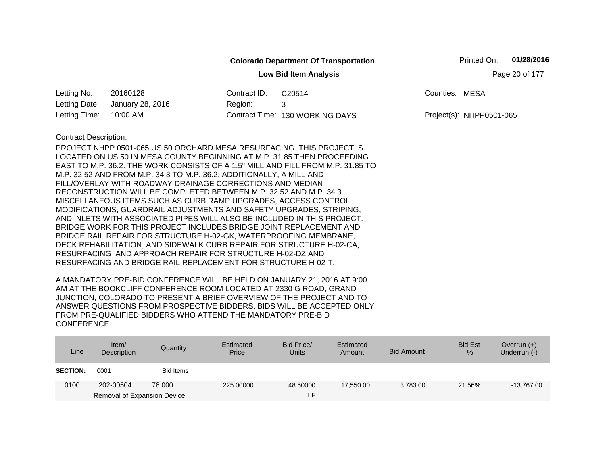|                                                |                                                                                                                                                                                                                                                                                                                                                                                                                                                                                                                                                                                                                                                                                                                                                                                                                                                                                                                                                    |              | <b>Colorado Department Of Transportation</b> | Printed On:              | 01/28/2016 |  |  |
|------------------------------------------------|----------------------------------------------------------------------------------------------------------------------------------------------------------------------------------------------------------------------------------------------------------------------------------------------------------------------------------------------------------------------------------------------------------------------------------------------------------------------------------------------------------------------------------------------------------------------------------------------------------------------------------------------------------------------------------------------------------------------------------------------------------------------------------------------------------------------------------------------------------------------------------------------------------------------------------------------------|--------------|----------------------------------------------|--------------------------|------------|--|--|
| <b>Low Bid Item Analysis</b><br>Page 20 of 177 |                                                                                                                                                                                                                                                                                                                                                                                                                                                                                                                                                                                                                                                                                                                                                                                                                                                                                                                                                    |              |                                              |                          |            |  |  |
| Letting No:                                    | 20160128                                                                                                                                                                                                                                                                                                                                                                                                                                                                                                                                                                                                                                                                                                                                                                                                                                                                                                                                           | Contract ID: | C20514                                       | Counties: MESA           |            |  |  |
| Letting Date:                                  | January 28, 2016                                                                                                                                                                                                                                                                                                                                                                                                                                                                                                                                                                                                                                                                                                                                                                                                                                                                                                                                   | Region:      | 3                                            |                          |            |  |  |
| Letting Time:                                  | 10:00 AM                                                                                                                                                                                                                                                                                                                                                                                                                                                                                                                                                                                                                                                                                                                                                                                                                                                                                                                                           |              | Contract Time: 130 WORKING DAYS              | Project(s): NHPP0501-065 |            |  |  |
| <b>Contract Description:</b>                   |                                                                                                                                                                                                                                                                                                                                                                                                                                                                                                                                                                                                                                                                                                                                                                                                                                                                                                                                                    |              |                                              |                          |            |  |  |
|                                                | PROJECT NHPP 0501-065 US 50 ORCHARD MESA RESURFACING. THIS PROJECT IS<br>LOCATED ON US 50 IN MESA COUNTY BEGINNING AT M.P. 31.85 THEN PROCEEDING<br>EAST TO M.P. 36.2. THE WORK CONSISTS OF A 1.5" MILL AND FILL FROM M.P. 31.85 TO<br>M.P. 32.52 AND FROM M.P. 34.3 TO M.P. 36.2. ADDITIONALLY, A MILL AND<br>FILL/OVERLAY WITH ROADWAY DRAINAGE CORRECTIONS AND MEDIAN<br>RECONSTRUCTION WILL BE COMPLETED BETWEEN M.P. 32.52 AND M.P. 34.3.<br>MISCELLANEOUS ITEMS SUCH AS CURB RAMP UPGRADES, ACCESS CONTROL<br>MODIFICATIONS, GUARDRAIL ADJUSTMENTS AND SAFETY UPGRADES, STRIPING,<br>AND INLETS WITH ASSOCIATED PIPES WILL ALSO BE INCLUDED IN THIS PROJECT.<br>BRIDGE WORK FOR THIS PROJECT INCLUDES BRIDGE JOINT REPLACEMENT AND<br>BRIDGE RAIL REPAIR FOR STRUCTURE H-02-GK, WATERPROOFING MEMBRANE,<br>DECK REHABILITATION, AND SIDEWALK CURB REPAIR FOR STRUCTURE H-02-CA,<br>RESURFACING AND APPROACH REPAIR FOR STRUCTURE H-02-DZ AND |              |                                              |                          |            |  |  |

| Line            | Item $/$<br>Description     | Quantity  | Estimated<br>Price | Bid Price/<br><b>Units</b> | Estimated<br>Amount | Bid Amount | <b>Bid Est</b><br>$\%$ | Overrun $(+)$<br>Underrun (-) |
|-----------------|-----------------------------|-----------|--------------------|----------------------------|---------------------|------------|------------------------|-------------------------------|
| <b>SECTION:</b> | 0001                        | Bid Items |                    |                            |                     |            |                        |                               |
| 0100            | 202-00504                   | 78,000    | 225,00000          | 48.50000                   | 17.550.00           | 3,783.00   | 21.56%                 | $-13,767.00$                  |
|                 | Removal of Expansion Device |           |                    | ιF.                        |                     |            |                        |                               |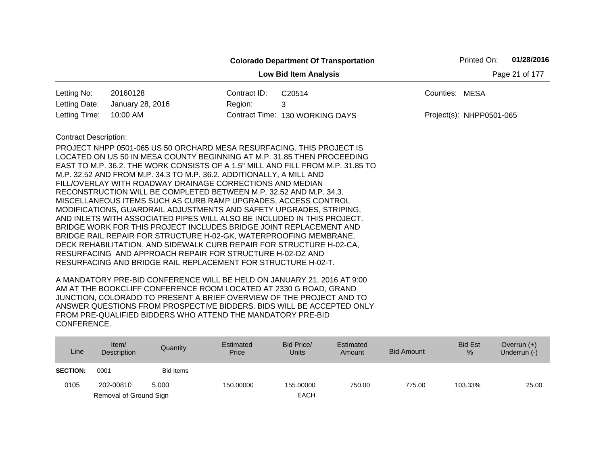|                                                |                                                                                                                                                                                                                                                                                                                                                                                                                                                                                                                                                                                                                                                                                                                                                                                                                                                                                       |              | <b>Colorado Department Of Transportation</b> |                | Printed On:                | 01/28/2016 |  |  |
|------------------------------------------------|---------------------------------------------------------------------------------------------------------------------------------------------------------------------------------------------------------------------------------------------------------------------------------------------------------------------------------------------------------------------------------------------------------------------------------------------------------------------------------------------------------------------------------------------------------------------------------------------------------------------------------------------------------------------------------------------------------------------------------------------------------------------------------------------------------------------------------------------------------------------------------------|--------------|----------------------------------------------|----------------|----------------------------|------------|--|--|
| Page 21 of 177<br><b>Low Bid Item Analysis</b> |                                                                                                                                                                                                                                                                                                                                                                                                                                                                                                                                                                                                                                                                                                                                                                                                                                                                                       |              |                                              |                |                            |            |  |  |
| Letting No:                                    | 20160128                                                                                                                                                                                                                                                                                                                                                                                                                                                                                                                                                                                                                                                                                                                                                                                                                                                                              | Contract ID: | C20514                                       | Counties: MESA |                            |            |  |  |
| Letting Date:                                  | January 28, 2016                                                                                                                                                                                                                                                                                                                                                                                                                                                                                                                                                                                                                                                                                                                                                                                                                                                                      | Region:      | 3                                            |                |                            |            |  |  |
| Letting Time:                                  | 10:00 AM                                                                                                                                                                                                                                                                                                                                                                                                                                                                                                                                                                                                                                                                                                                                                                                                                                                                              |              | Contract Time: 130 WORKING DAYS              |                | $Project(s): NHPP0501-065$ |            |  |  |
| <b>Contract Description:</b>                   | PROJECT NHPP 0501-065 US 50 ORCHARD MESA RESURFACING. THIS PROJECT IS<br>LOCATED ON US 50 IN MESA COUNTY BEGINNING AT M.P. 31.85 THEN PROCEEDING<br>EAST TO M.P. 36.2. THE WORK CONSISTS OF A 1.5" MILL AND FILL FROM M.P. 31.85 TO<br>M.P. 32.52 AND FROM M.P. 34.3 TO M.P. 36.2. ADDITIONALLY, A MILL AND<br>FILL/OVERLAY WITH ROADWAY DRAINAGE CORRECTIONS AND MEDIAN<br>RECONSTRUCTION WILL BE COMPLETED BETWEEN M.P. 32.52 AND M.P. 34.3.<br>MISCELLANEOUS ITEMS SUCH AS CURB RAMP UPGRADES, ACCESS CONTROL<br>MODIFICATIONS, GUARDRAIL ADJUSTMENTS AND SAFETY UPGRADES, STRIPING,<br>AND INLETS WITH ASSOCIATED PIPES WILL ALSO BE INCLUDED IN THIS PROJECT.<br>BRIDGE WORK FOR THIS PROJECT INCLUDES BRIDGE JOINT REPLACEMENT AND<br>BRIDGE RAIL REPAIR FOR STRUCTURE H-02-GK, WATERPROOFING MEMBRANE,<br>DECK REHABILITATION, AND SIDEWALK CURB REPAIR FOR STRUCTURE H-02-CA, |              |                                              |                |                            |            |  |  |
|                                                | RESURFACING AND APPROACH REPAIR FOR STRUCTURE H-02-DZ AND<br>RESURFACING AND BRIDGE RAIL REPLACEMENT FOR STRUCTURE H-02-T.                                                                                                                                                                                                                                                                                                                                                                                                                                                                                                                                                                                                                                                                                                                                                            |              |                                              |                |                            |            |  |  |

| Line            | Item/<br>Description   | Quantity         | Estimated<br>Price | Bid Price/<br>Units | Estimated<br>Amount | Bid Amount | <b>Bid Est</b><br>$\frac{9}{6}$ | Overrun $(+)$<br>Underrun (-) |
|-----------------|------------------------|------------------|--------------------|---------------------|---------------------|------------|---------------------------------|-------------------------------|
| <b>SECTION:</b> | 0001                   | <b>Bid Items</b> |                    |                     |                     |            |                                 |                               |
| 0105            | 202-00810              | 5.000            | 150,00000          | 155.00000           | 750.00              | 775.00     | 103.33%                         | 25.00                         |
|                 | Removal of Ground Sign |                  |                    | <b>EACH</b>         |                     |            |                                 |                               |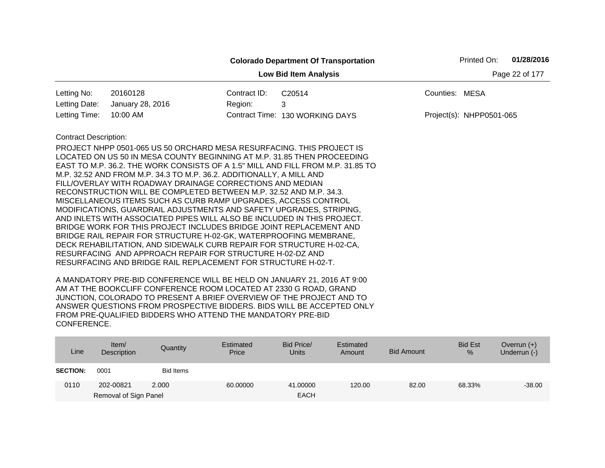|                                                |                                                                                                                                               |              | <b>Colorado Department Of Transportation</b>                                    |                | Printed On:              | 01/28/2016 |  |  |
|------------------------------------------------|-----------------------------------------------------------------------------------------------------------------------------------------------|--------------|---------------------------------------------------------------------------------|----------------|--------------------------|------------|--|--|
| Page 22 of 177<br><b>Low Bid Item Analysis</b> |                                                                                                                                               |              |                                                                                 |                |                          |            |  |  |
| Letting No:                                    | 20160128                                                                                                                                      | Contract ID: | C20514                                                                          | Counties: MESA |                          |            |  |  |
| Letting Date:                                  | January 28, 2016                                                                                                                              | Region:      | 3                                                                               |                |                          |            |  |  |
| Letting Time:                                  | 10:00 AM                                                                                                                                      |              | Contract Time: 130 WORKING DAYS                                                 |                | Project(s): NHPP0501-065 |            |  |  |
| <b>Contract Description:</b>                   |                                                                                                                                               |              |                                                                                 |                |                          |            |  |  |
|                                                | PROJECT NHPP 0501-065 US 50 ORCHARD MESA RESURFACING. THIS PROJECT IS                                                                         |              |                                                                                 |                |                          |            |  |  |
|                                                | LOCATED ON US 50 IN MESA COUNTY BEGINNING AT M.P. 31.85 THEN PROCEEDING                                                                       |              |                                                                                 |                |                          |            |  |  |
|                                                |                                                                                                                                               |              | EAST TO M.P. 36.2. THE WORK CONSISTS OF A 1.5" MILL AND FILL FROM M.P. 31.85 TO |                |                          |            |  |  |
|                                                | M.P. 32.52 AND FROM M.P. 34.3 TO M.P. 36.2. ADDITIONALLY, A MILL AND                                                                          |              |                                                                                 |                |                          |            |  |  |
|                                                | FILL/OVERLAY WITH ROADWAY DRAINAGE CORRECTIONS AND MEDIAN                                                                                     |              |                                                                                 |                |                          |            |  |  |
|                                                | RECONSTRUCTION WILL BE COMPLETED BETWEEN M.P. 32.52 AND M.P. 34.3.                                                                            |              |                                                                                 |                |                          |            |  |  |
|                                                | MISCELLANEOUS ITEMS SUCH AS CURB RAMP UPGRADES, ACCESS CONTROL                                                                                |              |                                                                                 |                |                          |            |  |  |
|                                                | MODIFICATIONS, GUARDRAIL ADJUSTMENTS AND SAFETY UPGRADES, STRIPING,                                                                           |              |                                                                                 |                |                          |            |  |  |
|                                                | AND INLETS WITH ASSOCIATED PIPES WILL ALSO BE INCLUDED IN THIS PROJECT.<br>BRIDGE WORK FOR THIS PROJECT INCLUDES BRIDGE JOINT REPLACEMENT AND |              |                                                                                 |                |                          |            |  |  |
|                                                | BRIDGE RAIL REPAIR FOR STRUCTURE H-02-GK, WATERPROOFING MEMBRANE,                                                                             |              |                                                                                 |                |                          |            |  |  |
|                                                | DECK REHABILITATION, AND SIDEWALK CURB REPAIR FOR STRUCTURE H-02-CA,                                                                          |              |                                                                                 |                |                          |            |  |  |
|                                                | RESURFACING AND APPROACH REPAIR FOR STRUCTURE H-02-DZ AND                                                                                     |              |                                                                                 |                |                          |            |  |  |
|                                                | RESURFACING AND BRIDGE RAIL REPLACEMENT FOR STRUCTURE H-02-T.                                                                                 |              |                                                                                 |                |                          |            |  |  |
|                                                |                                                                                                                                               |              |                                                                                 |                |                          |            |  |  |

| Line            | Item $/$<br>Description | Quantity  | Estimated<br>Price | Bid Price/<br><b>Units</b> | Estimated<br>Amount | Bid Amount | <b>Bid Est</b><br>$\%$ | Overrun $(+)$<br>Underrun (-) |
|-----------------|-------------------------|-----------|--------------------|----------------------------|---------------------|------------|------------------------|-------------------------------|
| <b>SECTION:</b> | 0001                    | Bid Items |                    |                            |                     |            |                        |                               |
| 0110            | 202-00821               | 2.000     | 60.00000           | 41.00000                   | 120.00              | 82.00      | 68.33%                 | $-38.00$                      |
|                 | Removal of Sign Panel   |           |                    | <b>EACH</b>                |                     |            |                        |                               |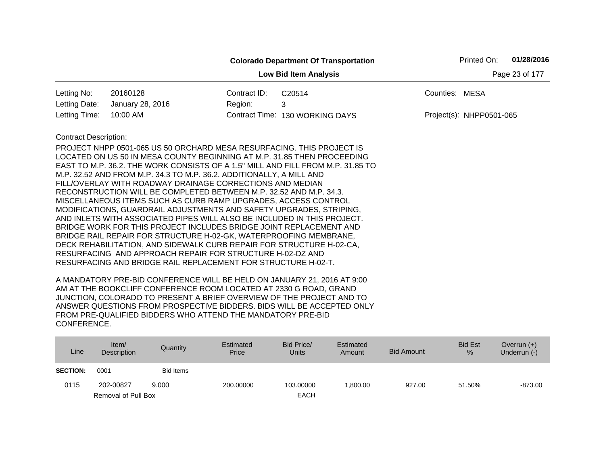|                                                |                                                                                                                                                         |              | <b>Colorado Department Of Transportation</b> |                | Printed On:              | 01/28/2016 |  |  |
|------------------------------------------------|---------------------------------------------------------------------------------------------------------------------------------------------------------|--------------|----------------------------------------------|----------------|--------------------------|------------|--|--|
| Page 23 of 177<br><b>Low Bid Item Analysis</b> |                                                                                                                                                         |              |                                              |                |                          |            |  |  |
| Letting No:                                    | 20160128                                                                                                                                                | Contract ID: | C20514                                       | Counties: MESA |                          |            |  |  |
| Letting Date:                                  | January 28, 2016                                                                                                                                        | Region:      | 3                                            |                |                          |            |  |  |
| Letting Time:                                  | 10:00 AM                                                                                                                                                |              | Contract Time: 130 WORKING DAYS              |                | Project(s): NHPP0501-065 |            |  |  |
| <b>Contract Description:</b>                   |                                                                                                                                                         |              |                                              |                |                          |            |  |  |
|                                                | PROJECT NHPP 0501-065 US 50 ORCHARD MESA RESURFACING. THIS PROJECT IS                                                                                   |              |                                              |                |                          |            |  |  |
|                                                | LOCATED ON US 50 IN MESA COUNTY BEGINNING AT M.P. 31.85 THEN PROCEEDING                                                                                 |              |                                              |                |                          |            |  |  |
|                                                | EAST TO M.P. 36.2. THE WORK CONSISTS OF A 1.5" MILL AND FILL FROM M.P. 31.85 TO<br>M.P. 32.52 AND FROM M.P. 34.3 TO M.P. 36.2. ADDITIONALLY, A MILL AND |              |                                              |                |                          |            |  |  |
|                                                | FILL/OVERLAY WITH ROADWAY DRAINAGE CORRECTIONS AND MEDIAN                                                                                               |              |                                              |                |                          |            |  |  |
|                                                | RECONSTRUCTION WILL BE COMPLETED BETWEEN M.P. 32.52 AND M.P. 34.3.                                                                                      |              |                                              |                |                          |            |  |  |
|                                                | MISCELLANEOUS ITEMS SUCH AS CURB RAMP UPGRADES, ACCESS CONTROL                                                                                          |              |                                              |                |                          |            |  |  |
|                                                | MODIFICATIONS, GUARDRAIL ADJUSTMENTS AND SAFETY UPGRADES, STRIPING,                                                                                     |              |                                              |                |                          |            |  |  |
|                                                | AND INLETS WITH ASSOCIATED PIPES WILL ALSO BE INCLUDED IN THIS PROJECT.<br>BRIDGE WORK FOR THIS PROJECT INCLUDES BRIDGE JOINT REPLACEMENT AND           |              |                                              |                |                          |            |  |  |
|                                                | BRIDGE RAIL REPAIR FOR STRUCTURE H-02-GK, WATERPROOFING MEMBRANE,                                                                                       |              |                                              |                |                          |            |  |  |
|                                                | DECK REHABILITATION, AND SIDEWALK CURB REPAIR FOR STRUCTURE H-02-CA,                                                                                    |              |                                              |                |                          |            |  |  |
|                                                | RESURFACING AND APPROACH REPAIR FOR STRUCTURE H-02-DZ AND                                                                                               |              |                                              |                |                          |            |  |  |
|                                                | RESURFACING AND BRIDGE RAIL REPLACEMENT FOR STRUCTURE H-02-T.                                                                                           |              |                                              |                |                          |            |  |  |

| Line            | Item/<br>Description | Quantity  | Estimated<br>Price | Bid Price/<br><b>Units</b> | Estimated<br>Amount | <b>Bid Amount</b> | <b>Bid Est</b><br>% | Overrun $(+)$<br>Underrun $(-)$ |
|-----------------|----------------------|-----------|--------------------|----------------------------|---------------------|-------------------|---------------------|---------------------------------|
| <b>SECTION:</b> | 0001                 | Bid Items |                    |                            |                     |                   |                     |                                 |
| 0115            | 202-00827            | 9.000     | 200.00000          | 103.00000                  | ,800.00             | 927.00            | 51.50%              | $-873.00$                       |
|                 | Removal of Pull Box  |           |                    | <b>EACH</b>                |                     |                   |                     |                                 |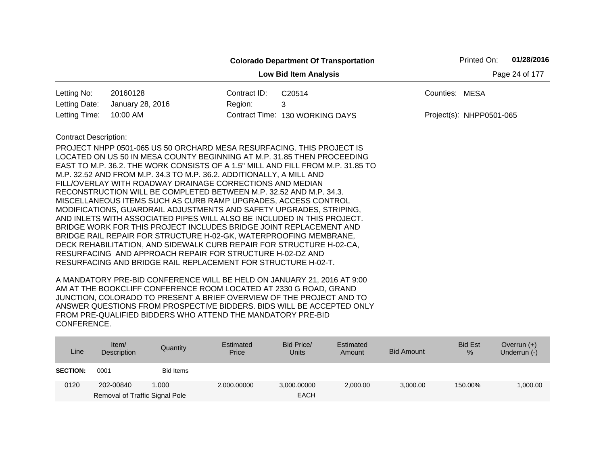|                                                                                                        |                                                                         |         | <b>Colorado Department Of Transportation</b>                                    | Printed On:              | 01/28/2016 |  |  |  |
|--------------------------------------------------------------------------------------------------------|-------------------------------------------------------------------------|---------|---------------------------------------------------------------------------------|--------------------------|------------|--|--|--|
| <b>Low Bid Item Analysis</b><br>Page 24 of 177<br>20160128<br>Contract ID:<br>C20514<br>Counties: MESA |                                                                         |         |                                                                                 |                          |            |  |  |  |
| Letting No:                                                                                            |                                                                         |         |                                                                                 |                          |            |  |  |  |
| Letting Date:                                                                                          | January 28, 2016                                                        | Region: | 3                                                                               |                          |            |  |  |  |
| Letting Time:                                                                                          | 10:00 AM                                                                |         | Contract Time: 130 WORKING DAYS                                                 | Project(s): NHPP0501-065 |            |  |  |  |
| <b>Contract Description:</b>                                                                           |                                                                         |         |                                                                                 |                          |            |  |  |  |
|                                                                                                        | PROJECT NHPP 0501-065 US 50 ORCHARD MESA RESURFACING. THIS PROJECT IS   |         |                                                                                 |                          |            |  |  |  |
|                                                                                                        |                                                                         |         | LOCATED ON US 50 IN MESA COUNTY BEGINNING AT M.P. 31.85 THEN PROCEEDING         |                          |            |  |  |  |
|                                                                                                        |                                                                         |         | EAST TO M.P. 36.2. THE WORK CONSISTS OF A 1.5" MILL AND FILL FROM M.P. 31.85 TO |                          |            |  |  |  |
|                                                                                                        | M.P. 32.52 AND FROM M.P. 34.3 TO M.P. 36.2. ADDITIONALLY, A MILL AND    |         |                                                                                 |                          |            |  |  |  |
|                                                                                                        | FILL/OVERLAY WITH ROADWAY DRAINAGE CORRECTIONS AND MEDIAN               |         |                                                                                 |                          |            |  |  |  |
|                                                                                                        | RECONSTRUCTION WILL BE COMPLETED BETWEEN M.P. 32.52 AND M.P. 34.3.      |         |                                                                                 |                          |            |  |  |  |
|                                                                                                        | MISCELLANEOUS ITEMS SUCH AS CURB RAMP UPGRADES, ACCESS CONTROL          |         |                                                                                 |                          |            |  |  |  |
|                                                                                                        | MODIFICATIONS, GUARDRAIL ADJUSTMENTS AND SAFETY UPGRADES, STRIPING,     |         |                                                                                 |                          |            |  |  |  |
|                                                                                                        | AND INLETS WITH ASSOCIATED PIPES WILL ALSO BE INCLUDED IN THIS PROJECT. |         |                                                                                 |                          |            |  |  |  |
|                                                                                                        | BRIDGE WORK FOR THIS PROJECT INCLUDES BRIDGE JOINT REPLACEMENT AND      |         |                                                                                 |                          |            |  |  |  |
|                                                                                                        | BRIDGE RAIL REPAIR FOR STRUCTURE H-02-GK, WATERPROOFING MEMBRANE,       |         |                                                                                 |                          |            |  |  |  |
|                                                                                                        | DECK REHABILITATION, AND SIDEWALK CURB REPAIR FOR STRUCTURE H-02-CA,    |         |                                                                                 |                          |            |  |  |  |
|                                                                                                        | RESURFACING AND APPROACH REPAIR FOR STRUCTURE H-02-DZ AND               |         |                                                                                 |                          |            |  |  |  |
|                                                                                                        | RESURFACING AND BRIDGE RAIL REPLACEMENT FOR STRUCTURE H-02-T.           |         |                                                                                 |                          |            |  |  |  |

| Line            | Item/<br>Description           | Quantity  | Estimated<br>Price | Bid Price/<br><b>Units</b> | Estimated<br>Amount | Bid Amount | <b>Bid Est</b><br>% | Overrun $(+)$<br>Underrun (-) |
|-----------------|--------------------------------|-----------|--------------------|----------------------------|---------------------|------------|---------------------|-------------------------------|
| <b>SECTION:</b> | 0001                           | Bid Items |                    |                            |                     |            |                     |                               |
| 0120            | 202-00840                      | 1.000     | 2,000.00000        | 3,000.00000                | 2,000.00            | 3,000.00   | 150.00%             | 1,000.00                      |
|                 | Removal of Traffic Signal Pole |           |                    | <b>EACH</b>                |                     |            |                     |                               |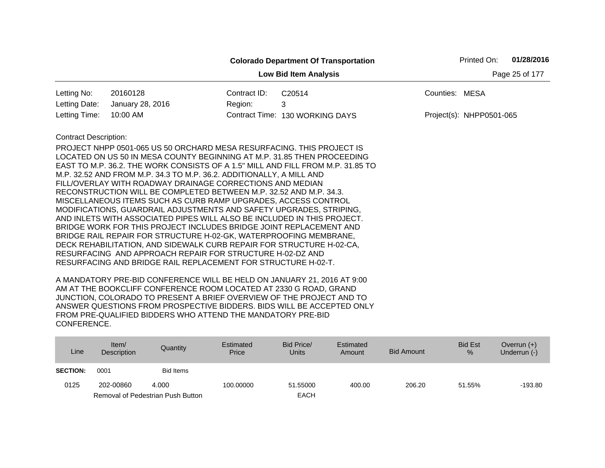|                              |                                                                                                                                               |              | <b>Colorado Department Of Transportation</b>                                    |                | Printed On:              | 01/28/2016 |
|------------------------------|-----------------------------------------------------------------------------------------------------------------------------------------------|--------------|---------------------------------------------------------------------------------|----------------|--------------------------|------------|
|                              | Page 25 of 177                                                                                                                                |              |                                                                                 |                |                          |            |
| Letting No:                  | 20160128                                                                                                                                      | Contract ID: | C20514                                                                          | Counties: MESA |                          |            |
| Letting Date:                | January 28, 2016                                                                                                                              | Region:      | 3                                                                               |                |                          |            |
| Letting Time:                | 10:00 AM                                                                                                                                      |              | Contract Time: 130 WORKING DAYS                                                 |                | Project(s): NHPP0501-065 |            |
| <b>Contract Description:</b> |                                                                                                                                               |              |                                                                                 |                |                          |            |
|                              | PROJECT NHPP 0501-065 US 50 ORCHARD MESA RESURFACING. THIS PROJECT IS                                                                         |              |                                                                                 |                |                          |            |
|                              |                                                                                                                                               |              | LOCATED ON US 50 IN MESA COUNTY BEGINNING AT M.P. 31.85 THEN PROCEEDING         |                |                          |            |
|                              |                                                                                                                                               |              | EAST TO M.P. 36.2. THE WORK CONSISTS OF A 1.5" MILL AND FILL FROM M.P. 31.85 TO |                |                          |            |
|                              | M.P. 32.52 AND FROM M.P. 34.3 TO M.P. 36.2. ADDITIONALLY, A MILL AND                                                                          |              |                                                                                 |                |                          |            |
|                              | FILL/OVERLAY WITH ROADWAY DRAINAGE CORRECTIONS AND MEDIAN                                                                                     |              |                                                                                 |                |                          |            |
|                              | RECONSTRUCTION WILL BE COMPLETED BETWEEN M.P. 32.52 AND M.P. 34.3.                                                                            |              |                                                                                 |                |                          |            |
|                              | MISCELLANEOUS ITEMS SUCH AS CURB RAMP UPGRADES, ACCESS CONTROL                                                                                |              |                                                                                 |                |                          |            |
|                              | MODIFICATIONS, GUARDRAIL ADJUSTMENTS AND SAFETY UPGRADES, STRIPING,                                                                           |              |                                                                                 |                |                          |            |
|                              | AND INLETS WITH ASSOCIATED PIPES WILL ALSO BE INCLUDED IN THIS PROJECT.<br>BRIDGE WORK FOR THIS PROJECT INCLUDES BRIDGE JOINT REPLACEMENT AND |              |                                                                                 |                |                          |            |
|                              | BRIDGE RAIL REPAIR FOR STRUCTURE H-02-GK, WATERPROOFING MEMBRANE,                                                                             |              |                                                                                 |                |                          |            |
|                              | DECK REHABILITATION, AND SIDEWALK CURB REPAIR FOR STRUCTURE H-02-CA,                                                                          |              |                                                                                 |                |                          |            |
|                              | RESURFACING AND APPROACH REPAIR FOR STRUCTURE H-02-DZ AND                                                                                     |              |                                                                                 |                |                          |            |
|                              | RESURFACING AND BRIDGE RAIL REPLACEMENT FOR STRUCTURE H-02-T.                                                                                 |              |                                                                                 |                |                          |            |
|                              |                                                                                                                                               |              |                                                                                 |                |                          |            |

| Line            | Item/<br>Description | Quantity                          | Estimated<br>Price | Bid Price/<br>Units | Estimated<br>Amount | Bid Amount | <b>Bid Est</b><br>$\%$ | Overrun $(+)$<br>Underrun (-) |
|-----------------|----------------------|-----------------------------------|--------------------|---------------------|---------------------|------------|------------------------|-------------------------------|
| <b>SECTION:</b> | 0001                 | <b>Bid Items</b>                  |                    |                     |                     |            |                        |                               |
| 0125            | 202-00860            | 4.000                             | 100.00000          | 51.55000            | 400.00              | 206.20     | 51.55%                 | $-193.80$                     |
|                 |                      | Removal of Pedestrian Push Button |                    | <b>EACH</b>         |                     |            |                        |                               |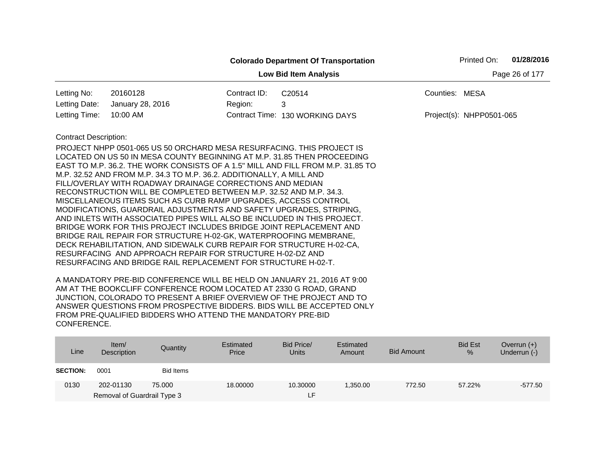|                                                |                                                                                                                                                                                                                                                                                                                                                                                                                                                                                                                                                                                                                                                                                                                                                                                                                                                                                                                                                                                                                     |              | <b>Colorado Department Of Transportation</b> | Printed On:              | 01/28/2016 |  |  |  |
|------------------------------------------------|---------------------------------------------------------------------------------------------------------------------------------------------------------------------------------------------------------------------------------------------------------------------------------------------------------------------------------------------------------------------------------------------------------------------------------------------------------------------------------------------------------------------------------------------------------------------------------------------------------------------------------------------------------------------------------------------------------------------------------------------------------------------------------------------------------------------------------------------------------------------------------------------------------------------------------------------------------------------------------------------------------------------|--------------|----------------------------------------------|--------------------------|------------|--|--|--|
| Page 26 of 177<br><b>Low Bid Item Analysis</b> |                                                                                                                                                                                                                                                                                                                                                                                                                                                                                                                                                                                                                                                                                                                                                                                                                                                                                                                                                                                                                     |              |                                              |                          |            |  |  |  |
| Letting No:                                    | 20160128                                                                                                                                                                                                                                                                                                                                                                                                                                                                                                                                                                                                                                                                                                                                                                                                                                                                                                                                                                                                            | Contract ID: | C20514                                       | Counties: MESA           |            |  |  |  |
| Letting Date:                                  | January 28, 2016                                                                                                                                                                                                                                                                                                                                                                                                                                                                                                                                                                                                                                                                                                                                                                                                                                                                                                                                                                                                    | Region:      | 3                                            |                          |            |  |  |  |
| Letting Time:                                  | 10:00 AM                                                                                                                                                                                                                                                                                                                                                                                                                                                                                                                                                                                                                                                                                                                                                                                                                                                                                                                                                                                                            |              | Contract Time: 130 WORKING DAYS              | Project(s): NHPP0501-065 |            |  |  |  |
| <b>Contract Description:</b>                   | PROJECT NHPP 0501-065 US 50 ORCHARD MESA RESURFACING. THIS PROJECT IS<br>LOCATED ON US 50 IN MESA COUNTY BEGINNING AT M.P. 31.85 THEN PROCEEDING<br>EAST TO M.P. 36.2. THE WORK CONSISTS OF A 1.5" MILL AND FILL FROM M.P. 31.85 TO<br>M.P. 32.52 AND FROM M.P. 34.3 TO M.P. 36.2. ADDITIONALLY, A MILL AND<br>FILL/OVERLAY WITH ROADWAY DRAINAGE CORRECTIONS AND MEDIAN<br>RECONSTRUCTION WILL BE COMPLETED BETWEEN M.P. 32.52 AND M.P. 34.3.<br>MISCELLANEOUS ITEMS SUCH AS CURB RAMP UPGRADES, ACCESS CONTROL<br>MODIFICATIONS, GUARDRAIL ADJUSTMENTS AND SAFETY UPGRADES, STRIPING,<br>AND INLETS WITH ASSOCIATED PIPES WILL ALSO BE INCLUDED IN THIS PROJECT.<br>BRIDGE WORK FOR THIS PROJECT INCLUDES BRIDGE JOINT REPLACEMENT AND<br>BRIDGE RAIL REPAIR FOR STRUCTURE H-02-GK, WATERPROOFING MEMBRANE,<br>DECK REHABILITATION, AND SIDEWALK CURB REPAIR FOR STRUCTURE H-02-CA,<br>RESURFACING AND APPROACH REPAIR FOR STRUCTURE H-02-DZ AND<br>RESURFACING AND BRIDGE RAIL REPLACEMENT FOR STRUCTURE H-02-T. |              |                                              |                          |            |  |  |  |

| Line            | Item/<br>Description        | Quantity  | Estimated<br>Price | Bid Price/<br><b>Units</b> | Estimated<br>Amount | <b>Bid Amount</b> | <b>Bid Est</b><br>% | Overrun $(+)$<br>Underrun (-) |
|-----------------|-----------------------------|-----------|--------------------|----------------------------|---------------------|-------------------|---------------------|-------------------------------|
| <b>SECTION:</b> | 0001                        | Bid Items |                    |                            |                     |                   |                     |                               |
| 0130            | 202-01130                   | 75,000    | 18,00000           | 10.30000                   | ,350.00             | 772.50            | 57.22%              | $-577.50$                     |
|                 | Removal of Guardrail Type 3 |           |                    | LF.                        |                     |                   |                     |                               |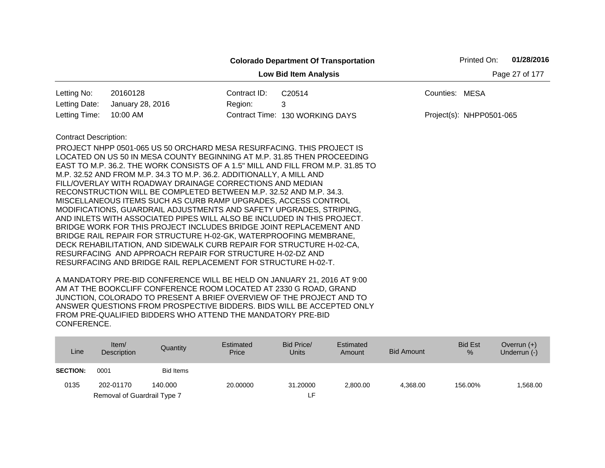|                                                |                                                                                                                                                                                                                                                                                                                                                                                                                                                                                                                                                                                                                                                                                                                                                                                                                                                                                                                                                    |              | <b>Colorado Department Of Transportation</b> | 01/28/2016<br>Printed On: |  |  |  |  |  |
|------------------------------------------------|----------------------------------------------------------------------------------------------------------------------------------------------------------------------------------------------------------------------------------------------------------------------------------------------------------------------------------------------------------------------------------------------------------------------------------------------------------------------------------------------------------------------------------------------------------------------------------------------------------------------------------------------------------------------------------------------------------------------------------------------------------------------------------------------------------------------------------------------------------------------------------------------------------------------------------------------------|--------------|----------------------------------------------|---------------------------|--|--|--|--|--|
| Page 27 of 177<br><b>Low Bid Item Analysis</b> |                                                                                                                                                                                                                                                                                                                                                                                                                                                                                                                                                                                                                                                                                                                                                                                                                                                                                                                                                    |              |                                              |                           |  |  |  |  |  |
| Letting No:                                    | 20160128                                                                                                                                                                                                                                                                                                                                                                                                                                                                                                                                                                                                                                                                                                                                                                                                                                                                                                                                           | Contract ID: | C20514                                       | Counties: MESA            |  |  |  |  |  |
| Letting Date:                                  | January 28, 2016                                                                                                                                                                                                                                                                                                                                                                                                                                                                                                                                                                                                                                                                                                                                                                                                                                                                                                                                   | Region:      | 3                                            |                           |  |  |  |  |  |
| Letting Time:                                  | 10:00 AM                                                                                                                                                                                                                                                                                                                                                                                                                                                                                                                                                                                                                                                                                                                                                                                                                                                                                                                                           |              | Contract Time: 130 WORKING DAYS              | Project(s): NHPP0501-065  |  |  |  |  |  |
| <b>Contract Description:</b>                   | PROJECT NHPP 0501-065 US 50 ORCHARD MESA RESURFACING. THIS PROJECT IS<br>LOCATED ON US 50 IN MESA COUNTY BEGINNING AT M.P. 31.85 THEN PROCEEDING<br>EAST TO M.P. 36.2. THE WORK CONSISTS OF A 1.5" MILL AND FILL FROM M.P. 31.85 TO<br>M.P. 32.52 AND FROM M.P. 34.3 TO M.P. 36.2. ADDITIONALLY, A MILL AND<br>FILL/OVERLAY WITH ROADWAY DRAINAGE CORRECTIONS AND MEDIAN<br>RECONSTRUCTION WILL BE COMPLETED BETWEEN M.P. 32.52 AND M.P. 34.3.<br>MISCELLANEOUS ITEMS SUCH AS CURB RAMP UPGRADES, ACCESS CONTROL<br>MODIFICATIONS, GUARDRAIL ADJUSTMENTS AND SAFETY UPGRADES, STRIPING,<br>AND INLETS WITH ASSOCIATED PIPES WILL ALSO BE INCLUDED IN THIS PROJECT.<br>BRIDGE WORK FOR THIS PROJECT INCLUDES BRIDGE JOINT REPLACEMENT AND<br>BRIDGE RAIL REPAIR FOR STRUCTURE H-02-GK, WATERPROOFING MEMBRANE,<br>DECK REHABILITATION, AND SIDEWALK CURB REPAIR FOR STRUCTURE H-02-CA,<br>RESURFACING AND APPROACH REPAIR FOR STRUCTURE H-02-DZ AND |              |                                              |                           |  |  |  |  |  |

| Line            | Item/<br>Description        | Quantity  | Estimated<br>Price | Bid Price/<br>Units | Estimated<br>Amount | Bid Amount | <b>Bid Est</b><br>$\%$ | Overrun $(+)$<br>Underrun (-) |
|-----------------|-----------------------------|-----------|--------------------|---------------------|---------------------|------------|------------------------|-------------------------------|
| <b>SECTION:</b> | 0001                        | Bid Items |                    |                     |                     |            |                        |                               |
| 0135            | 202-01170                   | 140.000   | 20,00000           | 31.20000            | 2.800.00            | 4.368.00   | 156.00%                | .568.00                       |
|                 | Removal of Guardrail Type 7 |           |                    | ιF.                 |                     |            |                        |                               |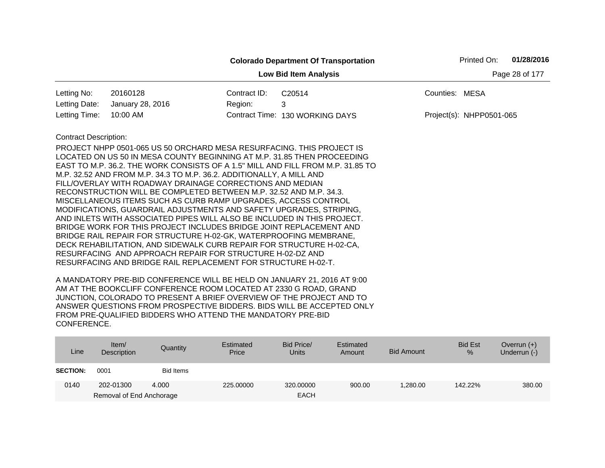|                                                |                                                                                                                                                                                                                                                                                                                                                                                                                                                                                                                                                                                                                                                                                                                                                                                                                                                                                                                                                                                                                     |              | <b>Colorado Department Of Transportation</b> |                          | Printed On: | 01/28/2016 |  |  |  |
|------------------------------------------------|---------------------------------------------------------------------------------------------------------------------------------------------------------------------------------------------------------------------------------------------------------------------------------------------------------------------------------------------------------------------------------------------------------------------------------------------------------------------------------------------------------------------------------------------------------------------------------------------------------------------------------------------------------------------------------------------------------------------------------------------------------------------------------------------------------------------------------------------------------------------------------------------------------------------------------------------------------------------------------------------------------------------|--------------|----------------------------------------------|--------------------------|-------------|------------|--|--|--|
| Page 28 of 177<br><b>Low Bid Item Analysis</b> |                                                                                                                                                                                                                                                                                                                                                                                                                                                                                                                                                                                                                                                                                                                                                                                                                                                                                                                                                                                                                     |              |                                              |                          |             |            |  |  |  |
| Letting No:                                    | 20160128                                                                                                                                                                                                                                                                                                                                                                                                                                                                                                                                                                                                                                                                                                                                                                                                                                                                                                                                                                                                            | Contract ID: | C20514                                       | Counties: MESA           |             |            |  |  |  |
| Letting Date:                                  | January 28, 2016                                                                                                                                                                                                                                                                                                                                                                                                                                                                                                                                                                                                                                                                                                                                                                                                                                                                                                                                                                                                    | Region:      | 3                                            |                          |             |            |  |  |  |
| Letting Time:                                  | 10:00 AM                                                                                                                                                                                                                                                                                                                                                                                                                                                                                                                                                                                                                                                                                                                                                                                                                                                                                                                                                                                                            |              | Contract Time: 130 WORKING DAYS              | Project(s): NHPP0501-065 |             |            |  |  |  |
| <b>Contract Description:</b>                   | PROJECT NHPP 0501-065 US 50 ORCHARD MESA RESURFACING. THIS PROJECT IS<br>LOCATED ON US 50 IN MESA COUNTY BEGINNING AT M.P. 31.85 THEN PROCEEDING<br>EAST TO M.P. 36.2. THE WORK CONSISTS OF A 1.5" MILL AND FILL FROM M.P. 31.85 TO<br>M.P. 32.52 AND FROM M.P. 34.3 TO M.P. 36.2. ADDITIONALLY, A MILL AND<br>FILL/OVERLAY WITH ROADWAY DRAINAGE CORRECTIONS AND MEDIAN<br>RECONSTRUCTION WILL BE COMPLETED BETWEEN M.P. 32.52 AND M.P. 34.3.<br>MISCELLANEOUS ITEMS SUCH AS CURB RAMP UPGRADES, ACCESS CONTROL<br>MODIFICATIONS, GUARDRAIL ADJUSTMENTS AND SAFETY UPGRADES, STRIPING,<br>AND INLETS WITH ASSOCIATED PIPES WILL ALSO BE INCLUDED IN THIS PROJECT.<br>BRIDGE WORK FOR THIS PROJECT INCLUDES BRIDGE JOINT REPLACEMENT AND<br>BRIDGE RAIL REPAIR FOR STRUCTURE H-02-GK, WATERPROOFING MEMBRANE,<br>DECK REHABILITATION, AND SIDEWALK CURB REPAIR FOR STRUCTURE H-02-CA,<br>RESURFACING AND APPROACH REPAIR FOR STRUCTURE H-02-DZ AND<br>RESURFACING AND BRIDGE RAIL REPLACEMENT FOR STRUCTURE H-02-T. |              |                                              |                          |             |            |  |  |  |

| Line            | Item $/$<br>Description  | Quantity  | Estimated<br>Price | Bid Price/<br><b>Units</b> | Estimated<br>Amount | <b>Bid Amount</b> | <b>Bid Est</b><br>% | Overrun $(+)$<br>Underrun (-) |
|-----------------|--------------------------|-----------|--------------------|----------------------------|---------------------|-------------------|---------------------|-------------------------------|
| <b>SECTION:</b> | 0001                     | Bid Items |                    |                            |                     |                   |                     |                               |
| 0140            | 202-01300                | 4.000     | 225,00000          | 320,00000                  | 900.00              | 1.280.00          | 142.22%             | 380.00                        |
|                 | Removal of End Anchorage |           |                    | <b>EACH</b>                |                     |                   |                     |                               |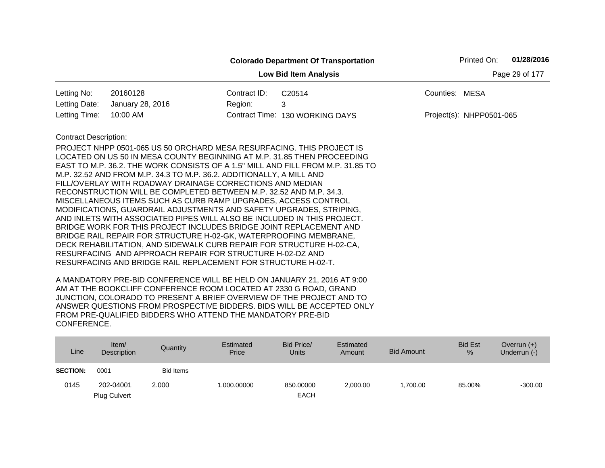|                                                |                                                                                                                                                                                                                                                                                                                                                                                                                                                                                                                                                                                                                                                                                                                                                                                                                                                                                                                                                                                                                     |              | <b>Colorado Department Of Transportation</b> |                | Printed On:              | 01/28/2016 |  |  |
|------------------------------------------------|---------------------------------------------------------------------------------------------------------------------------------------------------------------------------------------------------------------------------------------------------------------------------------------------------------------------------------------------------------------------------------------------------------------------------------------------------------------------------------------------------------------------------------------------------------------------------------------------------------------------------------------------------------------------------------------------------------------------------------------------------------------------------------------------------------------------------------------------------------------------------------------------------------------------------------------------------------------------------------------------------------------------|--------------|----------------------------------------------|----------------|--------------------------|------------|--|--|
| <b>Low Bid Item Analysis</b><br>Page 29 of 177 |                                                                                                                                                                                                                                                                                                                                                                                                                                                                                                                                                                                                                                                                                                                                                                                                                                                                                                                                                                                                                     |              |                                              |                |                          |            |  |  |
| Letting No:                                    | 20160128                                                                                                                                                                                                                                                                                                                                                                                                                                                                                                                                                                                                                                                                                                                                                                                                                                                                                                                                                                                                            | Contract ID: | C20514                                       | Counties: MESA |                          |            |  |  |
| Letting Date:                                  | January 28, 2016                                                                                                                                                                                                                                                                                                                                                                                                                                                                                                                                                                                                                                                                                                                                                                                                                                                                                                                                                                                                    | Region:      | 3                                            |                |                          |            |  |  |
| Letting Time:                                  | 10:00 AM                                                                                                                                                                                                                                                                                                                                                                                                                                                                                                                                                                                                                                                                                                                                                                                                                                                                                                                                                                                                            |              | Contract Time: 130 WORKING DAYS              |                | Project(s): NHPP0501-065 |            |  |  |
| <b>Contract Description:</b>                   | PROJECT NHPP 0501-065 US 50 ORCHARD MESA RESURFACING. THIS PROJECT IS<br>LOCATED ON US 50 IN MESA COUNTY BEGINNING AT M.P. 31.85 THEN PROCEEDING<br>EAST TO M.P. 36.2. THE WORK CONSISTS OF A 1.5" MILL AND FILL FROM M.P. 31.85 TO<br>M.P. 32.52 AND FROM M.P. 34.3 TO M.P. 36.2. ADDITIONALLY, A MILL AND<br>FILL/OVERLAY WITH ROADWAY DRAINAGE CORRECTIONS AND MEDIAN<br>RECONSTRUCTION WILL BE COMPLETED BETWEEN M.P. 32.52 AND M.P. 34.3.<br>MISCELLANEOUS ITEMS SUCH AS CURB RAMP UPGRADES, ACCESS CONTROL<br>MODIFICATIONS, GUARDRAIL ADJUSTMENTS AND SAFETY UPGRADES, STRIPING,<br>AND INLETS WITH ASSOCIATED PIPES WILL ALSO BE INCLUDED IN THIS PROJECT.<br>BRIDGE WORK FOR THIS PROJECT INCLUDES BRIDGE JOINT REPLACEMENT AND<br>BRIDGE RAIL REPAIR FOR STRUCTURE H-02-GK, WATERPROOFING MEMBRANE,<br>DECK REHABILITATION, AND SIDEWALK CURB REPAIR FOR STRUCTURE H-02-CA,<br>RESURFACING AND APPROACH REPAIR FOR STRUCTURE H-02-DZ AND<br>RESURFACING AND BRIDGE RAIL REPLACEMENT FOR STRUCTURE H-02-T. |              |                                              |                |                          |            |  |  |

| Line            | Item/<br>Description | Quantity         | Estimated<br>Price | Bid Price/<br><b>Units</b> | Estimated<br>Amount | <b>Bid Amount</b> | <b>Bid Est</b><br>$\frac{9}{6}$ | Overrun $(+)$<br>Underrun (-) |
|-----------------|----------------------|------------------|--------------------|----------------------------|---------------------|-------------------|---------------------------------|-------------------------------|
| <b>SECTION:</b> | 0001                 | <b>Bid Items</b> |                    |                            |                     |                   |                                 |                               |
| 0145            | 202-04001            | 2.000            | 1,000.00000        | 850.00000                  | 2.000.00            | 1.700.00          | 85.00%                          | $-300.00$                     |
|                 | <b>Plug Culvert</b>  |                  |                    | <b>EACH</b>                |                     |                   |                                 |                               |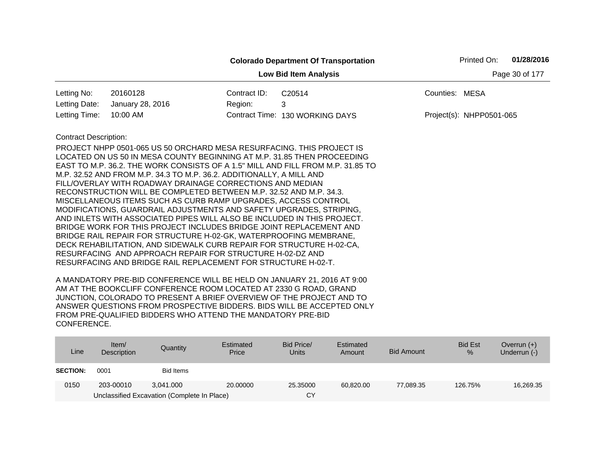|                                                |                                                                                                                                                                                                                                                                                                                                                                                                                                                                                                                                                                                                                                                                                                                                                                                                                                                                                                                                                                                                                     |              | <b>Colorado Department Of Transportation</b> |                          | Printed On: | 01/28/2016 |  |  |  |
|------------------------------------------------|---------------------------------------------------------------------------------------------------------------------------------------------------------------------------------------------------------------------------------------------------------------------------------------------------------------------------------------------------------------------------------------------------------------------------------------------------------------------------------------------------------------------------------------------------------------------------------------------------------------------------------------------------------------------------------------------------------------------------------------------------------------------------------------------------------------------------------------------------------------------------------------------------------------------------------------------------------------------------------------------------------------------|--------------|----------------------------------------------|--------------------------|-------------|------------|--|--|--|
| Page 30 of 177<br><b>Low Bid Item Analysis</b> |                                                                                                                                                                                                                                                                                                                                                                                                                                                                                                                                                                                                                                                                                                                                                                                                                                                                                                                                                                                                                     |              |                                              |                          |             |            |  |  |  |
| Letting No:                                    | 20160128                                                                                                                                                                                                                                                                                                                                                                                                                                                                                                                                                                                                                                                                                                                                                                                                                                                                                                                                                                                                            | Contract ID: | C20514                                       | Counties: MESA           |             |            |  |  |  |
| Letting Date:                                  | January 28, 2016                                                                                                                                                                                                                                                                                                                                                                                                                                                                                                                                                                                                                                                                                                                                                                                                                                                                                                                                                                                                    | Region:      | 3                                            |                          |             |            |  |  |  |
| Letting Time:                                  | 10:00 AM                                                                                                                                                                                                                                                                                                                                                                                                                                                                                                                                                                                                                                                                                                                                                                                                                                                                                                                                                                                                            |              | Contract Time: 130 WORKING DAYS              | Project(s): NHPP0501-065 |             |            |  |  |  |
| <b>Contract Description:</b>                   | PROJECT NHPP 0501-065 US 50 ORCHARD MESA RESURFACING. THIS PROJECT IS<br>LOCATED ON US 50 IN MESA COUNTY BEGINNING AT M.P. 31.85 THEN PROCEEDING<br>EAST TO M.P. 36.2. THE WORK CONSISTS OF A 1.5" MILL AND FILL FROM M.P. 31.85 TO<br>M.P. 32.52 AND FROM M.P. 34.3 TO M.P. 36.2. ADDITIONALLY, A MILL AND<br>FILL/OVERLAY WITH ROADWAY DRAINAGE CORRECTIONS AND MEDIAN<br>RECONSTRUCTION WILL BE COMPLETED BETWEEN M.P. 32.52 AND M.P. 34.3.<br>MISCELLANEOUS ITEMS SUCH AS CURB RAMP UPGRADES, ACCESS CONTROL<br>MODIFICATIONS, GUARDRAIL ADJUSTMENTS AND SAFETY UPGRADES, STRIPING,<br>AND INLETS WITH ASSOCIATED PIPES WILL ALSO BE INCLUDED IN THIS PROJECT.<br>BRIDGE WORK FOR THIS PROJECT INCLUDES BRIDGE JOINT REPLACEMENT AND<br>BRIDGE RAIL REPAIR FOR STRUCTURE H-02-GK, WATERPROOFING MEMBRANE,<br>DECK REHABILITATION, AND SIDEWALK CURB REPAIR FOR STRUCTURE H-02-CA,<br>RESURFACING AND APPROACH REPAIR FOR STRUCTURE H-02-DZ AND<br>RESURFACING AND BRIDGE RAIL REPLACEMENT FOR STRUCTURE H-02-T. |              |                                              |                          |             |            |  |  |  |

| Line            | Item $/$<br>Description | Quantity                                    | Estimated<br>Price | Bid Price/<br><b>Units</b> | Estimated<br>Amount | <b>Bid Amount</b> | <b>Bid Est</b><br>$\%$ | Overrun $(+)$<br>Underrun $(-)$ |
|-----------------|-------------------------|---------------------------------------------|--------------------|----------------------------|---------------------|-------------------|------------------------|---------------------------------|
| <b>SECTION:</b> | 0001                    | Bid Items                                   |                    |                            |                     |                   |                        |                                 |
| 0150            | 203-00010               | 3.041.000                                   | 20,00000           | 25.35000                   | 60.820.00           | 77.089.35         | 126.75%                | 16,269.35                       |
|                 |                         | Unclassified Excavation (Complete In Place) |                    | CY                         |                     |                   |                        |                                 |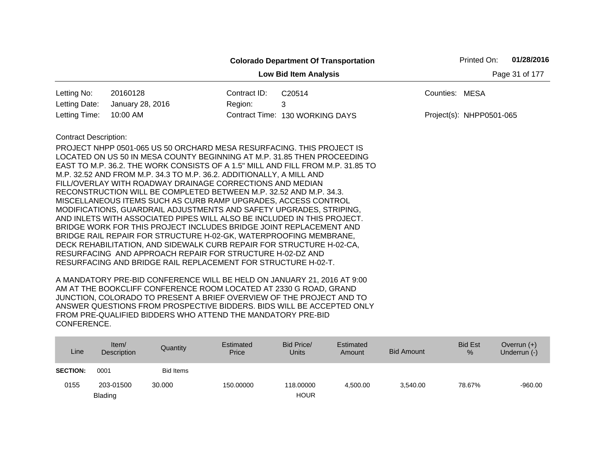|                                                |                                                                                                                                                                                                                                                                                                                                                                                                                                                                                                                                                                                                                                                                                                                                                                                                                                                                                                                                  |              | <b>Colorado Department Of Transportation</b>                                    |                | Printed On:              | 01/28/2016 |  |  |
|------------------------------------------------|----------------------------------------------------------------------------------------------------------------------------------------------------------------------------------------------------------------------------------------------------------------------------------------------------------------------------------------------------------------------------------------------------------------------------------------------------------------------------------------------------------------------------------------------------------------------------------------------------------------------------------------------------------------------------------------------------------------------------------------------------------------------------------------------------------------------------------------------------------------------------------------------------------------------------------|--------------|---------------------------------------------------------------------------------|----------------|--------------------------|------------|--|--|
| Page 31 of 177<br><b>Low Bid Item Analysis</b> |                                                                                                                                                                                                                                                                                                                                                                                                                                                                                                                                                                                                                                                                                                                                                                                                                                                                                                                                  |              |                                                                                 |                |                          |            |  |  |
| Letting No:                                    | 20160128                                                                                                                                                                                                                                                                                                                                                                                                                                                                                                                                                                                                                                                                                                                                                                                                                                                                                                                         | Contract ID: | C20514                                                                          | Counties: MESA |                          |            |  |  |
| Letting Date:                                  | January 28, 2016                                                                                                                                                                                                                                                                                                                                                                                                                                                                                                                                                                                                                                                                                                                                                                                                                                                                                                                 | Region:      | 3                                                                               |                |                          |            |  |  |
| Letting Time:                                  | 10:00 AM                                                                                                                                                                                                                                                                                                                                                                                                                                                                                                                                                                                                                                                                                                                                                                                                                                                                                                                         |              | Contract Time: 130 WORKING DAYS                                                 |                | Project(s): NHPP0501-065 |            |  |  |
| <b>Contract Description:</b>                   | PROJECT NHPP 0501-065 US 50 ORCHARD MESA RESURFACING. THIS PROJECT IS<br>LOCATED ON US 50 IN MESA COUNTY BEGINNING AT M.P. 31.85 THEN PROCEEDING<br>M.P. 32.52 AND FROM M.P. 34.3 TO M.P. 36.2. ADDITIONALLY, A MILL AND<br>FILL/OVERLAY WITH ROADWAY DRAINAGE CORRECTIONS AND MEDIAN<br>RECONSTRUCTION WILL BE COMPLETED BETWEEN M.P. 32.52 AND M.P. 34.3.<br>MISCELLANEOUS ITEMS SUCH AS CURB RAMP UPGRADES, ACCESS CONTROL<br>MODIFICATIONS, GUARDRAIL ADJUSTMENTS AND SAFETY UPGRADES, STRIPING,<br>AND INLETS WITH ASSOCIATED PIPES WILL ALSO BE INCLUDED IN THIS PROJECT.<br>BRIDGE WORK FOR THIS PROJECT INCLUDES BRIDGE JOINT REPLACEMENT AND<br>BRIDGE RAIL REPAIR FOR STRUCTURE H-02-GK, WATERPROOFING MEMBRANE,<br>DECK REHABILITATION, AND SIDEWALK CURB REPAIR FOR STRUCTURE H-02-CA,<br>RESURFACING AND APPROACH REPAIR FOR STRUCTURE H-02-DZ AND<br>RESURFACING AND BRIDGE RAIL REPLACEMENT FOR STRUCTURE H-02-T. |              | EAST TO M.P. 36.2. THE WORK CONSISTS OF A 1.5" MILL AND FILL FROM M.P. 31.85 TO |                |                          |            |  |  |

| Line            | Item/<br><b>Description</b> | Quantity         | Estimated<br>Price | Bid Price/<br><b>Units</b> | Estimated<br>Amount | <b>Bid Amount</b> | <b>Bid Est</b><br>% | Overrun $(+)$<br>Underrun (-) |
|-----------------|-----------------------------|------------------|--------------------|----------------------------|---------------------|-------------------|---------------------|-------------------------------|
| <b>SECTION:</b> | 0001                        | <b>Bid Items</b> |                    |                            |                     |                   |                     |                               |
| 0155            | 203-01500                   | 30,000           | 150.00000          | 118.00000                  | 4.500.00            | 3,540.00          | 78.67%              | $-960.00$                     |
|                 | <b>Blading</b>              |                  |                    | <b>HOUR</b>                |                     |                   |                     |                               |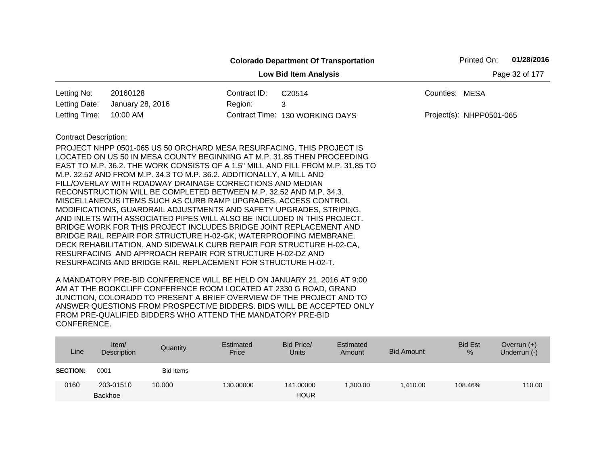|                                                |                                                                                                                                                                                                                                                                                                                                                                                                                                                                                                                                                                                                                                                                                                                                                                                                                                                                                                                                                                                                                     |              | <b>Colorado Department Of Transportation</b> |                          | Printed On: | 01/28/2016 |  |  |  |
|------------------------------------------------|---------------------------------------------------------------------------------------------------------------------------------------------------------------------------------------------------------------------------------------------------------------------------------------------------------------------------------------------------------------------------------------------------------------------------------------------------------------------------------------------------------------------------------------------------------------------------------------------------------------------------------------------------------------------------------------------------------------------------------------------------------------------------------------------------------------------------------------------------------------------------------------------------------------------------------------------------------------------------------------------------------------------|--------------|----------------------------------------------|--------------------------|-------------|------------|--|--|--|
| <b>Low Bid Item Analysis</b><br>Page 32 of 177 |                                                                                                                                                                                                                                                                                                                                                                                                                                                                                                                                                                                                                                                                                                                                                                                                                                                                                                                                                                                                                     |              |                                              |                          |             |            |  |  |  |
| Letting No:                                    | 20160128                                                                                                                                                                                                                                                                                                                                                                                                                                                                                                                                                                                                                                                                                                                                                                                                                                                                                                                                                                                                            | Contract ID: | C20514                                       | Counties: MESA           |             |            |  |  |  |
| Letting Date:                                  | January 28, 2016                                                                                                                                                                                                                                                                                                                                                                                                                                                                                                                                                                                                                                                                                                                                                                                                                                                                                                                                                                                                    | Region:      | 3                                            |                          |             |            |  |  |  |
| Letting Time:                                  | 10:00 AM                                                                                                                                                                                                                                                                                                                                                                                                                                                                                                                                                                                                                                                                                                                                                                                                                                                                                                                                                                                                            |              | Contract Time: 130 WORKING DAYS              | Project(s): NHPP0501-065 |             |            |  |  |  |
| <b>Contract Description:</b>                   | PROJECT NHPP 0501-065 US 50 ORCHARD MESA RESURFACING. THIS PROJECT IS<br>LOCATED ON US 50 IN MESA COUNTY BEGINNING AT M.P. 31.85 THEN PROCEEDING<br>EAST TO M.P. 36.2. THE WORK CONSISTS OF A 1.5" MILL AND FILL FROM M.P. 31.85 TO<br>M.P. 32.52 AND FROM M.P. 34.3 TO M.P. 36.2. ADDITIONALLY, A MILL AND<br>FILL/OVERLAY WITH ROADWAY DRAINAGE CORRECTIONS AND MEDIAN<br>RECONSTRUCTION WILL BE COMPLETED BETWEEN M.P. 32.52 AND M.P. 34.3.<br>MISCELLANEOUS ITEMS SUCH AS CURB RAMP UPGRADES, ACCESS CONTROL<br>MODIFICATIONS, GUARDRAIL ADJUSTMENTS AND SAFETY UPGRADES, STRIPING,<br>AND INLETS WITH ASSOCIATED PIPES WILL ALSO BE INCLUDED IN THIS PROJECT.<br>BRIDGE WORK FOR THIS PROJECT INCLUDES BRIDGE JOINT REPLACEMENT AND<br>BRIDGE RAIL REPAIR FOR STRUCTURE H-02-GK, WATERPROOFING MEMBRANE,<br>DECK REHABILITATION, AND SIDEWALK CURB REPAIR FOR STRUCTURE H-02-CA,<br>RESURFACING AND APPROACH REPAIR FOR STRUCTURE H-02-DZ AND<br>RESURFACING AND BRIDGE RAIL REPLACEMENT FOR STRUCTURE H-02-T. |              |                                              |                          |             |            |  |  |  |

| Line            | Item/<br>Description        | Quantity  | Estimated<br>Price | Bid Price/<br><b>Units</b> | Estimated<br>Amount | <b>Bid Amount</b> | <b>Bid Est</b><br>% | Overrun $(+)$<br>Underrun (-) |
|-----------------|-----------------------------|-----------|--------------------|----------------------------|---------------------|-------------------|---------------------|-------------------------------|
| <b>SECTION:</b> | 0001                        | Bid Items |                    |                            |                     |                   |                     |                               |
| 0160            | 203-01510<br><b>Backhoe</b> | 10.000    | 130,00000          | 141.00000<br><b>HOUR</b>   | ,300.00             | 1.410.00          | 108.46%             | 110.00                        |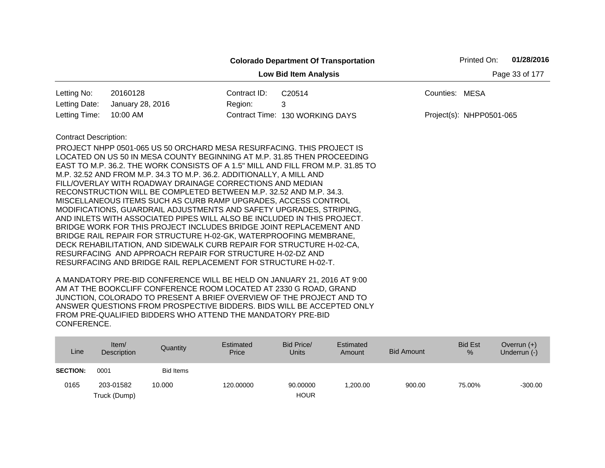|                                                |                                                                                                                                                  |              | <b>Colorado Department Of Transportation</b> |                | Printed On:                | 01/28/2016 |  |  |  |  |
|------------------------------------------------|--------------------------------------------------------------------------------------------------------------------------------------------------|--------------|----------------------------------------------|----------------|----------------------------|------------|--|--|--|--|
| Page 33 of 177<br><b>Low Bid Item Analysis</b> |                                                                                                                                                  |              |                                              |                |                            |            |  |  |  |  |
| Letting No:                                    | 20160128                                                                                                                                         | Contract ID: | C20514                                       | Counties: MESA |                            |            |  |  |  |  |
| Letting Date:                                  | January 28, 2016                                                                                                                                 | Region:      | 3                                            |                |                            |            |  |  |  |  |
| Letting Time:                                  | 10:00 AM                                                                                                                                         |              | Contract Time: 130 WORKING DAYS              |                | $Project(s): NHPP0501-065$ |            |  |  |  |  |
| <b>Contract Description:</b>                   |                                                                                                                                                  |              |                                              |                |                            |            |  |  |  |  |
|                                                | PROJECT NHPP 0501-065 US 50 ORCHARD MESA RESURFACING. THIS PROJECT IS<br>LOCATED ON US 50 IN MESA COUNTY BEGINNING AT M.P. 31.85 THEN PROCEEDING |              |                                              |                |                            |            |  |  |  |  |
|                                                | EAST TO M.P. 36.2. THE WORK CONSISTS OF A 1.5" MILL AND FILL FROM M.P. 31.85 TO                                                                  |              |                                              |                |                            |            |  |  |  |  |
|                                                | M.P. 32.52 AND FROM M.P. 34.3 TO M.P. 36.2. ADDITIONALLY, A MILL AND                                                                             |              |                                              |                |                            |            |  |  |  |  |
|                                                | FILL/OVERLAY WITH ROADWAY DRAINAGE CORRECTIONS AND MEDIAN                                                                                        |              |                                              |                |                            |            |  |  |  |  |
|                                                | RECONSTRUCTION WILL BE COMPLETED BETWEEN M.P. 32.52 AND M.P. 34.3.<br>MISCELLANEOUS ITEMS SUCH AS CURB RAMP UPGRADES, ACCESS CONTROL             |              |                                              |                |                            |            |  |  |  |  |
|                                                | MODIFICATIONS, GUARDRAIL ADJUSTMENTS AND SAFETY UPGRADES, STRIPING,                                                                              |              |                                              |                |                            |            |  |  |  |  |
|                                                | AND INLETS WITH ASSOCIATED PIPES WILL ALSO BE INCLUDED IN THIS PROJECT.                                                                          |              |                                              |                |                            |            |  |  |  |  |
|                                                | BRIDGE WORK FOR THIS PROJECT INCLUDES BRIDGE JOINT REPLACEMENT AND                                                                               |              |                                              |                |                            |            |  |  |  |  |
|                                                | BRIDGE RAIL REPAIR FOR STRUCTURE H-02-GK, WATERPROOFING MEMBRANE,                                                                                |              |                                              |                |                            |            |  |  |  |  |
|                                                | DECK REHABILITATION, AND SIDEWALK CURB REPAIR FOR STRUCTURE H-02-CA,<br>RESURFACING AND APPROACH REPAIR FOR STRUCTURE H-02-DZ AND                |              |                                              |                |                            |            |  |  |  |  |
|                                                | RESURFACING AND BRIDGE RAIL REPLACEMENT FOR STRUCTURE H-02-T.                                                                                    |              |                                              |                |                            |            |  |  |  |  |
|                                                |                                                                                                                                                  |              |                                              |                |                            |            |  |  |  |  |

| Line            | Item/<br>Description | Quantity         | Estimated<br>Price | Bid Price/<br><b>Units</b> | Estimated<br>Amount | <b>Bid Amount</b> | <b>Bid Est</b><br>$\%$ | Overrun $(+)$<br>Underrun (-) |
|-----------------|----------------------|------------------|--------------------|----------------------------|---------------------|-------------------|------------------------|-------------------------------|
| <b>SECTION:</b> | 0001                 | <b>Bid Items</b> |                    |                            |                     |                   |                        |                               |
| 0165            | 203-01582            | 10.000           | 120.00000          | 90.00000                   | ,200.00             | 900.00            | 75.00%                 | $-300.00$                     |
|                 | Truck (Dump)         |                  |                    | <b>HOUR</b>                |                     |                   |                        |                               |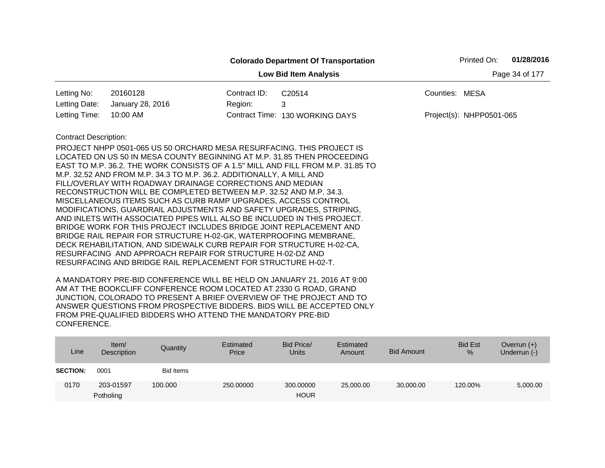|                                                                                                                                           |                                                                                                                                                                                                                                                                                                                                                                                                                                                                                                                                                                                                                                                                                                                                          |              | <b>Colorado Department Of Transportation</b> | Printed On:              | 01/28/2016 |  |  |  |
|-------------------------------------------------------------------------------------------------------------------------------------------|------------------------------------------------------------------------------------------------------------------------------------------------------------------------------------------------------------------------------------------------------------------------------------------------------------------------------------------------------------------------------------------------------------------------------------------------------------------------------------------------------------------------------------------------------------------------------------------------------------------------------------------------------------------------------------------------------------------------------------------|--------------|----------------------------------------------|--------------------------|------------|--|--|--|
| <b>Low Bid Item Analysis</b><br>Page 34 of 177                                                                                            |                                                                                                                                                                                                                                                                                                                                                                                                                                                                                                                                                                                                                                                                                                                                          |              |                                              |                          |            |  |  |  |
| Letting No:                                                                                                                               | 20160128                                                                                                                                                                                                                                                                                                                                                                                                                                                                                                                                                                                                                                                                                                                                 | Contract ID: | C20514                                       | Counties: MESA           |            |  |  |  |
| Letting Date:                                                                                                                             | January 28, 2016                                                                                                                                                                                                                                                                                                                                                                                                                                                                                                                                                                                                                                                                                                                         | Region:      | 3                                            |                          |            |  |  |  |
| Letting Time:                                                                                                                             | 10:00 AM                                                                                                                                                                                                                                                                                                                                                                                                                                                                                                                                                                                                                                                                                                                                 |              | Contract Time: 130 WORKING DAYS              | Project(s): NHPP0501-065 |            |  |  |  |
| <b>Contract Description:</b>                                                                                                              |                                                                                                                                                                                                                                                                                                                                                                                                                                                                                                                                                                                                                                                                                                                                          |              |                                              |                          |            |  |  |  |
| BRIDGE RAIL REPAIR FOR STRUCTURE H-02-GK, WATERPROOFING MEMBRANE,<br>DECK REHABILITATION, AND SIDEWALK CURB REPAIR FOR STRUCTURE H-02-CA, | PROJECT NHPP 0501-065 US 50 ORCHARD MESA RESURFACING. THIS PROJECT IS<br>LOCATED ON US 50 IN MESA COUNTY BEGINNING AT M.P. 31.85 THEN PROCEEDING<br>EAST TO M.P. 36.2. THE WORK CONSISTS OF A 1.5" MILL AND FILL FROM M.P. 31.85 TO<br>M.P. 32.52 AND FROM M.P. 34.3 TO M.P. 36.2. ADDITIONALLY, A MILL AND<br>FILL/OVERLAY WITH ROADWAY DRAINAGE CORRECTIONS AND MEDIAN<br>RECONSTRUCTION WILL BE COMPLETED BETWEEN M.P. 32.52 AND M.P. 34.3.<br>MISCELLANEOUS ITEMS SUCH AS CURB RAMP UPGRADES, ACCESS CONTROL<br>MODIFICATIONS, GUARDRAIL ADJUSTMENTS AND SAFETY UPGRADES, STRIPING,<br>AND INLETS WITH ASSOCIATED PIPES WILL ALSO BE INCLUDED IN THIS PROJECT.<br>BRIDGE WORK FOR THIS PROJECT INCLUDES BRIDGE JOINT REPLACEMENT AND |              |                                              |                          |            |  |  |  |

| Line            | Item/<br>Description   | Quantity         | Estimated<br>Price | Bid Price/<br><b>Units</b> | Estimated<br>Amount | <b>Bid Amount</b> | <b>Bid Est</b><br>% | Overrun $(+)$<br>Underrun (-) |
|-----------------|------------------------|------------------|--------------------|----------------------------|---------------------|-------------------|---------------------|-------------------------------|
| <b>SECTION:</b> | 0001                   | <b>Bid Items</b> |                    |                            |                     |                   |                     |                               |
| 0170            | 203-01597<br>Potholing | 100.000          | 250,00000          | 300.00000<br><b>HOUR</b>   | 25,000.00           | 30,000.00         | 120.00%             | 5,000.00                      |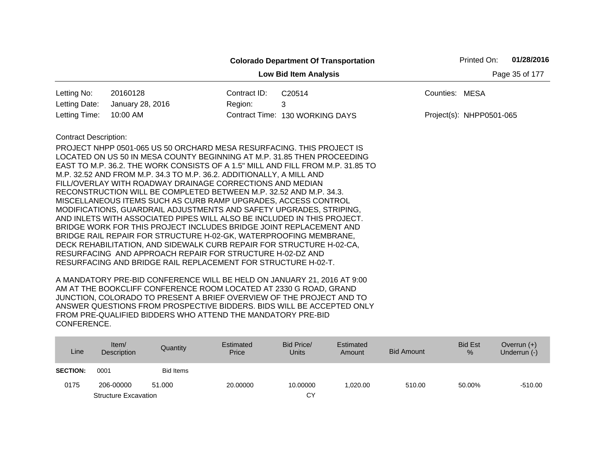|                                                |                                                                                                                                                                                                                                                                                                                                                                                                                                                                                                                                                                                                                                                                                                                                                                                                                                                                                                                                                                                                                     | <b>Colorado Department Of Transportation</b> |                | Printed On:              | 01/28/2016 |  |  |  |
|------------------------------------------------|---------------------------------------------------------------------------------------------------------------------------------------------------------------------------------------------------------------------------------------------------------------------------------------------------------------------------------------------------------------------------------------------------------------------------------------------------------------------------------------------------------------------------------------------------------------------------------------------------------------------------------------------------------------------------------------------------------------------------------------------------------------------------------------------------------------------------------------------------------------------------------------------------------------------------------------------------------------------------------------------------------------------|----------------------------------------------|----------------|--------------------------|------------|--|--|--|
| Page 35 of 177<br><b>Low Bid Item Analysis</b> |                                                                                                                                                                                                                                                                                                                                                                                                                                                                                                                                                                                                                                                                                                                                                                                                                                                                                                                                                                                                                     |                                              |                |                          |            |  |  |  |
| Letting No:<br>20160128                        | Contract ID:                                                                                                                                                                                                                                                                                                                                                                                                                                                                                                                                                                                                                                                                                                                                                                                                                                                                                                                                                                                                        | C20514                                       | Counties: MESA |                          |            |  |  |  |
| Letting Date:<br>January 28, 2016              | Region:                                                                                                                                                                                                                                                                                                                                                                                                                                                                                                                                                                                                                                                                                                                                                                                                                                                                                                                                                                                                             | 3                                            |                |                          |            |  |  |  |
| Letting Time:<br>10:00 AM                      |                                                                                                                                                                                                                                                                                                                                                                                                                                                                                                                                                                                                                                                                                                                                                                                                                                                                                                                                                                                                                     | Contract Time: 130 WORKING DAYS              |                | Project(s): NHPP0501-065 |            |  |  |  |
| <b>Contract Description:</b>                   | PROJECT NHPP 0501-065 US 50 ORCHARD MESA RESURFACING. THIS PROJECT IS<br>LOCATED ON US 50 IN MESA COUNTY BEGINNING AT M.P. 31.85 THEN PROCEEDING<br>EAST TO M.P. 36.2. THE WORK CONSISTS OF A 1.5" MILL AND FILL FROM M.P. 31.85 TO<br>M.P. 32.52 AND FROM M.P. 34.3 TO M.P. 36.2. ADDITIONALLY, A MILL AND<br>FILL/OVERLAY WITH ROADWAY DRAINAGE CORRECTIONS AND MEDIAN<br>RECONSTRUCTION WILL BE COMPLETED BETWEEN M.P. 32.52 AND M.P. 34.3.<br>MISCELLANEOUS ITEMS SUCH AS CURB RAMP UPGRADES, ACCESS CONTROL<br>MODIFICATIONS, GUARDRAIL ADJUSTMENTS AND SAFETY UPGRADES, STRIPING,<br>AND INLETS WITH ASSOCIATED PIPES WILL ALSO BE INCLUDED IN THIS PROJECT.<br>BRIDGE WORK FOR THIS PROJECT INCLUDES BRIDGE JOINT REPLACEMENT AND<br>BRIDGE RAIL REPAIR FOR STRUCTURE H-02-GK, WATERPROOFING MEMBRANE,<br>DECK REHABILITATION, AND SIDEWALK CURB REPAIR FOR STRUCTURE H-02-CA,<br>RESURFACING AND APPROACH REPAIR FOR STRUCTURE H-02-DZ AND<br>RESURFACING AND BRIDGE RAIL REPLACEMENT FOR STRUCTURE H-02-T. |                                              |                |                          |            |  |  |  |

| Line            | Item/<br>Description        | Quantity         | Estimated<br>Price | Bid Price/<br><b>Units</b> | Estimated<br>Amount | <b>Bid Amount</b> | <b>Bid Est</b><br>% | Overrun $(+)$<br>Underrun (-) |
|-----------------|-----------------------------|------------------|--------------------|----------------------------|---------------------|-------------------|---------------------|-------------------------------|
| <b>SECTION:</b> | 0001                        | <b>Bid Items</b> |                    |                            |                     |                   |                     |                               |
| 0175            | 206-00000                   | 51.000           | 20,00000           | 10.00000                   | 1,020.00            | 510.00            | 50.00%              | $-510.00$                     |
|                 | <b>Structure Excavation</b> |                  |                    | СY                         |                     |                   |                     |                               |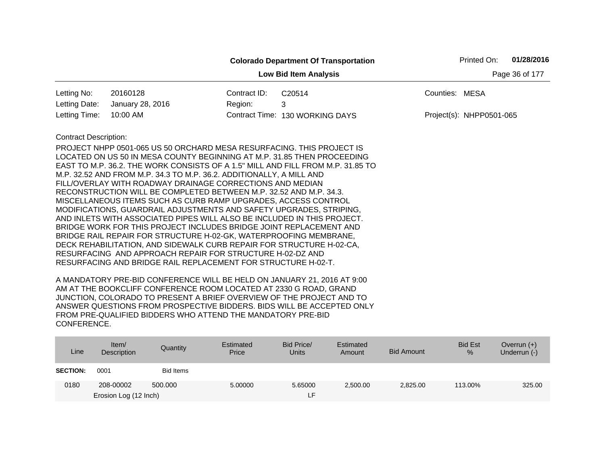|                                                |                                                                                                                                                                                                                                                                                                                                                                                                                                                                                                                                                                                                                                                                                                                                                                                                                                                                                                                                  |              | <b>Colorado Department Of Transportation</b>                                    | Printed On:              | 01/28/2016 |  |  |  |
|------------------------------------------------|----------------------------------------------------------------------------------------------------------------------------------------------------------------------------------------------------------------------------------------------------------------------------------------------------------------------------------------------------------------------------------------------------------------------------------------------------------------------------------------------------------------------------------------------------------------------------------------------------------------------------------------------------------------------------------------------------------------------------------------------------------------------------------------------------------------------------------------------------------------------------------------------------------------------------------|--------------|---------------------------------------------------------------------------------|--------------------------|------------|--|--|--|
| Page 36 of 177<br><b>Low Bid Item Analysis</b> |                                                                                                                                                                                                                                                                                                                                                                                                                                                                                                                                                                                                                                                                                                                                                                                                                                                                                                                                  |              |                                                                                 |                          |            |  |  |  |
| Letting No:                                    | 20160128                                                                                                                                                                                                                                                                                                                                                                                                                                                                                                                                                                                                                                                                                                                                                                                                                                                                                                                         | Contract ID: | C20514                                                                          | Counties: MESA           |            |  |  |  |
| Letting Date:                                  | January 28, 2016                                                                                                                                                                                                                                                                                                                                                                                                                                                                                                                                                                                                                                                                                                                                                                                                                                                                                                                 | Region:      | 3                                                                               |                          |            |  |  |  |
| Letting Time:                                  | 10:00 AM                                                                                                                                                                                                                                                                                                                                                                                                                                                                                                                                                                                                                                                                                                                                                                                                                                                                                                                         |              | Contract Time: 130 WORKING DAYS                                                 | Project(s): NHPP0501-065 |            |  |  |  |
| <b>Contract Description:</b>                   | PROJECT NHPP 0501-065 US 50 ORCHARD MESA RESURFACING. THIS PROJECT IS<br>LOCATED ON US 50 IN MESA COUNTY BEGINNING AT M.P. 31.85 THEN PROCEEDING<br>M.P. 32.52 AND FROM M.P. 34.3 TO M.P. 36.2. ADDITIONALLY, A MILL AND<br>FILL/OVERLAY WITH ROADWAY DRAINAGE CORRECTIONS AND MEDIAN<br>RECONSTRUCTION WILL BE COMPLETED BETWEEN M.P. 32.52 AND M.P. 34.3.<br>MISCELLANEOUS ITEMS SUCH AS CURB RAMP UPGRADES, ACCESS CONTROL<br>MODIFICATIONS, GUARDRAIL ADJUSTMENTS AND SAFETY UPGRADES, STRIPING,<br>AND INLETS WITH ASSOCIATED PIPES WILL ALSO BE INCLUDED IN THIS PROJECT.<br>BRIDGE WORK FOR THIS PROJECT INCLUDES BRIDGE JOINT REPLACEMENT AND<br>BRIDGE RAIL REPAIR FOR STRUCTURE H-02-GK, WATERPROOFING MEMBRANE,<br>DECK REHABILITATION, AND SIDEWALK CURB REPAIR FOR STRUCTURE H-02-CA,<br>RESURFACING AND APPROACH REPAIR FOR STRUCTURE H-02-DZ AND<br>RESURFACING AND BRIDGE RAIL REPLACEMENT FOR STRUCTURE H-02-T. |              | EAST TO M.P. 36.2. THE WORK CONSISTS OF A 1.5" MILL AND FILL FROM M.P. 31.85 TO |                          |            |  |  |  |

| Line            | Item $/$<br>Description | Quantity  | Estimated<br>Price | Bid Price/<br><b>Units</b> | Estimated<br>Amount | <b>Bid Amount</b> | <b>Bid Est</b><br>% | Overrun $(+)$<br>Underrun (-) |
|-----------------|-------------------------|-----------|--------------------|----------------------------|---------------------|-------------------|---------------------|-------------------------------|
| <b>SECTION:</b> | 0001                    | Bid Items |                    |                            |                     |                   |                     |                               |
| 0180            | 208-00002               | 500,000   | 5.00000            | 5.65000                    | 2,500.00            | 2,825.00          | 113.00%             | 325.00                        |
|                 | Erosion Log (12 Inch)   |           |                    | LF.                        |                     |                   |                     |                               |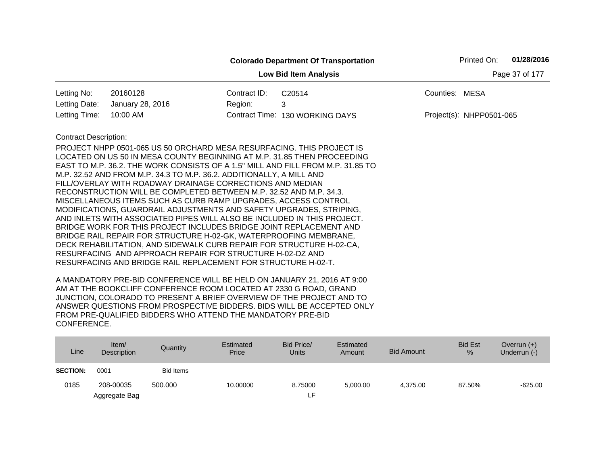|                                                |                                                                                                                                                                                                                                                                                                                                                                                                                                                                                                                                                                                                                                                                                                                                                                                                                                                                                                                                                    |              | <b>Colorado Department Of Transportation</b> |                | Printed On:              | 01/28/2016 |  |  |
|------------------------------------------------|----------------------------------------------------------------------------------------------------------------------------------------------------------------------------------------------------------------------------------------------------------------------------------------------------------------------------------------------------------------------------------------------------------------------------------------------------------------------------------------------------------------------------------------------------------------------------------------------------------------------------------------------------------------------------------------------------------------------------------------------------------------------------------------------------------------------------------------------------------------------------------------------------------------------------------------------------|--------------|----------------------------------------------|----------------|--------------------------|------------|--|--|
| Page 37 of 177<br><b>Low Bid Item Analysis</b> |                                                                                                                                                                                                                                                                                                                                                                                                                                                                                                                                                                                                                                                                                                                                                                                                                                                                                                                                                    |              |                                              |                |                          |            |  |  |
| Letting No:                                    | 20160128                                                                                                                                                                                                                                                                                                                                                                                                                                                                                                                                                                                                                                                                                                                                                                                                                                                                                                                                           | Contract ID: | C20514                                       | Counties: MESA |                          |            |  |  |
| Letting Date:                                  | January 28, 2016                                                                                                                                                                                                                                                                                                                                                                                                                                                                                                                                                                                                                                                                                                                                                                                                                                                                                                                                   | Region:      | 3                                            |                |                          |            |  |  |
| Letting Time:                                  | 10:00 AM                                                                                                                                                                                                                                                                                                                                                                                                                                                                                                                                                                                                                                                                                                                                                                                                                                                                                                                                           |              | Contract Time: 130 WORKING DAYS              |                | Project(s): NHPP0501-065 |            |  |  |
| <b>Contract Description:</b>                   | PROJECT NHPP 0501-065 US 50 ORCHARD MESA RESURFACING. THIS PROJECT IS<br>LOCATED ON US 50 IN MESA COUNTY BEGINNING AT M.P. 31.85 THEN PROCEEDING<br>EAST TO M.P. 36.2. THE WORK CONSISTS OF A 1.5" MILL AND FILL FROM M.P. 31.85 TO<br>M.P. 32.52 AND FROM M.P. 34.3 TO M.P. 36.2. ADDITIONALLY, A MILL AND<br>FILL/OVERLAY WITH ROADWAY DRAINAGE CORRECTIONS AND MEDIAN<br>RECONSTRUCTION WILL BE COMPLETED BETWEEN M.P. 32.52 AND M.P. 34.3.<br>MISCELLANEOUS ITEMS SUCH AS CURB RAMP UPGRADES, ACCESS CONTROL<br>MODIFICATIONS, GUARDRAIL ADJUSTMENTS AND SAFETY UPGRADES, STRIPING,<br>AND INLETS WITH ASSOCIATED PIPES WILL ALSO BE INCLUDED IN THIS PROJECT.<br>BRIDGE WORK FOR THIS PROJECT INCLUDES BRIDGE JOINT REPLACEMENT AND<br>BRIDGE RAIL REPAIR FOR STRUCTURE H-02-GK, WATERPROOFING MEMBRANE,<br>DECK REHABILITATION, AND SIDEWALK CURB REPAIR FOR STRUCTURE H-02-CA,<br>RESURFACING AND APPROACH REPAIR FOR STRUCTURE H-02-DZ AND |              |                                              |                |                          |            |  |  |
|                                                | RESURFACING AND BRIDGE RAIL REPLACEMENT FOR STRUCTURE H-02-T.                                                                                                                                                                                                                                                                                                                                                                                                                                                                                                                                                                                                                                                                                                                                                                                                                                                                                      |              |                                              |                |                          |            |  |  |

| Line            | Item/<br>Description | Quantity         | Estimated<br>Price | Bid Price/<br><b>Units</b> | Estimated<br>Amount | <b>Bid Amount</b> | <b>Bid Est</b><br>% | Overrun $(+)$<br>Underrun (-) |
|-----------------|----------------------|------------------|--------------------|----------------------------|---------------------|-------------------|---------------------|-------------------------------|
| <b>SECTION:</b> | 0001                 | <b>Bid Items</b> |                    |                            |                     |                   |                     |                               |
| 0185            | 208-00035            | 500,000          | 10.00000           | 8.75000                    | 5,000.00            | 4.375.00          | 87.50%              | $-625.00$                     |
|                 | Aggregate Bag        |                  |                    | ᄃ                          |                     |                   |                     |                               |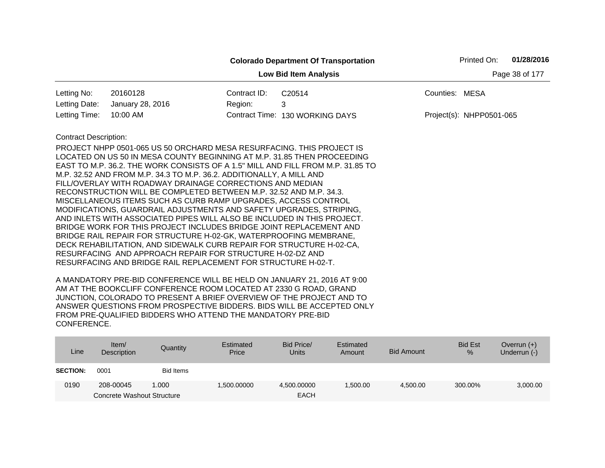|                              |                                                                                                                                                                                                                                                                                                                                                                                                                                                                                                                                                                                                                                                                                                                                                                                                                                                                                                                                                                                                                     |              | <b>Colorado Department Of Transportation</b> | Printed On:              | 01/28/2016 |  |  |  |  |
|------------------------------|---------------------------------------------------------------------------------------------------------------------------------------------------------------------------------------------------------------------------------------------------------------------------------------------------------------------------------------------------------------------------------------------------------------------------------------------------------------------------------------------------------------------------------------------------------------------------------------------------------------------------------------------------------------------------------------------------------------------------------------------------------------------------------------------------------------------------------------------------------------------------------------------------------------------------------------------------------------------------------------------------------------------|--------------|----------------------------------------------|--------------------------|------------|--|--|--|--|
|                              | Page 38 of 177<br><b>Low Bid Item Analysis</b>                                                                                                                                                                                                                                                                                                                                                                                                                                                                                                                                                                                                                                                                                                                                                                                                                                                                                                                                                                      |              |                                              |                          |            |  |  |  |  |
| Letting No:                  | 20160128                                                                                                                                                                                                                                                                                                                                                                                                                                                                                                                                                                                                                                                                                                                                                                                                                                                                                                                                                                                                            | Contract ID: | C20514                                       | Counties: MESA           |            |  |  |  |  |
| Letting Date:                | January 28, 2016                                                                                                                                                                                                                                                                                                                                                                                                                                                                                                                                                                                                                                                                                                                                                                                                                                                                                                                                                                                                    | Region:      | 3                                            |                          |            |  |  |  |  |
| Letting Time:                | 10:00 AM                                                                                                                                                                                                                                                                                                                                                                                                                                                                                                                                                                                                                                                                                                                                                                                                                                                                                                                                                                                                            |              | Contract Time: 130 WORKING DAYS              | Project(s): NHPP0501-065 |            |  |  |  |  |
| <b>Contract Description:</b> |                                                                                                                                                                                                                                                                                                                                                                                                                                                                                                                                                                                                                                                                                                                                                                                                                                                                                                                                                                                                                     |              |                                              |                          |            |  |  |  |  |
|                              | PROJECT NHPP 0501-065 US 50 ORCHARD MESA RESURFACING. THIS PROJECT IS<br>LOCATED ON US 50 IN MESA COUNTY BEGINNING AT M.P. 31.85 THEN PROCEEDING<br>EAST TO M.P. 36.2. THE WORK CONSISTS OF A 1.5" MILL AND FILL FROM M.P. 31.85 TO<br>M.P. 32.52 AND FROM M.P. 34.3 TO M.P. 36.2. ADDITIONALLY, A MILL AND<br>FILL/OVERLAY WITH ROADWAY DRAINAGE CORRECTIONS AND MEDIAN<br>RECONSTRUCTION WILL BE COMPLETED BETWEEN M.P. 32.52 AND M.P. 34.3.<br>MISCELLANEOUS ITEMS SUCH AS CURB RAMP UPGRADES, ACCESS CONTROL<br>MODIFICATIONS, GUARDRAIL ADJUSTMENTS AND SAFETY UPGRADES, STRIPING,<br>AND INLETS WITH ASSOCIATED PIPES WILL ALSO BE INCLUDED IN THIS PROJECT.<br>BRIDGE WORK FOR THIS PROJECT INCLUDES BRIDGE JOINT REPLACEMENT AND<br>BRIDGE RAIL REPAIR FOR STRUCTURE H-02-GK, WATERPROOFING MEMBRANE,<br>DECK REHABILITATION, AND SIDEWALK CURB REPAIR FOR STRUCTURE H-02-CA,<br>RESURFACING AND APPROACH REPAIR FOR STRUCTURE H-02-DZ AND<br>RESURFACING AND BRIDGE RAIL REPLACEMENT FOR STRUCTURE H-02-T. |              |                                              |                          |            |  |  |  |  |

| Line            | Item $/$<br><b>Description</b> | Quantity         | Estimated<br>Price | Bid Price/<br><b>Units</b> | Estimated<br>Amount | <b>Bid Amount</b> | <b>Bid Est</b><br>$\%$ | Overrun $(+)$<br>Underrun (-) |
|-----------------|--------------------------------|------------------|--------------------|----------------------------|---------------------|-------------------|------------------------|-------------------------------|
| <b>SECTION:</b> | 0001                           | <b>Bid Items</b> |                    |                            |                     |                   |                        |                               |
| 0190            | 208-00045                      | 1.000            | 1,500.00000        | 4,500.00000                | 500.00 ا            | 4,500.00          | 300.00%                | 3,000.00                      |
|                 | Concrete Washout Structure     |                  |                    | <b>EACH</b>                |                     |                   |                        |                               |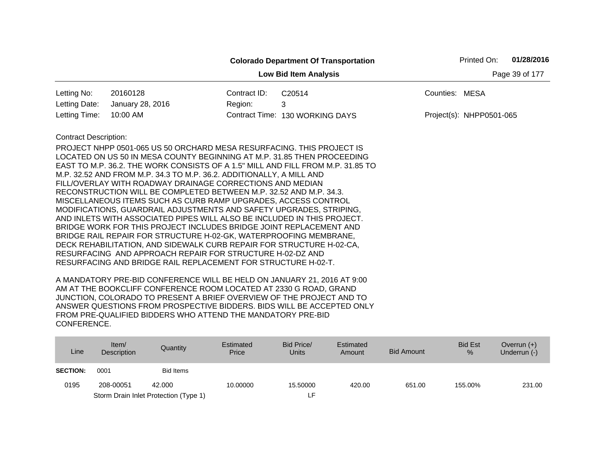|                              |                                                                                                                                                                                                                                                                                                                                                                                                                                                                                                                                                                                                                                                                                                                                                                                                                                                                                                                                  |                | <b>Colorado Department Of Transportation</b>                                    |                | Printed On:              | 01/28/2016 |
|------------------------------|----------------------------------------------------------------------------------------------------------------------------------------------------------------------------------------------------------------------------------------------------------------------------------------------------------------------------------------------------------------------------------------------------------------------------------------------------------------------------------------------------------------------------------------------------------------------------------------------------------------------------------------------------------------------------------------------------------------------------------------------------------------------------------------------------------------------------------------------------------------------------------------------------------------------------------|----------------|---------------------------------------------------------------------------------|----------------|--------------------------|------------|
|                              |                                                                                                                                                                                                                                                                                                                                                                                                                                                                                                                                                                                                                                                                                                                                                                                                                                                                                                                                  | Page 39 of 177 |                                                                                 |                |                          |            |
| Letting No:                  | 20160128                                                                                                                                                                                                                                                                                                                                                                                                                                                                                                                                                                                                                                                                                                                                                                                                                                                                                                                         | Contract ID:   | C20514                                                                          | Counties: MESA |                          |            |
| Letting Date:                | January 28, 2016                                                                                                                                                                                                                                                                                                                                                                                                                                                                                                                                                                                                                                                                                                                                                                                                                                                                                                                 | Region:        | 3                                                                               |                |                          |            |
| Letting Time:                | 10:00 AM                                                                                                                                                                                                                                                                                                                                                                                                                                                                                                                                                                                                                                                                                                                                                                                                                                                                                                                         |                | Contract Time: 130 WORKING DAYS                                                 |                | Project(s): NHPP0501-065 |            |
| <b>Contract Description:</b> | PROJECT NHPP 0501-065 US 50 ORCHARD MESA RESURFACING. THIS PROJECT IS<br>LOCATED ON US 50 IN MESA COUNTY BEGINNING AT M.P. 31.85 THEN PROCEEDING<br>M.P. 32.52 AND FROM M.P. 34.3 TO M.P. 36.2. ADDITIONALLY, A MILL AND<br>FILL/OVERLAY WITH ROADWAY DRAINAGE CORRECTIONS AND MEDIAN<br>RECONSTRUCTION WILL BE COMPLETED BETWEEN M.P. 32.52 AND M.P. 34.3.<br>MISCELLANEOUS ITEMS SUCH AS CURB RAMP UPGRADES, ACCESS CONTROL<br>MODIFICATIONS, GUARDRAIL ADJUSTMENTS AND SAFETY UPGRADES, STRIPING,<br>AND INLETS WITH ASSOCIATED PIPES WILL ALSO BE INCLUDED IN THIS PROJECT.<br>BRIDGE WORK FOR THIS PROJECT INCLUDES BRIDGE JOINT REPLACEMENT AND<br>BRIDGE RAIL REPAIR FOR STRUCTURE H-02-GK, WATERPROOFING MEMBRANE,<br>DECK REHABILITATION, AND SIDEWALK CURB REPAIR FOR STRUCTURE H-02-CA,<br>RESURFACING AND APPROACH REPAIR FOR STRUCTURE H-02-DZ AND<br>RESURFACING AND BRIDGE RAIL REPLACEMENT FOR STRUCTURE H-02-T. |                | EAST TO M.P. 36.2. THE WORK CONSISTS OF A 1.5" MILL AND FILL FROM M.P. 31.85 TO |                |                          |            |

| Line            | Item/<br>Description | Quantity                              | Estimated<br>Price | Bid Price/<br>Units | Estimated<br>Amount | <b>Bid Amount</b> | <b>Bid Est</b><br>% | Overrun $(+)$<br>Underrun (-) |
|-----------------|----------------------|---------------------------------------|--------------------|---------------------|---------------------|-------------------|---------------------|-------------------------------|
| <b>SECTION:</b> | 0001                 | <b>Bid Items</b>                      |                    |                     |                     |                   |                     |                               |
| 0195            | 208-00051            | 42,000                                | 10.00000           | 15.50000            | 420.00              | 651.00            | 155.00%             | 231.00                        |
|                 |                      | Storm Drain Inlet Protection (Type 1) |                    | ᄃ                   |                     |                   |                     |                               |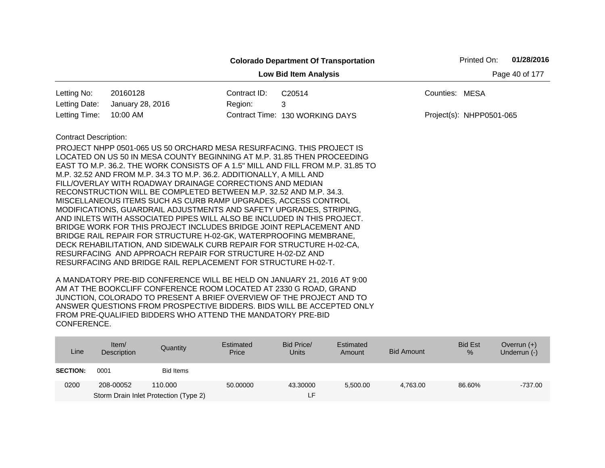|                                                |                                                                         |              | <b>Colorado Department Of Transportation</b>                                    |                          | Printed On: | 01/28/2016 |  |  |
|------------------------------------------------|-------------------------------------------------------------------------|--------------|---------------------------------------------------------------------------------|--------------------------|-------------|------------|--|--|
| <b>Low Bid Item Analysis</b><br>Page 40 of 177 |                                                                         |              |                                                                                 |                          |             |            |  |  |
| Letting No:                                    | 20160128                                                                | Contract ID: | C20514                                                                          | Counties: MESA           |             |            |  |  |
| Letting Date:                                  | January 28, 2016                                                        | Region:      | 3                                                                               |                          |             |            |  |  |
| Letting Time:                                  | 10:00 AM                                                                |              | Contract Time: 130 WORKING DAYS                                                 | Project(s): NHPP0501-065 |             |            |  |  |
| <b>Contract Description:</b>                   |                                                                         |              |                                                                                 |                          |             |            |  |  |
|                                                | PROJECT NHPP 0501-065 US 50 ORCHARD MESA RESURFACING. THIS PROJECT IS   |              |                                                                                 |                          |             |            |  |  |
|                                                | LOCATED ON US 50 IN MESA COUNTY BEGINNING AT M.P. 31.85 THEN PROCEEDING |              |                                                                                 |                          |             |            |  |  |
|                                                |                                                                         |              | EAST TO M.P. 36.2. THE WORK CONSISTS OF A 1.5" MILL AND FILL FROM M.P. 31.85 TO |                          |             |            |  |  |
|                                                | M.P. 32.52 AND FROM M.P. 34.3 TO M.P. 36.2. ADDITIONALLY, A MILL AND    |              |                                                                                 |                          |             |            |  |  |
|                                                | FILL/OVERLAY WITH ROADWAY DRAINAGE CORRECTIONS AND MEDIAN               |              |                                                                                 |                          |             |            |  |  |
|                                                | RECONSTRUCTION WILL BE COMPLETED BETWEEN M.P. 32.52 AND M.P. 34.3.      |              |                                                                                 |                          |             |            |  |  |
|                                                | MISCELLANEOUS ITEMS SUCH AS CURB RAMP UPGRADES, ACCESS CONTROL          |              |                                                                                 |                          |             |            |  |  |
|                                                | MODIFICATIONS, GUARDRAIL ADJUSTMENTS AND SAFETY UPGRADES, STRIPING,     |              |                                                                                 |                          |             |            |  |  |
|                                                | AND INLETS WITH ASSOCIATED PIPES WILL ALSO BE INCLUDED IN THIS PROJECT. |              |                                                                                 |                          |             |            |  |  |
|                                                | BRIDGE WORK FOR THIS PROJECT INCLUDES BRIDGE JOINT REPLACEMENT AND      |              |                                                                                 |                          |             |            |  |  |
|                                                | BRIDGE RAIL REPAIR FOR STRUCTURE H-02-GK, WATERPROOFING MEMBRANE,       |              |                                                                                 |                          |             |            |  |  |
|                                                | DECK REHABILITATION, AND SIDEWALK CURB REPAIR FOR STRUCTURE H-02-CA,    |              |                                                                                 |                          |             |            |  |  |
|                                                | RESURFACING AND APPROACH REPAIR FOR STRUCTURE H-02-DZ AND               |              |                                                                                 |                          |             |            |  |  |
|                                                | RESURFACING AND BRIDGE RAIL REPLACEMENT FOR STRUCTURE H-02-T.           |              |                                                                                 |                          |             |            |  |  |

| Line            | Item $/$<br>Description | Quantity                              | Estimated<br>Price | Bid Price/<br><b>Units</b> | Estimated<br>Amount | <b>Bid Amount</b> | <b>Bid Est</b><br>% | Overrun $(+)$<br>Underrun (-) |
|-----------------|-------------------------|---------------------------------------|--------------------|----------------------------|---------------------|-------------------|---------------------|-------------------------------|
| <b>SECTION:</b> | 0001                    | Bid Items                             |                    |                            |                     |                   |                     |                               |
| 0200            | 208-00052               | 110.000                               | 50.00000           | 43.30000                   | 5,500.00            | 4.763.00          | 86.60%              | $-737.00$                     |
|                 |                         | Storm Drain Inlet Protection (Type 2) |                    | LF.                        |                     |                   |                     |                               |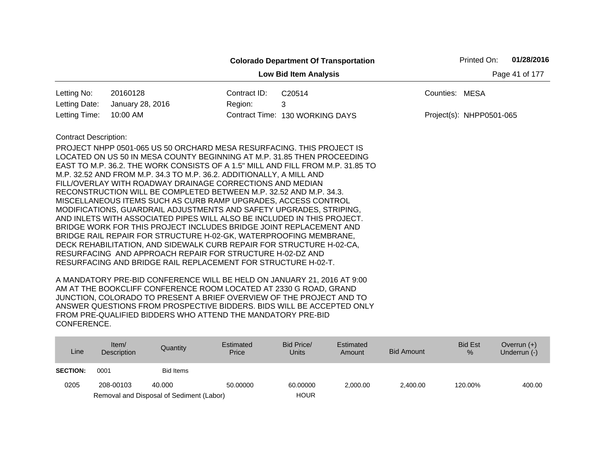|                                                |                                                                                                                                                                                                                                                                                                                                                                                                                                                                                                                  |              | <b>Colorado Department Of Transportation</b> |                | Printed On:              | 01/28/2016 |  |  |
|------------------------------------------------|------------------------------------------------------------------------------------------------------------------------------------------------------------------------------------------------------------------------------------------------------------------------------------------------------------------------------------------------------------------------------------------------------------------------------------------------------------------------------------------------------------------|--------------|----------------------------------------------|----------------|--------------------------|------------|--|--|
| <b>Low Bid Item Analysis</b><br>Page 41 of 177 |                                                                                                                                                                                                                                                                                                                                                                                                                                                                                                                  |              |                                              |                |                          |            |  |  |
| Letting No:                                    | 20160128                                                                                                                                                                                                                                                                                                                                                                                                                                                                                                         | Contract ID: | C20514                                       | Counties: MESA |                          |            |  |  |
| Letting Date:                                  | January 28, 2016                                                                                                                                                                                                                                                                                                                                                                                                                                                                                                 | Region:      | 3                                            |                |                          |            |  |  |
| Letting Time:                                  | 10:00 AM                                                                                                                                                                                                                                                                                                                                                                                                                                                                                                         |              | Contract Time: 130 WORKING DAYS              |                | Project(s): NHPP0501-065 |            |  |  |
| <b>Contract Description:</b>                   | PROJECT NHPP 0501-065 US 50 ORCHARD MESA RESURFACING. THIS PROJECT IS<br>LOCATED ON US 50 IN MESA COUNTY BEGINNING AT M.P. 31.85 THEN PROCEEDING<br>EAST TO M.P. 36.2. THE WORK CONSISTS OF A 1.5" MILL AND FILL FROM M.P. 31.85 TO<br>M.P. 32.52 AND FROM M.P. 34.3 TO M.P. 36.2. ADDITIONALLY, A MILL AND<br>FILL/OVERLAY WITH ROADWAY DRAINAGE CORRECTIONS AND MEDIAN<br>RECONSTRUCTION WILL BE COMPLETED BETWEEN M.P. 32.52 AND M.P. 34.3.<br>MISCELLANEOUS ITEMS SUCH AS CURB RAMP UPGRADES, ACCESS CONTROL |              |                                              |                |                          |            |  |  |
|                                                | MODIFICATIONS, GUARDRAIL ADJUSTMENTS AND SAFETY UPGRADES, STRIPING,<br>AND INLETS WITH ASSOCIATED PIPES WILL ALSO BE INCLUDED IN THIS PROJECT.<br>BRIDGE WORK FOR THIS PROJECT INCLUDES BRIDGE JOINT REPLACEMENT AND<br>BRIDGE RAIL REPAIR FOR STRUCTURE H-02-GK, WATERPROOFING MEMBRANE,<br>DECK REHABILITATION, AND SIDEWALK CURB REPAIR FOR STRUCTURE H-02-CA,<br>RESURFACING AND APPROACH REPAIR FOR STRUCTURE H-02-DZ AND<br>RESURFACING AND BRIDGE RAIL REPLACEMENT FOR STRUCTURE H-02-T.                  |              |                                              |                |                          |            |  |  |

| Line            | Item $/$<br>Description | Quantity                                 | Estimated<br>Price | Bid Price/<br><b>Units</b> | Estimated<br>Amount | <b>Bid Amount</b> | <b>Bid Est</b><br>$\%$ | Overrun $(+)$<br>Underrun $(-)$ |
|-----------------|-------------------------|------------------------------------------|--------------------|----------------------------|---------------------|-------------------|------------------------|---------------------------------|
| <b>SECTION:</b> | 0001                    | <b>Bid Items</b>                         |                    |                            |                     |                   |                        |                                 |
| 0205            | 208-00103               | 40.000                                   | 50.00000           | 60.00000                   | 2,000.00            | 2,400.00          | 120.00%                | 400.00                          |
|                 |                         | Removal and Disposal of Sediment (Labor) |                    | <b>HOUR</b>                |                     |                   |                        |                                 |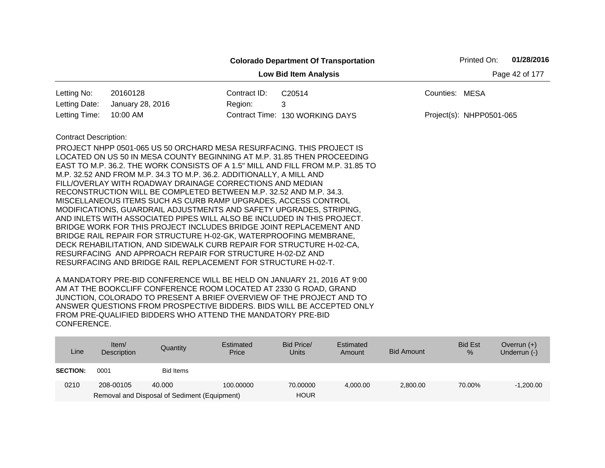|                                                |                                                                                                                                                |              | <b>Colorado Department Of Transportation</b> |                | Printed On:              | 01/28/2016 |  |  |
|------------------------------------------------|------------------------------------------------------------------------------------------------------------------------------------------------|--------------|----------------------------------------------|----------------|--------------------------|------------|--|--|
| <b>Low Bid Item Analysis</b><br>Page 42 of 177 |                                                                                                                                                |              |                                              |                |                          |            |  |  |
| Letting No:                                    | 20160128                                                                                                                                       | Contract ID: | C <sub>20514</sub>                           | Counties: MESA |                          |            |  |  |
| Letting Date:                                  | January 28, 2016                                                                                                                               | Region:      | 3                                            |                |                          |            |  |  |
| Letting Time:                                  | 10:00 AM                                                                                                                                       |              | Contract Time: 130 WORKING DAYS              |                | Project(s): NHPP0501-065 |            |  |  |
| <b>Contract Description:</b>                   |                                                                                                                                                |              |                                              |                |                          |            |  |  |
|                                                | PROJECT NHPP 0501-065 US 50 ORCHARD MESA RESURFACING. THIS PROJECT IS                                                                          |              |                                              |                |                          |            |  |  |
|                                                | LOCATED ON US 50 IN MESA COUNTY BEGINNING AT M.P. 31.85 THEN PROCEEDING                                                                        |              |                                              |                |                          |            |  |  |
|                                                | EAST TO M.P. 36.2. THE WORK CONSISTS OF A 1.5" MILL AND FILL FROM M.P. 31.85 TO                                                                |              |                                              |                |                          |            |  |  |
|                                                | M.P. 32.52 AND FROM M.P. 34.3 TO M.P. 36.2. ADDITIONALLY, A MILL AND                                                                           |              |                                              |                |                          |            |  |  |
|                                                | FILL/OVERLAY WITH ROADWAY DRAINAGE CORRECTIONS AND MEDIAN                                                                                      |              |                                              |                |                          |            |  |  |
|                                                | RECONSTRUCTION WILL BE COMPLETED BETWEEN M.P. 32.52 AND M.P. 34.3.                                                                             |              |                                              |                |                          |            |  |  |
|                                                | MISCELLANEOUS ITEMS SUCH AS CURB RAMP UPGRADES, ACCESS CONTROL                                                                                 |              |                                              |                |                          |            |  |  |
|                                                | MODIFICATIONS, GUARDRAIL ADJUSTMENTS AND SAFETY UPGRADES, STRIPING,<br>AND INLETS WITH ASSOCIATED PIPES WILL ALSO BE INCLUDED IN THIS PROJECT. |              |                                              |                |                          |            |  |  |
|                                                | BRIDGE WORK FOR THIS PROJECT INCLUDES BRIDGE JOINT REPLACEMENT AND                                                                             |              |                                              |                |                          |            |  |  |
|                                                | BRIDGE RAIL REPAIR FOR STRUCTURE H-02-GK, WATERPROOFING MEMBRANE,                                                                              |              |                                              |                |                          |            |  |  |
|                                                | DECK REHABILITATION, AND SIDEWALK CURB REPAIR FOR STRUCTURE H-02-CA,                                                                           |              |                                              |                |                          |            |  |  |
|                                                | RESURFACING AND APPROACH REPAIR FOR STRUCTURE H-02-DZ AND                                                                                      |              |                                              |                |                          |            |  |  |
|                                                | RESURFACING AND BRIDGE RAIL REPLACEMENT FOR STRUCTURE H-02-T.                                                                                  |              |                                              |                |                          |            |  |  |

| Line            | Item $/$<br>Description | Quantity                                     | Estimated<br>Price | Bid Price/<br><b>Units</b> | Estimated<br>Amount | <b>Bid Amount</b> | <b>Bid Est</b><br>$\%$ | Overrun $(+)$<br>Underrun (-) |
|-----------------|-------------------------|----------------------------------------------|--------------------|----------------------------|---------------------|-------------------|------------------------|-------------------------------|
| <b>SECTION:</b> | 0001                    | Bid Items                                    |                    |                            |                     |                   |                        |                               |
| 0210            | 208-00105               | 40.000                                       | 100.00000          | 70.00000                   | 4.000.00            | 2,800.00          | 70.00%                 | $-1,200.00$                   |
|                 |                         | Removal and Disposal of Sediment (Equipment) |                    | <b>HOUR</b>                |                     |                   |                        |                               |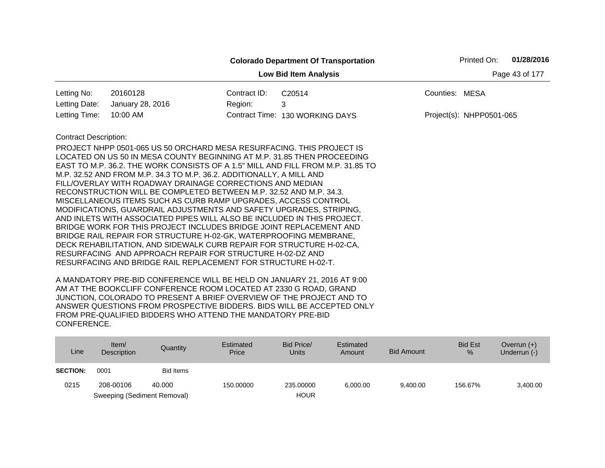|                | Printed On:<br><b>Colorado Department Of Transportation</b><br><b>Low Bid Item Analysis</b><br>20160128<br>Contract ID:<br>C20514<br>Counties: MESA<br>January 28, 2016<br>Region:<br>3<br>10:00 AM<br>Contract Time: 130 WORKING DAYS<br>Project(s): NHPP0501-065<br><b>Contract Description:</b><br>PROJECT NHPP 0501-065 US 50 ORCHARD MESA RESURFACING. THIS PROJECT IS<br>LOCATED ON US 50 IN MESA COUNTY BEGINNING AT M.P. 31.85 THEN PROCEEDING<br>EAST TO M.P. 36.2. THE WORK CONSISTS OF A 1.5" MILL AND FILL FROM M.P. 31.85 TO<br>M.P. 32.52 AND FROM M.P. 34.3 TO M.P. 36.2. ADDITIONALLY, A MILL AND<br>FILL/OVERLAY WITH ROADWAY DRAINAGE CORRECTIONS AND MEDIAN<br>RECONSTRUCTION WILL BE COMPLETED BETWEEN M.P. 32.52 AND M.P. 34.3.<br>MISCELLANEOUS ITEMS SUCH AS CURB RAMP UPGRADES, ACCESS CONTROL<br>MODIFICATIONS, GUARDRAIL ADJUSTMENTS AND SAFETY UPGRADES, STRIPING,<br>AND INLETS WITH ASSOCIATED PIPES WILL ALSO BE INCLUDED IN THIS PROJECT.<br>BRIDGE WORK FOR THIS PROJECT INCLUDES BRIDGE JOINT REPLACEMENT AND<br>BRIDGE RAIL REPAIR FOR STRUCTURE H-02-GK, WATERPROOFING MEMBRANE, | 01/28/2016 |  |  |  |  |  |
|----------------|---------------------------------------------------------------------------------------------------------------------------------------------------------------------------------------------------------------------------------------------------------------------------------------------------------------------------------------------------------------------------------------------------------------------------------------------------------------------------------------------------------------------------------------------------------------------------------------------------------------------------------------------------------------------------------------------------------------------------------------------------------------------------------------------------------------------------------------------------------------------------------------------------------------------------------------------------------------------------------------------------------------------------------------------------------------------------------------------------------------------|------------|--|--|--|--|--|
| Page 43 of 177 |                                                                                                                                                                                                                                                                                                                                                                                                                                                                                                                                                                                                                                                                                                                                                                                                                                                                                                                                                                                                                                                                                                                     |            |  |  |  |  |  |
| Letting No:    |                                                                                                                                                                                                                                                                                                                                                                                                                                                                                                                                                                                                                                                                                                                                                                                                                                                                                                                                                                                                                                                                                                                     |            |  |  |  |  |  |
| Letting Date:  |                                                                                                                                                                                                                                                                                                                                                                                                                                                                                                                                                                                                                                                                                                                                                                                                                                                                                                                                                                                                                                                                                                                     |            |  |  |  |  |  |
| Letting Time:  |                                                                                                                                                                                                                                                                                                                                                                                                                                                                                                                                                                                                                                                                                                                                                                                                                                                                                                                                                                                                                                                                                                                     |            |  |  |  |  |  |
|                |                                                                                                                                                                                                                                                                                                                                                                                                                                                                                                                                                                                                                                                                                                                                                                                                                                                                                                                                                                                                                                                                                                                     |            |  |  |  |  |  |
|                |                                                                                                                                                                                                                                                                                                                                                                                                                                                                                                                                                                                                                                                                                                                                                                                                                                                                                                                                                                                                                                                                                                                     |            |  |  |  |  |  |
|                |                                                                                                                                                                                                                                                                                                                                                                                                                                                                                                                                                                                                                                                                                                                                                                                                                                                                                                                                                                                                                                                                                                                     |            |  |  |  |  |  |
|                |                                                                                                                                                                                                                                                                                                                                                                                                                                                                                                                                                                                                                                                                                                                                                                                                                                                                                                                                                                                                                                                                                                                     |            |  |  |  |  |  |
|                |                                                                                                                                                                                                                                                                                                                                                                                                                                                                                                                                                                                                                                                                                                                                                                                                                                                                                                                                                                                                                                                                                                                     |            |  |  |  |  |  |
|                |                                                                                                                                                                                                                                                                                                                                                                                                                                                                                                                                                                                                                                                                                                                                                                                                                                                                                                                                                                                                                                                                                                                     |            |  |  |  |  |  |
|                |                                                                                                                                                                                                                                                                                                                                                                                                                                                                                                                                                                                                                                                                                                                                                                                                                                                                                                                                                                                                                                                                                                                     |            |  |  |  |  |  |
|                |                                                                                                                                                                                                                                                                                                                                                                                                                                                                                                                                                                                                                                                                                                                                                                                                                                                                                                                                                                                                                                                                                                                     |            |  |  |  |  |  |
|                |                                                                                                                                                                                                                                                                                                                                                                                                                                                                                                                                                                                                                                                                                                                                                                                                                                                                                                                                                                                                                                                                                                                     |            |  |  |  |  |  |
|                |                                                                                                                                                                                                                                                                                                                                                                                                                                                                                                                                                                                                                                                                                                                                                                                                                                                                                                                                                                                                                                                                                                                     |            |  |  |  |  |  |
|                |                                                                                                                                                                                                                                                                                                                                                                                                                                                                                                                                                                                                                                                                                                                                                                                                                                                                                                                                                                                                                                                                                                                     |            |  |  |  |  |  |
|                | DECK REHABILITATION, AND SIDEWALK CURB REPAIR FOR STRUCTURE H-02-CA,                                                                                                                                                                                                                                                                                                                                                                                                                                                                                                                                                                                                                                                                                                                                                                                                                                                                                                                                                                                                                                                |            |  |  |  |  |  |
|                | RESURFACING AND APPROACH REPAIR FOR STRUCTURE H-02-DZ AND                                                                                                                                                                                                                                                                                                                                                                                                                                                                                                                                                                                                                                                                                                                                                                                                                                                                                                                                                                                                                                                           |            |  |  |  |  |  |
|                | RESURFACING AND BRIDGE RAIL REPLACEMENT FOR STRUCTURE H-02-T.                                                                                                                                                                                                                                                                                                                                                                                                                                                                                                                                                                                                                                                                                                                                                                                                                                                                                                                                                                                                                                                       |            |  |  |  |  |  |

| Line            | Item/<br>Description        | Quantity  | Estimated<br>Price | Bid Price/<br><b>Units</b> | Estimated<br><b>Amount</b> | <b>Bid Amount</b> | <b>Bid Est</b><br>$\%$ | Overrun $(+)$<br>Underrun (-) |
|-----------------|-----------------------------|-----------|--------------------|----------------------------|----------------------------|-------------------|------------------------|-------------------------------|
| <b>SECTION:</b> | 0001                        | Bid Items |                    |                            |                            |                   |                        |                               |
| 0215            | 208-00106                   | 40,000    | 150.00000          | 235.00000                  | 6.000.00                   | 9.400.00          | 156.67%                | 3,400.00                      |
|                 | Sweeping (Sediment Removal) |           |                    | <b>HOUR</b>                |                            |                   |                        |                               |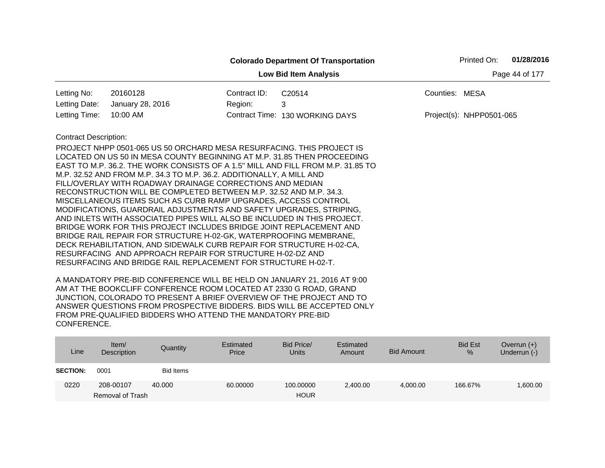|                              |                                                                                 |              | <b>Colorado Department Of Transportation</b> |                | Printed On:              | 01/28/2016     |
|------------------------------|---------------------------------------------------------------------------------|--------------|----------------------------------------------|----------------|--------------------------|----------------|
|                              |                                                                                 |              | <b>Low Bid Item Analysis</b>                 |                |                          | Page 44 of 177 |
| Letting No:                  | 20160128                                                                        | Contract ID: | C20514                                       | Counties: MESA |                          |                |
| Letting Date:                | January 28, 2016                                                                | Region:      | 3                                            |                |                          |                |
| Letting Time:                | 10:00 AM                                                                        |              | Contract Time: 130 WORKING DAYS              |                | Project(s): NHPP0501-065 |                |
| <b>Contract Description:</b> |                                                                                 |              |                                              |                |                          |                |
|                              | PROJECT NHPP 0501-065 US 50 ORCHARD MESA RESURFACING. THIS PROJECT IS           |              |                                              |                |                          |                |
|                              | LOCATED ON US 50 IN MESA COUNTY BEGINNING AT M.P. 31.85 THEN PROCEEDING         |              |                                              |                |                          |                |
|                              | EAST TO M.P. 36.2. THE WORK CONSISTS OF A 1.5" MILL AND FILL FROM M.P. 31.85 TO |              |                                              |                |                          |                |
|                              | M.P. 32.52 AND FROM M.P. 34.3 TO M.P. 36.2. ADDITIONALLY, A MILL AND            |              |                                              |                |                          |                |
|                              | FILL/OVERLAY WITH ROADWAY DRAINAGE CORRECTIONS AND MEDIAN                       |              |                                              |                |                          |                |
|                              | RECONSTRUCTION WILL BE COMPLETED BETWEEN M.P. 32.52 AND M.P. 34.3.              |              |                                              |                |                          |                |
|                              | MISCELLANEOUS ITEMS SUCH AS CURB RAMP UPGRADES, ACCESS CONTROL                  |              |                                              |                |                          |                |
|                              | MODIFICATIONS, GUARDRAIL ADJUSTMENTS AND SAFETY UPGRADES, STRIPING,             |              |                                              |                |                          |                |
|                              | AND INLETS WITH ASSOCIATED PIPES WILL ALSO BE INCLUDED IN THIS PROJECT.         |              |                                              |                |                          |                |
|                              | BRIDGE WORK FOR THIS PROJECT INCLUDES BRIDGE JOINT REPLACEMENT AND              |              |                                              |                |                          |                |
|                              | BRIDGE RAIL REPAIR FOR STRUCTURE H-02-GK, WATERPROOFING MEMBRANE,               |              |                                              |                |                          |                |
|                              | DECK REHABILITATION, AND SIDEWALK CURB REPAIR FOR STRUCTURE H-02-CA,            |              |                                              |                |                          |                |
|                              | RESURFACING AND APPROACH REPAIR FOR STRUCTURE H-02-DZ AND                       |              |                                              |                |                          |                |
|                              | RESURFACING AND BRIDGE RAIL REPLACEMENT FOR STRUCTURE H-02-T.                   |              |                                              |                |                          |                |

| Line            | Item/<br>Description | Quantity  | Estimated<br>Price | Bid Price/<br><b>Units</b> | Estimated<br>Amount | <b>Bid Amount</b> | <b>Bid Est</b><br>% | Overrun $(+)$<br>Underrun (-) |
|-----------------|----------------------|-----------|--------------------|----------------------------|---------------------|-------------------|---------------------|-------------------------------|
| <b>SECTION:</b> | 0001                 | Bid Items |                    |                            |                     |                   |                     |                               |
| 0220            | 208-00107            | 40.000    | 60,00000           | 100.00000                  | 2,400.00            | 4.000.00          | 166.67%             | 00.00.1                       |
|                 | Removal of Trash     |           |                    | <b>HOUR</b>                |                     |                   |                     |                               |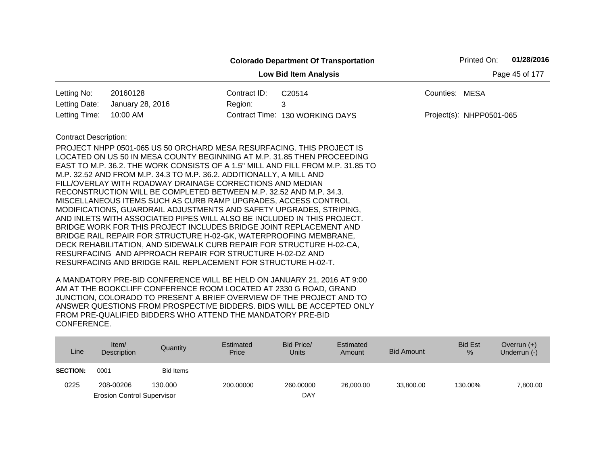|                              |                                                                                 |              | <b>Colorado Department Of Transportation</b> |                | Printed On:              | 01/28/2016     |
|------------------------------|---------------------------------------------------------------------------------|--------------|----------------------------------------------|----------------|--------------------------|----------------|
|                              |                                                                                 |              | <b>Low Bid Item Analysis</b>                 |                |                          | Page 45 of 177 |
| Letting No:                  | 20160128                                                                        | Contract ID: | C20514                                       | Counties: MESA |                          |                |
| Letting Date:                | January 28, 2016                                                                | Region:      | 3                                            |                |                          |                |
| Letting Time:                | 10:00 AM                                                                        |              | Contract Time: 130 WORKING DAYS              |                | Project(s): NHPP0501-065 |                |
| <b>Contract Description:</b> |                                                                                 |              |                                              |                |                          |                |
|                              | PROJECT NHPP 0501-065 US 50 ORCHARD MESA RESURFACING. THIS PROJECT IS           |              |                                              |                |                          |                |
|                              | LOCATED ON US 50 IN MESA COUNTY BEGINNING AT M.P. 31.85 THEN PROCEEDING         |              |                                              |                |                          |                |
|                              | EAST TO M.P. 36.2. THE WORK CONSISTS OF A 1.5" MILL AND FILL FROM M.P. 31.85 TO |              |                                              |                |                          |                |
|                              | M.P. 32.52 AND FROM M.P. 34.3 TO M.P. 36.2. ADDITIONALLY, A MILL AND            |              |                                              |                |                          |                |
|                              | FILL/OVERLAY WITH ROADWAY DRAINAGE CORRECTIONS AND MEDIAN                       |              |                                              |                |                          |                |
|                              | RECONSTRUCTION WILL BE COMPLETED BETWEEN M.P. 32.52 AND M.P. 34.3.              |              |                                              |                |                          |                |
|                              | MISCELLANEOUS ITEMS SUCH AS CURB RAMP UPGRADES, ACCESS CONTROL                  |              |                                              |                |                          |                |
|                              | MODIFICATIONS, GUARDRAIL ADJUSTMENTS AND SAFETY UPGRADES, STRIPING,             |              |                                              |                |                          |                |
|                              | AND INLETS WITH ASSOCIATED PIPES WILL ALSO BE INCLUDED IN THIS PROJECT.         |              |                                              |                |                          |                |
|                              | BRIDGE WORK FOR THIS PROJECT INCLUDES BRIDGE JOINT REPLACEMENT AND              |              |                                              |                |                          |                |
|                              | BRIDGE RAIL REPAIR FOR STRUCTURE H-02-GK, WATERPROOFING MEMBRANE,               |              |                                              |                |                          |                |
|                              | DECK REHABILITATION, AND SIDEWALK CURB REPAIR FOR STRUCTURE H-02-CA,            |              |                                              |                |                          |                |
|                              | RESURFACING AND APPROACH REPAIR FOR STRUCTURE H-02-DZ AND                       |              |                                              |                |                          |                |
|                              | RESURFACING AND BRIDGE RAIL REPLACEMENT FOR STRUCTURE H-02-T.                   |              |                                              |                |                          |                |

| Line            | Item $/$<br>Description           | Quantity  | Estimated<br>Price | Bid Price/<br><b>Units</b> | Estimated<br>Amount | <b>Bid Amount</b> | <b>Bid Est</b><br>% | Overrun $(+)$<br>Underrun (-) |
|-----------------|-----------------------------------|-----------|--------------------|----------------------------|---------------------|-------------------|---------------------|-------------------------------|
| <b>SECTION:</b> | 0001                              | Bid Items |                    |                            |                     |                   |                     |                               |
| 0225            | 208-00206                         | 130,000   | 200,00000          | 260,00000                  | 26,000,00           | 33,800,00         | 130.00%             | 7,800.00                      |
|                 | <b>Erosion Control Supervisor</b> |           |                    | DAY                        |                     |                   |                     |                               |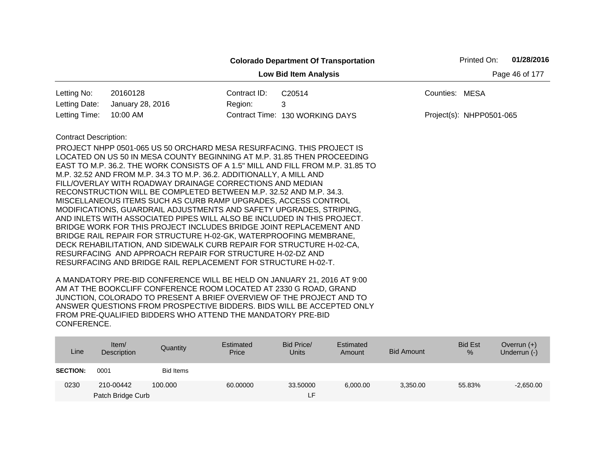|                                                |                                                                                                                                                                                                                                                                                                                                                                                                                                                                                                                                                                                                                                                                                                                                                                                                                                                                                                                                                                                                                     |              | <b>Colorado Department Of Transportation</b> | Printed On:              | 01/28/2016 |  |  |  |  |
|------------------------------------------------|---------------------------------------------------------------------------------------------------------------------------------------------------------------------------------------------------------------------------------------------------------------------------------------------------------------------------------------------------------------------------------------------------------------------------------------------------------------------------------------------------------------------------------------------------------------------------------------------------------------------------------------------------------------------------------------------------------------------------------------------------------------------------------------------------------------------------------------------------------------------------------------------------------------------------------------------------------------------------------------------------------------------|--------------|----------------------------------------------|--------------------------|------------|--|--|--|--|
| <b>Low Bid Item Analysis</b><br>Page 46 of 177 |                                                                                                                                                                                                                                                                                                                                                                                                                                                                                                                                                                                                                                                                                                                                                                                                                                                                                                                                                                                                                     |              |                                              |                          |            |  |  |  |  |
| Letting No:                                    | 20160128                                                                                                                                                                                                                                                                                                                                                                                                                                                                                                                                                                                                                                                                                                                                                                                                                                                                                                                                                                                                            | Contract ID: | C20514                                       | Counties: MESA           |            |  |  |  |  |
| Letting Date:                                  | January 28, 2016                                                                                                                                                                                                                                                                                                                                                                                                                                                                                                                                                                                                                                                                                                                                                                                                                                                                                                                                                                                                    | Region:      | 3                                            |                          |            |  |  |  |  |
| Letting Time:                                  | 10:00 AM                                                                                                                                                                                                                                                                                                                                                                                                                                                                                                                                                                                                                                                                                                                                                                                                                                                                                                                                                                                                            |              | Contract Time: 130 WORKING DAYS              | Project(s): NHPP0501-065 |            |  |  |  |  |
| <b>Contract Description:</b>                   | PROJECT NHPP 0501-065 US 50 ORCHARD MESA RESURFACING. THIS PROJECT IS<br>LOCATED ON US 50 IN MESA COUNTY BEGINNING AT M.P. 31.85 THEN PROCEEDING<br>EAST TO M.P. 36.2. THE WORK CONSISTS OF A 1.5" MILL AND FILL FROM M.P. 31.85 TO<br>M.P. 32.52 AND FROM M.P. 34.3 TO M.P. 36.2. ADDITIONALLY, A MILL AND<br>FILL/OVERLAY WITH ROADWAY DRAINAGE CORRECTIONS AND MEDIAN<br>RECONSTRUCTION WILL BE COMPLETED BETWEEN M.P. 32.52 AND M.P. 34.3.<br>MISCELLANEOUS ITEMS SUCH AS CURB RAMP UPGRADES, ACCESS CONTROL<br>MODIFICATIONS, GUARDRAIL ADJUSTMENTS AND SAFETY UPGRADES, STRIPING,<br>AND INLETS WITH ASSOCIATED PIPES WILL ALSO BE INCLUDED IN THIS PROJECT.<br>BRIDGE WORK FOR THIS PROJECT INCLUDES BRIDGE JOINT REPLACEMENT AND<br>BRIDGE RAIL REPAIR FOR STRUCTURE H-02-GK, WATERPROOFING MEMBRANE,<br>DECK REHABILITATION, AND SIDEWALK CURB REPAIR FOR STRUCTURE H-02-CA,<br>RESURFACING AND APPROACH REPAIR FOR STRUCTURE H-02-DZ AND<br>RESURFACING AND BRIDGE RAIL REPLACEMENT FOR STRUCTURE H-02-T. |              |                                              |                          |            |  |  |  |  |

| Line            | Item/<br>Description | Quantity         | Estimated<br>Price | Bid Price/<br><b>Units</b> | Estimated<br>Amount | <b>Bid Amount</b> | <b>Bid Est</b><br>% | Overrun $(+)$<br>Underrun (-) |
|-----------------|----------------------|------------------|--------------------|----------------------------|---------------------|-------------------|---------------------|-------------------------------|
| <b>SECTION:</b> | 0001                 | <b>Bid Items</b> |                    |                            |                     |                   |                     |                               |
| 0230            | 210-00442            | 100.000          | 60.00000           | 33.50000                   | 6,000.00            | 3,350.00          | 55.83%              | $-2,650.00$                   |
|                 | Patch Bridge Curb    |                  |                    | ᄃ                          |                     |                   |                     |                               |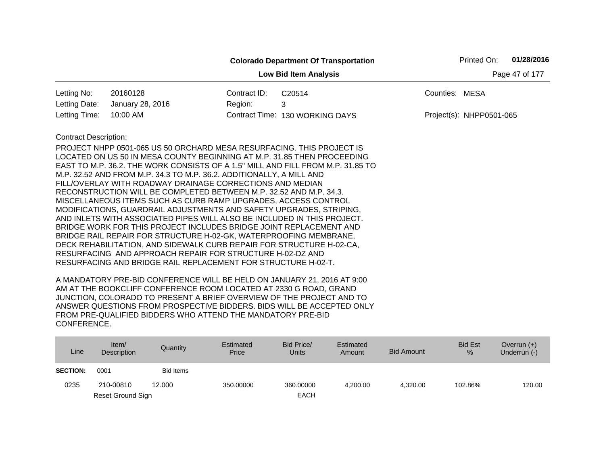|                                                |                                                                                                                                                                                                                                                                                                                                                                                                                                                                                                                                                                                                                                                                                                                                                                                                                                                                                                                                                                                                                     |              | <b>Colorado Department Of Transportation</b> |                | Printed On:              | 01/28/2016 |  |  |
|------------------------------------------------|---------------------------------------------------------------------------------------------------------------------------------------------------------------------------------------------------------------------------------------------------------------------------------------------------------------------------------------------------------------------------------------------------------------------------------------------------------------------------------------------------------------------------------------------------------------------------------------------------------------------------------------------------------------------------------------------------------------------------------------------------------------------------------------------------------------------------------------------------------------------------------------------------------------------------------------------------------------------------------------------------------------------|--------------|----------------------------------------------|----------------|--------------------------|------------|--|--|
| Page 47 of 177<br><b>Low Bid Item Analysis</b> |                                                                                                                                                                                                                                                                                                                                                                                                                                                                                                                                                                                                                                                                                                                                                                                                                                                                                                                                                                                                                     |              |                                              |                |                          |            |  |  |
| Letting No:                                    | 20160128                                                                                                                                                                                                                                                                                                                                                                                                                                                                                                                                                                                                                                                                                                                                                                                                                                                                                                                                                                                                            | Contract ID: | C20514                                       | Counties: MESA |                          |            |  |  |
| Letting Date:                                  | January 28, 2016                                                                                                                                                                                                                                                                                                                                                                                                                                                                                                                                                                                                                                                                                                                                                                                                                                                                                                                                                                                                    | Region:      | 3                                            |                |                          |            |  |  |
| Letting Time:                                  | 10:00 AM                                                                                                                                                                                                                                                                                                                                                                                                                                                                                                                                                                                                                                                                                                                                                                                                                                                                                                                                                                                                            |              | Contract Time: 130 WORKING DAYS              |                | Project(s): NHPP0501-065 |            |  |  |
| <b>Contract Description:</b>                   | PROJECT NHPP 0501-065 US 50 ORCHARD MESA RESURFACING. THIS PROJECT IS<br>LOCATED ON US 50 IN MESA COUNTY BEGINNING AT M.P. 31.85 THEN PROCEEDING<br>EAST TO M.P. 36.2. THE WORK CONSISTS OF A 1.5" MILL AND FILL FROM M.P. 31.85 TO<br>M.P. 32.52 AND FROM M.P. 34.3 TO M.P. 36.2. ADDITIONALLY, A MILL AND<br>FILL/OVERLAY WITH ROADWAY DRAINAGE CORRECTIONS AND MEDIAN<br>RECONSTRUCTION WILL BE COMPLETED BETWEEN M.P. 32.52 AND M.P. 34.3.<br>MISCELLANEOUS ITEMS SUCH AS CURB RAMP UPGRADES, ACCESS CONTROL<br>MODIFICATIONS, GUARDRAIL ADJUSTMENTS AND SAFETY UPGRADES, STRIPING,<br>AND INLETS WITH ASSOCIATED PIPES WILL ALSO BE INCLUDED IN THIS PROJECT.<br>BRIDGE WORK FOR THIS PROJECT INCLUDES BRIDGE JOINT REPLACEMENT AND<br>BRIDGE RAIL REPAIR FOR STRUCTURE H-02-GK, WATERPROOFING MEMBRANE,<br>DECK REHABILITATION, AND SIDEWALK CURB REPAIR FOR STRUCTURE H-02-CA,<br>RESURFACING AND APPROACH REPAIR FOR STRUCTURE H-02-DZ AND<br>RESURFACING AND BRIDGE RAIL REPLACEMENT FOR STRUCTURE H-02-T. |              |                                              |                |                          |            |  |  |

| Line            | Item/<br>Description | Quantity         | Estimated<br>Price | Bid Price/<br><b>Units</b> | Estimated<br>Amount | Bid Amount | <b>Bid Est</b><br>$\%$ | Overrun $(+)$<br>Underrun (-) |
|-----------------|----------------------|------------------|--------------------|----------------------------|---------------------|------------|------------------------|-------------------------------|
| <b>SECTION:</b> | 0001                 | <b>Bid Items</b> |                    |                            |                     |            |                        |                               |
| 0235            | 210-00810            | 12.000           | 350,00000          | 360,00000                  | 4.200.00            | 4.320.00   | 102.86%                | 120.00                        |
|                 | Reset Ground Sign    |                  |                    | <b>EACH</b>                |                     |            |                        |                               |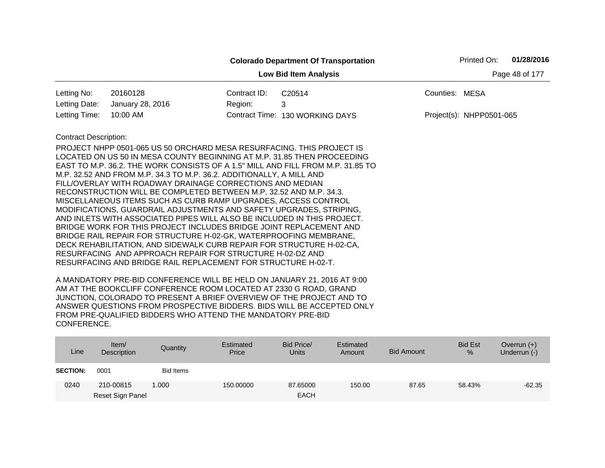|                                                |                                                                                                                                                                                                                                                                                                                                                                                                                                                                                                                                                                                                                                                                                                                                                                                                                                                                                                                                                                                                                     |              | <b>Colorado Department Of Transportation</b> |                          | Printed On: | 01/28/2016 |  |  |
|------------------------------------------------|---------------------------------------------------------------------------------------------------------------------------------------------------------------------------------------------------------------------------------------------------------------------------------------------------------------------------------------------------------------------------------------------------------------------------------------------------------------------------------------------------------------------------------------------------------------------------------------------------------------------------------------------------------------------------------------------------------------------------------------------------------------------------------------------------------------------------------------------------------------------------------------------------------------------------------------------------------------------------------------------------------------------|--------------|----------------------------------------------|--------------------------|-------------|------------|--|--|
| Page 48 of 177<br><b>Low Bid Item Analysis</b> |                                                                                                                                                                                                                                                                                                                                                                                                                                                                                                                                                                                                                                                                                                                                                                                                                                                                                                                                                                                                                     |              |                                              |                          |             |            |  |  |
| Letting No:                                    | 20160128                                                                                                                                                                                                                                                                                                                                                                                                                                                                                                                                                                                                                                                                                                                                                                                                                                                                                                                                                                                                            | Contract ID: | C20514                                       | Counties: MESA           |             |            |  |  |
| Letting Date:                                  | January 28, 2016                                                                                                                                                                                                                                                                                                                                                                                                                                                                                                                                                                                                                                                                                                                                                                                                                                                                                                                                                                                                    | Region:      | 3                                            |                          |             |            |  |  |
| Letting Time:                                  | 10:00 AM                                                                                                                                                                                                                                                                                                                                                                                                                                                                                                                                                                                                                                                                                                                                                                                                                                                                                                                                                                                                            |              | Contract Time: 130 WORKING DAYS              | Project(s): NHPP0501-065 |             |            |  |  |
| <b>Contract Description:</b>                   | PROJECT NHPP 0501-065 US 50 ORCHARD MESA RESURFACING. THIS PROJECT IS<br>LOCATED ON US 50 IN MESA COUNTY BEGINNING AT M.P. 31.85 THEN PROCEEDING<br>EAST TO M.P. 36.2. THE WORK CONSISTS OF A 1.5" MILL AND FILL FROM M.P. 31.85 TO<br>M.P. 32.52 AND FROM M.P. 34.3 TO M.P. 36.2. ADDITIONALLY, A MILL AND<br>FILL/OVERLAY WITH ROADWAY DRAINAGE CORRECTIONS AND MEDIAN<br>RECONSTRUCTION WILL BE COMPLETED BETWEEN M.P. 32.52 AND M.P. 34.3.<br>MISCELLANEOUS ITEMS SUCH AS CURB RAMP UPGRADES, ACCESS CONTROL<br>MODIFICATIONS, GUARDRAIL ADJUSTMENTS AND SAFETY UPGRADES, STRIPING,<br>AND INLETS WITH ASSOCIATED PIPES WILL ALSO BE INCLUDED IN THIS PROJECT.<br>BRIDGE WORK FOR THIS PROJECT INCLUDES BRIDGE JOINT REPLACEMENT AND<br>BRIDGE RAIL REPAIR FOR STRUCTURE H-02-GK, WATERPROOFING MEMBRANE,<br>DECK REHABILITATION, AND SIDEWALK CURB REPAIR FOR STRUCTURE H-02-CA,<br>RESURFACING AND APPROACH REPAIR FOR STRUCTURE H-02-DZ AND<br>RESURFACING AND BRIDGE RAIL REPLACEMENT FOR STRUCTURE H-02-T. |              |                                              |                          |             |            |  |  |

| Line            | Item $/$<br>Description | Quantity  | Estimated<br>Price | Bid Price/<br><b>Units</b> | Estimated<br>Amount | <b>Bid Amount</b> | <b>Bid Est</b><br>% | Overrun $(+)$<br>Underrun (-) |
|-----------------|-------------------------|-----------|--------------------|----------------------------|---------------------|-------------------|---------------------|-------------------------------|
| <b>SECTION:</b> | 0001                    | Bid Items |                    |                            |                     |                   |                     |                               |
| 0240            | 210-00815               | 1.000     | 150,00000          | 87.65000                   | 150.00              | 87.65             | 58.43%              | $-62.35$                      |
|                 | Reset Sign Panel        |           |                    | <b>EACH</b>                |                     |                   |                     |                               |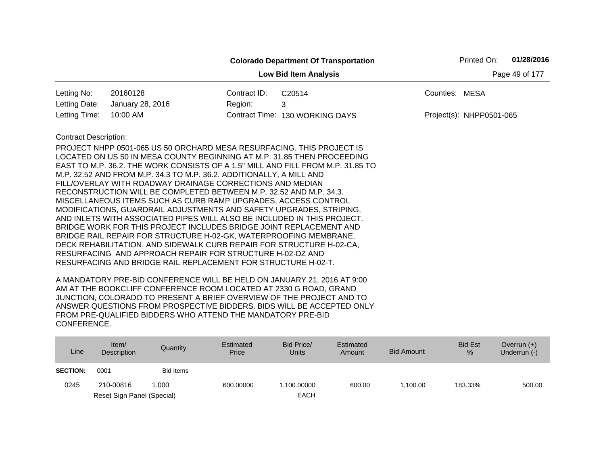|                                                |                                                                                 |              | <b>Colorado Department Of Transportation</b> |                | Printed On:              | 01/28/2016 |  |  |
|------------------------------------------------|---------------------------------------------------------------------------------|--------------|----------------------------------------------|----------------|--------------------------|------------|--|--|
| Page 49 of 177<br><b>Low Bid Item Analysis</b> |                                                                                 |              |                                              |                |                          |            |  |  |
| Letting No:                                    | 20160128                                                                        | Contract ID: | C20514                                       | Counties: MESA |                          |            |  |  |
| Letting Date:                                  | January 28, 2016                                                                | Region:      | 3                                            |                |                          |            |  |  |
| Letting Time:                                  | 10:00 AM                                                                        |              | Contract Time: 130 WORKING DAYS              |                | Project(s): NHPP0501-065 |            |  |  |
| <b>Contract Description:</b>                   |                                                                                 |              |                                              |                |                          |            |  |  |
|                                                | PROJECT NHPP 0501-065 US 50 ORCHARD MESA RESURFACING. THIS PROJECT IS           |              |                                              |                |                          |            |  |  |
|                                                | LOCATED ON US 50 IN MESA COUNTY BEGINNING AT M.P. 31.85 THEN PROCEEDING         |              |                                              |                |                          |            |  |  |
|                                                | EAST TO M.P. 36.2. THE WORK CONSISTS OF A 1.5" MILL AND FILL FROM M.P. 31.85 TO |              |                                              |                |                          |            |  |  |
|                                                | M.P. 32.52 AND FROM M.P. 34.3 TO M.P. 36.2. ADDITIONALLY, A MILL AND            |              |                                              |                |                          |            |  |  |
|                                                | FILL/OVERLAY WITH ROADWAY DRAINAGE CORRECTIONS AND MEDIAN                       |              |                                              |                |                          |            |  |  |
|                                                | RECONSTRUCTION WILL BE COMPLETED BETWEEN M.P. 32.52 AND M.P. 34.3.              |              |                                              |                |                          |            |  |  |
|                                                | MISCELLANEOUS ITEMS SUCH AS CURB RAMP UPGRADES, ACCESS CONTROL                  |              |                                              |                |                          |            |  |  |
|                                                | MODIFICATIONS, GUARDRAIL ADJUSTMENTS AND SAFETY UPGRADES, STRIPING,             |              |                                              |                |                          |            |  |  |
|                                                | AND INLETS WITH ASSOCIATED PIPES WILL ALSO BE INCLUDED IN THIS PROJECT.         |              |                                              |                |                          |            |  |  |
|                                                | BRIDGE WORK FOR THIS PROJECT INCLUDES BRIDGE JOINT REPLACEMENT AND              |              |                                              |                |                          |            |  |  |
|                                                | BRIDGE RAIL REPAIR FOR STRUCTURE H-02-GK, WATERPROOFING MEMBRANE,               |              |                                              |                |                          |            |  |  |
|                                                | DECK REHABILITATION, AND SIDEWALK CURB REPAIR FOR STRUCTURE H-02-CA,            |              |                                              |                |                          |            |  |  |
|                                                | RESURFACING AND APPROACH REPAIR FOR STRUCTURE H-02-DZ AND                       |              |                                              |                |                          |            |  |  |
|                                                | RESURFACING AND BRIDGE RAIL REPLACEMENT FOR STRUCTURE H-02-T.                   |              |                                              |                |                          |            |  |  |

| Line            | Item/<br>Description       | Quantity         | Estimated<br>Price | Bid Price/<br><b>Units</b> | Estimated<br>Amount | <b>Bid Amount</b> | <b>Bid Est</b><br>% | Overrun $(+)$<br>Underrun (-) |
|-----------------|----------------------------|------------------|--------------------|----------------------------|---------------------|-------------------|---------------------|-------------------------------|
| <b>SECTION:</b> | 0001                       | <b>Bid Items</b> |                    |                            |                     |                   |                     |                               |
| 0245            | 210-00816                  | 1.000            | 600.00000          | .100.00000                 | 600.00              | 1.100.00          | 183.33%             | 500.00                        |
|                 | Reset Sign Panel (Special) |                  |                    | <b>EACH</b>                |                     |                   |                     |                               |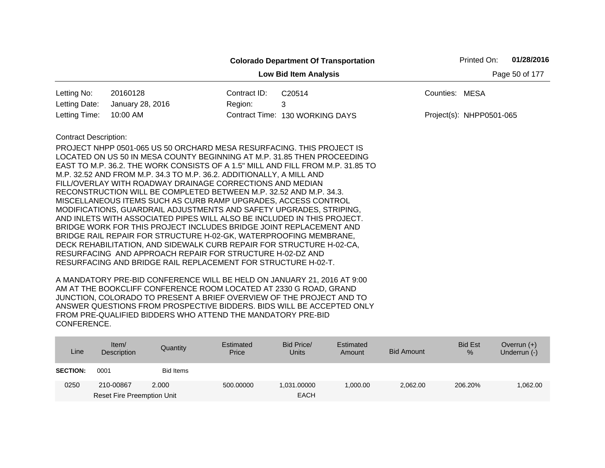| 01/28/2016<br>Printed On:<br><b>Colorado Department Of Transportation</b> |                                                                                                                                                                                                                                                                                                                                                                                                                                                                                                                                                                                                                                                                                                                                                                                                                                                                                                                                                                                                                     |              |                                 |                          |  |  |  |  |
|---------------------------------------------------------------------------|---------------------------------------------------------------------------------------------------------------------------------------------------------------------------------------------------------------------------------------------------------------------------------------------------------------------------------------------------------------------------------------------------------------------------------------------------------------------------------------------------------------------------------------------------------------------------------------------------------------------------------------------------------------------------------------------------------------------------------------------------------------------------------------------------------------------------------------------------------------------------------------------------------------------------------------------------------------------------------------------------------------------|--------------|---------------------------------|--------------------------|--|--|--|--|
| Page 50 of 177<br><b>Low Bid Item Analysis</b>                            |                                                                                                                                                                                                                                                                                                                                                                                                                                                                                                                                                                                                                                                                                                                                                                                                                                                                                                                                                                                                                     |              |                                 |                          |  |  |  |  |
| Letting No:                                                               | 20160128                                                                                                                                                                                                                                                                                                                                                                                                                                                                                                                                                                                                                                                                                                                                                                                                                                                                                                                                                                                                            | Contract ID: | C20514                          | Counties: MESA           |  |  |  |  |
| Letting Date:                                                             | January 28, 2016                                                                                                                                                                                                                                                                                                                                                                                                                                                                                                                                                                                                                                                                                                                                                                                                                                                                                                                                                                                                    | Region:      | 3                               |                          |  |  |  |  |
| Letting Time:                                                             | 10:00 AM                                                                                                                                                                                                                                                                                                                                                                                                                                                                                                                                                                                                                                                                                                                                                                                                                                                                                                                                                                                                            |              | Contract Time: 130 WORKING DAYS | Project(s): NHPP0501-065 |  |  |  |  |
| <b>Contract Description:</b>                                              | PROJECT NHPP 0501-065 US 50 ORCHARD MESA RESURFACING. THIS PROJECT IS<br>LOCATED ON US 50 IN MESA COUNTY BEGINNING AT M.P. 31.85 THEN PROCEEDING<br>EAST TO M.P. 36.2. THE WORK CONSISTS OF A 1.5" MILL AND FILL FROM M.P. 31.85 TO<br>M.P. 32.52 AND FROM M.P. 34.3 TO M.P. 36.2. ADDITIONALLY, A MILL AND<br>FILL/OVERLAY WITH ROADWAY DRAINAGE CORRECTIONS AND MEDIAN<br>RECONSTRUCTION WILL BE COMPLETED BETWEEN M.P. 32.52 AND M.P. 34.3.<br>MISCELLANEOUS ITEMS SUCH AS CURB RAMP UPGRADES, ACCESS CONTROL<br>MODIFICATIONS, GUARDRAIL ADJUSTMENTS AND SAFETY UPGRADES, STRIPING,<br>AND INLETS WITH ASSOCIATED PIPES WILL ALSO BE INCLUDED IN THIS PROJECT.<br>BRIDGE WORK FOR THIS PROJECT INCLUDES BRIDGE JOINT REPLACEMENT AND<br>BRIDGE RAIL REPAIR FOR STRUCTURE H-02-GK, WATERPROOFING MEMBRANE,<br>DECK REHABILITATION, AND SIDEWALK CURB REPAIR FOR STRUCTURE H-02-CA,<br>RESURFACING AND APPROACH REPAIR FOR STRUCTURE H-02-DZ AND<br>RESURFACING AND BRIDGE RAIL REPLACEMENT FOR STRUCTURE H-02-T. |              |                                 |                          |  |  |  |  |

| Line            | Item/<br>Description              | Quantity  | Estimated<br>Price | Bid Price/<br><b>Units</b> | Estimated<br>Amount | Bid Amount | <b>Bid Est</b><br>% | Overrun $(+)$<br>Underrun (-) |
|-----------------|-----------------------------------|-----------|--------------------|----------------------------|---------------------|------------|---------------------|-------------------------------|
| <b>SECTION:</b> | 0001                              | Bid Items |                    |                            |                     |            |                     |                               |
| 0250            | 210-00867                         | 2.000     | 500.00000          | 1,031.00000                | 1,000.00            | 2,062.00   | 206.20%             | 1,062.00                      |
|                 | <b>Reset Fire Preemption Unit</b> |           |                    | <b>EACH</b>                |                     |            |                     |                               |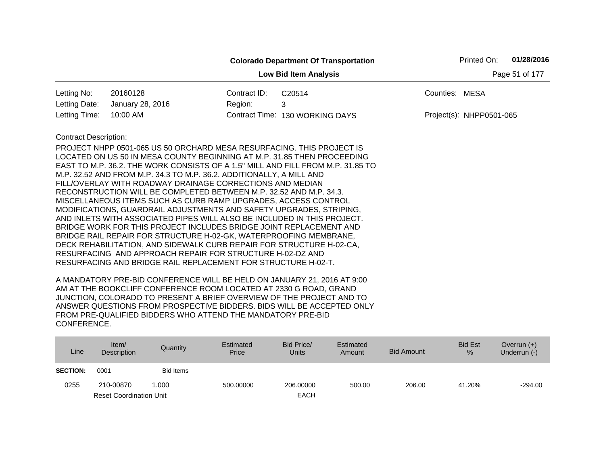|                              |                                                                                                                                   |              | <b>Colorado Department Of Transportation</b>                                    |                | Printed On:              | 01/28/2016     |
|------------------------------|-----------------------------------------------------------------------------------------------------------------------------------|--------------|---------------------------------------------------------------------------------|----------------|--------------------------|----------------|
|                              |                                                                                                                                   |              | <b>Low Bid Item Analysis</b>                                                    |                |                          | Page 51 of 177 |
| Letting No:                  | 20160128                                                                                                                          | Contract ID: | C20514                                                                          | Counties: MESA |                          |                |
| Letting Date:                | January 28, 2016                                                                                                                  | Region:      | 3                                                                               |                |                          |                |
| Letting Time:                | 10:00 AM                                                                                                                          |              | Contract Time: 130 WORKING DAYS                                                 |                | Project(s): NHPP0501-065 |                |
| <b>Contract Description:</b> |                                                                                                                                   |              |                                                                                 |                |                          |                |
|                              | PROJECT NHPP 0501-065 US 50 ORCHARD MESA RESURFACING. THIS PROJECT IS                                                             |              |                                                                                 |                |                          |                |
|                              | LOCATED ON US 50 IN MESA COUNTY BEGINNING AT M.P. 31.85 THEN PROCEEDING                                                           |              |                                                                                 |                |                          |                |
|                              |                                                                                                                                   |              | EAST TO M.P. 36.2. THE WORK CONSISTS OF A 1.5" MILL AND FILL FROM M.P. 31.85 TO |                |                          |                |
|                              | M.P. 32.52 AND FROM M.P. 34.3 TO M.P. 36.2. ADDITIONALLY, A MILL AND                                                              |              |                                                                                 |                |                          |                |
|                              | FILL/OVERLAY WITH ROADWAY DRAINAGE CORRECTIONS AND MEDIAN                                                                         |              |                                                                                 |                |                          |                |
|                              | RECONSTRUCTION WILL BE COMPLETED BETWEEN M.P. 32.52 AND M.P. 34.3.                                                                |              |                                                                                 |                |                          |                |
|                              | MISCELLANEOUS ITEMS SUCH AS CURB RAMP UPGRADES, ACCESS CONTROL                                                                    |              |                                                                                 |                |                          |                |
|                              | MODIFICATIONS, GUARDRAIL ADJUSTMENTS AND SAFETY UPGRADES, STRIPING,                                                               |              |                                                                                 |                |                          |                |
|                              | AND INLETS WITH ASSOCIATED PIPES WILL ALSO BE INCLUDED IN THIS PROJECT.                                                           |              |                                                                                 |                |                          |                |
|                              | BRIDGE WORK FOR THIS PROJECT INCLUDES BRIDGE JOINT REPLACEMENT AND                                                                |              |                                                                                 |                |                          |                |
|                              | BRIDGE RAIL REPAIR FOR STRUCTURE H-02-GK, WATERPROOFING MEMBRANE,                                                                 |              |                                                                                 |                |                          |                |
|                              | DECK REHABILITATION, AND SIDEWALK CURB REPAIR FOR STRUCTURE H-02-CA,<br>RESURFACING AND APPROACH REPAIR FOR STRUCTURE H-02-DZ AND |              |                                                                                 |                |                          |                |
|                              | RESURFACING AND BRIDGE RAIL REPLACEMENT FOR STRUCTURE H-02-T.                                                                     |              |                                                                                 |                |                          |                |
|                              |                                                                                                                                   |              |                                                                                 |                |                          |                |

| Line            | Item $/$<br>Description        | Quantity         | Estimated<br>Price | Bid Price/<br><b>Units</b> | Estimated<br>Amount | Bid Amount | <b>Bid Est</b><br>% | Overrun $(+)$<br>Underrun (-) |
|-----------------|--------------------------------|------------------|--------------------|----------------------------|---------------------|------------|---------------------|-------------------------------|
| <b>SECTION:</b> | 0001                           | <b>Bid Items</b> |                    |                            |                     |            |                     |                               |
| 0255            | 210-00870                      | 1.000            | 500.00000          | 206.00000                  | 500.00              | 206.00     | 41.20%              | $-294.00$                     |
|                 | <b>Reset Coordination Unit</b> |                  |                    | <b>EACH</b>                |                     |            |                     |                               |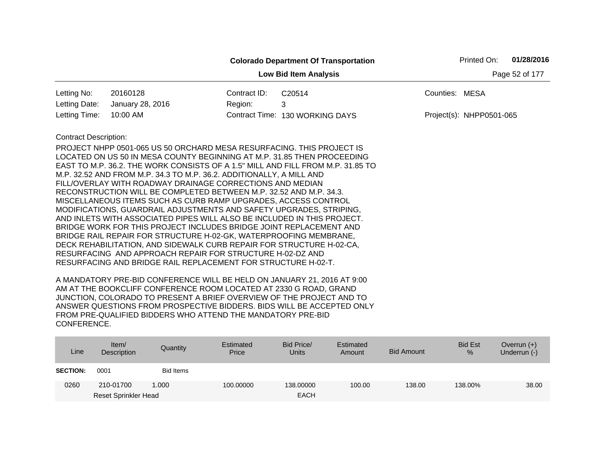| 01/28/2016<br>Printed On:<br><b>Colorado Department Of Transportation</b> |                                                                                                                                                                                                                                                                                                                                                                                                                                                                                                                                                                                                                                                                                                                                                                                                                                                                                                                                                                                                                     |              |                                 |                          |  |  |  |  |
|---------------------------------------------------------------------------|---------------------------------------------------------------------------------------------------------------------------------------------------------------------------------------------------------------------------------------------------------------------------------------------------------------------------------------------------------------------------------------------------------------------------------------------------------------------------------------------------------------------------------------------------------------------------------------------------------------------------------------------------------------------------------------------------------------------------------------------------------------------------------------------------------------------------------------------------------------------------------------------------------------------------------------------------------------------------------------------------------------------|--------------|---------------------------------|--------------------------|--|--|--|--|
| Page 52 of 177<br><b>Low Bid Item Analysis</b>                            |                                                                                                                                                                                                                                                                                                                                                                                                                                                                                                                                                                                                                                                                                                                                                                                                                                                                                                                                                                                                                     |              |                                 |                          |  |  |  |  |
| Letting No:                                                               | 20160128                                                                                                                                                                                                                                                                                                                                                                                                                                                                                                                                                                                                                                                                                                                                                                                                                                                                                                                                                                                                            | Contract ID: | C20514                          | Counties: MESA           |  |  |  |  |
| Letting Date:                                                             | January 28, 2016                                                                                                                                                                                                                                                                                                                                                                                                                                                                                                                                                                                                                                                                                                                                                                                                                                                                                                                                                                                                    | Region:      | 3                               |                          |  |  |  |  |
| Letting Time:                                                             | 10:00 AM                                                                                                                                                                                                                                                                                                                                                                                                                                                                                                                                                                                                                                                                                                                                                                                                                                                                                                                                                                                                            |              | Contract Time: 130 WORKING DAYS | Project(s): NHPP0501-065 |  |  |  |  |
| <b>Contract Description:</b>                                              | PROJECT NHPP 0501-065 US 50 ORCHARD MESA RESURFACING. THIS PROJECT IS<br>LOCATED ON US 50 IN MESA COUNTY BEGINNING AT M.P. 31.85 THEN PROCEEDING<br>EAST TO M.P. 36.2. THE WORK CONSISTS OF A 1.5" MILL AND FILL FROM M.P. 31.85 TO<br>M.P. 32.52 AND FROM M.P. 34.3 TO M.P. 36.2. ADDITIONALLY, A MILL AND<br>FILL/OVERLAY WITH ROADWAY DRAINAGE CORRECTIONS AND MEDIAN<br>RECONSTRUCTION WILL BE COMPLETED BETWEEN M.P. 32.52 AND M.P. 34.3.<br>MISCELLANEOUS ITEMS SUCH AS CURB RAMP UPGRADES, ACCESS CONTROL<br>MODIFICATIONS, GUARDRAIL ADJUSTMENTS AND SAFETY UPGRADES, STRIPING,<br>AND INLETS WITH ASSOCIATED PIPES WILL ALSO BE INCLUDED IN THIS PROJECT.<br>BRIDGE WORK FOR THIS PROJECT INCLUDES BRIDGE JOINT REPLACEMENT AND<br>BRIDGE RAIL REPAIR FOR STRUCTURE H-02-GK, WATERPROOFING MEMBRANE,<br>DECK REHABILITATION, AND SIDEWALK CURB REPAIR FOR STRUCTURE H-02-CA,<br>RESURFACING AND APPROACH REPAIR FOR STRUCTURE H-02-DZ AND<br>RESURFACING AND BRIDGE RAIL REPLACEMENT FOR STRUCTURE H-02-T. |              |                                 |                          |  |  |  |  |

| Line            | Item/<br>Description        | Quantity  | Estimated<br>Price | Bid Price/<br><b>Units</b> | Estimated<br>Amount | <b>Bid Amount</b> | <b>Bid Est</b><br>% | Overrun $(+)$<br>Underrun (-) |
|-----------------|-----------------------------|-----------|--------------------|----------------------------|---------------------|-------------------|---------------------|-------------------------------|
| <b>SECTION:</b> | 0001                        | Bid Items |                    |                            |                     |                   |                     |                               |
| 0260            | 210-01700                   | 1.000     | 100.00000          | 138.00000                  | 100.00              | 138.00            | 138.00%             | 38.00                         |
|                 | <b>Reset Sprinkler Head</b> |           |                    | <b>EACH</b>                |                     |                   |                     |                               |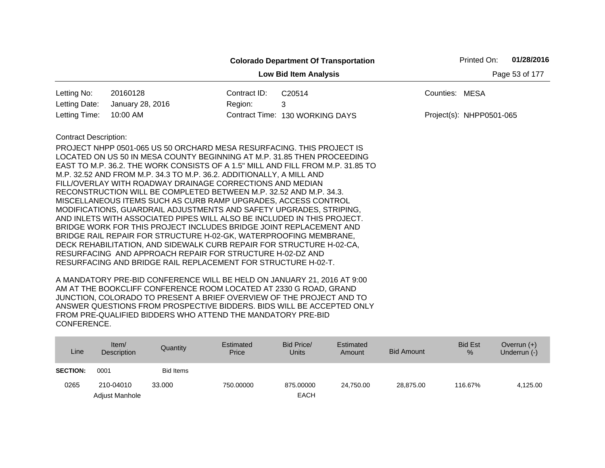|                                                |                                                                                                                                                                                                                                                                                                                                                                                                                                                                                                                                                                                                                                                                                                                                                                                                                                                                                                                                                                                                                     |              | <b>Colorado Department Of Transportation</b> |                | Printed On:              | 01/28/2016 |  |  |
|------------------------------------------------|---------------------------------------------------------------------------------------------------------------------------------------------------------------------------------------------------------------------------------------------------------------------------------------------------------------------------------------------------------------------------------------------------------------------------------------------------------------------------------------------------------------------------------------------------------------------------------------------------------------------------------------------------------------------------------------------------------------------------------------------------------------------------------------------------------------------------------------------------------------------------------------------------------------------------------------------------------------------------------------------------------------------|--------------|----------------------------------------------|----------------|--------------------------|------------|--|--|
| Page 53 of 177<br><b>Low Bid Item Analysis</b> |                                                                                                                                                                                                                                                                                                                                                                                                                                                                                                                                                                                                                                                                                                                                                                                                                                                                                                                                                                                                                     |              |                                              |                |                          |            |  |  |
| Letting No:                                    | 20160128                                                                                                                                                                                                                                                                                                                                                                                                                                                                                                                                                                                                                                                                                                                                                                                                                                                                                                                                                                                                            | Contract ID: | C20514                                       | Counties: MESA |                          |            |  |  |
| Letting Date:                                  | January 28, 2016                                                                                                                                                                                                                                                                                                                                                                                                                                                                                                                                                                                                                                                                                                                                                                                                                                                                                                                                                                                                    | Region:      | 3                                            |                |                          |            |  |  |
| Letting Time:                                  | 10:00 AM                                                                                                                                                                                                                                                                                                                                                                                                                                                                                                                                                                                                                                                                                                                                                                                                                                                                                                                                                                                                            |              | Contract Time: 130 WORKING DAYS              |                | Project(s): NHPP0501-065 |            |  |  |
| <b>Contract Description:</b>                   | PROJECT NHPP 0501-065 US 50 ORCHARD MESA RESURFACING. THIS PROJECT IS<br>LOCATED ON US 50 IN MESA COUNTY BEGINNING AT M.P. 31.85 THEN PROCEEDING<br>EAST TO M.P. 36.2. THE WORK CONSISTS OF A 1.5" MILL AND FILL FROM M.P. 31.85 TO<br>M.P. 32.52 AND FROM M.P. 34.3 TO M.P. 36.2. ADDITIONALLY, A MILL AND<br>FILL/OVERLAY WITH ROADWAY DRAINAGE CORRECTIONS AND MEDIAN<br>RECONSTRUCTION WILL BE COMPLETED BETWEEN M.P. 32.52 AND M.P. 34.3.<br>MISCELLANEOUS ITEMS SUCH AS CURB RAMP UPGRADES, ACCESS CONTROL<br>MODIFICATIONS, GUARDRAIL ADJUSTMENTS AND SAFETY UPGRADES, STRIPING,<br>AND INLETS WITH ASSOCIATED PIPES WILL ALSO BE INCLUDED IN THIS PROJECT.<br>BRIDGE WORK FOR THIS PROJECT INCLUDES BRIDGE JOINT REPLACEMENT AND<br>BRIDGE RAIL REPAIR FOR STRUCTURE H-02-GK, WATERPROOFING MEMBRANE,<br>DECK REHABILITATION, AND SIDEWALK CURB REPAIR FOR STRUCTURE H-02-CA,<br>RESURFACING AND APPROACH REPAIR FOR STRUCTURE H-02-DZ AND<br>RESURFACING AND BRIDGE RAIL REPLACEMENT FOR STRUCTURE H-02-T. |              |                                              |                |                          |            |  |  |

| Line            | Item $/$<br><b>Description</b> | Quantity  | Estimated<br>Price | Bid Price/<br><b>Units</b> | Estimated<br>Amount | <b>Bid Amount</b> | <b>Bid Est</b><br>% | Overrun $(+)$<br>Underrun (-) |
|-----------------|--------------------------------|-----------|--------------------|----------------------------|---------------------|-------------------|---------------------|-------------------------------|
| <b>SECTION:</b> | 0001                           | Bid Items |                    |                            |                     |                   |                     |                               |
| 0265            | 210-04010                      | 33,000    | 750,00000          | 875,00000                  | 24.750.00           | 28.875.00         | 116.67%             | 4,125.00                      |
|                 | Adjust Manhole                 |           |                    | <b>EACH</b>                |                     |                   |                     |                               |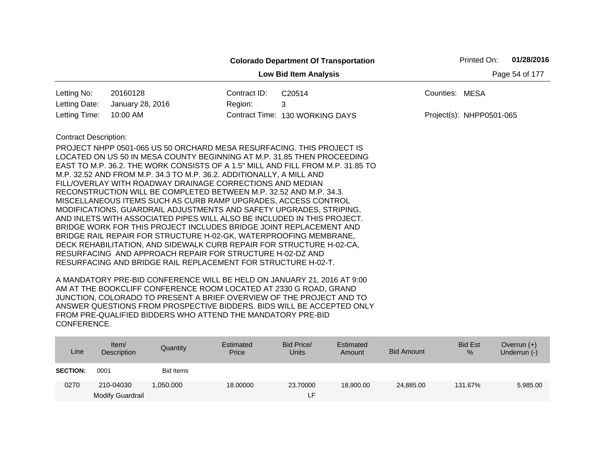|                              |                                                                                                                                                                                                                                                                                                                                                                                                                                                                                                                                                                                                                                                                    |              | <b>Colorado Department Of Transportation</b> |                          | Printed On: | 01/28/2016 |  |  |  |
|------------------------------|--------------------------------------------------------------------------------------------------------------------------------------------------------------------------------------------------------------------------------------------------------------------------------------------------------------------------------------------------------------------------------------------------------------------------------------------------------------------------------------------------------------------------------------------------------------------------------------------------------------------------------------------------------------------|--------------|----------------------------------------------|--------------------------|-------------|------------|--|--|--|
|                              | <b>Low Bid Item Analysis</b><br>Page 54 of 177                                                                                                                                                                                                                                                                                                                                                                                                                                                                                                                                                                                                                     |              |                                              |                          |             |            |  |  |  |
| Letting No:                  | 20160128                                                                                                                                                                                                                                                                                                                                                                                                                                                                                                                                                                                                                                                           | Contract ID: | C20514                                       | Counties: MESA           |             |            |  |  |  |
| Letting Date:                | January 28, 2016                                                                                                                                                                                                                                                                                                                                                                                                                                                                                                                                                                                                                                                   | Region:      | 3                                            |                          |             |            |  |  |  |
| Letting Time:                | 10:00 AM                                                                                                                                                                                                                                                                                                                                                                                                                                                                                                                                                                                                                                                           |              | Contract Time: 130 WORKING DAYS              | Project(s): NHPP0501-065 |             |            |  |  |  |
| <b>Contract Description:</b> |                                                                                                                                                                                                                                                                                                                                                                                                                                                                                                                                                                                                                                                                    |              |                                              |                          |             |            |  |  |  |
|                              | PROJECT NHPP 0501-065 US 50 ORCHARD MESA RESURFACING. THIS PROJECT IS<br>LOCATED ON US 50 IN MESA COUNTY BEGINNING AT M.P. 31.85 THEN PROCEEDING<br>EAST TO M.P. 36.2. THE WORK CONSISTS OF A 1.5" MILL AND FILL FROM M.P. 31.85 TO<br>M.P. 32.52 AND FROM M.P. 34.3 TO M.P. 36.2. ADDITIONALLY, A MILL AND<br>FILL/OVERLAY WITH ROADWAY DRAINAGE CORRECTIONS AND MEDIAN<br>RECONSTRUCTION WILL BE COMPLETED BETWEEN M.P. 32.52 AND M.P. 34.3.<br>MISCELLANEOUS ITEMS SUCH AS CURB RAMP UPGRADES, ACCESS CONTROL<br>MODIFICATIONS, GUARDRAIL ADJUSTMENTS AND SAFETY UPGRADES, STRIPING,<br>AND INLETS WITH ASSOCIATED PIPES WILL ALSO BE INCLUDED IN THIS PROJECT. |              |                                              |                          |             |            |  |  |  |
|                              | BRIDGE WORK FOR THIS PROJECT INCLUDES BRIDGE JOINT REPLACEMENT AND<br>BRIDGE RAIL REPAIR FOR STRUCTURE H-02-GK, WATERPROOFING MEMBRANE,<br>DECK REHABILITATION, AND SIDEWALK CURB REPAIR FOR STRUCTURE H-02-CA,<br>RESURFACING AND APPROACH REPAIR FOR STRUCTURE H-02-DZ AND<br>RESURFACING AND BRIDGE RAIL REPLACEMENT FOR STRUCTURE H-02-T.                                                                                                                                                                                                                                                                                                                      |              |                                              |                          |             |            |  |  |  |

| Line            | Item/<br>Description    | Quantity         | Estimated<br>Price | Bid Price/<br><b>Units</b> | Estimated<br>Amount | <b>Bid Amount</b> | <b>Bid Est</b><br>% | Overrun $(+)$<br>Underrun (-) |
|-----------------|-------------------------|------------------|--------------------|----------------------------|---------------------|-------------------|---------------------|-------------------------------|
| <b>SECTION:</b> | 0001                    | <b>Bid Items</b> |                    |                            |                     |                   |                     |                               |
| 0270            | 210-04030               | 1.050.000        | 18,00000           | 23.70000                   | 18,900,00           | 24,885.00         | 131.67%             | 5,985.00                      |
|                 | <b>Modify Guardrail</b> |                  |                    | ᄃ                          |                     |                   |                     |                               |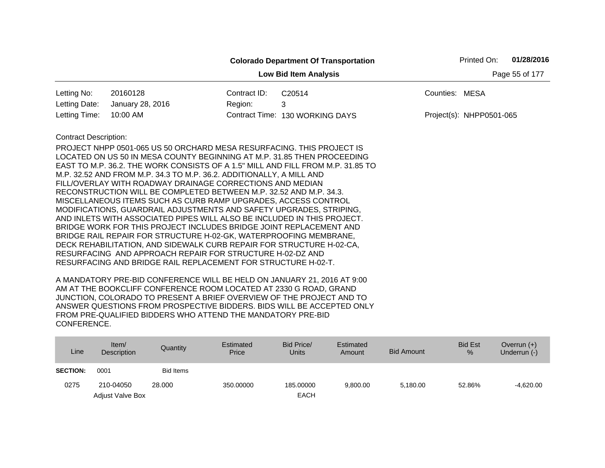|                                                |                                                                                                                                                         |              | <b>Colorado Department Of Transportation</b> |                | Printed On:              | 01/28/2016 |  |  |
|------------------------------------------------|---------------------------------------------------------------------------------------------------------------------------------------------------------|--------------|----------------------------------------------|----------------|--------------------------|------------|--|--|
| <b>Low Bid Item Analysis</b><br>Page 55 of 177 |                                                                                                                                                         |              |                                              |                |                          |            |  |  |
| Letting No:                                    | 20160128                                                                                                                                                | Contract ID: | C20514                                       | Counties: MESA |                          |            |  |  |
| Letting Date:                                  | January 28, 2016                                                                                                                                        | Region:      | 3                                            |                |                          |            |  |  |
| Letting Time:                                  | 10:00 AM                                                                                                                                                |              | Contract Time: 130 WORKING DAYS              |                | Project(s): NHPP0501-065 |            |  |  |
| <b>Contract Description:</b>                   |                                                                                                                                                         |              |                                              |                |                          |            |  |  |
|                                                | PROJECT NHPP 0501-065 US 50 ORCHARD MESA RESURFACING. THIS PROJECT IS                                                                                   |              |                                              |                |                          |            |  |  |
|                                                | LOCATED ON US 50 IN MESA COUNTY BEGINNING AT M.P. 31.85 THEN PROCEEDING                                                                                 |              |                                              |                |                          |            |  |  |
|                                                | EAST TO M.P. 36.2. THE WORK CONSISTS OF A 1.5" MILL AND FILL FROM M.P. 31.85 TO<br>M.P. 32.52 AND FROM M.P. 34.3 TO M.P. 36.2. ADDITIONALLY, A MILL AND |              |                                              |                |                          |            |  |  |
|                                                | FILL/OVERLAY WITH ROADWAY DRAINAGE CORRECTIONS AND MEDIAN                                                                                               |              |                                              |                |                          |            |  |  |
|                                                | RECONSTRUCTION WILL BE COMPLETED BETWEEN M.P. 32.52 AND M.P. 34.3.                                                                                      |              |                                              |                |                          |            |  |  |
|                                                | MISCELLANEOUS ITEMS SUCH AS CURB RAMP UPGRADES, ACCESS CONTROL                                                                                          |              |                                              |                |                          |            |  |  |
|                                                | MODIFICATIONS, GUARDRAIL ADJUSTMENTS AND SAFETY UPGRADES, STRIPING,                                                                                     |              |                                              |                |                          |            |  |  |
|                                                | AND INLETS WITH ASSOCIATED PIPES WILL ALSO BE INCLUDED IN THIS PROJECT.                                                                                 |              |                                              |                |                          |            |  |  |
|                                                | BRIDGE WORK FOR THIS PROJECT INCLUDES BRIDGE JOINT REPLACEMENT AND                                                                                      |              |                                              |                |                          |            |  |  |
|                                                | BRIDGE RAIL REPAIR FOR STRUCTURE H-02-GK, WATERPROOFING MEMBRANE,<br>DECK REHABILITATION, AND SIDEWALK CURB REPAIR FOR STRUCTURE H-02-CA,               |              |                                              |                |                          |            |  |  |
|                                                | RESURFACING AND APPROACH REPAIR FOR STRUCTURE H-02-DZ AND                                                                                               |              |                                              |                |                          |            |  |  |
|                                                | RESURFACING AND BRIDGE RAIL REPLACEMENT FOR STRUCTURE H-02-T.                                                                                           |              |                                              |                |                          |            |  |  |
|                                                |                                                                                                                                                         |              |                                              |                |                          |            |  |  |

| Line            | Item/<br>Description    | Quantity         | Estimated<br>Price | Bid Price/<br>Units | Estimated<br>Amount | Bid Amount | <b>Bid Est</b><br>$\%$ | Overrun $(+)$<br>Underrun (-) |
|-----------------|-------------------------|------------------|--------------------|---------------------|---------------------|------------|------------------------|-------------------------------|
| <b>SECTION:</b> | 0001                    | <b>Bid Items</b> |                    |                     |                     |            |                        |                               |
| 0275            | 210-04050               | 28,000           | 350,00000          | 185,00000           | 9.800.00            | 5.180.00   | 52.86%                 | $-4.620.00$                   |
|                 | <b>Adjust Valve Box</b> |                  |                    | <b>EACH</b>         |                     |            |                        |                               |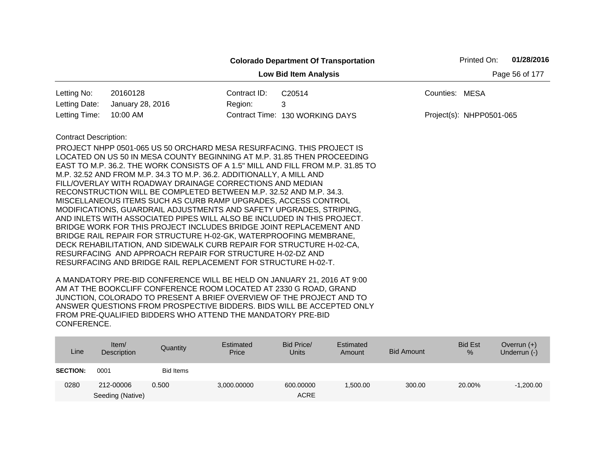|                                                |                                                                                                                                                                                                                                                                                                                                                                                                                                                                                                                                                                                                                                                                                                                                                                                                                                                                                                                                                                                                                     |              | <b>Colorado Department Of Transportation</b> |                          | Printed On: | 01/28/2016 |  |  |
|------------------------------------------------|---------------------------------------------------------------------------------------------------------------------------------------------------------------------------------------------------------------------------------------------------------------------------------------------------------------------------------------------------------------------------------------------------------------------------------------------------------------------------------------------------------------------------------------------------------------------------------------------------------------------------------------------------------------------------------------------------------------------------------------------------------------------------------------------------------------------------------------------------------------------------------------------------------------------------------------------------------------------------------------------------------------------|--------------|----------------------------------------------|--------------------------|-------------|------------|--|--|
| <b>Low Bid Item Analysis</b><br>Page 56 of 177 |                                                                                                                                                                                                                                                                                                                                                                                                                                                                                                                                                                                                                                                                                                                                                                                                                                                                                                                                                                                                                     |              |                                              |                          |             |            |  |  |
| Letting No:                                    | 20160128                                                                                                                                                                                                                                                                                                                                                                                                                                                                                                                                                                                                                                                                                                                                                                                                                                                                                                                                                                                                            | Contract ID: | C20514                                       | Counties: MESA           |             |            |  |  |
| Letting Date:                                  | January 28, 2016                                                                                                                                                                                                                                                                                                                                                                                                                                                                                                                                                                                                                                                                                                                                                                                                                                                                                                                                                                                                    | Region:      | 3                                            |                          |             |            |  |  |
| Letting Time:                                  | 10:00 AM                                                                                                                                                                                                                                                                                                                                                                                                                                                                                                                                                                                                                                                                                                                                                                                                                                                                                                                                                                                                            |              | Contract Time: 130 WORKING DAYS              | Project(s): NHPP0501-065 |             |            |  |  |
| <b>Contract Description:</b>                   | PROJECT NHPP 0501-065 US 50 ORCHARD MESA RESURFACING. THIS PROJECT IS<br>LOCATED ON US 50 IN MESA COUNTY BEGINNING AT M.P. 31.85 THEN PROCEEDING<br>EAST TO M.P. 36.2. THE WORK CONSISTS OF A 1.5" MILL AND FILL FROM M.P. 31.85 TO<br>M.P. 32.52 AND FROM M.P. 34.3 TO M.P. 36.2. ADDITIONALLY, A MILL AND<br>FILL/OVERLAY WITH ROADWAY DRAINAGE CORRECTIONS AND MEDIAN<br>RECONSTRUCTION WILL BE COMPLETED BETWEEN M.P. 32.52 AND M.P. 34.3.<br>MISCELLANEOUS ITEMS SUCH AS CURB RAMP UPGRADES, ACCESS CONTROL<br>MODIFICATIONS, GUARDRAIL ADJUSTMENTS AND SAFETY UPGRADES, STRIPING,<br>AND INLETS WITH ASSOCIATED PIPES WILL ALSO BE INCLUDED IN THIS PROJECT.<br>BRIDGE WORK FOR THIS PROJECT INCLUDES BRIDGE JOINT REPLACEMENT AND<br>BRIDGE RAIL REPAIR FOR STRUCTURE H-02-GK, WATERPROOFING MEMBRANE,<br>DECK REHABILITATION, AND SIDEWALK CURB REPAIR FOR STRUCTURE H-02-CA,<br>RESURFACING AND APPROACH REPAIR FOR STRUCTURE H-02-DZ AND<br>RESURFACING AND BRIDGE RAIL REPLACEMENT FOR STRUCTURE H-02-T. |              |                                              |                          |             |            |  |  |

| Line            | Item/<br>Description | Quantity  | Estimated<br>Price | Bid Price/<br><b>Units</b> | Estimated<br>Amount | Bid Amount | <b>Bid Est</b><br>% | Overrun $(+)$<br>Underrun (-) |
|-----------------|----------------------|-----------|--------------------|----------------------------|---------------------|------------|---------------------|-------------------------------|
| <b>SECTION:</b> | 0001                 | Bid Items |                    |                            |                     |            |                     |                               |
| 0280            | 212-00006            | 0.500     | 3,000.00000        | 600.00000                  | ,500.00             | 300.00     | 20.00%              | $-1,200.00$                   |
|                 | Seeding (Native)     |           |                    | <b>ACRE</b>                |                     |            |                     |                               |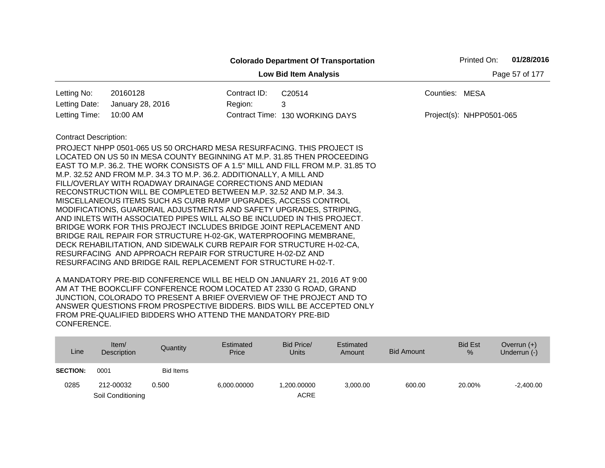|                                                                                               |                                                                                                                                                                                                                                                                                                                                                                                                                                                                                                                                                                                                                                                                                                                                                                                                                                                                                                                                                    | <b>Colorado Department Of Transportation</b> |                | Printed On:              | 01/28/2016     |
|-----------------------------------------------------------------------------------------------|----------------------------------------------------------------------------------------------------------------------------------------------------------------------------------------------------------------------------------------------------------------------------------------------------------------------------------------------------------------------------------------------------------------------------------------------------------------------------------------------------------------------------------------------------------------------------------------------------------------------------------------------------------------------------------------------------------------------------------------------------------------------------------------------------------------------------------------------------------------------------------------------------------------------------------------------------|----------------------------------------------|----------------|--------------------------|----------------|
|                                                                                               |                                                                                                                                                                                                                                                                                                                                                                                                                                                                                                                                                                                                                                                                                                                                                                                                                                                                                                                                                    | <b>Low Bid Item Analysis</b>                 |                |                          | Page 57 of 177 |
| 20160128<br>Letting No:                                                                       | Contract ID:                                                                                                                                                                                                                                                                                                                                                                                                                                                                                                                                                                                                                                                                                                                                                                                                                                                                                                                                       | C20514                                       | Counties: MESA |                          |                |
| Letting Date:<br>January 28, 2016                                                             | Region:                                                                                                                                                                                                                                                                                                                                                                                                                                                                                                                                                                                                                                                                                                                                                                                                                                                                                                                                            | 3                                            |                |                          |                |
| 10:00 AM<br>Letting Time:                                                                     |                                                                                                                                                                                                                                                                                                                                                                                                                                                                                                                                                                                                                                                                                                                                                                                                                                                                                                                                                    | Contract Time: 130 WORKING DAYS              |                | Project(s): NHPP0501-065 |                |
| <b>Contract Description:</b><br>RESURFACING AND BRIDGE RAIL REPLACEMENT FOR STRUCTURE H-02-T. | PROJECT NHPP 0501-065 US 50 ORCHARD MESA RESURFACING. THIS PROJECT IS<br>LOCATED ON US 50 IN MESA COUNTY BEGINNING AT M.P. 31.85 THEN PROCEEDING<br>EAST TO M.P. 36.2. THE WORK CONSISTS OF A 1.5" MILL AND FILL FROM M.P. 31.85 TO<br>M.P. 32.52 AND FROM M.P. 34.3 TO M.P. 36.2. ADDITIONALLY, A MILL AND<br>FILL/OVERLAY WITH ROADWAY DRAINAGE CORRECTIONS AND MEDIAN<br>RECONSTRUCTION WILL BE COMPLETED BETWEEN M.P. 32.52 AND M.P. 34.3.<br>MISCELLANEOUS ITEMS SUCH AS CURB RAMP UPGRADES, ACCESS CONTROL<br>MODIFICATIONS, GUARDRAIL ADJUSTMENTS AND SAFETY UPGRADES, STRIPING,<br>AND INLETS WITH ASSOCIATED PIPES WILL ALSO BE INCLUDED IN THIS PROJECT.<br>BRIDGE WORK FOR THIS PROJECT INCLUDES BRIDGE JOINT REPLACEMENT AND<br>BRIDGE RAIL REPAIR FOR STRUCTURE H-02-GK, WATERPROOFING MEMBRANE,<br>DECK REHABILITATION, AND SIDEWALK CURB REPAIR FOR STRUCTURE H-02-CA,<br>RESURFACING AND APPROACH REPAIR FOR STRUCTURE H-02-DZ AND |                                              |                |                          |                |

| Line            | Item $/$<br><b>Description</b> | Quantity  | Estimated<br>Price | Bid Price/<br><b>Units</b> | Estimated<br>Amount | <b>Bid Amount</b> | <b>Bid Est</b><br>% | Overrun $(+)$<br>Underrun (-) |
|-----------------|--------------------------------|-----------|--------------------|----------------------------|---------------------|-------------------|---------------------|-------------------------------|
| <b>SECTION:</b> | 0001                           | Bid Items |                    |                            |                     |                   |                     |                               |
| 0285            | 212-00032                      | 0.500     | 6,000.00000        | .200.00000                 | 3,000.00            | 600.00            | 20.00%              | $-2,400.00$                   |
|                 | Soil Conditioning              |           |                    | <b>ACRE</b>                |                     |                   |                     |                               |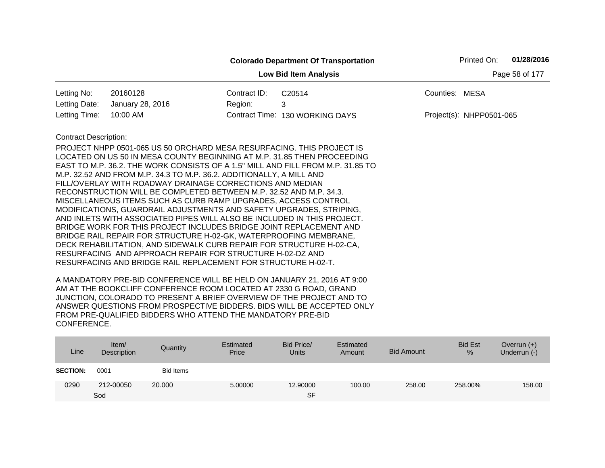|                              |                                                                                                                                                                                                                                                                                                                                                                                                                                                                                                                                                                                                                                                                                                                                                                                                                                                                                                                                  |              | <b>Colorado Department Of Transportation</b>                                    |                | Printed On:              | 01/28/2016     |
|------------------------------|----------------------------------------------------------------------------------------------------------------------------------------------------------------------------------------------------------------------------------------------------------------------------------------------------------------------------------------------------------------------------------------------------------------------------------------------------------------------------------------------------------------------------------------------------------------------------------------------------------------------------------------------------------------------------------------------------------------------------------------------------------------------------------------------------------------------------------------------------------------------------------------------------------------------------------|--------------|---------------------------------------------------------------------------------|----------------|--------------------------|----------------|
|                              |                                                                                                                                                                                                                                                                                                                                                                                                                                                                                                                                                                                                                                                                                                                                                                                                                                                                                                                                  |              | <b>Low Bid Item Analysis</b>                                                    |                |                          | Page 58 of 177 |
| Letting No:                  | 20160128                                                                                                                                                                                                                                                                                                                                                                                                                                                                                                                                                                                                                                                                                                                                                                                                                                                                                                                         | Contract ID: | C20514                                                                          | Counties: MESA |                          |                |
| Letting Date:                | January 28, 2016                                                                                                                                                                                                                                                                                                                                                                                                                                                                                                                                                                                                                                                                                                                                                                                                                                                                                                                 | Region:      | 3                                                                               |                |                          |                |
| Letting Time:                | 10:00 AM                                                                                                                                                                                                                                                                                                                                                                                                                                                                                                                                                                                                                                                                                                                                                                                                                                                                                                                         |              | Contract Time: 130 WORKING DAYS                                                 |                | Project(s): NHPP0501-065 |                |
| <b>Contract Description:</b> | PROJECT NHPP 0501-065 US 50 ORCHARD MESA RESURFACING. THIS PROJECT IS<br>LOCATED ON US 50 IN MESA COUNTY BEGINNING AT M.P. 31.85 THEN PROCEEDING<br>M.P. 32.52 AND FROM M.P. 34.3 TO M.P. 36.2. ADDITIONALLY, A MILL AND<br>FILL/OVERLAY WITH ROADWAY DRAINAGE CORRECTIONS AND MEDIAN<br>RECONSTRUCTION WILL BE COMPLETED BETWEEN M.P. 32.52 AND M.P. 34.3.<br>MISCELLANEOUS ITEMS SUCH AS CURB RAMP UPGRADES, ACCESS CONTROL<br>MODIFICATIONS, GUARDRAIL ADJUSTMENTS AND SAFETY UPGRADES, STRIPING,<br>AND INLETS WITH ASSOCIATED PIPES WILL ALSO BE INCLUDED IN THIS PROJECT.<br>BRIDGE WORK FOR THIS PROJECT INCLUDES BRIDGE JOINT REPLACEMENT AND<br>BRIDGE RAIL REPAIR FOR STRUCTURE H-02-GK, WATERPROOFING MEMBRANE,<br>DECK REHABILITATION, AND SIDEWALK CURB REPAIR FOR STRUCTURE H-02-CA,<br>RESURFACING AND APPROACH REPAIR FOR STRUCTURE H-02-DZ AND<br>RESURFACING AND BRIDGE RAIL REPLACEMENT FOR STRUCTURE H-02-T. |              | EAST TO M.P. 36.2. THE WORK CONSISTS OF A 1.5" MILL AND FILL FROM M.P. 31.85 TO |                |                          |                |

| Line            | Item $/$<br>Description | Quantity  | Estimated<br>Price | Bid Price/<br><b>Units</b> | Estimated<br>Amount | <b>Bid Amount</b> | <b>Bid Est</b><br>% | Overrun $(+)$<br>Underrun (-) |
|-----------------|-------------------------|-----------|--------------------|----------------------------|---------------------|-------------------|---------------------|-------------------------------|
| <b>SECTION:</b> | 0001                    | Bid Items |                    |                            |                     |                   |                     |                               |
| 0290            | 212-00050               | 20,000    | 5.00000            | 12,90000                   | 100.00              | 258.00            | 258.00%             | 158.00                        |
|                 | Sod                     |           |                    | <b>SF</b>                  |                     |                   |                     |                               |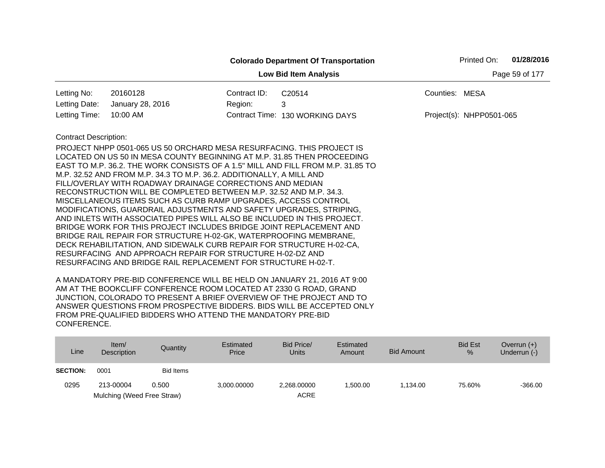|                              |                                                                                                                                                                                                                                                                                                                                                                                                                                                                                                                                                                                                                                                                                                                                                                                                                                                                                                                                                                                                                     |              | <b>Colorado Department Of Transportation</b> | Printed On:              | 01/28/2016     |
|------------------------------|---------------------------------------------------------------------------------------------------------------------------------------------------------------------------------------------------------------------------------------------------------------------------------------------------------------------------------------------------------------------------------------------------------------------------------------------------------------------------------------------------------------------------------------------------------------------------------------------------------------------------------------------------------------------------------------------------------------------------------------------------------------------------------------------------------------------------------------------------------------------------------------------------------------------------------------------------------------------------------------------------------------------|--------------|----------------------------------------------|--------------------------|----------------|
|                              |                                                                                                                                                                                                                                                                                                                                                                                                                                                                                                                                                                                                                                                                                                                                                                                                                                                                                                                                                                                                                     |              | <b>Low Bid Item Analysis</b>                 |                          | Page 59 of 177 |
| Letting No:                  | 20160128                                                                                                                                                                                                                                                                                                                                                                                                                                                                                                                                                                                                                                                                                                                                                                                                                                                                                                                                                                                                            | Contract ID: | C20514                                       | Counties: MESA           |                |
| Letting Date:                | January 28, 2016                                                                                                                                                                                                                                                                                                                                                                                                                                                                                                                                                                                                                                                                                                                                                                                                                                                                                                                                                                                                    | Region:      | 3                                            |                          |                |
| Letting Time:                | 10:00 AM                                                                                                                                                                                                                                                                                                                                                                                                                                                                                                                                                                                                                                                                                                                                                                                                                                                                                                                                                                                                            |              | Contract Time: 130 WORKING DAYS              | Project(s): NHPP0501-065 |                |
| <b>Contract Description:</b> | PROJECT NHPP 0501-065 US 50 ORCHARD MESA RESURFACING. THIS PROJECT IS<br>LOCATED ON US 50 IN MESA COUNTY BEGINNING AT M.P. 31.85 THEN PROCEEDING<br>EAST TO M.P. 36.2. THE WORK CONSISTS OF A 1.5" MILL AND FILL FROM M.P. 31.85 TO<br>M.P. 32.52 AND FROM M.P. 34.3 TO M.P. 36.2. ADDITIONALLY, A MILL AND<br>FILL/OVERLAY WITH ROADWAY DRAINAGE CORRECTIONS AND MEDIAN<br>RECONSTRUCTION WILL BE COMPLETED BETWEEN M.P. 32.52 AND M.P. 34.3.<br>MISCELLANEOUS ITEMS SUCH AS CURB RAMP UPGRADES, ACCESS CONTROL<br>MODIFICATIONS, GUARDRAIL ADJUSTMENTS AND SAFETY UPGRADES, STRIPING,<br>AND INLETS WITH ASSOCIATED PIPES WILL ALSO BE INCLUDED IN THIS PROJECT.<br>BRIDGE WORK FOR THIS PROJECT INCLUDES BRIDGE JOINT REPLACEMENT AND<br>BRIDGE RAIL REPAIR FOR STRUCTURE H-02-GK, WATERPROOFING MEMBRANE,<br>DECK REHABILITATION, AND SIDEWALK CURB REPAIR FOR STRUCTURE H-02-CA,<br>RESURFACING AND APPROACH REPAIR FOR STRUCTURE H-02-DZ AND<br>RESURFACING AND BRIDGE RAIL REPLACEMENT FOR STRUCTURE H-02-T. |              |                                              |                          |                |

| Line            | Item/<br>Description       | Quantity  | Estimated<br>Price | Bid Price/<br>Units | Estimated<br>Amount | Bid Amount | <b>Bid Est</b><br>$\%$ | Overrun $(+)$<br>Underrun (-) |
|-----------------|----------------------------|-----------|--------------------|---------------------|---------------------|------------|------------------------|-------------------------------|
| <b>SECTION:</b> | 0001                       | Bid Items |                    |                     |                     |            |                        |                               |
| 0295            | 213-00004                  | 0.500     | 3,000.00000        | 2.268.00000         | 1.500.00            | 1.134.00   | 75.60%                 | $-366.00$                     |
|                 | Mulching (Weed Free Straw) |           |                    | <b>ACRE</b>         |                     |            |                        |                               |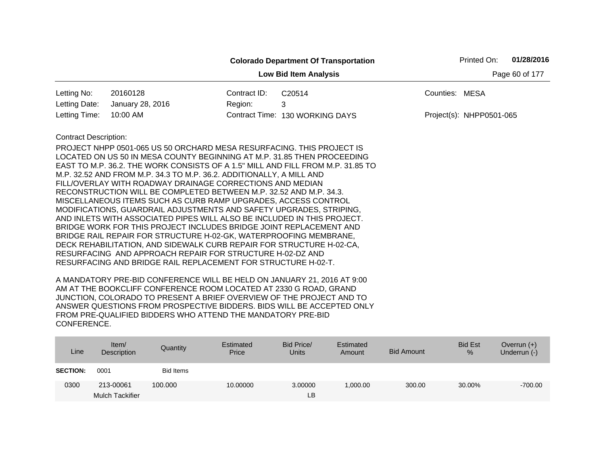|                              |                                                                                                                                      |              | <b>Colorado Department Of Transportation</b> |                | Printed On:              | 01/28/2016     |  |  |  |
|------------------------------|--------------------------------------------------------------------------------------------------------------------------------------|--------------|----------------------------------------------|----------------|--------------------------|----------------|--|--|--|
|                              |                                                                                                                                      |              | <b>Low Bid Item Analysis</b>                 |                |                          | Page 60 of 177 |  |  |  |
| Letting No:                  | 20160128                                                                                                                             | Contract ID: | C20514                                       | Counties: MESA |                          |                |  |  |  |
| Letting Date:                | January 28, 2016                                                                                                                     | Region:      | 3                                            |                |                          |                |  |  |  |
| Letting Time:                | 10:00 AM                                                                                                                             |              | Contract Time: 130 WORKING DAYS              |                | Project(s): NHPP0501-065 |                |  |  |  |
| <b>Contract Description:</b> |                                                                                                                                      |              |                                              |                |                          |                |  |  |  |
|                              | PROJECT NHPP 0501-065 US 50 ORCHARD MESA RESURFACING. THIS PROJECT IS                                                                |              |                                              |                |                          |                |  |  |  |
|                              | LOCATED ON US 50 IN MESA COUNTY BEGINNING AT M.P. 31.85 THEN PROCEEDING                                                              |              |                                              |                |                          |                |  |  |  |
|                              | EAST TO M.P. 36.2. THE WORK CONSISTS OF A 1.5" MILL AND FILL FROM M.P. 31.85 TO                                                      |              |                                              |                |                          |                |  |  |  |
|                              | M.P. 32.52 AND FROM M.P. 34.3 TO M.P. 36.2. ADDITIONALLY, A MILL AND                                                                 |              |                                              |                |                          |                |  |  |  |
|                              | FILL/OVERLAY WITH ROADWAY DRAINAGE CORRECTIONS AND MEDIAN                                                                            |              |                                              |                |                          |                |  |  |  |
|                              | RECONSTRUCTION WILL BE COMPLETED BETWEEN M.P. 32.52 AND M.P. 34.3.<br>MISCELLANEOUS ITEMS SUCH AS CURB RAMP UPGRADES, ACCESS CONTROL |              |                                              |                |                          |                |  |  |  |
|                              | MODIFICATIONS, GUARDRAIL ADJUSTMENTS AND SAFETY UPGRADES, STRIPING,                                                                  |              |                                              |                |                          |                |  |  |  |
|                              | AND INLETS WITH ASSOCIATED PIPES WILL ALSO BE INCLUDED IN THIS PROJECT.                                                              |              |                                              |                |                          |                |  |  |  |
|                              | BRIDGE WORK FOR THIS PROJECT INCLUDES BRIDGE JOINT REPLACEMENT AND                                                                   |              |                                              |                |                          |                |  |  |  |
|                              | BRIDGE RAIL REPAIR FOR STRUCTURE H-02-GK, WATERPROOFING MEMBRANE,                                                                    |              |                                              |                |                          |                |  |  |  |
|                              | DECK REHABILITATION, AND SIDEWALK CURB REPAIR FOR STRUCTURE H-02-CA,                                                                 |              |                                              |                |                          |                |  |  |  |
|                              | RESURFACING AND APPROACH REPAIR FOR STRUCTURE H-02-DZ AND                                                                            |              |                                              |                |                          |                |  |  |  |
|                              | RESURFACING AND BRIDGE RAIL REPLACEMENT FOR STRUCTURE H-02-T.                                                                        |              |                                              |                |                          |                |  |  |  |

| Line            | Item/<br>Description   | Quantity  | Estimated<br>Price | Bid Price/<br><b>Units</b> | Estimated<br>Amount | <b>Bid Amount</b> | <b>Bid Est</b><br>% | Overrun $(+)$<br>Underrun (-) |
|-----------------|------------------------|-----------|--------------------|----------------------------|---------------------|-------------------|---------------------|-------------------------------|
| <b>SECTION:</b> | 0001                   | Bid Items |                    |                            |                     |                   |                     |                               |
| 0300            | 213-00061              | 100,000   | 10.00000           | 3.00000                    | 1,000.00            | 300.00            | 30.00%              | $-700.00$                     |
|                 | <b>Mulch Tackifier</b> |           |                    | LВ                         |                     |                   |                     |                               |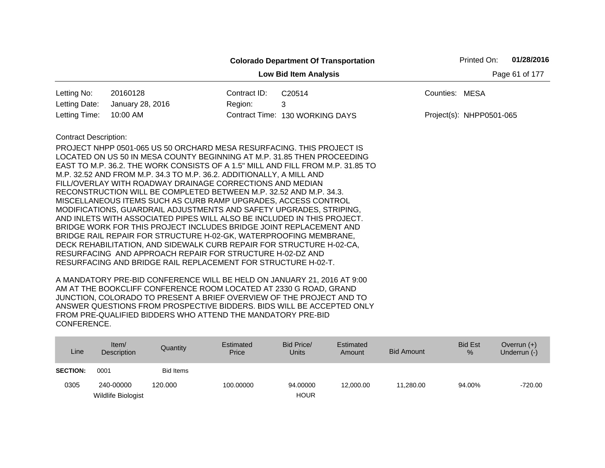| Page 61 of 177<br><b>Low Bid Item Analysis</b><br>20160128<br>Contract ID:<br>Letting No:<br>C20514<br>Counties: MESA<br>3<br>Letting Date:<br>January 28, 2016<br>Region:<br>10:00 AM<br>Contract Time: 130 WORKING DAYS<br>Letting Time:<br>Project(s): NHPP0501-065<br><b>Contract Description:</b><br>PROJECT NHPP 0501-065 US 50 ORCHARD MESA RESURFACING. THIS PROJECT IS<br>LOCATED ON US 50 IN MESA COUNTY BEGINNING AT M.P. 31.85 THEN PROCEEDING<br>EAST TO M.P. 36.2. THE WORK CONSISTS OF A 1.5" MILL AND FILL FROM M.P. 31.85 TO<br>M.P. 32.52 AND FROM M.P. 34.3 TO M.P. 36.2. ADDITIONALLY, A MILL AND<br>FILL/OVERLAY WITH ROADWAY DRAINAGE CORRECTIONS AND MEDIAN<br>RECONSTRUCTION WILL BE COMPLETED BETWEEN M.P. 32.52 AND M.P. 34.3.<br>MISCELLANEOUS ITEMS SUCH AS CURB RAMP UPGRADES, ACCESS CONTROL<br>MODIFICATIONS, GUARDRAIL ADJUSTMENTS AND SAFETY UPGRADES, STRIPING,<br>AND INLETS WITH ASSOCIATED PIPES WILL ALSO BE INCLUDED IN THIS PROJECT.<br>BRIDGE WORK FOR THIS PROJECT INCLUDES BRIDGE JOINT REPLACEMENT AND<br>BRIDGE RAIL REPAIR FOR STRUCTURE H-02-GK, WATERPROOFING MEMBRANE,<br>DECK REHABILITATION, AND SIDEWALK CURB REPAIR FOR STRUCTURE H-02-CA, |  | <b>Colorado Department Of Transportation</b> | Printed On: | 01/28/2016 |
|-------------------------------------------------------------------------------------------------------------------------------------------------------------------------------------------------------------------------------------------------------------------------------------------------------------------------------------------------------------------------------------------------------------------------------------------------------------------------------------------------------------------------------------------------------------------------------------------------------------------------------------------------------------------------------------------------------------------------------------------------------------------------------------------------------------------------------------------------------------------------------------------------------------------------------------------------------------------------------------------------------------------------------------------------------------------------------------------------------------------------------------------------------------------------------------------------|--|----------------------------------------------|-------------|------------|
|                                                                                                                                                                                                                                                                                                                                                                                                                                                                                                                                                                                                                                                                                                                                                                                                                                                                                                                                                                                                                                                                                                                                                                                                 |  |                                              |             |            |
|                                                                                                                                                                                                                                                                                                                                                                                                                                                                                                                                                                                                                                                                                                                                                                                                                                                                                                                                                                                                                                                                                                                                                                                                 |  |                                              |             |            |
|                                                                                                                                                                                                                                                                                                                                                                                                                                                                                                                                                                                                                                                                                                                                                                                                                                                                                                                                                                                                                                                                                                                                                                                                 |  |                                              |             |            |
|                                                                                                                                                                                                                                                                                                                                                                                                                                                                                                                                                                                                                                                                                                                                                                                                                                                                                                                                                                                                                                                                                                                                                                                                 |  |                                              |             |            |
| RESURFACING AND APPROACH REPAIR FOR STRUCTURE H-02-DZ AND<br>RESURFACING AND BRIDGE RAIL REPLACEMENT FOR STRUCTURE H-02-T.                                                                                                                                                                                                                                                                                                                                                                                                                                                                                                                                                                                                                                                                                                                                                                                                                                                                                                                                                                                                                                                                      |  |                                              |             |            |

| Line            | ltem/<br>Description | Quantity         | Estimated<br>Price | Bid Price/<br><b>Units</b> | Estimated<br>Amount | <b>Bid Amount</b> | <b>Bid Est</b><br>% | Overrun $(+)$<br>Underrun (-) |
|-----------------|----------------------|------------------|--------------------|----------------------------|---------------------|-------------------|---------------------|-------------------------------|
| <b>SECTION:</b> | 0001                 | <b>Bid Items</b> |                    |                            |                     |                   |                     |                               |
| 0305            | 240-00000            | 120,000          | 100.00000          | 94.00000                   | 12,000.00           | 11.280.00         | 94.00%              | $-720.00$                     |
|                 | Wildlife Biologist   |                  |                    | <b>HOUR</b>                |                     |                   |                     |                               |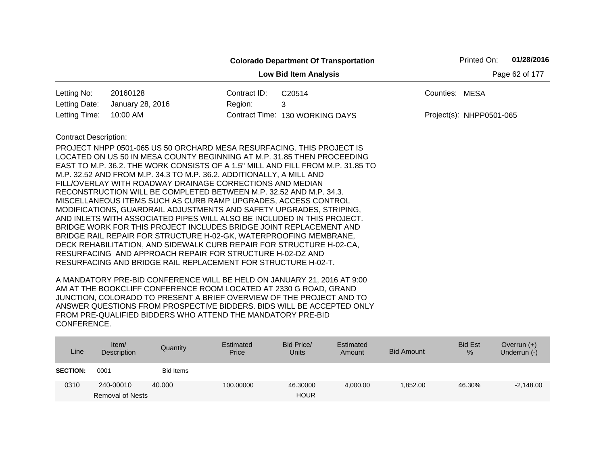|                              |                                                                                                                                                                                                                                                                                                                                                                                                                                                                                                                                                                                                                                                                                                                                                                                                                                                                                                                                                                                                                     |              | <b>Colorado Department Of Transportation</b> | 01/28/2016<br>Printed On: |
|------------------------------|---------------------------------------------------------------------------------------------------------------------------------------------------------------------------------------------------------------------------------------------------------------------------------------------------------------------------------------------------------------------------------------------------------------------------------------------------------------------------------------------------------------------------------------------------------------------------------------------------------------------------------------------------------------------------------------------------------------------------------------------------------------------------------------------------------------------------------------------------------------------------------------------------------------------------------------------------------------------------------------------------------------------|--------------|----------------------------------------------|---------------------------|
|                              |                                                                                                                                                                                                                                                                                                                                                                                                                                                                                                                                                                                                                                                                                                                                                                                                                                                                                                                                                                                                                     |              | <b>Low Bid Item Analysis</b>                 | Page 62 of 177            |
| Letting No:                  | 20160128                                                                                                                                                                                                                                                                                                                                                                                                                                                                                                                                                                                                                                                                                                                                                                                                                                                                                                                                                                                                            | Contract ID: | C20514                                       | Counties: MESA            |
| Letting Date:                | January 28, 2016                                                                                                                                                                                                                                                                                                                                                                                                                                                                                                                                                                                                                                                                                                                                                                                                                                                                                                                                                                                                    | Region:      | 3                                            |                           |
| Letting Time:                | 10:00 AM                                                                                                                                                                                                                                                                                                                                                                                                                                                                                                                                                                                                                                                                                                                                                                                                                                                                                                                                                                                                            |              | Contract Time: 130 WORKING DAYS              | Project(s): NHPP0501-065  |
| <b>Contract Description:</b> | PROJECT NHPP 0501-065 US 50 ORCHARD MESA RESURFACING. THIS PROJECT IS<br>LOCATED ON US 50 IN MESA COUNTY BEGINNING AT M.P. 31.85 THEN PROCEEDING<br>EAST TO M.P. 36.2. THE WORK CONSISTS OF A 1.5" MILL AND FILL FROM M.P. 31.85 TO<br>M.P. 32.52 AND FROM M.P. 34.3 TO M.P. 36.2. ADDITIONALLY, A MILL AND<br>FILL/OVERLAY WITH ROADWAY DRAINAGE CORRECTIONS AND MEDIAN<br>RECONSTRUCTION WILL BE COMPLETED BETWEEN M.P. 32.52 AND M.P. 34.3.<br>MISCELLANEOUS ITEMS SUCH AS CURB RAMP UPGRADES, ACCESS CONTROL<br>MODIFICATIONS, GUARDRAIL ADJUSTMENTS AND SAFETY UPGRADES, STRIPING,<br>AND INLETS WITH ASSOCIATED PIPES WILL ALSO BE INCLUDED IN THIS PROJECT.<br>BRIDGE WORK FOR THIS PROJECT INCLUDES BRIDGE JOINT REPLACEMENT AND<br>BRIDGE RAIL REPAIR FOR STRUCTURE H-02-GK, WATERPROOFING MEMBRANE,<br>DECK REHABILITATION, AND SIDEWALK CURB REPAIR FOR STRUCTURE H-02-CA,<br>RESURFACING AND APPROACH REPAIR FOR STRUCTURE H-02-DZ AND<br>RESURFACING AND BRIDGE RAIL REPLACEMENT FOR STRUCTURE H-02-T. |              |                                              |                           |

| Line            | Item $/$<br>Description | Quantity  | Estimated<br>Price | Bid Price/<br><b>Units</b> | Estimated<br>Amount | <b>Bid Amount</b> | <b>Bid Est</b><br>% | Overrun $(+)$<br>Underrun (-) |
|-----------------|-------------------------|-----------|--------------------|----------------------------|---------------------|-------------------|---------------------|-------------------------------|
| <b>SECTION:</b> | 0001                    | Bid Items |                    |                            |                     |                   |                     |                               |
| 0310            | 240-00010               | 40.000    | 100.00000          | 46.30000                   | 4,000.00            | 1.852.00          | 46.30%              | $-2,148.00$                   |
|                 | <b>Removal of Nests</b> |           |                    | <b>HOUR</b>                |                     |                   |                     |                               |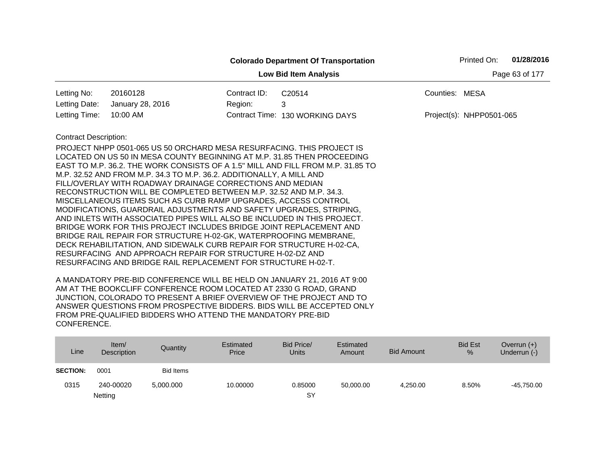|                              |                                                                                                                                                                                                                                                                                                                                                                                                                                                                                                                                                                                                                                                                                                                                                                                                                                                                                                                                  |              | <b>Colorado Department Of Transportation</b>                                    | Printed On:              | 01/28/2016     |
|------------------------------|----------------------------------------------------------------------------------------------------------------------------------------------------------------------------------------------------------------------------------------------------------------------------------------------------------------------------------------------------------------------------------------------------------------------------------------------------------------------------------------------------------------------------------------------------------------------------------------------------------------------------------------------------------------------------------------------------------------------------------------------------------------------------------------------------------------------------------------------------------------------------------------------------------------------------------|--------------|---------------------------------------------------------------------------------|--------------------------|----------------|
|                              |                                                                                                                                                                                                                                                                                                                                                                                                                                                                                                                                                                                                                                                                                                                                                                                                                                                                                                                                  |              | <b>Low Bid Item Analysis</b>                                                    |                          | Page 63 of 177 |
| Letting No:                  | 20160128                                                                                                                                                                                                                                                                                                                                                                                                                                                                                                                                                                                                                                                                                                                                                                                                                                                                                                                         | Contract ID: | C20514                                                                          | Counties: MESA           |                |
| Letting Date:                | January 28, 2016                                                                                                                                                                                                                                                                                                                                                                                                                                                                                                                                                                                                                                                                                                                                                                                                                                                                                                                 | Region:      | 3                                                                               |                          |                |
| Letting Time:                | 10:00 AM                                                                                                                                                                                                                                                                                                                                                                                                                                                                                                                                                                                                                                                                                                                                                                                                                                                                                                                         |              | Contract Time: 130 WORKING DAYS                                                 | Project(s): NHPP0501-065 |                |
| <b>Contract Description:</b> | PROJECT NHPP 0501-065 US 50 ORCHARD MESA RESURFACING. THIS PROJECT IS<br>LOCATED ON US 50 IN MESA COUNTY BEGINNING AT M.P. 31.85 THEN PROCEEDING<br>M.P. 32.52 AND FROM M.P. 34.3 TO M.P. 36.2. ADDITIONALLY, A MILL AND<br>FILL/OVERLAY WITH ROADWAY DRAINAGE CORRECTIONS AND MEDIAN<br>RECONSTRUCTION WILL BE COMPLETED BETWEEN M.P. 32.52 AND M.P. 34.3.<br>MISCELLANEOUS ITEMS SUCH AS CURB RAMP UPGRADES, ACCESS CONTROL<br>MODIFICATIONS, GUARDRAIL ADJUSTMENTS AND SAFETY UPGRADES, STRIPING,<br>AND INLETS WITH ASSOCIATED PIPES WILL ALSO BE INCLUDED IN THIS PROJECT.<br>BRIDGE WORK FOR THIS PROJECT INCLUDES BRIDGE JOINT REPLACEMENT AND<br>BRIDGE RAIL REPAIR FOR STRUCTURE H-02-GK, WATERPROOFING MEMBRANE,<br>DECK REHABILITATION, AND SIDEWALK CURB REPAIR FOR STRUCTURE H-02-CA,<br>RESURFACING AND APPROACH REPAIR FOR STRUCTURE H-02-DZ AND<br>RESURFACING AND BRIDGE RAIL REPLACEMENT FOR STRUCTURE H-02-T. |              | EAST TO M.P. 36.2. THE WORK CONSISTS OF A 1.5" MILL AND FILL FROM M.P. 31.85 TO |                          |                |

| Line            | Item $/$<br>Description | Quantity         | Estimated<br>Price | Bid Price/<br><b>Units</b> | Estimated<br>Amount | <b>Bid Amount</b> | <b>Bid Est</b><br>% | Overrun $(+)$<br>Underrun (-) |
|-----------------|-------------------------|------------------|--------------------|----------------------------|---------------------|-------------------|---------------------|-------------------------------|
| <b>SECTION:</b> | 0001                    | <b>Bid Items</b> |                    |                            |                     |                   |                     |                               |
| 0315            | 240-00020               | 5,000.000        | 10.00000           | 0.85000                    | 50.000.00           | 4.250.00          | 8.50%               | $-45,750.00$                  |
|                 | Netting                 |                  |                    | SY                         |                     |                   |                     |                               |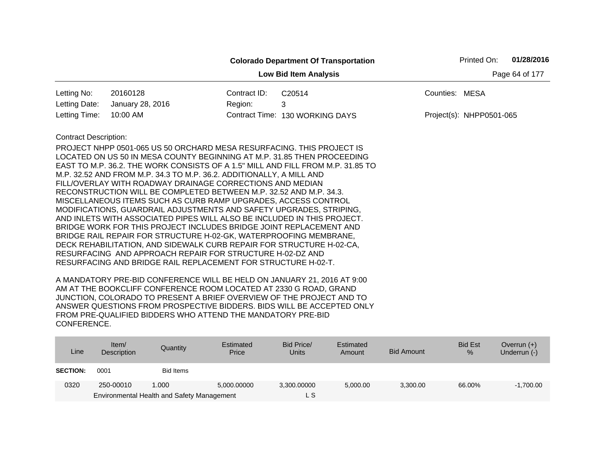|                              |                                                                         |              | <b>Colorado Department Of Transportation</b>                                    |                          | Printed On: | 01/28/2016     |
|------------------------------|-------------------------------------------------------------------------|--------------|---------------------------------------------------------------------------------|--------------------------|-------------|----------------|
|                              |                                                                         |              | <b>Low Bid Item Analysis</b>                                                    |                          |             | Page 64 of 177 |
| Letting No:                  | 20160128                                                                | Contract ID: | C20514                                                                          | Counties: MESA           |             |                |
| Letting Date:                | January 28, 2016                                                        | Region:      | 3                                                                               |                          |             |                |
| Letting Time:                | 10:00 AM                                                                |              | Contract Time: 130 WORKING DAYS                                                 | Project(s): NHPP0501-065 |             |                |
| <b>Contract Description:</b> |                                                                         |              |                                                                                 |                          |             |                |
|                              | PROJECT NHPP 0501-065 US 50 ORCHARD MESA RESURFACING. THIS PROJECT IS   |              |                                                                                 |                          |             |                |
|                              | LOCATED ON US 50 IN MESA COUNTY BEGINNING AT M.P. 31.85 THEN PROCEEDING |              |                                                                                 |                          |             |                |
|                              |                                                                         |              | EAST TO M.P. 36.2. THE WORK CONSISTS OF A 1.5" MILL AND FILL FROM M.P. 31.85 TO |                          |             |                |
|                              | M.P. 32.52 AND FROM M.P. 34.3 TO M.P. 36.2. ADDITIONALLY, A MILL AND    |              |                                                                                 |                          |             |                |
|                              | FILL/OVERLAY WITH ROADWAY DRAINAGE CORRECTIONS AND MEDIAN               |              |                                                                                 |                          |             |                |
|                              | RECONSTRUCTION WILL BE COMPLETED BETWEEN M.P. 32.52 AND M.P. 34.3.      |              |                                                                                 |                          |             |                |
|                              | MISCELLANEOUS ITEMS SUCH AS CURB RAMP UPGRADES, ACCESS CONTROL          |              |                                                                                 |                          |             |                |
|                              | MODIFICATIONS, GUARDRAIL ADJUSTMENTS AND SAFETY UPGRADES, STRIPING,     |              |                                                                                 |                          |             |                |
|                              | AND INLETS WITH ASSOCIATED PIPES WILL ALSO BE INCLUDED IN THIS PROJECT. |              |                                                                                 |                          |             |                |
|                              | BRIDGE WORK FOR THIS PROJECT INCLUDES BRIDGE JOINT REPLACEMENT AND      |              |                                                                                 |                          |             |                |
|                              | BRIDGE RAIL REPAIR FOR STRUCTURE H-02-GK, WATERPROOFING MEMBRANE,       |              |                                                                                 |                          |             |                |
|                              | DECK REHABILITATION, AND SIDEWALK CURB REPAIR FOR STRUCTURE H-02-CA,    |              |                                                                                 |                          |             |                |
|                              | RESURFACING AND APPROACH REPAIR FOR STRUCTURE H-02-DZ AND               |              |                                                                                 |                          |             |                |
|                              | RESURFACING AND BRIDGE RAIL REPLACEMENT FOR STRUCTURE H-02-T.           |              |                                                                                 |                          |             |                |

| Line            | Item $/$<br>Description | Quantity                                   | Estimated<br>Price | Bid Price/<br><b>Units</b> | Estimated<br>Amount | Bid Amount | <b>Bid Est</b><br>$\%$ | Overrun $(+)$<br>Underrun (-) |
|-----------------|-------------------------|--------------------------------------------|--------------------|----------------------------|---------------------|------------|------------------------|-------------------------------|
| <b>SECTION:</b> | 0001                    | Bid Items                                  |                    |                            |                     |            |                        |                               |
| 0320            | 250-00010               | 1.000                                      | 5.000.00000        | 3,300.00000                | 5.000.00            | 3.300.00   | 66.00%                 | $-1,700.00$                   |
|                 |                         | Environmental Health and Safety Management |                    | L S                        |                     |            |                        |                               |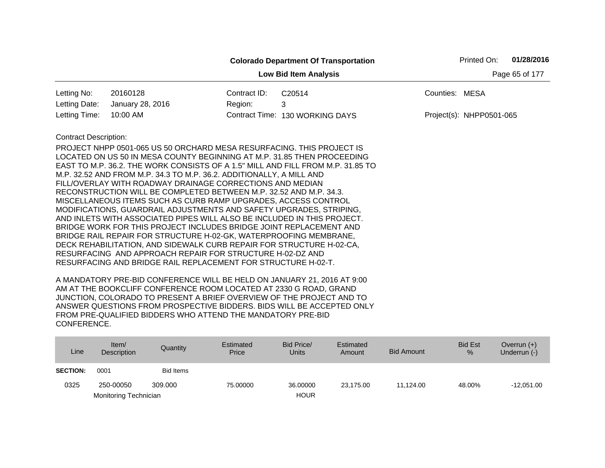|                              |                                                                                                                                                                                                                                                                                                                                                                                                                                                                                                                                                                                                                                                                                                                                                                                                                                                                                                                                                                                                                     |              | <b>Colorado Department Of Transportation</b> |                          | Printed On: | 01/28/2016     |
|------------------------------|---------------------------------------------------------------------------------------------------------------------------------------------------------------------------------------------------------------------------------------------------------------------------------------------------------------------------------------------------------------------------------------------------------------------------------------------------------------------------------------------------------------------------------------------------------------------------------------------------------------------------------------------------------------------------------------------------------------------------------------------------------------------------------------------------------------------------------------------------------------------------------------------------------------------------------------------------------------------------------------------------------------------|--------------|----------------------------------------------|--------------------------|-------------|----------------|
|                              |                                                                                                                                                                                                                                                                                                                                                                                                                                                                                                                                                                                                                                                                                                                                                                                                                                                                                                                                                                                                                     |              | <b>Low Bid Item Analysis</b>                 |                          |             | Page 65 of 177 |
| Letting No:                  | 20160128                                                                                                                                                                                                                                                                                                                                                                                                                                                                                                                                                                                                                                                                                                                                                                                                                                                                                                                                                                                                            | Contract ID: | C20514                                       | Counties: MESA           |             |                |
| Letting Date:                | January 28, 2016                                                                                                                                                                                                                                                                                                                                                                                                                                                                                                                                                                                                                                                                                                                                                                                                                                                                                                                                                                                                    | Region:      | 3                                            |                          |             |                |
| Letting Time:                | 10:00 AM                                                                                                                                                                                                                                                                                                                                                                                                                                                                                                                                                                                                                                                                                                                                                                                                                                                                                                                                                                                                            |              | Contract Time: 130 WORKING DAYS              | Project(s): NHPP0501-065 |             |                |
| <b>Contract Description:</b> | PROJECT NHPP 0501-065 US 50 ORCHARD MESA RESURFACING. THIS PROJECT IS<br>LOCATED ON US 50 IN MESA COUNTY BEGINNING AT M.P. 31.85 THEN PROCEEDING<br>EAST TO M.P. 36.2. THE WORK CONSISTS OF A 1.5" MILL AND FILL FROM M.P. 31.85 TO<br>M.P. 32.52 AND FROM M.P. 34.3 TO M.P. 36.2. ADDITIONALLY, A MILL AND<br>FILL/OVERLAY WITH ROADWAY DRAINAGE CORRECTIONS AND MEDIAN<br>RECONSTRUCTION WILL BE COMPLETED BETWEEN M.P. 32.52 AND M.P. 34.3.<br>MISCELLANEOUS ITEMS SUCH AS CURB RAMP UPGRADES, ACCESS CONTROL<br>MODIFICATIONS, GUARDRAIL ADJUSTMENTS AND SAFETY UPGRADES, STRIPING,<br>AND INLETS WITH ASSOCIATED PIPES WILL ALSO BE INCLUDED IN THIS PROJECT.<br>BRIDGE WORK FOR THIS PROJECT INCLUDES BRIDGE JOINT REPLACEMENT AND<br>BRIDGE RAIL REPAIR FOR STRUCTURE H-02-GK, WATERPROOFING MEMBRANE,<br>DECK REHABILITATION, AND SIDEWALK CURB REPAIR FOR STRUCTURE H-02-CA,<br>RESURFACING AND APPROACH REPAIR FOR STRUCTURE H-02-DZ AND<br>RESURFACING AND BRIDGE RAIL REPLACEMENT FOR STRUCTURE H-02-T. |              |                                              |                          |             |                |
|                              |                                                                                                                                                                                                                                                                                                                                                                                                                                                                                                                                                                                                                                                                                                                                                                                                                                                                                                                                                                                                                     |              |                                              |                          |             |                |

| Line            | Item/<br><b>Description</b> | Quantity         | Estimated<br>Price | Bid Price/<br><b>Units</b> | Estimated<br>Amount | <b>Bid Amount</b> | <b>Bid Est</b><br>$\%$ | Overrun $(+)$<br>Underrun (-) |
|-----------------|-----------------------------|------------------|--------------------|----------------------------|---------------------|-------------------|------------------------|-------------------------------|
| <b>SECTION:</b> | 0001                        | <b>Bid Items</b> |                    |                            |                     |                   |                        |                               |
| 0325            | 250-00050                   | 309,000          | 75.00000           | 36,00000                   | 23.175.00           | 11.124.00         | 48.00%                 | $-12.051.00$                  |
|                 | Monitoring Technician       |                  |                    | <b>HOUR</b>                |                     |                   |                        |                               |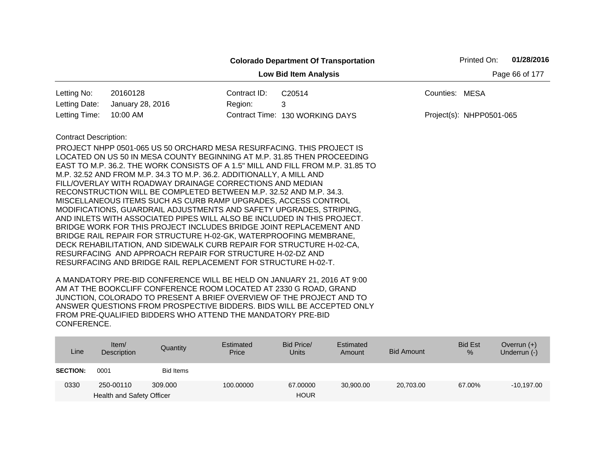|                              |                                                                                 |              | <b>Colorado Department Of Transportation</b> |                | Printed On:              | 01/28/2016     |
|------------------------------|---------------------------------------------------------------------------------|--------------|----------------------------------------------|----------------|--------------------------|----------------|
|                              |                                                                                 |              | <b>Low Bid Item Analysis</b>                 |                |                          | Page 66 of 177 |
| Letting No:                  | 20160128                                                                        | Contract ID: | C20514                                       | Counties: MESA |                          |                |
| Letting Date:                | January 28, 2016                                                                | Region:      | 3                                            |                |                          |                |
| Letting Time:                | 10:00 AM                                                                        |              | Contract Time: 130 WORKING DAYS              |                | Project(s): NHPP0501-065 |                |
| <b>Contract Description:</b> |                                                                                 |              |                                              |                |                          |                |
|                              | PROJECT NHPP 0501-065 US 50 ORCHARD MESA RESURFACING. THIS PROJECT IS           |              |                                              |                |                          |                |
|                              | LOCATED ON US 50 IN MESA COUNTY BEGINNING AT M.P. 31.85 THEN PROCEEDING         |              |                                              |                |                          |                |
|                              | EAST TO M.P. 36.2. THE WORK CONSISTS OF A 1.5" MILL AND FILL FROM M.P. 31.85 TO |              |                                              |                |                          |                |
|                              | M.P. 32.52 AND FROM M.P. 34.3 TO M.P. 36.2. ADDITIONALLY, A MILL AND            |              |                                              |                |                          |                |
|                              | FILL/OVERLAY WITH ROADWAY DRAINAGE CORRECTIONS AND MEDIAN                       |              |                                              |                |                          |                |
|                              | RECONSTRUCTION WILL BE COMPLETED BETWEEN M.P. 32.52 AND M.P. 34.3.              |              |                                              |                |                          |                |
|                              | MISCELLANEOUS ITEMS SUCH AS CURB RAMP UPGRADES, ACCESS CONTROL                  |              |                                              |                |                          |                |
|                              | MODIFICATIONS, GUARDRAIL ADJUSTMENTS AND SAFETY UPGRADES, STRIPING,             |              |                                              |                |                          |                |
|                              | AND INLETS WITH ASSOCIATED PIPES WILL ALSO BE INCLUDED IN THIS PROJECT.         |              |                                              |                |                          |                |
|                              | BRIDGE WORK FOR THIS PROJECT INCLUDES BRIDGE JOINT REPLACEMENT AND              |              |                                              |                |                          |                |
|                              | BRIDGE RAIL REPAIR FOR STRUCTURE H-02-GK, WATERPROOFING MEMBRANE,               |              |                                              |                |                          |                |
|                              | DECK REHABILITATION, AND SIDEWALK CURB REPAIR FOR STRUCTURE H-02-CA,            |              |                                              |                |                          |                |
|                              | RESURFACING AND APPROACH REPAIR FOR STRUCTURE H-02-DZ AND                       |              |                                              |                |                          |                |
|                              | RESURFACING AND BRIDGE RAIL REPLACEMENT FOR STRUCTURE H-02-T.                   |              |                                              |                |                          |                |

| Line            | Item $/$<br>Description                | Quantity  | Estimated<br>Price | Bid Price/<br><b>Units</b> | Estimated<br>Amount | <b>Bid Amount</b> | <b>Bid Est</b><br>% | Overrun $(+)$<br>Underrun (-) |
|-----------------|----------------------------------------|-----------|--------------------|----------------------------|---------------------|-------------------|---------------------|-------------------------------|
| <b>SECTION:</b> | 0001                                   | Bid Items |                    |                            |                     |                   |                     |                               |
| 0330            | 250-00110<br>Health and Safety Officer | 309,000   | 100.00000          | 67.00000<br><b>HOUR</b>    | 30,900.00           | 20,703.00         | 67.00%              | $-10,197.00$                  |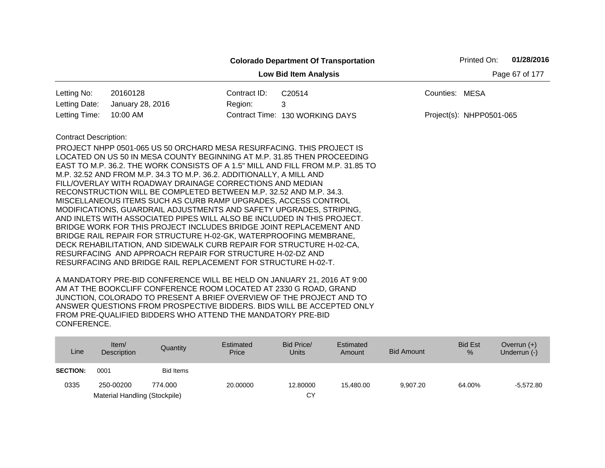|                              |                                                                                                                                                                                                                                                                                                                                                                                                                                                                                                                                                                                                                                                                                                                                                                                                                                                                                                                                                                                                                     |              | <b>Colorado Department Of Transportation</b> | Printed On:              | 01/28/2016     |
|------------------------------|---------------------------------------------------------------------------------------------------------------------------------------------------------------------------------------------------------------------------------------------------------------------------------------------------------------------------------------------------------------------------------------------------------------------------------------------------------------------------------------------------------------------------------------------------------------------------------------------------------------------------------------------------------------------------------------------------------------------------------------------------------------------------------------------------------------------------------------------------------------------------------------------------------------------------------------------------------------------------------------------------------------------|--------------|----------------------------------------------|--------------------------|----------------|
|                              |                                                                                                                                                                                                                                                                                                                                                                                                                                                                                                                                                                                                                                                                                                                                                                                                                                                                                                                                                                                                                     |              | <b>Low Bid Item Analysis</b>                 |                          | Page 67 of 177 |
| Letting No:                  | 20160128                                                                                                                                                                                                                                                                                                                                                                                                                                                                                                                                                                                                                                                                                                                                                                                                                                                                                                                                                                                                            | Contract ID: | C20514                                       | Counties: MESA           |                |
| Letting Date:                | January 28, 2016                                                                                                                                                                                                                                                                                                                                                                                                                                                                                                                                                                                                                                                                                                                                                                                                                                                                                                                                                                                                    | Region:      | 3                                            |                          |                |
| Letting Time:                | 10:00 AM                                                                                                                                                                                                                                                                                                                                                                                                                                                                                                                                                                                                                                                                                                                                                                                                                                                                                                                                                                                                            |              | Contract Time: 130 WORKING DAYS              | Project(s): NHPP0501-065 |                |
| <b>Contract Description:</b> | PROJECT NHPP 0501-065 US 50 ORCHARD MESA RESURFACING. THIS PROJECT IS<br>LOCATED ON US 50 IN MESA COUNTY BEGINNING AT M.P. 31.85 THEN PROCEEDING<br>EAST TO M.P. 36.2. THE WORK CONSISTS OF A 1.5" MILL AND FILL FROM M.P. 31.85 TO<br>M.P. 32.52 AND FROM M.P. 34.3 TO M.P. 36.2. ADDITIONALLY, A MILL AND<br>FILL/OVERLAY WITH ROADWAY DRAINAGE CORRECTIONS AND MEDIAN<br>RECONSTRUCTION WILL BE COMPLETED BETWEEN M.P. 32.52 AND M.P. 34.3.<br>MISCELLANEOUS ITEMS SUCH AS CURB RAMP UPGRADES, ACCESS CONTROL<br>MODIFICATIONS, GUARDRAIL ADJUSTMENTS AND SAFETY UPGRADES, STRIPING,<br>AND INLETS WITH ASSOCIATED PIPES WILL ALSO BE INCLUDED IN THIS PROJECT.<br>BRIDGE WORK FOR THIS PROJECT INCLUDES BRIDGE JOINT REPLACEMENT AND<br>BRIDGE RAIL REPAIR FOR STRUCTURE H-02-GK, WATERPROOFING MEMBRANE,<br>DECK REHABILITATION, AND SIDEWALK CURB REPAIR FOR STRUCTURE H-02-CA,<br>RESURFACING AND APPROACH REPAIR FOR STRUCTURE H-02-DZ AND<br>RESURFACING AND BRIDGE RAIL REPLACEMENT FOR STRUCTURE H-02-T. |              |                                              |                          |                |

| Line            | Item $/$<br><b>Description</b> | Quantity  | Estimated<br>Price | Bid Price/<br><b>Units</b> | Estimated<br>Amount | <b>Bid Amount</b> | <b>Bid Est</b><br>% | Overrun $(+)$<br>Underrun (-) |
|-----------------|--------------------------------|-----------|--------------------|----------------------------|---------------------|-------------------|---------------------|-------------------------------|
| <b>SECTION:</b> | 0001                           | Bid Items |                    |                            |                     |                   |                     |                               |
| 0335            | 250-00200                      | 774.000   | 20,00000           | 12,80000                   | 15.480.00           | 9.907.20          | 64.00%              | $-5.572.80$                   |
|                 | Material Handling (Stockpile)  |           |                    | СY                         |                     |                   |                     |                               |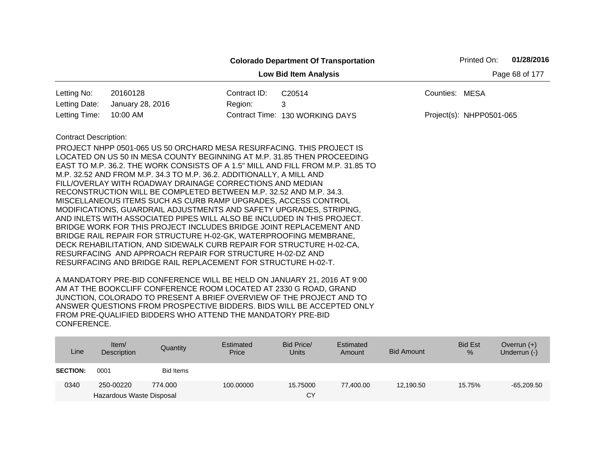|                              |                                                                                                                                                                                                                                                                                                                                                                                                                                                                                                                                                                                                                                                                                                                                                                                                                                                                                                                                                                                                                     |              | <b>Colorado Department Of Transportation</b> |                          | Printed On: | 01/28/2016     |
|------------------------------|---------------------------------------------------------------------------------------------------------------------------------------------------------------------------------------------------------------------------------------------------------------------------------------------------------------------------------------------------------------------------------------------------------------------------------------------------------------------------------------------------------------------------------------------------------------------------------------------------------------------------------------------------------------------------------------------------------------------------------------------------------------------------------------------------------------------------------------------------------------------------------------------------------------------------------------------------------------------------------------------------------------------|--------------|----------------------------------------------|--------------------------|-------------|----------------|
|                              |                                                                                                                                                                                                                                                                                                                                                                                                                                                                                                                                                                                                                                                                                                                                                                                                                                                                                                                                                                                                                     |              | <b>Low Bid Item Analysis</b>                 |                          |             | Page 68 of 177 |
| Letting No:                  | 20160128                                                                                                                                                                                                                                                                                                                                                                                                                                                                                                                                                                                                                                                                                                                                                                                                                                                                                                                                                                                                            | Contract ID: | C20514                                       | Counties: MESA           |             |                |
| Letting Date:                | January 28, 2016                                                                                                                                                                                                                                                                                                                                                                                                                                                                                                                                                                                                                                                                                                                                                                                                                                                                                                                                                                                                    | Region:      | 3                                            |                          |             |                |
| Letting Time:                | 10:00 AM                                                                                                                                                                                                                                                                                                                                                                                                                                                                                                                                                                                                                                                                                                                                                                                                                                                                                                                                                                                                            |              | Contract Time: 130 WORKING DAYS              | Project(s): NHPP0501-065 |             |                |
| <b>Contract Description:</b> | PROJECT NHPP 0501-065 US 50 ORCHARD MESA RESURFACING. THIS PROJECT IS<br>LOCATED ON US 50 IN MESA COUNTY BEGINNING AT M.P. 31.85 THEN PROCEEDING<br>EAST TO M.P. 36.2. THE WORK CONSISTS OF A 1.5" MILL AND FILL FROM M.P. 31.85 TO<br>M.P. 32.52 AND FROM M.P. 34.3 TO M.P. 36.2. ADDITIONALLY, A MILL AND<br>FILL/OVERLAY WITH ROADWAY DRAINAGE CORRECTIONS AND MEDIAN<br>RECONSTRUCTION WILL BE COMPLETED BETWEEN M.P. 32.52 AND M.P. 34.3.<br>MISCELLANEOUS ITEMS SUCH AS CURB RAMP UPGRADES, ACCESS CONTROL<br>MODIFICATIONS, GUARDRAIL ADJUSTMENTS AND SAFETY UPGRADES, STRIPING,<br>AND INLETS WITH ASSOCIATED PIPES WILL ALSO BE INCLUDED IN THIS PROJECT.<br>BRIDGE WORK FOR THIS PROJECT INCLUDES BRIDGE JOINT REPLACEMENT AND<br>BRIDGE RAIL REPAIR FOR STRUCTURE H-02-GK, WATERPROOFING MEMBRANE,<br>DECK REHABILITATION, AND SIDEWALK CURB REPAIR FOR STRUCTURE H-02-CA,<br>RESURFACING AND APPROACH REPAIR FOR STRUCTURE H-02-DZ AND<br>RESURFACING AND BRIDGE RAIL REPLACEMENT FOR STRUCTURE H-02-T. |              |                                              |                          |             |                |

| Line            | Item/<br>Description     | Quantity  | Estimated<br>Price | Bid Price/<br><b>Units</b> | Estimated<br>Amount | <b>Bid Amount</b> | <b>Bid Est</b><br>% | Overrun $(+)$<br>Underrun (-) |
|-----------------|--------------------------|-----------|--------------------|----------------------------|---------------------|-------------------|---------------------|-------------------------------|
| <b>SECTION:</b> | 0001                     | Bid Items |                    |                            |                     |                   |                     |                               |
| 0340            | 250-00220                | 774.000   | 100.00000          | 15.75000                   | 77.400.00           | 12,190.50         | 15.75%              | $-65,209.50$                  |
|                 | Hazardous Waste Disposal |           |                    | CY                         |                     |                   |                     |                               |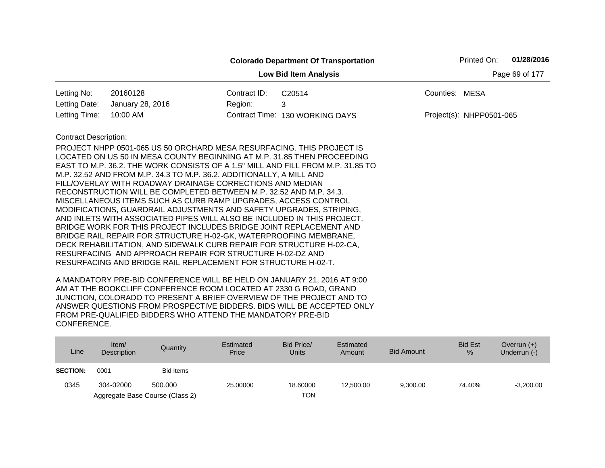|                                                                                                                                                                           |                                                                                                                                                                                                                                                                                                                                                                                                                                                                                                                                                                                                                                                                                                                                          |              | <b>Colorado Department Of Transportation</b> | Printed On:              | 01/28/2016 |
|---------------------------------------------------------------------------------------------------------------------------------------------------------------------------|------------------------------------------------------------------------------------------------------------------------------------------------------------------------------------------------------------------------------------------------------------------------------------------------------------------------------------------------------------------------------------------------------------------------------------------------------------------------------------------------------------------------------------------------------------------------------------------------------------------------------------------------------------------------------------------------------------------------------------------|--------------|----------------------------------------------|--------------------------|------------|
|                                                                                                                                                                           |                                                                                                                                                                                                                                                                                                                                                                                                                                                                                                                                                                                                                                                                                                                                          |              | <b>Low Bid Item Analysis</b>                 | Page 69 of 177           |            |
| Letting No:                                                                                                                                                               | 20160128                                                                                                                                                                                                                                                                                                                                                                                                                                                                                                                                                                                                                                                                                                                                 | Contract ID: | C20514                                       | Counties: MESA           |            |
| Letting Date:                                                                                                                                                             | January 28, 2016                                                                                                                                                                                                                                                                                                                                                                                                                                                                                                                                                                                                                                                                                                                         | Region:      | 3                                            |                          |            |
| Letting Time:                                                                                                                                                             | 10:00 AM                                                                                                                                                                                                                                                                                                                                                                                                                                                                                                                                                                                                                                                                                                                                 |              | Contract Time: 130 WORKING DAYS              | Project(s): NHPP0501-065 |            |
| <b>Contract Description:</b><br>BRIDGE RAIL REPAIR FOR STRUCTURE H-02-GK, WATERPROOFING MEMBRANE,<br>DECK REHABILITATION, AND SIDEWALK CURB REPAIR FOR STRUCTURE H-02-CA, | PROJECT NHPP 0501-065 US 50 ORCHARD MESA RESURFACING. THIS PROJECT IS<br>LOCATED ON US 50 IN MESA COUNTY BEGINNING AT M.P. 31.85 THEN PROCEEDING<br>EAST TO M.P. 36.2. THE WORK CONSISTS OF A 1.5" MILL AND FILL FROM M.P. 31.85 TO<br>M.P. 32.52 AND FROM M.P. 34.3 TO M.P. 36.2. ADDITIONALLY, A MILL AND<br>FILL/OVERLAY WITH ROADWAY DRAINAGE CORRECTIONS AND MEDIAN<br>RECONSTRUCTION WILL BE COMPLETED BETWEEN M.P. 32.52 AND M.P. 34.3.<br>MISCELLANEOUS ITEMS SUCH AS CURB RAMP UPGRADES, ACCESS CONTROL<br>MODIFICATIONS, GUARDRAIL ADJUSTMENTS AND SAFETY UPGRADES, STRIPING,<br>AND INLETS WITH ASSOCIATED PIPES WILL ALSO BE INCLUDED IN THIS PROJECT.<br>BRIDGE WORK FOR THIS PROJECT INCLUDES BRIDGE JOINT REPLACEMENT AND |              |                                              |                          |            |

| Line            | Item $/$<br><b>Description</b> | Quantity                        | Estimated<br>Price | Bid Price/<br>Units | Estimated<br>Amount | Bid Amount | <b>Bid Est</b><br>$\%$ | Overrun $(+)$<br>Underrun (-) |
|-----------------|--------------------------------|---------------------------------|--------------------|---------------------|---------------------|------------|------------------------|-------------------------------|
| <b>SECTION:</b> | 0001                           | <b>Bid Items</b>                |                    |                     |                     |            |                        |                               |
| 0345            | 304-02000                      | 500,000                         | 25,00000           | 18,60000            | 12,500.00           | 9,300.00   | 74.40%                 | $-3,200.00$                   |
|                 |                                | Aggregate Base Course (Class 2) |                    | TON                 |                     |            |                        |                               |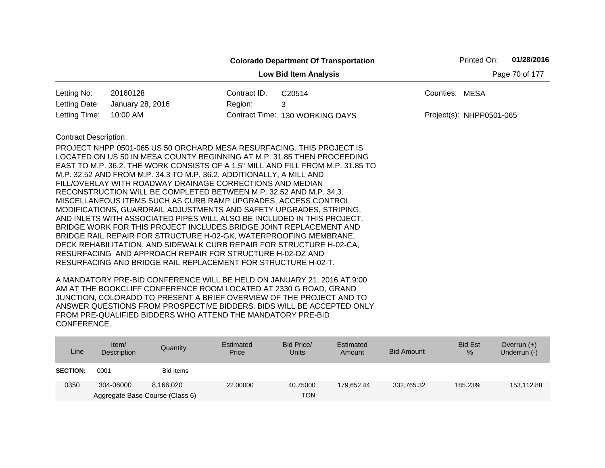|                              |                                                                                                                                      |              | <b>Colorado Department Of Transportation</b> |                | Printed On:              | 01/28/2016     |
|------------------------------|--------------------------------------------------------------------------------------------------------------------------------------|--------------|----------------------------------------------|----------------|--------------------------|----------------|
|                              |                                                                                                                                      |              | <b>Low Bid Item Analysis</b>                 |                |                          | Page 70 of 177 |
| Letting No:                  | 20160128                                                                                                                             | Contract ID: | C20514                                       | Counties: MESA |                          |                |
| Letting Date:                | January 28, 2016                                                                                                                     | Region:      | 3                                            |                |                          |                |
| Letting Time:                | 10:00 AM                                                                                                                             |              | Contract Time: 130 WORKING DAYS              |                | Project(s): NHPP0501-065 |                |
| <b>Contract Description:</b> |                                                                                                                                      |              |                                              |                |                          |                |
|                              | PROJECT NHPP 0501-065 US 50 ORCHARD MESA RESURFACING. THIS PROJECT IS                                                                |              |                                              |                |                          |                |
|                              | LOCATED ON US 50 IN MESA COUNTY BEGINNING AT M.P. 31.85 THEN PROCEEDING                                                              |              |                                              |                |                          |                |
|                              | EAST TO M.P. 36.2. THE WORK CONSISTS OF A 1.5" MILL AND FILL FROM M.P. 31.85 TO                                                      |              |                                              |                |                          |                |
|                              | M.P. 32.52 AND FROM M.P. 34.3 TO M.P. 36.2. ADDITIONALLY, A MILL AND                                                                 |              |                                              |                |                          |                |
|                              | FILL/OVERLAY WITH ROADWAY DRAINAGE CORRECTIONS AND MEDIAN                                                                            |              |                                              |                |                          |                |
|                              | RECONSTRUCTION WILL BE COMPLETED BETWEEN M.P. 32.52 AND M.P. 34.3.<br>MISCELLANEOUS ITEMS SUCH AS CURB RAMP UPGRADES, ACCESS CONTROL |              |                                              |                |                          |                |
|                              | MODIFICATIONS, GUARDRAIL ADJUSTMENTS AND SAFETY UPGRADES, STRIPING,                                                                  |              |                                              |                |                          |                |
|                              | AND INLETS WITH ASSOCIATED PIPES WILL ALSO BE INCLUDED IN THIS PROJECT.                                                              |              |                                              |                |                          |                |
|                              | BRIDGE WORK FOR THIS PROJECT INCLUDES BRIDGE JOINT REPLACEMENT AND                                                                   |              |                                              |                |                          |                |
|                              | BRIDGE RAIL REPAIR FOR STRUCTURE H-02-GK, WATERPROOFING MEMBRANE,                                                                    |              |                                              |                |                          |                |
|                              | DECK REHABILITATION, AND SIDEWALK CURB REPAIR FOR STRUCTURE H-02-CA,                                                                 |              |                                              |                |                          |                |
|                              | RESURFACING AND APPROACH REPAIR FOR STRUCTURE H-02-DZ AND                                                                            |              |                                              |                |                          |                |
|                              | RESURFACING AND BRIDGE RAIL REPLACEMENT FOR STRUCTURE H-02-T.                                                                        |              |                                              |                |                          |                |

| Line            | Item $/$<br>Description | Quantity                        | Estimated<br>Price | Bid Price/<br><b>Units</b> | Estimated<br>Amount | <b>Bid Amount</b> | <b>Bid Est</b><br>% | Overrun $(+)$<br>Underrun (-) |
|-----------------|-------------------------|---------------------------------|--------------------|----------------------------|---------------------|-------------------|---------------------|-------------------------------|
| <b>SECTION:</b> | 0001                    | Bid Items                       |                    |                            |                     |                   |                     |                               |
| 0350            | 304-06000               | 8.166.020                       | 22,00000           | 40.75000                   | 179.652.44          | 332,765.32        | 185.23%             | 153,112.88                    |
|                 |                         | Aggregate Base Course (Class 6) |                    | <b>TON</b>                 |                     |                   |                     |                               |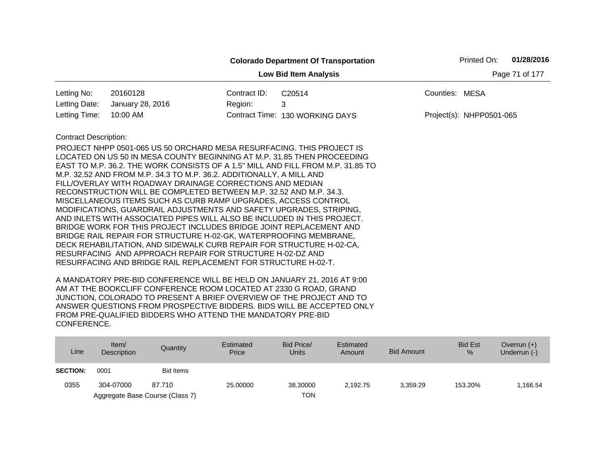|                              |                                                                                                                                   |              | <b>Colorado Department Of Transportation</b> |                | Printed On:              | 01/28/2016     |
|------------------------------|-----------------------------------------------------------------------------------------------------------------------------------|--------------|----------------------------------------------|----------------|--------------------------|----------------|
|                              |                                                                                                                                   |              | <b>Low Bid Item Analysis</b>                 |                |                          | Page 71 of 177 |
| Letting No:                  | 20160128                                                                                                                          | Contract ID: | C20514                                       | Counties: MESA |                          |                |
| Letting Date:                | January 28, 2016                                                                                                                  | Region:      | 3                                            |                |                          |                |
| Letting Time:                | 10:00 AM                                                                                                                          |              | Contract Time: 130 WORKING DAYS              |                | Project(s): NHPP0501-065 |                |
| <b>Contract Description:</b> |                                                                                                                                   |              |                                              |                |                          |                |
|                              | PROJECT NHPP 0501-065 US 50 ORCHARD MESA RESURFACING. THIS PROJECT IS                                                             |              |                                              |                |                          |                |
|                              | LOCATED ON US 50 IN MESA COUNTY BEGINNING AT M.P. 31.85 THEN PROCEEDING                                                           |              |                                              |                |                          |                |
|                              | EAST TO M.P. 36.2. THE WORK CONSISTS OF A 1.5" MILL AND FILL FROM M.P. 31.85 TO                                                   |              |                                              |                |                          |                |
|                              | M.P. 32.52 AND FROM M.P. 34.3 TO M.P. 36.2. ADDITIONALLY, A MILL AND<br>FILL/OVERLAY WITH ROADWAY DRAINAGE CORRECTIONS AND MEDIAN |              |                                              |                |                          |                |
|                              | RECONSTRUCTION WILL BE COMPLETED BETWEEN M.P. 32.52 AND M.P. 34.3.                                                                |              |                                              |                |                          |                |
|                              | MISCELLANEOUS ITEMS SUCH AS CURB RAMP UPGRADES, ACCESS CONTROL                                                                    |              |                                              |                |                          |                |
|                              | MODIFICATIONS, GUARDRAIL ADJUSTMENTS AND SAFETY UPGRADES, STRIPING,                                                               |              |                                              |                |                          |                |
|                              | AND INLETS WITH ASSOCIATED PIPES WILL ALSO BE INCLUDED IN THIS PROJECT.                                                           |              |                                              |                |                          |                |
|                              | BRIDGE WORK FOR THIS PROJECT INCLUDES BRIDGE JOINT REPLACEMENT AND                                                                |              |                                              |                |                          |                |
|                              | BRIDGE RAIL REPAIR FOR STRUCTURE H-02-GK, WATERPROOFING MEMBRANE,                                                                 |              |                                              |                |                          |                |
|                              | DECK REHABILITATION, AND SIDEWALK CURB REPAIR FOR STRUCTURE H-02-CA,                                                              |              |                                              |                |                          |                |
|                              | RESURFACING AND APPROACH REPAIR FOR STRUCTURE H-02-DZ AND                                                                         |              |                                              |                |                          |                |
|                              | RESURFACING AND BRIDGE RAIL REPLACEMENT FOR STRUCTURE H-02-T.                                                                     |              |                                              |                |                          |                |

| Line            | Item/<br><b>Description</b> | Quantity                        | Estimated<br>Price | Bid Price/<br>Units | Estimated<br>Amount | Bid Amount | <b>Bid Est</b><br>$\%$ | Overrun $(+)$<br>Underrun (-) |
|-----------------|-----------------------------|---------------------------------|--------------------|---------------------|---------------------|------------|------------------------|-------------------------------|
| <b>SECTION:</b> | 0001                        | Bid Items                       |                    |                     |                     |            |                        |                               |
| 0355            | 304-07000                   | 87.710                          | 25,00000           | 38.30000            | 2.192.75            | 3.359.29   | 153.20%                | .166.54                       |
|                 |                             | Aggregate Base Course (Class 7) |                    | <b>TON</b>          |                     |            |                        |                               |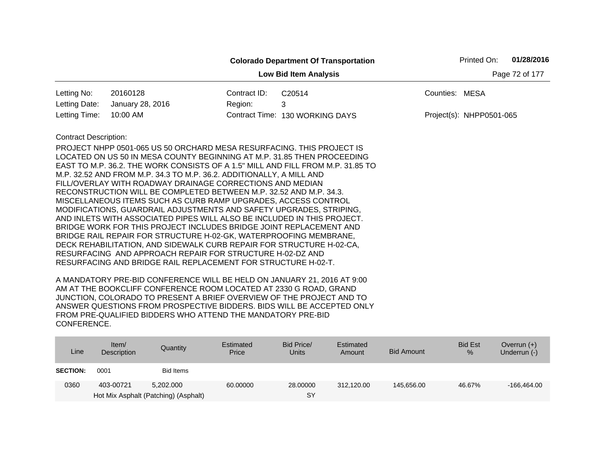|                              |                                                                                                                                                                                                                                                                                                                                                                                                                                                                                                                                                                                                                                                                                                                                                                                                                                                                                                                                                                                                                     |              | <b>Colorado Department Of Transportation</b> |                          | Printed On:    | 01/28/2016 |  |
|------------------------------|---------------------------------------------------------------------------------------------------------------------------------------------------------------------------------------------------------------------------------------------------------------------------------------------------------------------------------------------------------------------------------------------------------------------------------------------------------------------------------------------------------------------------------------------------------------------------------------------------------------------------------------------------------------------------------------------------------------------------------------------------------------------------------------------------------------------------------------------------------------------------------------------------------------------------------------------------------------------------------------------------------------------|--------------|----------------------------------------------|--------------------------|----------------|------------|--|
|                              |                                                                                                                                                                                                                                                                                                                                                                                                                                                                                                                                                                                                                                                                                                                                                                                                                                                                                                                                                                                                                     |              | <b>Low Bid Item Analysis</b>                 |                          | Page 72 of 177 |            |  |
| Letting No:                  | 20160128                                                                                                                                                                                                                                                                                                                                                                                                                                                                                                                                                                                                                                                                                                                                                                                                                                                                                                                                                                                                            | Contract ID: | C20514                                       | Counties: MESA           |                |            |  |
| Letting Date:                | January 28, 2016                                                                                                                                                                                                                                                                                                                                                                                                                                                                                                                                                                                                                                                                                                                                                                                                                                                                                                                                                                                                    | Region:      | 3                                            |                          |                |            |  |
| Letting Time:                | 10:00 AM                                                                                                                                                                                                                                                                                                                                                                                                                                                                                                                                                                                                                                                                                                                                                                                                                                                                                                                                                                                                            |              | Contract Time: 130 WORKING DAYS              | Project(s): NHPP0501-065 |                |            |  |
| <b>Contract Description:</b> | PROJECT NHPP 0501-065 US 50 ORCHARD MESA RESURFACING. THIS PROJECT IS<br>LOCATED ON US 50 IN MESA COUNTY BEGINNING AT M.P. 31.85 THEN PROCEEDING<br>EAST TO M.P. 36.2. THE WORK CONSISTS OF A 1.5" MILL AND FILL FROM M.P. 31.85 TO<br>M.P. 32.52 AND FROM M.P. 34.3 TO M.P. 36.2. ADDITIONALLY, A MILL AND<br>FILL/OVERLAY WITH ROADWAY DRAINAGE CORRECTIONS AND MEDIAN<br>RECONSTRUCTION WILL BE COMPLETED BETWEEN M.P. 32.52 AND M.P. 34.3.<br>MISCELLANEOUS ITEMS SUCH AS CURB RAMP UPGRADES, ACCESS CONTROL<br>MODIFICATIONS, GUARDRAIL ADJUSTMENTS AND SAFETY UPGRADES, STRIPING,<br>AND INLETS WITH ASSOCIATED PIPES WILL ALSO BE INCLUDED IN THIS PROJECT.<br>BRIDGE WORK FOR THIS PROJECT INCLUDES BRIDGE JOINT REPLACEMENT AND<br>BRIDGE RAIL REPAIR FOR STRUCTURE H-02-GK, WATERPROOFING MEMBRANE,<br>DECK REHABILITATION, AND SIDEWALK CURB REPAIR FOR STRUCTURE H-02-CA,<br>RESURFACING AND APPROACH REPAIR FOR STRUCTURE H-02-DZ AND<br>RESURFACING AND BRIDGE RAIL REPLACEMENT FOR STRUCTURE H-02-T. |              |                                              |                          |                |            |  |

| Line            | Item $\sqrt{ }$<br>Description | Quantity                                          | Estimated<br>Price | Bid Price/<br><b>Units</b> | Estimated<br>Amount | <b>Bid Amount</b> | <b>Bid Est</b><br>% | Overrun $(+)$<br>Underrun (-) |
|-----------------|--------------------------------|---------------------------------------------------|--------------------|----------------------------|---------------------|-------------------|---------------------|-------------------------------|
| <b>SECTION:</b> | 0001                           | Bid Items                                         |                    |                            |                     |                   |                     |                               |
| 0360            | 403-00721                      | 5.202.000<br>Hot Mix Asphalt (Patching) (Asphalt) | 60.00000           | 28,00000<br>SY             | 312.120.00          | 145,656.00        | 46.67%              | -166,464.00                   |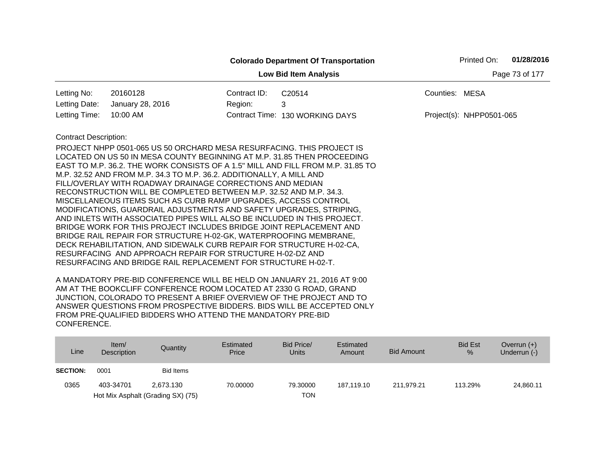|                              |                                                                                                                                                                                                                                                                                                                                                                                                                                                                                                                                                                                                                                                                                                                                                                                                                                                                                                                                  |              | <b>Colorado Department Of Transportation</b>                                    |                | Printed On:              | 01/28/2016     |
|------------------------------|----------------------------------------------------------------------------------------------------------------------------------------------------------------------------------------------------------------------------------------------------------------------------------------------------------------------------------------------------------------------------------------------------------------------------------------------------------------------------------------------------------------------------------------------------------------------------------------------------------------------------------------------------------------------------------------------------------------------------------------------------------------------------------------------------------------------------------------------------------------------------------------------------------------------------------|--------------|---------------------------------------------------------------------------------|----------------|--------------------------|----------------|
|                              |                                                                                                                                                                                                                                                                                                                                                                                                                                                                                                                                                                                                                                                                                                                                                                                                                                                                                                                                  |              | <b>Low Bid Item Analysis</b>                                                    |                |                          | Page 73 of 177 |
| Letting No:                  | 20160128                                                                                                                                                                                                                                                                                                                                                                                                                                                                                                                                                                                                                                                                                                                                                                                                                                                                                                                         | Contract ID: | C20514                                                                          | Counties: MESA |                          |                |
| Letting Date:                | January 28, 2016                                                                                                                                                                                                                                                                                                                                                                                                                                                                                                                                                                                                                                                                                                                                                                                                                                                                                                                 | Region:      | 3                                                                               |                |                          |                |
| Letting Time:                | 10:00 AM                                                                                                                                                                                                                                                                                                                                                                                                                                                                                                                                                                                                                                                                                                                                                                                                                                                                                                                         |              | Contract Time: 130 WORKING DAYS                                                 |                | Project(s): NHPP0501-065 |                |
| <b>Contract Description:</b> | PROJECT NHPP 0501-065 US 50 ORCHARD MESA RESURFACING. THIS PROJECT IS<br>LOCATED ON US 50 IN MESA COUNTY BEGINNING AT M.P. 31.85 THEN PROCEEDING<br>M.P. 32.52 AND FROM M.P. 34.3 TO M.P. 36.2. ADDITIONALLY, A MILL AND<br>FILL/OVERLAY WITH ROADWAY DRAINAGE CORRECTIONS AND MEDIAN<br>RECONSTRUCTION WILL BE COMPLETED BETWEEN M.P. 32.52 AND M.P. 34.3.<br>MISCELLANEOUS ITEMS SUCH AS CURB RAMP UPGRADES, ACCESS CONTROL<br>MODIFICATIONS, GUARDRAIL ADJUSTMENTS AND SAFETY UPGRADES, STRIPING,<br>AND INLETS WITH ASSOCIATED PIPES WILL ALSO BE INCLUDED IN THIS PROJECT.<br>BRIDGE WORK FOR THIS PROJECT INCLUDES BRIDGE JOINT REPLACEMENT AND<br>BRIDGE RAIL REPAIR FOR STRUCTURE H-02-GK, WATERPROOFING MEMBRANE,<br>DECK REHABILITATION, AND SIDEWALK CURB REPAIR FOR STRUCTURE H-02-CA,<br>RESURFACING AND APPROACH REPAIR FOR STRUCTURE H-02-DZ AND<br>RESURFACING AND BRIDGE RAIL REPLACEMENT FOR STRUCTURE H-02-T. |              | EAST TO M.P. 36.2. THE WORK CONSISTS OF A 1.5" MILL AND FILL FROM M.P. 31.85 TO |                |                          |                |

| Line            | Item $/$<br><b>Description</b> | Quantity                          | Estimated<br>Price | Bid Price/<br>Units | Estimated<br>Amount | Bid Amount | <b>Bid Est</b><br>% | Overrun $(+)$<br>Underrun (-) |
|-----------------|--------------------------------|-----------------------------------|--------------------|---------------------|---------------------|------------|---------------------|-------------------------------|
| <b>SECTION:</b> | 0001                           | <b>Bid Items</b>                  |                    |                     |                     |            |                     |                               |
| 0365            | 403-34701                      | 2.673.130                         | 70.00000           | 79.30000            | 187.119.10          | 211.979.21 | 113.29%             | 24,860.11                     |
|                 |                                | Hot Mix Asphalt (Grading SX) (75) |                    | TON                 |                     |            |                     |                               |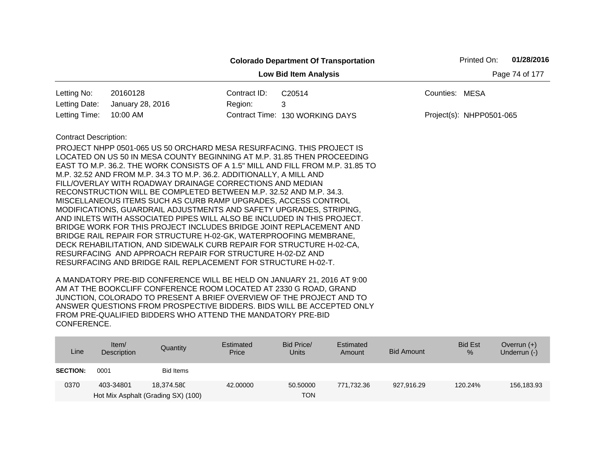|                              |                                                                                                                                                                                                                                                                                                                                                                                                                                                                                                                                                                                                                                                                                                                                                                                                                                                                                       |              | <b>Colorado Department Of Transportation</b> | Printed On:              | 01/28/2016     |
|------------------------------|---------------------------------------------------------------------------------------------------------------------------------------------------------------------------------------------------------------------------------------------------------------------------------------------------------------------------------------------------------------------------------------------------------------------------------------------------------------------------------------------------------------------------------------------------------------------------------------------------------------------------------------------------------------------------------------------------------------------------------------------------------------------------------------------------------------------------------------------------------------------------------------|--------------|----------------------------------------------|--------------------------|----------------|
|                              |                                                                                                                                                                                                                                                                                                                                                                                                                                                                                                                                                                                                                                                                                                                                                                                                                                                                                       |              | <b>Low Bid Item Analysis</b>                 |                          | Page 74 of 177 |
| Letting No:                  | 20160128                                                                                                                                                                                                                                                                                                                                                                                                                                                                                                                                                                                                                                                                                                                                                                                                                                                                              | Contract ID: | C20514                                       | Counties: MESA           |                |
| Letting Date:                | January 28, 2016                                                                                                                                                                                                                                                                                                                                                                                                                                                                                                                                                                                                                                                                                                                                                                                                                                                                      | Region:      | 3                                            |                          |                |
| Letting Time:                | 10:00 AM                                                                                                                                                                                                                                                                                                                                                                                                                                                                                                                                                                                                                                                                                                                                                                                                                                                                              |              | Contract Time: 130 WORKING DAYS              | Project(s): NHPP0501-065 |                |
| <b>Contract Description:</b> | PROJECT NHPP 0501-065 US 50 ORCHARD MESA RESURFACING. THIS PROJECT IS<br>LOCATED ON US 50 IN MESA COUNTY BEGINNING AT M.P. 31.85 THEN PROCEEDING<br>EAST TO M.P. 36.2. THE WORK CONSISTS OF A 1.5" MILL AND FILL FROM M.P. 31.85 TO<br>M.P. 32.52 AND FROM M.P. 34.3 TO M.P. 36.2. ADDITIONALLY, A MILL AND<br>FILL/OVERLAY WITH ROADWAY DRAINAGE CORRECTIONS AND MEDIAN<br>RECONSTRUCTION WILL BE COMPLETED BETWEEN M.P. 32.52 AND M.P. 34.3.<br>MISCELLANEOUS ITEMS SUCH AS CURB RAMP UPGRADES, ACCESS CONTROL<br>MODIFICATIONS, GUARDRAIL ADJUSTMENTS AND SAFETY UPGRADES, STRIPING,<br>AND INLETS WITH ASSOCIATED PIPES WILL ALSO BE INCLUDED IN THIS PROJECT.<br>BRIDGE WORK FOR THIS PROJECT INCLUDES BRIDGE JOINT REPLACEMENT AND<br>BRIDGE RAIL REPAIR FOR STRUCTURE H-02-GK, WATERPROOFING MEMBRANE,<br>DECK REHABILITATION, AND SIDEWALK CURB REPAIR FOR STRUCTURE H-02-CA, |              |                                              |                          |                |
|                              | RESURFACING AND APPROACH REPAIR FOR STRUCTURE H-02-DZ AND<br>RESURFACING AND BRIDGE RAIL REPLACEMENT FOR STRUCTURE H-02-T.                                                                                                                                                                                                                                                                                                                                                                                                                                                                                                                                                                                                                                                                                                                                                            |              |                                              |                          |                |

| Line            | Item $\sqrt{ }$<br>Description | Quantity                                         | Estimated<br>Price | Bid Price/<br><b>Units</b> | Estimated<br>Amount | <b>Bid Amount</b> | <b>Bid Est</b><br>$\%$ | Overrun $(+)$<br>Underrun (-) |
|-----------------|--------------------------------|--------------------------------------------------|--------------------|----------------------------|---------------------|-------------------|------------------------|-------------------------------|
| <b>SECTION:</b> | 0001                           | Bid Items                                        |                    |                            |                     |                   |                        |                               |
| 0370            | 403-34801                      | 18.374.580<br>Hot Mix Asphalt (Grading SX) (100) | 42.00000           | 50,50000<br>TON            | 771.732.36          | 927.916.29        | 120.24%                | 156,183.93                    |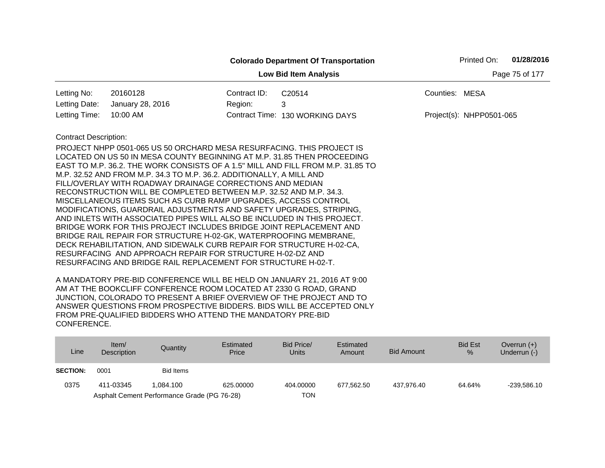|                              |                                                                                                                                                                                                                                                                                                                                                                                                                                                                                                                                                                                                                                                                                                                                                                                                                                                                                                                                  |              | <b>Colorado Department Of Transportation</b>                                    |                | Printed On:              | 01/28/2016     |
|------------------------------|----------------------------------------------------------------------------------------------------------------------------------------------------------------------------------------------------------------------------------------------------------------------------------------------------------------------------------------------------------------------------------------------------------------------------------------------------------------------------------------------------------------------------------------------------------------------------------------------------------------------------------------------------------------------------------------------------------------------------------------------------------------------------------------------------------------------------------------------------------------------------------------------------------------------------------|--------------|---------------------------------------------------------------------------------|----------------|--------------------------|----------------|
|                              |                                                                                                                                                                                                                                                                                                                                                                                                                                                                                                                                                                                                                                                                                                                                                                                                                                                                                                                                  |              | <b>Low Bid Item Analysis</b>                                                    |                |                          | Page 75 of 177 |
| Letting No:                  | 20160128                                                                                                                                                                                                                                                                                                                                                                                                                                                                                                                                                                                                                                                                                                                                                                                                                                                                                                                         | Contract ID: | C20514                                                                          | Counties: MESA |                          |                |
| Letting Date:                | January 28, 2016                                                                                                                                                                                                                                                                                                                                                                                                                                                                                                                                                                                                                                                                                                                                                                                                                                                                                                                 | Region:      | 3                                                                               |                |                          |                |
| Letting Time:                | 10:00 AM                                                                                                                                                                                                                                                                                                                                                                                                                                                                                                                                                                                                                                                                                                                                                                                                                                                                                                                         |              | Contract Time: 130 WORKING DAYS                                                 |                | Project(s): NHPP0501-065 |                |
| <b>Contract Description:</b> | PROJECT NHPP 0501-065 US 50 ORCHARD MESA RESURFACING. THIS PROJECT IS<br>LOCATED ON US 50 IN MESA COUNTY BEGINNING AT M.P. 31.85 THEN PROCEEDING<br>M.P. 32.52 AND FROM M.P. 34.3 TO M.P. 36.2. ADDITIONALLY, A MILL AND<br>FILL/OVERLAY WITH ROADWAY DRAINAGE CORRECTIONS AND MEDIAN<br>RECONSTRUCTION WILL BE COMPLETED BETWEEN M.P. 32.52 AND M.P. 34.3.<br>MISCELLANEOUS ITEMS SUCH AS CURB RAMP UPGRADES, ACCESS CONTROL<br>MODIFICATIONS, GUARDRAIL ADJUSTMENTS AND SAFETY UPGRADES, STRIPING,<br>AND INLETS WITH ASSOCIATED PIPES WILL ALSO BE INCLUDED IN THIS PROJECT.<br>BRIDGE WORK FOR THIS PROJECT INCLUDES BRIDGE JOINT REPLACEMENT AND<br>BRIDGE RAIL REPAIR FOR STRUCTURE H-02-GK, WATERPROOFING MEMBRANE,<br>DECK REHABILITATION, AND SIDEWALK CURB REPAIR FOR STRUCTURE H-02-CA,<br>RESURFACING AND APPROACH REPAIR FOR STRUCTURE H-02-DZ AND<br>RESURFACING AND BRIDGE RAIL REPLACEMENT FOR STRUCTURE H-02-T. |              | EAST TO M.P. 36.2. THE WORK CONSISTS OF A 1.5" MILL AND FILL FROM M.P. 31.85 TO |                |                          |                |

| Line            | Item $/$<br><b>Description</b> | Quantity                                    | Estimated<br>Price | Bid Price/<br>Units | Estimated<br>Amount | <b>Bid Amount</b> | <b>Bid Est</b><br>$\%$ | Overrun $(+)$<br>Underrun (-) |
|-----------------|--------------------------------|---------------------------------------------|--------------------|---------------------|---------------------|-------------------|------------------------|-------------------------------|
| <b>SECTION:</b> | 0001                           | <b>Bid Items</b>                            |                    |                     |                     |                   |                        |                               |
| 0375            | 411-03345                      | 1.084.100                                   | 625,00000          | 404.00000           | 677.562.50          | 437.976.40        | 64.64%                 | $-239.586.10$                 |
|                 |                                | Asphalt Cement Performance Grade (PG 76-28) |                    | TON                 |                     |                   |                        |                               |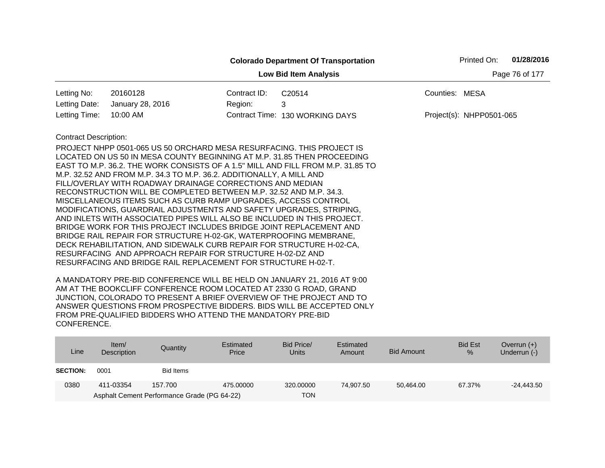|                                                |                                                                                                                                                                                                                                                                                                                                                                                                                                                                                                                                                                                                                                                                                                                                                                                                                                                                                                                                  |              | <b>Colorado Department Of Transportation</b>                                    |                | Printed On:              | 01/28/2016 |  |  |  |
|------------------------------------------------|----------------------------------------------------------------------------------------------------------------------------------------------------------------------------------------------------------------------------------------------------------------------------------------------------------------------------------------------------------------------------------------------------------------------------------------------------------------------------------------------------------------------------------------------------------------------------------------------------------------------------------------------------------------------------------------------------------------------------------------------------------------------------------------------------------------------------------------------------------------------------------------------------------------------------------|--------------|---------------------------------------------------------------------------------|----------------|--------------------------|------------|--|--|--|
| <b>Low Bid Item Analysis</b><br>Page 76 of 177 |                                                                                                                                                                                                                                                                                                                                                                                                                                                                                                                                                                                                                                                                                                                                                                                                                                                                                                                                  |              |                                                                                 |                |                          |            |  |  |  |
| Letting No:                                    | 20160128                                                                                                                                                                                                                                                                                                                                                                                                                                                                                                                                                                                                                                                                                                                                                                                                                                                                                                                         | Contract ID: | C20514                                                                          | Counties: MESA |                          |            |  |  |  |
| Letting Date:                                  | January 28, 2016                                                                                                                                                                                                                                                                                                                                                                                                                                                                                                                                                                                                                                                                                                                                                                                                                                                                                                                 | Region:      | 3                                                                               |                |                          |            |  |  |  |
| Letting Time:                                  | 10:00 AM                                                                                                                                                                                                                                                                                                                                                                                                                                                                                                                                                                                                                                                                                                                                                                                                                                                                                                                         |              | Contract Time: 130 WORKING DAYS                                                 |                | Project(s): NHPP0501-065 |            |  |  |  |
| <b>Contract Description:</b>                   | PROJECT NHPP 0501-065 US 50 ORCHARD MESA RESURFACING. THIS PROJECT IS<br>LOCATED ON US 50 IN MESA COUNTY BEGINNING AT M.P. 31.85 THEN PROCEEDING<br>M.P. 32.52 AND FROM M.P. 34.3 TO M.P. 36.2. ADDITIONALLY, A MILL AND<br>FILL/OVERLAY WITH ROADWAY DRAINAGE CORRECTIONS AND MEDIAN<br>RECONSTRUCTION WILL BE COMPLETED BETWEEN M.P. 32.52 AND M.P. 34.3.<br>MISCELLANEOUS ITEMS SUCH AS CURB RAMP UPGRADES, ACCESS CONTROL<br>MODIFICATIONS, GUARDRAIL ADJUSTMENTS AND SAFETY UPGRADES, STRIPING,<br>AND INLETS WITH ASSOCIATED PIPES WILL ALSO BE INCLUDED IN THIS PROJECT.<br>BRIDGE WORK FOR THIS PROJECT INCLUDES BRIDGE JOINT REPLACEMENT AND<br>BRIDGE RAIL REPAIR FOR STRUCTURE H-02-GK, WATERPROOFING MEMBRANE,<br>DECK REHABILITATION, AND SIDEWALK CURB REPAIR FOR STRUCTURE H-02-CA,<br>RESURFACING AND APPROACH REPAIR FOR STRUCTURE H-02-DZ AND<br>RESURFACING AND BRIDGE RAIL REPLACEMENT FOR STRUCTURE H-02-T. |              | EAST TO M.P. 36.2. THE WORK CONSISTS OF A 1.5" MILL AND FILL FROM M.P. 31.85 TO |                |                          |            |  |  |  |

| Line            | Item/<br>Description | Quantity                                    | Estimated<br>Price | Bid Price/<br><b>Units</b> | Estimated<br>Amount | <b>Bid Amount</b> | <b>Bid Est</b><br>$\%$ | Overrun $(+)$<br>Underrun (-) |
|-----------------|----------------------|---------------------------------------------|--------------------|----------------------------|---------------------|-------------------|------------------------|-------------------------------|
| <b>SECTION:</b> | 0001                 | Bid Items                                   |                    |                            |                     |                   |                        |                               |
| 0380            | 411-03354            | 157.700                                     | 475.00000          | 320,00000                  | 74.907.50           | 50.464.00         | 67.37%                 | $-24,443.50$                  |
|                 |                      | Asphalt Cement Performance Grade (PG 64-22) |                    | TON                        |                     |                   |                        |                               |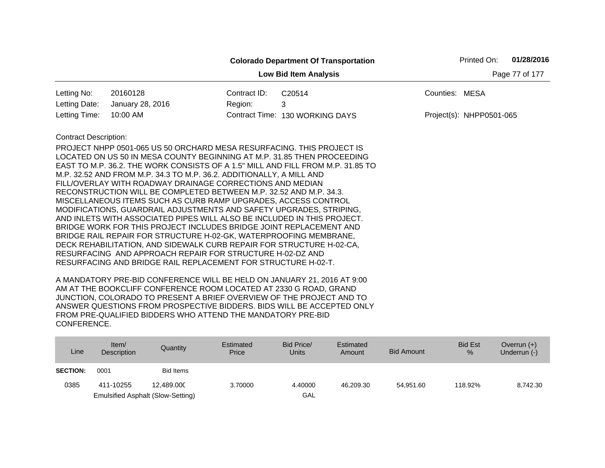|                                |                                                                                                                                                                                                                                                                                                                                                                                                                                                                                                                                                                                                                                                                                                                                                                                                                                                                                                                                                                                                                     |              | <b>Colorado Department Of Transportation</b> |                | Printed On:              | 01/28/2016 |  |  |  |  |
|--------------------------------|---------------------------------------------------------------------------------------------------------------------------------------------------------------------------------------------------------------------------------------------------------------------------------------------------------------------------------------------------------------------------------------------------------------------------------------------------------------------------------------------------------------------------------------------------------------------------------------------------------------------------------------------------------------------------------------------------------------------------------------------------------------------------------------------------------------------------------------------------------------------------------------------------------------------------------------------------------------------------------------------------------------------|--------------|----------------------------------------------|----------------|--------------------------|------------|--|--|--|--|
|                                | Page 77 of 177<br><b>Low Bid Item Analysis</b>                                                                                                                                                                                                                                                                                                                                                                                                                                                                                                                                                                                                                                                                                                                                                                                                                                                                                                                                                                      |              |                                              |                |                          |            |  |  |  |  |
| Letting No:                    | 20160128                                                                                                                                                                                                                                                                                                                                                                                                                                                                                                                                                                                                                                                                                                                                                                                                                                                                                                                                                                                                            | Contract ID: | C20514                                       | Counties: MESA |                          |            |  |  |  |  |
| Letting Date:<br>Letting Time: | January 28, 2016<br>10:00 AM                                                                                                                                                                                                                                                                                                                                                                                                                                                                                                                                                                                                                                                                                                                                                                                                                                                                                                                                                                                        | Region:      | 3<br>Contract Time: 130 WORKING DAYS         |                | Project(s): NHPP0501-065 |            |  |  |  |  |
| <b>Contract Description:</b>   | PROJECT NHPP 0501-065 US 50 ORCHARD MESA RESURFACING. THIS PROJECT IS<br>LOCATED ON US 50 IN MESA COUNTY BEGINNING AT M.P. 31.85 THEN PROCEEDING<br>EAST TO M.P. 36.2. THE WORK CONSISTS OF A 1.5" MILL AND FILL FROM M.P. 31.85 TO<br>M.P. 32.52 AND FROM M.P. 34.3 TO M.P. 36.2. ADDITIONALLY, A MILL AND<br>FILL/OVERLAY WITH ROADWAY DRAINAGE CORRECTIONS AND MEDIAN<br>RECONSTRUCTION WILL BE COMPLETED BETWEEN M.P. 32.52 AND M.P. 34.3.<br>MISCELLANEOUS ITEMS SUCH AS CURB RAMP UPGRADES, ACCESS CONTROL<br>MODIFICATIONS, GUARDRAIL ADJUSTMENTS AND SAFETY UPGRADES, STRIPING,<br>AND INLETS WITH ASSOCIATED PIPES WILL ALSO BE INCLUDED IN THIS PROJECT.<br>BRIDGE WORK FOR THIS PROJECT INCLUDES BRIDGE JOINT REPLACEMENT AND<br>BRIDGE RAIL REPAIR FOR STRUCTURE H-02-GK, WATERPROOFING MEMBRANE,<br>DECK REHABILITATION, AND SIDEWALK CURB REPAIR FOR STRUCTURE H-02-CA,<br>RESURFACING AND APPROACH REPAIR FOR STRUCTURE H-02-DZ AND<br>RESURFACING AND BRIDGE RAIL REPLACEMENT FOR STRUCTURE H-02-T. |              |                                              |                |                          |            |  |  |  |  |

| Line            | Item/<br>Description | Quantity                                 | Estimated<br>Price | Bid Price/<br><b>Units</b> | Estimated<br>Amount | <b>Bid Amount</b> | <b>Bid Est</b><br>$\%$ | Overrun $(+)$<br>Underrun (-) |
|-----------------|----------------------|------------------------------------------|--------------------|----------------------------|---------------------|-------------------|------------------------|-------------------------------|
| <b>SECTION:</b> | 0001                 | Bid Items                                |                    |                            |                     |                   |                        |                               |
| 0385            | 411-10255            | 12.489.000                               | 3.70000            | 4.40000                    | 46.209.30           | 54.951.60         | 118.92%                | 8.742.30                      |
|                 |                      | <b>Emulsified Asphalt (Slow-Setting)</b> |                    | GAL                        |                     |                   |                        |                               |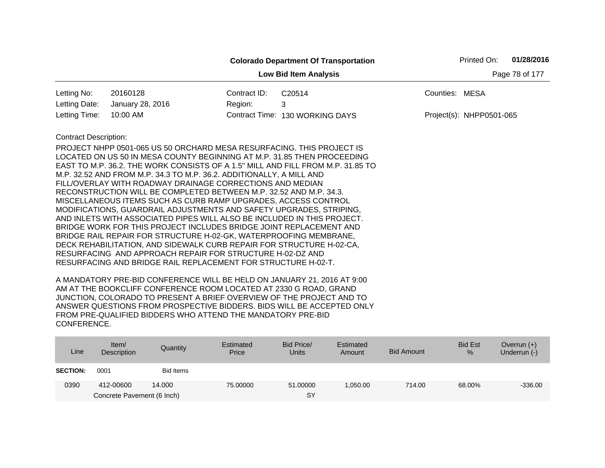|                                                                                                                                           |                                                                                                                                                                                                                                                                                                                                                                                                                                                                                                                                                                                                                                                                                                                                          |              | <b>Colorado Department Of Transportation</b> |                | Printed On:              | 01/28/2016 |  |  |  |  |
|-------------------------------------------------------------------------------------------------------------------------------------------|------------------------------------------------------------------------------------------------------------------------------------------------------------------------------------------------------------------------------------------------------------------------------------------------------------------------------------------------------------------------------------------------------------------------------------------------------------------------------------------------------------------------------------------------------------------------------------------------------------------------------------------------------------------------------------------------------------------------------------------|--------------|----------------------------------------------|----------------|--------------------------|------------|--|--|--|--|
|                                                                                                                                           | <b>Low Bid Item Analysis</b><br>Page 78 of 177                                                                                                                                                                                                                                                                                                                                                                                                                                                                                                                                                                                                                                                                                           |              |                                              |                |                          |            |  |  |  |  |
| Letting No:                                                                                                                               | 20160128                                                                                                                                                                                                                                                                                                                                                                                                                                                                                                                                                                                                                                                                                                                                 | Contract ID: | C20514                                       | Counties: MESA |                          |            |  |  |  |  |
| Letting Date:                                                                                                                             | January 28, 2016                                                                                                                                                                                                                                                                                                                                                                                                                                                                                                                                                                                                                                                                                                                         | Region:      | 3                                            |                |                          |            |  |  |  |  |
| Letting Time:                                                                                                                             | 10:00 AM                                                                                                                                                                                                                                                                                                                                                                                                                                                                                                                                                                                                                                                                                                                                 |              | Contract Time: 130 WORKING DAYS              |                | Project(s): NHPP0501-065 |            |  |  |  |  |
| <b>Contract Description:</b>                                                                                                              |                                                                                                                                                                                                                                                                                                                                                                                                                                                                                                                                                                                                                                                                                                                                          |              |                                              |                |                          |            |  |  |  |  |
| BRIDGE RAIL REPAIR FOR STRUCTURE H-02-GK, WATERPROOFING MEMBRANE,<br>DECK REHABILITATION, AND SIDEWALK CURB REPAIR FOR STRUCTURE H-02-CA, | PROJECT NHPP 0501-065 US 50 ORCHARD MESA RESURFACING. THIS PROJECT IS<br>LOCATED ON US 50 IN MESA COUNTY BEGINNING AT M.P. 31.85 THEN PROCEEDING<br>EAST TO M.P. 36.2. THE WORK CONSISTS OF A 1.5" MILL AND FILL FROM M.P. 31.85 TO<br>M.P. 32.52 AND FROM M.P. 34.3 TO M.P. 36.2. ADDITIONALLY, A MILL AND<br>FILL/OVERLAY WITH ROADWAY DRAINAGE CORRECTIONS AND MEDIAN<br>RECONSTRUCTION WILL BE COMPLETED BETWEEN M.P. 32.52 AND M.P. 34.3.<br>MISCELLANEOUS ITEMS SUCH AS CURB RAMP UPGRADES, ACCESS CONTROL<br>MODIFICATIONS, GUARDRAIL ADJUSTMENTS AND SAFETY UPGRADES, STRIPING,<br>AND INLETS WITH ASSOCIATED PIPES WILL ALSO BE INCLUDED IN THIS PROJECT.<br>BRIDGE WORK FOR THIS PROJECT INCLUDES BRIDGE JOINT REPLACEMENT AND |              |                                              |                |                          |            |  |  |  |  |

| Line            | Item $/$<br>Description    | Quantity  | Estimated<br>Price | Bid Price/<br><b>Units</b> | Estimated<br>Amount | <b>Bid Amount</b> | <b>Bid Est</b><br>% | Overrun $(+)$<br>Underrun (-) |
|-----------------|----------------------------|-----------|--------------------|----------------------------|---------------------|-------------------|---------------------|-------------------------------|
| <b>SECTION:</b> | 0001                       | Bid Items |                    |                            |                     |                   |                     |                               |
| 0390            | 412-00600                  | 14.000    | 75,00000           | 51.00000                   | 1,050.00            | 714.00            | 68.00%              | $-336.00$                     |
|                 | Concrete Pavement (6 Inch) |           |                    | <b>SY</b>                  |                     |                   |                     |                               |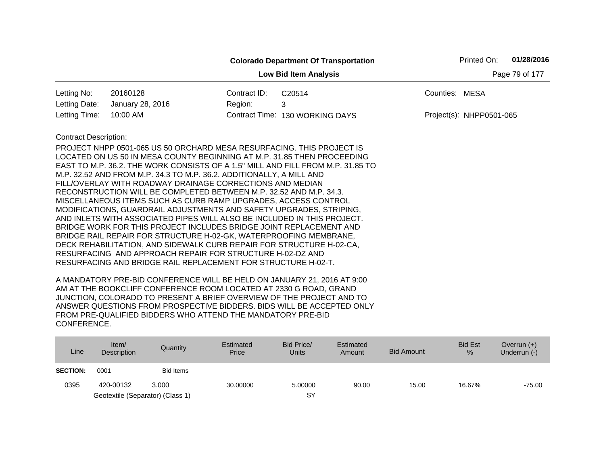|                                                |                                                                                                                                                                                                                                                                                                                                                                                                                                                                                                                                                                                                                                                                                                                                                                                                                                                                                                                                  |              | <b>Colorado Department Of Transportation</b>                                    |                | Printed On:              | 01/28/2016 |  |  |
|------------------------------------------------|----------------------------------------------------------------------------------------------------------------------------------------------------------------------------------------------------------------------------------------------------------------------------------------------------------------------------------------------------------------------------------------------------------------------------------------------------------------------------------------------------------------------------------------------------------------------------------------------------------------------------------------------------------------------------------------------------------------------------------------------------------------------------------------------------------------------------------------------------------------------------------------------------------------------------------|--------------|---------------------------------------------------------------------------------|----------------|--------------------------|------------|--|--|
| Page 79 of 177<br><b>Low Bid Item Analysis</b> |                                                                                                                                                                                                                                                                                                                                                                                                                                                                                                                                                                                                                                                                                                                                                                                                                                                                                                                                  |              |                                                                                 |                |                          |            |  |  |
| Letting No:                                    | 20160128                                                                                                                                                                                                                                                                                                                                                                                                                                                                                                                                                                                                                                                                                                                                                                                                                                                                                                                         | Contract ID: | C20514                                                                          | Counties: MESA |                          |            |  |  |
| Letting Date:                                  | January 28, 2016                                                                                                                                                                                                                                                                                                                                                                                                                                                                                                                                                                                                                                                                                                                                                                                                                                                                                                                 | Region:      | 3                                                                               |                |                          |            |  |  |
| Letting Time:                                  | 10:00 AM                                                                                                                                                                                                                                                                                                                                                                                                                                                                                                                                                                                                                                                                                                                                                                                                                                                                                                                         |              | Contract Time: 130 WORKING DAYS                                                 |                | Project(s): NHPP0501-065 |            |  |  |
| <b>Contract Description:</b>                   | PROJECT NHPP 0501-065 US 50 ORCHARD MESA RESURFACING. THIS PROJECT IS<br>LOCATED ON US 50 IN MESA COUNTY BEGINNING AT M.P. 31.85 THEN PROCEEDING<br>M.P. 32.52 AND FROM M.P. 34.3 TO M.P. 36.2. ADDITIONALLY, A MILL AND<br>FILL/OVERLAY WITH ROADWAY DRAINAGE CORRECTIONS AND MEDIAN<br>RECONSTRUCTION WILL BE COMPLETED BETWEEN M.P. 32.52 AND M.P. 34.3.<br>MISCELLANEOUS ITEMS SUCH AS CURB RAMP UPGRADES, ACCESS CONTROL<br>MODIFICATIONS, GUARDRAIL ADJUSTMENTS AND SAFETY UPGRADES, STRIPING,<br>AND INLETS WITH ASSOCIATED PIPES WILL ALSO BE INCLUDED IN THIS PROJECT.<br>BRIDGE WORK FOR THIS PROJECT INCLUDES BRIDGE JOINT REPLACEMENT AND<br>BRIDGE RAIL REPAIR FOR STRUCTURE H-02-GK, WATERPROOFING MEMBRANE,<br>DECK REHABILITATION, AND SIDEWALK CURB REPAIR FOR STRUCTURE H-02-CA,<br>RESURFACING AND APPROACH REPAIR FOR STRUCTURE H-02-DZ AND<br>RESURFACING AND BRIDGE RAIL REPLACEMENT FOR STRUCTURE H-02-T. |              | EAST TO M.P. 36.2. THE WORK CONSISTS OF A 1.5" MILL AND FILL FROM M.P. 31.85 TO |                |                          |            |  |  |

| Line            | Item/<br>Description             | Quantity         | Estimated<br>Price | Bid Price/<br>Units | Estimated<br>Amount | Bid Amount | <b>Bid Est</b><br>$\%$ | Overrun $(+)$<br>Underrun (-) |
|-----------------|----------------------------------|------------------|--------------------|---------------------|---------------------|------------|------------------------|-------------------------------|
| <b>SECTION:</b> | 0001                             | <b>Bid Items</b> |                    |                     |                     |            |                        |                               |
| 0395            | 420-00132                        | 3.000            | 30,00000           | 5.00000             | 90.00               | 15.00      | 16.67%                 | $-75.00$                      |
|                 | Geotextile (Separator) (Class 1) |                  |                    | SY                  |                     |            |                        |                               |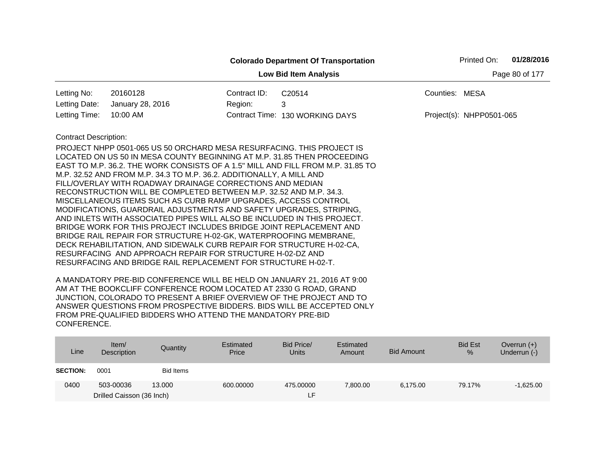|                              |                                                                                                                                                                                                                                                                                                                                                                                                                                                                                                                                                                                                                                                                                                                                                                                                                                                                                                                                                    |              | <b>Colorado Department Of Transportation</b> | 01/28/2016<br>Printed On: |  |  |  |  |  |  |
|------------------------------|----------------------------------------------------------------------------------------------------------------------------------------------------------------------------------------------------------------------------------------------------------------------------------------------------------------------------------------------------------------------------------------------------------------------------------------------------------------------------------------------------------------------------------------------------------------------------------------------------------------------------------------------------------------------------------------------------------------------------------------------------------------------------------------------------------------------------------------------------------------------------------------------------------------------------------------------------|--------------|----------------------------------------------|---------------------------|--|--|--|--|--|--|
|                              | Page 80 of 177<br><b>Low Bid Item Analysis</b>                                                                                                                                                                                                                                                                                                                                                                                                                                                                                                                                                                                                                                                                                                                                                                                                                                                                                                     |              |                                              |                           |  |  |  |  |  |  |
| Letting No:                  | 20160128                                                                                                                                                                                                                                                                                                                                                                                                                                                                                                                                                                                                                                                                                                                                                                                                                                                                                                                                           | Contract ID: | C20514                                       | Counties: MESA            |  |  |  |  |  |  |
| Letting Date:                | January 28, 2016                                                                                                                                                                                                                                                                                                                                                                                                                                                                                                                                                                                                                                                                                                                                                                                                                                                                                                                                   | Region:      | 3                                            |                           |  |  |  |  |  |  |
| Letting Time:                | 10:00 AM                                                                                                                                                                                                                                                                                                                                                                                                                                                                                                                                                                                                                                                                                                                                                                                                                                                                                                                                           |              | Contract Time: 130 WORKING DAYS              | Project(s): NHPP0501-065  |  |  |  |  |  |  |
| <b>Contract Description:</b> | PROJECT NHPP 0501-065 US 50 ORCHARD MESA RESURFACING. THIS PROJECT IS<br>LOCATED ON US 50 IN MESA COUNTY BEGINNING AT M.P. 31.85 THEN PROCEEDING<br>EAST TO M.P. 36.2. THE WORK CONSISTS OF A 1.5" MILL AND FILL FROM M.P. 31.85 TO<br>M.P. 32.52 AND FROM M.P. 34.3 TO M.P. 36.2. ADDITIONALLY, A MILL AND<br>FILL/OVERLAY WITH ROADWAY DRAINAGE CORRECTIONS AND MEDIAN<br>RECONSTRUCTION WILL BE COMPLETED BETWEEN M.P. 32.52 AND M.P. 34.3.<br>MISCELLANEOUS ITEMS SUCH AS CURB RAMP UPGRADES, ACCESS CONTROL<br>MODIFICATIONS, GUARDRAIL ADJUSTMENTS AND SAFETY UPGRADES, STRIPING,<br>AND INLETS WITH ASSOCIATED PIPES WILL ALSO BE INCLUDED IN THIS PROJECT.<br>BRIDGE WORK FOR THIS PROJECT INCLUDES BRIDGE JOINT REPLACEMENT AND<br>BRIDGE RAIL REPAIR FOR STRUCTURE H-02-GK, WATERPROOFING MEMBRANE,<br>DECK REHABILITATION, AND SIDEWALK CURB REPAIR FOR STRUCTURE H-02-CA,<br>RESURFACING AND APPROACH REPAIR FOR STRUCTURE H-02-DZ AND |              |                                              |                           |  |  |  |  |  |  |

| Line            | Item $/$<br>Description   | Quantity  | Estimated<br>Price | Bid Price/<br><b>Units</b> | Estimated<br>Amount | <b>Bid Amount</b> | <b>Bid Est</b><br>% | Overrun $(+)$<br>Underrun (-) |
|-----------------|---------------------------|-----------|--------------------|----------------------------|---------------------|-------------------|---------------------|-------------------------------|
| <b>SECTION:</b> | 0001                      | Bid Items |                    |                            |                     |                   |                     |                               |
| 0400            | 503-00036                 | 13.000    | 600.00000          | 475,00000                  | 7,800.00            | 6.175.00          | 79.17%              | $-1,625.00$                   |
|                 | Drilled Caisson (36 Inch) |           |                    | LF.                        |                     |                   |                     |                               |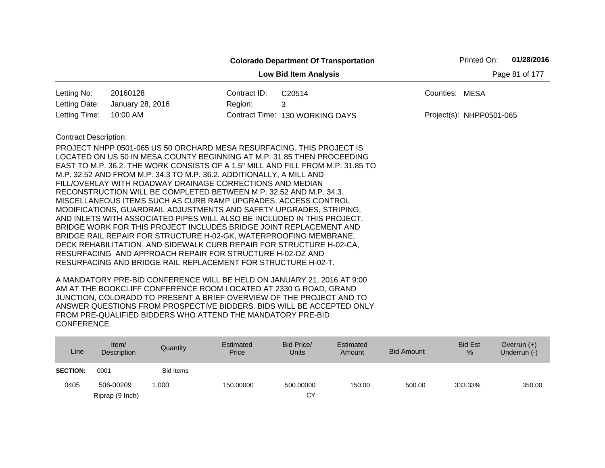|                              |                                                                                                                                                                                                                                                                                                                                                                                                                                                                                                                                                                                                                                                                                                                                                                                                                                                                                                                                                                                                                     |              | <b>Colorado Department Of Transportation</b> |                | Printed On:              | 01/28/2016     |
|------------------------------|---------------------------------------------------------------------------------------------------------------------------------------------------------------------------------------------------------------------------------------------------------------------------------------------------------------------------------------------------------------------------------------------------------------------------------------------------------------------------------------------------------------------------------------------------------------------------------------------------------------------------------------------------------------------------------------------------------------------------------------------------------------------------------------------------------------------------------------------------------------------------------------------------------------------------------------------------------------------------------------------------------------------|--------------|----------------------------------------------|----------------|--------------------------|----------------|
|                              |                                                                                                                                                                                                                                                                                                                                                                                                                                                                                                                                                                                                                                                                                                                                                                                                                                                                                                                                                                                                                     |              | <b>Low Bid Item Analysis</b>                 |                |                          | Page 81 of 177 |
| Letting No:                  | 20160128                                                                                                                                                                                                                                                                                                                                                                                                                                                                                                                                                                                                                                                                                                                                                                                                                                                                                                                                                                                                            | Contract ID: | C20514                                       | Counties: MESA |                          |                |
| Letting Date:                | January 28, 2016                                                                                                                                                                                                                                                                                                                                                                                                                                                                                                                                                                                                                                                                                                                                                                                                                                                                                                                                                                                                    | Region:      | 3                                            |                |                          |                |
| Letting Time:                | 10:00 AM                                                                                                                                                                                                                                                                                                                                                                                                                                                                                                                                                                                                                                                                                                                                                                                                                                                                                                                                                                                                            |              | Contract Time: 130 WORKING DAYS              |                | Project(s): NHPP0501-065 |                |
| <b>Contract Description:</b> | PROJECT NHPP 0501-065 US 50 ORCHARD MESA RESURFACING. THIS PROJECT IS<br>LOCATED ON US 50 IN MESA COUNTY BEGINNING AT M.P. 31.85 THEN PROCEEDING<br>EAST TO M.P. 36.2. THE WORK CONSISTS OF A 1.5" MILL AND FILL FROM M.P. 31.85 TO<br>M.P. 32.52 AND FROM M.P. 34.3 TO M.P. 36.2. ADDITIONALLY, A MILL AND<br>FILL/OVERLAY WITH ROADWAY DRAINAGE CORRECTIONS AND MEDIAN<br>RECONSTRUCTION WILL BE COMPLETED BETWEEN M.P. 32.52 AND M.P. 34.3.<br>MISCELLANEOUS ITEMS SUCH AS CURB RAMP UPGRADES, ACCESS CONTROL<br>MODIFICATIONS, GUARDRAIL ADJUSTMENTS AND SAFETY UPGRADES, STRIPING,<br>AND INLETS WITH ASSOCIATED PIPES WILL ALSO BE INCLUDED IN THIS PROJECT.<br>BRIDGE WORK FOR THIS PROJECT INCLUDES BRIDGE JOINT REPLACEMENT AND<br>BRIDGE RAIL REPAIR FOR STRUCTURE H-02-GK, WATERPROOFING MEMBRANE,<br>DECK REHABILITATION, AND SIDEWALK CURB REPAIR FOR STRUCTURE H-02-CA,<br>RESURFACING AND APPROACH REPAIR FOR STRUCTURE H-02-DZ AND<br>RESURFACING AND BRIDGE RAIL REPLACEMENT FOR STRUCTURE H-02-T. |              |                                              |                |                          |                |

| Line            | Item/<br>Description | Quantity         | Estimated<br>Price | Bid Price/<br>Units | Estimated<br>Amount | Bid Amount | <b>Bid Est</b><br>$\%$ | Overrun $(+)$<br>Underrun (-) |
|-----------------|----------------------|------------------|--------------------|---------------------|---------------------|------------|------------------------|-------------------------------|
| <b>SECTION:</b> | 0001                 | <b>Bid Items</b> |                    |                     |                     |            |                        |                               |
| 0405            | 506-00209            | .000             | 150,00000          | 500.00000           | 150.00              | 500.00     | 333.33%                | 350.00                        |
|                 | Riprap (9 Inch)      |                  |                    | СY                  |                     |            |                        |                               |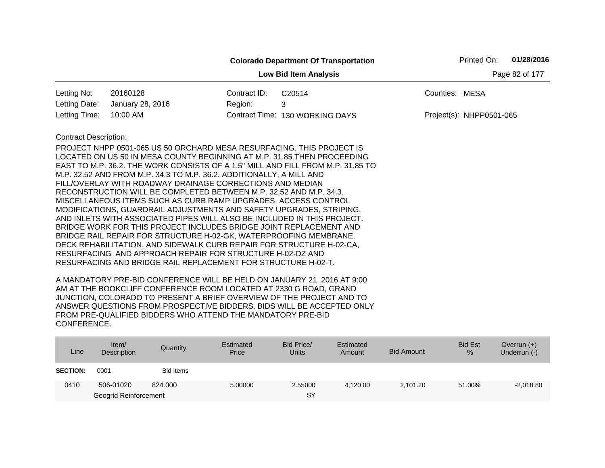|                              |                                                                                                                                                                                                                                                                                                                                                                                                                                                                                                                                                                                                                                                                                                                                                                                                                                                                                                                                  |              | <b>Colorado Department Of Transportation</b>                                    | Printed On:              |                | 01/28/2016 |
|------------------------------|----------------------------------------------------------------------------------------------------------------------------------------------------------------------------------------------------------------------------------------------------------------------------------------------------------------------------------------------------------------------------------------------------------------------------------------------------------------------------------------------------------------------------------------------------------------------------------------------------------------------------------------------------------------------------------------------------------------------------------------------------------------------------------------------------------------------------------------------------------------------------------------------------------------------------------|--------------|---------------------------------------------------------------------------------|--------------------------|----------------|------------|
|                              |                                                                                                                                                                                                                                                                                                                                                                                                                                                                                                                                                                                                                                                                                                                                                                                                                                                                                                                                  |              | <b>Low Bid Item Analysis</b>                                                    |                          | Page 82 of 177 |            |
| Letting No:                  | 20160128                                                                                                                                                                                                                                                                                                                                                                                                                                                                                                                                                                                                                                                                                                                                                                                                                                                                                                                         | Contract ID: | C20514                                                                          | Counties: MESA           |                |            |
| Letting Date:                | January 28, 2016                                                                                                                                                                                                                                                                                                                                                                                                                                                                                                                                                                                                                                                                                                                                                                                                                                                                                                                 | Region:      | 3                                                                               |                          |                |            |
| Letting Time:                | 10:00 AM                                                                                                                                                                                                                                                                                                                                                                                                                                                                                                                                                                                                                                                                                                                                                                                                                                                                                                                         |              | Contract Time: 130 WORKING DAYS                                                 | Project(s): NHPP0501-065 |                |            |
| <b>Contract Description:</b> | PROJECT NHPP 0501-065 US 50 ORCHARD MESA RESURFACING. THIS PROJECT IS<br>LOCATED ON US 50 IN MESA COUNTY BEGINNING AT M.P. 31.85 THEN PROCEEDING<br>M.P. 32.52 AND FROM M.P. 34.3 TO M.P. 36.2. ADDITIONALLY, A MILL AND<br>FILL/OVERLAY WITH ROADWAY DRAINAGE CORRECTIONS AND MEDIAN<br>RECONSTRUCTION WILL BE COMPLETED BETWEEN M.P. 32.52 AND M.P. 34.3.<br>MISCELLANEOUS ITEMS SUCH AS CURB RAMP UPGRADES, ACCESS CONTROL<br>MODIFICATIONS, GUARDRAIL ADJUSTMENTS AND SAFETY UPGRADES, STRIPING,<br>AND INLETS WITH ASSOCIATED PIPES WILL ALSO BE INCLUDED IN THIS PROJECT.<br>BRIDGE WORK FOR THIS PROJECT INCLUDES BRIDGE JOINT REPLACEMENT AND<br>BRIDGE RAIL REPAIR FOR STRUCTURE H-02-GK, WATERPROOFING MEMBRANE,<br>DECK REHABILITATION, AND SIDEWALK CURB REPAIR FOR STRUCTURE H-02-CA,<br>RESURFACING AND APPROACH REPAIR FOR STRUCTURE H-02-DZ AND<br>RESURFACING AND BRIDGE RAIL REPLACEMENT FOR STRUCTURE H-02-T. |              | EAST TO M.P. 36.2. THE WORK CONSISTS OF A 1.5" MILL AND FILL FROM M.P. 31.85 TO |                          |                |            |

| Line            | Item $/$<br>Description | Quantity  | Estimated<br>Price | Bid Price/<br><b>Units</b> | Estimated<br>Amount | <b>Bid Amount</b> | <b>Bid Est</b><br>% | Overrun $(+)$<br>Underrun (-) |
|-----------------|-------------------------|-----------|--------------------|----------------------------|---------------------|-------------------|---------------------|-------------------------------|
| <b>SECTION:</b> | 0001                    | Bid Items |                    |                            |                     |                   |                     |                               |
| 0410            | 506-01020               | 824.000   | 5.00000            | 2.55000                    | 4,120.00            | 2,101.20          | 51.00%              | $-2,018.80$                   |
|                 | Geogrid Reinforcement   |           |                    | <b>SY</b>                  |                     |                   |                     |                               |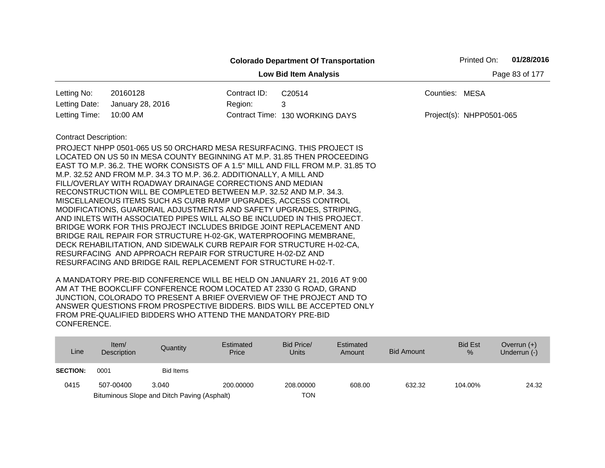| Letting No:<br>20160128<br>Letting Date:<br>January 28, 2016<br>Letting Time:<br>10:00 AM                                                                                                                                                                                                                                                                                                                                                                                                                                                                                                                                                                                                                                                                                                                                                                                                                                                                                                                                                           | Contract ID:<br>Region: | <b>Low Bid Item Analysis</b><br>C20514<br>3 | Counties: MESA |                            | Page 83 of 177 |
|-----------------------------------------------------------------------------------------------------------------------------------------------------------------------------------------------------------------------------------------------------------------------------------------------------------------------------------------------------------------------------------------------------------------------------------------------------------------------------------------------------------------------------------------------------------------------------------------------------------------------------------------------------------------------------------------------------------------------------------------------------------------------------------------------------------------------------------------------------------------------------------------------------------------------------------------------------------------------------------------------------------------------------------------------------|-------------------------|---------------------------------------------|----------------|----------------------------|----------------|
|                                                                                                                                                                                                                                                                                                                                                                                                                                                                                                                                                                                                                                                                                                                                                                                                                                                                                                                                                                                                                                                     |                         |                                             |                |                            |                |
|                                                                                                                                                                                                                                                                                                                                                                                                                                                                                                                                                                                                                                                                                                                                                                                                                                                                                                                                                                                                                                                     |                         |                                             |                |                            |                |
|                                                                                                                                                                                                                                                                                                                                                                                                                                                                                                                                                                                                                                                                                                                                                                                                                                                                                                                                                                                                                                                     |                         |                                             |                |                            |                |
|                                                                                                                                                                                                                                                                                                                                                                                                                                                                                                                                                                                                                                                                                                                                                                                                                                                                                                                                                                                                                                                     |                         | Contract Time: 130 WORKING DAYS             |                | $Project(s): NHPP0501-065$ |                |
| <b>Contract Description:</b><br>PROJECT NHPP 0501-065 US 50 ORCHARD MESA RESURFACING. THIS PROJECT IS<br>LOCATED ON US 50 IN MESA COUNTY BEGINNING AT M.P. 31.85 THEN PROCEEDING<br>EAST TO M.P. 36.2. THE WORK CONSISTS OF A 1.5" MILL AND FILL FROM M.P. 31.85 TO<br>M.P. 32.52 AND FROM M.P. 34.3 TO M.P. 36.2. ADDITIONALLY, A MILL AND<br>FILL/OVERLAY WITH ROADWAY DRAINAGE CORRECTIONS AND MEDIAN<br>RECONSTRUCTION WILL BE COMPLETED BETWEEN M.P. 32.52 AND M.P. 34.3.<br>MISCELLANEOUS ITEMS SUCH AS CURB RAMP UPGRADES, ACCESS CONTROL<br>MODIFICATIONS, GUARDRAIL ADJUSTMENTS AND SAFETY UPGRADES, STRIPING,<br>AND INLETS WITH ASSOCIATED PIPES WILL ALSO BE INCLUDED IN THIS PROJECT.<br>BRIDGE WORK FOR THIS PROJECT INCLUDES BRIDGE JOINT REPLACEMENT AND<br>BRIDGE RAIL REPAIR FOR STRUCTURE H-02-GK, WATERPROOFING MEMBRANE,<br>DECK REHABILITATION, AND SIDEWALK CURB REPAIR FOR STRUCTURE H-02-CA,<br>RESURFACING AND APPROACH REPAIR FOR STRUCTURE H-02-DZ AND<br>RESURFACING AND BRIDGE RAIL REPLACEMENT FOR STRUCTURE H-02-T. |                         |                                             |                |                            |                |

| Line            | Item/<br>Description | Quantity                                    | Estimated<br>Price | Bid Price/<br>Units | Estimated<br>Amount | Bid Amount | <b>Bid Est</b><br>$\%$ | Overrun $(+)$<br>Underrun (-) |
|-----------------|----------------------|---------------------------------------------|--------------------|---------------------|---------------------|------------|------------------------|-------------------------------|
| <b>SECTION:</b> | 0001                 | <b>Bid Items</b>                            |                    |                     |                     |            |                        |                               |
| 0415            | 507-00400            | 3.040                                       | 200,00000          | 208,00000           | 608.00              | 632.32     | 104.00%                | 24.32                         |
|                 |                      | Bituminous Slope and Ditch Paving (Asphalt) |                    | TON                 |                     |            |                        |                               |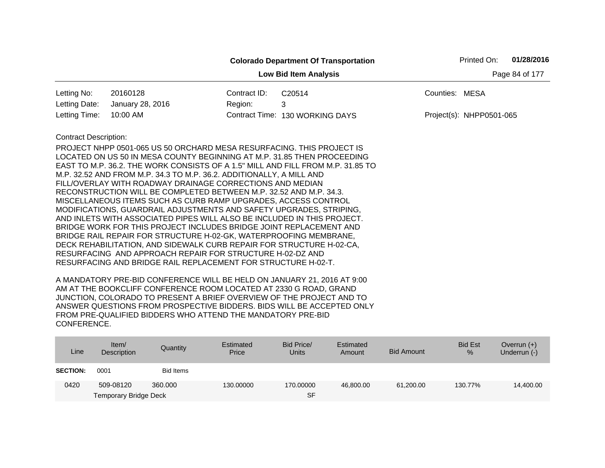|                              |                                                                                 |              | <b>Colorado Department Of Transportation</b> |                | Printed On:              | 01/28/2016     |
|------------------------------|---------------------------------------------------------------------------------|--------------|----------------------------------------------|----------------|--------------------------|----------------|
|                              |                                                                                 |              | <b>Low Bid Item Analysis</b>                 |                |                          | Page 84 of 177 |
| Letting No:                  | 20160128                                                                        | Contract ID: | C20514                                       | Counties: MESA |                          |                |
| Letting Date:                | January 28, 2016                                                                | Region:      | 3                                            |                |                          |                |
| Letting Time:                | 10:00 AM                                                                        |              | Contract Time: 130 WORKING DAYS              |                | Project(s): NHPP0501-065 |                |
| <b>Contract Description:</b> |                                                                                 |              |                                              |                |                          |                |
|                              | PROJECT NHPP 0501-065 US 50 ORCHARD MESA RESURFACING. THIS PROJECT IS           |              |                                              |                |                          |                |
|                              | LOCATED ON US 50 IN MESA COUNTY BEGINNING AT M.P. 31.85 THEN PROCEEDING         |              |                                              |                |                          |                |
|                              | EAST TO M.P. 36.2. THE WORK CONSISTS OF A 1.5" MILL AND FILL FROM M.P. 31.85 TO |              |                                              |                |                          |                |
|                              | M.P. 32.52 AND FROM M.P. 34.3 TO M.P. 36.2. ADDITIONALLY, A MILL AND            |              |                                              |                |                          |                |
|                              | FILL/OVERLAY WITH ROADWAY DRAINAGE CORRECTIONS AND MEDIAN                       |              |                                              |                |                          |                |
|                              | RECONSTRUCTION WILL BE COMPLETED BETWEEN M.P. 32.52 AND M.P. 34.3.              |              |                                              |                |                          |                |
|                              | MISCELLANEOUS ITEMS SUCH AS CURB RAMP UPGRADES, ACCESS CONTROL                  |              |                                              |                |                          |                |
|                              | MODIFICATIONS, GUARDRAIL ADJUSTMENTS AND SAFETY UPGRADES, STRIPING,             |              |                                              |                |                          |                |
|                              | AND INLETS WITH ASSOCIATED PIPES WILL ALSO BE INCLUDED IN THIS PROJECT.         |              |                                              |                |                          |                |
|                              | BRIDGE WORK FOR THIS PROJECT INCLUDES BRIDGE JOINT REPLACEMENT AND              |              |                                              |                |                          |                |
|                              | BRIDGE RAIL REPAIR FOR STRUCTURE H-02-GK, WATERPROOFING MEMBRANE,               |              |                                              |                |                          |                |
|                              | DECK REHABILITATION, AND SIDEWALK CURB REPAIR FOR STRUCTURE H-02-CA,            |              |                                              |                |                          |                |
|                              | RESURFACING AND APPROACH REPAIR FOR STRUCTURE H-02-DZ AND                       |              |                                              |                |                          |                |
|                              | RESURFACING AND BRIDGE RAIL REPLACEMENT FOR STRUCTURE H-02-T.                   |              |                                              |                |                          |                |

| Line            | Item/<br>Description         | Quantity  | Estimated<br>Price | Bid Price/<br><b>Units</b> | Estimated<br>Amount | <b>Bid Amount</b> | <b>Bid Est</b><br>% | Overrun $(+)$<br>Underrun (-) |
|-----------------|------------------------------|-----------|--------------------|----------------------------|---------------------|-------------------|---------------------|-------------------------------|
| <b>SECTION:</b> | 0001                         | Bid Items |                    |                            |                     |                   |                     |                               |
| 0420            | 509-08120                    | 360,000   | 130.00000          | 170.00000                  | 46.800.00           | 61,200.00         | 130.77%             | 14,400.00                     |
|                 | <b>Temporary Bridge Deck</b> |           |                    | <b>SF</b>                  |                     |                   |                     |                               |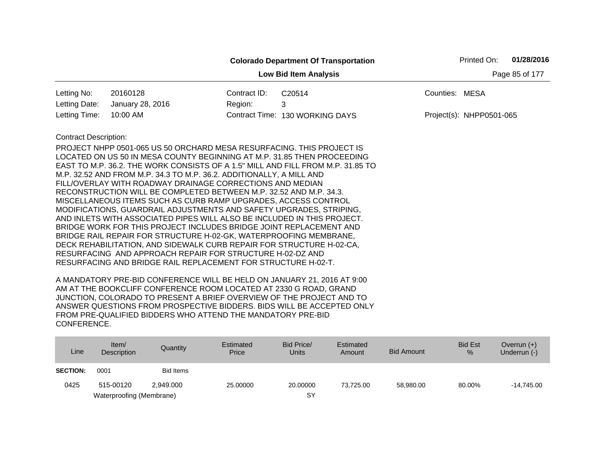|                              |                                                                                                                                                                                                                                                                                                                                                                                                                                                                                                                                                                                                                                                                                                                                                                                                                                                                                                                                                                                                                     |              | <b>Colorado Department Of Transportation</b> | Printed On:              | 01/28/2016     |
|------------------------------|---------------------------------------------------------------------------------------------------------------------------------------------------------------------------------------------------------------------------------------------------------------------------------------------------------------------------------------------------------------------------------------------------------------------------------------------------------------------------------------------------------------------------------------------------------------------------------------------------------------------------------------------------------------------------------------------------------------------------------------------------------------------------------------------------------------------------------------------------------------------------------------------------------------------------------------------------------------------------------------------------------------------|--------------|----------------------------------------------|--------------------------|----------------|
|                              |                                                                                                                                                                                                                                                                                                                                                                                                                                                                                                                                                                                                                                                                                                                                                                                                                                                                                                                                                                                                                     |              | <b>Low Bid Item Analysis</b>                 |                          | Page 85 of 177 |
| Letting No:                  | 20160128                                                                                                                                                                                                                                                                                                                                                                                                                                                                                                                                                                                                                                                                                                                                                                                                                                                                                                                                                                                                            | Contract ID: | C20514                                       | Counties: MESA           |                |
| Letting Date:                | January 28, 2016                                                                                                                                                                                                                                                                                                                                                                                                                                                                                                                                                                                                                                                                                                                                                                                                                                                                                                                                                                                                    | Region:      | 3                                            |                          |                |
| Letting Time:                | 10:00 AM                                                                                                                                                                                                                                                                                                                                                                                                                                                                                                                                                                                                                                                                                                                                                                                                                                                                                                                                                                                                            |              | Contract Time: 130 WORKING DAYS              | Project(s): NHPP0501-065 |                |
| <b>Contract Description:</b> | PROJECT NHPP 0501-065 US 50 ORCHARD MESA RESURFACING. THIS PROJECT IS<br>LOCATED ON US 50 IN MESA COUNTY BEGINNING AT M.P. 31.85 THEN PROCEEDING<br>EAST TO M.P. 36.2. THE WORK CONSISTS OF A 1.5" MILL AND FILL FROM M.P. 31.85 TO<br>M.P. 32.52 AND FROM M.P. 34.3 TO M.P. 36.2. ADDITIONALLY, A MILL AND<br>FILL/OVERLAY WITH ROADWAY DRAINAGE CORRECTIONS AND MEDIAN<br>RECONSTRUCTION WILL BE COMPLETED BETWEEN M.P. 32.52 AND M.P. 34.3.<br>MISCELLANEOUS ITEMS SUCH AS CURB RAMP UPGRADES, ACCESS CONTROL<br>MODIFICATIONS, GUARDRAIL ADJUSTMENTS AND SAFETY UPGRADES, STRIPING,<br>AND INLETS WITH ASSOCIATED PIPES WILL ALSO BE INCLUDED IN THIS PROJECT.<br>BRIDGE WORK FOR THIS PROJECT INCLUDES BRIDGE JOINT REPLACEMENT AND<br>BRIDGE RAIL REPAIR FOR STRUCTURE H-02-GK, WATERPROOFING MEMBRANE,<br>DECK REHABILITATION, AND SIDEWALK CURB REPAIR FOR STRUCTURE H-02-CA,<br>RESURFACING AND APPROACH REPAIR FOR STRUCTURE H-02-DZ AND<br>RESURFACING AND BRIDGE RAIL REPLACEMENT FOR STRUCTURE H-02-T. |              |                                              |                          |                |

| Line            | Item/<br>Description     | Quantity  | Estimated<br>Price | Bid Price/<br><b>Units</b> | Estimated<br>Amount | <b>Bid Amount</b> | <b>Bid Est</b><br>$\%$ | Overrun $(+)$<br>Underrun (-) |
|-----------------|--------------------------|-----------|--------------------|----------------------------|---------------------|-------------------|------------------------|-------------------------------|
| <b>SECTION:</b> | 0001                     | Bid Items |                    |                            |                     |                   |                        |                               |
| 0425            | 515-00120                | 2.949.000 | 25,00000           | 20,00000                   | 73.725.00           | 58.980.00         | 80.00%                 | $-14.745.00$                  |
|                 | Waterproofing (Membrane) |           |                    | SY                         |                     |                   |                        |                               |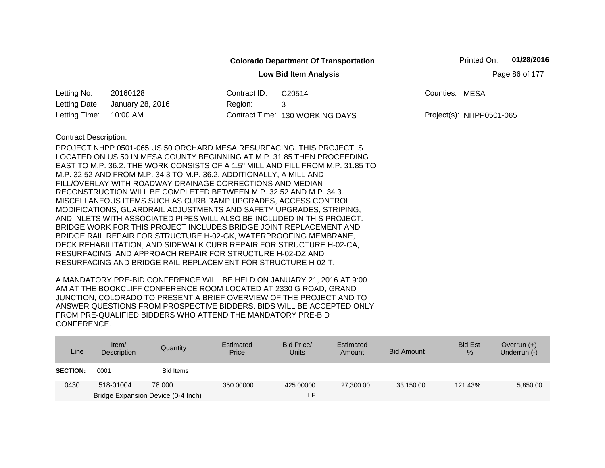|                              |                                                                                                                                                                                                                                                                                                                                                                                                                                                                                                                                                                                                                                                                                                                                                                                                                                                                                                                                                                                                                     |              | <b>Colorado Department Of Transportation</b> | Printed On:              | 01/28/2016     |
|------------------------------|---------------------------------------------------------------------------------------------------------------------------------------------------------------------------------------------------------------------------------------------------------------------------------------------------------------------------------------------------------------------------------------------------------------------------------------------------------------------------------------------------------------------------------------------------------------------------------------------------------------------------------------------------------------------------------------------------------------------------------------------------------------------------------------------------------------------------------------------------------------------------------------------------------------------------------------------------------------------------------------------------------------------|--------------|----------------------------------------------|--------------------------|----------------|
|                              |                                                                                                                                                                                                                                                                                                                                                                                                                                                                                                                                                                                                                                                                                                                                                                                                                                                                                                                                                                                                                     |              | <b>Low Bid Item Analysis</b>                 |                          | Page 86 of 177 |
| Letting No:                  | 20160128                                                                                                                                                                                                                                                                                                                                                                                                                                                                                                                                                                                                                                                                                                                                                                                                                                                                                                                                                                                                            | Contract ID: | C20514                                       | Counties: MESA           |                |
| Letting Date:                | January 28, 2016                                                                                                                                                                                                                                                                                                                                                                                                                                                                                                                                                                                                                                                                                                                                                                                                                                                                                                                                                                                                    | Region:      | 3                                            |                          |                |
| Letting Time:                | 10:00 AM                                                                                                                                                                                                                                                                                                                                                                                                                                                                                                                                                                                                                                                                                                                                                                                                                                                                                                                                                                                                            |              | Contract Time: 130 WORKING DAYS              | Project(s): NHPP0501-065 |                |
| <b>Contract Description:</b> | PROJECT NHPP 0501-065 US 50 ORCHARD MESA RESURFACING. THIS PROJECT IS<br>LOCATED ON US 50 IN MESA COUNTY BEGINNING AT M.P. 31.85 THEN PROCEEDING<br>EAST TO M.P. 36.2. THE WORK CONSISTS OF A 1.5" MILL AND FILL FROM M.P. 31.85 TO<br>M.P. 32.52 AND FROM M.P. 34.3 TO M.P. 36.2. ADDITIONALLY, A MILL AND<br>FILL/OVERLAY WITH ROADWAY DRAINAGE CORRECTIONS AND MEDIAN<br>RECONSTRUCTION WILL BE COMPLETED BETWEEN M.P. 32.52 AND M.P. 34.3.<br>MISCELLANEOUS ITEMS SUCH AS CURB RAMP UPGRADES, ACCESS CONTROL<br>MODIFICATIONS, GUARDRAIL ADJUSTMENTS AND SAFETY UPGRADES, STRIPING,<br>AND INLETS WITH ASSOCIATED PIPES WILL ALSO BE INCLUDED IN THIS PROJECT.<br>BRIDGE WORK FOR THIS PROJECT INCLUDES BRIDGE JOINT REPLACEMENT AND<br>BRIDGE RAIL REPAIR FOR STRUCTURE H-02-GK, WATERPROOFING MEMBRANE,<br>DECK REHABILITATION, AND SIDEWALK CURB REPAIR FOR STRUCTURE H-02-CA,<br>RESURFACING AND APPROACH REPAIR FOR STRUCTURE H-02-DZ AND<br>RESURFACING AND BRIDGE RAIL REPLACEMENT FOR STRUCTURE H-02-T. |              |                                              |                          |                |

| Line            | Item $/$<br>Description | Quantity                           | Estimated<br>Price | Bid Price/<br><b>Units</b> | Estimated<br>Amount | <b>Bid Amount</b> | <b>Bid Est</b><br>% | Overrun $(+)$<br>Underrun (-) |
|-----------------|-------------------------|------------------------------------|--------------------|----------------------------|---------------------|-------------------|---------------------|-------------------------------|
| <b>SECTION:</b> | 0001                    | Bid Items                          |                    |                            |                     |                   |                     |                               |
| 0430            | 518-01004               | 78,000                             | 350,00000          | 425,00000                  | 27,300.00           | 33,150.00         | 121.43%             | 5,850.00                      |
|                 |                         | Bridge Expansion Device (0-4 Inch) |                    |                            |                     |                   |                     |                               |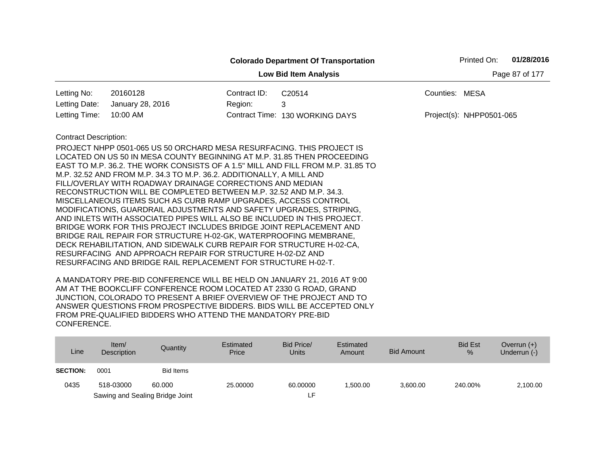|                                                |                                                                                                                                      |              | <b>Colorado Department Of Transportation</b> |                | Printed On:              | 01/28/2016 |  |  |  |
|------------------------------------------------|--------------------------------------------------------------------------------------------------------------------------------------|--------------|----------------------------------------------|----------------|--------------------------|------------|--|--|--|
| <b>Low Bid Item Analysis</b><br>Page 87 of 177 |                                                                                                                                      |              |                                              |                |                          |            |  |  |  |
| Letting No:                                    | 20160128                                                                                                                             | Contract ID: | C20514                                       | Counties: MESA |                          |            |  |  |  |
| Letting Date:                                  | January 28, 2016                                                                                                                     | Region:      | 3                                            |                |                          |            |  |  |  |
| Letting Time:                                  | 10:00 AM                                                                                                                             |              | Contract Time: 130 WORKING DAYS              |                | Project(s): NHPP0501-065 |            |  |  |  |
| <b>Contract Description:</b>                   |                                                                                                                                      |              |                                              |                |                          |            |  |  |  |
|                                                | PROJECT NHPP 0501-065 US 50 ORCHARD MESA RESURFACING. THIS PROJECT IS                                                                |              |                                              |                |                          |            |  |  |  |
|                                                | LOCATED ON US 50 IN MESA COUNTY BEGINNING AT M.P. 31.85 THEN PROCEEDING                                                              |              |                                              |                |                          |            |  |  |  |
|                                                | EAST TO M.P. 36.2. THE WORK CONSISTS OF A 1.5" MILL AND FILL FROM M.P. 31.85 TO                                                      |              |                                              |                |                          |            |  |  |  |
|                                                | M.P. 32.52 AND FROM M.P. 34.3 TO M.P. 36.2. ADDITIONALLY, A MILL AND                                                                 |              |                                              |                |                          |            |  |  |  |
|                                                | FILL/OVERLAY WITH ROADWAY DRAINAGE CORRECTIONS AND MEDIAN                                                                            |              |                                              |                |                          |            |  |  |  |
|                                                | RECONSTRUCTION WILL BE COMPLETED BETWEEN M.P. 32.52 AND M.P. 34.3.<br>MISCELLANEOUS ITEMS SUCH AS CURB RAMP UPGRADES, ACCESS CONTROL |              |                                              |                |                          |            |  |  |  |
|                                                | MODIFICATIONS, GUARDRAIL ADJUSTMENTS AND SAFETY UPGRADES, STRIPING,                                                                  |              |                                              |                |                          |            |  |  |  |
|                                                | AND INLETS WITH ASSOCIATED PIPES WILL ALSO BE INCLUDED IN THIS PROJECT.                                                              |              |                                              |                |                          |            |  |  |  |
|                                                | BRIDGE WORK FOR THIS PROJECT INCLUDES BRIDGE JOINT REPLACEMENT AND                                                                   |              |                                              |                |                          |            |  |  |  |
|                                                | BRIDGE RAIL REPAIR FOR STRUCTURE H-02-GK, WATERPROOFING MEMBRANE,                                                                    |              |                                              |                |                          |            |  |  |  |
|                                                | DECK REHABILITATION, AND SIDEWALK CURB REPAIR FOR STRUCTURE H-02-CA,                                                                 |              |                                              |                |                          |            |  |  |  |
|                                                | RESURFACING AND APPROACH REPAIR FOR STRUCTURE H-02-DZ AND                                                                            |              |                                              |                |                          |            |  |  |  |
|                                                | RESURFACING AND BRIDGE RAIL REPLACEMENT FOR STRUCTURE H-02-T.                                                                        |              |                                              |                |                          |            |  |  |  |

| Line            | Item/<br>Description | Quantity                        | Estimated<br>Price | Bid Price/<br><b>Units</b> | Estimated<br>Amount | <b>Bid Amount</b> | <b>Bid Est</b><br>$\%$ | Overrun $(+)$<br>Underrun (-) |
|-----------------|----------------------|---------------------------------|--------------------|----------------------------|---------------------|-------------------|------------------------|-------------------------------|
| <b>SECTION:</b> | 0001                 | Bid Items                       |                    |                            |                     |                   |                        |                               |
| 0435            | 518-03000            | 60,000                          | 25,00000           | 60.00000                   | 1.500.00            | 3,600.00          | 240.00%                | 2,100.00                      |
|                 |                      | Sawing and Sealing Bridge Joint |                    |                            |                     |                   |                        |                               |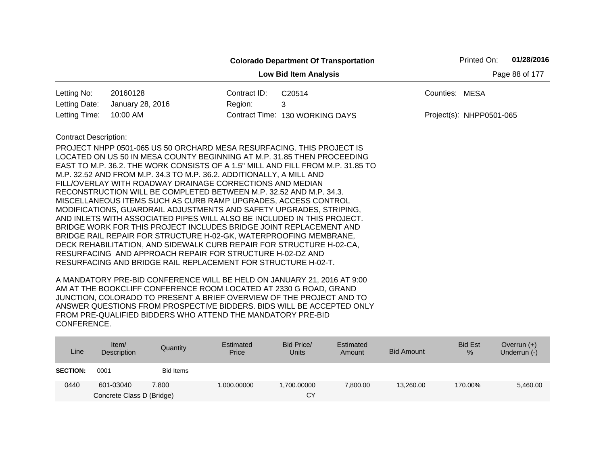|                                                |                                                                         |              | <b>Colorado Department Of Transportation</b>                                    |                          | Printed On: | 01/28/2016 |  |  |  |
|------------------------------------------------|-------------------------------------------------------------------------|--------------|---------------------------------------------------------------------------------|--------------------------|-------------|------------|--|--|--|
| Page 88 of 177<br><b>Low Bid Item Analysis</b> |                                                                         |              |                                                                                 |                          |             |            |  |  |  |
| Letting No:                                    | 20160128                                                                | Contract ID: | C20514                                                                          | Counties: MESA           |             |            |  |  |  |
| Letting Date:                                  | January 28, 2016                                                        | Region:      | 3                                                                               |                          |             |            |  |  |  |
| Letting Time:                                  | 10:00 AM                                                                |              | Contract Time: 130 WORKING DAYS                                                 | Project(s): NHPP0501-065 |             |            |  |  |  |
| <b>Contract Description:</b>                   |                                                                         |              |                                                                                 |                          |             |            |  |  |  |
|                                                | PROJECT NHPP 0501-065 US 50 ORCHARD MESA RESURFACING. THIS PROJECT IS   |              |                                                                                 |                          |             |            |  |  |  |
|                                                | LOCATED ON US 50 IN MESA COUNTY BEGINNING AT M.P. 31.85 THEN PROCEEDING |              |                                                                                 |                          |             |            |  |  |  |
|                                                |                                                                         |              | EAST TO M.P. 36.2. THE WORK CONSISTS OF A 1.5" MILL AND FILL FROM M.P. 31.85 TO |                          |             |            |  |  |  |
|                                                | M.P. 32.52 AND FROM M.P. 34.3 TO M.P. 36.2. ADDITIONALLY, A MILL AND    |              |                                                                                 |                          |             |            |  |  |  |
|                                                | FILL/OVERLAY WITH ROADWAY DRAINAGE CORRECTIONS AND MEDIAN               |              |                                                                                 |                          |             |            |  |  |  |
|                                                | RECONSTRUCTION WILL BE COMPLETED BETWEEN M.P. 32.52 AND M.P. 34.3.      |              |                                                                                 |                          |             |            |  |  |  |
|                                                | MISCELLANEOUS ITEMS SUCH AS CURB RAMP UPGRADES, ACCESS CONTROL          |              |                                                                                 |                          |             |            |  |  |  |
|                                                | MODIFICATIONS, GUARDRAIL ADJUSTMENTS AND SAFETY UPGRADES, STRIPING,     |              |                                                                                 |                          |             |            |  |  |  |
|                                                | AND INLETS WITH ASSOCIATED PIPES WILL ALSO BE INCLUDED IN THIS PROJECT. |              |                                                                                 |                          |             |            |  |  |  |
|                                                | BRIDGE WORK FOR THIS PROJECT INCLUDES BRIDGE JOINT REPLACEMENT AND      |              |                                                                                 |                          |             |            |  |  |  |
|                                                | BRIDGE RAIL REPAIR FOR STRUCTURE H-02-GK, WATERPROOFING MEMBRANE,       |              |                                                                                 |                          |             |            |  |  |  |
|                                                | DECK REHABILITATION, AND SIDEWALK CURB REPAIR FOR STRUCTURE H-02-CA,    |              |                                                                                 |                          |             |            |  |  |  |
|                                                | RESURFACING AND APPROACH REPAIR FOR STRUCTURE H-02-DZ AND               |              |                                                                                 |                          |             |            |  |  |  |
|                                                | RESURFACING AND BRIDGE RAIL REPLACEMENT FOR STRUCTURE H-02-T.           |              |                                                                                 |                          |             |            |  |  |  |

| Line            | Item $/$<br>Description   | Quantity  | Estimated<br>Price | Bid Price/<br><b>Units</b> | Estimated<br>Amount | <b>Bid Amount</b> | <b>Bid Est</b><br>% | Overrun $(+)$<br>Underrun (-) |
|-----------------|---------------------------|-----------|--------------------|----------------------------|---------------------|-------------------|---------------------|-------------------------------|
| <b>SECTION:</b> | 0001                      | Bid Items |                    |                            |                     |                   |                     |                               |
| 0440            | 601-03040                 | 7.800     | 1,000.00000        | 1,700.00000                | 7,800.00            | 13,260.00         | 170.00%             | 5,460.00                      |
|                 | Concrete Class D (Bridge) |           |                    | CY                         |                     |                   |                     |                               |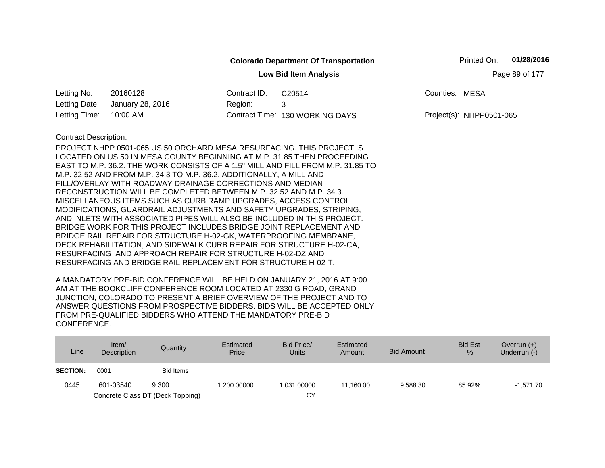|                                                                                               |                                                                                                                                                                                                                                                                                                                                                                                                                                                                                                                                                                                                                                                                                                                                                                                                                                                                                                                                                    |              | <b>Colorado Department Of Transportation</b> |                | Printed On:              | 01/28/2016 |  |  |  |
|-----------------------------------------------------------------------------------------------|----------------------------------------------------------------------------------------------------------------------------------------------------------------------------------------------------------------------------------------------------------------------------------------------------------------------------------------------------------------------------------------------------------------------------------------------------------------------------------------------------------------------------------------------------------------------------------------------------------------------------------------------------------------------------------------------------------------------------------------------------------------------------------------------------------------------------------------------------------------------------------------------------------------------------------------------------|--------------|----------------------------------------------|----------------|--------------------------|------------|--|--|--|
| Page 89 of 177<br><b>Low Bid Item Analysis</b>                                                |                                                                                                                                                                                                                                                                                                                                                                                                                                                                                                                                                                                                                                                                                                                                                                                                                                                                                                                                                    |              |                                              |                |                          |            |  |  |  |
| Letting No:                                                                                   | 20160128                                                                                                                                                                                                                                                                                                                                                                                                                                                                                                                                                                                                                                                                                                                                                                                                                                                                                                                                           | Contract ID: | C <sub>20514</sub>                           | Counties: MESA |                          |            |  |  |  |
| Letting Date:                                                                                 | January 28, 2016                                                                                                                                                                                                                                                                                                                                                                                                                                                                                                                                                                                                                                                                                                                                                                                                                                                                                                                                   | Region:      | 3                                            |                |                          |            |  |  |  |
| Letting Time:                                                                                 | 10:00 AM                                                                                                                                                                                                                                                                                                                                                                                                                                                                                                                                                                                                                                                                                                                                                                                                                                                                                                                                           |              | Contract Time: 130 WORKING DAYS              |                | Project(s): NHPP0501-065 |            |  |  |  |
| <b>Contract Description:</b><br>RESURFACING AND BRIDGE RAIL REPLACEMENT FOR STRUCTURE H-02-T. | PROJECT NHPP 0501-065 US 50 ORCHARD MESA RESURFACING. THIS PROJECT IS<br>LOCATED ON US 50 IN MESA COUNTY BEGINNING AT M.P. 31.85 THEN PROCEEDING<br>EAST TO M.P. 36.2. THE WORK CONSISTS OF A 1.5" MILL AND FILL FROM M.P. 31.85 TO<br>M.P. 32.52 AND FROM M.P. 34.3 TO M.P. 36.2. ADDITIONALLY, A MILL AND<br>FILL/OVERLAY WITH ROADWAY DRAINAGE CORRECTIONS AND MEDIAN<br>RECONSTRUCTION WILL BE COMPLETED BETWEEN M.P. 32.52 AND M.P. 34.3.<br>MISCELLANEOUS ITEMS SUCH AS CURB RAMP UPGRADES, ACCESS CONTROL<br>MODIFICATIONS, GUARDRAIL ADJUSTMENTS AND SAFETY UPGRADES, STRIPING,<br>AND INLETS WITH ASSOCIATED PIPES WILL ALSO BE INCLUDED IN THIS PROJECT.<br>BRIDGE WORK FOR THIS PROJECT INCLUDES BRIDGE JOINT REPLACEMENT AND<br>BRIDGE RAIL REPAIR FOR STRUCTURE H-02-GK, WATERPROOFING MEMBRANE,<br>DECK REHABILITATION, AND SIDEWALK CURB REPAIR FOR STRUCTURE H-02-CA,<br>RESURFACING AND APPROACH REPAIR FOR STRUCTURE H-02-DZ AND |              |                                              |                |                          |            |  |  |  |

| Line            | Item/<br>Description | Quantity                         | Estimated<br>Price | Bid Price/<br>Units | Estimated<br>Amount | <b>Bid Amount</b> | <b>Bid Est</b><br>% | Overrun $(+)$<br>Underrun (-) |
|-----------------|----------------------|----------------------------------|--------------------|---------------------|---------------------|-------------------|---------------------|-------------------------------|
| <b>SECTION:</b> | 0001                 | <b>Bid Items</b>                 |                    |                     |                     |                   |                     |                               |
| 0445            | 601-03540            | 9.300                            | 1.200.00000        | 1.031.00000         | 11.160.00           | 9.588.30          | 85.92%              | $-1.571.70$                   |
|                 |                      | Concrete Class DT (Deck Topping) |                    | СY                  |                     |                   |                     |                               |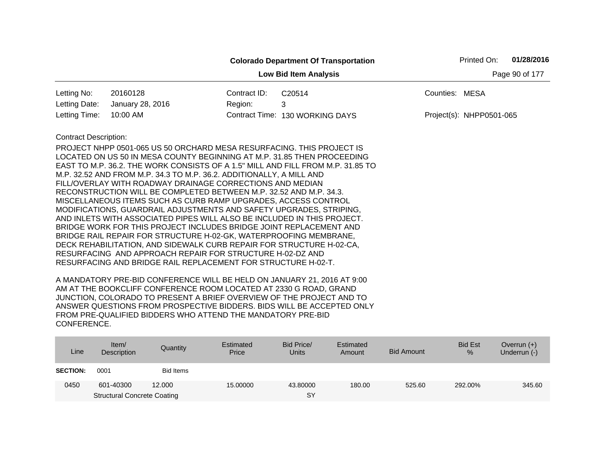|                              |                                                                                                                                                                                                                                                                                                                                                                                                                                                                                                                                                                                                                                                                                                                                                                                                                                                                                                                                                                                                                     |                | <b>Colorado Department Of Transportation</b> |                          | Printed On: | 01/28/2016 |
|------------------------------|---------------------------------------------------------------------------------------------------------------------------------------------------------------------------------------------------------------------------------------------------------------------------------------------------------------------------------------------------------------------------------------------------------------------------------------------------------------------------------------------------------------------------------------------------------------------------------------------------------------------------------------------------------------------------------------------------------------------------------------------------------------------------------------------------------------------------------------------------------------------------------------------------------------------------------------------------------------------------------------------------------------------|----------------|----------------------------------------------|--------------------------|-------------|------------|
|                              |                                                                                                                                                                                                                                                                                                                                                                                                                                                                                                                                                                                                                                                                                                                                                                                                                                                                                                                                                                                                                     | Page 90 of 177 |                                              |                          |             |            |
| Letting No:                  | 20160128                                                                                                                                                                                                                                                                                                                                                                                                                                                                                                                                                                                                                                                                                                                                                                                                                                                                                                                                                                                                            | Contract ID:   | C20514                                       | Counties: MESA           |             |            |
| Letting Date:                | January 28, 2016                                                                                                                                                                                                                                                                                                                                                                                                                                                                                                                                                                                                                                                                                                                                                                                                                                                                                                                                                                                                    | Region:        | 3                                            |                          |             |            |
| Letting Time:                | 10:00 AM                                                                                                                                                                                                                                                                                                                                                                                                                                                                                                                                                                                                                                                                                                                                                                                                                                                                                                                                                                                                            |                | Contract Time: 130 WORKING DAYS              | Project(s): NHPP0501-065 |             |            |
| <b>Contract Description:</b> | PROJECT NHPP 0501-065 US 50 ORCHARD MESA RESURFACING. THIS PROJECT IS<br>LOCATED ON US 50 IN MESA COUNTY BEGINNING AT M.P. 31.85 THEN PROCEEDING<br>EAST TO M.P. 36.2. THE WORK CONSISTS OF A 1.5" MILL AND FILL FROM M.P. 31.85 TO<br>M.P. 32.52 AND FROM M.P. 34.3 TO M.P. 36.2. ADDITIONALLY, A MILL AND<br>FILL/OVERLAY WITH ROADWAY DRAINAGE CORRECTIONS AND MEDIAN<br>RECONSTRUCTION WILL BE COMPLETED BETWEEN M.P. 32.52 AND M.P. 34.3.<br>MISCELLANEOUS ITEMS SUCH AS CURB RAMP UPGRADES, ACCESS CONTROL<br>MODIFICATIONS, GUARDRAIL ADJUSTMENTS AND SAFETY UPGRADES, STRIPING,<br>AND INLETS WITH ASSOCIATED PIPES WILL ALSO BE INCLUDED IN THIS PROJECT.<br>BRIDGE WORK FOR THIS PROJECT INCLUDES BRIDGE JOINT REPLACEMENT AND<br>BRIDGE RAIL REPAIR FOR STRUCTURE H-02-GK, WATERPROOFING MEMBRANE,<br>DECK REHABILITATION, AND SIDEWALK CURB REPAIR FOR STRUCTURE H-02-CA,<br>RESURFACING AND APPROACH REPAIR FOR STRUCTURE H-02-DZ AND<br>RESURFACING AND BRIDGE RAIL REPLACEMENT FOR STRUCTURE H-02-T. |                |                                              |                          |             |            |

| Line            | Item $/$<br>Description            | Quantity  | Estimated<br>Price | Bid Price/<br><b>Units</b> | Estimated<br>Amount | <b>Bid Amount</b> | <b>Bid Est</b><br>% | Overrun $(+)$<br>Underrun (-) |
|-----------------|------------------------------------|-----------|--------------------|----------------------------|---------------------|-------------------|---------------------|-------------------------------|
| <b>SECTION:</b> | 0001                               | Bid Items |                    |                            |                     |                   |                     |                               |
| 0450            | 601-40300                          | 12.000    | 15,00000           | 43.80000                   | 180.00              | 525.60            | 292.00%             | 345.60                        |
|                 | <b>Structural Concrete Coating</b> |           |                    | <b>SY</b>                  |                     |                   |                     |                               |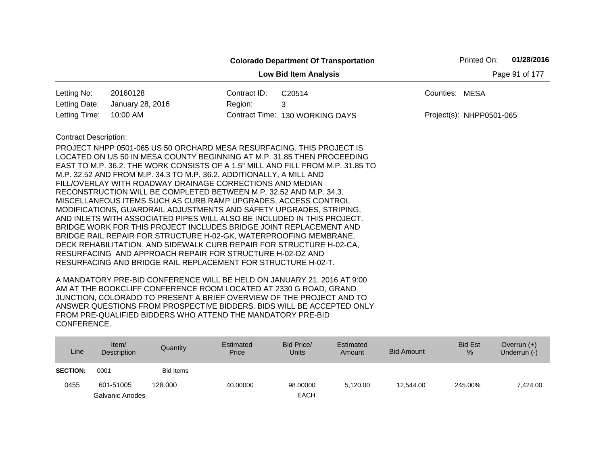|                              |                                                                                                                                                                                                                                                                                                                                                                                                                                                                                                                                                                                                                                                                                                                                                                                                                                                                                                                                                                                                                     |                | <b>Colorado Department Of Transportation</b> |                | Printed On:              | 01/28/2016 |
|------------------------------|---------------------------------------------------------------------------------------------------------------------------------------------------------------------------------------------------------------------------------------------------------------------------------------------------------------------------------------------------------------------------------------------------------------------------------------------------------------------------------------------------------------------------------------------------------------------------------------------------------------------------------------------------------------------------------------------------------------------------------------------------------------------------------------------------------------------------------------------------------------------------------------------------------------------------------------------------------------------------------------------------------------------|----------------|----------------------------------------------|----------------|--------------------------|------------|
|                              |                                                                                                                                                                                                                                                                                                                                                                                                                                                                                                                                                                                                                                                                                                                                                                                                                                                                                                                                                                                                                     | Page 91 of 177 |                                              |                |                          |            |
| Letting No:                  | 20160128                                                                                                                                                                                                                                                                                                                                                                                                                                                                                                                                                                                                                                                                                                                                                                                                                                                                                                                                                                                                            | Contract ID:   | C20514                                       | Counties: MESA |                          |            |
| Letting Date:                | January 28, 2016                                                                                                                                                                                                                                                                                                                                                                                                                                                                                                                                                                                                                                                                                                                                                                                                                                                                                                                                                                                                    | Region:        | 3                                            |                |                          |            |
| Letting Time:                | 10:00 AM                                                                                                                                                                                                                                                                                                                                                                                                                                                                                                                                                                                                                                                                                                                                                                                                                                                                                                                                                                                                            |                | Contract Time: 130 WORKING DAYS              |                | Project(s): NHPP0501-065 |            |
| <b>Contract Description:</b> | PROJECT NHPP 0501-065 US 50 ORCHARD MESA RESURFACING. THIS PROJECT IS<br>LOCATED ON US 50 IN MESA COUNTY BEGINNING AT M.P. 31.85 THEN PROCEEDING<br>EAST TO M.P. 36.2. THE WORK CONSISTS OF A 1.5" MILL AND FILL FROM M.P. 31.85 TO<br>M.P. 32.52 AND FROM M.P. 34.3 TO M.P. 36.2. ADDITIONALLY, A MILL AND<br>FILL/OVERLAY WITH ROADWAY DRAINAGE CORRECTIONS AND MEDIAN<br>RECONSTRUCTION WILL BE COMPLETED BETWEEN M.P. 32.52 AND M.P. 34.3.<br>MISCELLANEOUS ITEMS SUCH AS CURB RAMP UPGRADES, ACCESS CONTROL<br>MODIFICATIONS, GUARDRAIL ADJUSTMENTS AND SAFETY UPGRADES, STRIPING,<br>AND INLETS WITH ASSOCIATED PIPES WILL ALSO BE INCLUDED IN THIS PROJECT.<br>BRIDGE WORK FOR THIS PROJECT INCLUDES BRIDGE JOINT REPLACEMENT AND<br>BRIDGE RAIL REPAIR FOR STRUCTURE H-02-GK, WATERPROOFING MEMBRANE,<br>DECK REHABILITATION, AND SIDEWALK CURB REPAIR FOR STRUCTURE H-02-CA,<br>RESURFACING AND APPROACH REPAIR FOR STRUCTURE H-02-DZ AND<br>RESURFACING AND BRIDGE RAIL REPLACEMENT FOR STRUCTURE H-02-T. |                |                                              |                |                          |            |

| Line            | Item/<br>Description | Quantity         | Estimated<br>Price | Bid Price/<br>Units | Estimated<br>Amount | <b>Bid Amount</b> | <b>Bid Est</b><br>% | Overrun $(+)$<br>Underrun (-) |
|-----------------|----------------------|------------------|--------------------|---------------------|---------------------|-------------------|---------------------|-------------------------------|
| <b>SECTION:</b> | 0001                 | <b>Bid Items</b> |                    |                     |                     |                   |                     |                               |
| 0455            | 601-51005            | 128,000          | 40.00000           | 98.00000            | 5.120.00            | 12.544.00         | 245.00%             | 7.424.00                      |
|                 | Galvanic Anodes      |                  |                    | <b>EACH</b>         |                     |                   |                     |                               |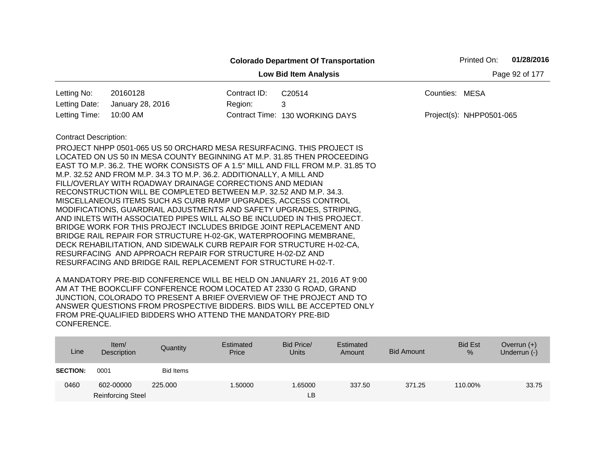|                                                |                                                                                                                                                                                                                                                                                                                                                                                                                                                                                                                                                                                                                                                                                                                                                                                                                                                                                                                                  |              | <b>Colorado Department Of Transportation</b>                                    |                | Printed On:              | 01/28/2016 |  |  |  |
|------------------------------------------------|----------------------------------------------------------------------------------------------------------------------------------------------------------------------------------------------------------------------------------------------------------------------------------------------------------------------------------------------------------------------------------------------------------------------------------------------------------------------------------------------------------------------------------------------------------------------------------------------------------------------------------------------------------------------------------------------------------------------------------------------------------------------------------------------------------------------------------------------------------------------------------------------------------------------------------|--------------|---------------------------------------------------------------------------------|----------------|--------------------------|------------|--|--|--|
| Page 92 of 177<br><b>Low Bid Item Analysis</b> |                                                                                                                                                                                                                                                                                                                                                                                                                                                                                                                                                                                                                                                                                                                                                                                                                                                                                                                                  |              |                                                                                 |                |                          |            |  |  |  |
| Letting No:                                    | 20160128                                                                                                                                                                                                                                                                                                                                                                                                                                                                                                                                                                                                                                                                                                                                                                                                                                                                                                                         | Contract ID: | C20514                                                                          | Counties: MESA |                          |            |  |  |  |
| Letting Date:                                  | January 28, 2016                                                                                                                                                                                                                                                                                                                                                                                                                                                                                                                                                                                                                                                                                                                                                                                                                                                                                                                 | Region:      | 3                                                                               |                |                          |            |  |  |  |
| Letting Time:                                  | 10:00 AM                                                                                                                                                                                                                                                                                                                                                                                                                                                                                                                                                                                                                                                                                                                                                                                                                                                                                                                         |              | Contract Time: 130 WORKING DAYS                                                 |                | Project(s): NHPP0501-065 |            |  |  |  |
| <b>Contract Description:</b>                   | PROJECT NHPP 0501-065 US 50 ORCHARD MESA RESURFACING. THIS PROJECT IS<br>LOCATED ON US 50 IN MESA COUNTY BEGINNING AT M.P. 31.85 THEN PROCEEDING<br>M.P. 32.52 AND FROM M.P. 34.3 TO M.P. 36.2. ADDITIONALLY, A MILL AND<br>FILL/OVERLAY WITH ROADWAY DRAINAGE CORRECTIONS AND MEDIAN<br>RECONSTRUCTION WILL BE COMPLETED BETWEEN M.P. 32.52 AND M.P. 34.3.<br>MISCELLANEOUS ITEMS SUCH AS CURB RAMP UPGRADES, ACCESS CONTROL<br>MODIFICATIONS, GUARDRAIL ADJUSTMENTS AND SAFETY UPGRADES, STRIPING,<br>AND INLETS WITH ASSOCIATED PIPES WILL ALSO BE INCLUDED IN THIS PROJECT.<br>BRIDGE WORK FOR THIS PROJECT INCLUDES BRIDGE JOINT REPLACEMENT AND<br>BRIDGE RAIL REPAIR FOR STRUCTURE H-02-GK, WATERPROOFING MEMBRANE,<br>DECK REHABILITATION, AND SIDEWALK CURB REPAIR FOR STRUCTURE H-02-CA,<br>RESURFACING AND APPROACH REPAIR FOR STRUCTURE H-02-DZ AND<br>RESURFACING AND BRIDGE RAIL REPLACEMENT FOR STRUCTURE H-02-T. |              | EAST TO M.P. 36.2. THE WORK CONSISTS OF A 1.5" MILL AND FILL FROM M.P. 31.85 TO |                |                          |            |  |  |  |

| Line            | Item/<br>Description     | Quantity  | Estimated<br>Price | Bid Price/<br><b>Units</b> | Estimated<br>Amount | <b>Bid Amount</b> | <b>Bid Est</b><br>% | Overrun $(+)$<br>Underrun (-) |
|-----------------|--------------------------|-----------|--------------------|----------------------------|---------------------|-------------------|---------------------|-------------------------------|
| <b>SECTION:</b> | 0001                     | Bid Items |                    |                            |                     |                   |                     |                               |
| 0460            | 602-00000                | 225,000   | 1.50000            | .65000                     | 337.50              | 371.25            | 110.00%             | 33.75                         |
|                 | <b>Reinforcing Steel</b> |           |                    | LВ                         |                     |                   |                     |                               |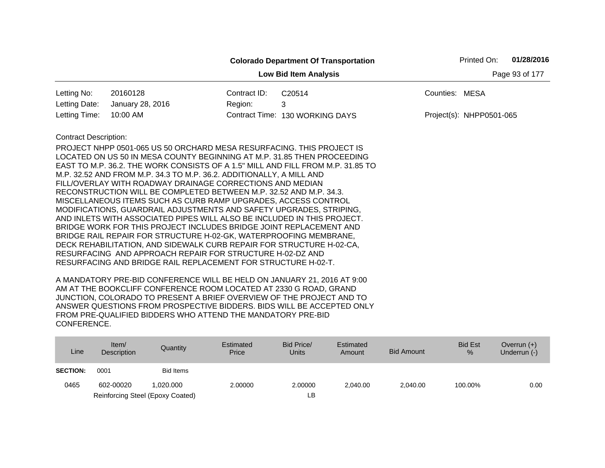|                              |                                                                                 |              | <b>Colorado Department Of Transportation</b> |                | Printed On:              | 01/28/2016     |
|------------------------------|---------------------------------------------------------------------------------|--------------|----------------------------------------------|----------------|--------------------------|----------------|
|                              |                                                                                 |              | <b>Low Bid Item Analysis</b>                 |                |                          | Page 93 of 177 |
| Letting No:                  | 20160128                                                                        | Contract ID: | C20514                                       | Counties: MESA |                          |                |
| Letting Date:                | January 28, 2016                                                                | Region:      | 3                                            |                |                          |                |
| Letting Time:                | 10:00 AM                                                                        |              | Contract Time: 130 WORKING DAYS              |                | Project(s): NHPP0501-065 |                |
| <b>Contract Description:</b> |                                                                                 |              |                                              |                |                          |                |
|                              | PROJECT NHPP 0501-065 US 50 ORCHARD MESA RESURFACING. THIS PROJECT IS           |              |                                              |                |                          |                |
|                              | LOCATED ON US 50 IN MESA COUNTY BEGINNING AT M.P. 31.85 THEN PROCEEDING         |              |                                              |                |                          |                |
|                              | EAST TO M.P. 36.2. THE WORK CONSISTS OF A 1.5" MILL AND FILL FROM M.P. 31.85 TO |              |                                              |                |                          |                |
|                              | M.P. 32.52 AND FROM M.P. 34.3 TO M.P. 36.2. ADDITIONALLY, A MILL AND            |              |                                              |                |                          |                |
|                              | FILL/OVERLAY WITH ROADWAY DRAINAGE CORRECTIONS AND MEDIAN                       |              |                                              |                |                          |                |
|                              | RECONSTRUCTION WILL BE COMPLETED BETWEEN M.P. 32.52 AND M.P. 34.3.              |              |                                              |                |                          |                |
|                              | MISCELLANEOUS ITEMS SUCH AS CURB RAMP UPGRADES, ACCESS CONTROL                  |              |                                              |                |                          |                |
|                              | MODIFICATIONS, GUARDRAIL ADJUSTMENTS AND SAFETY UPGRADES, STRIPING,             |              |                                              |                |                          |                |
|                              | AND INLETS WITH ASSOCIATED PIPES WILL ALSO BE INCLUDED IN THIS PROJECT.         |              |                                              |                |                          |                |
|                              | BRIDGE WORK FOR THIS PROJECT INCLUDES BRIDGE JOINT REPLACEMENT AND              |              |                                              |                |                          |                |
|                              | BRIDGE RAIL REPAIR FOR STRUCTURE H-02-GK, WATERPROOFING MEMBRANE,               |              |                                              |                |                          |                |
|                              | DECK REHABILITATION, AND SIDEWALK CURB REPAIR FOR STRUCTURE H-02-CA,            |              |                                              |                |                          |                |
|                              | RESURFACING AND APPROACH REPAIR FOR STRUCTURE H-02-DZ AND                       |              |                                              |                |                          |                |
|                              | RESURFACING AND BRIDGE RAIL REPLACEMENT FOR STRUCTURE H-02-T.                   |              |                                              |                |                          |                |

| Line            | Item/<br>Description | Quantity                         | Estimated<br>Price | Bid Price/<br>Units | Estimated<br>Amount | Bid Amount | <b>Bid Est</b><br>$\%$ | Overrun $(+)$<br>Underrun (-) |
|-----------------|----------------------|----------------------------------|--------------------|---------------------|---------------------|------------|------------------------|-------------------------------|
| <b>SECTION:</b> | 0001                 | Bid Items                        |                    |                     |                     |            |                        |                               |
| 0465            | 602-00020            | 1.020.000                        | 2.00000            | 2.00000             | 2.040.00            | 2,040.00   | 100.00%                | 0.00                          |
|                 |                      | Reinforcing Steel (Epoxy Coated) |                    | LB                  |                     |            |                        |                               |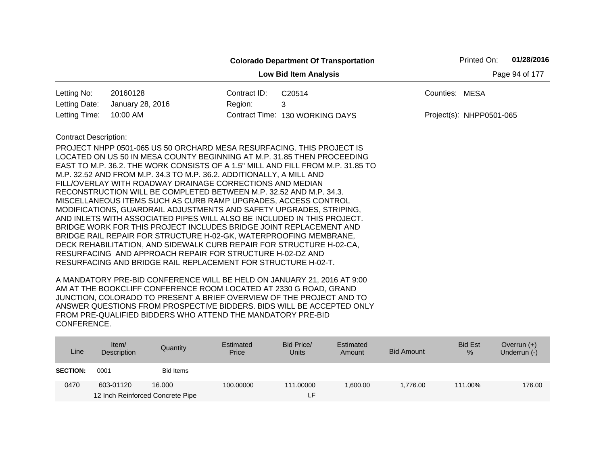|                              |                                                                                 |              | <b>Colorado Department Of Transportation</b> |                | Printed On:              | 01/28/2016     |
|------------------------------|---------------------------------------------------------------------------------|--------------|----------------------------------------------|----------------|--------------------------|----------------|
|                              |                                                                                 |              | <b>Low Bid Item Analysis</b>                 |                |                          | Page 94 of 177 |
| Letting No:                  | 20160128                                                                        | Contract ID: | C20514                                       | Counties: MESA |                          |                |
| Letting Date:                | January 28, 2016                                                                | Region:      | 3                                            |                |                          |                |
| Letting Time:                | 10:00 AM                                                                        |              | Contract Time: 130 WORKING DAYS              |                | Project(s): NHPP0501-065 |                |
| <b>Contract Description:</b> |                                                                                 |              |                                              |                |                          |                |
|                              | <b>PROJECT NHPP 0501-065 US 50 ORCHARD MESA RESURFACING. THIS PROJECT IS</b>    |              |                                              |                |                          |                |
|                              | LOCATED ON US 50 IN MESA COUNTY BEGINNING AT M.P. 31.85 THEN PROCEEDING         |              |                                              |                |                          |                |
|                              | EAST TO M.P. 36.2. THE WORK CONSISTS OF A 1.5" MILL AND FILL FROM M.P. 31.85 TO |              |                                              |                |                          |                |
|                              | M.P. 32.52 AND FROM M.P. 34.3 TO M.P. 36.2. ADDITIONALLY, A MILL AND            |              |                                              |                |                          |                |
|                              | FILL/OVERLAY WITH ROADWAY DRAINAGE CORRECTIONS AND MEDIAN                       |              |                                              |                |                          |                |
|                              | RECONSTRUCTION WILL BE COMPLETED BETWEEN M.P. 32.52 AND M.P. 34.3.              |              |                                              |                |                          |                |
|                              | MISCELLANEOUS ITEMS SUCH AS CURB RAMP UPGRADES, ACCESS CONTROL                  |              |                                              |                |                          |                |
|                              | MODIFICATIONS, GUARDRAIL ADJUSTMENTS AND SAFETY UPGRADES, STRIPING,             |              |                                              |                |                          |                |
|                              | AND INLETS WITH ASSOCIATED PIPES WILL ALSO BE INCLUDED IN THIS PROJECT.         |              |                                              |                |                          |                |
|                              | BRIDGE WORK FOR THIS PROJECT INCLUDES BRIDGE JOINT REPLACEMENT AND              |              |                                              |                |                          |                |
|                              | BRIDGE RAIL REPAIR FOR STRUCTURE H-02-GK, WATERPROOFING MEMBRANE,               |              |                                              |                |                          |                |
|                              | DECK REHABILITATION, AND SIDEWALK CURB REPAIR FOR STRUCTURE H-02-CA,            |              |                                              |                |                          |                |
|                              | RESURFACING AND APPROACH REPAIR FOR STRUCTURE H-02-DZ AND                       |              |                                              |                |                          |                |
|                              | RESURFACING AND BRIDGE RAIL REPLACEMENT FOR STRUCTURE H-02-T.                   |              |                                              |                |                          |                |

| Line            | Item/<br>Description             | Quantity  | Estimated<br>Price | Bid Price/<br><b>Units</b> | Estimated<br>Amount | <b>Bid Amount</b> | <b>Bid Est</b><br>% | Overrun $(+)$<br>Underrun (-) |
|-----------------|----------------------------------|-----------|--------------------|----------------------------|---------------------|-------------------|---------------------|-------------------------------|
| <b>SECTION:</b> | 0001                             | Bid Items |                    |                            |                     |                   |                     |                               |
| 0470            | 603-01120                        | 16.000    | 100.00000          | 111.00000                  | 00.00.00            | 1.776.00          | 111.00%             | 176.00                        |
|                 | 12 Inch Reinforced Concrete Pipe |           |                    | LH.                        |                     |                   |                     |                               |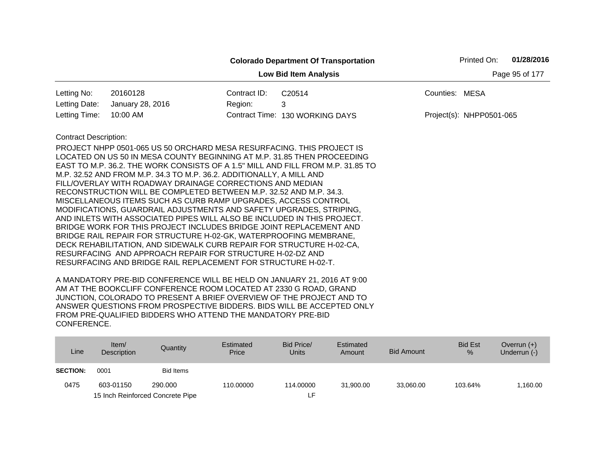|                                                |                                                                                                                                                                                                                                                                                                                                                                                                                                                                                                                                                                                                                                                                                                                                                                                                                                                                                                                                                                                                                     |              | <b>Colorado Department Of Transportation</b> | Printed On:              | 01/28/2016 |  |  |  |
|------------------------------------------------|---------------------------------------------------------------------------------------------------------------------------------------------------------------------------------------------------------------------------------------------------------------------------------------------------------------------------------------------------------------------------------------------------------------------------------------------------------------------------------------------------------------------------------------------------------------------------------------------------------------------------------------------------------------------------------------------------------------------------------------------------------------------------------------------------------------------------------------------------------------------------------------------------------------------------------------------------------------------------------------------------------------------|--------------|----------------------------------------------|--------------------------|------------|--|--|--|
| <b>Low Bid Item Analysis</b><br>Page 95 of 177 |                                                                                                                                                                                                                                                                                                                                                                                                                                                                                                                                                                                                                                                                                                                                                                                                                                                                                                                                                                                                                     |              |                                              |                          |            |  |  |  |
| Letting No:                                    | 20160128                                                                                                                                                                                                                                                                                                                                                                                                                                                                                                                                                                                                                                                                                                                                                                                                                                                                                                                                                                                                            | Contract ID: | C20514                                       | Counties: MESA           |            |  |  |  |
| Letting Date:                                  | January 28, 2016                                                                                                                                                                                                                                                                                                                                                                                                                                                                                                                                                                                                                                                                                                                                                                                                                                                                                                                                                                                                    | Region:      | 3                                            |                          |            |  |  |  |
| Letting Time:                                  | 10:00 AM                                                                                                                                                                                                                                                                                                                                                                                                                                                                                                                                                                                                                                                                                                                                                                                                                                                                                                                                                                                                            |              | Contract Time: 130 WORKING DAYS              | Project(s): NHPP0501-065 |            |  |  |  |
| <b>Contract Description:</b>                   | PROJECT NHPP 0501-065 US 50 ORCHARD MESA RESURFACING. THIS PROJECT IS<br>LOCATED ON US 50 IN MESA COUNTY BEGINNING AT M.P. 31.85 THEN PROCEEDING<br>EAST TO M.P. 36.2. THE WORK CONSISTS OF A 1.5" MILL AND FILL FROM M.P. 31.85 TO<br>M.P. 32.52 AND FROM M.P. 34.3 TO M.P. 36.2. ADDITIONALLY, A MILL AND<br>FILL/OVERLAY WITH ROADWAY DRAINAGE CORRECTIONS AND MEDIAN<br>RECONSTRUCTION WILL BE COMPLETED BETWEEN M.P. 32.52 AND M.P. 34.3.<br>MISCELLANEOUS ITEMS SUCH AS CURB RAMP UPGRADES, ACCESS CONTROL<br>MODIFICATIONS, GUARDRAIL ADJUSTMENTS AND SAFETY UPGRADES, STRIPING,<br>AND INLETS WITH ASSOCIATED PIPES WILL ALSO BE INCLUDED IN THIS PROJECT.<br>BRIDGE WORK FOR THIS PROJECT INCLUDES BRIDGE JOINT REPLACEMENT AND<br>BRIDGE RAIL REPAIR FOR STRUCTURE H-02-GK, WATERPROOFING MEMBRANE,<br>DECK REHABILITATION, AND SIDEWALK CURB REPAIR FOR STRUCTURE H-02-CA,<br>RESURFACING AND APPROACH REPAIR FOR STRUCTURE H-02-DZ AND<br>RESURFACING AND BRIDGE RAIL REPLACEMENT FOR STRUCTURE H-02-T. |              |                                              |                          |            |  |  |  |

| Line            | Item/<br><b>Description</b> | Quantity                         | Estimated<br>Price | Bid Price/<br><b>Units</b> | Estimated<br>Amount | <b>Bid Amount</b> | <b>Bid Est</b><br>$\%$ | Overrun $(+)$<br>Underrun (-) |
|-----------------|-----------------------------|----------------------------------|--------------------|----------------------------|---------------------|-------------------|------------------------|-------------------------------|
| <b>SECTION:</b> | 0001                        | Bid Items                        |                    |                            |                     |                   |                        |                               |
| 0475            | 603-01150                   | 290,000                          | 110.00000          | 114.00000                  | 31,900.00           | 33,060.00         | 103.64%                | ,160.00                       |
|                 |                             | 15 Inch Reinforced Concrete Pipe |                    |                            |                     |                   |                        |                               |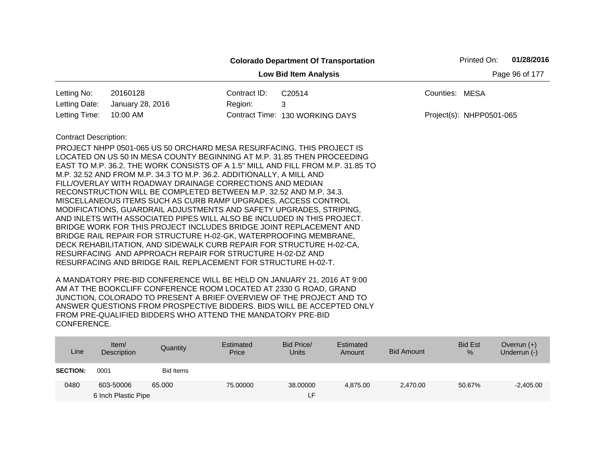|                              |                                                                                                                                                                                                                                                                                                                                                                                                                          |              | <b>Colorado Department Of Transportation</b> |                | Printed On:              | 01/28/2016     |
|------------------------------|--------------------------------------------------------------------------------------------------------------------------------------------------------------------------------------------------------------------------------------------------------------------------------------------------------------------------------------------------------------------------------------------------------------------------|--------------|----------------------------------------------|----------------|--------------------------|----------------|
|                              |                                                                                                                                                                                                                                                                                                                                                                                                                          |              | <b>Low Bid Item Analysis</b>                 |                |                          | Page 96 of 177 |
| Letting No:                  | 20160128                                                                                                                                                                                                                                                                                                                                                                                                                 | Contract ID: | C20514                                       | Counties: MESA |                          |                |
| Letting Date:                | January 28, 2016                                                                                                                                                                                                                                                                                                                                                                                                         | Region:      | 3                                            |                |                          |                |
| Letting Time:                | 10:00 AM                                                                                                                                                                                                                                                                                                                                                                                                                 |              | Contract Time: 130 WORKING DAYS              |                | Project(s): NHPP0501-065 |                |
| <b>Contract Description:</b> | PROJECT NHPP 0501-065 US 50 ORCHARD MESA RESURFACING. THIS PROJECT IS<br>LOCATED ON US 50 IN MESA COUNTY BEGINNING AT M.P. 31.85 THEN PROCEEDING<br>EAST TO M.P. 36.2. THE WORK CONSISTS OF A 1.5" MILL AND FILL FROM M.P. 31.85 TO<br>M.P. 32.52 AND FROM M.P. 34.3 TO M.P. 36.2. ADDITIONALLY, A MILL AND<br>FILL/OVERLAY WITH ROADWAY DRAINAGE CORRECTIONS AND MEDIAN                                                 |              |                                              |                |                          |                |
|                              | RECONSTRUCTION WILL BE COMPLETED BETWEEN M.P. 32.52 AND M.P. 34.3.<br>MISCELLANEOUS ITEMS SUCH AS CURB RAMP UPGRADES, ACCESS CONTROL                                                                                                                                                                                                                                                                                     |              |                                              |                |                          |                |
|                              | MODIFICATIONS, GUARDRAIL ADJUSTMENTS AND SAFETY UPGRADES, STRIPING,                                                                                                                                                                                                                                                                                                                                                      |              |                                              |                |                          |                |
|                              | AND INLETS WITH ASSOCIATED PIPES WILL ALSO BE INCLUDED IN THIS PROJECT.<br>BRIDGE WORK FOR THIS PROJECT INCLUDES BRIDGE JOINT REPLACEMENT AND<br>BRIDGE RAIL REPAIR FOR STRUCTURE H-02-GK, WATERPROOFING MEMBRANE,<br>DECK REHABILITATION, AND SIDEWALK CURB REPAIR FOR STRUCTURE H-02-CA,<br>RESURFACING AND APPROACH REPAIR FOR STRUCTURE H-02-DZ AND<br>RESURFACING AND BRIDGE RAIL REPLACEMENT FOR STRUCTURE H-02-T. |              |                                              |                |                          |                |

| Line            | Item/<br>Description | Quantity  | Estimated<br>Price | Bid Price/<br><b>Units</b> | Estimated<br>Amount | <b>Bid Amount</b> | <b>Bid Est</b><br>% | Overrun $(+)$<br>Underrun (-) |
|-----------------|----------------------|-----------|--------------------|----------------------------|---------------------|-------------------|---------------------|-------------------------------|
| <b>SECTION:</b> | 0001                 | Bid Items |                    |                            |                     |                   |                     |                               |
| 0480            | 603-50006            | 65,000    | 75,00000           | 38,00000                   | 4.875.00            | 2,470.00          | 50.67%              | $-2,405.00$                   |
|                 | 6 Inch Plastic Pipe  |           |                    | τF.                        |                     |                   |                     |                               |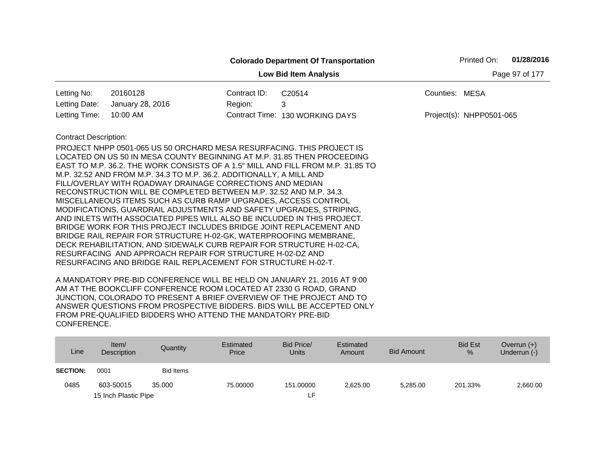|                              |                                                                                                                                                                                                                                                                                                                                                                                                                                                                                                                                                                                                                                                                    |                | <b>Colorado Department Of Transportation</b> |                | Printed On:              | 01/28/2016 |  |  |  |
|------------------------------|--------------------------------------------------------------------------------------------------------------------------------------------------------------------------------------------------------------------------------------------------------------------------------------------------------------------------------------------------------------------------------------------------------------------------------------------------------------------------------------------------------------------------------------------------------------------------------------------------------------------------------------------------------------------|----------------|----------------------------------------------|----------------|--------------------------|------------|--|--|--|
|                              |                                                                                                                                                                                                                                                                                                                                                                                                                                                                                                                                                                                                                                                                    | Page 97 of 177 |                                              |                |                          |            |  |  |  |
| Letting No:                  | 20160128                                                                                                                                                                                                                                                                                                                                                                                                                                                                                                                                                                                                                                                           | Contract ID:   | C20514                                       | Counties: MESA |                          |            |  |  |  |
| Letting Date:                | January 28, 2016                                                                                                                                                                                                                                                                                                                                                                                                                                                                                                                                                                                                                                                   | Region:        | 3                                            |                |                          |            |  |  |  |
| Letting Time:                | 10:00 AM                                                                                                                                                                                                                                                                                                                                                                                                                                                                                                                                                                                                                                                           |                | Contract Time: 130 WORKING DAYS              |                | Project(s): NHPP0501-065 |            |  |  |  |
| <b>Contract Description:</b> | PROJECT NHPP 0501-065 US 50 ORCHARD MESA RESURFACING. THIS PROJECT IS<br>LOCATED ON US 50 IN MESA COUNTY BEGINNING AT M.P. 31.85 THEN PROCEEDING<br>EAST TO M.P. 36.2. THE WORK CONSISTS OF A 1.5" MILL AND FILL FROM M.P. 31.85 TO<br>M.P. 32.52 AND FROM M.P. 34.3 TO M.P. 36.2. ADDITIONALLY, A MILL AND<br>FILL/OVERLAY WITH ROADWAY DRAINAGE CORRECTIONS AND MEDIAN<br>RECONSTRUCTION WILL BE COMPLETED BETWEEN M.P. 32.52 AND M.P. 34.3.<br>MISCELLANEOUS ITEMS SUCH AS CURB RAMP UPGRADES, ACCESS CONTROL<br>MODIFICATIONS, GUARDRAIL ADJUSTMENTS AND SAFETY UPGRADES, STRIPING,<br>AND INLETS WITH ASSOCIATED PIPES WILL ALSO BE INCLUDED IN THIS PROJECT. |                |                                              |                |                          |            |  |  |  |
|                              | BRIDGE WORK FOR THIS PROJECT INCLUDES BRIDGE JOINT REPLACEMENT AND<br>BRIDGE RAIL REPAIR FOR STRUCTURE H-02-GK, WATERPROOFING MEMBRANE,<br>DECK REHABILITATION, AND SIDEWALK CURB REPAIR FOR STRUCTURE H-02-CA,<br>RESURFACING AND APPROACH REPAIR FOR STRUCTURE H-02-DZ AND<br>RESURFACING AND BRIDGE RAIL REPLACEMENT FOR STRUCTURE H-02-T.                                                                                                                                                                                                                                                                                                                      |                |                                              |                |                          |            |  |  |  |

| Line            | Item/<br>Description | Quantity         | Estimated<br>Price | Bid Price/<br><b>Units</b> | Estimated<br>Amount | Bid Amount | <b>Bid Est</b><br>% | Overrun $(+)$<br>Underrun (-) |
|-----------------|----------------------|------------------|--------------------|----------------------------|---------------------|------------|---------------------|-------------------------------|
| <b>SECTION:</b> | 0001                 | <b>Bid Items</b> |                    |                            |                     |            |                     |                               |
| 0485            | 603-50015            | 35,000           | 75,00000           | 151.00000                  | 2.625.00            | 5,285.00   | 201.33%             | 2,660.00                      |
|                 | 15 Inch Plastic Pipe |                  |                    | ιF.                        |                     |            |                     |                               |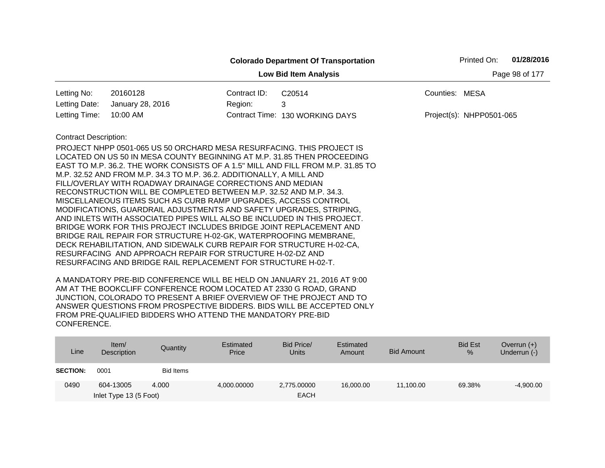|                              |                                                                                                                                                                                                                                                                                                                                                                                                                                                                                                                                                                                                                                                                                                                                                                                                                                                                                                                                                                                                                            | Printed On:  | 01/28/2016                      |                          |  |  |  |  |  |  |
|------------------------------|----------------------------------------------------------------------------------------------------------------------------------------------------------------------------------------------------------------------------------------------------------------------------------------------------------------------------------------------------------------------------------------------------------------------------------------------------------------------------------------------------------------------------------------------------------------------------------------------------------------------------------------------------------------------------------------------------------------------------------------------------------------------------------------------------------------------------------------------------------------------------------------------------------------------------------------------------------------------------------------------------------------------------|--------------|---------------------------------|--------------------------|--|--|--|--|--|--|
|                              | Page 98 of 177<br><b>Low Bid Item Analysis</b>                                                                                                                                                                                                                                                                                                                                                                                                                                                                                                                                                                                                                                                                                                                                                                                                                                                                                                                                                                             |              |                                 |                          |  |  |  |  |  |  |
| Letting No:                  | 20160128                                                                                                                                                                                                                                                                                                                                                                                                                                                                                                                                                                                                                                                                                                                                                                                                                                                                                                                                                                                                                   | Contract ID: | C20514                          | Counties: MESA           |  |  |  |  |  |  |
| Letting Date:                | January 28, 2016                                                                                                                                                                                                                                                                                                                                                                                                                                                                                                                                                                                                                                                                                                                                                                                                                                                                                                                                                                                                           | Region:      | 3                               |                          |  |  |  |  |  |  |
| Letting Time:                | 10:00 AM                                                                                                                                                                                                                                                                                                                                                                                                                                                                                                                                                                                                                                                                                                                                                                                                                                                                                                                                                                                                                   |              | Contract Time: 130 WORKING DAYS | Project(s): NHPP0501-065 |  |  |  |  |  |  |
| <b>Contract Description:</b> | <b>PROJECT NHPP 0501-065 US 50 ORCHARD MESA RESURFACING. THIS PROJECT IS</b><br>LOCATED ON US 50 IN MESA COUNTY BEGINNING AT M.P. 31.85 THEN PROCEEDING<br>EAST TO M.P. 36.2. THE WORK CONSISTS OF A 1.5" MILL AND FILL FROM M.P. 31.85 TO<br>M.P. 32.52 AND FROM M.P. 34.3 TO M.P. 36.2. ADDITIONALLY, A MILL AND<br>FILL/OVERLAY WITH ROADWAY DRAINAGE CORRECTIONS AND MEDIAN<br>RECONSTRUCTION WILL BE COMPLETED BETWEEN M.P. 32.52 AND M.P. 34.3.<br>MISCELLANEOUS ITEMS SUCH AS CURB RAMP UPGRADES, ACCESS CONTROL<br>MODIFICATIONS, GUARDRAIL ADJUSTMENTS AND SAFETY UPGRADES, STRIPING,<br>AND INLETS WITH ASSOCIATED PIPES WILL ALSO BE INCLUDED IN THIS PROJECT.<br>BRIDGE WORK FOR THIS PROJECT INCLUDES BRIDGE JOINT REPLACEMENT AND<br>BRIDGE RAIL REPAIR FOR STRUCTURE H-02-GK, WATERPROOFING MEMBRANE,<br>DECK REHABILITATION, AND SIDEWALK CURB REPAIR FOR STRUCTURE H-02-CA,<br>RESURFACING AND APPROACH REPAIR FOR STRUCTURE H-02-DZ AND<br>RESURFACING AND BRIDGE RAIL REPLACEMENT FOR STRUCTURE H-02-T. |              |                                 |                          |  |  |  |  |  |  |

| Line            | Item/<br>Description   | Quantity  | Estimated<br>Price | Bid Price/<br><b>Units</b> | Estimated<br>Amount | <b>Bid Amount</b> | <b>Bid Est</b><br>$\%$ | Overrun $(+)$<br>Underrun (-) |
|-----------------|------------------------|-----------|--------------------|----------------------------|---------------------|-------------------|------------------------|-------------------------------|
| <b>SECTION:</b> | 0001                   | Bid Items |                    |                            |                     |                   |                        |                               |
| 0490            | 604-13005              | 4.000     | 4.000.00000        | 2,775.00000                | 16,000,00           | 11,100.00         | 69.38%                 | $-4,900.00$                   |
|                 | Inlet Type 13 (5 Foot) |           |                    | <b>EACH</b>                |                     |                   |                        |                               |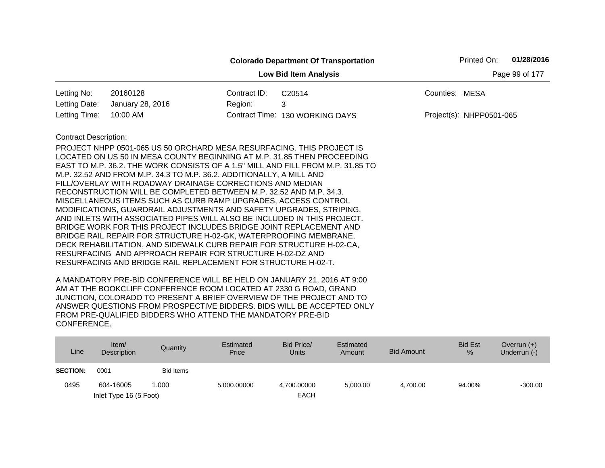|                              |                                                                                                                                                                                                                                                                                                                                                                                                                                                                                                                                                                                                                                                                                                                                                                                                                                                                                                                                                                                                                     |                | <b>Colorado Department Of Transportation</b> |                | Printed On:              | 01/28/2016 |
|------------------------------|---------------------------------------------------------------------------------------------------------------------------------------------------------------------------------------------------------------------------------------------------------------------------------------------------------------------------------------------------------------------------------------------------------------------------------------------------------------------------------------------------------------------------------------------------------------------------------------------------------------------------------------------------------------------------------------------------------------------------------------------------------------------------------------------------------------------------------------------------------------------------------------------------------------------------------------------------------------------------------------------------------------------|----------------|----------------------------------------------|----------------|--------------------------|------------|
|                              |                                                                                                                                                                                                                                                                                                                                                                                                                                                                                                                                                                                                                                                                                                                                                                                                                                                                                                                                                                                                                     | Page 99 of 177 |                                              |                |                          |            |
| Letting No:                  | 20160128                                                                                                                                                                                                                                                                                                                                                                                                                                                                                                                                                                                                                                                                                                                                                                                                                                                                                                                                                                                                            | Contract ID:   | C20514                                       | Counties: MESA |                          |            |
| Letting Date:                | January 28, 2016                                                                                                                                                                                                                                                                                                                                                                                                                                                                                                                                                                                                                                                                                                                                                                                                                                                                                                                                                                                                    | Region:        | 3                                            |                |                          |            |
| Letting Time:                | 10:00 AM                                                                                                                                                                                                                                                                                                                                                                                                                                                                                                                                                                                                                                                                                                                                                                                                                                                                                                                                                                                                            |                | Contract Time: 130 WORKING DAYS              |                | Project(s): NHPP0501-065 |            |
| <b>Contract Description:</b> | PROJECT NHPP 0501-065 US 50 ORCHARD MESA RESURFACING. THIS PROJECT IS<br>LOCATED ON US 50 IN MESA COUNTY BEGINNING AT M.P. 31.85 THEN PROCEEDING<br>EAST TO M.P. 36.2. THE WORK CONSISTS OF A 1.5" MILL AND FILL FROM M.P. 31.85 TO<br>M.P. 32.52 AND FROM M.P. 34.3 TO M.P. 36.2. ADDITIONALLY, A MILL AND<br>FILL/OVERLAY WITH ROADWAY DRAINAGE CORRECTIONS AND MEDIAN<br>RECONSTRUCTION WILL BE COMPLETED BETWEEN M.P. 32.52 AND M.P. 34.3.<br>MISCELLANEOUS ITEMS SUCH AS CURB RAMP UPGRADES, ACCESS CONTROL<br>MODIFICATIONS, GUARDRAIL ADJUSTMENTS AND SAFETY UPGRADES, STRIPING,<br>AND INLETS WITH ASSOCIATED PIPES WILL ALSO BE INCLUDED IN THIS PROJECT.<br>BRIDGE WORK FOR THIS PROJECT INCLUDES BRIDGE JOINT REPLACEMENT AND<br>BRIDGE RAIL REPAIR FOR STRUCTURE H-02-GK, WATERPROOFING MEMBRANE,<br>DECK REHABILITATION, AND SIDEWALK CURB REPAIR FOR STRUCTURE H-02-CA,<br>RESURFACING AND APPROACH REPAIR FOR STRUCTURE H-02-DZ AND<br>RESURFACING AND BRIDGE RAIL REPLACEMENT FOR STRUCTURE H-02-T. |                |                                              |                |                          |            |

| Line            | Item/<br>Description   | Quantity  | Estimated<br>Price | Bid Price/<br><b>Units</b> | Estimated<br>Amount | <b>Bid Amount</b> | <b>Bid Est</b><br>$\%$ | Overrun $(+)$<br>Underrun (-) |
|-----------------|------------------------|-----------|--------------------|----------------------------|---------------------|-------------------|------------------------|-------------------------------|
| <b>SECTION:</b> | 0001                   | Bid Items |                    |                            |                     |                   |                        |                               |
| 0495            | 604-16005              | 1.000     | 5,000.00000        | 4,700.00000                | 5.000.00            | 4.700.00          | 94.00%                 | $-300.00$                     |
|                 | Inlet Type 16 (5 Foot) |           |                    | <b>EACH</b>                |                     |                   |                        |                               |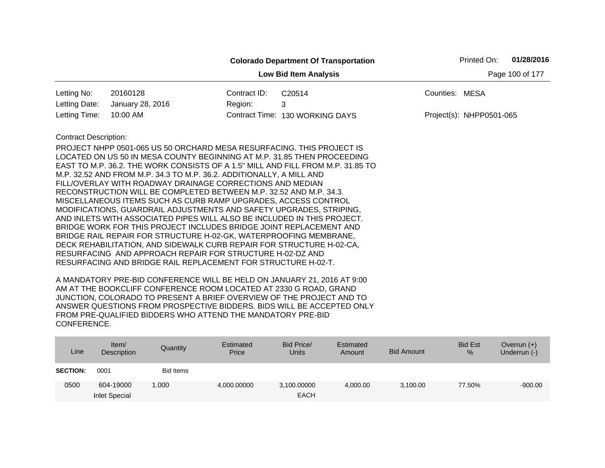|                              |                                                                                                                                                                                                                                                                                                                                                                                                                                                                                                                                                                                                                                                                                                                                                                                                                                                                                                                                  |              | <b>Colorado Department Of Transportation</b>                                    | 01/28/2016<br>Printed On: |  |  |  |  |  |
|------------------------------|----------------------------------------------------------------------------------------------------------------------------------------------------------------------------------------------------------------------------------------------------------------------------------------------------------------------------------------------------------------------------------------------------------------------------------------------------------------------------------------------------------------------------------------------------------------------------------------------------------------------------------------------------------------------------------------------------------------------------------------------------------------------------------------------------------------------------------------------------------------------------------------------------------------------------------|--------------|---------------------------------------------------------------------------------|---------------------------|--|--|--|--|--|
|                              | Page 100 of 177<br><b>Low Bid Item Analysis</b>                                                                                                                                                                                                                                                                                                                                                                                                                                                                                                                                                                                                                                                                                                                                                                                                                                                                                  |              |                                                                                 |                           |  |  |  |  |  |
| Letting No:                  | 20160128                                                                                                                                                                                                                                                                                                                                                                                                                                                                                                                                                                                                                                                                                                                                                                                                                                                                                                                         | Contract ID: | C20514                                                                          | Counties: MESA            |  |  |  |  |  |
| Letting Date:                | January 28, 2016                                                                                                                                                                                                                                                                                                                                                                                                                                                                                                                                                                                                                                                                                                                                                                                                                                                                                                                 | Region:      | 3                                                                               |                           |  |  |  |  |  |
| Letting Time:                | 10:00 AM                                                                                                                                                                                                                                                                                                                                                                                                                                                                                                                                                                                                                                                                                                                                                                                                                                                                                                                         |              | Contract Time: 130 WORKING DAYS                                                 | Project(s): NHPP0501-065  |  |  |  |  |  |
| <b>Contract Description:</b> | PROJECT NHPP 0501-065 US 50 ORCHARD MESA RESURFACING. THIS PROJECT IS<br>LOCATED ON US 50 IN MESA COUNTY BEGINNING AT M.P. 31.85 THEN PROCEEDING<br>M.P. 32.52 AND FROM M.P. 34.3 TO M.P. 36.2. ADDITIONALLY, A MILL AND<br>FILL/OVERLAY WITH ROADWAY DRAINAGE CORRECTIONS AND MEDIAN<br>RECONSTRUCTION WILL BE COMPLETED BETWEEN M.P. 32.52 AND M.P. 34.3.<br>MISCELLANEOUS ITEMS SUCH AS CURB RAMP UPGRADES, ACCESS CONTROL<br>MODIFICATIONS, GUARDRAIL ADJUSTMENTS AND SAFETY UPGRADES, STRIPING,<br>AND INLETS WITH ASSOCIATED PIPES WILL ALSO BE INCLUDED IN THIS PROJECT.<br>BRIDGE WORK FOR THIS PROJECT INCLUDES BRIDGE JOINT REPLACEMENT AND<br>BRIDGE RAIL REPAIR FOR STRUCTURE H-02-GK, WATERPROOFING MEMBRANE,<br>DECK REHABILITATION, AND SIDEWALK CURB REPAIR FOR STRUCTURE H-02-CA,<br>RESURFACING AND APPROACH REPAIR FOR STRUCTURE H-02-DZ AND<br>RESURFACING AND BRIDGE RAIL REPLACEMENT FOR STRUCTURE H-02-T. |              | EAST TO M.P. 36.2. THE WORK CONSISTS OF A 1.5" MILL AND FILL FROM M.P. 31.85 TO |                           |  |  |  |  |  |

| Line            | ltem/<br>Description              | Quantity  | Estimated<br>Price | Bid Price/<br><b>Units</b> | Estimated<br>Amount | <b>Bid Amount</b> | <b>Bid Est</b><br>% | Overrun $(+)$<br>Underrun (-) |
|-----------------|-----------------------------------|-----------|--------------------|----------------------------|---------------------|-------------------|---------------------|-------------------------------|
| <b>SECTION:</b> | 0001                              | Bid Items |                    |                            |                     |                   |                     |                               |
| 0500            | 604-19000<br><b>Inlet Special</b> | 1.000     | 4,000.00000        | 3,100.00000<br><b>EACH</b> | 4,000.00            | 3,100.00          | 77.50%              | $-900.00$                     |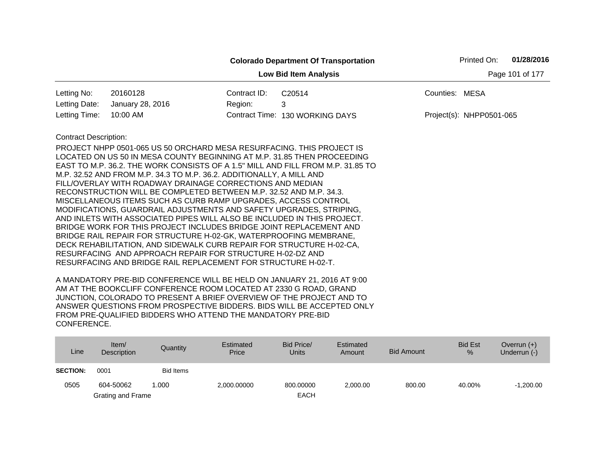|                              |                                                                                                                                                                                                                                                                                                                                                                                                                                                                                                                                                                                                                                                                                                                                                                                                                                                                                                                                  |              | <b>Colorado Department Of Transportation</b>                                    |                | 01/28/2016<br>Printed On: |                 |  |
|------------------------------|----------------------------------------------------------------------------------------------------------------------------------------------------------------------------------------------------------------------------------------------------------------------------------------------------------------------------------------------------------------------------------------------------------------------------------------------------------------------------------------------------------------------------------------------------------------------------------------------------------------------------------------------------------------------------------------------------------------------------------------------------------------------------------------------------------------------------------------------------------------------------------------------------------------------------------|--------------|---------------------------------------------------------------------------------|----------------|---------------------------|-----------------|--|
|                              |                                                                                                                                                                                                                                                                                                                                                                                                                                                                                                                                                                                                                                                                                                                                                                                                                                                                                                                                  |              | <b>Low Bid Item Analysis</b>                                                    |                |                           | Page 101 of 177 |  |
| Letting No:                  | 20160128                                                                                                                                                                                                                                                                                                                                                                                                                                                                                                                                                                                                                                                                                                                                                                                                                                                                                                                         | Contract ID: | C20514                                                                          | Counties: MESA |                           |                 |  |
| Letting Date:                | January 28, 2016                                                                                                                                                                                                                                                                                                                                                                                                                                                                                                                                                                                                                                                                                                                                                                                                                                                                                                                 | Region:      | 3                                                                               |                |                           |                 |  |
| Letting Time:                | 10:00 AM                                                                                                                                                                                                                                                                                                                                                                                                                                                                                                                                                                                                                                                                                                                                                                                                                                                                                                                         |              | Contract Time: 130 WORKING DAYS                                                 |                | Project(s): NHPP0501-065  |                 |  |
| <b>Contract Description:</b> | PROJECT NHPP 0501-065 US 50 ORCHARD MESA RESURFACING. THIS PROJECT IS<br>LOCATED ON US 50 IN MESA COUNTY BEGINNING AT M.P. 31.85 THEN PROCEEDING<br>M.P. 32.52 AND FROM M.P. 34.3 TO M.P. 36.2. ADDITIONALLY, A MILL AND<br>FILL/OVERLAY WITH ROADWAY DRAINAGE CORRECTIONS AND MEDIAN<br>RECONSTRUCTION WILL BE COMPLETED BETWEEN M.P. 32.52 AND M.P. 34.3.<br>MISCELLANEOUS ITEMS SUCH AS CURB RAMP UPGRADES, ACCESS CONTROL<br>MODIFICATIONS, GUARDRAIL ADJUSTMENTS AND SAFETY UPGRADES, STRIPING,<br>AND INLETS WITH ASSOCIATED PIPES WILL ALSO BE INCLUDED IN THIS PROJECT.<br>BRIDGE WORK FOR THIS PROJECT INCLUDES BRIDGE JOINT REPLACEMENT AND<br>BRIDGE RAIL REPAIR FOR STRUCTURE H-02-GK, WATERPROOFING MEMBRANE,<br>DECK REHABILITATION, AND SIDEWALK CURB REPAIR FOR STRUCTURE H-02-CA,<br>RESURFACING AND APPROACH REPAIR FOR STRUCTURE H-02-DZ AND<br>RESURFACING AND BRIDGE RAIL REPLACEMENT FOR STRUCTURE H-02-T. |              | EAST TO M.P. 36.2. THE WORK CONSISTS OF A 1.5" MILL AND FILL FROM M.P. 31.85 TO |                |                           |                 |  |

| Line            | Item/<br>Description | Quantity         | Estimated<br>Price | Bid Price/<br>Units | Estimated<br>Amount | Bid Amount | <b>Bid Est</b><br>% | Overrun $(+)$<br>Underrun (-) |
|-----------------|----------------------|------------------|--------------------|---------------------|---------------------|------------|---------------------|-------------------------------|
| <b>SECTION:</b> | 0001                 | <b>Bid Items</b> |                    |                     |                     |            |                     |                               |
| 0505            | 604-50062            | .000             | 2,000.00000        | 800.00000           | 2,000.00            | 800.00     | 40.00%              | $-1,200.00$                   |
|                 | Grating and Frame    |                  |                    | <b>EACH</b>         |                     |            |                     |                               |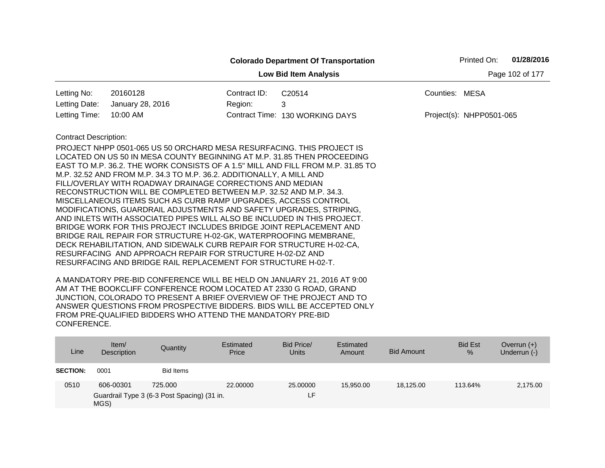|                                                 |                                                                                                                                                                                                                                                                                                                                                                                                                                                                                                                                                                                                                                                                                                                                                                                                                                                                                                                                                                                                                            |              | <b>Colorado Department Of Transportation</b> | 01/28/2016<br>Printed On: |  |  |  |  |
|-------------------------------------------------|----------------------------------------------------------------------------------------------------------------------------------------------------------------------------------------------------------------------------------------------------------------------------------------------------------------------------------------------------------------------------------------------------------------------------------------------------------------------------------------------------------------------------------------------------------------------------------------------------------------------------------------------------------------------------------------------------------------------------------------------------------------------------------------------------------------------------------------------------------------------------------------------------------------------------------------------------------------------------------------------------------------------------|--------------|----------------------------------------------|---------------------------|--|--|--|--|
| <b>Low Bid Item Analysis</b><br>Page 102 of 177 |                                                                                                                                                                                                                                                                                                                                                                                                                                                                                                                                                                                                                                                                                                                                                                                                                                                                                                                                                                                                                            |              |                                              |                           |  |  |  |  |
| Letting No:                                     | 20160128                                                                                                                                                                                                                                                                                                                                                                                                                                                                                                                                                                                                                                                                                                                                                                                                                                                                                                                                                                                                                   | Contract ID: | C20514                                       | Counties: MESA            |  |  |  |  |
| Letting Date:                                   | January 28, 2016                                                                                                                                                                                                                                                                                                                                                                                                                                                                                                                                                                                                                                                                                                                                                                                                                                                                                                                                                                                                           | Region:      | 3                                            |                           |  |  |  |  |
| Letting Time:                                   | 10:00 AM                                                                                                                                                                                                                                                                                                                                                                                                                                                                                                                                                                                                                                                                                                                                                                                                                                                                                                                                                                                                                   |              | Contract Time: 130 WORKING DAYS              | Project(s): NHPP0501-065  |  |  |  |  |
| <b>Contract Description:</b>                    | <b>PROJECT NHPP 0501-065 US 50 ORCHARD MESA RESURFACING. THIS PROJECT IS</b><br>LOCATED ON US 50 IN MESA COUNTY BEGINNING AT M.P. 31.85 THEN PROCEEDING<br>EAST TO M.P. 36.2. THE WORK CONSISTS OF A 1.5" MILL AND FILL FROM M.P. 31.85 TO<br>M.P. 32.52 AND FROM M.P. 34.3 TO M.P. 36.2. ADDITIONALLY, A MILL AND<br>FILL/OVERLAY WITH ROADWAY DRAINAGE CORRECTIONS AND MEDIAN<br>RECONSTRUCTION WILL BE COMPLETED BETWEEN M.P. 32.52 AND M.P. 34.3.<br>MISCELLANEOUS ITEMS SUCH AS CURB RAMP UPGRADES, ACCESS CONTROL<br>MODIFICATIONS, GUARDRAIL ADJUSTMENTS AND SAFETY UPGRADES, STRIPING,<br>AND INLETS WITH ASSOCIATED PIPES WILL ALSO BE INCLUDED IN THIS PROJECT.<br>BRIDGE WORK FOR THIS PROJECT INCLUDES BRIDGE JOINT REPLACEMENT AND<br>BRIDGE RAIL REPAIR FOR STRUCTURE H-02-GK, WATERPROOFING MEMBRANE,<br>DECK REHABILITATION, AND SIDEWALK CURB REPAIR FOR STRUCTURE H-02-CA,<br>RESURFACING AND APPROACH REPAIR FOR STRUCTURE H-02-DZ AND<br>RESURFACING AND BRIDGE RAIL REPLACEMENT FOR STRUCTURE H-02-T. |              |                                              |                           |  |  |  |  |

| Description | Price | <b>Units</b>                                                               | Amount    | <b>Bid Amount</b> | $\frac{9}{6}$ | Underrun (-) |
|-------------|-------|----------------------------------------------------------------------------|-----------|-------------------|---------------|--------------|
| 0001        |       |                                                                            |           |                   |               |              |
| 606-00301   |       |                                                                            | 15.950.00 | 18,125.00         | 113.64%       | 2,175.00     |
|             | MGS)  | <b>Bid Items</b><br>725,000<br>Guardrail Type 3 (6-3 Post Spacing) (31 in. | 22,00000  | 25,00000<br>ιF.   |               |              |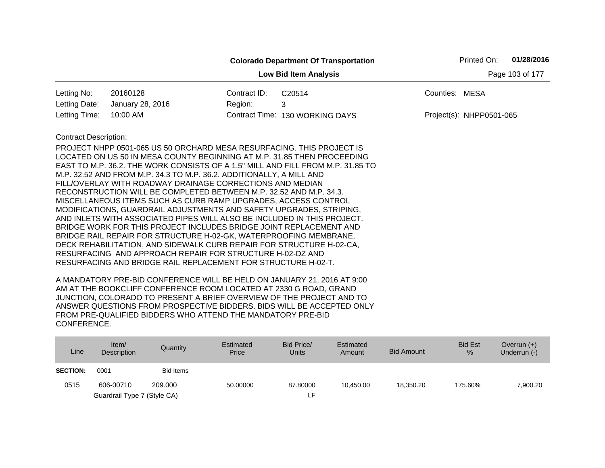|                                                 |                                                                                                                                                                                                                                                                                                                                                                                                                                                                                                                                                                                                                                                                                                                                                                                                                                                                                       |              | <b>Colorado Department Of Transportation</b> |                | Printed On:              | 01/28/2016 |  |  |
|-------------------------------------------------|---------------------------------------------------------------------------------------------------------------------------------------------------------------------------------------------------------------------------------------------------------------------------------------------------------------------------------------------------------------------------------------------------------------------------------------------------------------------------------------------------------------------------------------------------------------------------------------------------------------------------------------------------------------------------------------------------------------------------------------------------------------------------------------------------------------------------------------------------------------------------------------|--------------|----------------------------------------------|----------------|--------------------------|------------|--|--|
| Page 103 of 177<br><b>Low Bid Item Analysis</b> |                                                                                                                                                                                                                                                                                                                                                                                                                                                                                                                                                                                                                                                                                                                                                                                                                                                                                       |              |                                              |                |                          |            |  |  |
| Letting No:                                     | 20160128                                                                                                                                                                                                                                                                                                                                                                                                                                                                                                                                                                                                                                                                                                                                                                                                                                                                              | Contract ID: | C20514                                       | Counties: MESA |                          |            |  |  |
| Letting Date:                                   | January 28, 2016                                                                                                                                                                                                                                                                                                                                                                                                                                                                                                                                                                                                                                                                                                                                                                                                                                                                      | Region:      | 3                                            |                |                          |            |  |  |
| Letting Time:                                   | 10:00 AM                                                                                                                                                                                                                                                                                                                                                                                                                                                                                                                                                                                                                                                                                                                                                                                                                                                                              |              | Contract Time: 130 WORKING DAYS              |                | Project(s): NHPP0501-065 |            |  |  |
| <b>Contract Description:</b>                    | PROJECT NHPP 0501-065 US 50 ORCHARD MESA RESURFACING. THIS PROJECT IS<br>LOCATED ON US 50 IN MESA COUNTY BEGINNING AT M.P. 31.85 THEN PROCEEDING<br>EAST TO M.P. 36.2. THE WORK CONSISTS OF A 1.5" MILL AND FILL FROM M.P. 31.85 TO<br>M.P. 32.52 AND FROM M.P. 34.3 TO M.P. 36.2. ADDITIONALLY, A MILL AND<br>FILL/OVERLAY WITH ROADWAY DRAINAGE CORRECTIONS AND MEDIAN<br>RECONSTRUCTION WILL BE COMPLETED BETWEEN M.P. 32.52 AND M.P. 34.3.<br>MISCELLANEOUS ITEMS SUCH AS CURB RAMP UPGRADES, ACCESS CONTROL<br>MODIFICATIONS, GUARDRAIL ADJUSTMENTS AND SAFETY UPGRADES, STRIPING,<br>AND INLETS WITH ASSOCIATED PIPES WILL ALSO BE INCLUDED IN THIS PROJECT.<br>BRIDGE WORK FOR THIS PROJECT INCLUDES BRIDGE JOINT REPLACEMENT AND<br>BRIDGE RAIL REPAIR FOR STRUCTURE H-02-GK, WATERPROOFING MEMBRANE,<br>DECK REHABILITATION, AND SIDEWALK CURB REPAIR FOR STRUCTURE H-02-CA, |              |                                              |                |                          |            |  |  |
|                                                 | RESURFACING AND APPROACH REPAIR FOR STRUCTURE H-02-DZ AND<br>RESURFACING AND BRIDGE RAIL REPLACEMENT FOR STRUCTURE H-02-T.                                                                                                                                                                                                                                                                                                                                                                                                                                                                                                                                                                                                                                                                                                                                                            |              |                                              |                |                          |            |  |  |

| Line            | Item/<br>Description        | Quantity         | Estimated<br>Price | Bid Price/<br><b>Units</b> | Estimated<br>Amount | <b>Bid Amount</b> | <b>Bid Est</b><br>% | Overrun $(+)$<br>Underrun $(-)$ |
|-----------------|-----------------------------|------------------|--------------------|----------------------------|---------------------|-------------------|---------------------|---------------------------------|
| <b>SECTION:</b> | 0001                        | <b>Bid Items</b> |                    |                            |                     |                   |                     |                                 |
| 0515            | 606-00710                   | 209,000          | 50.00000           | 87,80000                   | 10.450.00           | 18.350.20         | 175.60%             | 7,900.20                        |
|                 | Guardrail Type 7 (Style CA) |                  |                    | ∟F.                        |                     |                   |                     |                                 |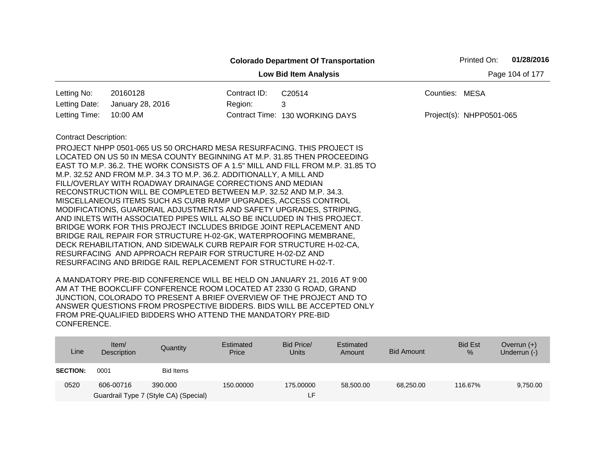|                                                 |                                                                                                                                                                                                                                                                                                                                                                                                                                                                                                                                                                                                                                                                                                                                                                                                                                                                                                                                  |              | <b>Colorado Department Of Transportation</b>                                    |                          | Printed On: | 01/28/2016 |  |  |
|-------------------------------------------------|----------------------------------------------------------------------------------------------------------------------------------------------------------------------------------------------------------------------------------------------------------------------------------------------------------------------------------------------------------------------------------------------------------------------------------------------------------------------------------------------------------------------------------------------------------------------------------------------------------------------------------------------------------------------------------------------------------------------------------------------------------------------------------------------------------------------------------------------------------------------------------------------------------------------------------|--------------|---------------------------------------------------------------------------------|--------------------------|-------------|------------|--|--|
| <b>Low Bid Item Analysis</b><br>Page 104 of 177 |                                                                                                                                                                                                                                                                                                                                                                                                                                                                                                                                                                                                                                                                                                                                                                                                                                                                                                                                  |              |                                                                                 |                          |             |            |  |  |
| Letting No:                                     | 20160128                                                                                                                                                                                                                                                                                                                                                                                                                                                                                                                                                                                                                                                                                                                                                                                                                                                                                                                         | Contract ID: | C <sub>20514</sub>                                                              | Counties: MESA           |             |            |  |  |
| Letting Date:                                   | January 28, 2016                                                                                                                                                                                                                                                                                                                                                                                                                                                                                                                                                                                                                                                                                                                                                                                                                                                                                                                 | Region:      | 3                                                                               |                          |             |            |  |  |
| Letting Time:                                   | 10:00 AM                                                                                                                                                                                                                                                                                                                                                                                                                                                                                                                                                                                                                                                                                                                                                                                                                                                                                                                         |              | Contract Time: 130 WORKING DAYS                                                 | Project(s): NHPP0501-065 |             |            |  |  |
| <b>Contract Description:</b>                    | PROJECT NHPP 0501-065 US 50 ORCHARD MESA RESURFACING. THIS PROJECT IS<br>LOCATED ON US 50 IN MESA COUNTY BEGINNING AT M.P. 31.85 THEN PROCEEDING<br>M.P. 32.52 AND FROM M.P. 34.3 TO M.P. 36.2. ADDITIONALLY, A MILL AND<br>FILL/OVERLAY WITH ROADWAY DRAINAGE CORRECTIONS AND MEDIAN<br>RECONSTRUCTION WILL BE COMPLETED BETWEEN M.P. 32.52 AND M.P. 34.3.<br>MISCELLANEOUS ITEMS SUCH AS CURB RAMP UPGRADES, ACCESS CONTROL<br>MODIFICATIONS, GUARDRAIL ADJUSTMENTS AND SAFETY UPGRADES, STRIPING,<br>AND INLETS WITH ASSOCIATED PIPES WILL ALSO BE INCLUDED IN THIS PROJECT.<br>BRIDGE WORK FOR THIS PROJECT INCLUDES BRIDGE JOINT REPLACEMENT AND<br>BRIDGE RAIL REPAIR FOR STRUCTURE H-02-GK, WATERPROOFING MEMBRANE,<br>DECK REHABILITATION, AND SIDEWALK CURB REPAIR FOR STRUCTURE H-02-CA,<br>RESURFACING AND APPROACH REPAIR FOR STRUCTURE H-02-DZ AND<br>RESURFACING AND BRIDGE RAIL REPLACEMENT FOR STRUCTURE H-02-T. |              | EAST TO M.P. 36.2. THE WORK CONSISTS OF A 1.5" MILL AND FILL FROM M.P. 31.85 TO |                          |             |            |  |  |

| Line            | Item/<br>Description | Quantity                              | Estimated<br>Price | Bid Price/<br><b>Units</b> | Estimated<br>Amount | <b>Bid Amount</b> | <b>Bid Est</b><br>% | Overrun $(+)$<br>Underrun (-) |
|-----------------|----------------------|---------------------------------------|--------------------|----------------------------|---------------------|-------------------|---------------------|-------------------------------|
| <b>SECTION:</b> | 0001                 | <b>Bid Items</b>                      |                    |                            |                     |                   |                     |                               |
| 0520            | 606-00716            | 390,000                               | 150.00000          | 175.00000                  | 58.500.00           | 68,250.00         | 116.67%             | 9,750.00                      |
|                 |                      | Guardrail Type 7 (Style CA) (Special) |                    |                            |                     |                   |                     |                               |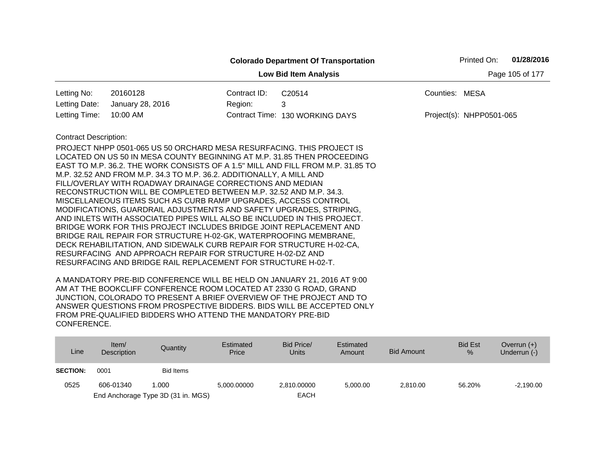|                              |                                                                                                                                               |              | <b>Colorado Department Of Transportation</b>                                    |                | Printed On:              | 01/28/2016      |
|------------------------------|-----------------------------------------------------------------------------------------------------------------------------------------------|--------------|---------------------------------------------------------------------------------|----------------|--------------------------|-----------------|
|                              |                                                                                                                                               |              | <b>Low Bid Item Analysis</b>                                                    |                |                          | Page 105 of 177 |
| Letting No:                  | 20160128                                                                                                                                      | Contract ID: | C20514                                                                          | Counties: MESA |                          |                 |
| Letting Date:                | January 28, 2016                                                                                                                              | Region:      | 3                                                                               |                |                          |                 |
| Letting Time:                | 10:00 AM                                                                                                                                      |              | Contract Time: 130 WORKING DAYS                                                 |                | Project(s): NHPP0501-065 |                 |
| <b>Contract Description:</b> |                                                                                                                                               |              |                                                                                 |                |                          |                 |
|                              | PROJECT NHPP 0501-065 US 50 ORCHARD MESA RESURFACING. THIS PROJECT IS                                                                         |              |                                                                                 |                |                          |                 |
|                              |                                                                                                                                               |              | LOCATED ON US 50 IN MESA COUNTY BEGINNING AT M.P. 31.85 THEN PROCEEDING         |                |                          |                 |
|                              |                                                                                                                                               |              | EAST TO M.P. 36.2. THE WORK CONSISTS OF A 1.5" MILL AND FILL FROM M.P. 31.85 TO |                |                          |                 |
|                              | M.P. 32.52 AND FROM M.P. 34.3 TO M.P. 36.2. ADDITIONALLY, A MILL AND                                                                          |              |                                                                                 |                |                          |                 |
|                              | FILL/OVERLAY WITH ROADWAY DRAINAGE CORRECTIONS AND MEDIAN                                                                                     |              |                                                                                 |                |                          |                 |
|                              | RECONSTRUCTION WILL BE COMPLETED BETWEEN M.P. 32.52 AND M.P. 34.3.                                                                            |              |                                                                                 |                |                          |                 |
|                              | MISCELLANEOUS ITEMS SUCH AS CURB RAMP UPGRADES, ACCESS CONTROL                                                                                |              |                                                                                 |                |                          |                 |
|                              | MODIFICATIONS, GUARDRAIL ADJUSTMENTS AND SAFETY UPGRADES, STRIPING,                                                                           |              |                                                                                 |                |                          |                 |
|                              | AND INLETS WITH ASSOCIATED PIPES WILL ALSO BE INCLUDED IN THIS PROJECT.<br>BRIDGE WORK FOR THIS PROJECT INCLUDES BRIDGE JOINT REPLACEMENT AND |              |                                                                                 |                |                          |                 |
|                              | BRIDGE RAIL REPAIR FOR STRUCTURE H-02-GK, WATERPROOFING MEMBRANE,                                                                             |              |                                                                                 |                |                          |                 |
|                              | DECK REHABILITATION, AND SIDEWALK CURB REPAIR FOR STRUCTURE H-02-CA,                                                                          |              |                                                                                 |                |                          |                 |
|                              | RESURFACING AND APPROACH REPAIR FOR STRUCTURE H-02-DZ AND                                                                                     |              |                                                                                 |                |                          |                 |
|                              | RESURFACING AND BRIDGE RAIL REPLACEMENT FOR STRUCTURE H-02-T.                                                                                 |              |                                                                                 |                |                          |                 |
|                              |                                                                                                                                               |              | A MANDATORY RRE-RID CONFERENCE WILL BE HELD ON TANITARY 21, 2016 AT 0:00        |                |                          |                 |

| Line            | Item/<br><b>Description</b> | Quantity                           | Estimated<br>Price | Bid Price/<br>Units | Estimated<br>Amount | Bid Amount | <b>Bid Est</b><br>$\%$ | Overrun $(+)$<br>Underrun $(-)$ |
|-----------------|-----------------------------|------------------------------------|--------------------|---------------------|---------------------|------------|------------------------|---------------------------------|
| <b>SECTION:</b> | 0001                        | <b>Bid Items</b>                   |                    |                     |                     |            |                        |                                 |
| 0525            | 606-01340                   | 1.000                              | 5.000.00000        | 2.810.00000         | 5.000.00            | 2.810.00   | 56.20%                 | $-2,190.00$                     |
|                 |                             | End Anchorage Type 3D (31 in. MGS) |                    | <b>EACH</b>         |                     |            |                        |                                 |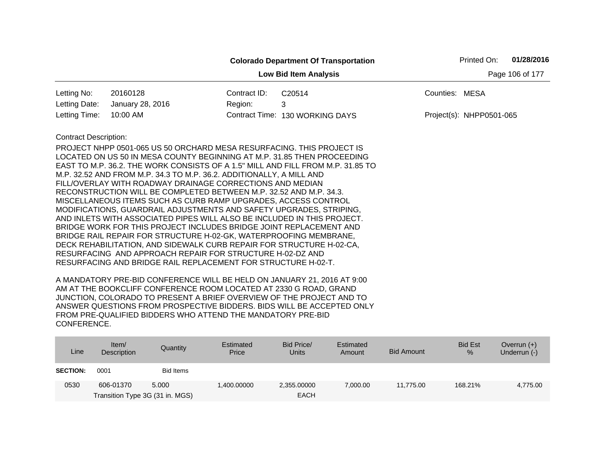|                              |                                                                                                                                                                                                                                                                                                                                                                                                                                                                                                                                                                                                                                                                                                                                                                                                                                                                                                                                                                                                                            |              | <b>Colorado Department Of Transportation</b> | 01/28/2016<br>Printed On: |
|------------------------------|----------------------------------------------------------------------------------------------------------------------------------------------------------------------------------------------------------------------------------------------------------------------------------------------------------------------------------------------------------------------------------------------------------------------------------------------------------------------------------------------------------------------------------------------------------------------------------------------------------------------------------------------------------------------------------------------------------------------------------------------------------------------------------------------------------------------------------------------------------------------------------------------------------------------------------------------------------------------------------------------------------------------------|--------------|----------------------------------------------|---------------------------|
|                              |                                                                                                                                                                                                                                                                                                                                                                                                                                                                                                                                                                                                                                                                                                                                                                                                                                                                                                                                                                                                                            |              | <b>Low Bid Item Analysis</b>                 | Page 106 of 177           |
| Letting No:                  | 20160128                                                                                                                                                                                                                                                                                                                                                                                                                                                                                                                                                                                                                                                                                                                                                                                                                                                                                                                                                                                                                   | Contract ID: | C20514                                       | Counties: MESA            |
| Letting Date:                | January 28, 2016                                                                                                                                                                                                                                                                                                                                                                                                                                                                                                                                                                                                                                                                                                                                                                                                                                                                                                                                                                                                           | Region:      | 3                                            |                           |
| Letting Time:                | 10:00 AM                                                                                                                                                                                                                                                                                                                                                                                                                                                                                                                                                                                                                                                                                                                                                                                                                                                                                                                                                                                                                   |              | Contract Time: 130 WORKING DAYS              | Project(s): NHPP0501-065  |
| <b>Contract Description:</b> | <b>PROJECT NHPP 0501-065 US 50 ORCHARD MESA RESURFACING. THIS PROJECT IS</b><br>LOCATED ON US 50 IN MESA COUNTY BEGINNING AT M.P. 31.85 THEN PROCEEDING<br>EAST TO M.P. 36.2. THE WORK CONSISTS OF A 1.5" MILL AND FILL FROM M.P. 31.85 TO<br>M.P. 32.52 AND FROM M.P. 34.3 TO M.P. 36.2. ADDITIONALLY, A MILL AND<br>FILL/OVERLAY WITH ROADWAY DRAINAGE CORRECTIONS AND MEDIAN<br>RECONSTRUCTION WILL BE COMPLETED BETWEEN M.P. 32.52 AND M.P. 34.3.<br>MISCELLANEOUS ITEMS SUCH AS CURB RAMP UPGRADES, ACCESS CONTROL<br>MODIFICATIONS, GUARDRAIL ADJUSTMENTS AND SAFETY UPGRADES, STRIPING,<br>AND INLETS WITH ASSOCIATED PIPES WILL ALSO BE INCLUDED IN THIS PROJECT.<br>BRIDGE WORK FOR THIS PROJECT INCLUDES BRIDGE JOINT REPLACEMENT AND<br>BRIDGE RAIL REPAIR FOR STRUCTURE H-02-GK, WATERPROOFING MEMBRANE,<br>DECK REHABILITATION, AND SIDEWALK CURB REPAIR FOR STRUCTURE H-02-CA,<br>RESURFACING AND APPROACH REPAIR FOR STRUCTURE H-02-DZ AND<br>RESURFACING AND BRIDGE RAIL REPLACEMENT FOR STRUCTURE H-02-T. |              |                                              |                           |

| Line            | Item/<br>Description                         | Quantity  | Estimated<br>Price | Bid Price/<br><b>Units</b> | Estimated<br>Amount | Bid Amount | <b>Bid Est</b><br>$\frac{9}{6}$ | Overrun $(+)$<br>Underrun (-) |
|-----------------|----------------------------------------------|-----------|--------------------|----------------------------|---------------------|------------|---------------------------------|-------------------------------|
| <b>SECTION:</b> | 0001                                         | Bid Items |                    |                            |                     |            |                                 |                               |
| 0530            | 606-01370<br>Transition Type 3G (31 in. MGS) | 5.000     | 1.400.00000        | 2,355.00000<br><b>EACH</b> | 7,000.00            | 11.775.00  | 168.21%                         | 4,775.00                      |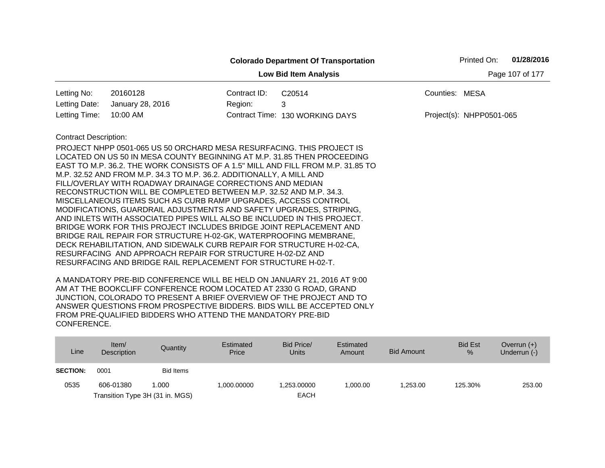|                              |                                                                                                                                                                                                                                                                                                                                                                                                                                                                                                                                                                                                                                                                                                                            |              | <b>Colorado Department Of Transportation</b>                                    |                          | Printed On: | 01/28/2016      |
|------------------------------|----------------------------------------------------------------------------------------------------------------------------------------------------------------------------------------------------------------------------------------------------------------------------------------------------------------------------------------------------------------------------------------------------------------------------------------------------------------------------------------------------------------------------------------------------------------------------------------------------------------------------------------------------------------------------------------------------------------------------|--------------|---------------------------------------------------------------------------------|--------------------------|-------------|-----------------|
|                              |                                                                                                                                                                                                                                                                                                                                                                                                                                                                                                                                                                                                                                                                                                                            |              | <b>Low Bid Item Analysis</b>                                                    |                          |             | Page 107 of 177 |
| Letting No:                  | 20160128                                                                                                                                                                                                                                                                                                                                                                                                                                                                                                                                                                                                                                                                                                                   | Contract ID: | C20514                                                                          | Counties: MESA           |             |                 |
| Letting Date:                | January 28, 2016                                                                                                                                                                                                                                                                                                                                                                                                                                                                                                                                                                                                                                                                                                           | Region:      | 3                                                                               |                          |             |                 |
| Letting Time:                | 10:00 AM                                                                                                                                                                                                                                                                                                                                                                                                                                                                                                                                                                                                                                                                                                                   |              | Contract Time: 130 WORKING DAYS                                                 | Project(s): NHPP0501-065 |             |                 |
| <b>Contract Description:</b> | PROJECT NHPP 0501-065 US 50 ORCHARD MESA RESURFACING. THIS PROJECT IS<br>LOCATED ON US 50 IN MESA COUNTY BEGINNING AT M.P. 31.85 THEN PROCEEDING<br>M.P. 32.52 AND FROM M.P. 34.3 TO M.P. 36.2. ADDITIONALLY, A MILL AND<br>FILL/OVERLAY WITH ROADWAY DRAINAGE CORRECTIONS AND MEDIAN<br>RECONSTRUCTION WILL BE COMPLETED BETWEEN M.P. 32.52 AND M.P. 34.3.<br>MISCELLANEOUS ITEMS SUCH AS CURB RAMP UPGRADES, ACCESS CONTROL<br>MODIFICATIONS, GUARDRAIL ADJUSTMENTS AND SAFETY UPGRADES, STRIPING,<br>AND INLETS WITH ASSOCIATED PIPES WILL ALSO BE INCLUDED IN THIS PROJECT.<br>BRIDGE WORK FOR THIS PROJECT INCLUDES BRIDGE JOINT REPLACEMENT AND<br>BRIDGE RAIL REPAIR FOR STRUCTURE H-02-GK, WATERPROOFING MEMBRANE, |              | EAST TO M.P. 36.2. THE WORK CONSISTS OF A 1.5" MILL AND FILL FROM M.P. 31.85 TO |                          |             |                 |
|                              | DECK REHABILITATION, AND SIDEWALK CURB REPAIR FOR STRUCTURE H-02-CA,<br>RESURFACING AND APPROACH REPAIR FOR STRUCTURE H-02-DZ AND<br>RESURFACING AND BRIDGE RAIL REPLACEMENT FOR STRUCTURE H-02-T.                                                                                                                                                                                                                                                                                                                                                                                                                                                                                                                         |              |                                                                                 |                          |             |                 |

| Line            | Item/<br>Description | Quantity                        | Estimated<br>Price | Bid Price/<br><b>Units</b> | Estimated<br>Amount | <b>Bid Amount</b> | <b>Bid Est</b><br>$\%$ | Overrun $(+)$<br>Underrun (-) |
|-----------------|----------------------|---------------------------------|--------------------|----------------------------|---------------------|-------------------|------------------------|-------------------------------|
| <b>SECTION:</b> | 0001                 | Bid Items                       |                    |                            |                     |                   |                        |                               |
| 0535            | 606-01380            | 1.000                           | 1,000.00000        | .253.00000                 | 1.000.00            | 1.253.00          | 125.30%                | 253.00                        |
|                 |                      | Transition Type 3H (31 in. MGS) |                    | <b>EACH</b>                |                     |                   |                        |                               |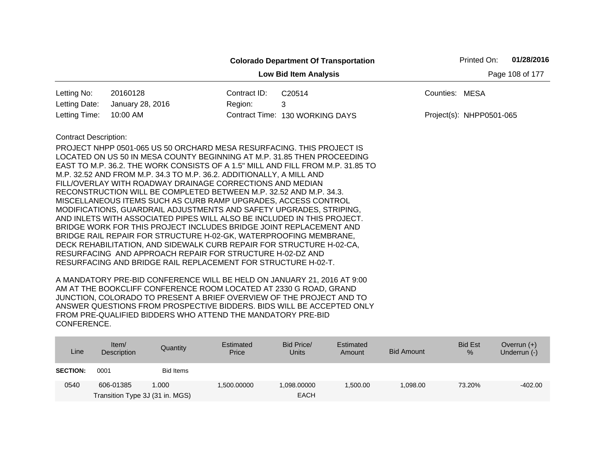|                              |                                                                                                                                                                                                                                                                                                                                                                                                                                                                                                                                                                                                                                                                                                                                                                                                                                                                                                                                  |              | <b>Colorado Department Of Transportation</b>                                    |                          | Printed On: | 01/28/2016      |
|------------------------------|----------------------------------------------------------------------------------------------------------------------------------------------------------------------------------------------------------------------------------------------------------------------------------------------------------------------------------------------------------------------------------------------------------------------------------------------------------------------------------------------------------------------------------------------------------------------------------------------------------------------------------------------------------------------------------------------------------------------------------------------------------------------------------------------------------------------------------------------------------------------------------------------------------------------------------|--------------|---------------------------------------------------------------------------------|--------------------------|-------------|-----------------|
|                              |                                                                                                                                                                                                                                                                                                                                                                                                                                                                                                                                                                                                                                                                                                                                                                                                                                                                                                                                  |              | <b>Low Bid Item Analysis</b>                                                    |                          |             | Page 108 of 177 |
| Letting No:                  | 20160128                                                                                                                                                                                                                                                                                                                                                                                                                                                                                                                                                                                                                                                                                                                                                                                                                                                                                                                         | Contract ID: | C20514                                                                          | Counties: MESA           |             |                 |
| Letting Date:                | January 28, 2016                                                                                                                                                                                                                                                                                                                                                                                                                                                                                                                                                                                                                                                                                                                                                                                                                                                                                                                 | Region:      | 3                                                                               |                          |             |                 |
| Letting Time:                | 10:00 AM                                                                                                                                                                                                                                                                                                                                                                                                                                                                                                                                                                                                                                                                                                                                                                                                                                                                                                                         |              | Contract Time: 130 WORKING DAYS                                                 | Project(s): NHPP0501-065 |             |                 |
| <b>Contract Description:</b> | PROJECT NHPP 0501-065 US 50 ORCHARD MESA RESURFACING. THIS PROJECT IS<br>LOCATED ON US 50 IN MESA COUNTY BEGINNING AT M.P. 31.85 THEN PROCEEDING<br>M.P. 32.52 AND FROM M.P. 34.3 TO M.P. 36.2. ADDITIONALLY, A MILL AND<br>FILL/OVERLAY WITH ROADWAY DRAINAGE CORRECTIONS AND MEDIAN<br>RECONSTRUCTION WILL BE COMPLETED BETWEEN M.P. 32.52 AND M.P. 34.3.<br>MISCELLANEOUS ITEMS SUCH AS CURB RAMP UPGRADES, ACCESS CONTROL<br>MODIFICATIONS, GUARDRAIL ADJUSTMENTS AND SAFETY UPGRADES, STRIPING,<br>AND INLETS WITH ASSOCIATED PIPES WILL ALSO BE INCLUDED IN THIS PROJECT.<br>BRIDGE WORK FOR THIS PROJECT INCLUDES BRIDGE JOINT REPLACEMENT AND<br>BRIDGE RAIL REPAIR FOR STRUCTURE H-02-GK, WATERPROOFING MEMBRANE,<br>DECK REHABILITATION, AND SIDEWALK CURB REPAIR FOR STRUCTURE H-02-CA,<br>RESURFACING AND APPROACH REPAIR FOR STRUCTURE H-02-DZ AND<br>RESURFACING AND BRIDGE RAIL REPLACEMENT FOR STRUCTURE H-02-T. |              | EAST TO M.P. 36.2. THE WORK CONSISTS OF A 1.5" MILL AND FILL FROM M.P. 31.85 TO |                          |             |                 |

| Line            | Item/<br>Description                         | Quantity  | Estimated<br>Price | Bid Price/<br><b>Units</b> | Estimated<br>Amount | <b>Bid Amount</b> | <b>Bid Est</b><br>% | Overrun $(+)$<br>Underrun (-) |
|-----------------|----------------------------------------------|-----------|--------------------|----------------------------|---------------------|-------------------|---------------------|-------------------------------|
| <b>SECTION:</b> | 0001                                         | Bid Items |                    |                            |                     |                   |                     |                               |
| 0540            | 606-01385<br>Transition Type 3J (31 in. MGS) | 1.000     | 1.500.00000        | 1.098.00000<br><b>EACH</b> | .500.00             | 1.098.00          | 73.20%              | $-402.00$                     |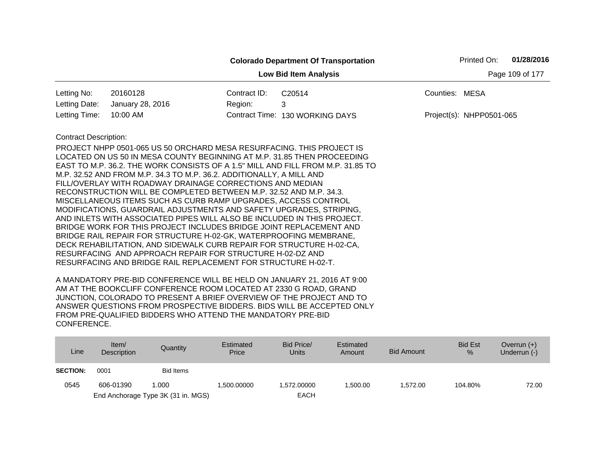|                              |                                                                                                                                                |              | <b>Colorado Department Of Transportation</b>                                    |                | Printed On:              | 01/28/2016      |
|------------------------------|------------------------------------------------------------------------------------------------------------------------------------------------|--------------|---------------------------------------------------------------------------------|----------------|--------------------------|-----------------|
|                              |                                                                                                                                                |              | <b>Low Bid Item Analysis</b>                                                    |                |                          | Page 109 of 177 |
| Letting No:                  | 20160128                                                                                                                                       | Contract ID: | C20514                                                                          | Counties: MESA |                          |                 |
| Letting Date:                | January 28, 2016                                                                                                                               | Region:      | 3                                                                               |                |                          |                 |
| Letting Time:                | 10:00 AM                                                                                                                                       |              | Contract Time: 130 WORKING DAYS                                                 |                | Project(s): NHPP0501-065 |                 |
| <b>Contract Description:</b> |                                                                                                                                                |              |                                                                                 |                |                          |                 |
|                              | PROJECT NHPP 0501-065 US 50 ORCHARD MESA RESURFACING. THIS PROJECT IS                                                                          |              |                                                                                 |                |                          |                 |
|                              |                                                                                                                                                |              | LOCATED ON US 50 IN MESA COUNTY BEGINNING AT M.P. 31.85 THEN PROCEEDING         |                |                          |                 |
|                              |                                                                                                                                                |              | EAST TO M.P. 36.2. THE WORK CONSISTS OF A 1.5" MILL AND FILL FROM M.P. 31.85 TO |                |                          |                 |
|                              | M.P. 32.52 AND FROM M.P. 34.3 TO M.P. 36.2. ADDITIONALLY, A MILL AND                                                                           |              |                                                                                 |                |                          |                 |
|                              | FILL/OVERLAY WITH ROADWAY DRAINAGE CORRECTIONS AND MEDIAN                                                                                      |              |                                                                                 |                |                          |                 |
|                              | RECONSTRUCTION WILL BE COMPLETED BETWEEN M.P. 32.52 AND M.P. 34.3.                                                                             |              |                                                                                 |                |                          |                 |
|                              | MISCELLANEOUS ITEMS SUCH AS CURB RAMP UPGRADES, ACCESS CONTROL                                                                                 |              |                                                                                 |                |                          |                 |
|                              | MODIFICATIONS, GUARDRAIL ADJUSTMENTS AND SAFETY UPGRADES, STRIPING,<br>AND INLETS WITH ASSOCIATED PIPES WILL ALSO BE INCLUDED IN THIS PROJECT. |              |                                                                                 |                |                          |                 |
|                              | BRIDGE WORK FOR THIS PROJECT INCLUDES BRIDGE JOINT REPLACEMENT AND                                                                             |              |                                                                                 |                |                          |                 |
|                              | BRIDGE RAIL REPAIR FOR STRUCTURE H-02-GK, WATERPROOFING MEMBRANE,                                                                              |              |                                                                                 |                |                          |                 |
|                              | DECK REHABILITATION, AND SIDEWALK CURB REPAIR FOR STRUCTURE H-02-CA,                                                                           |              |                                                                                 |                |                          |                 |
|                              | RESURFACING AND APPROACH REPAIR FOR STRUCTURE H-02-DZ AND                                                                                      |              |                                                                                 |                |                          |                 |
|                              | RESURFACING AND BRIDGE RAIL REPLACEMENT FOR STRUCTURE H-02-T.                                                                                  |              |                                                                                 |                |                          |                 |
|                              | A MANIDATODY DDE DID CONFEDENCE WILL DE LIELD ON HANIHADY 24, 2010, AT 0.00                                                                    |              |                                                                                 |                |                          |                 |

| Line            | Item/<br><b>Description</b> | Quantity                           | Estimated<br>Price | Bid Price/<br>Units | Estimated<br>Amount | <b>Bid Amount</b> | <b>Bid Est</b><br>$\frac{9}{6}$ | Overrun $(+)$<br>Underrun (-) |
|-----------------|-----------------------------|------------------------------------|--------------------|---------------------|---------------------|-------------------|---------------------------------|-------------------------------|
| <b>SECTION:</b> | 0001                        | <b>Bid Items</b>                   |                    |                     |                     |                   |                                 |                               |
| 0545            | 606-01390                   | 1.000                              | 1.500.00000        | 1.572.00000         | 1.500.00            | 1.572.00          | 104.80%                         | 72.00                         |
|                 |                             | End Anchorage Type 3K (31 in. MGS) |                    | <b>EACH</b>         |                     |                   |                                 |                               |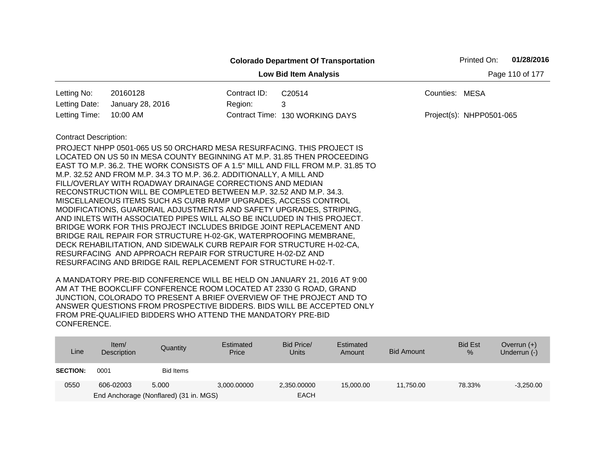|                              |                                                                                                                                                                                                                                                                                                                                                                                                                                                                                                                                                                                                                                                                                                                                                                                                                                                                                                                                  |              | <b>Colorado Department Of Transportation</b>                                    |                | Printed On:              | 01/28/2016      |
|------------------------------|----------------------------------------------------------------------------------------------------------------------------------------------------------------------------------------------------------------------------------------------------------------------------------------------------------------------------------------------------------------------------------------------------------------------------------------------------------------------------------------------------------------------------------------------------------------------------------------------------------------------------------------------------------------------------------------------------------------------------------------------------------------------------------------------------------------------------------------------------------------------------------------------------------------------------------|--------------|---------------------------------------------------------------------------------|----------------|--------------------------|-----------------|
|                              |                                                                                                                                                                                                                                                                                                                                                                                                                                                                                                                                                                                                                                                                                                                                                                                                                                                                                                                                  |              | <b>Low Bid Item Analysis</b>                                                    |                |                          | Page 110 of 177 |
| Letting No:                  | 20160128                                                                                                                                                                                                                                                                                                                                                                                                                                                                                                                                                                                                                                                                                                                                                                                                                                                                                                                         | Contract ID: | C20514                                                                          | Counties: MESA |                          |                 |
| Letting Date:                | January 28, 2016                                                                                                                                                                                                                                                                                                                                                                                                                                                                                                                                                                                                                                                                                                                                                                                                                                                                                                                 | Region:      | 3                                                                               |                |                          |                 |
| Letting Time:                | 10:00 AM                                                                                                                                                                                                                                                                                                                                                                                                                                                                                                                                                                                                                                                                                                                                                                                                                                                                                                                         |              | Contract Time: 130 WORKING DAYS                                                 |                | Project(s): NHPP0501-065 |                 |
| <b>Contract Description:</b> | PROJECT NHPP 0501-065 US 50 ORCHARD MESA RESURFACING. THIS PROJECT IS<br>LOCATED ON US 50 IN MESA COUNTY BEGINNING AT M.P. 31.85 THEN PROCEEDING<br>M.P. 32.52 AND FROM M.P. 34.3 TO M.P. 36.2. ADDITIONALLY, A MILL AND<br>FILL/OVERLAY WITH ROADWAY DRAINAGE CORRECTIONS AND MEDIAN<br>RECONSTRUCTION WILL BE COMPLETED BETWEEN M.P. 32.52 AND M.P. 34.3.<br>MISCELLANEOUS ITEMS SUCH AS CURB RAMP UPGRADES, ACCESS CONTROL<br>MODIFICATIONS, GUARDRAIL ADJUSTMENTS AND SAFETY UPGRADES, STRIPING,<br>AND INLETS WITH ASSOCIATED PIPES WILL ALSO BE INCLUDED IN THIS PROJECT.<br>BRIDGE WORK FOR THIS PROJECT INCLUDES BRIDGE JOINT REPLACEMENT AND<br>BRIDGE RAIL REPAIR FOR STRUCTURE H-02-GK, WATERPROOFING MEMBRANE,<br>DECK REHABILITATION, AND SIDEWALK CURB REPAIR FOR STRUCTURE H-02-CA,<br>RESURFACING AND APPROACH REPAIR FOR STRUCTURE H-02-DZ AND<br>RESURFACING AND BRIDGE RAIL REPLACEMENT FOR STRUCTURE H-02-T. |              | EAST TO M.P. 36.2. THE WORK CONSISTS OF A 1.5" MILL AND FILL FROM M.P. 31.85 TO |                |                          |                 |

| Line            | Item $\sqrt{ }$<br>Description | Quantity                               | Estimated<br>Price | Bid Price/<br><b>Units</b> | Estimated<br>Amount | Bid Amount | <b>Bid Est</b><br>% | Overrun $(+)$<br>Underrun (-) |
|-----------------|--------------------------------|----------------------------------------|--------------------|----------------------------|---------------------|------------|---------------------|-------------------------------|
| <b>SECTION:</b> | 0001                           | <b>Bid Items</b>                       |                    |                            |                     |            |                     |                               |
| 0550            | 606-02003                      | 5.000                                  | 3,000.00000        | 2,350.00000                | 15,000,00           | 11.750.00  | 78.33%              | $-3,250.00$                   |
|                 |                                | End Anchorage (Nonflared) (31 in. MGS) |                    | <b>EACH</b>                |                     |            |                     |                               |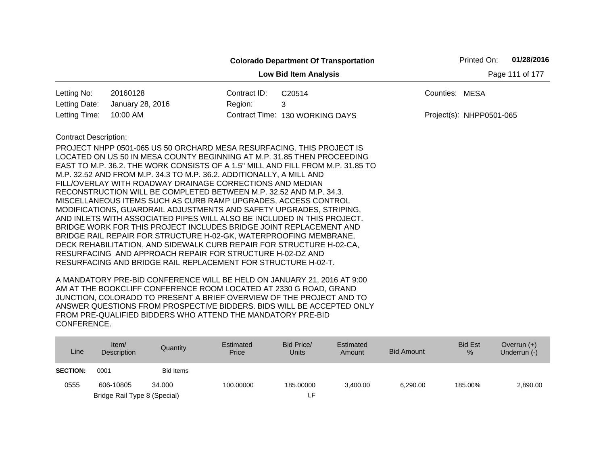|                                                 | 01/28/2016<br>Printed On:<br><b>Colorado Department Of Transportation</b>                                                                                                                                                                                                                                                                                                                                                                                                                                                                                                                                                                                                                                                                                                                                                                                                             |              |                                 |                |                            |  |  |  |  |
|-------------------------------------------------|---------------------------------------------------------------------------------------------------------------------------------------------------------------------------------------------------------------------------------------------------------------------------------------------------------------------------------------------------------------------------------------------------------------------------------------------------------------------------------------------------------------------------------------------------------------------------------------------------------------------------------------------------------------------------------------------------------------------------------------------------------------------------------------------------------------------------------------------------------------------------------------|--------------|---------------------------------|----------------|----------------------------|--|--|--|--|
| Page 111 of 177<br><b>Low Bid Item Analysis</b> |                                                                                                                                                                                                                                                                                                                                                                                                                                                                                                                                                                                                                                                                                                                                                                                                                                                                                       |              |                                 |                |                            |  |  |  |  |
| Letting No:                                     | 20160128                                                                                                                                                                                                                                                                                                                                                                                                                                                                                                                                                                                                                                                                                                                                                                                                                                                                              | Contract ID: | C20514                          | Counties: MESA |                            |  |  |  |  |
| Letting Date:                                   | January 28, 2016                                                                                                                                                                                                                                                                                                                                                                                                                                                                                                                                                                                                                                                                                                                                                                                                                                                                      | Region:      | 3                               |                |                            |  |  |  |  |
| Letting Time:                                   | 10:00 AM                                                                                                                                                                                                                                                                                                                                                                                                                                                                                                                                                                                                                                                                                                                                                                                                                                                                              |              | Contract Time: 130 WORKING DAYS |                | $Project(s): NHPP0501-065$ |  |  |  |  |
| <b>Contract Description:</b>                    | PROJECT NHPP 0501-065 US 50 ORCHARD MESA RESURFACING. THIS PROJECT IS<br>LOCATED ON US 50 IN MESA COUNTY BEGINNING AT M.P. 31.85 THEN PROCEEDING<br>EAST TO M.P. 36.2. THE WORK CONSISTS OF A 1.5" MILL AND FILL FROM M.P. 31.85 TO<br>M.P. 32.52 AND FROM M.P. 34.3 TO M.P. 36.2. ADDITIONALLY, A MILL AND<br>FILL/OVERLAY WITH ROADWAY DRAINAGE CORRECTIONS AND MEDIAN<br>RECONSTRUCTION WILL BE COMPLETED BETWEEN M.P. 32.52 AND M.P. 34.3.<br>MISCELLANEOUS ITEMS SUCH AS CURB RAMP UPGRADES, ACCESS CONTROL<br>MODIFICATIONS, GUARDRAIL ADJUSTMENTS AND SAFETY UPGRADES, STRIPING,<br>AND INLETS WITH ASSOCIATED PIPES WILL ALSO BE INCLUDED IN THIS PROJECT.<br>BRIDGE WORK FOR THIS PROJECT INCLUDES BRIDGE JOINT REPLACEMENT AND<br>BRIDGE RAIL REPAIR FOR STRUCTURE H-02-GK, WATERPROOFING MEMBRANE,<br>DECK REHABILITATION, AND SIDEWALK CURB REPAIR FOR STRUCTURE H-02-CA, |              |                                 |                |                            |  |  |  |  |
|                                                 | RESURFACING AND APPROACH REPAIR FOR STRUCTURE H-02-DZ AND<br>RESURFACING AND BRIDGE RAIL REPLACEMENT FOR STRUCTURE H-02-T.                                                                                                                                                                                                                                                                                                                                                                                                                                                                                                                                                                                                                                                                                                                                                            |              |                                 |                |                            |  |  |  |  |

| Line            | Item/<br><b>Description</b>  | Quantity  | Estimated<br>Price | Bid Price/<br>Units | Estimated<br>Amount | Bid Amount | <b>Bid Est</b><br>$\frac{9}{6}$ | Overrun $(+)$<br>Underrun (-) |
|-----------------|------------------------------|-----------|--------------------|---------------------|---------------------|------------|---------------------------------|-------------------------------|
| <b>SECTION:</b> | 0001                         | Bid Items |                    |                     |                     |            |                                 |                               |
| 0555            | 606-10805                    | 34,000    | 100.00000          | 185,00000           | 3.400.00            | 6,290.00   | 185.00%                         | 2,890.00                      |
|                 | Bridge Rail Type 8 (Special) |           |                    | ιF.                 |                     |            |                                 |                               |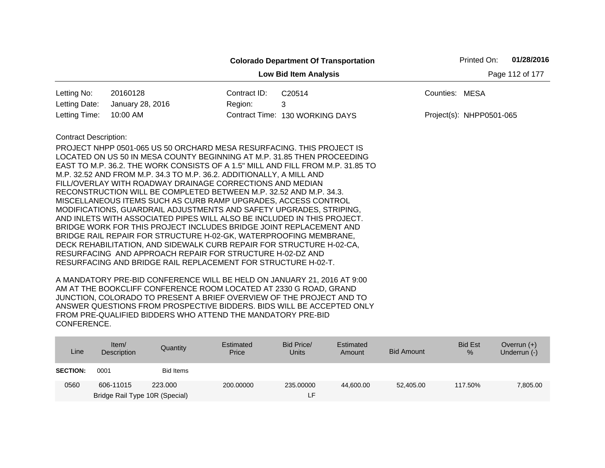|                              |                                                                                                                                                            |              | <b>Colorado Department Of Transportation</b> | Printed On:              | 01/28/2016      |
|------------------------------|------------------------------------------------------------------------------------------------------------------------------------------------------------|--------------|----------------------------------------------|--------------------------|-----------------|
|                              |                                                                                                                                                            |              | <b>Low Bid Item Analysis</b>                 |                          | Page 112 of 177 |
| Letting No:                  | 20160128                                                                                                                                                   | Contract ID: | C20514                                       | Counties: MESA           |                 |
| Letting Date:                | January 28, 2016                                                                                                                                           | Region:      | 3                                            |                          |                 |
| Letting Time:                | 10:00 AM                                                                                                                                                   |              | Contract Time: 130 WORKING DAYS              | Project(s): NHPP0501-065 |                 |
| <b>Contract Description:</b> | PROJECT NHPP 0501-065 US 50 ORCHARD MESA RESURFACING. THIS PROJECT IS                                                                                      |              |                                              |                          |                 |
|                              | LOCATED ON US 50 IN MESA COUNTY BEGINNING AT M.P. 31.85 THEN PROCEEDING<br>EAST TO M.P. 36.2. THE WORK CONSISTS OF A 1.5" MILL AND FILL FROM M.P. 31.85 TO |              |                                              |                          |                 |
|                              | M.P. 32.52 AND FROM M.P. 34.3 TO M.P. 36.2. ADDITIONALLY, A MILL AND                                                                                       |              |                                              |                          |                 |
|                              | FILL/OVERLAY WITH ROADWAY DRAINAGE CORRECTIONS AND MEDIAN                                                                                                  |              |                                              |                          |                 |
|                              | RECONSTRUCTION WILL BE COMPLETED BETWEEN M.P. 32.52 AND M.P. 34.3.                                                                                         |              |                                              |                          |                 |
|                              | MISCELLANEOUS ITEMS SUCH AS CURB RAMP UPGRADES, ACCESS CONTROL                                                                                             |              |                                              |                          |                 |
|                              | MODIFICATIONS, GUARDRAIL ADJUSTMENTS AND SAFETY UPGRADES, STRIPING,<br>AND INLETS WITH ASSOCIATED PIPES WILL ALSO BE INCLUDED IN THIS PROJECT.             |              |                                              |                          |                 |
|                              | BRIDGE WORK FOR THIS PROJECT INCLUDES BRIDGE JOINT REPLACEMENT AND                                                                                         |              |                                              |                          |                 |
|                              | BRIDGE RAIL REPAIR FOR STRUCTURE H-02-GK, WATERPROOFING MEMBRANE,                                                                                          |              |                                              |                          |                 |
|                              | DECK REHABILITATION, AND SIDEWALK CURB REPAIR FOR STRUCTURE H-02-CA,                                                                                       |              |                                              |                          |                 |
|                              | RESURFACING AND APPROACH REPAIR FOR STRUCTURE H-02-DZ AND                                                                                                  |              |                                              |                          |                 |
|                              | RESURFACING AND BRIDGE RAIL REPLACEMENT FOR STRUCTURE H-02-T.                                                                                              |              |                                              |                          |                 |

| Line            | Item $/$<br>Description        | Quantity  | Estimated<br>Price | Bid Price/<br><b>Units</b> | Estimated<br>Amount | <b>Bid Amount</b> | <b>Bid Est</b><br>% | Overrun $(+)$<br>Underrun (-) |
|-----------------|--------------------------------|-----------|--------------------|----------------------------|---------------------|-------------------|---------------------|-------------------------------|
| <b>SECTION:</b> | 0001                           | Bid Items |                    |                            |                     |                   |                     |                               |
| 0560            | 606-11015                      | 223,000   | 200,00000          | 235.00000                  | 44.600.00           | 52,405.00         | 117.50%             | 7,805.00                      |
|                 | Bridge Rail Type 10R (Special) |           |                    | LH.                        |                     |                   |                     |                               |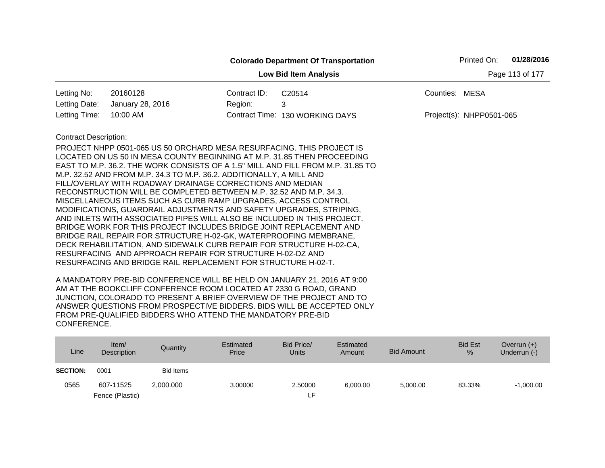|                              |                                                                                                                                                                                                                                                                                                                                                                                                                                                                                                                                                                                                                                                                                                                            |              | <b>Colorado Department Of Transportation</b>                                    | Printed On:                | 01/28/2016      |
|------------------------------|----------------------------------------------------------------------------------------------------------------------------------------------------------------------------------------------------------------------------------------------------------------------------------------------------------------------------------------------------------------------------------------------------------------------------------------------------------------------------------------------------------------------------------------------------------------------------------------------------------------------------------------------------------------------------------------------------------------------------|--------------|---------------------------------------------------------------------------------|----------------------------|-----------------|
|                              |                                                                                                                                                                                                                                                                                                                                                                                                                                                                                                                                                                                                                                                                                                                            |              | <b>Low Bid Item Analysis</b>                                                    |                            | Page 113 of 177 |
| Letting No:                  | 20160128                                                                                                                                                                                                                                                                                                                                                                                                                                                                                                                                                                                                                                                                                                                   | Contract ID: | C20514                                                                          | Counties: MESA             |                 |
| Letting Date:                | January 28, 2016                                                                                                                                                                                                                                                                                                                                                                                                                                                                                                                                                                                                                                                                                                           | Region:      | 3                                                                               |                            |                 |
| Letting Time:                | 10:00 AM                                                                                                                                                                                                                                                                                                                                                                                                                                                                                                                                                                                                                                                                                                                   |              | Contract Time: 130 WORKING DAYS                                                 | $Project(s): NHPP0501-065$ |                 |
| <b>Contract Description:</b> | PROJECT NHPP 0501-065 US 50 ORCHARD MESA RESURFACING. THIS PROJECT IS<br>LOCATED ON US 50 IN MESA COUNTY BEGINNING AT M.P. 31.85 THEN PROCEEDING<br>M.P. 32.52 AND FROM M.P. 34.3 TO M.P. 36.2. ADDITIONALLY, A MILL AND<br>FILL/OVERLAY WITH ROADWAY DRAINAGE CORRECTIONS AND MEDIAN<br>RECONSTRUCTION WILL BE COMPLETED BETWEEN M.P. 32.52 AND M.P. 34.3.<br>MISCELLANEOUS ITEMS SUCH AS CURB RAMP UPGRADES, ACCESS CONTROL<br>MODIFICATIONS, GUARDRAIL ADJUSTMENTS AND SAFETY UPGRADES, STRIPING,<br>AND INLETS WITH ASSOCIATED PIPES WILL ALSO BE INCLUDED IN THIS PROJECT.<br>BRIDGE WORK FOR THIS PROJECT INCLUDES BRIDGE JOINT REPLACEMENT AND<br>BRIDGE RAIL REPAIR FOR STRUCTURE H-02-GK, WATERPROOFING MEMBRANE, |              | EAST TO M.P. 36.2. THE WORK CONSISTS OF A 1.5" MILL AND FILL FROM M.P. 31.85 TO |                            |                 |
|                              | DECK REHABILITATION, AND SIDEWALK CURB REPAIR FOR STRUCTURE H-02-CA,<br>RESURFACING AND APPROACH REPAIR FOR STRUCTURE H-02-DZ AND<br>RESURFACING AND BRIDGE RAIL REPLACEMENT FOR STRUCTURE H-02-T.                                                                                                                                                                                                                                                                                                                                                                                                                                                                                                                         |              |                                                                                 |                            |                 |

| Line            | Item/<br>Description | Quantity         | Estimated<br>Price | Bid Price/<br>Units | Estimated<br>Amount | Bid Amount | <b>Bid Est</b><br>% | Overrun $(+)$<br>Underrun (-) |
|-----------------|----------------------|------------------|--------------------|---------------------|---------------------|------------|---------------------|-------------------------------|
| <b>SECTION:</b> | 0001                 | <b>Bid Items</b> |                    |                     |                     |            |                     |                               |
| 0565            | 607-11525            | 2.000.000        | 3.00000            | 2.50000             | 6.000.00            | 5,000.00   | 83.33%              | $-1,000.00$                   |
|                 | Fence (Plastic)      |                  |                    | ιF.                 |                     |            |                     |                               |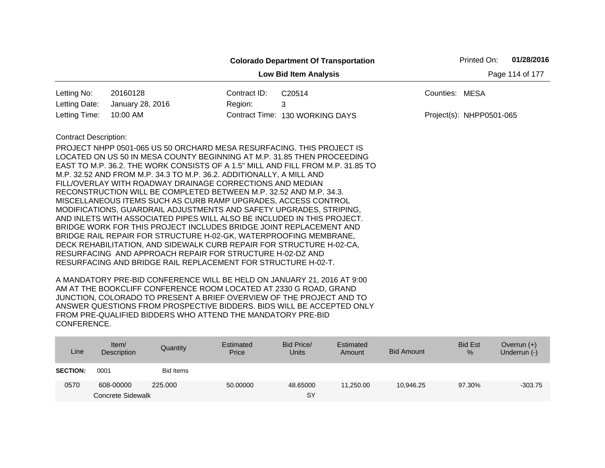|                              |                                                                                                                                   |              | <b>Colorado Department Of Transportation</b> |                | Printed On:              | 01/28/2016      |
|------------------------------|-----------------------------------------------------------------------------------------------------------------------------------|--------------|----------------------------------------------|----------------|--------------------------|-----------------|
|                              |                                                                                                                                   |              | <b>Low Bid Item Analysis</b>                 |                |                          | Page 114 of 177 |
| Letting No:                  | 20160128                                                                                                                          | Contract ID: | C20514                                       | Counties: MESA |                          |                 |
| Letting Date:                | January 28, 2016                                                                                                                  | Region:      | 3                                            |                |                          |                 |
| Letting Time:                | 10:00 AM                                                                                                                          |              | Contract Time: 130 WORKING DAYS              |                | Project(s): NHPP0501-065 |                 |
| <b>Contract Description:</b> |                                                                                                                                   |              |                                              |                |                          |                 |
|                              | PROJECT NHPP 0501-065 US 50 ORCHARD MESA RESURFACING. THIS PROJECT IS                                                             |              |                                              |                |                          |                 |
|                              | LOCATED ON US 50 IN MESA COUNTY BEGINNING AT M.P. 31.85 THEN PROCEEDING                                                           |              |                                              |                |                          |                 |
|                              | EAST TO M.P. 36.2. THE WORK CONSISTS OF A 1.5" MILL AND FILL FROM M.P. 31.85 TO                                                   |              |                                              |                |                          |                 |
|                              | M.P. 32.52 AND FROM M.P. 34.3 TO M.P. 36.2. ADDITIONALLY, A MILL AND<br>FILL/OVERLAY WITH ROADWAY DRAINAGE CORRECTIONS AND MEDIAN |              |                                              |                |                          |                 |
|                              | RECONSTRUCTION WILL BE COMPLETED BETWEEN M.P. 32.52 AND M.P. 34.3.                                                                |              |                                              |                |                          |                 |
|                              | MISCELLANEOUS ITEMS SUCH AS CURB RAMP UPGRADES, ACCESS CONTROL                                                                    |              |                                              |                |                          |                 |
|                              | MODIFICATIONS, GUARDRAIL ADJUSTMENTS AND SAFETY UPGRADES, STRIPING,                                                               |              |                                              |                |                          |                 |
|                              | AND INLETS WITH ASSOCIATED PIPES WILL ALSO BE INCLUDED IN THIS PROJECT.                                                           |              |                                              |                |                          |                 |
|                              | BRIDGE WORK FOR THIS PROJECT INCLUDES BRIDGE JOINT REPLACEMENT AND                                                                |              |                                              |                |                          |                 |
|                              | BRIDGE RAIL REPAIR FOR STRUCTURE H-02-GK, WATERPROOFING MEMBRANE,                                                                 |              |                                              |                |                          |                 |
|                              | DECK REHABILITATION, AND SIDEWALK CURB REPAIR FOR STRUCTURE H-02-CA.                                                              |              |                                              |                |                          |                 |
|                              | RESURFACING AND APPROACH REPAIR FOR STRUCTURE H-02-DZ AND                                                                         |              |                                              |                |                          |                 |
|                              | RESURFACING AND BRIDGE RAIL REPLACEMENT FOR STRUCTURE H-02-T.                                                                     |              |                                              |                |                          |                 |

| Line            | Item/<br>Description | Quantity         | Estimated<br>Price | Bid Price/<br><b>Units</b> | Estimated<br>Amount | <b>Bid Amount</b> | <b>Bid Est</b><br>$\frac{9}{6}$ | Overrun $(+)$<br>Underrun (-) |
|-----------------|----------------------|------------------|--------------------|----------------------------|---------------------|-------------------|---------------------------------|-------------------------------|
| <b>SECTION:</b> | 0001                 | <b>Bid Items</b> |                    |                            |                     |                   |                                 |                               |
| 0570            | 608-00000            | 225,000          | 50.00000           | 48.65000                   | 11.250.00           | 10.946.25         | 97.30%                          | $-303.75$                     |
|                 | Concrete Sidewalk    |                  |                    | SY                         |                     |                   |                                 |                               |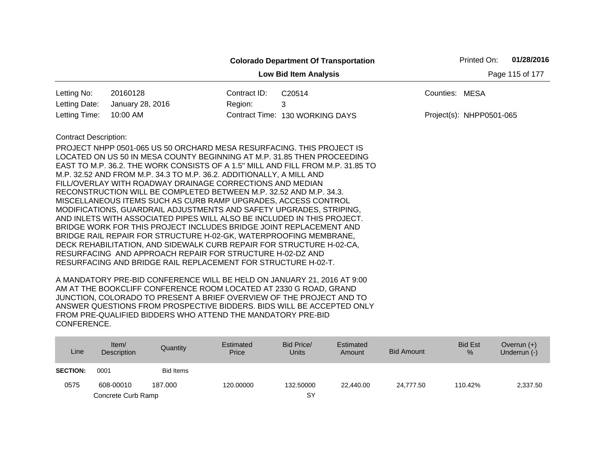|                              |                                                                                                                                                                                                                                                                                                                                                                                                                                                                                                                                                                                                                                                                                                                                                                                                                                                                                                                                  |              | <b>Colorado Department Of Transportation</b>                                    |                | Printed On:              | 01/28/2016      |
|------------------------------|----------------------------------------------------------------------------------------------------------------------------------------------------------------------------------------------------------------------------------------------------------------------------------------------------------------------------------------------------------------------------------------------------------------------------------------------------------------------------------------------------------------------------------------------------------------------------------------------------------------------------------------------------------------------------------------------------------------------------------------------------------------------------------------------------------------------------------------------------------------------------------------------------------------------------------|--------------|---------------------------------------------------------------------------------|----------------|--------------------------|-----------------|
|                              |                                                                                                                                                                                                                                                                                                                                                                                                                                                                                                                                                                                                                                                                                                                                                                                                                                                                                                                                  |              | <b>Low Bid Item Analysis</b>                                                    |                |                          | Page 115 of 177 |
| Letting No:                  | 20160128                                                                                                                                                                                                                                                                                                                                                                                                                                                                                                                                                                                                                                                                                                                                                                                                                                                                                                                         | Contract ID: | C <sub>20514</sub>                                                              | Counties: MESA |                          |                 |
| Letting Date:                | January 28, 2016                                                                                                                                                                                                                                                                                                                                                                                                                                                                                                                                                                                                                                                                                                                                                                                                                                                                                                                 | Region:      | 3                                                                               |                |                          |                 |
| Letting Time:                | 10:00 AM                                                                                                                                                                                                                                                                                                                                                                                                                                                                                                                                                                                                                                                                                                                                                                                                                                                                                                                         |              | Contract Time: 130 WORKING DAYS                                                 |                | Project(s): NHPP0501-065 |                 |
| <b>Contract Description:</b> | PROJECT NHPP 0501-065 US 50 ORCHARD MESA RESURFACING. THIS PROJECT IS<br>LOCATED ON US 50 IN MESA COUNTY BEGINNING AT M.P. 31.85 THEN PROCEEDING<br>M.P. 32.52 AND FROM M.P. 34.3 TO M.P. 36.2. ADDITIONALLY, A MILL AND<br>FILL/OVERLAY WITH ROADWAY DRAINAGE CORRECTIONS AND MEDIAN<br>RECONSTRUCTION WILL BE COMPLETED BETWEEN M.P. 32.52 AND M.P. 34.3.<br>MISCELLANEOUS ITEMS SUCH AS CURB RAMP UPGRADES, ACCESS CONTROL<br>MODIFICATIONS, GUARDRAIL ADJUSTMENTS AND SAFETY UPGRADES, STRIPING,<br>AND INLETS WITH ASSOCIATED PIPES WILL ALSO BE INCLUDED IN THIS PROJECT.<br>BRIDGE WORK FOR THIS PROJECT INCLUDES BRIDGE JOINT REPLACEMENT AND<br>BRIDGE RAIL REPAIR FOR STRUCTURE H-02-GK, WATERPROOFING MEMBRANE,<br>DECK REHABILITATION, AND SIDEWALK CURB REPAIR FOR STRUCTURE H-02-CA,<br>RESURFACING AND APPROACH REPAIR FOR STRUCTURE H-02-DZ AND<br>RESURFACING AND BRIDGE RAIL REPLACEMENT FOR STRUCTURE H-02-T. |              | EAST TO M.P. 36.2. THE WORK CONSISTS OF A 1.5" MILL AND FILL FROM M.P. 31.85 TO |                |                          |                 |

| Line            | Item/<br>Description | Quantity         | Estimated<br>Price | Bid Price/<br><b>Units</b> | Estimated<br>Amount | <b>Bid Amount</b> | <b>Bid Est</b><br>% | Overrun $(+)$<br>Underrun (-) |
|-----------------|----------------------|------------------|--------------------|----------------------------|---------------------|-------------------|---------------------|-------------------------------|
| <b>SECTION:</b> | 0001                 | <b>Bid Items</b> |                    |                            |                     |                   |                     |                               |
| 0575            | 608-00010            | 187.000          | 120.00000          | 132.50000                  | 22.440.00           | 24.777.50         | 110.42%             | 2,337.50                      |
|                 | Concrete Curb Ramp   |                  |                    | SY                         |                     |                   |                     |                               |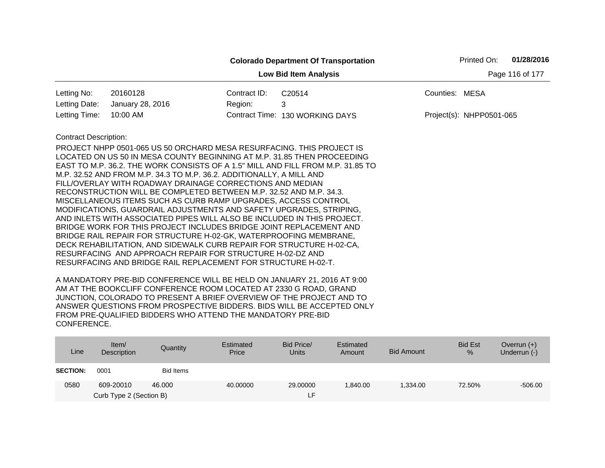|                                                 |                                                                                                                                 |              | <b>Colorado Department Of Transportation</b> |                | Printed On:              | 01/28/2016 |  |  |
|-------------------------------------------------|---------------------------------------------------------------------------------------------------------------------------------|--------------|----------------------------------------------|----------------|--------------------------|------------|--|--|
| Page 116 of 177<br><b>Low Bid Item Analysis</b> |                                                                                                                                 |              |                                              |                |                          |            |  |  |
| Letting No:                                     | 20160128                                                                                                                        | Contract ID: | C20514                                       | Counties: MESA |                          |            |  |  |
| Letting Date:                                   | January 28, 2016                                                                                                                | Region:      | 3                                            |                |                          |            |  |  |
| Letting Time:                                   | 10:00 AM                                                                                                                        |              | Contract Time: 130 WORKING DAYS              |                | Project(s): NHPP0501-065 |            |  |  |
| <b>Contract Description:</b>                    |                                                                                                                                 |              |                                              |                |                          |            |  |  |
|                                                 | PROJECT NHPP 0501-065 US 50 ORCHARD MESA RESURFACING. THIS PROJECT IS                                                           |              |                                              |                |                          |            |  |  |
|                                                 | LOCATED ON US 50 IN MESA COUNTY BEGINNING AT M.P. 31.85 THEN PROCEEDING                                                         |              |                                              |                |                          |            |  |  |
|                                                 | EAST TO M.P. 36.2. THE WORK CONSISTS OF A 1.5" MILL AND FILL FROM M.P. 31.85 TO                                                 |              |                                              |                |                          |            |  |  |
|                                                 | M.P. 32.52 AND FROM M.P. 34.3 TO M.P. 36.2. ADDITIONALLY, A MILL AND                                                            |              |                                              |                |                          |            |  |  |
|                                                 | FILL/OVERLAY WITH ROADWAY DRAINAGE CORRECTIONS AND MEDIAN<br>RECONSTRUCTION WILL BE COMPLETED BETWEEN M.P. 32.52 AND M.P. 34.3. |              |                                              |                |                          |            |  |  |
|                                                 | MISCELLANEOUS ITEMS SUCH AS CURB RAMP UPGRADES, ACCESS CONTROL                                                                  |              |                                              |                |                          |            |  |  |
|                                                 | MODIFICATIONS, GUARDRAIL ADJUSTMENTS AND SAFETY UPGRADES, STRIPING,                                                             |              |                                              |                |                          |            |  |  |
|                                                 | AND INLETS WITH ASSOCIATED PIPES WILL ALSO BE INCLUDED IN THIS PROJECT.                                                         |              |                                              |                |                          |            |  |  |
|                                                 | BRIDGE WORK FOR THIS PROJECT INCLUDES BRIDGE JOINT REPLACEMENT AND                                                              |              |                                              |                |                          |            |  |  |
|                                                 | BRIDGE RAIL REPAIR FOR STRUCTURE H-02-GK, WATERPROOFING MEMBRANE,                                                               |              |                                              |                |                          |            |  |  |
|                                                 | DECK REHABILITATION, AND SIDEWALK CURB REPAIR FOR STRUCTURE H-02-CA,                                                            |              |                                              |                |                          |            |  |  |
|                                                 | RESURFACING AND APPROACH REPAIR FOR STRUCTURE H-02-DZ AND                                                                       |              |                                              |                |                          |            |  |  |
|                                                 | RESURFACING AND BRIDGE RAIL REPLACEMENT FOR STRUCTURE H-02-T.                                                                   |              |                                              |                |                          |            |  |  |
|                                                 |                                                                                                                                 |              |                                              |                |                          |            |  |  |

| Line            | Item/<br>Description    | Quantity  | Estimated<br>Price | Bid Price/<br><b>Units</b> | Estimated<br>Amount | <b>Bid Amount</b> | <b>Bid Est</b><br>% | Overrun $(+)$<br>Underrun (-) |
|-----------------|-------------------------|-----------|--------------------|----------------------------|---------------------|-------------------|---------------------|-------------------------------|
| <b>SECTION:</b> | 0001                    | Bid Items |                    |                            |                     |                   |                     |                               |
| 0580            | 609-20010               | 46,000    | 40.00000           | 29,00000                   | 1.840.00            | 1.334.00          | 72.50%              | $-506.00$                     |
|                 | Curb Type 2 (Section B) |           |                    | τF.                        |                     |                   |                     |                               |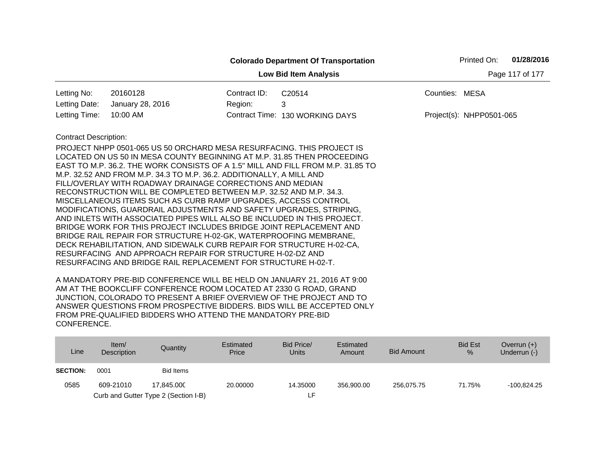|                              |                                                                                                                                                                                                                                                                                                                                                                                                                                                                                                                                                                                 |              | <b>Colorado Department Of Transportation</b>                                    | Printed On:                | 01/28/2016      |
|------------------------------|---------------------------------------------------------------------------------------------------------------------------------------------------------------------------------------------------------------------------------------------------------------------------------------------------------------------------------------------------------------------------------------------------------------------------------------------------------------------------------------------------------------------------------------------------------------------------------|--------------|---------------------------------------------------------------------------------|----------------------------|-----------------|
|                              |                                                                                                                                                                                                                                                                                                                                                                                                                                                                                                                                                                                 |              | <b>Low Bid Item Analysis</b>                                                    |                            | Page 117 of 177 |
| Letting No:                  | 20160128                                                                                                                                                                                                                                                                                                                                                                                                                                                                                                                                                                        | Contract ID: | C20514                                                                          | Counties: MESA             |                 |
| Letting Date:                | January 28, 2016                                                                                                                                                                                                                                                                                                                                                                                                                                                                                                                                                                | Region:      | 3                                                                               |                            |                 |
| Letting Time:                | 10:00 AM                                                                                                                                                                                                                                                                                                                                                                                                                                                                                                                                                                        |              | Contract Time: 130 WORKING DAYS                                                 | $Project(s): NHPP0501-065$ |                 |
| <b>Contract Description:</b> | PROJECT NHPP 0501-065 US 50 ORCHARD MESA RESURFACING. THIS PROJECT IS<br>LOCATED ON US 50 IN MESA COUNTY BEGINNING AT M.P. 31.85 THEN PROCEEDING<br>M.P. 32.52 AND FROM M.P. 34.3 TO M.P. 36.2. ADDITIONALLY, A MILL AND<br>FILL/OVERLAY WITH ROADWAY DRAINAGE CORRECTIONS AND MEDIAN<br>RECONSTRUCTION WILL BE COMPLETED BETWEEN M.P. 32.52 AND M.P. 34.3.<br>MISCELLANEOUS ITEMS SUCH AS CURB RAMP UPGRADES, ACCESS CONTROL<br>MODIFICATIONS, GUARDRAIL ADJUSTMENTS AND SAFETY UPGRADES, STRIPING,<br>AND INLETS WITH ASSOCIATED PIPES WILL ALSO BE INCLUDED IN THIS PROJECT. |              | EAST TO M.P. 36.2. THE WORK CONSISTS OF A 1.5" MILL AND FILL FROM M.P. 31.85 TO |                            |                 |
|                              | BRIDGE WORK FOR THIS PROJECT INCLUDES BRIDGE JOINT REPLACEMENT AND<br>BRIDGE RAIL REPAIR FOR STRUCTURE H-02-GK, WATERPROOFING MEMBRANE,<br>DECK REHABILITATION, AND SIDEWALK CURB REPAIR FOR STRUCTURE H-02-CA,<br>RESURFACING AND APPROACH REPAIR FOR STRUCTURE H-02-DZ AND<br>RESURFACING AND BRIDGE RAIL REPLACEMENT FOR STRUCTURE H-02-T.                                                                                                                                                                                                                                   |              |                                                                                 |                            |                 |

| Line            | Item/<br>Description | Quantity                             | Estimated<br>Price | Bid Price/<br>Units | Estimated<br>Amount | <b>Bid Amount</b> | <b>Bid Est</b><br>% | Overrun $(+)$<br>Underrun (-) |
|-----------------|----------------------|--------------------------------------|--------------------|---------------------|---------------------|-------------------|---------------------|-------------------------------|
| <b>SECTION:</b> | 0001                 | Bid Items                            |                    |                     |                     |                   |                     |                               |
| 0585            | 609-21010            | 17.845.000                           | 20,00000           | 14.35000            | 356.900.00          | 256.075.75        | 71.75%              | $-100.824.25$                 |
|                 |                      | Curb and Gutter Type 2 (Section I-B) |                    |                     |                     |                   |                     |                               |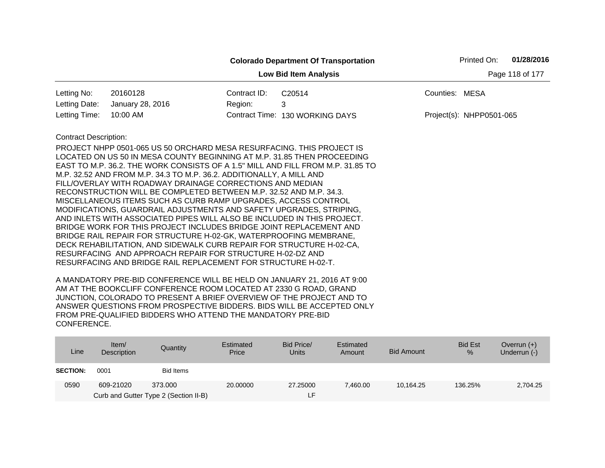|                              |                                                                                                                                                                                                                                                                                                                                                                                                                                                                                                                                                                                                                                                                                                                                                                                                                                                                                                                                                                                                                     |              | <b>Colorado Department Of Transportation</b> | 01/28/2016<br>Printed On: |
|------------------------------|---------------------------------------------------------------------------------------------------------------------------------------------------------------------------------------------------------------------------------------------------------------------------------------------------------------------------------------------------------------------------------------------------------------------------------------------------------------------------------------------------------------------------------------------------------------------------------------------------------------------------------------------------------------------------------------------------------------------------------------------------------------------------------------------------------------------------------------------------------------------------------------------------------------------------------------------------------------------------------------------------------------------|--------------|----------------------------------------------|---------------------------|
|                              |                                                                                                                                                                                                                                                                                                                                                                                                                                                                                                                                                                                                                                                                                                                                                                                                                                                                                                                                                                                                                     |              | <b>Low Bid Item Analysis</b>                 | Page 118 of 177           |
| Letting No:                  | 20160128                                                                                                                                                                                                                                                                                                                                                                                                                                                                                                                                                                                                                                                                                                                                                                                                                                                                                                                                                                                                            | Contract ID: | C20514                                       | Counties: MESA            |
| Letting Date:                | January 28, 2016                                                                                                                                                                                                                                                                                                                                                                                                                                                                                                                                                                                                                                                                                                                                                                                                                                                                                                                                                                                                    | Region:      | 3                                            |                           |
| Letting Time:                | 10:00 AM                                                                                                                                                                                                                                                                                                                                                                                                                                                                                                                                                                                                                                                                                                                                                                                                                                                                                                                                                                                                            |              | Contract Time: 130 WORKING DAYS              | Project(s): NHPP0501-065  |
| <b>Contract Description:</b> | PROJECT NHPP 0501-065 US 50 ORCHARD MESA RESURFACING. THIS PROJECT IS<br>LOCATED ON US 50 IN MESA COUNTY BEGINNING AT M.P. 31.85 THEN PROCEEDING<br>EAST TO M.P. 36.2. THE WORK CONSISTS OF A 1.5" MILL AND FILL FROM M.P. 31.85 TO<br>M.P. 32.52 AND FROM M.P. 34.3 TO M.P. 36.2. ADDITIONALLY, A MILL AND<br>FILL/OVERLAY WITH ROADWAY DRAINAGE CORRECTIONS AND MEDIAN<br>RECONSTRUCTION WILL BE COMPLETED BETWEEN M.P. 32.52 AND M.P. 34.3.<br>MISCELLANEOUS ITEMS SUCH AS CURB RAMP UPGRADES, ACCESS CONTROL<br>MODIFICATIONS, GUARDRAIL ADJUSTMENTS AND SAFETY UPGRADES, STRIPING,<br>AND INLETS WITH ASSOCIATED PIPES WILL ALSO BE INCLUDED IN THIS PROJECT.<br>BRIDGE WORK FOR THIS PROJECT INCLUDES BRIDGE JOINT REPLACEMENT AND<br>BRIDGE RAIL REPAIR FOR STRUCTURE H-02-GK, WATERPROOFING MEMBRANE,<br>DECK REHABILITATION, AND SIDEWALK CURB REPAIR FOR STRUCTURE H-02-CA,<br>RESURFACING AND APPROACH REPAIR FOR STRUCTURE H-02-DZ AND<br>RESURFACING AND BRIDGE RAIL REPLACEMENT FOR STRUCTURE H-02-T. |              |                                              |                           |

| Line            | Item/<br>Description | Quantity                                         | Estimated<br>Price | Bid Price/<br><b>Units</b> | Estimated<br>Amount | Bid Amount | <b>Bid Est</b><br>$\frac{9}{6}$ | Overrun $(+)$<br>Underrun (-) |
|-----------------|----------------------|--------------------------------------------------|--------------------|----------------------------|---------------------|------------|---------------------------------|-------------------------------|
| <b>SECTION:</b> | 0001                 | Bid Items                                        |                    |                            |                     |            |                                 |                               |
| 0590            | 609-21020            | 373.000<br>Curb and Gutter Type 2 (Section II-B) | 20,00000           | 27,25000<br>ιF.            | 7.460.00            | 10.164.25  | 136.25%                         | 2,704.25                      |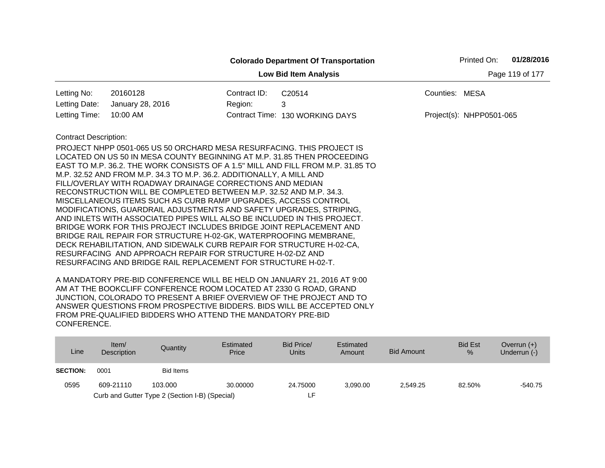|                              |                                                                                                                                                                                                                                                                                                                                                                                                                                                                                                                                                                                                                                                                                                                                                                                                                                                                                                                                  |              | <b>Colorado Department Of Transportation</b>                                    |                | Printed On:              | 01/28/2016      |
|------------------------------|----------------------------------------------------------------------------------------------------------------------------------------------------------------------------------------------------------------------------------------------------------------------------------------------------------------------------------------------------------------------------------------------------------------------------------------------------------------------------------------------------------------------------------------------------------------------------------------------------------------------------------------------------------------------------------------------------------------------------------------------------------------------------------------------------------------------------------------------------------------------------------------------------------------------------------|--------------|---------------------------------------------------------------------------------|----------------|--------------------------|-----------------|
|                              |                                                                                                                                                                                                                                                                                                                                                                                                                                                                                                                                                                                                                                                                                                                                                                                                                                                                                                                                  |              | <b>Low Bid Item Analysis</b>                                                    |                |                          | Page 119 of 177 |
| Letting No:                  | 20160128                                                                                                                                                                                                                                                                                                                                                                                                                                                                                                                                                                                                                                                                                                                                                                                                                                                                                                                         | Contract ID: | C20514                                                                          | Counties: MESA |                          |                 |
| Letting Date:                | January 28, 2016                                                                                                                                                                                                                                                                                                                                                                                                                                                                                                                                                                                                                                                                                                                                                                                                                                                                                                                 | Region:      | 3                                                                               |                |                          |                 |
| Letting Time:                | 10:00 AM                                                                                                                                                                                                                                                                                                                                                                                                                                                                                                                                                                                                                                                                                                                                                                                                                                                                                                                         |              | Contract Time: 130 WORKING DAYS                                                 |                | Project(s): NHPP0501-065 |                 |
| <b>Contract Description:</b> | PROJECT NHPP 0501-065 US 50 ORCHARD MESA RESURFACING. THIS PROJECT IS<br>LOCATED ON US 50 IN MESA COUNTY BEGINNING AT M.P. 31.85 THEN PROCEEDING<br>M.P. 32.52 AND FROM M.P. 34.3 TO M.P. 36.2. ADDITIONALLY, A MILL AND<br>FILL/OVERLAY WITH ROADWAY DRAINAGE CORRECTIONS AND MEDIAN<br>RECONSTRUCTION WILL BE COMPLETED BETWEEN M.P. 32.52 AND M.P. 34.3.<br>MISCELLANEOUS ITEMS SUCH AS CURB RAMP UPGRADES, ACCESS CONTROL<br>MODIFICATIONS, GUARDRAIL ADJUSTMENTS AND SAFETY UPGRADES, STRIPING,<br>AND INLETS WITH ASSOCIATED PIPES WILL ALSO BE INCLUDED IN THIS PROJECT.<br>BRIDGE WORK FOR THIS PROJECT INCLUDES BRIDGE JOINT REPLACEMENT AND<br>BRIDGE RAIL REPAIR FOR STRUCTURE H-02-GK, WATERPROOFING MEMBRANE,<br>DECK REHABILITATION, AND SIDEWALK CURB REPAIR FOR STRUCTURE H-02-CA,<br>RESURFACING AND APPROACH REPAIR FOR STRUCTURE H-02-DZ AND<br>RESURFACING AND BRIDGE RAIL REPLACEMENT FOR STRUCTURE H-02-T. |              | EAST TO M.P. 36.2. THE WORK CONSISTS OF A 1.5" MILL AND FILL FROM M.P. 31.85 TO |                |                          |                 |

| Line            | Item/<br>Description | Quantity                                       | Estimated<br>Price | Bid Price/<br>Units | Estimated<br>Amount | Bid Amount | <b>Bid Est</b><br>$\%$ | Overrun $(+)$<br>Underrun (-) |
|-----------------|----------------------|------------------------------------------------|--------------------|---------------------|---------------------|------------|------------------------|-------------------------------|
| <b>SECTION:</b> | 0001                 | Bid Items                                      |                    |                     |                     |            |                        |                               |
| 0595            | 609-21110            | 103.000                                        | 30.00000           | 24.75000            | 3.090.00            | 2.549.25   | 82.50%                 | $-540.75$                     |
|                 |                      | Curb and Gutter Type 2 (Section I-B) (Special) |                    | LF                  |                     |            |                        |                               |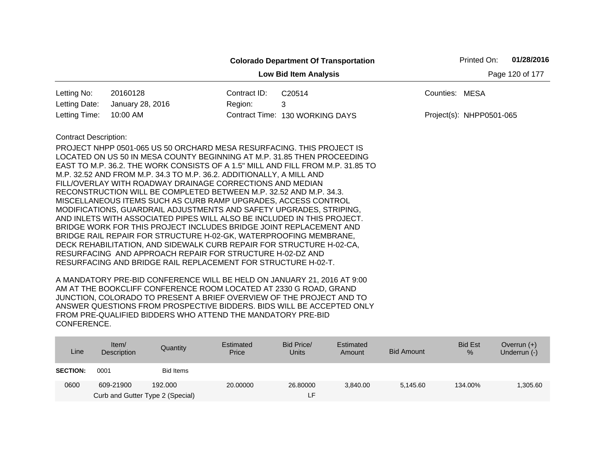|                              |                                                                                                                                       |              | <b>Colorado Department Of Transportation</b> |                | Printed On:              | 01/28/2016      |
|------------------------------|---------------------------------------------------------------------------------------------------------------------------------------|--------------|----------------------------------------------|----------------|--------------------------|-----------------|
|                              |                                                                                                                                       |              | <b>Low Bid Item Analysis</b>                 |                |                          | Page 120 of 177 |
| Letting No:                  | 20160128                                                                                                                              | Contract ID: | C <sub>20514</sub>                           | Counties: MESA |                          |                 |
| Letting Date:                | January 28, 2016                                                                                                                      | Region:      | 3                                            |                |                          |                 |
| Letting Time:                | 10:00 AM                                                                                                                              |              | Contract Time: 130 WORKING DAYS              |                | Project(s): NHPP0501-065 |                 |
| <b>Contract Description:</b> |                                                                                                                                       |              |                                              |                |                          |                 |
|                              | PROJECT NHPP 0501-065 US 50 ORCHARD MESA RESURFACING. THIS PROJECT IS                                                                 |              |                                              |                |                          |                 |
|                              | LOCATED ON US 50 IN MESA COUNTY BEGINNING AT M.P. 31.85 THEN PROCEEDING                                                               |              |                                              |                |                          |                 |
|                              | EAST TO M.P. 36.2. THE WORK CONSISTS OF A 1.5" MILL AND FILL FROM M.P. 31.85 TO                                                       |              |                                              |                |                          |                 |
|                              | M.P. 32.52 AND FROM M.P. 34.3 TO M.P. 36.2. ADDITIONALLY, A MILL AND                                                                  |              |                                              |                |                          |                 |
|                              | FILL/OVERLAY WITH ROADWAY DRAINAGE CORRECTIONS AND MEDIAN                                                                             |              |                                              |                |                          |                 |
|                              | RECONSTRUCTION WILL BE COMPLETED BETWEEN M.P. 32.52 AND M.P. 34.3.                                                                    |              |                                              |                |                          |                 |
|                              | MISCELLANEOUS ITEMS SUCH AS CURB RAMP UPGRADES, ACCESS CONTROL<br>MODIFICATIONS, GUARDRAIL ADJUSTMENTS AND SAFETY UPGRADES, STRIPING, |              |                                              |                |                          |                 |
|                              | AND INLETS WITH ASSOCIATED PIPES WILL ALSO BE INCLUDED IN THIS PROJECT.                                                               |              |                                              |                |                          |                 |
|                              | BRIDGE WORK FOR THIS PROJECT INCLUDES BRIDGE JOINT REPLACEMENT AND                                                                    |              |                                              |                |                          |                 |
|                              | BRIDGE RAIL REPAIR FOR STRUCTURE H-02-GK, WATERPROOFING MEMBRANE,                                                                     |              |                                              |                |                          |                 |
|                              | DECK REHABILITATION, AND SIDEWALK CURB REPAIR FOR STRUCTURE H-02-CA,                                                                  |              |                                              |                |                          |                 |
|                              | RESURFACING AND APPROACH REPAIR FOR STRUCTURE H-02-DZ AND                                                                             |              |                                              |                |                          |                 |
|                              | RESURFACING AND BRIDGE RAIL REPLACEMENT FOR STRUCTURE H-02-T.                                                                         |              |                                              |                |                          |                 |

| Line            | Item/<br>Description                          | Quantity  | Estimated<br>Price | Bid Price/<br><b>Units</b> | Estimated<br>Amount | <b>Bid Amount</b> | <b>Bid Est</b><br>$\frac{9}{6}$ | Overrun $(+)$<br>Underrun (-) |
|-----------------|-----------------------------------------------|-----------|--------------------|----------------------------|---------------------|-------------------|---------------------------------|-------------------------------|
| <b>SECTION:</b> | 0001                                          | Bid Items |                    |                            |                     |                   |                                 |                               |
| 0600            | 609-21900<br>Curb and Gutter Type 2 (Special) | 192,000   | 20,00000           | 26,80000<br>ιF.            | 3.840.00            | 5.145.60          | 134.00%                         | 1,305.60                      |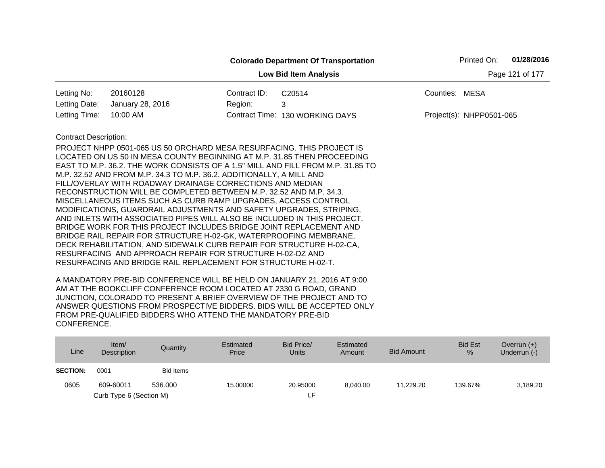|                              |                                                                                                                                                                                                                                                                                                                                                                                                                                                                                                                                                                                                                                                                                                                                                                                                                                                                                                                                  |              | <b>Colorado Department Of Transportation</b>                                    |                | Printed On:              | 01/28/2016      |
|------------------------------|----------------------------------------------------------------------------------------------------------------------------------------------------------------------------------------------------------------------------------------------------------------------------------------------------------------------------------------------------------------------------------------------------------------------------------------------------------------------------------------------------------------------------------------------------------------------------------------------------------------------------------------------------------------------------------------------------------------------------------------------------------------------------------------------------------------------------------------------------------------------------------------------------------------------------------|--------------|---------------------------------------------------------------------------------|----------------|--------------------------|-----------------|
|                              |                                                                                                                                                                                                                                                                                                                                                                                                                                                                                                                                                                                                                                                                                                                                                                                                                                                                                                                                  |              | <b>Low Bid Item Analysis</b>                                                    |                |                          | Page 121 of 177 |
| Letting No:                  | 20160128                                                                                                                                                                                                                                                                                                                                                                                                                                                                                                                                                                                                                                                                                                                                                                                                                                                                                                                         | Contract ID: | C20514                                                                          | Counties: MESA |                          |                 |
| Letting Date:                | January 28, 2016                                                                                                                                                                                                                                                                                                                                                                                                                                                                                                                                                                                                                                                                                                                                                                                                                                                                                                                 | Region:      | 3                                                                               |                |                          |                 |
| Letting Time:                | 10:00 AM                                                                                                                                                                                                                                                                                                                                                                                                                                                                                                                                                                                                                                                                                                                                                                                                                                                                                                                         |              | Contract Time: 130 WORKING DAYS                                                 |                | Project(s): NHPP0501-065 |                 |
| <b>Contract Description:</b> | PROJECT NHPP 0501-065 US 50 ORCHARD MESA RESURFACING. THIS PROJECT IS<br>LOCATED ON US 50 IN MESA COUNTY BEGINNING AT M.P. 31.85 THEN PROCEEDING<br>M.P. 32.52 AND FROM M.P. 34.3 TO M.P. 36.2. ADDITIONALLY, A MILL AND<br>FILL/OVERLAY WITH ROADWAY DRAINAGE CORRECTIONS AND MEDIAN<br>RECONSTRUCTION WILL BE COMPLETED BETWEEN M.P. 32.52 AND M.P. 34.3.<br>MISCELLANEOUS ITEMS SUCH AS CURB RAMP UPGRADES, ACCESS CONTROL<br>MODIFICATIONS, GUARDRAIL ADJUSTMENTS AND SAFETY UPGRADES, STRIPING,<br>AND INLETS WITH ASSOCIATED PIPES WILL ALSO BE INCLUDED IN THIS PROJECT.<br>BRIDGE WORK FOR THIS PROJECT INCLUDES BRIDGE JOINT REPLACEMENT AND<br>BRIDGE RAIL REPAIR FOR STRUCTURE H-02-GK, WATERPROOFING MEMBRANE,<br>DECK REHABILITATION, AND SIDEWALK CURB REPAIR FOR STRUCTURE H-02-CA,<br>RESURFACING AND APPROACH REPAIR FOR STRUCTURE H-02-DZ AND<br>RESURFACING AND BRIDGE RAIL REPLACEMENT FOR STRUCTURE H-02-T. |              | EAST TO M.P. 36.2. THE WORK CONSISTS OF A 1.5" MILL AND FILL FROM M.P. 31.85 TO |                |                          |                 |

| Line            | Item $/$<br>Description | Quantity         | Estimated<br>Price | Bid Price/<br><b>Units</b> | Estimated<br>Amount | Bid Amount | <b>Bid Est</b><br>% | Overrun $(+)$<br>Underrun (-) |
|-----------------|-------------------------|------------------|--------------------|----------------------------|---------------------|------------|---------------------|-------------------------------|
| <b>SECTION:</b> | 0001                    | <b>Bid Items</b> |                    |                            |                     |            |                     |                               |
| 0605            | 609-60011               | 536,000          | 15.00000           | 20.95000                   | 8.040.00            | 11.229.20  | 139.67%             | 3,189.20                      |
|                 | Curb Type 6 (Section M) |                  |                    | ιF.                        |                     |            |                     |                               |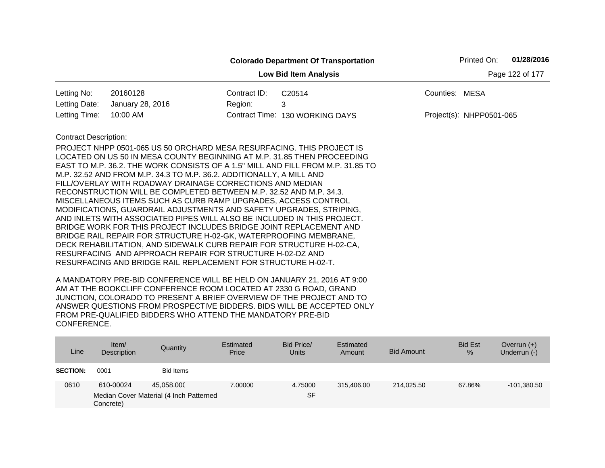|                              |                                                                         |              | <b>Colorado Department Of Transportation</b>                                    |                | Printed On:              | 01/28/2016      |
|------------------------------|-------------------------------------------------------------------------|--------------|---------------------------------------------------------------------------------|----------------|--------------------------|-----------------|
|                              |                                                                         |              | <b>Low Bid Item Analysis</b>                                                    |                |                          | Page 122 of 177 |
| Letting No:                  | 20160128                                                                | Contract ID: | C20514                                                                          | Counties: MESA |                          |                 |
| Letting Date:                | January 28, 2016                                                        | Region:      | 3                                                                               |                |                          |                 |
| Letting Time:                | 10:00 AM                                                                |              | Contract Time: 130 WORKING DAYS                                                 |                | Project(s): NHPP0501-065 |                 |
| <b>Contract Description:</b> |                                                                         |              |                                                                                 |                |                          |                 |
|                              | PROJECT NHPP 0501-065 US 50 ORCHARD MESA RESURFACING. THIS PROJECT IS   |              |                                                                                 |                |                          |                 |
|                              | LOCATED ON US 50 IN MESA COUNTY BEGINNING AT M.P. 31.85 THEN PROCEEDING |              |                                                                                 |                |                          |                 |
|                              |                                                                         |              | EAST TO M.P. 36.2. THE WORK CONSISTS OF A 1.5" MILL AND FILL FROM M.P. 31.85 TO |                |                          |                 |
|                              | M.P. 32.52 AND FROM M.P. 34.3 TO M.P. 36.2. ADDITIONALLY, A MILL AND    |              |                                                                                 |                |                          |                 |
|                              | FILL/OVERLAY WITH ROADWAY DRAINAGE CORRECTIONS AND MEDIAN               |              |                                                                                 |                |                          |                 |
|                              | RECONSTRUCTION WILL BE COMPLETED BETWEEN M.P. 32.52 AND M.P. 34.3.      |              |                                                                                 |                |                          |                 |
|                              | MISCELLANEOUS ITEMS SUCH AS CURB RAMP UPGRADES, ACCESS CONTROL          |              |                                                                                 |                |                          |                 |
|                              | MODIFICATIONS, GUARDRAIL ADJUSTMENTS AND SAFETY UPGRADES, STRIPING,     |              |                                                                                 |                |                          |                 |
|                              | AND INLETS WITH ASSOCIATED PIPES WILL ALSO BE INCLUDED IN THIS PROJECT. |              |                                                                                 |                |                          |                 |
|                              | BRIDGE WORK FOR THIS PROJECT INCLUDES BRIDGE JOINT REPLACEMENT AND      |              |                                                                                 |                |                          |                 |
|                              | BRIDGE RAIL REPAIR FOR STRUCTURE H-02-GK, WATERPROOFING MEMBRANE,       |              |                                                                                 |                |                          |                 |
|                              | DECK REHABILITATION, AND SIDEWALK CURB REPAIR FOR STRUCTURE H-02-CA,    |              |                                                                                 |                |                          |                 |
|                              | RESURFACING AND APPROACH REPAIR FOR STRUCTURE H-02-DZ AND               |              |                                                                                 |                |                          |                 |
|                              | RESURFACING AND BRIDGE RAIL REPLACEMENT FOR STRUCTURE H-02-T.           |              |                                                                                 |                |                          |                 |

| Line            | Item/<br>Description   | Quantity                                              | Estimated<br>Price | Bid Price/<br><b>Units</b> | Estimated<br>Amount | <b>Bid Amount</b> | <b>Bid Est</b><br>$\%$ | Overrun $(+)$<br>Underrun (-) |
|-----------------|------------------------|-------------------------------------------------------|--------------------|----------------------------|---------------------|-------------------|------------------------|-------------------------------|
| <b>SECTION:</b> | 0001                   | <b>Bid Items</b>                                      |                    |                            |                     |                   |                        |                               |
| 0610            | 610-00024<br>Concrete) | 45.058.000<br>Median Cover Material (4 Inch Patterned | 7.00000            | 4.75000<br><b>SF</b>       | 315.406.00          | 214,025.50        | 67.86%                 | $-101,380.50$                 |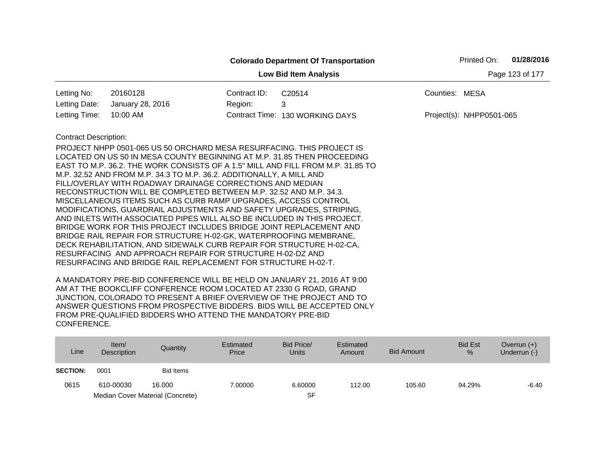|                                                 |                                                                                                                                                                                                                                                                                                                                                                                                                                                                                                                                                                                                                                                                                                                                                                                                                                                                                                                                  |              | <b>Colorado Department Of Transportation</b>                                    |                | Printed On:              | 01/28/2016 |  |  |
|-------------------------------------------------|----------------------------------------------------------------------------------------------------------------------------------------------------------------------------------------------------------------------------------------------------------------------------------------------------------------------------------------------------------------------------------------------------------------------------------------------------------------------------------------------------------------------------------------------------------------------------------------------------------------------------------------------------------------------------------------------------------------------------------------------------------------------------------------------------------------------------------------------------------------------------------------------------------------------------------|--------------|---------------------------------------------------------------------------------|----------------|--------------------------|------------|--|--|
| Page 123 of 177<br><b>Low Bid Item Analysis</b> |                                                                                                                                                                                                                                                                                                                                                                                                                                                                                                                                                                                                                                                                                                                                                                                                                                                                                                                                  |              |                                                                                 |                |                          |            |  |  |
| Letting No:                                     | 20160128                                                                                                                                                                                                                                                                                                                                                                                                                                                                                                                                                                                                                                                                                                                                                                                                                                                                                                                         | Contract ID: | C20514                                                                          | Counties: MESA |                          |            |  |  |
| Letting Date:                                   | January 28, 2016                                                                                                                                                                                                                                                                                                                                                                                                                                                                                                                                                                                                                                                                                                                                                                                                                                                                                                                 | Region:      | 3                                                                               |                |                          |            |  |  |
| Letting Time:                                   | 10:00 AM                                                                                                                                                                                                                                                                                                                                                                                                                                                                                                                                                                                                                                                                                                                                                                                                                                                                                                                         |              | Contract Time: 130 WORKING DAYS                                                 |                | Project(s): NHPP0501-065 |            |  |  |
| <b>Contract Description:</b>                    | PROJECT NHPP 0501-065 US 50 ORCHARD MESA RESURFACING. THIS PROJECT IS<br>LOCATED ON US 50 IN MESA COUNTY BEGINNING AT M.P. 31.85 THEN PROCEEDING<br>M.P. 32.52 AND FROM M.P. 34.3 TO M.P. 36.2. ADDITIONALLY, A MILL AND<br>FILL/OVERLAY WITH ROADWAY DRAINAGE CORRECTIONS AND MEDIAN<br>RECONSTRUCTION WILL BE COMPLETED BETWEEN M.P. 32.52 AND M.P. 34.3.<br>MISCELLANEOUS ITEMS SUCH AS CURB RAMP UPGRADES, ACCESS CONTROL<br>MODIFICATIONS, GUARDRAIL ADJUSTMENTS AND SAFETY UPGRADES, STRIPING,<br>AND INLETS WITH ASSOCIATED PIPES WILL ALSO BE INCLUDED IN THIS PROJECT.<br>BRIDGE WORK FOR THIS PROJECT INCLUDES BRIDGE JOINT REPLACEMENT AND<br>BRIDGE RAIL REPAIR FOR STRUCTURE H-02-GK, WATERPROOFING MEMBRANE,<br>DECK REHABILITATION, AND SIDEWALK CURB REPAIR FOR STRUCTURE H-02-CA,<br>RESURFACING AND APPROACH REPAIR FOR STRUCTURE H-02-DZ AND<br>RESURFACING AND BRIDGE RAIL REPLACEMENT FOR STRUCTURE H-02-T. |              | EAST TO M.P. 36.2. THE WORK CONSISTS OF A 1.5" MILL AND FILL FROM M.P. 31.85 TO |                |                          |            |  |  |

| Line            | Item/<br><b>Description</b> | Quantity                         | Estimated<br>Price | Bid Price/<br><b>Units</b> | Estimated<br>Amount | Bid Amount | <b>Bid Est</b><br>$\%$ | Overrun $(+)$<br>Underrun (-) |
|-----------------|-----------------------------|----------------------------------|--------------------|----------------------------|---------------------|------------|------------------------|-------------------------------|
| <b>SECTION:</b> | 0001                        | Bid Items                        |                    |                            |                     |            |                        |                               |
| 0615            | 610-00030                   | 16.000                           | 7.00000            | 6.60000                    | 112.00              | 105.60     | 94.29%                 | -6.40                         |
|                 |                             | Median Cover Material (Concrete) |                    | SF                         |                     |            |                        |                               |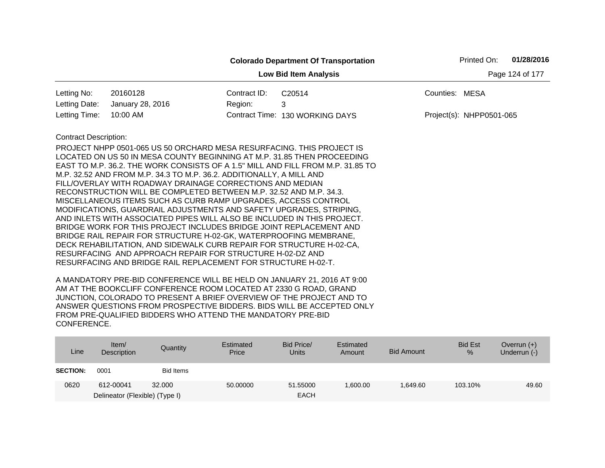|                                                 |                                                                                 |              | <b>Colorado Department Of Transportation</b> |                | Printed On:              | 01/28/2016 |  |  |
|-------------------------------------------------|---------------------------------------------------------------------------------|--------------|----------------------------------------------|----------------|--------------------------|------------|--|--|
| Page 124 of 177<br><b>Low Bid Item Analysis</b> |                                                                                 |              |                                              |                |                          |            |  |  |
| Letting No:                                     | 20160128                                                                        | Contract ID: | C <sub>20514</sub>                           | Counties: MESA |                          |            |  |  |
| Letting Date:                                   | January 28, 2016                                                                | Region:      | 3                                            |                |                          |            |  |  |
| Letting Time:                                   | 10:00 AM                                                                        |              | Contract Time: 130 WORKING DAYS              |                | Project(s): NHPP0501-065 |            |  |  |
| <b>Contract Description:</b>                    |                                                                                 |              |                                              |                |                          |            |  |  |
|                                                 | PROJECT NHPP 0501-065 US 50 ORCHARD MESA RESURFACING. THIS PROJECT IS           |              |                                              |                |                          |            |  |  |
|                                                 | LOCATED ON US 50 IN MESA COUNTY BEGINNING AT M.P. 31.85 THEN PROCEEDING         |              |                                              |                |                          |            |  |  |
|                                                 | EAST TO M.P. 36.2. THE WORK CONSISTS OF A 1.5" MILL AND FILL FROM M.P. 31.85 TO |              |                                              |                |                          |            |  |  |
|                                                 | M.P. 32.52 AND FROM M.P. 34.3 TO M.P. 36.2. ADDITIONALLY, A MILL AND            |              |                                              |                |                          |            |  |  |
|                                                 | FILL/OVERLAY WITH ROADWAY DRAINAGE CORRECTIONS AND MEDIAN                       |              |                                              |                |                          |            |  |  |
|                                                 | RECONSTRUCTION WILL BE COMPLETED BETWEEN M.P. 32.52 AND M.P. 34.3.              |              |                                              |                |                          |            |  |  |
|                                                 | MISCELLANEOUS ITEMS SUCH AS CURB RAMP UPGRADES, ACCESS CONTROL                  |              |                                              |                |                          |            |  |  |
|                                                 | MODIFICATIONS, GUARDRAIL ADJUSTMENTS AND SAFETY UPGRADES, STRIPING,             |              |                                              |                |                          |            |  |  |
|                                                 | AND INLETS WITH ASSOCIATED PIPES WILL ALSO BE INCLUDED IN THIS PROJECT.         |              |                                              |                |                          |            |  |  |
|                                                 | BRIDGE WORK FOR THIS PROJECT INCLUDES BRIDGE JOINT REPLACEMENT AND              |              |                                              |                |                          |            |  |  |
|                                                 | BRIDGE RAIL REPAIR FOR STRUCTURE H-02-GK, WATERPROOFING MEMBRANE,               |              |                                              |                |                          |            |  |  |
|                                                 | DECK REHABILITATION, AND SIDEWALK CURB REPAIR FOR STRUCTURE H-02-CA,            |              |                                              |                |                          |            |  |  |
|                                                 | RESURFACING AND APPROACH REPAIR FOR STRUCTURE H-02-DZ AND                       |              |                                              |                |                          |            |  |  |
|                                                 | RESURFACING AND BRIDGE RAIL REPLACEMENT FOR STRUCTURE H-02-T.                   |              |                                              |                |                          |            |  |  |

| Line            | Item $/$<br>Description        | Quantity  | Estimated<br>Price | Bid Price/<br><b>Units</b> | Estimated<br>Amount | <b>Bid Amount</b> | <b>Bid Est</b><br>% | Overrun $(+)$<br>Underrun (-) |
|-----------------|--------------------------------|-----------|--------------------|----------------------------|---------------------|-------------------|---------------------|-------------------------------|
| <b>SECTION:</b> | 0001                           | Bid Items |                    |                            |                     |                   |                     |                               |
| 0620            | 612-00041                      | 32,000    | 50.00000           | 51.55000                   | ,600.00             | 1.649.60          | 103.10%             | 49.60                         |
|                 | Delineator (Flexible) (Type I) |           |                    | <b>EACH</b>                |                     |                   |                     |                               |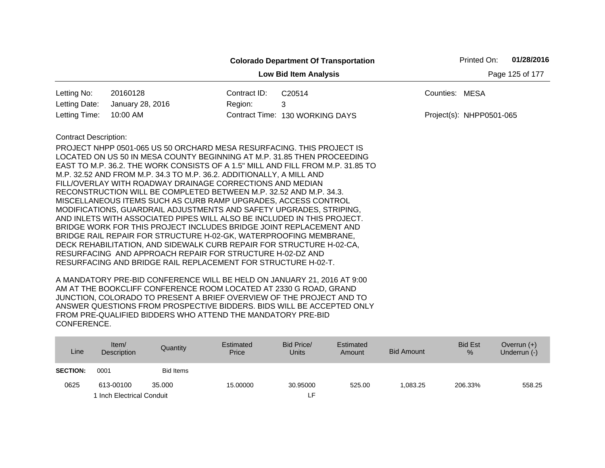|                                                 |                                                                                                                                                                                                                                                                                                                                                                                                                                                                                                                                                                                                                                                                                                                                                                                                                                                                                                                                  |              | <b>Colorado Department Of Transportation</b>                                    |                | Printed On:              | 01/28/2016 |  |  |
|-------------------------------------------------|----------------------------------------------------------------------------------------------------------------------------------------------------------------------------------------------------------------------------------------------------------------------------------------------------------------------------------------------------------------------------------------------------------------------------------------------------------------------------------------------------------------------------------------------------------------------------------------------------------------------------------------------------------------------------------------------------------------------------------------------------------------------------------------------------------------------------------------------------------------------------------------------------------------------------------|--------------|---------------------------------------------------------------------------------|----------------|--------------------------|------------|--|--|
| <b>Low Bid Item Analysis</b><br>Page 125 of 177 |                                                                                                                                                                                                                                                                                                                                                                                                                                                                                                                                                                                                                                                                                                                                                                                                                                                                                                                                  |              |                                                                                 |                |                          |            |  |  |
| Letting No:                                     | 20160128                                                                                                                                                                                                                                                                                                                                                                                                                                                                                                                                                                                                                                                                                                                                                                                                                                                                                                                         | Contract ID: | C20514                                                                          | Counties: MESA |                          |            |  |  |
| Letting Date:                                   | January 28, 2016                                                                                                                                                                                                                                                                                                                                                                                                                                                                                                                                                                                                                                                                                                                                                                                                                                                                                                                 | Region:      | 3                                                                               |                |                          |            |  |  |
| Letting Time:                                   | 10:00 AM                                                                                                                                                                                                                                                                                                                                                                                                                                                                                                                                                                                                                                                                                                                                                                                                                                                                                                                         |              | Contract Time: 130 WORKING DAYS                                                 |                | Project(s): NHPP0501-065 |            |  |  |
| <b>Contract Description:</b>                    | PROJECT NHPP 0501-065 US 50 ORCHARD MESA RESURFACING. THIS PROJECT IS<br>LOCATED ON US 50 IN MESA COUNTY BEGINNING AT M.P. 31.85 THEN PROCEEDING<br>M.P. 32.52 AND FROM M.P. 34.3 TO M.P. 36.2. ADDITIONALLY, A MILL AND<br>FILL/OVERLAY WITH ROADWAY DRAINAGE CORRECTIONS AND MEDIAN<br>RECONSTRUCTION WILL BE COMPLETED BETWEEN M.P. 32.52 AND M.P. 34.3.<br>MISCELLANEOUS ITEMS SUCH AS CURB RAMP UPGRADES, ACCESS CONTROL<br>MODIFICATIONS, GUARDRAIL ADJUSTMENTS AND SAFETY UPGRADES, STRIPING,<br>AND INLETS WITH ASSOCIATED PIPES WILL ALSO BE INCLUDED IN THIS PROJECT.<br>BRIDGE WORK FOR THIS PROJECT INCLUDES BRIDGE JOINT REPLACEMENT AND<br>BRIDGE RAIL REPAIR FOR STRUCTURE H-02-GK, WATERPROOFING MEMBRANE,<br>DECK REHABILITATION, AND SIDEWALK CURB REPAIR FOR STRUCTURE H-02-CA,<br>RESURFACING AND APPROACH REPAIR FOR STRUCTURE H-02-DZ AND<br>RESURFACING AND BRIDGE RAIL REPLACEMENT FOR STRUCTURE H-02-T. |              | EAST TO M.P. 36.2. THE WORK CONSISTS OF A 1.5" MILL AND FILL FROM M.P. 31.85 TO |                |                          |            |  |  |

| Line            | Item/<br><b>Description</b> | Quantity         | Estimated<br>Price | Bid Price/<br>Units | Estimated<br>Amount | Bid Amount | <b>Bid Est</b><br>% | Overrun $(+)$<br>Underrun (-) |
|-----------------|-----------------------------|------------------|--------------------|---------------------|---------------------|------------|---------------------|-------------------------------|
| <b>SECTION:</b> | 0001                        | <b>Bid Items</b> |                    |                     |                     |            |                     |                               |
| 0625            | 613-00100                   | 35,000           | 15.00000           | 30.95000            | 525.00              | 1.083.25   | 206.33%             | 558.25                        |
|                 | 1 Inch Electrical Conduit   |                  |                    | ιF.                 |                     |            |                     |                               |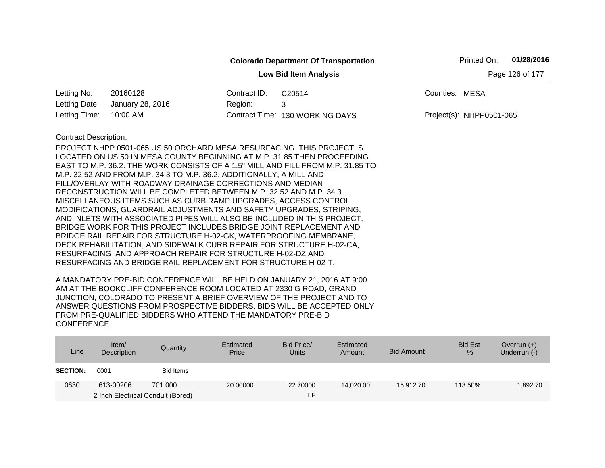|                                                 |                                                                                 |              | <b>Colorado Department Of Transportation</b> |                | Printed On:              | 01/28/2016 |  |  |  |
|-------------------------------------------------|---------------------------------------------------------------------------------|--------------|----------------------------------------------|----------------|--------------------------|------------|--|--|--|
| Page 126 of 177<br><b>Low Bid Item Analysis</b> |                                                                                 |              |                                              |                |                          |            |  |  |  |
| Letting No:                                     | 20160128                                                                        | Contract ID: | C20514                                       | Counties: MESA |                          |            |  |  |  |
| Letting Date:                                   | January 28, 2016                                                                | Region:      | 3                                            |                |                          |            |  |  |  |
| Letting Time:                                   | 10:00 AM                                                                        |              | Contract Time: 130 WORKING DAYS              |                | Project(s): NHPP0501-065 |            |  |  |  |
| <b>Contract Description:</b>                    |                                                                                 |              |                                              |                |                          |            |  |  |  |
|                                                 | PROJECT NHPP 0501-065 US 50 ORCHARD MESA RESURFACING. THIS PROJECT IS           |              |                                              |                |                          |            |  |  |  |
|                                                 | LOCATED ON US 50 IN MESA COUNTY BEGINNING AT M.P. 31.85 THEN PROCEEDING         |              |                                              |                |                          |            |  |  |  |
|                                                 | EAST TO M.P. 36.2. THE WORK CONSISTS OF A 1.5" MILL AND FILL FROM M.P. 31.85 TO |              |                                              |                |                          |            |  |  |  |
|                                                 | M.P. 32.52 AND FROM M.P. 34.3 TO M.P. 36.2. ADDITIONALLY, A MILL AND            |              |                                              |                |                          |            |  |  |  |
|                                                 | FILL/OVERLAY WITH ROADWAY DRAINAGE CORRECTIONS AND MEDIAN                       |              |                                              |                |                          |            |  |  |  |
|                                                 | RECONSTRUCTION WILL BE COMPLETED BETWEEN M.P. 32.52 AND M.P. 34.3.              |              |                                              |                |                          |            |  |  |  |
|                                                 | MISCELLANEOUS ITEMS SUCH AS CURB RAMP UPGRADES, ACCESS CONTROL                  |              |                                              |                |                          |            |  |  |  |
|                                                 | MODIFICATIONS, GUARDRAIL ADJUSTMENTS AND SAFETY UPGRADES, STRIPING,             |              |                                              |                |                          |            |  |  |  |
|                                                 | AND INLETS WITH ASSOCIATED PIPES WILL ALSO BE INCLUDED IN THIS PROJECT.         |              |                                              |                |                          |            |  |  |  |
|                                                 | BRIDGE WORK FOR THIS PROJECT INCLUDES BRIDGE JOINT REPLACEMENT AND              |              |                                              |                |                          |            |  |  |  |
|                                                 | BRIDGE RAIL REPAIR FOR STRUCTURE H-02-GK, WATERPROOFING MEMBRANE,               |              |                                              |                |                          |            |  |  |  |
|                                                 | DECK REHABILITATION, AND SIDEWALK CURB REPAIR FOR STRUCTURE H-02-CA,            |              |                                              |                |                          |            |  |  |  |
|                                                 | RESURFACING AND APPROACH REPAIR FOR STRUCTURE H-02-DZ AND                       |              |                                              |                |                          |            |  |  |  |
|                                                 | RESURFACING AND BRIDGE RAIL REPLACEMENT FOR STRUCTURE H-02-T.                   |              |                                              |                |                          |            |  |  |  |

| Line            | Item/<br>Description              | Quantity  | Estimated<br>Price | Bid Price/<br><b>Units</b> | Estimated<br>Amount | <b>Bid Amount</b> | <b>Bid Est</b><br>$\%$ | Overrun $(+)$<br>Underrun (-) |
|-----------------|-----------------------------------|-----------|--------------------|----------------------------|---------------------|-------------------|------------------------|-------------------------------|
| <b>SECTION:</b> | 0001                              | Bid Items |                    |                            |                     |                   |                        |                               |
| 0630            | 613-00206                         | 701.000   | 20,00000           | 22,70000                   | 14.020.00           | 15.912.70         | 113.50%                | 1,892.70                      |
|                 | 2 Inch Electrical Conduit (Bored) |           |                    | ίF.                        |                     |                   |                        |                               |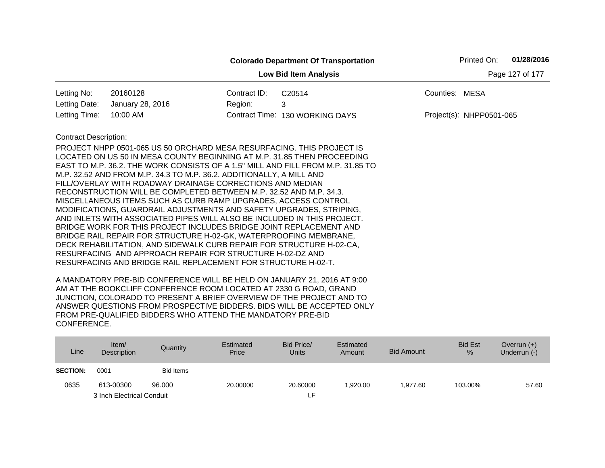| 01/28/2016<br>Printed On:<br><b>Colorado Department Of Transportation</b> |                                                                                                                                                                                                                                                                                                                                                                                                                                                                                                                                                                                                                                                                                                                                                                                                                                                                                                                                                    |              |                                 |                |                            |  |  |  |
|---------------------------------------------------------------------------|----------------------------------------------------------------------------------------------------------------------------------------------------------------------------------------------------------------------------------------------------------------------------------------------------------------------------------------------------------------------------------------------------------------------------------------------------------------------------------------------------------------------------------------------------------------------------------------------------------------------------------------------------------------------------------------------------------------------------------------------------------------------------------------------------------------------------------------------------------------------------------------------------------------------------------------------------|--------------|---------------------------------|----------------|----------------------------|--|--|--|
| Page 127 of 177<br><b>Low Bid Item Analysis</b>                           |                                                                                                                                                                                                                                                                                                                                                                                                                                                                                                                                                                                                                                                                                                                                                                                                                                                                                                                                                    |              |                                 |                |                            |  |  |  |
| Letting No:                                                               | 20160128                                                                                                                                                                                                                                                                                                                                                                                                                                                                                                                                                                                                                                                                                                                                                                                                                                                                                                                                           | Contract ID: | C20514                          | Counties: MESA |                            |  |  |  |
| Letting Date:                                                             | January 28, 2016                                                                                                                                                                                                                                                                                                                                                                                                                                                                                                                                                                                                                                                                                                                                                                                                                                                                                                                                   | Region:      | 3                               |                |                            |  |  |  |
| Letting Time:                                                             | 10:00 AM                                                                                                                                                                                                                                                                                                                                                                                                                                                                                                                                                                                                                                                                                                                                                                                                                                                                                                                                           |              | Contract Time: 130 WORKING DAYS |                | $Project(s): NHPP0501-065$ |  |  |  |
| <b>Contract Description:</b>                                              | PROJECT NHPP 0501-065 US 50 ORCHARD MESA RESURFACING. THIS PROJECT IS<br>LOCATED ON US 50 IN MESA COUNTY BEGINNING AT M.P. 31.85 THEN PROCEEDING<br>EAST TO M.P. 36.2. THE WORK CONSISTS OF A 1.5" MILL AND FILL FROM M.P. 31.85 TO<br>M.P. 32.52 AND FROM M.P. 34.3 TO M.P. 36.2. ADDITIONALLY, A MILL AND<br>FILL/OVERLAY WITH ROADWAY DRAINAGE CORRECTIONS AND MEDIAN<br>RECONSTRUCTION WILL BE COMPLETED BETWEEN M.P. 32.52 AND M.P. 34.3.<br>MISCELLANEOUS ITEMS SUCH AS CURB RAMP UPGRADES, ACCESS CONTROL<br>MODIFICATIONS, GUARDRAIL ADJUSTMENTS AND SAFETY UPGRADES, STRIPING,<br>AND INLETS WITH ASSOCIATED PIPES WILL ALSO BE INCLUDED IN THIS PROJECT.<br>BRIDGE WORK FOR THIS PROJECT INCLUDES BRIDGE JOINT REPLACEMENT AND<br>BRIDGE RAIL REPAIR FOR STRUCTURE H-02-GK, WATERPROOFING MEMBRANE,<br>DECK REHABILITATION, AND SIDEWALK CURB REPAIR FOR STRUCTURE H-02-CA,<br>RESURFACING AND APPROACH REPAIR FOR STRUCTURE H-02-DZ AND |              |                                 |                |                            |  |  |  |
|                                                                           | RESURFACING AND BRIDGE RAIL REPLACEMENT FOR STRUCTURE H-02-T.                                                                                                                                                                                                                                                                                                                                                                                                                                                                                                                                                                                                                                                                                                                                                                                                                                                                                      |              |                                 |                |                            |  |  |  |

| Line            | Item/<br>Description      | Quantity         | Estimated<br>Price | Bid Price/<br><b>Units</b> | Estimated<br>Amount | <b>Bid Amount</b> | <b>Bid Est</b><br>% | Overrun $(+)$<br>Underrun $(-)$ |
|-----------------|---------------------------|------------------|--------------------|----------------------------|---------------------|-------------------|---------------------|---------------------------------|
| <b>SECTION:</b> | 0001                      | <b>Bid Items</b> |                    |                            |                     |                   |                     |                                 |
| 0635            | 613-00300                 | 96,000           | 20,00000           | 20,60000                   | .920.00             | 1.977.60          | 103.00%             | 57.60                           |
|                 | 3 Inch Electrical Conduit |                  |                    | ∟F.                        |                     |                   |                     |                                 |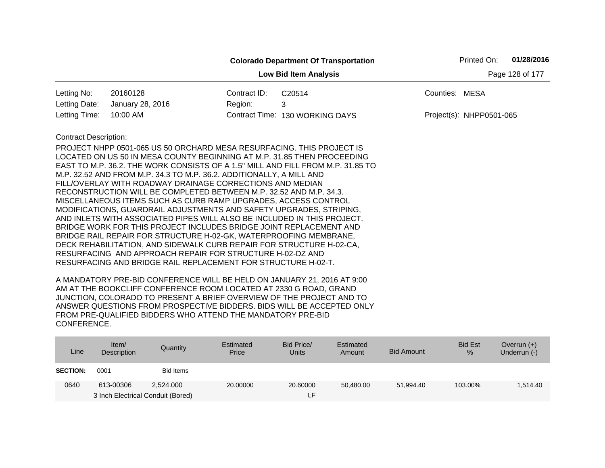|                                                 |                                                                         |              | <b>Colorado Department Of Transportation</b>                                    |                | Printed On:              | 01/28/2016 |  |  |  |
|-------------------------------------------------|-------------------------------------------------------------------------|--------------|---------------------------------------------------------------------------------|----------------|--------------------------|------------|--|--|--|
| Page 128 of 177<br><b>Low Bid Item Analysis</b> |                                                                         |              |                                                                                 |                |                          |            |  |  |  |
| Letting No:                                     | 20160128                                                                | Contract ID: | C20514                                                                          | Counties: MESA |                          |            |  |  |  |
| Letting Date:                                   | January 28, 2016                                                        | Region:      | 3                                                                               |                |                          |            |  |  |  |
| Letting Time:                                   | 10:00 AM                                                                |              | Contract Time: 130 WORKING DAYS                                                 |                | Project(s): NHPP0501-065 |            |  |  |  |
| <b>Contract Description:</b>                    |                                                                         |              |                                                                                 |                |                          |            |  |  |  |
|                                                 | PROJECT NHPP 0501-065 US 50 ORCHARD MESA RESURFACING. THIS PROJECT IS   |              |                                                                                 |                |                          |            |  |  |  |
|                                                 | LOCATED ON US 50 IN MESA COUNTY BEGINNING AT M.P. 31.85 THEN PROCEEDING |              |                                                                                 |                |                          |            |  |  |  |
|                                                 |                                                                         |              | EAST TO M.P. 36.2. THE WORK CONSISTS OF A 1.5" MILL AND FILL FROM M.P. 31.85 TO |                |                          |            |  |  |  |
|                                                 | M.P. 32.52 AND FROM M.P. 34.3 TO M.P. 36.2. ADDITIONALLY, A MILL AND    |              |                                                                                 |                |                          |            |  |  |  |
|                                                 | FILL/OVERLAY WITH ROADWAY DRAINAGE CORRECTIONS AND MEDIAN               |              |                                                                                 |                |                          |            |  |  |  |
|                                                 | RECONSTRUCTION WILL BE COMPLETED BETWEEN M.P. 32.52 AND M.P. 34.3.      |              |                                                                                 |                |                          |            |  |  |  |
|                                                 | MISCELLANEOUS ITEMS SUCH AS CURB RAMP UPGRADES, ACCESS CONTROL          |              |                                                                                 |                |                          |            |  |  |  |
|                                                 | MODIFICATIONS, GUARDRAIL ADJUSTMENTS AND SAFETY UPGRADES, STRIPING,     |              |                                                                                 |                |                          |            |  |  |  |
|                                                 | AND INLETS WITH ASSOCIATED PIPES WILL ALSO BE INCLUDED IN THIS PROJECT. |              |                                                                                 |                |                          |            |  |  |  |
|                                                 | BRIDGE WORK FOR THIS PROJECT INCLUDES BRIDGE JOINT REPLACEMENT AND      |              |                                                                                 |                |                          |            |  |  |  |
|                                                 | BRIDGE RAIL REPAIR FOR STRUCTURE H-02-GK, WATERPROOFING MEMBRANE,       |              |                                                                                 |                |                          |            |  |  |  |
|                                                 | DECK REHABILITATION, AND SIDEWALK CURB REPAIR FOR STRUCTURE H-02-CA,    |              |                                                                                 |                |                          |            |  |  |  |
|                                                 | RESURFACING AND APPROACH REPAIR FOR STRUCTURE H-02-DZ AND               |              |                                                                                 |                |                          |            |  |  |  |
|                                                 | RESURFACING AND BRIDGE RAIL REPLACEMENT FOR STRUCTURE H-02-T.           |              |                                                                                 |                |                          |            |  |  |  |

| Line            | Item $/$<br>Description           | Quantity  | Estimated<br>Price | Bid Price/<br><b>Units</b> | Estimated<br>Amount | <b>Bid Amount</b> | <b>Bid Est</b><br>% | Overrun $(+)$<br>Underrun (-) |
|-----------------|-----------------------------------|-----------|--------------------|----------------------------|---------------------|-------------------|---------------------|-------------------------------|
| <b>SECTION:</b> | 0001                              | Bid Items |                    |                            |                     |                   |                     |                               |
| 0640            | 613-00306                         | 2.524.000 | 20,00000           | 20,60000                   | 50,480.00           | 51.994.40         | 103.00%             | 1,514.40                      |
|                 | 3 Inch Electrical Conduit (Bored) |           |                    | LH.                        |                     |                   |                     |                               |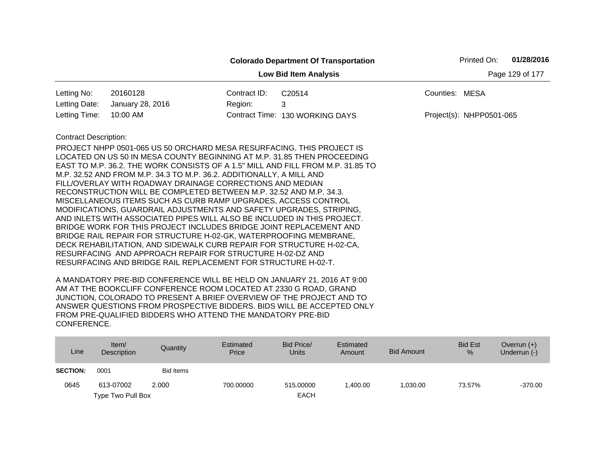|                              |                                                                                                                                   |              | <b>Colorado Department Of Transportation</b>                                    |                | 01/28/2016<br>Printed On: |
|------------------------------|-----------------------------------------------------------------------------------------------------------------------------------|--------------|---------------------------------------------------------------------------------|----------------|---------------------------|
|                              |                                                                                                                                   |              | <b>Low Bid Item Analysis</b>                                                    |                | Page 129 of 177           |
| Letting No:                  | 20160128                                                                                                                          | Contract ID: | C20514                                                                          | Counties: MESA |                           |
| Letting Date:                | January 28, 2016                                                                                                                  | Region:      | 3                                                                               |                |                           |
| Letting Time:                | 10:00 AM                                                                                                                          |              | Contract Time: 130 WORKING DAYS                                                 |                | Project(s): NHPP0501-065  |
| <b>Contract Description:</b> |                                                                                                                                   |              |                                                                                 |                |                           |
|                              | PROJECT NHPP 0501-065 US 50 ORCHARD MESA RESURFACING. THIS PROJECT IS                                                             |              |                                                                                 |                |                           |
|                              | LOCATED ON US 50 IN MESA COUNTY BEGINNING AT M.P. 31.85 THEN PROCEEDING                                                           |              |                                                                                 |                |                           |
|                              |                                                                                                                                   |              | EAST TO M.P. 36.2. THE WORK CONSISTS OF A 1.5" MILL AND FILL FROM M.P. 31.85 TO |                |                           |
|                              | M.P. 32.52 AND FROM M.P. 34.3 TO M.P. 36.2. ADDITIONALLY, A MILL AND                                                              |              |                                                                                 |                |                           |
|                              | FILL/OVERLAY WITH ROADWAY DRAINAGE CORRECTIONS AND MEDIAN                                                                         |              |                                                                                 |                |                           |
|                              | RECONSTRUCTION WILL BE COMPLETED BETWEEN M.P. 32.52 AND M.P. 34.3.                                                                |              |                                                                                 |                |                           |
|                              | MISCELLANEOUS ITEMS SUCH AS CURB RAMP UPGRADES, ACCESS CONTROL                                                                    |              |                                                                                 |                |                           |
|                              | MODIFICATIONS, GUARDRAIL ADJUSTMENTS AND SAFETY UPGRADES, STRIPING,                                                               |              |                                                                                 |                |                           |
|                              | AND INLETS WITH ASSOCIATED PIPES WILL ALSO BE INCLUDED IN THIS PROJECT.                                                           |              |                                                                                 |                |                           |
|                              | BRIDGE WORK FOR THIS PROJECT INCLUDES BRIDGE JOINT REPLACEMENT AND                                                                |              |                                                                                 |                |                           |
|                              | BRIDGE RAIL REPAIR FOR STRUCTURE H-02-GK, WATERPROOFING MEMBRANE,                                                                 |              |                                                                                 |                |                           |
|                              | DECK REHABILITATION, AND SIDEWALK CURB REPAIR FOR STRUCTURE H-02-CA,<br>RESURFACING AND APPROACH REPAIR FOR STRUCTURE H-02-DZ AND |              |                                                                                 |                |                           |
|                              | RESURFACING AND BRIDGE RAIL REPLACEMENT FOR STRUCTURE H-02-T.                                                                     |              |                                                                                 |                |                           |
|                              |                                                                                                                                   |              |                                                                                 |                |                           |

| Line            | Item/<br>Description | Quantity         | Estimated<br>Price | Bid Price/<br>Units | Estimated<br>Amount | Bid Amount | <b>Bid Est</b><br>$\%$ | Overrun $(+)$<br>Underrun (-) |
|-----------------|----------------------|------------------|--------------------|---------------------|---------------------|------------|------------------------|-------------------------------|
| <b>SECTION:</b> | 0001                 | <b>Bid Items</b> |                    |                     |                     |            |                        |                               |
| 0645            | 613-07002            | 2.000            | 700.00000          | 515,00000           | 1.400.00            | 1.030.00   | 73.57%                 | $-370.00$                     |
|                 | Type Two Pull Box    |                  |                    | <b>EACH</b>         |                     |            |                        |                               |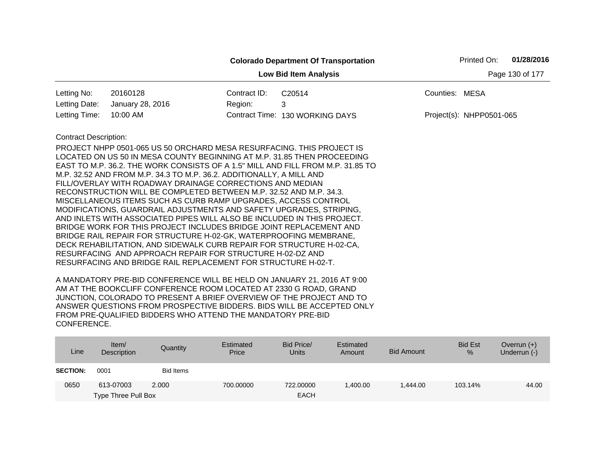|                                                 |                                                                                                                                                                                                                                                                                                                                                                                                                                                                                                                                                                                                                                                                                                                                                                                                                                                                                                                                  |              | <b>Colorado Department Of Transportation</b>                                    |                | Printed On:              | 01/28/2016 |  |  |
|-------------------------------------------------|----------------------------------------------------------------------------------------------------------------------------------------------------------------------------------------------------------------------------------------------------------------------------------------------------------------------------------------------------------------------------------------------------------------------------------------------------------------------------------------------------------------------------------------------------------------------------------------------------------------------------------------------------------------------------------------------------------------------------------------------------------------------------------------------------------------------------------------------------------------------------------------------------------------------------------|--------------|---------------------------------------------------------------------------------|----------------|--------------------------|------------|--|--|
| Page 130 of 177<br><b>Low Bid Item Analysis</b> |                                                                                                                                                                                                                                                                                                                                                                                                                                                                                                                                                                                                                                                                                                                                                                                                                                                                                                                                  |              |                                                                                 |                |                          |            |  |  |
| Letting No:                                     | 20160128                                                                                                                                                                                                                                                                                                                                                                                                                                                                                                                                                                                                                                                                                                                                                                                                                                                                                                                         | Contract ID: | C20514                                                                          | Counties: MESA |                          |            |  |  |
| Letting Date:                                   | January 28, 2016                                                                                                                                                                                                                                                                                                                                                                                                                                                                                                                                                                                                                                                                                                                                                                                                                                                                                                                 | Region:      | 3                                                                               |                |                          |            |  |  |
| Letting Time:                                   | 10:00 AM                                                                                                                                                                                                                                                                                                                                                                                                                                                                                                                                                                                                                                                                                                                                                                                                                                                                                                                         |              | Contract Time: 130 WORKING DAYS                                                 |                | Project(s): NHPP0501-065 |            |  |  |
| <b>Contract Description:</b>                    | PROJECT NHPP 0501-065 US 50 ORCHARD MESA RESURFACING. THIS PROJECT IS<br>LOCATED ON US 50 IN MESA COUNTY BEGINNING AT M.P. 31.85 THEN PROCEEDING<br>M.P. 32.52 AND FROM M.P. 34.3 TO M.P. 36.2. ADDITIONALLY, A MILL AND<br>FILL/OVERLAY WITH ROADWAY DRAINAGE CORRECTIONS AND MEDIAN<br>RECONSTRUCTION WILL BE COMPLETED BETWEEN M.P. 32.52 AND M.P. 34.3.<br>MISCELLANEOUS ITEMS SUCH AS CURB RAMP UPGRADES, ACCESS CONTROL<br>MODIFICATIONS, GUARDRAIL ADJUSTMENTS AND SAFETY UPGRADES, STRIPING,<br>AND INLETS WITH ASSOCIATED PIPES WILL ALSO BE INCLUDED IN THIS PROJECT.<br>BRIDGE WORK FOR THIS PROJECT INCLUDES BRIDGE JOINT REPLACEMENT AND<br>BRIDGE RAIL REPAIR FOR STRUCTURE H-02-GK, WATERPROOFING MEMBRANE,<br>DECK REHABILITATION, AND SIDEWALK CURB REPAIR FOR STRUCTURE H-02-CA,<br>RESURFACING AND APPROACH REPAIR FOR STRUCTURE H-02-DZ AND<br>RESURFACING AND BRIDGE RAIL REPLACEMENT FOR STRUCTURE H-02-T. |              | EAST TO M.P. 36.2. THE WORK CONSISTS OF A 1.5" MILL AND FILL FROM M.P. 31.85 TO |                |                          |            |  |  |

| Line            | Item $/$<br>Description | Quantity         | Estimated<br>Price | Bid Price/<br><b>Units</b> | Estimated<br>Amount | Bid Amount | <b>Bid Est</b><br>% | Overrun $(+)$<br>Underrun (-) |
|-----------------|-------------------------|------------------|--------------------|----------------------------|---------------------|------------|---------------------|-------------------------------|
| <b>SECTION:</b> | 0001                    | <b>Bid Items</b> |                    |                            |                     |            |                     |                               |
| 0650            | 613-07003               | 2.000            | 700.00000          | 722,00000                  | 400.00,             | 1.444.00   | 103.14%             | 44.00                         |
|                 | Type Three Pull Box     |                  |                    | <b>EACH</b>                |                     |            |                     |                               |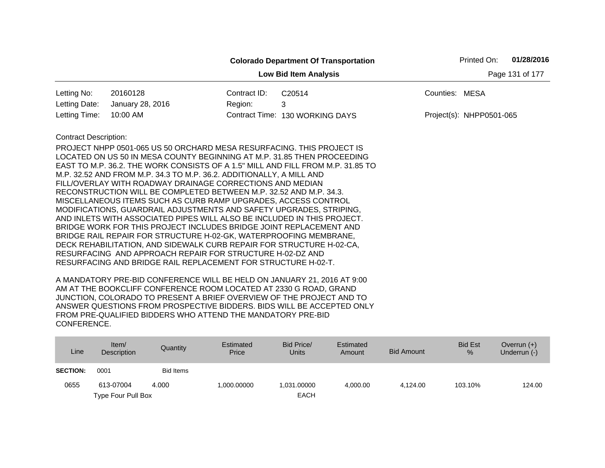|                              |                                                                                                                                                                                                                                                                                                                                                                                                                                                                                                                                                                                                                                                                                                                                                                                                                                                       |              | <b>Colorado Department Of Transportation</b>                                                                                                               |                | Printed On:              | 01/28/2016      |
|------------------------------|-------------------------------------------------------------------------------------------------------------------------------------------------------------------------------------------------------------------------------------------------------------------------------------------------------------------------------------------------------------------------------------------------------------------------------------------------------------------------------------------------------------------------------------------------------------------------------------------------------------------------------------------------------------------------------------------------------------------------------------------------------------------------------------------------------------------------------------------------------|--------------|------------------------------------------------------------------------------------------------------------------------------------------------------------|----------------|--------------------------|-----------------|
|                              |                                                                                                                                                                                                                                                                                                                                                                                                                                                                                                                                                                                                                                                                                                                                                                                                                                                       |              | <b>Low Bid Item Analysis</b>                                                                                                                               |                |                          | Page 131 of 177 |
| Letting No:                  | 20160128                                                                                                                                                                                                                                                                                                                                                                                                                                                                                                                                                                                                                                                                                                                                                                                                                                              | Contract ID: | C20514                                                                                                                                                     | Counties: MESA |                          |                 |
| Letting Date:                | January 28, 2016                                                                                                                                                                                                                                                                                                                                                                                                                                                                                                                                                                                                                                                                                                                                                                                                                                      | Region:      | 3                                                                                                                                                          |                |                          |                 |
| Letting Time:                | 10:00 AM                                                                                                                                                                                                                                                                                                                                                                                                                                                                                                                                                                                                                                                                                                                                                                                                                                              |              | Contract Time: 130 WORKING DAYS                                                                                                                            |                | Project(s): NHPP0501-065 |                 |
| <b>Contract Description:</b> | PROJECT NHPP 0501-065 US 50 ORCHARD MESA RESURFACING. THIS PROJECT IS<br>M.P. 32.52 AND FROM M.P. 34.3 TO M.P. 36.2. ADDITIONALLY, A MILL AND<br>FILL/OVERLAY WITH ROADWAY DRAINAGE CORRECTIONS AND MEDIAN<br>RECONSTRUCTION WILL BE COMPLETED BETWEEN M.P. 32.52 AND M.P. 34.3.<br>MISCELLANEOUS ITEMS SUCH AS CURB RAMP UPGRADES, ACCESS CONTROL<br>MODIFICATIONS, GUARDRAIL ADJUSTMENTS AND SAFETY UPGRADES, STRIPING,<br>AND INLETS WITH ASSOCIATED PIPES WILL ALSO BE INCLUDED IN THIS PROJECT.<br>BRIDGE WORK FOR THIS PROJECT INCLUDES BRIDGE JOINT REPLACEMENT AND<br>BRIDGE RAIL REPAIR FOR STRUCTURE H-02-GK, WATERPROOFING MEMBRANE,<br>DECK REHABILITATION, AND SIDEWALK CURB REPAIR FOR STRUCTURE H-02-CA,<br>RESURFACING AND APPROACH REPAIR FOR STRUCTURE H-02-DZ AND<br>RESURFACING AND BRIDGE RAIL REPLACEMENT FOR STRUCTURE H-02-T. |              | LOCATED ON US 50 IN MESA COUNTY BEGINNING AT M.P. 31.85 THEN PROCEEDING<br>EAST TO M.P. 36.2. THE WORK CONSISTS OF A 1.5" MILL AND FILL FROM M.P. 31.85 TO |                |                          |                 |

| Line            | Item $/$<br>Description | Quantity         | Estimated<br>Price | Bid Price/<br>Units | Estimated<br>Amount | <b>Bid Amount</b> | <b>Bid Est</b><br>$\%$ | Overrun $(+)$<br>Underrun (-) |
|-----------------|-------------------------|------------------|--------------------|---------------------|---------------------|-------------------|------------------------|-------------------------------|
| <b>SECTION:</b> | 0001                    | <b>Bid Items</b> |                    |                     |                     |                   |                        |                               |
| 0655            | 613-07004               | 4.000            | 1.000.00000        | 1.031.00000         | 4.000.00            | 4.124.00          | 103.10%                | 124.00                        |
|                 | Type Four Pull Box      |                  |                    | <b>EACH</b>         |                     |                   |                        |                               |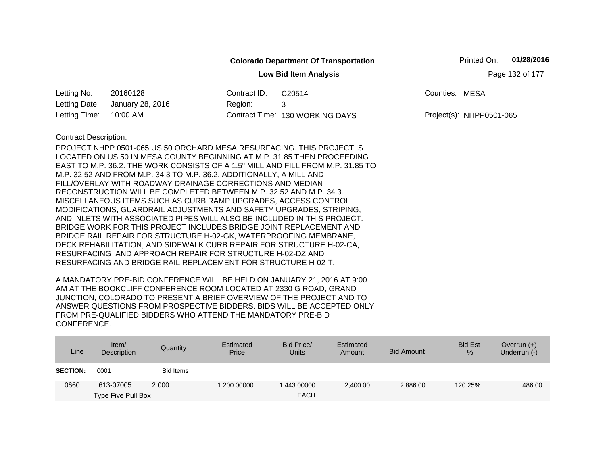|                              |                                                                                                                                      |              | <b>Colorado Department Of Transportation</b>                                    |                          | Printed On: | 01/28/2016      |
|------------------------------|--------------------------------------------------------------------------------------------------------------------------------------|--------------|---------------------------------------------------------------------------------|--------------------------|-------------|-----------------|
|                              |                                                                                                                                      |              | <b>Low Bid Item Analysis</b>                                                    |                          |             | Page 132 of 177 |
| Letting No:                  | 20160128                                                                                                                             | Contract ID: | C20514                                                                          | Counties: MESA           |             |                 |
| Letting Date:                | January 28, 2016                                                                                                                     | Region:      | 3                                                                               |                          |             |                 |
| Letting Time:                | 10:00 AM                                                                                                                             |              | Contract Time: 130 WORKING DAYS                                                 | Project(s): NHPP0501-065 |             |                 |
| <b>Contract Description:</b> |                                                                                                                                      |              |                                                                                 |                          |             |                 |
|                              | PROJECT NHPP 0501-065 US 50 ORCHARD MESA RESURFACING. THIS PROJECT IS                                                                |              |                                                                                 |                          |             |                 |
|                              |                                                                                                                                      |              | LOCATED ON US 50 IN MESA COUNTY BEGINNING AT M.P. 31.85 THEN PROCEEDING         |                          |             |                 |
|                              |                                                                                                                                      |              | EAST TO M.P. 36.2. THE WORK CONSISTS OF A 1.5" MILL AND FILL FROM M.P. 31.85 TO |                          |             |                 |
|                              | M.P. 32.52 AND FROM M.P. 34.3 TO M.P. 36.2. ADDITIONALLY, A MILL AND                                                                 |              |                                                                                 |                          |             |                 |
|                              | FILL/OVERLAY WITH ROADWAY DRAINAGE CORRECTIONS AND MEDIAN                                                                            |              |                                                                                 |                          |             |                 |
|                              | RECONSTRUCTION WILL BE COMPLETED BETWEEN M.P. 32.52 AND M.P. 34.3.<br>MISCELLANEOUS ITEMS SUCH AS CURB RAMP UPGRADES, ACCESS CONTROL |              |                                                                                 |                          |             |                 |
|                              | MODIFICATIONS, GUARDRAIL ADJUSTMENTS AND SAFETY UPGRADES, STRIPING,                                                                  |              |                                                                                 |                          |             |                 |
|                              | AND INLETS WITH ASSOCIATED PIPES WILL ALSO BE INCLUDED IN THIS PROJECT.                                                              |              |                                                                                 |                          |             |                 |
|                              | BRIDGE WORK FOR THIS PROJECT INCLUDES BRIDGE JOINT REPLACEMENT AND                                                                   |              |                                                                                 |                          |             |                 |
|                              | BRIDGE RAIL REPAIR FOR STRUCTURE H-02-GK, WATERPROOFING MEMBRANE,                                                                    |              |                                                                                 |                          |             |                 |
|                              | DECK REHABILITATION, AND SIDEWALK CURB REPAIR FOR STRUCTURE H-02-CA,                                                                 |              |                                                                                 |                          |             |                 |
|                              | RESURFACING AND APPROACH REPAIR FOR STRUCTURE H-02-DZ AND                                                                            |              |                                                                                 |                          |             |                 |
|                              | RESURFACING AND BRIDGE RAIL REPLACEMENT FOR STRUCTURE H-02-T.                                                                        |              |                                                                                 |                          |             |                 |
|                              | A MANIBATODY BBF BIB OONFFRENOF WILL BF UFLB ON IANUABY AT A AAAA AT A AA                                                            |              |                                                                                 |                          |             |                 |

| Line            | Item $/$<br>Description | Quantity         | Estimated<br>Price | Bid Price/<br><b>Units</b> | Estimated<br>Amount | Bid Amount | <b>Bid Est</b><br>% | Overrun $(+)$<br>Underrun (-) |
|-----------------|-------------------------|------------------|--------------------|----------------------------|---------------------|------------|---------------------|-------------------------------|
| <b>SECTION:</b> | 0001                    | <b>Bid Items</b> |                    |                            |                     |            |                     |                               |
| 0660            | 613-07005               | 2.000            | 1,200.00000        | 1.443.00000                | 2,400.00            | 2,886.00   | 120.25%             | 486.00                        |
|                 | Type Five Pull Box      |                  |                    | <b>EACH</b>                |                     |            |                     |                               |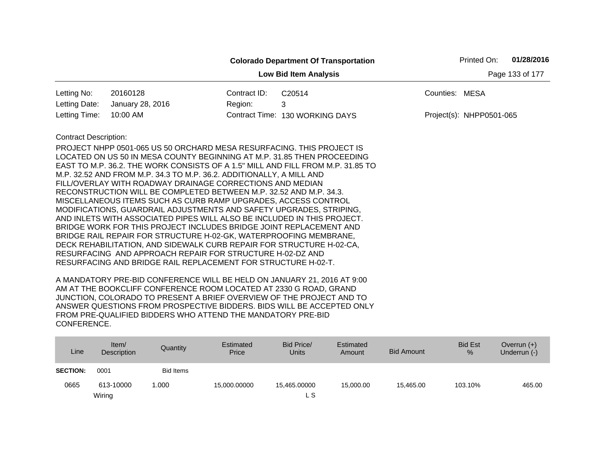|                                                 |                                                                                                                                       |              | <b>Colorado Department Of Transportation</b>                                    |                | Printed On:              | 01/28/2016 |  |  |  |
|-------------------------------------------------|---------------------------------------------------------------------------------------------------------------------------------------|--------------|---------------------------------------------------------------------------------|----------------|--------------------------|------------|--|--|--|
| Page 133 of 177<br><b>Low Bid Item Analysis</b> |                                                                                                                                       |              |                                                                                 |                |                          |            |  |  |  |
| Letting No:                                     | 20160128                                                                                                                              | Contract ID: | C20514                                                                          | Counties: MESA |                          |            |  |  |  |
| Letting Date:                                   | January 28, 2016                                                                                                                      | Region:      | 3                                                                               |                |                          |            |  |  |  |
| Letting Time:                                   | 10:00 AM                                                                                                                              |              | Contract Time: 130 WORKING DAYS                                                 |                | Project(s): NHPP0501-065 |            |  |  |  |
| <b>Contract Description:</b>                    |                                                                                                                                       |              |                                                                                 |                |                          |            |  |  |  |
|                                                 | PROJECT NHPP 0501-065 US 50 ORCHARD MESA RESURFACING. THIS PROJECT IS                                                                 |              |                                                                                 |                |                          |            |  |  |  |
|                                                 |                                                                                                                                       |              | LOCATED ON US 50 IN MESA COUNTY BEGINNING AT M.P. 31.85 THEN PROCEEDING         |                |                          |            |  |  |  |
|                                                 |                                                                                                                                       |              | EAST TO M.P. 36.2. THE WORK CONSISTS OF A 1.5" MILL AND FILL FROM M.P. 31.85 TO |                |                          |            |  |  |  |
|                                                 | M.P. 32.52 AND FROM M.P. 34.3 TO M.P. 36.2. ADDITIONALLY, A MILL AND                                                                  |              |                                                                                 |                |                          |            |  |  |  |
|                                                 | FILL/OVERLAY WITH ROADWAY DRAINAGE CORRECTIONS AND MEDIAN                                                                             |              |                                                                                 |                |                          |            |  |  |  |
|                                                 | RECONSTRUCTION WILL BE COMPLETED BETWEEN M.P. 32.52 AND M.P. 34.3.                                                                    |              |                                                                                 |                |                          |            |  |  |  |
|                                                 | MISCELLANEOUS ITEMS SUCH AS CURB RAMP UPGRADES, ACCESS CONTROL<br>MODIFICATIONS, GUARDRAIL ADJUSTMENTS AND SAFETY UPGRADES, STRIPING, |              |                                                                                 |                |                          |            |  |  |  |
|                                                 | AND INLETS WITH ASSOCIATED PIPES WILL ALSO BE INCLUDED IN THIS PROJECT.                                                               |              |                                                                                 |                |                          |            |  |  |  |
|                                                 | BRIDGE WORK FOR THIS PROJECT INCLUDES BRIDGE JOINT REPLACEMENT AND                                                                    |              |                                                                                 |                |                          |            |  |  |  |
|                                                 | BRIDGE RAIL REPAIR FOR STRUCTURE H-02-GK, WATERPROOFING MEMBRANE,                                                                     |              |                                                                                 |                |                          |            |  |  |  |
|                                                 | DECK REHABILITATION, AND SIDEWALK CURB REPAIR FOR STRUCTURE H-02-CA,                                                                  |              |                                                                                 |                |                          |            |  |  |  |
|                                                 | RESURFACING AND APPROACH REPAIR FOR STRUCTURE H-02-DZ AND                                                                             |              |                                                                                 |                |                          |            |  |  |  |
|                                                 | RESURFACING AND BRIDGE RAIL REPLACEMENT FOR STRUCTURE H-02-T.                                                                         |              |                                                                                 |                |                          |            |  |  |  |
|                                                 |                                                                                                                                       |              |                                                                                 |                |                          |            |  |  |  |

| Line            | Item/<br><b>Description</b> | Quantity         | Estimated<br>Price | Bid Price/<br><b>Units</b> | Estimated<br>Amount | <b>Bid Amount</b> | <b>Bid Est</b><br>% | Overrun $(+)$<br>Underrun (-) |
|-----------------|-----------------------------|------------------|--------------------|----------------------------|---------------------|-------------------|---------------------|-------------------------------|
| <b>SECTION:</b> | 0001                        | <b>Bid Items</b> |                    |                            |                     |                   |                     |                               |
| 0665            | 613-10000                   | 1.000            | 15,000.00000       | 15,465.00000               | 15.000.00           | 15,465.00         | 103.10%             | 465.00                        |
|                 | Wiring                      |                  |                    | ∟ S                        |                     |                   |                     |                               |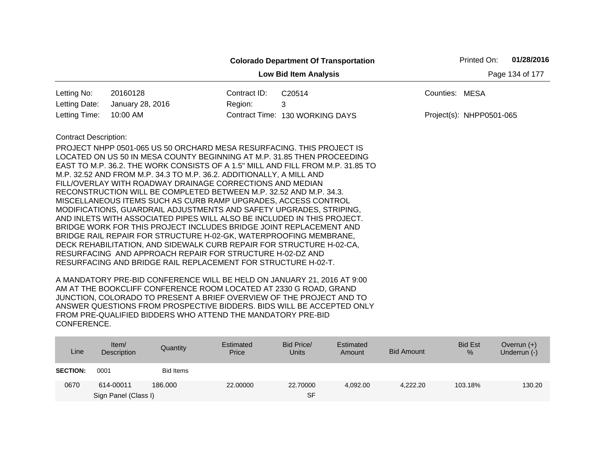|                                                 |                                                                                                                                                                                                                                                                                                                                                                                                                                                                                                                                                                                                                                                                                                                                                                                                                                                                                                                                                                                                                     |              | <b>Colorado Department Of Transportation</b> |                | Printed On:              | 01/28/2016 |  |  |
|-------------------------------------------------|---------------------------------------------------------------------------------------------------------------------------------------------------------------------------------------------------------------------------------------------------------------------------------------------------------------------------------------------------------------------------------------------------------------------------------------------------------------------------------------------------------------------------------------------------------------------------------------------------------------------------------------------------------------------------------------------------------------------------------------------------------------------------------------------------------------------------------------------------------------------------------------------------------------------------------------------------------------------------------------------------------------------|--------------|----------------------------------------------|----------------|--------------------------|------------|--|--|
| Page 134 of 177<br><b>Low Bid Item Analysis</b> |                                                                                                                                                                                                                                                                                                                                                                                                                                                                                                                                                                                                                                                                                                                                                                                                                                                                                                                                                                                                                     |              |                                              |                |                          |            |  |  |
| Letting No:                                     | 20160128                                                                                                                                                                                                                                                                                                                                                                                                                                                                                                                                                                                                                                                                                                                                                                                                                                                                                                                                                                                                            | Contract ID: | C20514                                       | Counties: MESA |                          |            |  |  |
| Letting Date:                                   | January 28, 2016                                                                                                                                                                                                                                                                                                                                                                                                                                                                                                                                                                                                                                                                                                                                                                                                                                                                                                                                                                                                    | Region:      | 3                                            |                |                          |            |  |  |
| Letting Time:                                   | 10:00 AM                                                                                                                                                                                                                                                                                                                                                                                                                                                                                                                                                                                                                                                                                                                                                                                                                                                                                                                                                                                                            |              | Contract Time: 130 WORKING DAYS              |                | Project(s): NHPP0501-065 |            |  |  |
| <b>Contract Description:</b>                    | PROJECT NHPP 0501-065 US 50 ORCHARD MESA RESURFACING. THIS PROJECT IS<br>LOCATED ON US 50 IN MESA COUNTY BEGINNING AT M.P. 31.85 THEN PROCEEDING<br>EAST TO M.P. 36.2. THE WORK CONSISTS OF A 1.5" MILL AND FILL FROM M.P. 31.85 TO<br>M.P. 32.52 AND FROM M.P. 34.3 TO M.P. 36.2. ADDITIONALLY, A MILL AND<br>FILL/OVERLAY WITH ROADWAY DRAINAGE CORRECTIONS AND MEDIAN<br>RECONSTRUCTION WILL BE COMPLETED BETWEEN M.P. 32.52 AND M.P. 34.3.<br>MISCELLANEOUS ITEMS SUCH AS CURB RAMP UPGRADES, ACCESS CONTROL<br>MODIFICATIONS, GUARDRAIL ADJUSTMENTS AND SAFETY UPGRADES, STRIPING,<br>AND INLETS WITH ASSOCIATED PIPES WILL ALSO BE INCLUDED IN THIS PROJECT.<br>BRIDGE WORK FOR THIS PROJECT INCLUDES BRIDGE JOINT REPLACEMENT AND<br>BRIDGE RAIL REPAIR FOR STRUCTURE H-02-GK, WATERPROOFING MEMBRANE,<br>DECK REHABILITATION, AND SIDEWALK CURB REPAIR FOR STRUCTURE H-02-CA,<br>RESURFACING AND APPROACH REPAIR FOR STRUCTURE H-02-DZ AND<br>RESURFACING AND BRIDGE RAIL REPLACEMENT FOR STRUCTURE H-02-T. |              |                                              |                |                          |            |  |  |
|                                                 |                                                                                                                                                                                                                                                                                                                                                                                                                                                                                                                                                                                                                                                                                                                                                                                                                                                                                                                                                                                                                     |              |                                              |                |                          |            |  |  |

| Line            | Item $/$<br>Description | Quantity  | Estimated<br>Price | Bid Price/<br><b>Units</b> | Estimated<br>Amount | <b>Bid Amount</b> | <b>Bid Est</b><br>% | Overrun $(+)$<br>Underrun (-) |
|-----------------|-------------------------|-----------|--------------------|----------------------------|---------------------|-------------------|---------------------|-------------------------------|
| <b>SECTION:</b> | 0001                    | Bid Items |                    |                            |                     |                   |                     |                               |
| 0670            | 614-00011               | 186,000   | 22,00000           | 22.70000                   | 4,092.00            | 4.222.20          | 103.18%             | 130.20                        |
|                 | Sign Panel (Class I)    |           |                    | <b>SF</b>                  |                     |                   |                     |                               |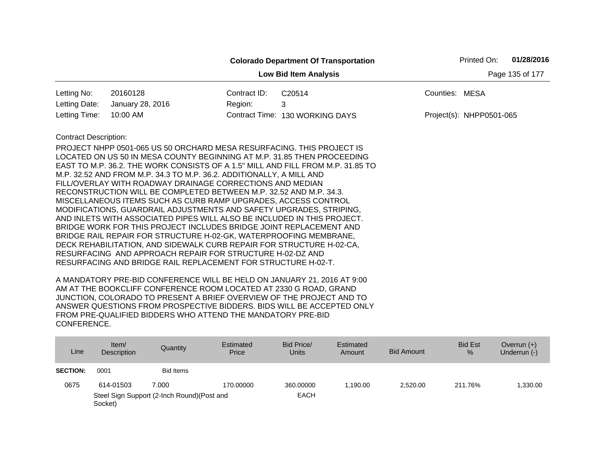|                                                 |                                                                                                                                                                                                                                                                                                                                                                                                                                                                                                                                                                                                                                                                                                                                                                                                                                                                                                                                  |              | <b>Colorado Department Of Transportation</b>                                    |                | Printed On:              | 01/28/2016 |  |  |
|-------------------------------------------------|----------------------------------------------------------------------------------------------------------------------------------------------------------------------------------------------------------------------------------------------------------------------------------------------------------------------------------------------------------------------------------------------------------------------------------------------------------------------------------------------------------------------------------------------------------------------------------------------------------------------------------------------------------------------------------------------------------------------------------------------------------------------------------------------------------------------------------------------------------------------------------------------------------------------------------|--------------|---------------------------------------------------------------------------------|----------------|--------------------------|------------|--|--|
| Page 135 of 177<br><b>Low Bid Item Analysis</b> |                                                                                                                                                                                                                                                                                                                                                                                                                                                                                                                                                                                                                                                                                                                                                                                                                                                                                                                                  |              |                                                                                 |                |                          |            |  |  |
| Letting No:                                     | 20160128                                                                                                                                                                                                                                                                                                                                                                                                                                                                                                                                                                                                                                                                                                                                                                                                                                                                                                                         | Contract ID: | C20514                                                                          | Counties: MESA |                          |            |  |  |
| Letting Date:                                   | January 28, 2016                                                                                                                                                                                                                                                                                                                                                                                                                                                                                                                                                                                                                                                                                                                                                                                                                                                                                                                 | Region:      | 3                                                                               |                |                          |            |  |  |
| Letting Time:                                   | 10:00 AM                                                                                                                                                                                                                                                                                                                                                                                                                                                                                                                                                                                                                                                                                                                                                                                                                                                                                                                         |              | Contract Time: 130 WORKING DAYS                                                 |                | Project(s): NHPP0501-065 |            |  |  |
| <b>Contract Description:</b>                    | PROJECT NHPP 0501-065 US 50 ORCHARD MESA RESURFACING. THIS PROJECT IS<br>LOCATED ON US 50 IN MESA COUNTY BEGINNING AT M.P. 31.85 THEN PROCEEDING<br>M.P. 32.52 AND FROM M.P. 34.3 TO M.P. 36.2. ADDITIONALLY, A MILL AND<br>FILL/OVERLAY WITH ROADWAY DRAINAGE CORRECTIONS AND MEDIAN<br>RECONSTRUCTION WILL BE COMPLETED BETWEEN M.P. 32.52 AND M.P. 34.3.<br>MISCELLANEOUS ITEMS SUCH AS CURB RAMP UPGRADES, ACCESS CONTROL<br>MODIFICATIONS, GUARDRAIL ADJUSTMENTS AND SAFETY UPGRADES, STRIPING,<br>AND INLETS WITH ASSOCIATED PIPES WILL ALSO BE INCLUDED IN THIS PROJECT.<br>BRIDGE WORK FOR THIS PROJECT INCLUDES BRIDGE JOINT REPLACEMENT AND<br>BRIDGE RAIL REPAIR FOR STRUCTURE H-02-GK, WATERPROOFING MEMBRANE,<br>DECK REHABILITATION, AND SIDEWALK CURB REPAIR FOR STRUCTURE H-02-CA,<br>RESURFACING AND APPROACH REPAIR FOR STRUCTURE H-02-DZ AND<br>RESURFACING AND BRIDGE RAIL REPLACEMENT FOR STRUCTURE H-02-T. |              | EAST TO M.P. 36.2. THE WORK CONSISTS OF A 1.5" MILL AND FILL FROM M.P. 31.85 TO |                |                          |            |  |  |

| Line            | Item/<br>Description | <b>Quantity</b>                             | Estimated<br>Price | Bid Price/<br><b>Units</b> | Estimated<br>Amount | <b>Bid Amount</b> | <b>Bid Est</b><br>% | Overrun $(+)$<br>Underrun (-) |
|-----------------|----------------------|---------------------------------------------|--------------------|----------------------------|---------------------|-------------------|---------------------|-------------------------------|
| <b>SECTION:</b> | 0001                 | Bid Items                                   |                    |                            |                     |                   |                     |                               |
| 0675            | 614-01503            | 7.000                                       | 170.00000          | 360,00000                  | 1.190.00            | 2.520.00          | 211.76%             | .330.00                       |
|                 | Socket)              | Steel Sign Support (2-Inch Round) (Post and |                    | <b>EACH</b>                |                     |                   |                     |                               |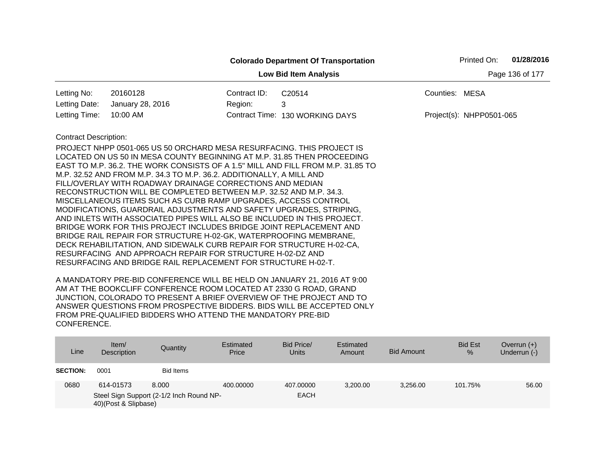|                                                 |                                                                                                                                                                                                                                                                                                                                                                                                                                                                                                                                                                                                                                                                                                                                                                                                                                                                                                                                                                                                                     |              | <b>Colorado Department Of Transportation</b> | Printed On:              | 01/28/2016 |  |  |  |  |
|-------------------------------------------------|---------------------------------------------------------------------------------------------------------------------------------------------------------------------------------------------------------------------------------------------------------------------------------------------------------------------------------------------------------------------------------------------------------------------------------------------------------------------------------------------------------------------------------------------------------------------------------------------------------------------------------------------------------------------------------------------------------------------------------------------------------------------------------------------------------------------------------------------------------------------------------------------------------------------------------------------------------------------------------------------------------------------|--------------|----------------------------------------------|--------------------------|------------|--|--|--|--|
| Page 136 of 177<br><b>Low Bid Item Analysis</b> |                                                                                                                                                                                                                                                                                                                                                                                                                                                                                                                                                                                                                                                                                                                                                                                                                                                                                                                                                                                                                     |              |                                              |                          |            |  |  |  |  |
| Letting No:                                     | 20160128                                                                                                                                                                                                                                                                                                                                                                                                                                                                                                                                                                                                                                                                                                                                                                                                                                                                                                                                                                                                            | Contract ID: | C20514                                       | Counties: MESA           |            |  |  |  |  |
| Letting Date:                                   | January 28, 2016                                                                                                                                                                                                                                                                                                                                                                                                                                                                                                                                                                                                                                                                                                                                                                                                                                                                                                                                                                                                    | Region:      | 3                                            |                          |            |  |  |  |  |
| Letting Time:                                   | 10:00 AM                                                                                                                                                                                                                                                                                                                                                                                                                                                                                                                                                                                                                                                                                                                                                                                                                                                                                                                                                                                                            |              | Contract Time: 130 WORKING DAYS              | Project(s): NHPP0501-065 |            |  |  |  |  |
| <b>Contract Description:</b>                    | PROJECT NHPP 0501-065 US 50 ORCHARD MESA RESURFACING. THIS PROJECT IS<br>LOCATED ON US 50 IN MESA COUNTY BEGINNING AT M.P. 31.85 THEN PROCEEDING<br>EAST TO M.P. 36.2. THE WORK CONSISTS OF A 1.5" MILL AND FILL FROM M.P. 31.85 TO<br>M.P. 32.52 AND FROM M.P. 34.3 TO M.P. 36.2. ADDITIONALLY, A MILL AND<br>FILL/OVERLAY WITH ROADWAY DRAINAGE CORRECTIONS AND MEDIAN<br>RECONSTRUCTION WILL BE COMPLETED BETWEEN M.P. 32.52 AND M.P. 34.3.<br>MISCELLANEOUS ITEMS SUCH AS CURB RAMP UPGRADES, ACCESS CONTROL<br>MODIFICATIONS, GUARDRAIL ADJUSTMENTS AND SAFETY UPGRADES, STRIPING,<br>AND INLETS WITH ASSOCIATED PIPES WILL ALSO BE INCLUDED IN THIS PROJECT.<br>BRIDGE WORK FOR THIS PROJECT INCLUDES BRIDGE JOINT REPLACEMENT AND<br>BRIDGE RAIL REPAIR FOR STRUCTURE H-02-GK, WATERPROOFING MEMBRANE,<br>DECK REHABILITATION, AND SIDEWALK CURB REPAIR FOR STRUCTURE H-02-CA,<br>RESURFACING AND APPROACH REPAIR FOR STRUCTURE H-02-DZ AND<br>RESURFACING AND BRIDGE RAIL REPLACEMENT FOR STRUCTURE H-02-T. |              |                                              |                          |            |  |  |  |  |

| Line            | ltem/<br>Description | Quantity                                 | Estimated<br>Price | Bid Price/<br><b>Units</b> | Estimated<br>Amount | <b>Bid Amount</b> | <b>Bid Est</b><br>$\%$ | Overrun $(+)$<br>Underrun (-) |
|-----------------|----------------------|------------------------------------------|--------------------|----------------------------|---------------------|-------------------|------------------------|-------------------------------|
| <b>SECTION:</b> | 0001                 | <b>Bid Items</b>                         |                    |                            |                     |                   |                        |                               |
| 0680            | 614-01573            | 8.000                                    | 400.00000          | 407.00000                  | 3.200.00            | 3.256.00          | 101.75%                | 56.00                         |
|                 | 40)(Post & Slipbase) | Steel Sign Support (2-1/2 Inch Round NP- |                    | <b>EACH</b>                |                     |                   |                        |                               |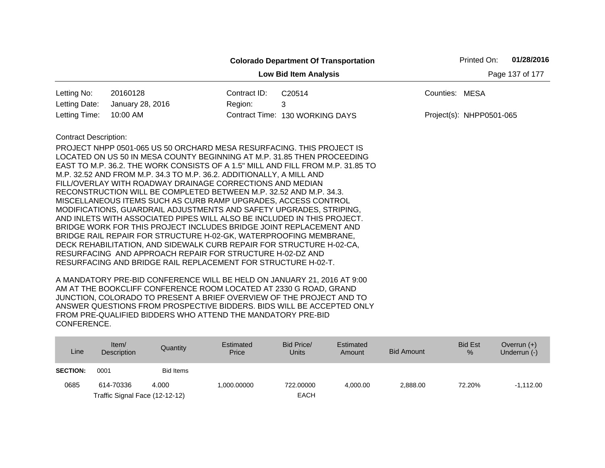|                                                 |                                                                                                                                                                                                                                                                                                                                                                                                                                                                                                                                                                                                                                                                                                                                                                                                                                                                                                                                  |              | <b>Colorado Department Of Transportation</b>                                    |                | Printed On:              | 01/28/2016 |  |  |
|-------------------------------------------------|----------------------------------------------------------------------------------------------------------------------------------------------------------------------------------------------------------------------------------------------------------------------------------------------------------------------------------------------------------------------------------------------------------------------------------------------------------------------------------------------------------------------------------------------------------------------------------------------------------------------------------------------------------------------------------------------------------------------------------------------------------------------------------------------------------------------------------------------------------------------------------------------------------------------------------|--------------|---------------------------------------------------------------------------------|----------------|--------------------------|------------|--|--|
| <b>Low Bid Item Analysis</b><br>Page 137 of 177 |                                                                                                                                                                                                                                                                                                                                                                                                                                                                                                                                                                                                                                                                                                                                                                                                                                                                                                                                  |              |                                                                                 |                |                          |            |  |  |
| Letting No:                                     | 20160128                                                                                                                                                                                                                                                                                                                                                                                                                                                                                                                                                                                                                                                                                                                                                                                                                                                                                                                         | Contract ID: | C20514                                                                          | Counties: MESA |                          |            |  |  |
| Letting Date:                                   | January 28, 2016                                                                                                                                                                                                                                                                                                                                                                                                                                                                                                                                                                                                                                                                                                                                                                                                                                                                                                                 | Region:      | 3                                                                               |                |                          |            |  |  |
| Letting Time:                                   | 10:00 AM                                                                                                                                                                                                                                                                                                                                                                                                                                                                                                                                                                                                                                                                                                                                                                                                                                                                                                                         |              | Contract Time: 130 WORKING DAYS                                                 |                | Project(s): NHPP0501-065 |            |  |  |
| <b>Contract Description:</b>                    | PROJECT NHPP 0501-065 US 50 ORCHARD MESA RESURFACING. THIS PROJECT IS<br>LOCATED ON US 50 IN MESA COUNTY BEGINNING AT M.P. 31.85 THEN PROCEEDING<br>M.P. 32.52 AND FROM M.P. 34.3 TO M.P. 36.2. ADDITIONALLY, A MILL AND<br>FILL/OVERLAY WITH ROADWAY DRAINAGE CORRECTIONS AND MEDIAN<br>RECONSTRUCTION WILL BE COMPLETED BETWEEN M.P. 32.52 AND M.P. 34.3.<br>MISCELLANEOUS ITEMS SUCH AS CURB RAMP UPGRADES, ACCESS CONTROL<br>MODIFICATIONS, GUARDRAIL ADJUSTMENTS AND SAFETY UPGRADES, STRIPING,<br>AND INLETS WITH ASSOCIATED PIPES WILL ALSO BE INCLUDED IN THIS PROJECT.<br>BRIDGE WORK FOR THIS PROJECT INCLUDES BRIDGE JOINT REPLACEMENT AND<br>BRIDGE RAIL REPAIR FOR STRUCTURE H-02-GK, WATERPROOFING MEMBRANE,<br>DECK REHABILITATION, AND SIDEWALK CURB REPAIR FOR STRUCTURE H-02-CA,<br>RESURFACING AND APPROACH REPAIR FOR STRUCTURE H-02-DZ AND<br>RESURFACING AND BRIDGE RAIL REPLACEMENT FOR STRUCTURE H-02-T. |              | EAST TO M.P. 36.2. THE WORK CONSISTS OF A 1.5" MILL AND FILL FROM M.P. 31.85 TO |                |                          |            |  |  |

| Line            | Item/<br>Description           | Quantity  | Estimated<br>Price | Bid Price/<br><b>Units</b> | Estimated<br>Amount | <b>Bid Amount</b> | <b>Bid Est</b><br>% | Overrun $(+)$<br>Underrun (-) |
|-----------------|--------------------------------|-----------|--------------------|----------------------------|---------------------|-------------------|---------------------|-------------------------------|
| <b>SECTION:</b> | 0001                           | Bid Items |                    |                            |                     |                   |                     |                               |
| 0685            | 614-70336                      | 4.000     | 1,000.00000        | 722.00000                  | 4.000.00            | 2,888.00          | 72.20%              | $-1.112.00$                   |
|                 | Traffic Signal Face (12-12-12) |           |                    | <b>EACH</b>                |                     |                   |                     |                               |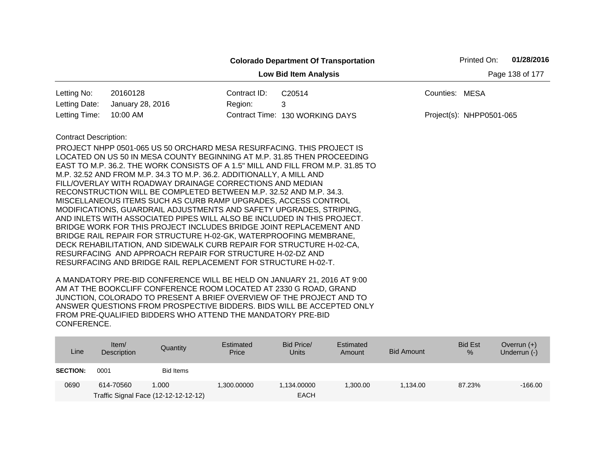|                                                 |                                                                                                                                                                                                                                                                                                                                                                                                                                                                                                                                                                                                                                                                                                                                                                                                                                                                                                                                  |              | <b>Colorado Department Of Transportation</b>                                    |                | Printed On:              | 01/28/2016 |  |  |
|-------------------------------------------------|----------------------------------------------------------------------------------------------------------------------------------------------------------------------------------------------------------------------------------------------------------------------------------------------------------------------------------------------------------------------------------------------------------------------------------------------------------------------------------------------------------------------------------------------------------------------------------------------------------------------------------------------------------------------------------------------------------------------------------------------------------------------------------------------------------------------------------------------------------------------------------------------------------------------------------|--------------|---------------------------------------------------------------------------------|----------------|--------------------------|------------|--|--|
| Page 138 of 177<br><b>Low Bid Item Analysis</b> |                                                                                                                                                                                                                                                                                                                                                                                                                                                                                                                                                                                                                                                                                                                                                                                                                                                                                                                                  |              |                                                                                 |                |                          |            |  |  |
| Letting No:                                     | 20160128                                                                                                                                                                                                                                                                                                                                                                                                                                                                                                                                                                                                                                                                                                                                                                                                                                                                                                                         | Contract ID: | C20514                                                                          | Counties: MESA |                          |            |  |  |
| Letting Date:                                   | January 28, 2016                                                                                                                                                                                                                                                                                                                                                                                                                                                                                                                                                                                                                                                                                                                                                                                                                                                                                                                 | Region:      | 3                                                                               |                |                          |            |  |  |
| Letting Time:                                   | 10:00 AM                                                                                                                                                                                                                                                                                                                                                                                                                                                                                                                                                                                                                                                                                                                                                                                                                                                                                                                         |              | Contract Time: 130 WORKING DAYS                                                 |                | Project(s): NHPP0501-065 |            |  |  |
| <b>Contract Description:</b>                    | PROJECT NHPP 0501-065 US 50 ORCHARD MESA RESURFACING. THIS PROJECT IS<br>LOCATED ON US 50 IN MESA COUNTY BEGINNING AT M.P. 31.85 THEN PROCEEDING<br>M.P. 32.52 AND FROM M.P. 34.3 TO M.P. 36.2. ADDITIONALLY, A MILL AND<br>FILL/OVERLAY WITH ROADWAY DRAINAGE CORRECTIONS AND MEDIAN<br>RECONSTRUCTION WILL BE COMPLETED BETWEEN M.P. 32.52 AND M.P. 34.3.<br>MISCELLANEOUS ITEMS SUCH AS CURB RAMP UPGRADES, ACCESS CONTROL<br>MODIFICATIONS, GUARDRAIL ADJUSTMENTS AND SAFETY UPGRADES, STRIPING,<br>AND INLETS WITH ASSOCIATED PIPES WILL ALSO BE INCLUDED IN THIS PROJECT.<br>BRIDGE WORK FOR THIS PROJECT INCLUDES BRIDGE JOINT REPLACEMENT AND<br>BRIDGE RAIL REPAIR FOR STRUCTURE H-02-GK, WATERPROOFING MEMBRANE,<br>DECK REHABILITATION, AND SIDEWALK CURB REPAIR FOR STRUCTURE H-02-CA.<br>RESURFACING AND APPROACH REPAIR FOR STRUCTURE H-02-DZ AND<br>RESURFACING AND BRIDGE RAIL REPLACEMENT FOR STRUCTURE H-02-T. |              | EAST TO M.P. 36.2. THE WORK CONSISTS OF A 1.5" MILL AND FILL FROM M.P. 31.85 TO |                |                          |            |  |  |

| Line            | Item $/$<br>Description | Quantity                                      | Estimated<br>Price | Bid Price/<br><b>Units</b> | Estimated<br>Amount | <b>Bid Amount</b> | <b>Bid Est</b><br>% | Overrun $(+)$<br>Underrun $(-)$ |
|-----------------|-------------------------|-----------------------------------------------|--------------------|----------------------------|---------------------|-------------------|---------------------|---------------------------------|
| <b>SECTION:</b> | 0001                    | Bid Items                                     |                    |                            |                     |                   |                     |                                 |
| 0690            | 614-70560               | 1.000<br>Traffic Signal Face (12-12-12-12-12) | 1.300.00000        | 1,134.00000<br><b>EACH</b> | .300.00             | 1.134.00          | 87.23%              | $-166.00$                       |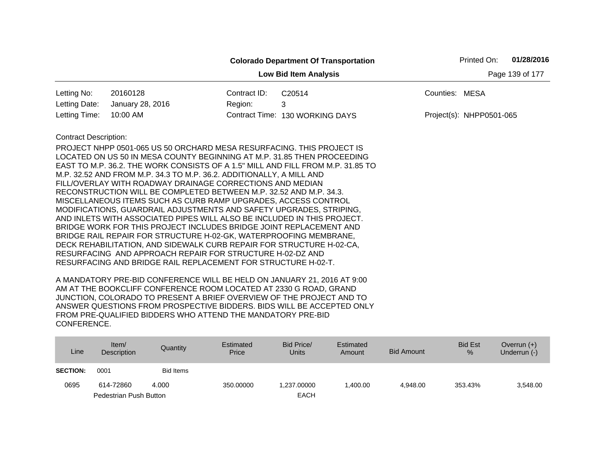|                                                 |                                                                                                                                                                                                                                                                                                                                                                                                                                                                                                                                                                                                                                                                                                                                                                                                                                                                                                                                                    |              | <b>Colorado Department Of Transportation</b> |                | Printed On:                | 01/28/2016 |  |  |
|-------------------------------------------------|----------------------------------------------------------------------------------------------------------------------------------------------------------------------------------------------------------------------------------------------------------------------------------------------------------------------------------------------------------------------------------------------------------------------------------------------------------------------------------------------------------------------------------------------------------------------------------------------------------------------------------------------------------------------------------------------------------------------------------------------------------------------------------------------------------------------------------------------------------------------------------------------------------------------------------------------------|--------------|----------------------------------------------|----------------|----------------------------|------------|--|--|
| Page 139 of 177<br><b>Low Bid Item Analysis</b> |                                                                                                                                                                                                                                                                                                                                                                                                                                                                                                                                                                                                                                                                                                                                                                                                                                                                                                                                                    |              |                                              |                |                            |            |  |  |
| Letting No:                                     | 20160128                                                                                                                                                                                                                                                                                                                                                                                                                                                                                                                                                                                                                                                                                                                                                                                                                                                                                                                                           | Contract ID: | C20514                                       | Counties: MESA |                            |            |  |  |
| Letting Date:                                   | January 28, 2016                                                                                                                                                                                                                                                                                                                                                                                                                                                                                                                                                                                                                                                                                                                                                                                                                                                                                                                                   | Region:      | 3                                            |                |                            |            |  |  |
| Letting Time:                                   | 10:00 AM                                                                                                                                                                                                                                                                                                                                                                                                                                                                                                                                                                                                                                                                                                                                                                                                                                                                                                                                           |              | Contract Time: 130 WORKING DAYS              |                | $Project(s): NHPP0501-065$ |            |  |  |
| <b>Contract Description:</b>                    | PROJECT NHPP 0501-065 US 50 ORCHARD MESA RESURFACING. THIS PROJECT IS<br>LOCATED ON US 50 IN MESA COUNTY BEGINNING AT M.P. 31.85 THEN PROCEEDING<br>EAST TO M.P. 36.2. THE WORK CONSISTS OF A 1.5" MILL AND FILL FROM M.P. 31.85 TO<br>M.P. 32.52 AND FROM M.P. 34.3 TO M.P. 36.2. ADDITIONALLY, A MILL AND<br>FILL/OVERLAY WITH ROADWAY DRAINAGE CORRECTIONS AND MEDIAN<br>RECONSTRUCTION WILL BE COMPLETED BETWEEN M.P. 32.52 AND M.P. 34.3.<br>MISCELLANEOUS ITEMS SUCH AS CURB RAMP UPGRADES, ACCESS CONTROL<br>MODIFICATIONS, GUARDRAIL ADJUSTMENTS AND SAFETY UPGRADES, STRIPING,<br>AND INLETS WITH ASSOCIATED PIPES WILL ALSO BE INCLUDED IN THIS PROJECT.<br>BRIDGE WORK FOR THIS PROJECT INCLUDES BRIDGE JOINT REPLACEMENT AND<br>BRIDGE RAIL REPAIR FOR STRUCTURE H-02-GK, WATERPROOFING MEMBRANE,<br>DECK REHABILITATION, AND SIDEWALK CURB REPAIR FOR STRUCTURE H-02-CA,<br>RESURFACING AND APPROACH REPAIR FOR STRUCTURE H-02-DZ AND |              |                                              |                |                            |            |  |  |
|                                                 | RESURFACING AND BRIDGE RAIL REPLACEMENT FOR STRUCTURE H-02-T.                                                                                                                                                                                                                                                                                                                                                                                                                                                                                                                                                                                                                                                                                                                                                                                                                                                                                      |              |                                              |                |                            |            |  |  |

| Line            | Item/<br>Description   | Quantity         | Estimated<br>Price | Bid Price/<br>Units | Estimated<br>Amount | <b>Bid Amount</b> | <b>Bid Est</b><br>% | Overrun $(+)$<br>Underrun (-) |
|-----------------|------------------------|------------------|--------------------|---------------------|---------------------|-------------------|---------------------|-------------------------------|
| <b>SECTION:</b> | 0001                   | <b>Bid Items</b> |                    |                     |                     |                   |                     |                               |
| 0695            | 614-72860              | 4.000            | 350.00000          | 1.237.00000         | 1.400.00            | 4.948.00          | 353.43%             | 3,548.00                      |
|                 | Pedestrian Push Button |                  |                    | <b>EACH</b>         |                     |                   |                     |                               |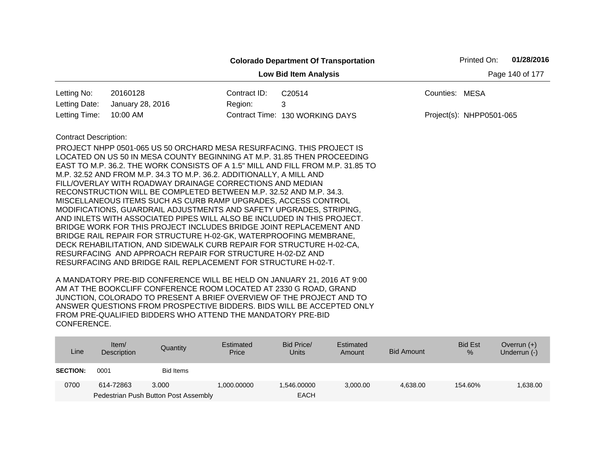|                                                 |                                                                                                                                                                                                                                                                                                                                                                                                                                                                                                                                                                                                                                                                                                                                                                                                                                                                                                                                  |              | <b>Colorado Department Of Transportation</b>                                    | Printed On:              | 01/28/2016 |  |  |  |
|-------------------------------------------------|----------------------------------------------------------------------------------------------------------------------------------------------------------------------------------------------------------------------------------------------------------------------------------------------------------------------------------------------------------------------------------------------------------------------------------------------------------------------------------------------------------------------------------------------------------------------------------------------------------------------------------------------------------------------------------------------------------------------------------------------------------------------------------------------------------------------------------------------------------------------------------------------------------------------------------|--------------|---------------------------------------------------------------------------------|--------------------------|------------|--|--|--|
| Page 140 of 177<br><b>Low Bid Item Analysis</b> |                                                                                                                                                                                                                                                                                                                                                                                                                                                                                                                                                                                                                                                                                                                                                                                                                                                                                                                                  |              |                                                                                 |                          |            |  |  |  |
| Letting No:                                     | 20160128                                                                                                                                                                                                                                                                                                                                                                                                                                                                                                                                                                                                                                                                                                                                                                                                                                                                                                                         | Contract ID: | C20514                                                                          | Counties: MESA           |            |  |  |  |
| Letting Date:                                   | January 28, 2016                                                                                                                                                                                                                                                                                                                                                                                                                                                                                                                                                                                                                                                                                                                                                                                                                                                                                                                 | Region:      | 3                                                                               |                          |            |  |  |  |
| Letting Time:                                   | 10:00 AM                                                                                                                                                                                                                                                                                                                                                                                                                                                                                                                                                                                                                                                                                                                                                                                                                                                                                                                         |              | Contract Time: 130 WORKING DAYS                                                 | Project(s): NHPP0501-065 |            |  |  |  |
| <b>Contract Description:</b>                    | PROJECT NHPP 0501-065 US 50 ORCHARD MESA RESURFACING. THIS PROJECT IS<br>LOCATED ON US 50 IN MESA COUNTY BEGINNING AT M.P. 31.85 THEN PROCEEDING<br>M.P. 32.52 AND FROM M.P. 34.3 TO M.P. 36.2. ADDITIONALLY, A MILL AND<br>FILL/OVERLAY WITH ROADWAY DRAINAGE CORRECTIONS AND MEDIAN<br>RECONSTRUCTION WILL BE COMPLETED BETWEEN M.P. 32.52 AND M.P. 34.3.<br>MISCELLANEOUS ITEMS SUCH AS CURB RAMP UPGRADES, ACCESS CONTROL<br>MODIFICATIONS, GUARDRAIL ADJUSTMENTS AND SAFETY UPGRADES, STRIPING,<br>AND INLETS WITH ASSOCIATED PIPES WILL ALSO BE INCLUDED IN THIS PROJECT.<br>BRIDGE WORK FOR THIS PROJECT INCLUDES BRIDGE JOINT REPLACEMENT AND<br>BRIDGE RAIL REPAIR FOR STRUCTURE H-02-GK, WATERPROOFING MEMBRANE,<br>DECK REHABILITATION, AND SIDEWALK CURB REPAIR FOR STRUCTURE H-02-CA,<br>RESURFACING AND APPROACH REPAIR FOR STRUCTURE H-02-DZ AND<br>RESURFACING AND BRIDGE RAIL REPLACEMENT FOR STRUCTURE H-02-T. |              | EAST TO M.P. 36.2. THE WORK CONSISTS OF A 1.5" MILL AND FILL FROM M.P. 31.85 TO |                          |            |  |  |  |

| Line            | Item/<br>Description | Quantity                             | Estimated<br>Price | Bid Price/<br><b>Units</b> | Estimated<br>Amount | <b>Bid Amount</b> | <b>Bid Est</b><br>$\%$ | Overrun $(+)$<br>Underrun (-) |
|-----------------|----------------------|--------------------------------------|--------------------|----------------------------|---------------------|-------------------|------------------------|-------------------------------|
| <b>SECTION:</b> | 0001                 | Bid Items                            |                    |                            |                     |                   |                        |                               |
| 0700            | 614-72863            | 3.000                                | 1.000.00000        | .546.00000                 | 3,000.00            | 4.638.00          | 154.60%                | 1,638.00                      |
|                 |                      | Pedestrian Push Button Post Assembly |                    | <b>EACH</b>                |                     |                   |                        |                               |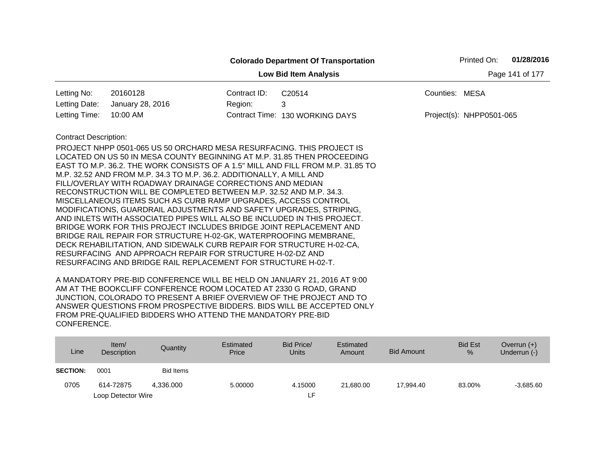|                              |                                                                                                                                                                                                                                                                                                                                                                                                                                                                                                                                                                                                                                                                                                                                                                                                                                                                                              |              | <b>Colorado Department Of Transportation</b> |                | Printed On:              | 01/28/2016      |
|------------------------------|----------------------------------------------------------------------------------------------------------------------------------------------------------------------------------------------------------------------------------------------------------------------------------------------------------------------------------------------------------------------------------------------------------------------------------------------------------------------------------------------------------------------------------------------------------------------------------------------------------------------------------------------------------------------------------------------------------------------------------------------------------------------------------------------------------------------------------------------------------------------------------------------|--------------|----------------------------------------------|----------------|--------------------------|-----------------|
|                              |                                                                                                                                                                                                                                                                                                                                                                                                                                                                                                                                                                                                                                                                                                                                                                                                                                                                                              |              | <b>Low Bid Item Analysis</b>                 |                |                          | Page 141 of 177 |
| Letting No:                  | 20160128                                                                                                                                                                                                                                                                                                                                                                                                                                                                                                                                                                                                                                                                                                                                                                                                                                                                                     | Contract ID: | C20514                                       | Counties: MESA |                          |                 |
| Letting Date:                | January 28, 2016                                                                                                                                                                                                                                                                                                                                                                                                                                                                                                                                                                                                                                                                                                                                                                                                                                                                             | Region:      | 3                                            |                |                          |                 |
| Letting Time:                | 10:00 AM                                                                                                                                                                                                                                                                                                                                                                                                                                                                                                                                                                                                                                                                                                                                                                                                                                                                                     |              | Contract Time: 130 WORKING DAYS              |                | Project(s): NHPP0501-065 |                 |
| <b>Contract Description:</b> | <b>PROJECT NHPP 0501-065 US 50 ORCHARD MESA RESURFACING. THIS PROJECT IS</b><br>LOCATED ON US 50 IN MESA COUNTY BEGINNING AT M.P. 31.85 THEN PROCEEDING<br>EAST TO M.P. 36.2. THE WORK CONSISTS OF A 1.5" MILL AND FILL FROM M.P. 31.85 TO<br>M.P. 32.52 AND FROM M.P. 34.3 TO M.P. 36.2. ADDITIONALLY, A MILL AND<br>FILL/OVERLAY WITH ROADWAY DRAINAGE CORRECTIONS AND MEDIAN<br>RECONSTRUCTION WILL BE COMPLETED BETWEEN M.P. 32.52 AND M.P. 34.3.<br>MISCELLANEOUS ITEMS SUCH AS CURB RAMP UPGRADES, ACCESS CONTROL<br>MODIFICATIONS, GUARDRAIL ADJUSTMENTS AND SAFETY UPGRADES, STRIPING,<br>AND INLETS WITH ASSOCIATED PIPES WILL ALSO BE INCLUDED IN THIS PROJECT.<br>BRIDGE WORK FOR THIS PROJECT INCLUDES BRIDGE JOINT REPLACEMENT AND<br>BRIDGE RAIL REPAIR FOR STRUCTURE H-02-GK, WATERPROOFING MEMBRANE,<br>DECK REHABILITATION, AND SIDEWALK CURB REPAIR FOR STRUCTURE H-02-CA, |              |                                              |                |                          |                 |
|                              | RESURFACING AND APPROACH REPAIR FOR STRUCTURE H-02-DZ AND<br>RESURFACING AND BRIDGE RAIL REPLACEMENT FOR STRUCTURE H-02-T.                                                                                                                                                                                                                                                                                                                                                                                                                                                                                                                                                                                                                                                                                                                                                                   |              |                                              |                |                          |                 |

| Line            | Item/<br>Description | Quantity  | Estimated<br>Price | Bid Price/<br><b>Units</b> | Estimated<br>Amount | Bid Amount | <b>Bid Est</b><br>% | Overrun $(+)$<br>Underrun (-) |
|-----------------|----------------------|-----------|--------------------|----------------------------|---------------------|------------|---------------------|-------------------------------|
| <b>SECTION:</b> | 0001                 | Bid Items |                    |                            |                     |            |                     |                               |
| 0705            | 614-72875            | 4.336.000 | 5.00000            | 4.15000                    | 21.680.00           | 17.994.40  | 83.00%              | $-3,685.60$                   |
|                 | Loop Detector Wire   |           |                    | ٢F.                        |                     |            |                     |                               |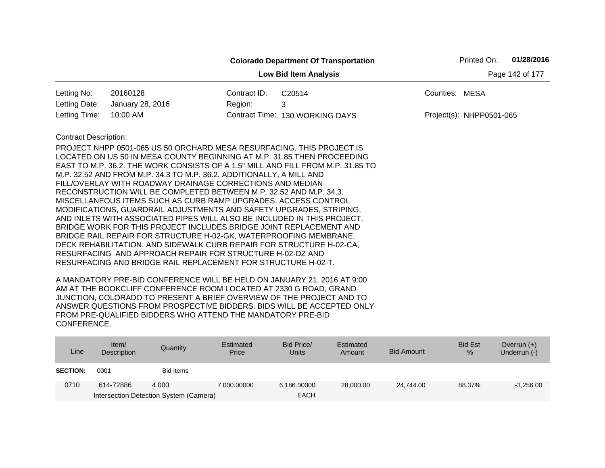|                              |                                                                                                                                                                                                                                                                                                                                                     |              | <b>Colorado Department Of Transportation</b>                                    |                | Printed On:              | 01/28/2016      |
|------------------------------|-----------------------------------------------------------------------------------------------------------------------------------------------------------------------------------------------------------------------------------------------------------------------------------------------------------------------------------------------------|--------------|---------------------------------------------------------------------------------|----------------|--------------------------|-----------------|
|                              |                                                                                                                                                                                                                                                                                                                                                     |              | <b>Low Bid Item Analysis</b>                                                    |                |                          | Page 142 of 177 |
| Letting No:                  | 20160128                                                                                                                                                                                                                                                                                                                                            | Contract ID: | C20514                                                                          | Counties: MESA |                          |                 |
| Letting Date:                | January 28, 2016                                                                                                                                                                                                                                                                                                                                    | Region:      | 3                                                                               |                |                          |                 |
| Letting Time:                | 10:00 AM                                                                                                                                                                                                                                                                                                                                            |              | Contract Time: 130 WORKING DAYS                                                 |                | Project(s): NHPP0501-065 |                 |
| <b>Contract Description:</b> |                                                                                                                                                                                                                                                                                                                                                     |              |                                                                                 |                |                          |                 |
|                              | PROJECT NHPP 0501-065 US 50 ORCHARD MESA RESURFACING. THIS PROJECT IS                                                                                                                                                                                                                                                                               |              |                                                                                 |                |                          |                 |
|                              |                                                                                                                                                                                                                                                                                                                                                     |              | LOCATED ON US 50 IN MESA COUNTY BEGINNING AT M.P. 31.85 THEN PROCEEDING         |                |                          |                 |
|                              |                                                                                                                                                                                                                                                                                                                                                     |              | EAST TO M.P. 36.2. THE WORK CONSISTS OF A 1.5" MILL AND FILL FROM M.P. 31.85 TO |                |                          |                 |
|                              | M.P. 32.52 AND FROM M.P. 34.3 TO M.P. 36.2. ADDITIONALLY, A MILL AND                                                                                                                                                                                                                                                                                |              |                                                                                 |                |                          |                 |
|                              | FILL/OVERLAY WITH ROADWAY DRAINAGE CORRECTIONS AND MEDIAN                                                                                                                                                                                                                                                                                           |              |                                                                                 |                |                          |                 |
|                              | RECONSTRUCTION WILL BE COMPLETED BETWEEN M.P. 32.52 AND M.P. 34.3.                                                                                                                                                                                                                                                                                  |              |                                                                                 |                |                          |                 |
|                              | MISCELLANEOUS ITEMS SUCH AS CURB RAMP UPGRADES, ACCESS CONTROL                                                                                                                                                                                                                                                                                      |              |                                                                                 |                |                          |                 |
|                              | MODIFICATIONS, GUARDRAIL ADJUSTMENTS AND SAFETY UPGRADES, STRIPING,                                                                                                                                                                                                                                                                                 |              |                                                                                 |                |                          |                 |
|                              | AND INLETS WITH ASSOCIATED PIPES WILL ALSO BE INCLUDED IN THIS PROJECT.<br>BRIDGE WORK FOR THIS PROJECT INCLUDES BRIDGE JOINT REPLACEMENT AND                                                                                                                                                                                                       |              |                                                                                 |                |                          |                 |
|                              | BRIDGE RAIL REPAIR FOR STRUCTURE H-02-GK, WATERPROOFING MEMBRANE,                                                                                                                                                                                                                                                                                   |              |                                                                                 |                |                          |                 |
|                              | DECK REHABILITATION, AND SIDEWALK CURB REPAIR FOR STRUCTURE H-02-CA,                                                                                                                                                                                                                                                                                |              |                                                                                 |                |                          |                 |
|                              | RESURFACING AND APPROACH REPAIR FOR STRUCTURE H-02-DZ AND                                                                                                                                                                                                                                                                                           |              |                                                                                 |                |                          |                 |
|                              | RESURFACING AND BRIDGE RAIL REPLACEMENT FOR STRUCTURE H-02-T.                                                                                                                                                                                                                                                                                       |              |                                                                                 |                |                          |                 |
|                              | $\overline{1}$ , $\overline{1}$ , $\overline{1}$ , $\overline{1}$ , $\overline{1}$ , $\overline{1}$ , $\overline{1}$ , $\overline{1}$ , $\overline{1}$ , $\overline{1}$ , $\overline{1}$ , $\overline{1}$ , $\overline{1}$ , $\overline{1}$ , $\overline{1}$ , $\overline{1}$ , $\overline{1}$ , $\overline{1}$ , $\overline{1}$ , $\overline{1}$ , |              |                                                                                 |                |                          |                 |

| Line            | Item/<br>Description | Quantity                               | Estimated<br>Price | Bid Price/<br><b>Units</b> | Estimated<br>Amount | <b>Bid Amount</b> | <b>Bid Est</b><br>$\%$ | Overrun $(+)$<br>Underrun (-) |
|-----------------|----------------------|----------------------------------------|--------------------|----------------------------|---------------------|-------------------|------------------------|-------------------------------|
| <b>SECTION:</b> | 0001                 | Bid Items                              |                    |                            |                     |                   |                        |                               |
| 0710            | 614-72886            | 4.000                                  | 7,000.00000        | 6,186,00000                | 28,000,00           | 24.744.00         | 88.37%                 | $-3,256.00$                   |
|                 |                      | Intersection Detection System (Camera) |                    | <b>EACH</b>                |                     |                   |                        |                               |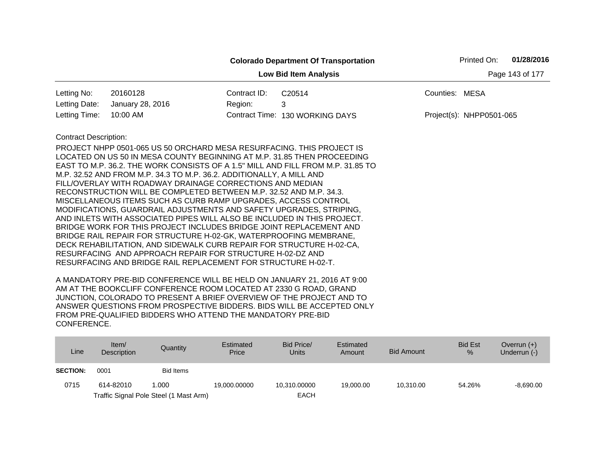|                              |                                                                                                                                                                                                                                                                                                                                                                                                                                                                                                                                                                                                                                                                                                                                                                                                                                                                                                                                  |              | <b>Colorado Department Of Transportation</b>                                    |                | Printed On:              | 01/28/2016      |  |  |
|------------------------------|----------------------------------------------------------------------------------------------------------------------------------------------------------------------------------------------------------------------------------------------------------------------------------------------------------------------------------------------------------------------------------------------------------------------------------------------------------------------------------------------------------------------------------------------------------------------------------------------------------------------------------------------------------------------------------------------------------------------------------------------------------------------------------------------------------------------------------------------------------------------------------------------------------------------------------|--------------|---------------------------------------------------------------------------------|----------------|--------------------------|-----------------|--|--|
|                              |                                                                                                                                                                                                                                                                                                                                                                                                                                                                                                                                                                                                                                                                                                                                                                                                                                                                                                                                  |              | <b>Low Bid Item Analysis</b>                                                    |                |                          | Page 143 of 177 |  |  |
| Letting No:                  | 20160128                                                                                                                                                                                                                                                                                                                                                                                                                                                                                                                                                                                                                                                                                                                                                                                                                                                                                                                         | Contract ID: | C20514                                                                          | Counties: MESA |                          |                 |  |  |
| Letting Date:                | January 28, 2016                                                                                                                                                                                                                                                                                                                                                                                                                                                                                                                                                                                                                                                                                                                                                                                                                                                                                                                 | Region:      | 3                                                                               |                |                          |                 |  |  |
| Letting Time:                | 10:00 AM                                                                                                                                                                                                                                                                                                                                                                                                                                                                                                                                                                                                                                                                                                                                                                                                                                                                                                                         |              | Contract Time: 130 WORKING DAYS                                                 |                | Project(s): NHPP0501-065 |                 |  |  |
| <b>Contract Description:</b> | PROJECT NHPP 0501-065 US 50 ORCHARD MESA RESURFACING. THIS PROJECT IS<br>LOCATED ON US 50 IN MESA COUNTY BEGINNING AT M.P. 31.85 THEN PROCEEDING<br>M.P. 32.52 AND FROM M.P. 34.3 TO M.P. 36.2. ADDITIONALLY, A MILL AND<br>FILL/OVERLAY WITH ROADWAY DRAINAGE CORRECTIONS AND MEDIAN<br>RECONSTRUCTION WILL BE COMPLETED BETWEEN M.P. 32.52 AND M.P. 34.3.<br>MISCELLANEOUS ITEMS SUCH AS CURB RAMP UPGRADES, ACCESS CONTROL<br>MODIFICATIONS, GUARDRAIL ADJUSTMENTS AND SAFETY UPGRADES, STRIPING,<br>AND INLETS WITH ASSOCIATED PIPES WILL ALSO BE INCLUDED IN THIS PROJECT.<br>BRIDGE WORK FOR THIS PROJECT INCLUDES BRIDGE JOINT REPLACEMENT AND<br>BRIDGE RAIL REPAIR FOR STRUCTURE H-02-GK, WATERPROOFING MEMBRANE,<br>DECK REHABILITATION, AND SIDEWALK CURB REPAIR FOR STRUCTURE H-02-CA,<br>RESURFACING AND APPROACH REPAIR FOR STRUCTURE H-02-DZ AND<br>RESURFACING AND BRIDGE RAIL REPLACEMENT FOR STRUCTURE H-02-T. |              | EAST TO M.P. 36.2. THE WORK CONSISTS OF A 1.5" MILL AND FILL FROM M.P. 31.85 TO |                |                          |                 |  |  |

| Line            | Item/<br>Description | Quantity                               | Estimated<br>Price | Bid Price/<br>Units | Estimated<br>Amount | Bid Amount | <b>Bid Est</b><br>$\%$ | Overrun $(+)$<br>Underrun (-) |
|-----------------|----------------------|----------------------------------------|--------------------|---------------------|---------------------|------------|------------------------|-------------------------------|
| <b>SECTION:</b> | 0001                 | <b>Bid Items</b>                       |                    |                     |                     |            |                        |                               |
| 0715            | 614-82010            | 1.000                                  | 19.000.00000       | 10.310.00000        | 19,000,00           | 10.310.00  | 54.26%                 | $-8.690.00$                   |
|                 |                      | Traffic Signal Pole Steel (1 Mast Arm) |                    | <b>EACH</b>         |                     |            |                        |                               |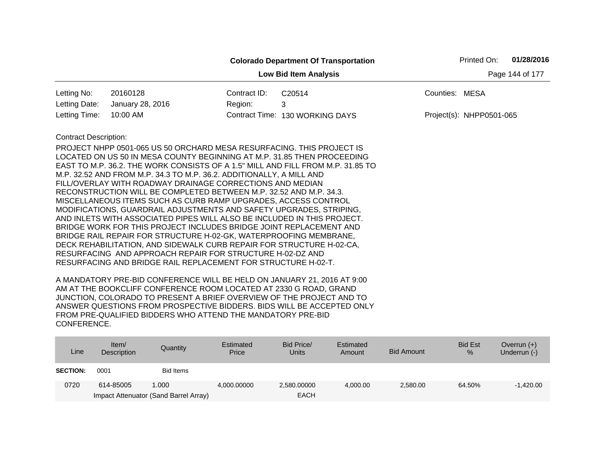|                              |                                                                                                                                                                                                                                                                                                                                                                                                                                                                                                                                                                                                                                                                                                                                                                                                                                                                                                                                                                                                                     |              | <b>Colorado Department Of Transportation</b> |                | Printed On:              | 01/28/2016      |
|------------------------------|---------------------------------------------------------------------------------------------------------------------------------------------------------------------------------------------------------------------------------------------------------------------------------------------------------------------------------------------------------------------------------------------------------------------------------------------------------------------------------------------------------------------------------------------------------------------------------------------------------------------------------------------------------------------------------------------------------------------------------------------------------------------------------------------------------------------------------------------------------------------------------------------------------------------------------------------------------------------------------------------------------------------|--------------|----------------------------------------------|----------------|--------------------------|-----------------|
|                              |                                                                                                                                                                                                                                                                                                                                                                                                                                                                                                                                                                                                                                                                                                                                                                                                                                                                                                                                                                                                                     |              | <b>Low Bid Item Analysis</b>                 |                |                          | Page 144 of 177 |
| Letting No:                  | 20160128                                                                                                                                                                                                                                                                                                                                                                                                                                                                                                                                                                                                                                                                                                                                                                                                                                                                                                                                                                                                            | Contract ID: | C20514                                       | Counties: MESA |                          |                 |
| Letting Date:                | January 28, 2016                                                                                                                                                                                                                                                                                                                                                                                                                                                                                                                                                                                                                                                                                                                                                                                                                                                                                                                                                                                                    | Region:      | 3                                            |                |                          |                 |
| Letting Time:                | 10:00 AM                                                                                                                                                                                                                                                                                                                                                                                                                                                                                                                                                                                                                                                                                                                                                                                                                                                                                                                                                                                                            |              | Contract Time: 130 WORKING DAYS              |                | Project(s): NHPP0501-065 |                 |
| <b>Contract Description:</b> | PROJECT NHPP 0501-065 US 50 ORCHARD MESA RESURFACING. THIS PROJECT IS<br>LOCATED ON US 50 IN MESA COUNTY BEGINNING AT M.P. 31.85 THEN PROCEEDING<br>EAST TO M.P. 36.2. THE WORK CONSISTS OF A 1.5" MILL AND FILL FROM M.P. 31.85 TO<br>M.P. 32.52 AND FROM M.P. 34.3 TO M.P. 36.2. ADDITIONALLY, A MILL AND<br>FILL/OVERLAY WITH ROADWAY DRAINAGE CORRECTIONS AND MEDIAN<br>RECONSTRUCTION WILL BE COMPLETED BETWEEN M.P. 32.52 AND M.P. 34.3.<br>MISCELLANEOUS ITEMS SUCH AS CURB RAMP UPGRADES, ACCESS CONTROL<br>MODIFICATIONS, GUARDRAIL ADJUSTMENTS AND SAFETY UPGRADES, STRIPING,<br>AND INLETS WITH ASSOCIATED PIPES WILL ALSO BE INCLUDED IN THIS PROJECT.<br>BRIDGE WORK FOR THIS PROJECT INCLUDES BRIDGE JOINT REPLACEMENT AND<br>BRIDGE RAIL REPAIR FOR STRUCTURE H-02-GK, WATERPROOFING MEMBRANE,<br>DECK REHABILITATION, AND SIDEWALK CURB REPAIR FOR STRUCTURE H-02-CA,<br>RESURFACING AND APPROACH REPAIR FOR STRUCTURE H-02-DZ AND<br>RESURFACING AND BRIDGE RAIL REPLACEMENT FOR STRUCTURE H-02-T. |              |                                              |                |                          |                 |

| Line            | Item/<br>Description | Quantity                              | Estimated<br>Price | Bid Price/<br>Units | Estimated<br>Amount | <b>Bid Amount</b> | <b>Bid Est</b><br>$\%$ | Overrun $(+)$<br>Underrun (-) |
|-----------------|----------------------|---------------------------------------|--------------------|---------------------|---------------------|-------------------|------------------------|-------------------------------|
| <b>SECTION:</b> | 0001                 | Bid Items                             |                    |                     |                     |                   |                        |                               |
| 0720            | 614-85005            | 1.000                                 | 4.000.00000        | 2,580.00000         | 4.000.00            | 2,580.00          | 64.50%                 | $-1.420.00$                   |
|                 |                      | Impact Attenuator (Sand Barrel Array) |                    | <b>EACH</b>         |                     |                   |                        |                               |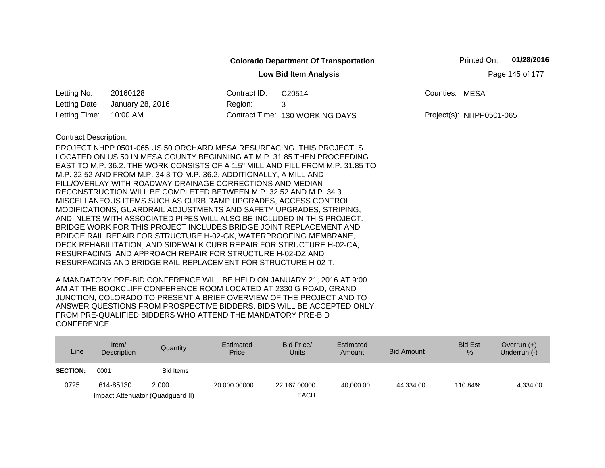|                              |                                                                                                                                                                                                                                                                                                                                                                                                                                                                                                                                                                                                                                                                                                                                                                                                                                                                 |              | <b>Colorado Department Of Transportation</b>                                    | 01/28/2016<br>Printed On: |
|------------------------------|-----------------------------------------------------------------------------------------------------------------------------------------------------------------------------------------------------------------------------------------------------------------------------------------------------------------------------------------------------------------------------------------------------------------------------------------------------------------------------------------------------------------------------------------------------------------------------------------------------------------------------------------------------------------------------------------------------------------------------------------------------------------------------------------------------------------------------------------------------------------|--------------|---------------------------------------------------------------------------------|---------------------------|
|                              | Page 145 of 177                                                                                                                                                                                                                                                                                                                                                                                                                                                                                                                                                                                                                                                                                                                                                                                                                                                 |              |                                                                                 |                           |
| Letting No:                  | 20160128                                                                                                                                                                                                                                                                                                                                                                                                                                                                                                                                                                                                                                                                                                                                                                                                                                                        | Contract ID: | C20514                                                                          | Counties: MESA            |
| Letting Date:                | January 28, 2016                                                                                                                                                                                                                                                                                                                                                                                                                                                                                                                                                                                                                                                                                                                                                                                                                                                | Region:      | 3                                                                               |                           |
| Letting Time:                | 10:00 AM                                                                                                                                                                                                                                                                                                                                                                                                                                                                                                                                                                                                                                                                                                                                                                                                                                                        |              | Contract Time: 130 WORKING DAYS                                                 | Project(s): NHPP0501-065  |
| <b>Contract Description:</b> | PROJECT NHPP 0501-065 US 50 ORCHARD MESA RESURFACING. THIS PROJECT IS<br>LOCATED ON US 50 IN MESA COUNTY BEGINNING AT M.P. 31.85 THEN PROCEEDING<br>M.P. 32.52 AND FROM M.P. 34.3 TO M.P. 36.2. ADDITIONALLY, A MILL AND<br>FILL/OVERLAY WITH ROADWAY DRAINAGE CORRECTIONS AND MEDIAN<br>RECONSTRUCTION WILL BE COMPLETED BETWEEN M.P. 32.52 AND M.P. 34.3.<br>MISCELLANEOUS ITEMS SUCH AS CURB RAMP UPGRADES, ACCESS CONTROL<br>MODIFICATIONS, GUARDRAIL ADJUSTMENTS AND SAFETY UPGRADES, STRIPING,<br>AND INLETS WITH ASSOCIATED PIPES WILL ALSO BE INCLUDED IN THIS PROJECT.<br>BRIDGE WORK FOR THIS PROJECT INCLUDES BRIDGE JOINT REPLACEMENT AND<br>BRIDGE RAIL REPAIR FOR STRUCTURE H-02-GK, WATERPROOFING MEMBRANE,<br>DECK REHABILITATION, AND SIDEWALK CURB REPAIR FOR STRUCTURE H-02-CA,<br>RESURFACING AND APPROACH REPAIR FOR STRUCTURE H-02-DZ AND |              | EAST TO M.P. 36.2. THE WORK CONSISTS OF A 1.5" MILL AND FILL FROM M.P. 31.85 TO |                           |

| Line            | Item $/$<br>Description | Quantity                         | Estimated<br>Price | Bid Price/<br><b>Units</b> | Estimated<br>Amount | <b>Bid Amount</b> | <b>Bid Est</b><br>$\%$ | Overrun $(+)$<br>Underrun (-) |
|-----------------|-------------------------|----------------------------------|--------------------|----------------------------|---------------------|-------------------|------------------------|-------------------------------|
| <b>SECTION:</b> | 0001                    | Bid Items                        |                    |                            |                     |                   |                        |                               |
| 0725            | 614-85130               | 2.000                            | 20.000.00000       | 22,167.00000               | 40.000.00           | 44.334.00         | 110.84%                | 4,334.00                      |
|                 |                         | Impact Attenuator (Quadguard II) |                    | <b>EACH</b>                |                     |                   |                        |                               |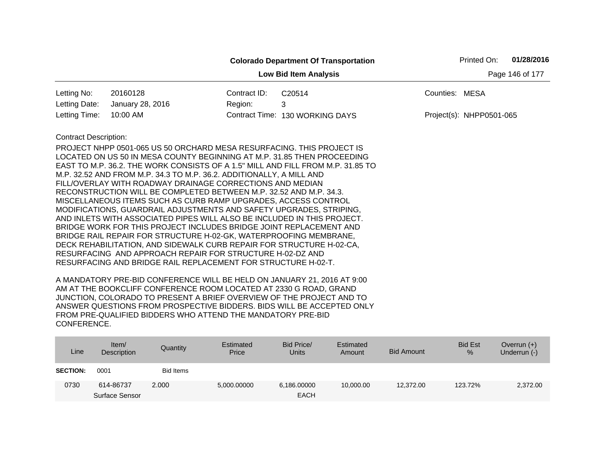|                              |                                                                                                                                                                                                                                                                                                                                                                                                                                                                                                                                                                                                                                                                                                                                                                                                                                                                                                                                  |              | <b>Colorado Department Of Transportation</b>                                    |                 | Printed On:              | 01/28/2016 |
|------------------------------|----------------------------------------------------------------------------------------------------------------------------------------------------------------------------------------------------------------------------------------------------------------------------------------------------------------------------------------------------------------------------------------------------------------------------------------------------------------------------------------------------------------------------------------------------------------------------------------------------------------------------------------------------------------------------------------------------------------------------------------------------------------------------------------------------------------------------------------------------------------------------------------------------------------------------------|--------------|---------------------------------------------------------------------------------|-----------------|--------------------------|------------|
|                              |                                                                                                                                                                                                                                                                                                                                                                                                                                                                                                                                                                                                                                                                                                                                                                                                                                                                                                                                  |              | <b>Low Bid Item Analysis</b>                                                    | Page 146 of 177 |                          |            |
| Letting No:                  | 20160128                                                                                                                                                                                                                                                                                                                                                                                                                                                                                                                                                                                                                                                                                                                                                                                                                                                                                                                         | Contract ID: | C <sub>20514</sub>                                                              | Counties: MESA  |                          |            |
| Letting Date:                | January 28, 2016                                                                                                                                                                                                                                                                                                                                                                                                                                                                                                                                                                                                                                                                                                                                                                                                                                                                                                                 | Region:      | 3                                                                               |                 |                          |            |
| Letting Time:                | 10:00 AM                                                                                                                                                                                                                                                                                                                                                                                                                                                                                                                                                                                                                                                                                                                                                                                                                                                                                                                         |              | Contract Time: 130 WORKING DAYS                                                 |                 | Project(s): NHPP0501-065 |            |
| <b>Contract Description:</b> | PROJECT NHPP 0501-065 US 50 ORCHARD MESA RESURFACING. THIS PROJECT IS<br>LOCATED ON US 50 IN MESA COUNTY BEGINNING AT M.P. 31.85 THEN PROCEEDING<br>M.P. 32.52 AND FROM M.P. 34.3 TO M.P. 36.2. ADDITIONALLY, A MILL AND<br>FILL/OVERLAY WITH ROADWAY DRAINAGE CORRECTIONS AND MEDIAN<br>RECONSTRUCTION WILL BE COMPLETED BETWEEN M.P. 32.52 AND M.P. 34.3.<br>MISCELLANEOUS ITEMS SUCH AS CURB RAMP UPGRADES, ACCESS CONTROL<br>MODIFICATIONS, GUARDRAIL ADJUSTMENTS AND SAFETY UPGRADES, STRIPING,<br>AND INLETS WITH ASSOCIATED PIPES WILL ALSO BE INCLUDED IN THIS PROJECT.<br>BRIDGE WORK FOR THIS PROJECT INCLUDES BRIDGE JOINT REPLACEMENT AND<br>BRIDGE RAIL REPAIR FOR STRUCTURE H-02-GK, WATERPROOFING MEMBRANE,<br>DECK REHABILITATION, AND SIDEWALK CURB REPAIR FOR STRUCTURE H-02-CA,<br>RESURFACING AND APPROACH REPAIR FOR STRUCTURE H-02-DZ AND<br>RESURFACING AND BRIDGE RAIL REPLACEMENT FOR STRUCTURE H-02-T. |              | EAST TO M.P. 36.2. THE WORK CONSISTS OF A 1.5" MILL AND FILL FROM M.P. 31.85 TO |                 |                          |            |

| Line            | Item/<br>Description        | Quantity  | Estimated<br>Price | Bid Price/<br><b>Units</b> | Estimated<br>Amount | <b>Bid Amount</b> | <b>Bid Est</b><br>% | Overrun $(+)$<br>Underrun (-) |
|-----------------|-----------------------------|-----------|--------------------|----------------------------|---------------------|-------------------|---------------------|-------------------------------|
| <b>SECTION:</b> | 0001                        | Bid Items |                    |                            |                     |                   |                     |                               |
| 0730            | 614-86737<br>Surface Sensor | 2.000     | 5,000.00000        | 6,186,00000<br><b>EACH</b> | 10,000.00           | 12.372.00         | 123.72%             | 2,372.00                      |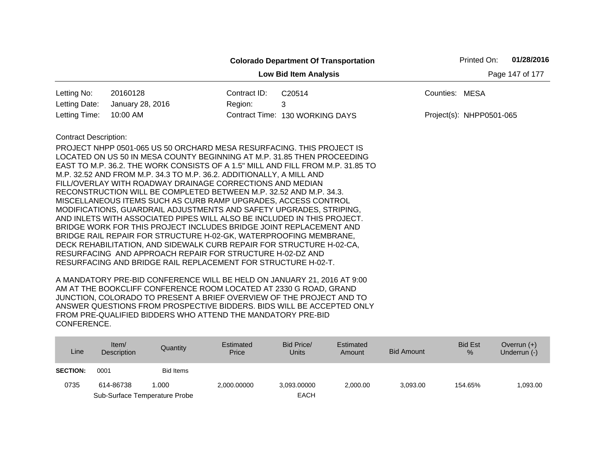|                              |                                                                                                                                                            |              | <b>Colorado Department Of Transportation</b> |                | Printed On:              | 01/28/2016      |
|------------------------------|------------------------------------------------------------------------------------------------------------------------------------------------------------|--------------|----------------------------------------------|----------------|--------------------------|-----------------|
|                              |                                                                                                                                                            |              | <b>Low Bid Item Analysis</b>                 |                |                          | Page 147 of 177 |
| Letting No:                  | 20160128                                                                                                                                                   | Contract ID: | C <sub>20514</sub>                           | Counties: MESA |                          |                 |
| Letting Date:                | January 28, 2016                                                                                                                                           | Region:      | 3                                            |                |                          |                 |
| Letting Time:                | 10:00 AM                                                                                                                                                   |              | Contract Time: 130 WORKING DAYS              |                | Project(s): NHPP0501-065 |                 |
| <b>Contract Description:</b> | PROJECT NHPP 0501-065 US 50 ORCHARD MESA RESURFACING. THIS PROJECT IS                                                                                      |              |                                              |                |                          |                 |
|                              | LOCATED ON US 50 IN MESA COUNTY BEGINNING AT M.P. 31.85 THEN PROCEEDING<br>EAST TO M.P. 36.2. THE WORK CONSISTS OF A 1.5" MILL AND FILL FROM M.P. 31.85 TO |              |                                              |                |                          |                 |
|                              | M.P. 32.52 AND FROM M.P. 34.3 TO M.P. 36.2. ADDITIONALLY, A MILL AND                                                                                       |              |                                              |                |                          |                 |
|                              | FILL/OVERLAY WITH ROADWAY DRAINAGE CORRECTIONS AND MEDIAN                                                                                                  |              |                                              |                |                          |                 |
|                              | RECONSTRUCTION WILL BE COMPLETED BETWEEN M.P. 32.52 AND M.P. 34.3.<br>MISCELLANEOUS ITEMS SUCH AS CURB RAMP UPGRADES, ACCESS CONTROL                       |              |                                              |                |                          |                 |
|                              | MODIFICATIONS, GUARDRAIL ADJUSTMENTS AND SAFETY UPGRADES, STRIPING,                                                                                        |              |                                              |                |                          |                 |
|                              | AND INLETS WITH ASSOCIATED PIPES WILL ALSO BE INCLUDED IN THIS PROJECT.                                                                                    |              |                                              |                |                          |                 |
|                              | BRIDGE WORK FOR THIS PROJECT INCLUDES BRIDGE JOINT REPLACEMENT AND                                                                                         |              |                                              |                |                          |                 |
|                              | BRIDGE RAIL REPAIR FOR STRUCTURE H-02-GK, WATERPROOFING MEMBRANE,<br>DECK REHABILITATION, AND SIDEWALK CURB REPAIR FOR STRUCTURE H-02-CA,                  |              |                                              |                |                          |                 |
|                              | RESURFACING AND APPROACH REPAIR FOR STRUCTURE H-02-DZ AND                                                                                                  |              |                                              |                |                          |                 |
|                              | RESURFACING AND BRIDGE RAIL REPLACEMENT FOR STRUCTURE H-02-T.                                                                                              |              |                                              |                |                          |                 |

| Line            | Item $/$<br>Description | Quantity                      | Estimated<br>Price | Bid Price/<br><b>Units</b> | Estimated<br>Amount | <b>Bid Amount</b> | <b>Bid Est</b><br>$\%$ | Overrun $(+)$<br>Underrun (-) |
|-----------------|-------------------------|-------------------------------|--------------------|----------------------------|---------------------|-------------------|------------------------|-------------------------------|
| <b>SECTION:</b> | 0001                    | Bid Items                     |                    |                            |                     |                   |                        |                               |
| 0735            | 614-86738               | 1.000                         | 2,000.00000        | 3,093.00000                | 2.000.00            | 3.093.00          | 154.65%                | 1,093.00                      |
|                 |                         | Sub-Surface Temperature Probe |                    | <b>EACH</b>                |                     |                   |                        |                               |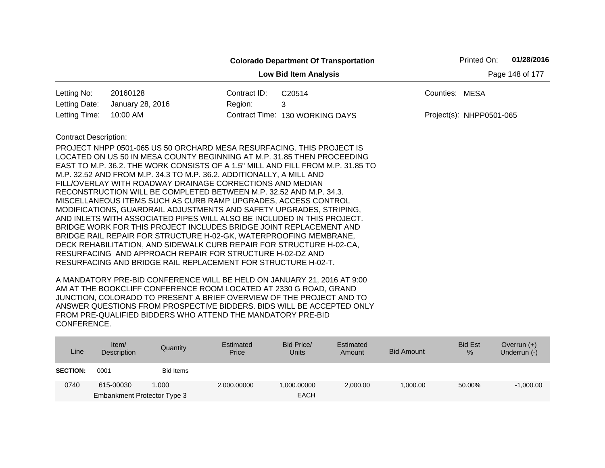|                              |                                                                                 |              | <b>Colorado Department Of Transportation</b> |                | Printed On:              | 01/28/2016      |
|------------------------------|---------------------------------------------------------------------------------|--------------|----------------------------------------------|----------------|--------------------------|-----------------|
|                              |                                                                                 |              | <b>Low Bid Item Analysis</b>                 |                |                          | Page 148 of 177 |
| Letting No:                  | 20160128                                                                        | Contract ID: | C20514                                       | Counties: MESA |                          |                 |
| Letting Date:                | January 28, 2016                                                                | Region:      | 3                                            |                |                          |                 |
| Letting Time:                | 10:00 AM                                                                        |              | Contract Time: 130 WORKING DAYS              |                | Project(s): NHPP0501-065 |                 |
| <b>Contract Description:</b> |                                                                                 |              |                                              |                |                          |                 |
|                              | PROJECT NHPP 0501-065 US 50 ORCHARD MESA RESURFACING. THIS PROJECT IS           |              |                                              |                |                          |                 |
|                              | LOCATED ON US 50 IN MESA COUNTY BEGINNING AT M.P. 31.85 THEN PROCEEDING         |              |                                              |                |                          |                 |
|                              | EAST TO M.P. 36.2. THE WORK CONSISTS OF A 1.5" MILL AND FILL FROM M.P. 31.85 TO |              |                                              |                |                          |                 |
|                              | M.P. 32.52 AND FROM M.P. 34.3 TO M.P. 36.2. ADDITIONALLY, A MILL AND            |              |                                              |                |                          |                 |
|                              | FILL/OVERLAY WITH ROADWAY DRAINAGE CORRECTIONS AND MEDIAN                       |              |                                              |                |                          |                 |
|                              | RECONSTRUCTION WILL BE COMPLETED BETWEEN M.P. 32.52 AND M.P. 34.3.              |              |                                              |                |                          |                 |
|                              | MISCELLANEOUS ITEMS SUCH AS CURB RAMP UPGRADES, ACCESS CONTROL                  |              |                                              |                |                          |                 |
|                              | MODIFICATIONS, GUARDRAIL ADJUSTMENTS AND SAFETY UPGRADES, STRIPING,             |              |                                              |                |                          |                 |
|                              | AND INLETS WITH ASSOCIATED PIPES WILL ALSO BE INCLUDED IN THIS PROJECT.         |              |                                              |                |                          |                 |
|                              | BRIDGE WORK FOR THIS PROJECT INCLUDES BRIDGE JOINT REPLACEMENT AND              |              |                                              |                |                          |                 |
|                              | BRIDGE RAIL REPAIR FOR STRUCTURE H-02-GK, WATERPROOFING MEMBRANE,               |              |                                              |                |                          |                 |
|                              | DECK REHABILITATION, AND SIDEWALK CURB REPAIR FOR STRUCTURE H-02-CA,            |              |                                              |                |                          |                 |
|                              | RESURFACING AND APPROACH REPAIR FOR STRUCTURE H-02-DZ AND                       |              |                                              |                |                          |                 |
|                              | RESURFACING AND BRIDGE RAIL REPLACEMENT FOR STRUCTURE H-02-T.                   |              |                                              |                |                          |                 |

| Line            | Item/<br>Description        | Quantity  | Estimated<br>Price | Bid Price/<br><b>Units</b> | Estimated<br>Amount | Bid Amount | <b>Bid Est</b><br>$\%$ | Overrun $(+)$<br>Underrun (-) |
|-----------------|-----------------------------|-----------|--------------------|----------------------------|---------------------|------------|------------------------|-------------------------------|
| <b>SECTION:</b> | 0001                        | Bid Items |                    |                            |                     |            |                        |                               |
| 0740            | 615-00030                   | 1.000     | 2,000.00000        | 1.000.00000                | 2,000.00            | 1.000.00   | 50.00%                 | $-1,000.00$                   |
|                 | Embankment Protector Type 3 |           |                    | <b>EACH</b>                |                     |            |                        |                               |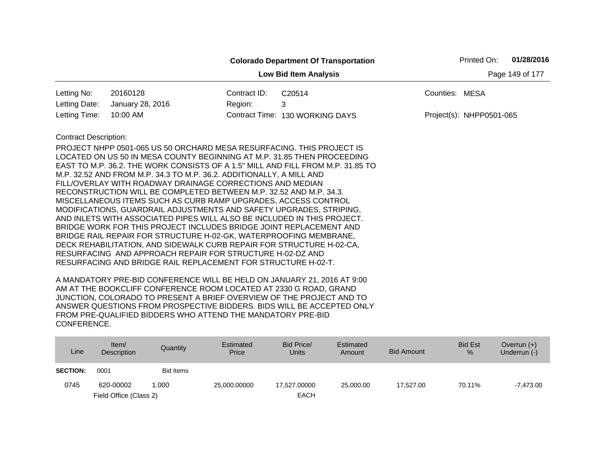|                              |                                                                                                                                                                                                                                                                                                                                                                                                                                                                                                                                                                                                                                                                                                                                                                                                                                                                                                                                  |                 | <b>Colorado Department Of Transportation</b>                                    |                | Printed On:              | 01/28/2016 |
|------------------------------|----------------------------------------------------------------------------------------------------------------------------------------------------------------------------------------------------------------------------------------------------------------------------------------------------------------------------------------------------------------------------------------------------------------------------------------------------------------------------------------------------------------------------------------------------------------------------------------------------------------------------------------------------------------------------------------------------------------------------------------------------------------------------------------------------------------------------------------------------------------------------------------------------------------------------------|-----------------|---------------------------------------------------------------------------------|----------------|--------------------------|------------|
|                              |                                                                                                                                                                                                                                                                                                                                                                                                                                                                                                                                                                                                                                                                                                                                                                                                                                                                                                                                  | Page 149 of 177 |                                                                                 |                |                          |            |
| Letting No:                  | 20160128                                                                                                                                                                                                                                                                                                                                                                                                                                                                                                                                                                                                                                                                                                                                                                                                                                                                                                                         | Contract ID:    | C20514                                                                          | Counties: MESA |                          |            |
| Letting Date:                | January 28, 2016                                                                                                                                                                                                                                                                                                                                                                                                                                                                                                                                                                                                                                                                                                                                                                                                                                                                                                                 | Region:         | 3                                                                               |                |                          |            |
| Letting Time:                | 10:00 AM                                                                                                                                                                                                                                                                                                                                                                                                                                                                                                                                                                                                                                                                                                                                                                                                                                                                                                                         |                 | Contract Time: 130 WORKING DAYS                                                 |                | Project(s): NHPP0501-065 |            |
| <b>Contract Description:</b> | PROJECT NHPP 0501-065 US 50 ORCHARD MESA RESURFACING. THIS PROJECT IS<br>LOCATED ON US 50 IN MESA COUNTY BEGINNING AT M.P. 31.85 THEN PROCEEDING<br>M.P. 32.52 AND FROM M.P. 34.3 TO M.P. 36.2. ADDITIONALLY, A MILL AND<br>FILL/OVERLAY WITH ROADWAY DRAINAGE CORRECTIONS AND MEDIAN<br>RECONSTRUCTION WILL BE COMPLETED BETWEEN M.P. 32.52 AND M.P. 34.3.<br>MISCELLANEOUS ITEMS SUCH AS CURB RAMP UPGRADES, ACCESS CONTROL<br>MODIFICATIONS, GUARDRAIL ADJUSTMENTS AND SAFETY UPGRADES, STRIPING,<br>AND INLETS WITH ASSOCIATED PIPES WILL ALSO BE INCLUDED IN THIS PROJECT.<br>BRIDGE WORK FOR THIS PROJECT INCLUDES BRIDGE JOINT REPLACEMENT AND<br>BRIDGE RAIL REPAIR FOR STRUCTURE H-02-GK, WATERPROOFING MEMBRANE,<br>DECK REHABILITATION, AND SIDEWALK CURB REPAIR FOR STRUCTURE H-02-CA,<br>RESURFACING AND APPROACH REPAIR FOR STRUCTURE H-02-DZ AND<br>RESURFACING AND BRIDGE RAIL REPLACEMENT FOR STRUCTURE H-02-T. |                 | EAST TO M.P. 36.2. THE WORK CONSISTS OF A 1.5" MILL AND FILL FROM M.P. 31.85 TO |                |                          |            |

| Line            | Item/<br>Description   | Quantity  | Estimated<br>Price | Bid Price/<br>Units | Estimated<br>Amount | Bid Amount | <b>Bid Est</b><br>% | Overrun $(+)$<br>Underrun (-) |
|-----------------|------------------------|-----------|--------------------|---------------------|---------------------|------------|---------------------|-------------------------------|
| <b>SECTION:</b> | 0001                   | Bid Items |                    |                     |                     |            |                     |                               |
| 0745            | 620-00002              | 1.000     | 25,000.00000       | 17.527.00000        | 25,000,00           | 17.527.00  | 70.11%              | $-7.473.00$                   |
|                 | Field Office (Class 2) |           |                    | <b>EACH</b>         |                     |            |                     |                               |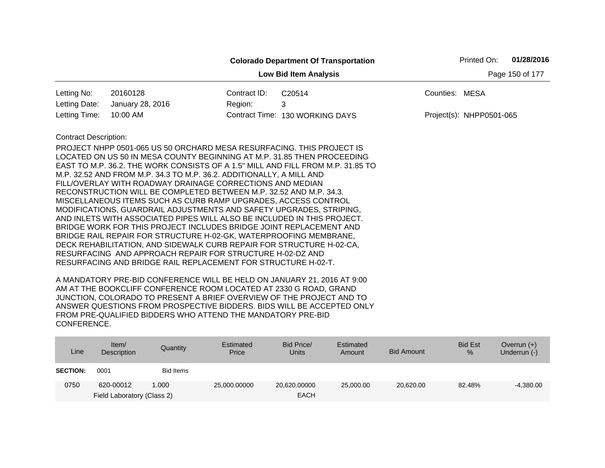|                              |                                                                                                                                                                                                                                                                                                                                                                                                                                                                                                                                                                                                                                                                                                                                                                                                                                                                                                                                  |              | <b>Colorado Department Of Transportation</b>                                    | Printed On:              | 01/28/2016      |
|------------------------------|----------------------------------------------------------------------------------------------------------------------------------------------------------------------------------------------------------------------------------------------------------------------------------------------------------------------------------------------------------------------------------------------------------------------------------------------------------------------------------------------------------------------------------------------------------------------------------------------------------------------------------------------------------------------------------------------------------------------------------------------------------------------------------------------------------------------------------------------------------------------------------------------------------------------------------|--------------|---------------------------------------------------------------------------------|--------------------------|-----------------|
|                              |                                                                                                                                                                                                                                                                                                                                                                                                                                                                                                                                                                                                                                                                                                                                                                                                                                                                                                                                  |              | <b>Low Bid Item Analysis</b>                                                    |                          | Page 150 of 177 |
| Letting No:                  | 20160128                                                                                                                                                                                                                                                                                                                                                                                                                                                                                                                                                                                                                                                                                                                                                                                                                                                                                                                         | Contract ID: | C20514                                                                          | Counties: MESA           |                 |
| Letting Date:                | January 28, 2016                                                                                                                                                                                                                                                                                                                                                                                                                                                                                                                                                                                                                                                                                                                                                                                                                                                                                                                 | Region:      | 3                                                                               |                          |                 |
| Letting Time:                | 10:00 AM                                                                                                                                                                                                                                                                                                                                                                                                                                                                                                                                                                                                                                                                                                                                                                                                                                                                                                                         |              | Contract Time: 130 WORKING DAYS                                                 | Project(s): NHPP0501-065 |                 |
| <b>Contract Description:</b> | PROJECT NHPP 0501-065 US 50 ORCHARD MESA RESURFACING. THIS PROJECT IS<br>LOCATED ON US 50 IN MESA COUNTY BEGINNING AT M.P. 31.85 THEN PROCEEDING<br>M.P. 32.52 AND FROM M.P. 34.3 TO M.P. 36.2. ADDITIONALLY, A MILL AND<br>FILL/OVERLAY WITH ROADWAY DRAINAGE CORRECTIONS AND MEDIAN<br>RECONSTRUCTION WILL BE COMPLETED BETWEEN M.P. 32.52 AND M.P. 34.3.<br>MISCELLANEOUS ITEMS SUCH AS CURB RAMP UPGRADES, ACCESS CONTROL<br>MODIFICATIONS, GUARDRAIL ADJUSTMENTS AND SAFETY UPGRADES, STRIPING,<br>AND INLETS WITH ASSOCIATED PIPES WILL ALSO BE INCLUDED IN THIS PROJECT.<br>BRIDGE WORK FOR THIS PROJECT INCLUDES BRIDGE JOINT REPLACEMENT AND<br>BRIDGE RAIL REPAIR FOR STRUCTURE H-02-GK, WATERPROOFING MEMBRANE,<br>DECK REHABILITATION, AND SIDEWALK CURB REPAIR FOR STRUCTURE H-02-CA,<br>RESURFACING AND APPROACH REPAIR FOR STRUCTURE H-02-DZ AND<br>RESURFACING AND BRIDGE RAIL REPLACEMENT FOR STRUCTURE H-02-T. |              | EAST TO M.P. 36.2. THE WORK CONSISTS OF A 1.5" MILL AND FILL FROM M.P. 31.85 TO |                          |                 |

| Line            | Item/<br>Description       | Quantity  | Estimated<br>Price | Bid Price/<br><b>Units</b> | Estimated<br>Amount | <b>Bid Amount</b> | <b>Bid Est</b><br>$\frac{9}{6}$ | Overrun $(+)$<br>Underrun (-) |
|-----------------|----------------------------|-----------|--------------------|----------------------------|---------------------|-------------------|---------------------------------|-------------------------------|
| <b>SECTION:</b> | 0001                       | Bid Items |                    |                            |                     |                   |                                 |                               |
| 0750            | 620-00012                  | 1.000     | 25,000.00000       | 20,620,00000               | 25,000,00           | 20,620.00         | 82.48%                          | $-4,380.00$                   |
|                 | Field Laboratory (Class 2) |           |                    | <b>EACH</b>                |                     |                   |                                 |                               |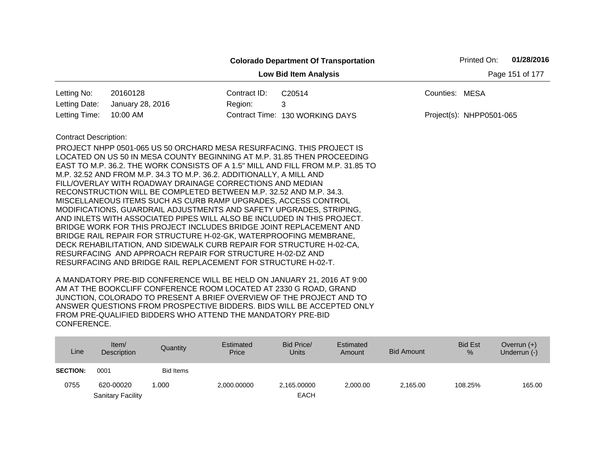|                              |                                                                                                                                                                                                                                                                                                                                                                                                                                                                                                                                                                                                                                                                                                                                                                                                                                                                                                                                  |              | <b>Colorado Department Of Transportation</b>                                    |                 | Printed On:              | 01/28/2016 |
|------------------------------|----------------------------------------------------------------------------------------------------------------------------------------------------------------------------------------------------------------------------------------------------------------------------------------------------------------------------------------------------------------------------------------------------------------------------------------------------------------------------------------------------------------------------------------------------------------------------------------------------------------------------------------------------------------------------------------------------------------------------------------------------------------------------------------------------------------------------------------------------------------------------------------------------------------------------------|--------------|---------------------------------------------------------------------------------|-----------------|--------------------------|------------|
|                              |                                                                                                                                                                                                                                                                                                                                                                                                                                                                                                                                                                                                                                                                                                                                                                                                                                                                                                                                  |              | <b>Low Bid Item Analysis</b>                                                    | Page 151 of 177 |                          |            |
| Letting No:                  | 20160128                                                                                                                                                                                                                                                                                                                                                                                                                                                                                                                                                                                                                                                                                                                                                                                                                                                                                                                         | Contract ID: | C20514                                                                          | Counties: MESA  |                          |            |
| Letting Date:                | January 28, 2016                                                                                                                                                                                                                                                                                                                                                                                                                                                                                                                                                                                                                                                                                                                                                                                                                                                                                                                 | Region:      | 3                                                                               |                 |                          |            |
| Letting Time:                | 10:00 AM                                                                                                                                                                                                                                                                                                                                                                                                                                                                                                                                                                                                                                                                                                                                                                                                                                                                                                                         |              | Contract Time: 130 WORKING DAYS                                                 |                 | Project(s): NHPP0501-065 |            |
| <b>Contract Description:</b> | PROJECT NHPP 0501-065 US 50 ORCHARD MESA RESURFACING. THIS PROJECT IS<br>LOCATED ON US 50 IN MESA COUNTY BEGINNING AT M.P. 31.85 THEN PROCEEDING<br>M.P. 32.52 AND FROM M.P. 34.3 TO M.P. 36.2. ADDITIONALLY, A MILL AND<br>FILL/OVERLAY WITH ROADWAY DRAINAGE CORRECTIONS AND MEDIAN<br>RECONSTRUCTION WILL BE COMPLETED BETWEEN M.P. 32.52 AND M.P. 34.3.<br>MISCELLANEOUS ITEMS SUCH AS CURB RAMP UPGRADES, ACCESS CONTROL<br>MODIFICATIONS, GUARDRAIL ADJUSTMENTS AND SAFETY UPGRADES, STRIPING,<br>AND INLETS WITH ASSOCIATED PIPES WILL ALSO BE INCLUDED IN THIS PROJECT.<br>BRIDGE WORK FOR THIS PROJECT INCLUDES BRIDGE JOINT REPLACEMENT AND<br>BRIDGE RAIL REPAIR FOR STRUCTURE H-02-GK, WATERPROOFING MEMBRANE,<br>DECK REHABILITATION, AND SIDEWALK CURB REPAIR FOR STRUCTURE H-02-CA,<br>RESURFACING AND APPROACH REPAIR FOR STRUCTURE H-02-DZ AND<br>RESURFACING AND BRIDGE RAIL REPLACEMENT FOR STRUCTURE H-02-T. |              | EAST TO M.P. 36.2. THE WORK CONSISTS OF A 1.5" MILL AND FILL FROM M.P. 31.85 TO |                 |                          |            |

| Line            | Item/<br>Description     | Quantity         | Estimated<br>Price | Bid Price/<br>Units | Estimated<br>Amount | Bid Amount | <b>Bid Est</b><br>% | Overrun $(+)$<br>Underrun (-) |
|-----------------|--------------------------|------------------|--------------------|---------------------|---------------------|------------|---------------------|-------------------------------|
| <b>SECTION:</b> | 0001                     | <b>Bid Items</b> |                    |                     |                     |            |                     |                               |
| 0755            | 620-00020                | .000             | 2,000.00000        | 2,165.00000         | 2.000.00            | 2,165.00   | 108.25%             | 165.00                        |
|                 | <b>Sanitary Facility</b> |                  |                    | <b>EACH</b>         |                     |            |                     |                               |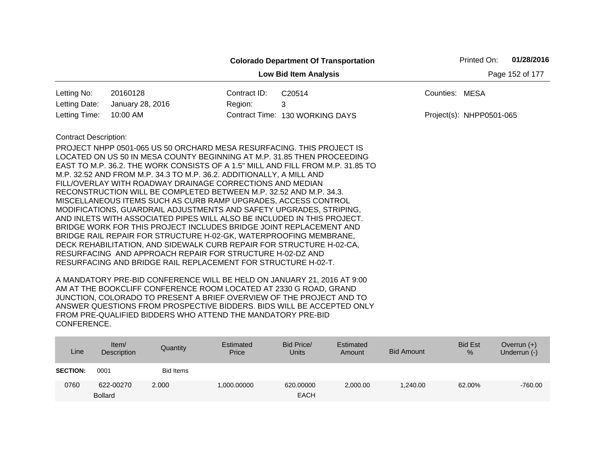|                              |                                                                                                                                                                                                                                                                                                                                                                                                                                                                                                                                                                                                                                                                                                                                                                                                                                                                                                                                  |              | <b>Colorado Department Of Transportation</b>                                    |                | Printed On:              | 01/28/2016      |
|------------------------------|----------------------------------------------------------------------------------------------------------------------------------------------------------------------------------------------------------------------------------------------------------------------------------------------------------------------------------------------------------------------------------------------------------------------------------------------------------------------------------------------------------------------------------------------------------------------------------------------------------------------------------------------------------------------------------------------------------------------------------------------------------------------------------------------------------------------------------------------------------------------------------------------------------------------------------|--------------|---------------------------------------------------------------------------------|----------------|--------------------------|-----------------|
|                              |                                                                                                                                                                                                                                                                                                                                                                                                                                                                                                                                                                                                                                                                                                                                                                                                                                                                                                                                  |              | <b>Low Bid Item Analysis</b>                                                    |                |                          | Page 152 of 177 |
| Letting No:                  | 20160128                                                                                                                                                                                                                                                                                                                                                                                                                                                                                                                                                                                                                                                                                                                                                                                                                                                                                                                         | Contract ID: | C20514                                                                          | Counties: MESA |                          |                 |
| Letting Date:                | January 28, 2016                                                                                                                                                                                                                                                                                                                                                                                                                                                                                                                                                                                                                                                                                                                                                                                                                                                                                                                 | Region:      | 3                                                                               |                |                          |                 |
| Letting Time:                | 10:00 AM                                                                                                                                                                                                                                                                                                                                                                                                                                                                                                                                                                                                                                                                                                                                                                                                                                                                                                                         |              | Contract Time: 130 WORKING DAYS                                                 |                | Project(s): NHPP0501-065 |                 |
| <b>Contract Description:</b> | PROJECT NHPP 0501-065 US 50 ORCHARD MESA RESURFACING. THIS PROJECT IS<br>LOCATED ON US 50 IN MESA COUNTY BEGINNING AT M.P. 31.85 THEN PROCEEDING<br>M.P. 32.52 AND FROM M.P. 34.3 TO M.P. 36.2. ADDITIONALLY, A MILL AND<br>FILL/OVERLAY WITH ROADWAY DRAINAGE CORRECTIONS AND MEDIAN<br>RECONSTRUCTION WILL BE COMPLETED BETWEEN M.P. 32.52 AND M.P. 34.3.<br>MISCELLANEOUS ITEMS SUCH AS CURB RAMP UPGRADES, ACCESS CONTROL<br>MODIFICATIONS, GUARDRAIL ADJUSTMENTS AND SAFETY UPGRADES, STRIPING,<br>AND INLETS WITH ASSOCIATED PIPES WILL ALSO BE INCLUDED IN THIS PROJECT.<br>BRIDGE WORK FOR THIS PROJECT INCLUDES BRIDGE JOINT REPLACEMENT AND<br>BRIDGE RAIL REPAIR FOR STRUCTURE H-02-GK, WATERPROOFING MEMBRANE,<br>DECK REHABILITATION, AND SIDEWALK CURB REPAIR FOR STRUCTURE H-02-CA,<br>RESURFACING AND APPROACH REPAIR FOR STRUCTURE H-02-DZ AND<br>RESURFACING AND BRIDGE RAIL REPLACEMENT FOR STRUCTURE H-02-T. |              | EAST TO M.P. 36.2. THE WORK CONSISTS OF A 1.5" MILL AND FILL FROM M.P. 31.85 TO |                |                          |                 |

| Line            | Item $/$<br>Description     | Quantity         | Estimated<br>Price | Bid Price/<br><b>Units</b> | Estimated<br>Amount | <b>Bid Amount</b> | <b>Bid Est</b><br>$\%$ | Overrun $(+)$<br>Underrun (-) |
|-----------------|-----------------------------|------------------|--------------------|----------------------------|---------------------|-------------------|------------------------|-------------------------------|
| <b>SECTION:</b> | 0001                        | <b>Bid Items</b> |                    |                            |                     |                   |                        |                               |
| 0760            | 622-00270<br><b>Bollard</b> | 2.000            | 1,000.00000        | 620,00000<br><b>EACH</b>   | 2,000.00            | 1.240.00          | 62.00%                 | $-760.00$                     |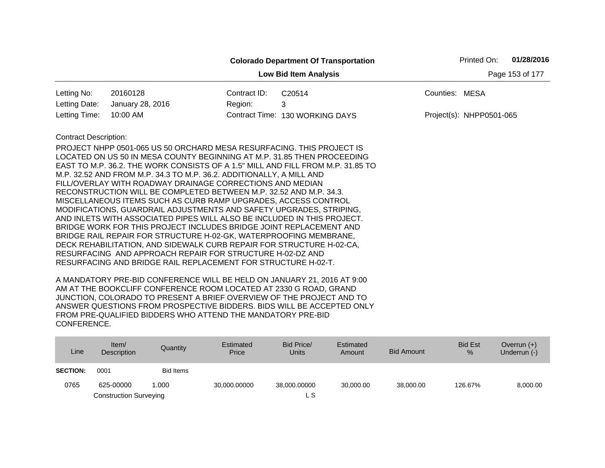|                              |                                                                                                                                                                                                                                                                                                                                                                                                                                                                                                                                                                                                                                                                                                                                                                                                                                                                                                                                  |              | <b>Colorado Department Of Transportation</b>                                    |                | Printed On:              | 01/28/2016      |
|------------------------------|----------------------------------------------------------------------------------------------------------------------------------------------------------------------------------------------------------------------------------------------------------------------------------------------------------------------------------------------------------------------------------------------------------------------------------------------------------------------------------------------------------------------------------------------------------------------------------------------------------------------------------------------------------------------------------------------------------------------------------------------------------------------------------------------------------------------------------------------------------------------------------------------------------------------------------|--------------|---------------------------------------------------------------------------------|----------------|--------------------------|-----------------|
|                              |                                                                                                                                                                                                                                                                                                                                                                                                                                                                                                                                                                                                                                                                                                                                                                                                                                                                                                                                  |              | <b>Low Bid Item Analysis</b>                                                    |                |                          | Page 153 of 177 |
| Letting No:                  | 20160128                                                                                                                                                                                                                                                                                                                                                                                                                                                                                                                                                                                                                                                                                                                                                                                                                                                                                                                         | Contract ID: | C <sub>20514</sub>                                                              | Counties: MESA |                          |                 |
| Letting Date:                | January 28, 2016                                                                                                                                                                                                                                                                                                                                                                                                                                                                                                                                                                                                                                                                                                                                                                                                                                                                                                                 | Region:      | 3                                                                               |                |                          |                 |
| Letting Time:                | 10:00 AM                                                                                                                                                                                                                                                                                                                                                                                                                                                                                                                                                                                                                                                                                                                                                                                                                                                                                                                         |              | Contract Time: 130 WORKING DAYS                                                 |                | Project(s): NHPP0501-065 |                 |
| <b>Contract Description:</b> | PROJECT NHPP 0501-065 US 50 ORCHARD MESA RESURFACING. THIS PROJECT IS<br>LOCATED ON US 50 IN MESA COUNTY BEGINNING AT M.P. 31.85 THEN PROCEEDING<br>M.P. 32.52 AND FROM M.P. 34.3 TO M.P. 36.2. ADDITIONALLY, A MILL AND<br>FILL/OVERLAY WITH ROADWAY DRAINAGE CORRECTIONS AND MEDIAN<br>RECONSTRUCTION WILL BE COMPLETED BETWEEN M.P. 32.52 AND M.P. 34.3.<br>MISCELLANEOUS ITEMS SUCH AS CURB RAMP UPGRADES, ACCESS CONTROL<br>MODIFICATIONS, GUARDRAIL ADJUSTMENTS AND SAFETY UPGRADES, STRIPING,<br>AND INLETS WITH ASSOCIATED PIPES WILL ALSO BE INCLUDED IN THIS PROJECT.<br>BRIDGE WORK FOR THIS PROJECT INCLUDES BRIDGE JOINT REPLACEMENT AND<br>BRIDGE RAIL REPAIR FOR STRUCTURE H-02-GK, WATERPROOFING MEMBRANE,<br>DECK REHABILITATION, AND SIDEWALK CURB REPAIR FOR STRUCTURE H-02-CA,<br>RESURFACING AND APPROACH REPAIR FOR STRUCTURE H-02-DZ AND<br>RESURFACING AND BRIDGE RAIL REPLACEMENT FOR STRUCTURE H-02-T. |              | EAST TO M.P. 36.2. THE WORK CONSISTS OF A 1.5" MILL AND FILL FROM M.P. 31.85 TO |                |                          |                 |

| Line            | Item $/$<br>Description       | Quantity  | Estimated<br>Price | Bid Price/<br><b>Units</b> | Estimated<br>Amount | Bid Amount | <b>Bid Est</b><br>$\%$ | Overrun $(+)$<br>Underrun (-) |
|-----------------|-------------------------------|-----------|--------------------|----------------------------|---------------------|------------|------------------------|-------------------------------|
| <b>SECTION:</b> | 0001                          | Bid Items |                    |                            |                     |            |                        |                               |
| 0765            | 625-00000                     | 1.000     | 30.000.00000       | 38,000.00000               | 30.000.00           | 38,000.00  | 126.67%                | 8,000.00                      |
|                 | <b>Construction Surveying</b> |           |                    | L S                        |                     |            |                        |                               |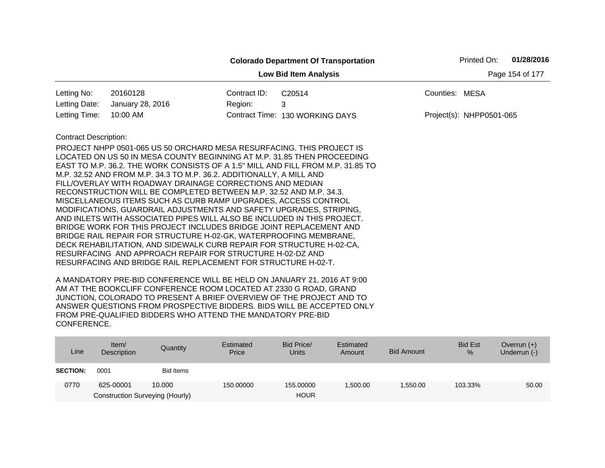|                              |                                                                                                                                                                                                                                                                                                             |              | <b>Colorado Department Of Transportation</b> |                | Printed On:              | 01/28/2016      |  |  |  |  |
|------------------------------|-------------------------------------------------------------------------------------------------------------------------------------------------------------------------------------------------------------------------------------------------------------------------------------------------------------|--------------|----------------------------------------------|----------------|--------------------------|-----------------|--|--|--|--|
|                              |                                                                                                                                                                                                                                                                                                             |              | <b>Low Bid Item Analysis</b>                 |                |                          | Page 154 of 177 |  |  |  |  |
| Letting No:                  | 20160128                                                                                                                                                                                                                                                                                                    | Contract ID: | C20514                                       | Counties: MESA |                          |                 |  |  |  |  |
| Letting Date:                | January 28, 2016                                                                                                                                                                                                                                                                                            | Region:      | 3                                            |                |                          |                 |  |  |  |  |
| Letting Time:                | 10:00 AM                                                                                                                                                                                                                                                                                                    |              | Contract Time: 130 WORKING DAYS              |                | Project(s): NHPP0501-065 |                 |  |  |  |  |
| <b>Contract Description:</b> | PROJECT NHPP 0501-065 US 50 ORCHARD MESA RESURFACING. THIS PROJECT IS<br>LOCATED ON US 50 IN MESA COUNTY BEGINNING AT M.P. 31.85 THEN PROCEEDING<br>EAST TO M.P. 36.2. THE WORK CONSISTS OF A 1.5" MILL AND FILL FROM M.P. 31.85 TO<br>M.P. 32.52 AND FROM M.P. 34.3 TO M.P. 36.2. ADDITIONALLY, A MILL AND |              |                                              |                |                          |                 |  |  |  |  |
|                              | FILL/OVERLAY WITH ROADWAY DRAINAGE CORRECTIONS AND MEDIAN                                                                                                                                                                                                                                                   |              |                                              |                |                          |                 |  |  |  |  |
|                              | RECONSTRUCTION WILL BE COMPLETED BETWEEN M.P. 32.52 AND M.P. 34.3.                                                                                                                                                                                                                                          |              |                                              |                |                          |                 |  |  |  |  |
|                              | MISCELLANEOUS ITEMS SUCH AS CURB RAMP UPGRADES, ACCESS CONTROL<br>MODIFICATIONS, GUARDRAIL ADJUSTMENTS AND SAFETY UPGRADES, STRIPING,                                                                                                                                                                       |              |                                              |                |                          |                 |  |  |  |  |
|                              | AND INLETS WITH ASSOCIATED PIPES WILL ALSO BE INCLUDED IN THIS PROJECT.<br>BRIDGE WORK FOR THIS PROJECT INCLUDES BRIDGE JOINT REPLACEMENT AND                                                                                                                                                               |              |                                              |                |                          |                 |  |  |  |  |
|                              | BRIDGE RAIL REPAIR FOR STRUCTURE H-02-GK, WATERPROOFING MEMBRANE,                                                                                                                                                                                                                                           |              |                                              |                |                          |                 |  |  |  |  |
|                              | DECK REHABILITATION, AND SIDEWALK CURB REPAIR FOR STRUCTURE H-02-CA,<br>RESURFACING AND APPROACH REPAIR FOR STRUCTURE H-02-DZ AND                                                                                                                                                                           |              |                                              |                |                          |                 |  |  |  |  |
|                              | RESURFACING AND BRIDGE RAIL REPLACEMENT FOR STRUCTURE H-02-T.                                                                                                                                                                                                                                               |              |                                              |                |                          |                 |  |  |  |  |

| Line            | Item $/$<br>Description         | Quantity  | Estimated<br>Price | Bid Price/<br><b>Units</b> | Estimated<br>Amount | <b>Bid Amount</b> | <b>Bid Est</b><br>% | Overrun $(+)$<br>Underrun $(-)$ |
|-----------------|---------------------------------|-----------|--------------------|----------------------------|---------------------|-------------------|---------------------|---------------------------------|
| <b>SECTION:</b> | 0001                            | Bid Items |                    |                            |                     |                   |                     |                                 |
| 0770            | 625-00001                       | 10.000    | 150,00000          | 155,00000                  | ,500.00             | 1.550.00          | 103.33%             | 50.00                           |
|                 | Construction Surveying (Hourly) |           |                    | <b>HOUR</b>                |                     |                   |                     |                                 |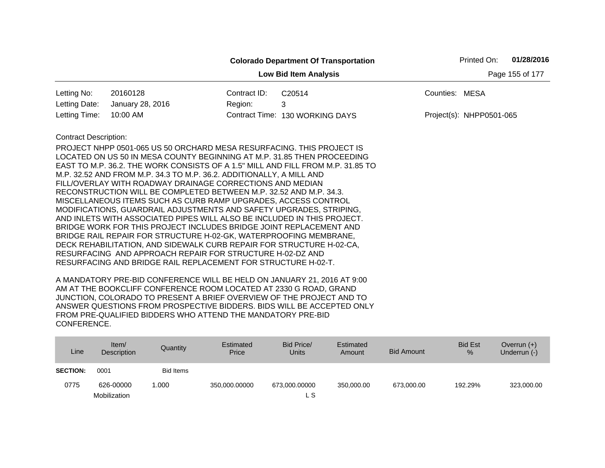|                              |                                                                                                                                                                                                                                                                                                                                                                                                                                                                                                                                                                                                                                                                                                                                                                                                                                                                                                                                  |              | <b>Colorado Department Of Transportation</b>                                    |                | Printed On:              | 01/28/2016      |
|------------------------------|----------------------------------------------------------------------------------------------------------------------------------------------------------------------------------------------------------------------------------------------------------------------------------------------------------------------------------------------------------------------------------------------------------------------------------------------------------------------------------------------------------------------------------------------------------------------------------------------------------------------------------------------------------------------------------------------------------------------------------------------------------------------------------------------------------------------------------------------------------------------------------------------------------------------------------|--------------|---------------------------------------------------------------------------------|----------------|--------------------------|-----------------|
|                              |                                                                                                                                                                                                                                                                                                                                                                                                                                                                                                                                                                                                                                                                                                                                                                                                                                                                                                                                  |              | <b>Low Bid Item Analysis</b>                                                    |                |                          | Page 155 of 177 |
| Letting No:                  | 20160128                                                                                                                                                                                                                                                                                                                                                                                                                                                                                                                                                                                                                                                                                                                                                                                                                                                                                                                         | Contract ID: | C20514                                                                          | Counties: MESA |                          |                 |
| Letting Date:                | January 28, 2016                                                                                                                                                                                                                                                                                                                                                                                                                                                                                                                                                                                                                                                                                                                                                                                                                                                                                                                 | Region:      | 3                                                                               |                |                          |                 |
| Letting Time:                | 10:00 AM                                                                                                                                                                                                                                                                                                                                                                                                                                                                                                                                                                                                                                                                                                                                                                                                                                                                                                                         |              | Contract Time: 130 WORKING DAYS                                                 |                | Project(s): NHPP0501-065 |                 |
| <b>Contract Description:</b> | PROJECT NHPP 0501-065 US 50 ORCHARD MESA RESURFACING. THIS PROJECT IS<br>LOCATED ON US 50 IN MESA COUNTY BEGINNING AT M.P. 31.85 THEN PROCEEDING<br>M.P. 32.52 AND FROM M.P. 34.3 TO M.P. 36.2. ADDITIONALLY, A MILL AND<br>FILL/OVERLAY WITH ROADWAY DRAINAGE CORRECTIONS AND MEDIAN<br>RECONSTRUCTION WILL BE COMPLETED BETWEEN M.P. 32.52 AND M.P. 34.3.<br>MISCELLANEOUS ITEMS SUCH AS CURB RAMP UPGRADES, ACCESS CONTROL<br>MODIFICATIONS, GUARDRAIL ADJUSTMENTS AND SAFETY UPGRADES, STRIPING,<br>AND INLETS WITH ASSOCIATED PIPES WILL ALSO BE INCLUDED IN THIS PROJECT.<br>BRIDGE WORK FOR THIS PROJECT INCLUDES BRIDGE JOINT REPLACEMENT AND<br>BRIDGE RAIL REPAIR FOR STRUCTURE H-02-GK, WATERPROOFING MEMBRANE,<br>DECK REHABILITATION, AND SIDEWALK CURB REPAIR FOR STRUCTURE H-02-CA,<br>RESURFACING AND APPROACH REPAIR FOR STRUCTURE H-02-DZ AND<br>RESURFACING AND BRIDGE RAIL REPLACEMENT FOR STRUCTURE H-02-T. |              | EAST TO M.P. 36.2. THE WORK CONSISTS OF A 1.5" MILL AND FILL FROM M.P. 31.85 TO |                |                          |                 |

| Line            | Item/<br>Description | Quantity         | Estimated<br>Price | Bid Price/<br>Units | Estimated<br>Amount | Bid Amount | <b>Bid Est</b><br>% | Overrun $(+)$<br>Underrun (-) |
|-----------------|----------------------|------------------|--------------------|---------------------|---------------------|------------|---------------------|-------------------------------|
| <b>SECTION:</b> | 0001                 | <b>Bid Items</b> |                    |                     |                     |            |                     |                               |
| 0775            | 626-00000            | 0.000            | 350,000.00000      | 673,000.00000       | 350.000.00          | 673.000.00 | 192.29%             | 323,000.00                    |
|                 | Mobilization         |                  |                    | L S                 |                     |            |                     |                               |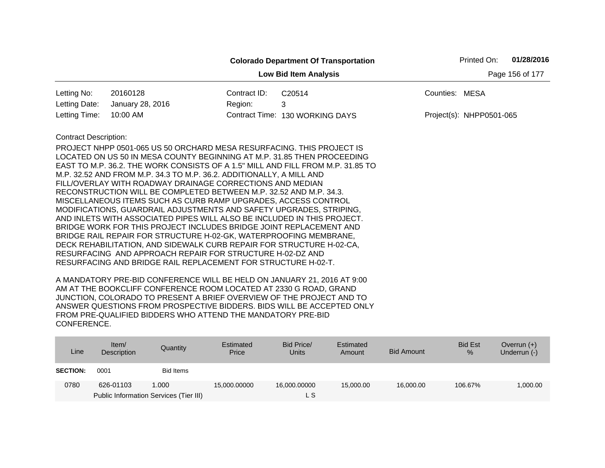|                              |                                                                                                                                                                                                                                                                                                                                                                                                                                                                                                                                                                                                                                                                                                                                                                                                                                                                                                                                                                                                                     |              | <b>Colorado Department Of Transportation</b> | 01/28/2016<br>Printed On: |
|------------------------------|---------------------------------------------------------------------------------------------------------------------------------------------------------------------------------------------------------------------------------------------------------------------------------------------------------------------------------------------------------------------------------------------------------------------------------------------------------------------------------------------------------------------------------------------------------------------------------------------------------------------------------------------------------------------------------------------------------------------------------------------------------------------------------------------------------------------------------------------------------------------------------------------------------------------------------------------------------------------------------------------------------------------|--------------|----------------------------------------------|---------------------------|
|                              |                                                                                                                                                                                                                                                                                                                                                                                                                                                                                                                                                                                                                                                                                                                                                                                                                                                                                                                                                                                                                     |              | <b>Low Bid Item Analysis</b>                 | Page 156 of 177           |
| Letting No:                  | 20160128                                                                                                                                                                                                                                                                                                                                                                                                                                                                                                                                                                                                                                                                                                                                                                                                                                                                                                                                                                                                            | Contract ID: | C20514                                       | Counties: MESA            |
| Letting Date:                | January 28, 2016                                                                                                                                                                                                                                                                                                                                                                                                                                                                                                                                                                                                                                                                                                                                                                                                                                                                                                                                                                                                    | Region:      | 3                                            |                           |
| Letting Time:                | 10:00 AM                                                                                                                                                                                                                                                                                                                                                                                                                                                                                                                                                                                                                                                                                                                                                                                                                                                                                                                                                                                                            |              | Contract Time: 130 WORKING DAYS              | Project(s): NHPP0501-065  |
| <b>Contract Description:</b> | PROJECT NHPP 0501-065 US 50 ORCHARD MESA RESURFACING. THIS PROJECT IS<br>LOCATED ON US 50 IN MESA COUNTY BEGINNING AT M.P. 31.85 THEN PROCEEDING<br>EAST TO M.P. 36.2. THE WORK CONSISTS OF A 1.5" MILL AND FILL FROM M.P. 31.85 TO<br>M.P. 32.52 AND FROM M.P. 34.3 TO M.P. 36.2. ADDITIONALLY, A MILL AND<br>FILL/OVERLAY WITH ROADWAY DRAINAGE CORRECTIONS AND MEDIAN<br>RECONSTRUCTION WILL BE COMPLETED BETWEEN M.P. 32.52 AND M.P. 34.3.<br>MISCELLANEOUS ITEMS SUCH AS CURB RAMP UPGRADES, ACCESS CONTROL<br>MODIFICATIONS, GUARDRAIL ADJUSTMENTS AND SAFETY UPGRADES, STRIPING,<br>AND INLETS WITH ASSOCIATED PIPES WILL ALSO BE INCLUDED IN THIS PROJECT.<br>BRIDGE WORK FOR THIS PROJECT INCLUDES BRIDGE JOINT REPLACEMENT AND<br>BRIDGE RAIL REPAIR FOR STRUCTURE H-02-GK, WATERPROOFING MEMBRANE,<br>DECK REHABILITATION, AND SIDEWALK CURB REPAIR FOR STRUCTURE H-02-CA,<br>RESURFACING AND APPROACH REPAIR FOR STRUCTURE H-02-DZ AND<br>RESURFACING AND BRIDGE RAIL REPLACEMENT FOR STRUCTURE H-02-T. |              |                                              |                           |

| Line            | Item $/$<br>Description | Quantity                               | Estimated<br>Price | Bid Price/<br>Units | Estimated<br>Amount | Bid Amount | <b>Bid Est</b><br>% | Overrun $(+)$<br>Underrun (-) |
|-----------------|-------------------------|----------------------------------------|--------------------|---------------------|---------------------|------------|---------------------|-------------------------------|
| <b>SECTION:</b> | 0001                    | <b>Bid Items</b>                       |                    |                     |                     |            |                     |                               |
| 0780            | 626-01103               | 1.000                                  | 15,000.00000       | 16,000.00000        | 15,000,00           | 16,000.00  | 106.67%             | 1,000.00                      |
|                 |                         | Public Information Services (Tier III) |                    | L S                 |                     |            |                     |                               |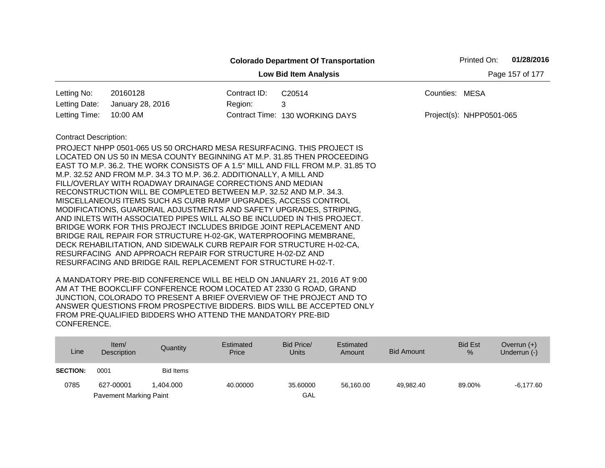|                                                                                                                                                                                                                                                                                                                                                                                                                                                                                                                                                                                                                                                                                                                                                                                                                                                                                                                                                                                                                                                     |              | <b>Colorado Department Of Transportation</b> |                | Printed On:              | 01/28/2016      |
|-----------------------------------------------------------------------------------------------------------------------------------------------------------------------------------------------------------------------------------------------------------------------------------------------------------------------------------------------------------------------------------------------------------------------------------------------------------------------------------------------------------------------------------------------------------------------------------------------------------------------------------------------------------------------------------------------------------------------------------------------------------------------------------------------------------------------------------------------------------------------------------------------------------------------------------------------------------------------------------------------------------------------------------------------------|--------------|----------------------------------------------|----------------|--------------------------|-----------------|
|                                                                                                                                                                                                                                                                                                                                                                                                                                                                                                                                                                                                                                                                                                                                                                                                                                                                                                                                                                                                                                                     |              | <b>Low Bid Item Analysis</b>                 |                |                          | Page 157 of 177 |
| Letting No:<br>20160128                                                                                                                                                                                                                                                                                                                                                                                                                                                                                                                                                                                                                                                                                                                                                                                                                                                                                                                                                                                                                             | Contract ID: | C20514                                       | Counties: MESA |                          |                 |
| Letting Date:<br>January 28, 2016                                                                                                                                                                                                                                                                                                                                                                                                                                                                                                                                                                                                                                                                                                                                                                                                                                                                                                                                                                                                                   | Region:      | 3                                            |                |                          |                 |
| Letting Time:<br>10:00 AM                                                                                                                                                                                                                                                                                                                                                                                                                                                                                                                                                                                                                                                                                                                                                                                                                                                                                                                                                                                                                           |              | Contract Time: 130 WORKING DAYS              |                | Project(s): NHPP0501-065 |                 |
| <b>Contract Description:</b><br>PROJECT NHPP 0501-065 US 50 ORCHARD MESA RESURFACING. THIS PROJECT IS<br>LOCATED ON US 50 IN MESA COUNTY BEGINNING AT M.P. 31.85 THEN PROCEEDING<br>EAST TO M.P. 36.2. THE WORK CONSISTS OF A 1.5" MILL AND FILL FROM M.P. 31.85 TO<br>M.P. 32.52 AND FROM M.P. 34.3 TO M.P. 36.2. ADDITIONALLY, A MILL AND<br>FILL/OVERLAY WITH ROADWAY DRAINAGE CORRECTIONS AND MEDIAN<br>RECONSTRUCTION WILL BE COMPLETED BETWEEN M.P. 32.52 AND M.P. 34.3.<br>MISCELLANEOUS ITEMS SUCH AS CURB RAMP UPGRADES, ACCESS CONTROL<br>MODIFICATIONS, GUARDRAIL ADJUSTMENTS AND SAFETY UPGRADES, STRIPING,<br>AND INLETS WITH ASSOCIATED PIPES WILL ALSO BE INCLUDED IN THIS PROJECT.<br>BRIDGE WORK FOR THIS PROJECT INCLUDES BRIDGE JOINT REPLACEMENT AND<br>BRIDGE RAIL REPAIR FOR STRUCTURE H-02-GK, WATERPROOFING MEMBRANE,<br>DECK REHABILITATION, AND SIDEWALK CURB REPAIR FOR STRUCTURE H-02-CA,<br>RESURFACING AND APPROACH REPAIR FOR STRUCTURE H-02-DZ AND<br>RESURFACING AND BRIDGE RAIL REPLACEMENT FOR STRUCTURE H-02-T. |              |                                              |                |                          |                 |

| Line            | Item $/$<br>Description       | Quantity  | Estimated<br>Price | Bid Price/<br><b>Units</b> | Estimated<br>Amount | Bid Amount | <b>Bid Est</b><br>$\frac{9}{6}$ | Overrun $(+)$<br>Underrun (-) |
|-----------------|-------------------------------|-----------|--------------------|----------------------------|---------------------|------------|---------------------------------|-------------------------------|
| <b>SECTION:</b> | 0001                          | Bid Items |                    |                            |                     |            |                                 |                               |
| 0785            | 627-00001                     | 1.404.000 | 40.00000           | 35.60000                   | 56.160.00           | 49.982.40  | 89.00%                          | $-6,177.60$                   |
|                 | <b>Pavement Marking Paint</b> |           |                    | GAL                        |                     |            |                                 |                               |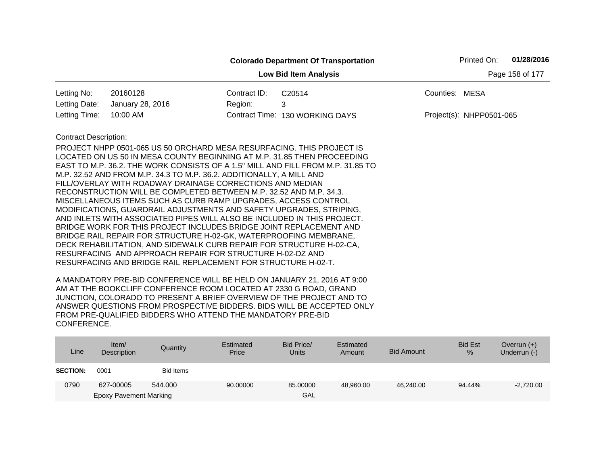|                              |                                                                                                                                   |              | <b>Colorado Department Of Transportation</b> |                | Printed On:              | 01/28/2016      |
|------------------------------|-----------------------------------------------------------------------------------------------------------------------------------|--------------|----------------------------------------------|----------------|--------------------------|-----------------|
|                              |                                                                                                                                   |              | <b>Low Bid Item Analysis</b>                 |                |                          | Page 158 of 177 |
| Letting No:                  | 20160128                                                                                                                          | Contract ID: | C20514                                       | Counties: MESA |                          |                 |
| Letting Date:                | January 28, 2016                                                                                                                  | Region:      | 3                                            |                |                          |                 |
| Letting Time:                | 10:00 AM                                                                                                                          |              | Contract Time: 130 WORKING DAYS              |                | Project(s): NHPP0501-065 |                 |
| <b>Contract Description:</b> |                                                                                                                                   |              |                                              |                |                          |                 |
|                              | PROJECT NHPP 0501-065 US 50 ORCHARD MESA RESURFACING. THIS PROJECT IS                                                             |              |                                              |                |                          |                 |
|                              | LOCATED ON US 50 IN MESA COUNTY BEGINNING AT M.P. 31.85 THEN PROCEEDING                                                           |              |                                              |                |                          |                 |
|                              | EAST TO M.P. 36.2. THE WORK CONSISTS OF A 1.5" MILL AND FILL FROM M.P. 31.85 TO                                                   |              |                                              |                |                          |                 |
|                              | M.P. 32.52 AND FROM M.P. 34.3 TO M.P. 36.2. ADDITIONALLY, A MILL AND<br>FILL/OVERLAY WITH ROADWAY DRAINAGE CORRECTIONS AND MEDIAN |              |                                              |                |                          |                 |
|                              | RECONSTRUCTION WILL BE COMPLETED BETWEEN M.P. 32.52 AND M.P. 34.3.                                                                |              |                                              |                |                          |                 |
|                              | MISCELLANEOUS ITEMS SUCH AS CURB RAMP UPGRADES, ACCESS CONTROL                                                                    |              |                                              |                |                          |                 |
|                              | MODIFICATIONS, GUARDRAIL ADJUSTMENTS AND SAFETY UPGRADES, STRIPING,                                                               |              |                                              |                |                          |                 |
|                              | AND INLETS WITH ASSOCIATED PIPES WILL ALSO BE INCLUDED IN THIS PROJECT.                                                           |              |                                              |                |                          |                 |
|                              | BRIDGE WORK FOR THIS PROJECT INCLUDES BRIDGE JOINT REPLACEMENT AND                                                                |              |                                              |                |                          |                 |
|                              | BRIDGE RAIL REPAIR FOR STRUCTURE H-02-GK, WATERPROOFING MEMBRANE,                                                                 |              |                                              |                |                          |                 |
|                              | DECK REHABILITATION, AND SIDEWALK CURB REPAIR FOR STRUCTURE H-02-CA,                                                              |              |                                              |                |                          |                 |
|                              | RESURFACING AND APPROACH REPAIR FOR STRUCTURE H-02-DZ AND<br>RESURFACING AND BRIDGE RAIL REPLACEMENT FOR STRUCTURE H-02-T.        |              |                                              |                |                          |                 |
|                              |                                                                                                                                   |              |                                              |                |                          |                 |

| Line            | Item/<br>Description          | Quantity  | Estimated<br>Price | Bid Price/<br><b>Units</b> | Estimated<br>Amount | <b>Bid Amount</b> | <b>Bid Est</b><br>$\%$ | Overrun $(+)$<br>Underrun (-) |
|-----------------|-------------------------------|-----------|--------------------|----------------------------|---------------------|-------------------|------------------------|-------------------------------|
| <b>SECTION:</b> | 0001                          | Bid Items |                    |                            |                     |                   |                        |                               |
| 0790            | 627-00005                     | 544.000   | 90.00000           | 85.00000                   | 48,960.00           | 46.240.00         | 94.44%                 | $-2,720.00$                   |
|                 | <b>Epoxy Pavement Marking</b> |           |                    | GAL                        |                     |                   |                        |                               |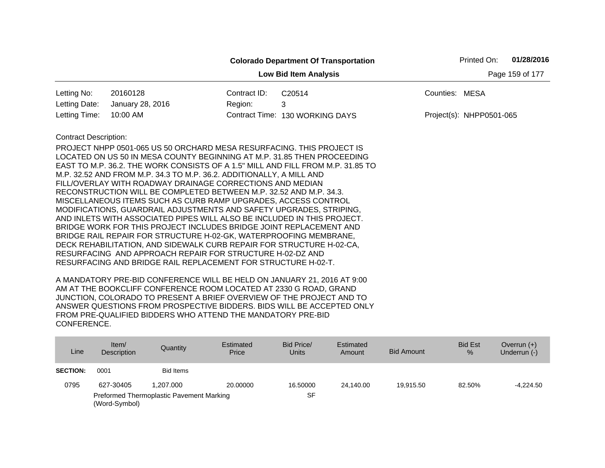|                              |                                                                                                                                                                                                                                                                                                                                                                                                                                                                                                                                                                                                                                                                    |              | <b>Colorado Department Of Transportation</b> | Printed On:              | 01/28/2016      |
|------------------------------|--------------------------------------------------------------------------------------------------------------------------------------------------------------------------------------------------------------------------------------------------------------------------------------------------------------------------------------------------------------------------------------------------------------------------------------------------------------------------------------------------------------------------------------------------------------------------------------------------------------------------------------------------------------------|--------------|----------------------------------------------|--------------------------|-----------------|
|                              |                                                                                                                                                                                                                                                                                                                                                                                                                                                                                                                                                                                                                                                                    |              | <b>Low Bid Item Analysis</b>                 |                          | Page 159 of 177 |
| Letting No:                  | 20160128                                                                                                                                                                                                                                                                                                                                                                                                                                                                                                                                                                                                                                                           | Contract ID: | C20514                                       | Counties: MESA           |                 |
| Letting Date:                | January 28, 2016                                                                                                                                                                                                                                                                                                                                                                                                                                                                                                                                                                                                                                                   | Region:      | 3                                            |                          |                 |
| Letting Time:                | 10:00 AM                                                                                                                                                                                                                                                                                                                                                                                                                                                                                                                                                                                                                                                           |              | Contract Time: 130 WORKING DAYS              | Project(s): NHPP0501-065 |                 |
| <b>Contract Description:</b> | PROJECT NHPP 0501-065 US 50 ORCHARD MESA RESURFACING. THIS PROJECT IS<br>LOCATED ON US 50 IN MESA COUNTY BEGINNING AT M.P. 31.85 THEN PROCEEDING<br>EAST TO M.P. 36.2. THE WORK CONSISTS OF A 1.5" MILL AND FILL FROM M.P. 31.85 TO<br>M.P. 32.52 AND FROM M.P. 34.3 TO M.P. 36.2. ADDITIONALLY, A MILL AND<br>FILL/OVERLAY WITH ROADWAY DRAINAGE CORRECTIONS AND MEDIAN<br>RECONSTRUCTION WILL BE COMPLETED BETWEEN M.P. 32.52 AND M.P. 34.3.<br>MISCELLANEOUS ITEMS SUCH AS CURB RAMP UPGRADES, ACCESS CONTROL<br>MODIFICATIONS, GUARDRAIL ADJUSTMENTS AND SAFETY UPGRADES, STRIPING,<br>AND INLETS WITH ASSOCIATED PIPES WILL ALSO BE INCLUDED IN THIS PROJECT. |              |                                              |                          |                 |
|                              | BRIDGE WORK FOR THIS PROJECT INCLUDES BRIDGE JOINT REPLACEMENT AND<br>BRIDGE RAIL REPAIR FOR STRUCTURE H-02-GK, WATERPROOFING MEMBRANE,<br>DECK REHABILITATION, AND SIDEWALK CURB REPAIR FOR STRUCTURE H-02-CA,<br>RESURFACING AND APPROACH REPAIR FOR STRUCTURE H-02-DZ AND<br>RESURFACING AND BRIDGE RAIL REPLACEMENT FOR STRUCTURE H-02-T.                                                                                                                                                                                                                                                                                                                      |              |                                              |                          |                 |

| Line            | Item/<br>Description                                      | Quantity  | Estimated<br>Price | Bid Price/<br><b>Units</b> | Estimated<br>Amount | <b>Bid Amount</b> | <b>Bid Est</b><br>% | Overrun $(+)$<br>Underrun (-) |
|-----------------|-----------------------------------------------------------|-----------|--------------------|----------------------------|---------------------|-------------------|---------------------|-------------------------------|
| <b>SECTION:</b> | 0001                                                      | Bid Items |                    |                            |                     |                   |                     |                               |
| 0795            | 627-30405                                                 | 1.207.000 | 20,00000           | 16.50000                   | 24.140.00           | 19.915.50         | 82.50%              | $-4.224.50$                   |
|                 | Preformed Thermoplastic Pavement Marking<br>(Word-Symbol) |           |                    | SF                         |                     |                   |                     |                               |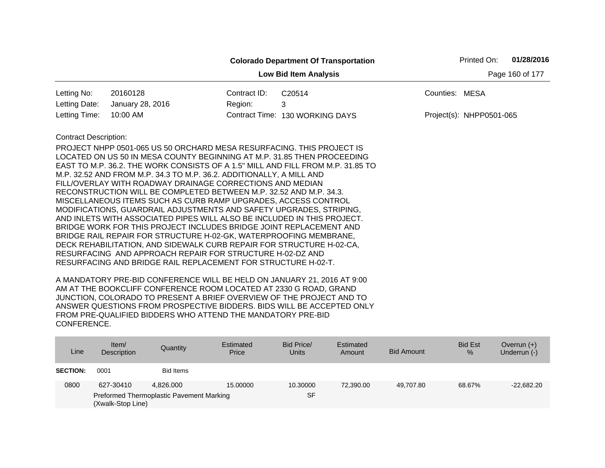|                              |                                                                                 |              | <b>Colorado Department Of Transportation</b> |                | Printed On:              | 01/28/2016 |
|------------------------------|---------------------------------------------------------------------------------|--------------|----------------------------------------------|----------------|--------------------------|------------|
|                              | Page 160 of 177                                                                 |              |                                              |                |                          |            |
| Letting No:                  | 20160128                                                                        | Contract ID: | C <sub>20514</sub>                           | Counties: MESA |                          |            |
| Letting Date:                | January 28, 2016                                                                | Region:      | 3                                            |                |                          |            |
| Letting Time:                | 10:00 AM                                                                        |              | Contract Time: 130 WORKING DAYS              |                | Project(s): NHPP0501-065 |            |
| <b>Contract Description:</b> |                                                                                 |              |                                              |                |                          |            |
|                              | PROJECT NHPP 0501-065 US 50 ORCHARD MESA RESURFACING. THIS PROJECT IS           |              |                                              |                |                          |            |
|                              | LOCATED ON US 50 IN MESA COUNTY BEGINNING AT M.P. 31.85 THEN PROCEEDING         |              |                                              |                |                          |            |
|                              | EAST TO M.P. 36.2. THE WORK CONSISTS OF A 1.5" MILL AND FILL FROM M.P. 31.85 TO |              |                                              |                |                          |            |
|                              | M.P. 32.52 AND FROM M.P. 34.3 TO M.P. 36.2. ADDITIONALLY, A MILL AND            |              |                                              |                |                          |            |
|                              | FILL/OVERLAY WITH ROADWAY DRAINAGE CORRECTIONS AND MEDIAN                       |              |                                              |                |                          |            |
|                              | RECONSTRUCTION WILL BE COMPLETED BETWEEN M.P. 32.52 AND M.P. 34.3.              |              |                                              |                |                          |            |
|                              | MISCELLANEOUS ITEMS SUCH AS CURB RAMP UPGRADES, ACCESS CONTROL                  |              |                                              |                |                          |            |
|                              | MODIFICATIONS, GUARDRAIL ADJUSTMENTS AND SAFETY UPGRADES, STRIPING,             |              |                                              |                |                          |            |
|                              | AND INLETS WITH ASSOCIATED PIPES WILL ALSO BE INCLUDED IN THIS PROJECT.         |              |                                              |                |                          |            |
|                              | BRIDGE WORK FOR THIS PROJECT INCLUDES BRIDGE JOINT REPLACEMENT AND              |              |                                              |                |                          |            |
|                              | BRIDGE RAIL REPAIR FOR STRUCTURE H-02-GK, WATERPROOFING MEMBRANE,               |              |                                              |                |                          |            |
|                              | DECK REHABILITATION, AND SIDEWALK CURB REPAIR FOR STRUCTURE H-02-CA,            |              |                                              |                |                          |            |
|                              | RESURFACING AND APPROACH REPAIR FOR STRUCTURE H-02-DZ AND                       |              |                                              |                |                          |            |
|                              | RESURFACING AND BRIDGE RAIL REPLACEMENT FOR STRUCTURE H-02-T.                   |              |                                              |                |                          |            |

| Line            | Item $/$<br>Description                                       | Quantity         | Estimated<br>Price | Bid Price/<br><b>Units</b> | Estimated<br>Amount | <b>Bid Amount</b> | <b>Bid Est</b><br>$\%$ | Overrun $(+)$<br>Underrun (-) |
|-----------------|---------------------------------------------------------------|------------------|--------------------|----------------------------|---------------------|-------------------|------------------------|-------------------------------|
| <b>SECTION:</b> | 0001                                                          | <b>Bid Items</b> |                    |                            |                     |                   |                        |                               |
| 0800            | 627-30410                                                     | 4.826.000        | 15,00000           | 10.30000                   | 72,390.00           | 49.707.80         | 68.67%                 | $-22,682.20$                  |
|                 | Preformed Thermoplastic Pavement Marking<br>(Xwalk-Stop Line) |                  |                    | SF                         |                     |                   |                        |                               |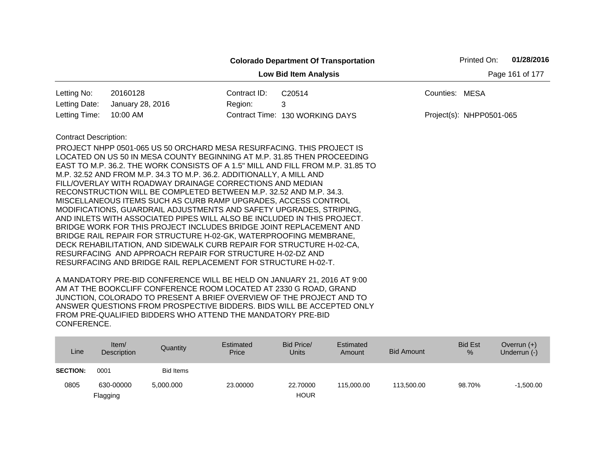|                              |                                                                                                                                                                                                                                                                                                                                                                                                                                                                                                                                                                                                                                                                                                                                                                                                                                                                                       |              | <b>Colorado Department Of Transportation</b> |                | Printed On:              | 01/28/2016 |
|------------------------------|---------------------------------------------------------------------------------------------------------------------------------------------------------------------------------------------------------------------------------------------------------------------------------------------------------------------------------------------------------------------------------------------------------------------------------------------------------------------------------------------------------------------------------------------------------------------------------------------------------------------------------------------------------------------------------------------------------------------------------------------------------------------------------------------------------------------------------------------------------------------------------------|--------------|----------------------------------------------|----------------|--------------------------|------------|
|                              |                                                                                                                                                                                                                                                                                                                                                                                                                                                                                                                                                                                                                                                                                                                                                                                                                                                                                       |              | Page 161 of 177                              |                |                          |            |
| Letting No:                  | 20160128                                                                                                                                                                                                                                                                                                                                                                                                                                                                                                                                                                                                                                                                                                                                                                                                                                                                              | Contract ID: | C20514                                       | Counties: MESA |                          |            |
| Letting Date:                | January 28, 2016                                                                                                                                                                                                                                                                                                                                                                                                                                                                                                                                                                                                                                                                                                                                                                                                                                                                      | Region:      | 3                                            |                |                          |            |
| Letting Time:                | 10:00 AM                                                                                                                                                                                                                                                                                                                                                                                                                                                                                                                                                                                                                                                                                                                                                                                                                                                                              |              | Contract Time: 130 WORKING DAYS              |                | Project(s): NHPP0501-065 |            |
| <b>Contract Description:</b> | PROJECT NHPP 0501-065 US 50 ORCHARD MESA RESURFACING. THIS PROJECT IS<br>LOCATED ON US 50 IN MESA COUNTY BEGINNING AT M.P. 31.85 THEN PROCEEDING<br>EAST TO M.P. 36.2. THE WORK CONSISTS OF A 1.5" MILL AND FILL FROM M.P. 31.85 TO<br>M.P. 32.52 AND FROM M.P. 34.3 TO M.P. 36.2. ADDITIONALLY, A MILL AND<br>FILL/OVERLAY WITH ROADWAY DRAINAGE CORRECTIONS AND MEDIAN<br>RECONSTRUCTION WILL BE COMPLETED BETWEEN M.P. 32.52 AND M.P. 34.3.<br>MISCELLANEOUS ITEMS SUCH AS CURB RAMP UPGRADES, ACCESS CONTROL<br>MODIFICATIONS, GUARDRAIL ADJUSTMENTS AND SAFETY UPGRADES, STRIPING,<br>AND INLETS WITH ASSOCIATED PIPES WILL ALSO BE INCLUDED IN THIS PROJECT.<br>BRIDGE WORK FOR THIS PROJECT INCLUDES BRIDGE JOINT REPLACEMENT AND<br>BRIDGE RAIL REPAIR FOR STRUCTURE H-02-GK, WATERPROOFING MEMBRANE,<br>DECK REHABILITATION, AND SIDEWALK CURB REPAIR FOR STRUCTURE H-02-CA, |              |                                              |                |                          |            |
|                              | RESURFACING AND APPROACH REPAIR FOR STRUCTURE H-02-DZ AND<br>RESURFACING AND BRIDGE RAIL REPLACEMENT FOR STRUCTURE H-02-T.                                                                                                                                                                                                                                                                                                                                                                                                                                                                                                                                                                                                                                                                                                                                                            |              |                                              |                |                          |            |

| Line            | Item/<br><b>Description</b> | Quantity         | Estimated<br>Price | Bid Price/<br><b>Units</b> | Estimated<br>Amount | <b>Bid Amount</b> | <b>Bid Est</b><br>$\%$ | Overrun $(+)$<br>Underrun (-) |
|-----------------|-----------------------------|------------------|--------------------|----------------------------|---------------------|-------------------|------------------------|-------------------------------|
| <b>SECTION:</b> | 0001                        | <b>Bid Items</b> |                    |                            |                     |                   |                        |                               |
| 0805            | 630-00000                   | 5,000.000        | 23,00000           | 22,70000                   | 115,000.00          | 113,500.00        | 98.70%                 | $-1.500.00$                   |
|                 | Flagging                    |                  |                    | <b>HOUR</b>                |                     |                   |                        |                               |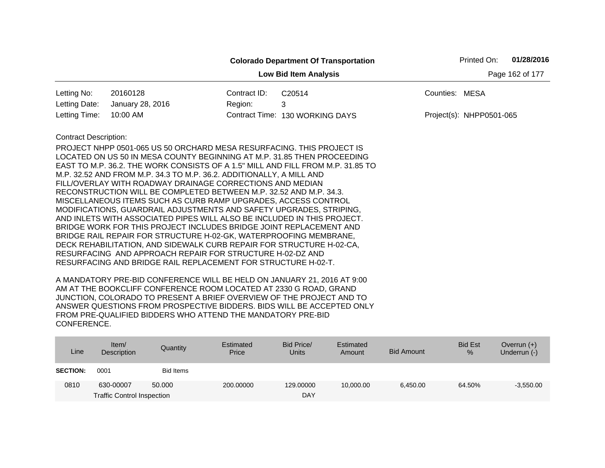|                                                                                                                                                                                                                                                                                                                                                                                                                                                                                                                                                                                                                                                                                                                                                                                                                                                                                                                                                                                    |                  |                 | <b>Colorado Department Of Transportation</b>                  | 01/28/2016<br>Printed On: |
|------------------------------------------------------------------------------------------------------------------------------------------------------------------------------------------------------------------------------------------------------------------------------------------------------------------------------------------------------------------------------------------------------------------------------------------------------------------------------------------------------------------------------------------------------------------------------------------------------------------------------------------------------------------------------------------------------------------------------------------------------------------------------------------------------------------------------------------------------------------------------------------------------------------------------------------------------------------------------------|------------------|-----------------|---------------------------------------------------------------|---------------------------|
|                                                                                                                                                                                                                                                                                                                                                                                                                                                                                                                                                                                                                                                                                                                                                                                                                                                                                                                                                                                    |                  | Page 162 of 177 |                                                               |                           |
| Letting No:                                                                                                                                                                                                                                                                                                                                                                                                                                                                                                                                                                                                                                                                                                                                                                                                                                                                                                                                                                        | 20160128         | Contract ID:    | C20514                                                        | Counties: MESA            |
| Letting Date:                                                                                                                                                                                                                                                                                                                                                                                                                                                                                                                                                                                                                                                                                                                                                                                                                                                                                                                                                                      | January 28, 2016 | Region:         | 3                                                             |                           |
| Letting Time:                                                                                                                                                                                                                                                                                                                                                                                                                                                                                                                                                                                                                                                                                                                                                                                                                                                                                                                                                                      | 10:00 AM         |                 | Contract Time: 130 WORKING DAYS                               | Project(s): NHPP0501-065  |
| <b>Contract Description:</b><br>PROJECT NHPP 0501-065 US 50 ORCHARD MESA RESURFACING. THIS PROJECT IS<br>LOCATED ON US 50 IN MESA COUNTY BEGINNING AT M.P. 31.85 THEN PROCEEDING<br>EAST TO M.P. 36.2. THE WORK CONSISTS OF A 1.5" MILL AND FILL FROM M.P. 31.85 TO<br>M.P. 32.52 AND FROM M.P. 34.3 TO M.P. 36.2. ADDITIONALLY, A MILL AND<br>FILL/OVERLAY WITH ROADWAY DRAINAGE CORRECTIONS AND MEDIAN<br>RECONSTRUCTION WILL BE COMPLETED BETWEEN M.P. 32.52 AND M.P. 34.3.<br>MISCELLANEOUS ITEMS SUCH AS CURB RAMP UPGRADES, ACCESS CONTROL<br>MODIFICATIONS, GUARDRAIL ADJUSTMENTS AND SAFETY UPGRADES, STRIPING,<br>AND INLETS WITH ASSOCIATED PIPES WILL ALSO BE INCLUDED IN THIS PROJECT.<br>BRIDGE WORK FOR THIS PROJECT INCLUDES BRIDGE JOINT REPLACEMENT AND<br>BRIDGE RAIL REPAIR FOR STRUCTURE H-02-GK, WATERPROOFING MEMBRANE,<br>DECK REHABILITATION, AND SIDEWALK CURB REPAIR FOR STRUCTURE H-02-CA,<br>RESURFACING AND APPROACH REPAIR FOR STRUCTURE H-02-DZ AND |                  |                 | RESURFACING AND BRIDGE RAIL REPLACEMENT FOR STRUCTURE H-02-T. |                           |

| Line            | Item/<br>Description              | Quantity  | Estimated<br>Price | Bid Price/<br><b>Units</b> | Estimated<br>Amount | Bid Amount | <b>Bid Est</b><br>% | Overrun $(+)$<br>Underrun (-) |
|-----------------|-----------------------------------|-----------|--------------------|----------------------------|---------------------|------------|---------------------|-------------------------------|
| <b>SECTION:</b> | 0001                              | Bid Items |                    |                            |                     |            |                     |                               |
| 0810            | 630-00007                         | 50,000    | 200,00000          | 129,00000                  | 10,000.00           | 6,450.00   | 64.50%              | $-3,550.00$                   |
|                 | <b>Traffic Control Inspection</b> |           |                    | DAY                        |                     |            |                     |                               |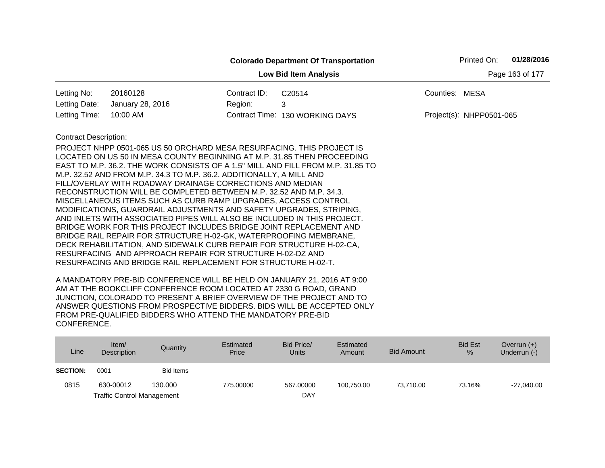|                              |                                                                                                                                                         |                 | <b>Colorado Department Of Transportation</b> |                | Printed On:              | 01/28/2016 |
|------------------------------|---------------------------------------------------------------------------------------------------------------------------------------------------------|-----------------|----------------------------------------------|----------------|--------------------------|------------|
|                              |                                                                                                                                                         | Page 163 of 177 |                                              |                |                          |            |
| Letting No:                  | 20160128                                                                                                                                                | Contract ID:    | C20514                                       | Counties: MESA |                          |            |
| Letting Date:                | January 28, 2016                                                                                                                                        | Region:         | 3                                            |                |                          |            |
| Letting Time:                | 10:00 AM                                                                                                                                                |                 | Contract Time: 130 WORKING DAYS              |                | Project(s): NHPP0501-065 |            |
| <b>Contract Description:</b> |                                                                                                                                                         |                 |                                              |                |                          |            |
|                              | PROJECT NHPP 0501-065 US 50 ORCHARD MESA RESURFACING. THIS PROJECT IS                                                                                   |                 |                                              |                |                          |            |
|                              | LOCATED ON US 50 IN MESA COUNTY BEGINNING AT M.P. 31.85 THEN PROCEEDING                                                                                 |                 |                                              |                |                          |            |
|                              | EAST TO M.P. 36.2. THE WORK CONSISTS OF A 1.5" MILL AND FILL FROM M.P. 31.85 TO<br>M.P. 32.52 AND FROM M.P. 34.3 TO M.P. 36.2. ADDITIONALLY, A MILL AND |                 |                                              |                |                          |            |
|                              | FILL/OVERLAY WITH ROADWAY DRAINAGE CORRECTIONS AND MEDIAN                                                                                               |                 |                                              |                |                          |            |
|                              | RECONSTRUCTION WILL BE COMPLETED BETWEEN M.P. 32.52 AND M.P. 34.3.                                                                                      |                 |                                              |                |                          |            |
|                              | MISCELLANEOUS ITEMS SUCH AS CURB RAMP UPGRADES, ACCESS CONTROL                                                                                          |                 |                                              |                |                          |            |
|                              | MODIFICATIONS, GUARDRAIL ADJUSTMENTS AND SAFETY UPGRADES, STRIPING,                                                                                     |                 |                                              |                |                          |            |
|                              | AND INLETS WITH ASSOCIATED PIPES WILL ALSO BE INCLUDED IN THIS PROJECT.                                                                                 |                 |                                              |                |                          |            |
|                              | BRIDGE WORK FOR THIS PROJECT INCLUDES BRIDGE JOINT REPLACEMENT AND                                                                                      |                 |                                              |                |                          |            |
|                              | BRIDGE RAIL REPAIR FOR STRUCTURE H-02-GK, WATERPROOFING MEMBRANE,<br>DECK REHABILITATION, AND SIDEWALK CURB REPAIR FOR STRUCTURE H-02-CA,               |                 |                                              |                |                          |            |
|                              | RESURFACING AND APPROACH REPAIR FOR STRUCTURE H-02-DZ AND                                                                                               |                 |                                              |                |                          |            |
|                              | RESURFACING AND BRIDGE RAIL REPLACEMENT FOR STRUCTURE H-02-T.                                                                                           |                 |                                              |                |                          |            |
|                              |                                                                                                                                                         |                 |                                              |                |                          |            |

| Line            | Item $/$<br>Description           | Quantity  | Estimated<br>Price | Bid Price/<br>Units | Estimated<br>Amount | <b>Bid Amount</b> | <b>Bid Est</b><br>% | Overrun $(+)$<br>Underrun (-) |
|-----------------|-----------------------------------|-----------|--------------------|---------------------|---------------------|-------------------|---------------------|-------------------------------|
| <b>SECTION:</b> | 0001                              | Bid Items |                    |                     |                     |                   |                     |                               |
| 0815            | 630-00012                         | 130,000   | 775.00000          | 567.00000           | 100.750.00          | 73.710.00         | 73.16%              | $-27,040.00$                  |
|                 | <b>Traffic Control Management</b> |           |                    | DAY                 |                     |                   |                     |                               |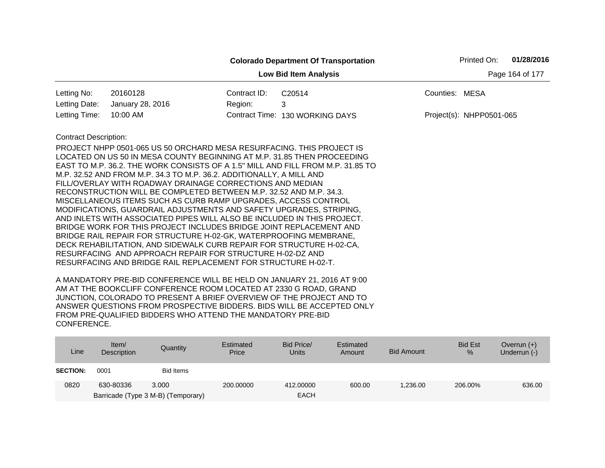|                              |                                                                                                                                                                                                                                                                                                                                                                                                                                                                                                                                                                                                                                                                                                                                                                                                                                                                                                                                                                                                                     |                 | <b>Colorado Department Of Transportation</b> | Printed On:              | 01/28/2016 |
|------------------------------|---------------------------------------------------------------------------------------------------------------------------------------------------------------------------------------------------------------------------------------------------------------------------------------------------------------------------------------------------------------------------------------------------------------------------------------------------------------------------------------------------------------------------------------------------------------------------------------------------------------------------------------------------------------------------------------------------------------------------------------------------------------------------------------------------------------------------------------------------------------------------------------------------------------------------------------------------------------------------------------------------------------------|-----------------|----------------------------------------------|--------------------------|------------|
|                              |                                                                                                                                                                                                                                                                                                                                                                                                                                                                                                                                                                                                                                                                                                                                                                                                                                                                                                                                                                                                                     | Page 164 of 177 |                                              |                          |            |
| Letting No:                  | 20160128                                                                                                                                                                                                                                                                                                                                                                                                                                                                                                                                                                                                                                                                                                                                                                                                                                                                                                                                                                                                            | Contract ID:    | C20514                                       | Counties: MESA           |            |
| Letting Date:                | January 28, 2016                                                                                                                                                                                                                                                                                                                                                                                                                                                                                                                                                                                                                                                                                                                                                                                                                                                                                                                                                                                                    | Region:         | 3                                            |                          |            |
| Letting Time:                | 10:00 AM                                                                                                                                                                                                                                                                                                                                                                                                                                                                                                                                                                                                                                                                                                                                                                                                                                                                                                                                                                                                            |                 | Contract Time: 130 WORKING DAYS              | Project(s): NHPP0501-065 |            |
| <b>Contract Description:</b> | PROJECT NHPP 0501-065 US 50 ORCHARD MESA RESURFACING. THIS PROJECT IS<br>LOCATED ON US 50 IN MESA COUNTY BEGINNING AT M.P. 31.85 THEN PROCEEDING<br>EAST TO M.P. 36.2. THE WORK CONSISTS OF A 1.5" MILL AND FILL FROM M.P. 31.85 TO<br>M.P. 32.52 AND FROM M.P. 34.3 TO M.P. 36.2. ADDITIONALLY, A MILL AND<br>FILL/OVERLAY WITH ROADWAY DRAINAGE CORRECTIONS AND MEDIAN<br>RECONSTRUCTION WILL BE COMPLETED BETWEEN M.P. 32.52 AND M.P. 34.3.<br>MISCELLANEOUS ITEMS SUCH AS CURB RAMP UPGRADES, ACCESS CONTROL<br>MODIFICATIONS, GUARDRAIL ADJUSTMENTS AND SAFETY UPGRADES, STRIPING,<br>AND INLETS WITH ASSOCIATED PIPES WILL ALSO BE INCLUDED IN THIS PROJECT.<br>BRIDGE WORK FOR THIS PROJECT INCLUDES BRIDGE JOINT REPLACEMENT AND<br>BRIDGE RAIL REPAIR FOR STRUCTURE H-02-GK, WATERPROOFING MEMBRANE,<br>DECK REHABILITATION, AND SIDEWALK CURB REPAIR FOR STRUCTURE H-02-CA,<br>RESURFACING AND APPROACH REPAIR FOR STRUCTURE H-02-DZ AND<br>RESURFACING AND BRIDGE RAIL REPLACEMENT FOR STRUCTURE H-02-T. |                 |                                              |                          |            |

| Item/<br>Description | Quantity  | Estimated<br>Price                          | Bid Price/<br><b>Units</b> | Estimated<br>Amount | <b>Bid Amount</b> | <b>Bid Est</b><br>$\%$ | Overrun $(+)$<br>Underrun (-) |
|----------------------|-----------|---------------------------------------------|----------------------------|---------------------|-------------------|------------------------|-------------------------------|
| 0001                 | Bid Items |                                             |                            |                     |                   |                        |                               |
| 630-80336            |           | 200,00000                                   | 412,00000                  | 600.00              | 1.236.00          | 206.00%                | 636.00                        |
|                      |           | 3.000<br>Barricade (Type 3 M-B) (Temporary) |                            | <b>EACH</b>         |                   |                        |                               |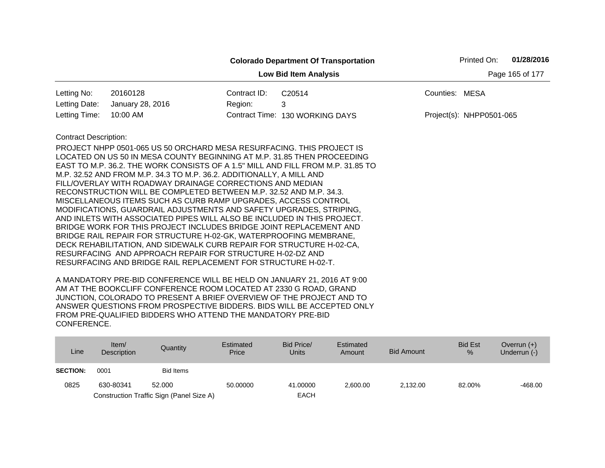|                              |                                                                                                                                                                                                                                                                                                                                                                                                                                                                                                                                                                                                                                                                                                                                                                                                                                                                                                                                  |              | <b>Colorado Department Of Transportation</b>                                    |                 | Printed On:              | 01/28/2016 |
|------------------------------|----------------------------------------------------------------------------------------------------------------------------------------------------------------------------------------------------------------------------------------------------------------------------------------------------------------------------------------------------------------------------------------------------------------------------------------------------------------------------------------------------------------------------------------------------------------------------------------------------------------------------------------------------------------------------------------------------------------------------------------------------------------------------------------------------------------------------------------------------------------------------------------------------------------------------------|--------------|---------------------------------------------------------------------------------|-----------------|--------------------------|------------|
|                              |                                                                                                                                                                                                                                                                                                                                                                                                                                                                                                                                                                                                                                                                                                                                                                                                                                                                                                                                  |              | <b>Low Bid Item Analysis</b>                                                    | Page 165 of 177 |                          |            |
| Letting No:                  | 20160128                                                                                                                                                                                                                                                                                                                                                                                                                                                                                                                                                                                                                                                                                                                                                                                                                                                                                                                         | Contract ID: | C20514                                                                          | Counties: MESA  |                          |            |
| Letting Date:                | January 28, 2016                                                                                                                                                                                                                                                                                                                                                                                                                                                                                                                                                                                                                                                                                                                                                                                                                                                                                                                 | Region:      | 3                                                                               |                 |                          |            |
| Letting Time:                | 10:00 AM                                                                                                                                                                                                                                                                                                                                                                                                                                                                                                                                                                                                                                                                                                                                                                                                                                                                                                                         |              | Contract Time: 130 WORKING DAYS                                                 |                 | Project(s): NHPP0501-065 |            |
| <b>Contract Description:</b> | PROJECT NHPP 0501-065 US 50 ORCHARD MESA RESURFACING. THIS PROJECT IS<br>LOCATED ON US 50 IN MESA COUNTY BEGINNING AT M.P. 31.85 THEN PROCEEDING<br>M.P. 32.52 AND FROM M.P. 34.3 TO M.P. 36.2. ADDITIONALLY, A MILL AND<br>FILL/OVERLAY WITH ROADWAY DRAINAGE CORRECTIONS AND MEDIAN<br>RECONSTRUCTION WILL BE COMPLETED BETWEEN M.P. 32.52 AND M.P. 34.3.<br>MISCELLANEOUS ITEMS SUCH AS CURB RAMP UPGRADES, ACCESS CONTROL<br>MODIFICATIONS, GUARDRAIL ADJUSTMENTS AND SAFETY UPGRADES, STRIPING,<br>AND INLETS WITH ASSOCIATED PIPES WILL ALSO BE INCLUDED IN THIS PROJECT.<br>BRIDGE WORK FOR THIS PROJECT INCLUDES BRIDGE JOINT REPLACEMENT AND<br>BRIDGE RAIL REPAIR FOR STRUCTURE H-02-GK, WATERPROOFING MEMBRANE,<br>DECK REHABILITATION, AND SIDEWALK CURB REPAIR FOR STRUCTURE H-02-CA,<br>RESURFACING AND APPROACH REPAIR FOR STRUCTURE H-02-DZ AND<br>RESURFACING AND BRIDGE RAIL REPLACEMENT FOR STRUCTURE H-02-T. |              | EAST TO M.P. 36.2. THE WORK CONSISTS OF A 1.5" MILL AND FILL FROM M.P. 31.85 TO |                 |                          |            |

| Line            | Item/<br>Description | Quantity                                 | Estimated<br>Price | Bid Price/<br><b>Units</b> | Estimated<br>Amount | <b>Bid Amount</b> | <b>Bid Est</b><br>$\%$ | Overrun $(+)$<br>Underrun (-) |
|-----------------|----------------------|------------------------------------------|--------------------|----------------------------|---------------------|-------------------|------------------------|-------------------------------|
| <b>SECTION:</b> | 0001                 | <b>Bid Items</b>                         |                    |                            |                     |                   |                        |                               |
| 0825            | 630-80341            | 52,000                                   | 50.00000           | 41.00000                   | 2.600.00            | 2.132.00          | 82.00%                 | $-468.00$                     |
|                 |                      | Construction Traffic Sign (Panel Size A) |                    | <b>EACH</b>                |                     |                   |                        |                               |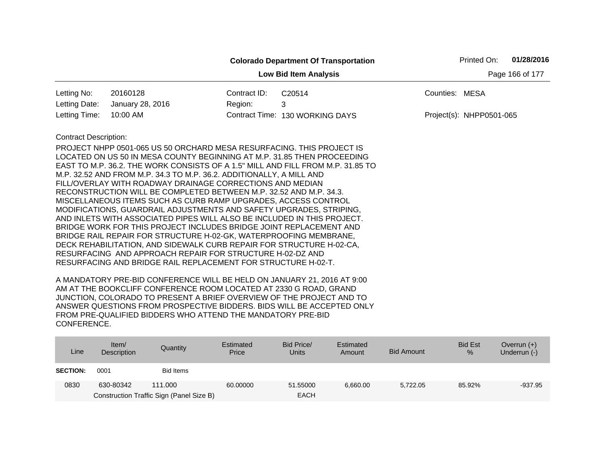|                                                 |                                                                                                                                                                                                                                                                                                                                                                                                                                                                                                                                                                                                                                                                                                                                          |              | <b>Colorado Department Of Transportation</b> |                          | Printed On: | 01/28/2016 |  |  |
|-------------------------------------------------|------------------------------------------------------------------------------------------------------------------------------------------------------------------------------------------------------------------------------------------------------------------------------------------------------------------------------------------------------------------------------------------------------------------------------------------------------------------------------------------------------------------------------------------------------------------------------------------------------------------------------------------------------------------------------------------------------------------------------------------|--------------|----------------------------------------------|--------------------------|-------------|------------|--|--|
| Page 166 of 177<br><b>Low Bid Item Analysis</b> |                                                                                                                                                                                                                                                                                                                                                                                                                                                                                                                                                                                                                                                                                                                                          |              |                                              |                          |             |            |  |  |
| Letting No:                                     | 20160128                                                                                                                                                                                                                                                                                                                                                                                                                                                                                                                                                                                                                                                                                                                                 | Contract ID: | C <sub>20514</sub>                           | Counties: MESA           |             |            |  |  |
| Letting Date:                                   | January 28, 2016                                                                                                                                                                                                                                                                                                                                                                                                                                                                                                                                                                                                                                                                                                                         | Region:      | 3                                            |                          |             |            |  |  |
| Letting Time:                                   | 10:00 AM                                                                                                                                                                                                                                                                                                                                                                                                                                                                                                                                                                                                                                                                                                                                 |              | Contract Time: 130 WORKING DAYS              | Project(s): NHPP0501-065 |             |            |  |  |
| <b>Contract Description:</b>                    | PROJECT NHPP 0501-065 US 50 ORCHARD MESA RESURFACING. THIS PROJECT IS<br>LOCATED ON US 50 IN MESA COUNTY BEGINNING AT M.P. 31.85 THEN PROCEEDING<br>EAST TO M.P. 36.2. THE WORK CONSISTS OF A 1.5" MILL AND FILL FROM M.P. 31.85 TO<br>M.P. 32.52 AND FROM M.P. 34.3 TO M.P. 36.2. ADDITIONALLY, A MILL AND<br>FILL/OVERLAY WITH ROADWAY DRAINAGE CORRECTIONS AND MEDIAN<br>RECONSTRUCTION WILL BE COMPLETED BETWEEN M.P. 32.52 AND M.P. 34.3.<br>MISCELLANEOUS ITEMS SUCH AS CURB RAMP UPGRADES, ACCESS CONTROL<br>MODIFICATIONS, GUARDRAIL ADJUSTMENTS AND SAFETY UPGRADES, STRIPING,<br>AND INLETS WITH ASSOCIATED PIPES WILL ALSO BE INCLUDED IN THIS PROJECT.<br>BRIDGE WORK FOR THIS PROJECT INCLUDES BRIDGE JOINT REPLACEMENT AND |              |                                              |                          |             |            |  |  |
|                                                 | BRIDGE RAIL REPAIR FOR STRUCTURE H-02-GK, WATERPROOFING MEMBRANE,<br>DECK REHABILITATION, AND SIDEWALK CURB REPAIR FOR STRUCTURE H-02-CA,<br>RESURFACING AND APPROACH REPAIR FOR STRUCTURE H-02-DZ AND<br>RESURFACING AND BRIDGE RAIL REPLACEMENT FOR STRUCTURE H-02-T.                                                                                                                                                                                                                                                                                                                                                                                                                                                                  |              |                                              |                          |             |            |  |  |

| Line            | Item/<br>Description | Quantity                                 | Estimated<br>Price | Bid Price/<br><b>Units</b> | Estimated<br>Amount | Bid Amount | <b>Bid Est</b><br>$\%$ | Overrun $(+)$<br>Underrun (-) |
|-----------------|----------------------|------------------------------------------|--------------------|----------------------------|---------------------|------------|------------------------|-------------------------------|
| <b>SECTION:</b> | 0001                 | Bid Items                                |                    |                            |                     |            |                        |                               |
| 0830            | 630-80342            | 111.000                                  | 60.00000           | 51.55000                   | 6.660.00            | 5.722.05   | 85.92%                 | $-937.95$                     |
|                 |                      | Construction Traffic Sign (Panel Size B) |                    | <b>EACH</b>                |                     |            |                        |                               |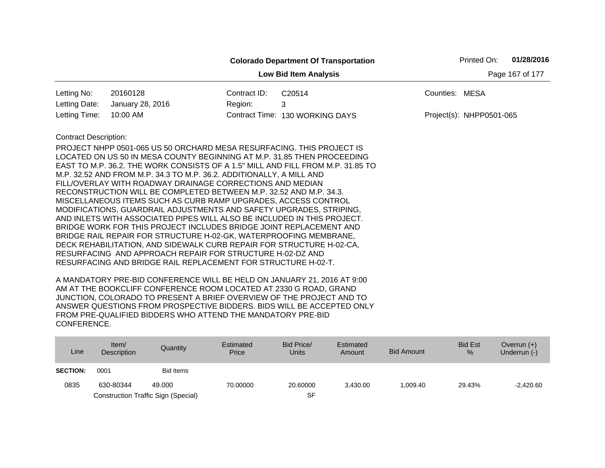|                                                 |                                                                                                                                                                                                                                                                                                                                                                                                                                                                                                                                                                                                                                                                                                                                                                                                                                                                                       |              | <b>Colorado Department Of Transportation</b> |                | Printed On:                | 01/28/2016 |  |  |  |
|-------------------------------------------------|---------------------------------------------------------------------------------------------------------------------------------------------------------------------------------------------------------------------------------------------------------------------------------------------------------------------------------------------------------------------------------------------------------------------------------------------------------------------------------------------------------------------------------------------------------------------------------------------------------------------------------------------------------------------------------------------------------------------------------------------------------------------------------------------------------------------------------------------------------------------------------------|--------------|----------------------------------------------|----------------|----------------------------|------------|--|--|--|
| Page 167 of 177<br><b>Low Bid Item Analysis</b> |                                                                                                                                                                                                                                                                                                                                                                                                                                                                                                                                                                                                                                                                                                                                                                                                                                                                                       |              |                                              |                |                            |            |  |  |  |
| Letting No:                                     | 20160128                                                                                                                                                                                                                                                                                                                                                                                                                                                                                                                                                                                                                                                                                                                                                                                                                                                                              | Contract ID: | C20514                                       | Counties: MESA |                            |            |  |  |  |
| Letting Date:                                   | January 28, 2016                                                                                                                                                                                                                                                                                                                                                                                                                                                                                                                                                                                                                                                                                                                                                                                                                                                                      | Region:      | 3                                            |                |                            |            |  |  |  |
| Letting Time:                                   | 10:00 AM                                                                                                                                                                                                                                                                                                                                                                                                                                                                                                                                                                                                                                                                                                                                                                                                                                                                              |              | Contract Time: 130 WORKING DAYS              |                | $Project(s): NHPP0501-065$ |            |  |  |  |
| <b>Contract Description:</b>                    | PROJECT NHPP 0501-065 US 50 ORCHARD MESA RESURFACING. THIS PROJECT IS<br>LOCATED ON US 50 IN MESA COUNTY BEGINNING AT M.P. 31.85 THEN PROCEEDING<br>EAST TO M.P. 36.2. THE WORK CONSISTS OF A 1.5" MILL AND FILL FROM M.P. 31.85 TO<br>M.P. 32.52 AND FROM M.P. 34.3 TO M.P. 36.2. ADDITIONALLY, A MILL AND<br>FILL/OVERLAY WITH ROADWAY DRAINAGE CORRECTIONS AND MEDIAN<br>RECONSTRUCTION WILL BE COMPLETED BETWEEN M.P. 32.52 AND M.P. 34.3.<br>MISCELLANEOUS ITEMS SUCH AS CURB RAMP UPGRADES, ACCESS CONTROL<br>MODIFICATIONS, GUARDRAIL ADJUSTMENTS AND SAFETY UPGRADES, STRIPING,<br>AND INLETS WITH ASSOCIATED PIPES WILL ALSO BE INCLUDED IN THIS PROJECT.<br>BRIDGE WORK FOR THIS PROJECT INCLUDES BRIDGE JOINT REPLACEMENT AND<br>BRIDGE RAIL REPAIR FOR STRUCTURE H-02-GK, WATERPROOFING MEMBRANE,<br>DECK REHABILITATION, AND SIDEWALK CURB REPAIR FOR STRUCTURE H-02-CA, |              |                                              |                |                            |            |  |  |  |
|                                                 | RESURFACING AND APPROACH REPAIR FOR STRUCTURE H-02-DZ AND<br>RESURFACING AND BRIDGE RAIL REPLACEMENT FOR STRUCTURE H-02-T.                                                                                                                                                                                                                                                                                                                                                                                                                                                                                                                                                                                                                                                                                                                                                            |              |                                              |                |                            |            |  |  |  |

| Line            | Item/<br><b>Description</b> | Quantity                                   | Estimated<br>Price | Bid Price/<br>Units | Estimated<br>Amount | Bid Amount | <b>Bid Est</b><br>$\%$ | Overrun $(+)$<br>Underrun (-) |
|-----------------|-----------------------------|--------------------------------------------|--------------------|---------------------|---------------------|------------|------------------------|-------------------------------|
| <b>SECTION:</b> | 0001                        | Bid Items                                  |                    |                     |                     |            |                        |                               |
| 0835            | 630-80344                   | 49.000                                     | 70.00000           | 20,60000            | 3.430.00            | 1.009.40   | 29.43%                 | $-2.420.60$                   |
|                 |                             | <b>Construction Traffic Sign (Special)</b> |                    | SF                  |                     |            |                        |                               |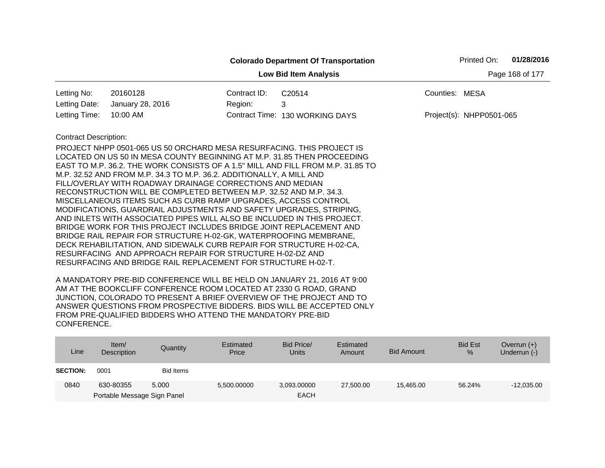|                                                                                                                                                                   |                                                                                                                                                                                                                                                                                                                                                                                                                                                                                                                                                                                                                                                                                                                                                                                                               |              | <b>Colorado Department Of Transportation</b> | Printed On:              | 01/28/2016 |  |  |  |  |
|-------------------------------------------------------------------------------------------------------------------------------------------------------------------|---------------------------------------------------------------------------------------------------------------------------------------------------------------------------------------------------------------------------------------------------------------------------------------------------------------------------------------------------------------------------------------------------------------------------------------------------------------------------------------------------------------------------------------------------------------------------------------------------------------------------------------------------------------------------------------------------------------------------------------------------------------------------------------------------------------|--------------|----------------------------------------------|--------------------------|------------|--|--|--|--|
| Page 168 of 177<br><b>Low Bid Item Analysis</b>                                                                                                                   |                                                                                                                                                                                                                                                                                                                                                                                                                                                                                                                                                                                                                                                                                                                                                                                                               |              |                                              |                          |            |  |  |  |  |
| Letting No:                                                                                                                                                       | 20160128                                                                                                                                                                                                                                                                                                                                                                                                                                                                                                                                                                                                                                                                                                                                                                                                      | Contract ID: | C20514                                       | Counties: MESA           |            |  |  |  |  |
| Letting Date:                                                                                                                                                     | January 28, 2016                                                                                                                                                                                                                                                                                                                                                                                                                                                                                                                                                                                                                                                                                                                                                                                              | Region:      | 3                                            |                          |            |  |  |  |  |
| Letting Time:                                                                                                                                                     | 10:00 AM                                                                                                                                                                                                                                                                                                                                                                                                                                                                                                                                                                                                                                                                                                                                                                                                      |              | Contract Time: 130 WORKING DAYS              | Project(s): NHPP0501-065 |            |  |  |  |  |
| <b>Contract Description:</b><br>DECK REHABILITATION, AND SIDEWALK CURB REPAIR FOR STRUCTURE H-02-CA,<br>RESURFACING AND APPROACH REPAIR FOR STRUCTURE H-02-DZ AND | PROJECT NHPP 0501-065 US 50 ORCHARD MESA RESURFACING. THIS PROJECT IS<br>LOCATED ON US 50 IN MESA COUNTY BEGINNING AT M.P. 31.85 THEN PROCEEDING<br>EAST TO M.P. 36.2. THE WORK CONSISTS OF A 1.5" MILL AND FILL FROM M.P. 31.85 TO<br>M.P. 32.52 AND FROM M.P. 34.3 TO M.P. 36.2. ADDITIONALLY, A MILL AND<br>FILL/OVERLAY WITH ROADWAY DRAINAGE CORRECTIONS AND MEDIAN<br>RECONSTRUCTION WILL BE COMPLETED BETWEEN M.P. 32.52 AND M.P. 34.3.<br>MISCELLANEOUS ITEMS SUCH AS CURB RAMP UPGRADES, ACCESS CONTROL<br>MODIFICATIONS, GUARDRAIL ADJUSTMENTS AND SAFETY UPGRADES, STRIPING,<br>AND INLETS WITH ASSOCIATED PIPES WILL ALSO BE INCLUDED IN THIS PROJECT.<br>BRIDGE WORK FOR THIS PROJECT INCLUDES BRIDGE JOINT REPLACEMENT AND<br>BRIDGE RAIL REPAIR FOR STRUCTURE H-02-GK, WATERPROOFING MEMBRANE, |              |                                              |                          |            |  |  |  |  |

| Line            | Item/<br>Description        | Quantity  | Estimated<br>Price | Bid Price/<br>Units | Estimated<br>Amount | Bid Amount | <b>Bid Est</b><br>% | Overrun $(+)$<br>Underrun (-) |
|-----------------|-----------------------------|-----------|--------------------|---------------------|---------------------|------------|---------------------|-------------------------------|
| <b>SECTION:</b> | 0001                        | Bid Items |                    |                     |                     |            |                     |                               |
| 0840            | 630-80355                   | 5.000     | 5,500.00000        | 3,093.00000         | 27,500.00           | 15.465.00  | 56.24%              | $-12,035.00$                  |
|                 | Portable Message Sign Panel |           |                    | <b>EACH</b>         |                     |            |                     |                               |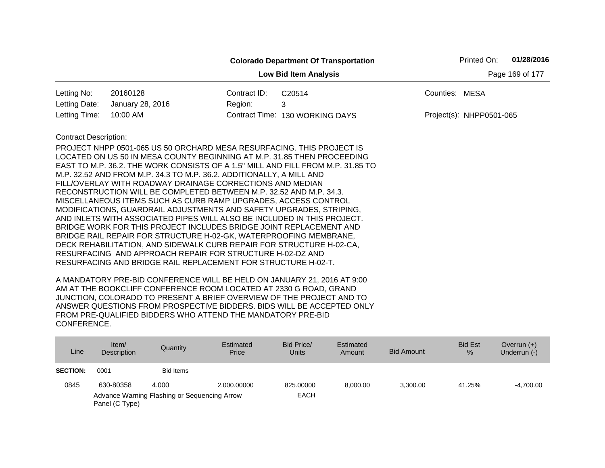|                                                 |                                                                                                                                                                                                                                                                                                                                                                                                                                                                                                                                                                                                                                                                                                                                                                                                                                                                                                                                  |              | <b>Colorado Department Of Transportation</b>                                    | Printed On:              | 01/28/2016 |  |  |  |  |
|-------------------------------------------------|----------------------------------------------------------------------------------------------------------------------------------------------------------------------------------------------------------------------------------------------------------------------------------------------------------------------------------------------------------------------------------------------------------------------------------------------------------------------------------------------------------------------------------------------------------------------------------------------------------------------------------------------------------------------------------------------------------------------------------------------------------------------------------------------------------------------------------------------------------------------------------------------------------------------------------|--------------|---------------------------------------------------------------------------------|--------------------------|------------|--|--|--|--|
| Page 169 of 177<br><b>Low Bid Item Analysis</b> |                                                                                                                                                                                                                                                                                                                                                                                                                                                                                                                                                                                                                                                                                                                                                                                                                                                                                                                                  |              |                                                                                 |                          |            |  |  |  |  |
| Letting No:                                     | 20160128                                                                                                                                                                                                                                                                                                                                                                                                                                                                                                                                                                                                                                                                                                                                                                                                                                                                                                                         | Contract ID: | C20514                                                                          | Counties: MESA           |            |  |  |  |  |
| Letting Date:                                   | January 28, 2016                                                                                                                                                                                                                                                                                                                                                                                                                                                                                                                                                                                                                                                                                                                                                                                                                                                                                                                 | Region:      | 3                                                                               |                          |            |  |  |  |  |
| Letting Time:                                   | 10:00 AM                                                                                                                                                                                                                                                                                                                                                                                                                                                                                                                                                                                                                                                                                                                                                                                                                                                                                                                         |              | Contract Time: 130 WORKING DAYS                                                 | Project(s): NHPP0501-065 |            |  |  |  |  |
| <b>Contract Description:</b>                    | PROJECT NHPP 0501-065 US 50 ORCHARD MESA RESURFACING. THIS PROJECT IS<br>LOCATED ON US 50 IN MESA COUNTY BEGINNING AT M.P. 31.85 THEN PROCEEDING<br>M.P. 32.52 AND FROM M.P. 34.3 TO M.P. 36.2. ADDITIONALLY, A MILL AND<br>FILL/OVERLAY WITH ROADWAY DRAINAGE CORRECTIONS AND MEDIAN<br>RECONSTRUCTION WILL BE COMPLETED BETWEEN M.P. 32.52 AND M.P. 34.3.<br>MISCELLANEOUS ITEMS SUCH AS CURB RAMP UPGRADES, ACCESS CONTROL<br>MODIFICATIONS, GUARDRAIL ADJUSTMENTS AND SAFETY UPGRADES, STRIPING,<br>AND INLETS WITH ASSOCIATED PIPES WILL ALSO BE INCLUDED IN THIS PROJECT.<br>BRIDGE WORK FOR THIS PROJECT INCLUDES BRIDGE JOINT REPLACEMENT AND<br>BRIDGE RAIL REPAIR FOR STRUCTURE H-02-GK, WATERPROOFING MEMBRANE,<br>DECK REHABILITATION, AND SIDEWALK CURB REPAIR FOR STRUCTURE H-02-CA,<br>RESURFACING AND APPROACH REPAIR FOR STRUCTURE H-02-DZ AND<br>RESURFACING AND BRIDGE RAIL REPLACEMENT FOR STRUCTURE H-02-T. |              | EAST TO M.P. 36.2. THE WORK CONSISTS OF A 1.5" MILL AND FILL FROM M.P. 31.85 TO |                          |            |  |  |  |  |

| Line            | Item/<br><b>Description</b> | Quantity                                     | Estimated<br>Price | Bid Price/<br><b>Units</b> | Estimated<br>Amount | Bid Amount | <b>Bid Est</b><br>$\frac{9}{6}$ | Overrun $(+)$<br>Underrun (-) |
|-----------------|-----------------------------|----------------------------------------------|--------------------|----------------------------|---------------------|------------|---------------------------------|-------------------------------|
| <b>SECTION:</b> | 0001                        | Bid Items                                    |                    |                            |                     |            |                                 |                               |
| 0845            | 630-80358                   | 4.000                                        | 2.000.00000        | 825,00000                  | 8.000.00            | 3.300.00   | 41.25%                          | $-4,700.00$                   |
|                 | Panel (C Type)              | Advance Warning Flashing or Sequencing Arrow |                    | <b>EACH</b>                |                     |            |                                 |                               |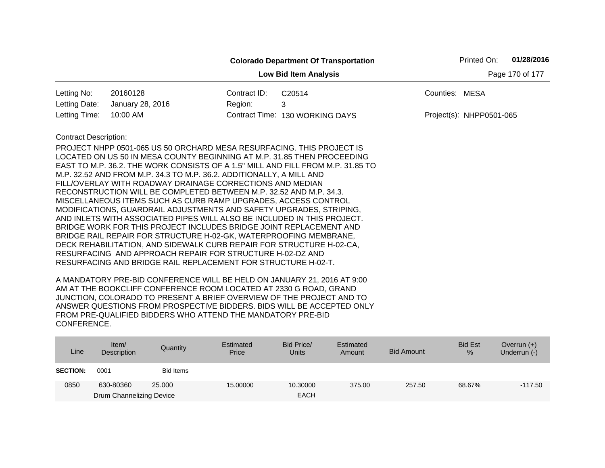|                              |                                                                                                                                                         |              | <b>Colorado Department Of Transportation</b> |                | Printed On:              | 01/28/2016      |
|------------------------------|---------------------------------------------------------------------------------------------------------------------------------------------------------|--------------|----------------------------------------------|----------------|--------------------------|-----------------|
|                              |                                                                                                                                                         |              | <b>Low Bid Item Analysis</b>                 |                |                          | Page 170 of 177 |
| Letting No:                  | 20160128                                                                                                                                                | Contract ID: | C20514                                       | Counties: MESA |                          |                 |
| Letting Date:                | January 28, 2016                                                                                                                                        | Region:      | 3                                            |                |                          |                 |
| Letting Time:                | 10:00 AM                                                                                                                                                |              | Contract Time: 130 WORKING DAYS              |                | Project(s): NHPP0501-065 |                 |
| <b>Contract Description:</b> |                                                                                                                                                         |              |                                              |                |                          |                 |
|                              | PROJECT NHPP 0501-065 US 50 ORCHARD MESA RESURFACING. THIS PROJECT IS                                                                                   |              |                                              |                |                          |                 |
|                              | LOCATED ON US 50 IN MESA COUNTY BEGINNING AT M.P. 31.85 THEN PROCEEDING                                                                                 |              |                                              |                |                          |                 |
|                              | EAST TO M.P. 36.2. THE WORK CONSISTS OF A 1.5" MILL AND FILL FROM M.P. 31.85 TO<br>M.P. 32.52 AND FROM M.P. 34.3 TO M.P. 36.2. ADDITIONALLY, A MILL AND |              |                                              |                |                          |                 |
|                              | FILL/OVERLAY WITH ROADWAY DRAINAGE CORRECTIONS AND MEDIAN                                                                                               |              |                                              |                |                          |                 |
|                              | RECONSTRUCTION WILL BE COMPLETED BETWEEN M.P. 32.52 AND M.P. 34.3.                                                                                      |              |                                              |                |                          |                 |
|                              | MISCELLANEOUS ITEMS SUCH AS CURB RAMP UPGRADES, ACCESS CONTROL                                                                                          |              |                                              |                |                          |                 |
|                              | MODIFICATIONS, GUARDRAIL ADJUSTMENTS AND SAFETY UPGRADES, STRIPING,                                                                                     |              |                                              |                |                          |                 |
|                              | AND INLETS WITH ASSOCIATED PIPES WILL ALSO BE INCLUDED IN THIS PROJECT.                                                                                 |              |                                              |                |                          |                 |
|                              | BRIDGE WORK FOR THIS PROJECT INCLUDES BRIDGE JOINT REPLACEMENT AND                                                                                      |              |                                              |                |                          |                 |
|                              | BRIDGE RAIL REPAIR FOR STRUCTURE H-02-GK, WATERPROOFING MEMBRANE,<br>DECK REHABILITATION, AND SIDEWALK CURB REPAIR FOR STRUCTURE H-02-CA,               |              |                                              |                |                          |                 |
|                              | RESURFACING AND APPROACH REPAIR FOR STRUCTURE H-02-DZ AND                                                                                               |              |                                              |                |                          |                 |
|                              | RESURFACING AND BRIDGE RAIL REPLACEMENT FOR STRUCTURE H-02-T.                                                                                           |              |                                              |                |                          |                 |
|                              |                                                                                                                                                         |              |                                              |                |                          |                 |

| Line            | Item $/$<br>Description  | Quantity  | Estimated<br>Price | Bid Price/<br><b>Units</b> | Estimated<br>Amount | <b>Bid Amount</b> | <b>Bid Est</b><br>% | Overrun $(+)$<br>Underrun (-) |
|-----------------|--------------------------|-----------|--------------------|----------------------------|---------------------|-------------------|---------------------|-------------------------------|
| <b>SECTION:</b> | 0001                     | Bid Items |                    |                            |                     |                   |                     |                               |
| 0850            | 630-80360                | 25,000    | 15,00000           | 10.30000                   | 375.00              | 257.50            | 68.67%              | $-117.50$                     |
|                 | Drum Channelizing Device |           |                    | <b>EACH</b>                |                     |                   |                     |                               |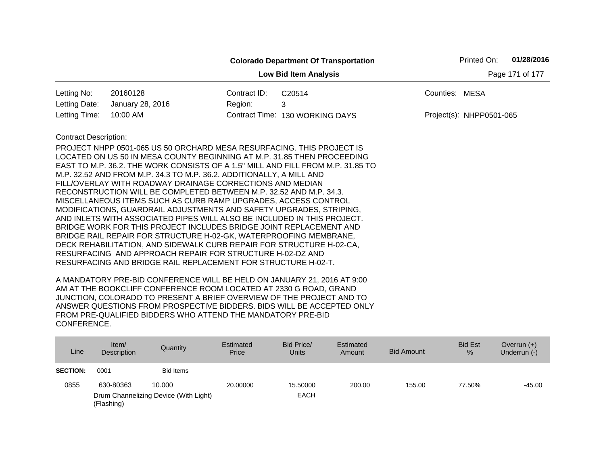| 20160128<br>Letting No:<br>Contract ID:<br>Letting Date:<br>January 28, 2016<br>Region:<br>Letting Time:<br>10:00 AM                                                                                                                                                                                                                                                                                                                                                                                                                                                                                                                                                                                                                                                                                                                                                                                                                                                                                                                                | <b>Low Bid Item Analysis</b><br>C <sub>20514</sub><br>3<br>Contract Time: 130 WORKING DAYS | Page 171 of 177<br>Counties: MESA<br>Project(s): NHPP0501-065 |
|-----------------------------------------------------------------------------------------------------------------------------------------------------------------------------------------------------------------------------------------------------------------------------------------------------------------------------------------------------------------------------------------------------------------------------------------------------------------------------------------------------------------------------------------------------------------------------------------------------------------------------------------------------------------------------------------------------------------------------------------------------------------------------------------------------------------------------------------------------------------------------------------------------------------------------------------------------------------------------------------------------------------------------------------------------|--------------------------------------------------------------------------------------------|---------------------------------------------------------------|
|                                                                                                                                                                                                                                                                                                                                                                                                                                                                                                                                                                                                                                                                                                                                                                                                                                                                                                                                                                                                                                                     |                                                                                            |                                                               |
|                                                                                                                                                                                                                                                                                                                                                                                                                                                                                                                                                                                                                                                                                                                                                                                                                                                                                                                                                                                                                                                     |                                                                                            |                                                               |
|                                                                                                                                                                                                                                                                                                                                                                                                                                                                                                                                                                                                                                                                                                                                                                                                                                                                                                                                                                                                                                                     |                                                                                            |                                                               |
|                                                                                                                                                                                                                                                                                                                                                                                                                                                                                                                                                                                                                                                                                                                                                                                                                                                                                                                                                                                                                                                     |                                                                                            |                                                               |
| <b>Contract Description:</b><br>PROJECT NHPP 0501-065 US 50 ORCHARD MESA RESURFACING. THIS PROJECT IS<br>LOCATED ON US 50 IN MESA COUNTY BEGINNING AT M.P. 31.85 THEN PROCEEDING<br>EAST TO M.P. 36.2. THE WORK CONSISTS OF A 1.5" MILL AND FILL FROM M.P. 31.85 TO<br>M.P. 32.52 AND FROM M.P. 34.3 TO M.P. 36.2. ADDITIONALLY, A MILL AND<br>FILL/OVERLAY WITH ROADWAY DRAINAGE CORRECTIONS AND MEDIAN<br>RECONSTRUCTION WILL BE COMPLETED BETWEEN M.P. 32.52 AND M.P. 34.3.<br>MISCELLANEOUS ITEMS SUCH AS CURB RAMP UPGRADES, ACCESS CONTROL<br>MODIFICATIONS, GUARDRAIL ADJUSTMENTS AND SAFETY UPGRADES, STRIPING,<br>AND INLETS WITH ASSOCIATED PIPES WILL ALSO BE INCLUDED IN THIS PROJECT.<br>BRIDGE WORK FOR THIS PROJECT INCLUDES BRIDGE JOINT REPLACEMENT AND<br>BRIDGE RAIL REPAIR FOR STRUCTURE H-02-GK, WATERPROOFING MEMBRANE,<br>DECK REHABILITATION, AND SIDEWALK CURB REPAIR FOR STRUCTURE H-02-CA,<br>RESURFACING AND APPROACH REPAIR FOR STRUCTURE H-02-DZ AND<br>RESURFACING AND BRIDGE RAIL REPLACEMENT FOR STRUCTURE H-02-T. |                                                                                            |                                                               |

| Line                                                | Item/<br>Description | Quantity         | Estimated<br>Price | Bid Price/<br><b>Units</b> | Estimated<br>Amount | <b>Bid Amount</b> | <b>Bid Est</b><br>$\frac{9}{6}$ | Overrun $(+)$<br>Underrun (-) |
|-----------------------------------------------------|----------------------|------------------|--------------------|----------------------------|---------------------|-------------------|---------------------------------|-------------------------------|
| <b>SECTION:</b>                                     | 0001                 | <b>Bid Items</b> |                    |                            |                     |                   |                                 |                               |
| 0855                                                | 630-80363            | 10.000           | 20,00000           | 15,50000                   | 200.00              | 155.00            | 77.50%                          | -45.00                        |
| Drum Channelizing Device (With Light)<br>(Flashing) |                      |                  |                    | <b>EACH</b>                |                     |                   |                                 |                               |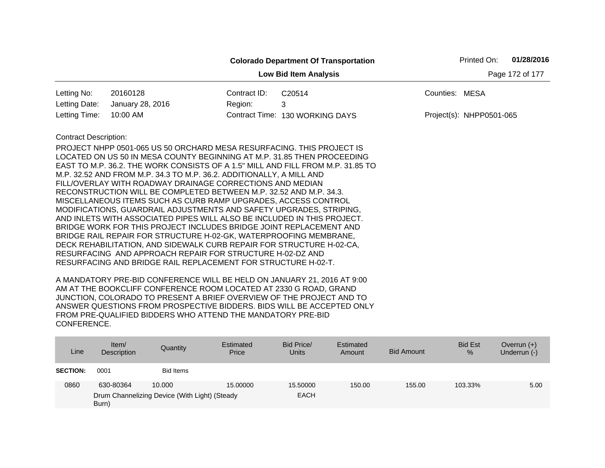|                                                 |                                                                                                                                                                                                                                                                                                                                                                                                                                                                                                                                                                                                                                                                                                                                                                                                                                                                                                                                                                                                                     |              | <b>Colorado Department Of Transportation</b> | Printed On:              | 01/28/2016 |  |  |  |
|-------------------------------------------------|---------------------------------------------------------------------------------------------------------------------------------------------------------------------------------------------------------------------------------------------------------------------------------------------------------------------------------------------------------------------------------------------------------------------------------------------------------------------------------------------------------------------------------------------------------------------------------------------------------------------------------------------------------------------------------------------------------------------------------------------------------------------------------------------------------------------------------------------------------------------------------------------------------------------------------------------------------------------------------------------------------------------|--------------|----------------------------------------------|--------------------------|------------|--|--|--|
| Page 172 of 177<br><b>Low Bid Item Analysis</b> |                                                                                                                                                                                                                                                                                                                                                                                                                                                                                                                                                                                                                                                                                                                                                                                                                                                                                                                                                                                                                     |              |                                              |                          |            |  |  |  |
| Letting No:                                     | 20160128                                                                                                                                                                                                                                                                                                                                                                                                                                                                                                                                                                                                                                                                                                                                                                                                                                                                                                                                                                                                            | Contract ID: | C20514                                       | Counties: MESA           |            |  |  |  |
| Letting Date:                                   | January 28, 2016                                                                                                                                                                                                                                                                                                                                                                                                                                                                                                                                                                                                                                                                                                                                                                                                                                                                                                                                                                                                    | Region:      | 3                                            |                          |            |  |  |  |
| Letting Time:                                   | 10:00 AM                                                                                                                                                                                                                                                                                                                                                                                                                                                                                                                                                                                                                                                                                                                                                                                                                                                                                                                                                                                                            |              | Contract Time: 130 WORKING DAYS              | Project(s): NHPP0501-065 |            |  |  |  |
| <b>Contract Description:</b>                    | PROJECT NHPP 0501-065 US 50 ORCHARD MESA RESURFACING. THIS PROJECT IS<br>LOCATED ON US 50 IN MESA COUNTY BEGINNING AT M.P. 31.85 THEN PROCEEDING<br>EAST TO M.P. 36.2. THE WORK CONSISTS OF A 1.5" MILL AND FILL FROM M.P. 31.85 TO<br>M.P. 32.52 AND FROM M.P. 34.3 TO M.P. 36.2. ADDITIONALLY, A MILL AND<br>FILL/OVERLAY WITH ROADWAY DRAINAGE CORRECTIONS AND MEDIAN<br>RECONSTRUCTION WILL BE COMPLETED BETWEEN M.P. 32.52 AND M.P. 34.3.<br>MISCELLANEOUS ITEMS SUCH AS CURB RAMP UPGRADES, ACCESS CONTROL<br>MODIFICATIONS, GUARDRAIL ADJUSTMENTS AND SAFETY UPGRADES, STRIPING,<br>AND INLETS WITH ASSOCIATED PIPES WILL ALSO BE INCLUDED IN THIS PROJECT.<br>BRIDGE WORK FOR THIS PROJECT INCLUDES BRIDGE JOINT REPLACEMENT AND<br>BRIDGE RAIL REPAIR FOR STRUCTURE H-02-GK, WATERPROOFING MEMBRANE,<br>DECK REHABILITATION, AND SIDEWALK CURB REPAIR FOR STRUCTURE H-02-CA,<br>RESURFACING AND APPROACH REPAIR FOR STRUCTURE H-02-DZ AND<br>RESURFACING AND BRIDGE RAIL REPLACEMENT FOR STRUCTURE H-02-T. |              |                                              |                          |            |  |  |  |

| Line            | Item/<br>Description | Quantity                                      | Estimated<br>Price | Bid Price/<br><b>Units</b> | Estimated<br>Amount | <b>Bid Amount</b> | <b>Bid Est</b><br>$\%$ | Overrun $(+)$<br>Underrun (-) |
|-----------------|----------------------|-----------------------------------------------|--------------------|----------------------------|---------------------|-------------------|------------------------|-------------------------------|
| <b>SECTION:</b> | 0001                 | Bid Items                                     |                    |                            |                     |                   |                        |                               |
| 0860            | 630-80364            | 10.000                                        | 15,00000           | 15.50000                   | 150.00              | 155.00            | 103.33%                | 5.00                          |
|                 | Burn)                | Drum Channelizing Device (With Light) (Steady |                    | <b>EACH</b>                |                     |                   |                        |                               |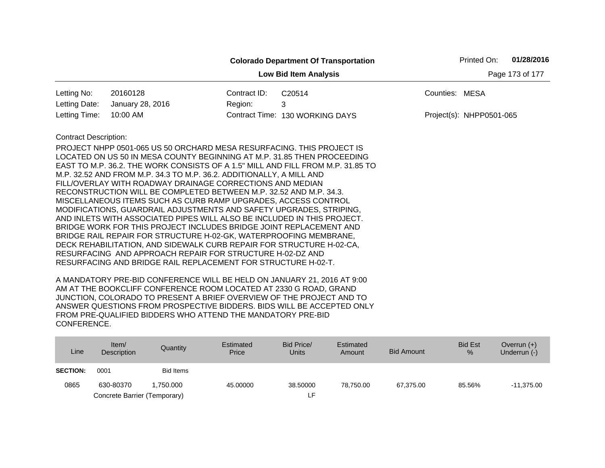|                                                 |                                                                                                                                                            |              | <b>Colorado Department Of Transportation</b> |                | Printed On:              | 01/28/2016 |  |  |
|-------------------------------------------------|------------------------------------------------------------------------------------------------------------------------------------------------------------|--------------|----------------------------------------------|----------------|--------------------------|------------|--|--|
| Page 173 of 177<br><b>Low Bid Item Analysis</b> |                                                                                                                                                            |              |                                              |                |                          |            |  |  |
| Letting No:                                     | 20160128                                                                                                                                                   | Contract ID: | C20514                                       | Counties: MESA |                          |            |  |  |
| Letting Date:                                   | January 28, 2016                                                                                                                                           | Region:      | 3                                            |                |                          |            |  |  |
| Letting Time:                                   | 10:00 AM                                                                                                                                                   |              | Contract Time: 130 WORKING DAYS              |                | Project(s): NHPP0501-065 |            |  |  |
| <b>Contract Description:</b>                    |                                                                                                                                                            |              |                                              |                |                          |            |  |  |
|                                                 | PROJECT NHPP 0501-065 US 50 ORCHARD MESA RESURFACING. THIS PROJECT IS                                                                                      |              |                                              |                |                          |            |  |  |
|                                                 | LOCATED ON US 50 IN MESA COUNTY BEGINNING AT M.P. 31.85 THEN PROCEEDING<br>EAST TO M.P. 36.2. THE WORK CONSISTS OF A 1.5" MILL AND FILL FROM M.P. 31.85 TO |              |                                              |                |                          |            |  |  |
|                                                 | M.P. 32.52 AND FROM M.P. 34.3 TO M.P. 36.2. ADDITIONALLY, A MILL AND                                                                                       |              |                                              |                |                          |            |  |  |
|                                                 | FILL/OVERLAY WITH ROADWAY DRAINAGE CORRECTIONS AND MEDIAN                                                                                                  |              |                                              |                |                          |            |  |  |
|                                                 | RECONSTRUCTION WILL BE COMPLETED BETWEEN M.P. 32.52 AND M.P. 34.3.                                                                                         |              |                                              |                |                          |            |  |  |
|                                                 | MISCELLANEOUS ITEMS SUCH AS CURB RAMP UPGRADES, ACCESS CONTROL<br>MODIFICATIONS, GUARDRAIL ADJUSTMENTS AND SAFETY UPGRADES, STRIPING,                      |              |                                              |                |                          |            |  |  |
|                                                 | AND INLETS WITH ASSOCIATED PIPES WILL ALSO BE INCLUDED IN THIS PROJECT.                                                                                    |              |                                              |                |                          |            |  |  |
|                                                 | BRIDGE WORK FOR THIS PROJECT INCLUDES BRIDGE JOINT REPLACEMENT AND                                                                                         |              |                                              |                |                          |            |  |  |
|                                                 | BRIDGE RAIL REPAIR FOR STRUCTURE H-02-GK, WATERPROOFING MEMBRANE,                                                                                          |              |                                              |                |                          |            |  |  |
|                                                 | DECK REHABILITATION, AND SIDEWALK CURB REPAIR FOR STRUCTURE H-02-CA,                                                                                       |              |                                              |                |                          |            |  |  |
|                                                 | RESURFACING AND APPROACH REPAIR FOR STRUCTURE H-02-DZ AND<br>RESURFACING AND BRIDGE RAIL REPLACEMENT FOR STRUCTURE H-02-T.                                 |              |                                              |                |                          |            |  |  |
|                                                 |                                                                                                                                                            |              |                                              |                |                          |            |  |  |

| Line            | Item/<br><b>Description</b>  | Quantity  | Estimated<br>Price | Bid Price/<br>Units | Estimated<br>Amount | Bid Amount | <b>Bid Est</b><br>% | Overrun $(+)$<br>Underrun (-) |
|-----------------|------------------------------|-----------|--------------------|---------------------|---------------------|------------|---------------------|-------------------------------|
| <b>SECTION:</b> | 0001                         | Bid Items |                    |                     |                     |            |                     |                               |
| 0865            | 630-80370                    | 1.750.000 | 45.00000           | 38,50000            | 78.750.00           | 67,375.00  | 85.56%              | $-11,375.00$                  |
|                 | Concrete Barrier (Temporary) |           |                    | LF.                 |                     |            |                     |                               |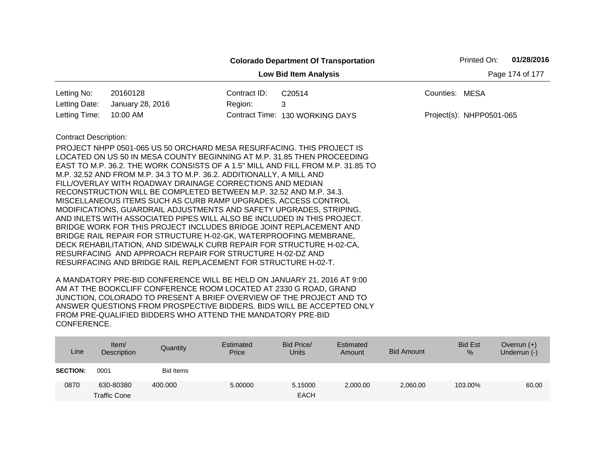|                                                 |                                                                                                                                                                                                                                                                                                                                                                                                                                                                                                                                                                                                                                                                                                                                                                                                                                                                                                                                                                                                                     |              | <b>Colorado Department Of Transportation</b> | 01/28/2016<br>Printed On: |  |  |  |  |
|-------------------------------------------------|---------------------------------------------------------------------------------------------------------------------------------------------------------------------------------------------------------------------------------------------------------------------------------------------------------------------------------------------------------------------------------------------------------------------------------------------------------------------------------------------------------------------------------------------------------------------------------------------------------------------------------------------------------------------------------------------------------------------------------------------------------------------------------------------------------------------------------------------------------------------------------------------------------------------------------------------------------------------------------------------------------------------|--------------|----------------------------------------------|---------------------------|--|--|--|--|
| Page 174 of 177<br><b>Low Bid Item Analysis</b> |                                                                                                                                                                                                                                                                                                                                                                                                                                                                                                                                                                                                                                                                                                                                                                                                                                                                                                                                                                                                                     |              |                                              |                           |  |  |  |  |
| Letting No:                                     | 20160128                                                                                                                                                                                                                                                                                                                                                                                                                                                                                                                                                                                                                                                                                                                                                                                                                                                                                                                                                                                                            | Contract ID: | C20514                                       | Counties: MESA            |  |  |  |  |
| Letting Date:                                   | January 28, 2016                                                                                                                                                                                                                                                                                                                                                                                                                                                                                                                                                                                                                                                                                                                                                                                                                                                                                                                                                                                                    | Region:      | 3                                            |                           |  |  |  |  |
| Letting Time:                                   | 10:00 AM                                                                                                                                                                                                                                                                                                                                                                                                                                                                                                                                                                                                                                                                                                                                                                                                                                                                                                                                                                                                            |              | Contract Time: 130 WORKING DAYS              | Project(s): NHPP0501-065  |  |  |  |  |
| <b>Contract Description:</b>                    | PROJECT NHPP 0501-065 US 50 ORCHARD MESA RESURFACING. THIS PROJECT IS<br>LOCATED ON US 50 IN MESA COUNTY BEGINNING AT M.P. 31.85 THEN PROCEEDING<br>EAST TO M.P. 36.2. THE WORK CONSISTS OF A 1.5" MILL AND FILL FROM M.P. 31.85 TO<br>M.P. 32.52 AND FROM M.P. 34.3 TO M.P. 36.2. ADDITIONALLY, A MILL AND<br>FILL/OVERLAY WITH ROADWAY DRAINAGE CORRECTIONS AND MEDIAN<br>RECONSTRUCTION WILL BE COMPLETED BETWEEN M.P. 32.52 AND M.P. 34.3.<br>MISCELLANEOUS ITEMS SUCH AS CURB RAMP UPGRADES, ACCESS CONTROL<br>MODIFICATIONS, GUARDRAIL ADJUSTMENTS AND SAFETY UPGRADES, STRIPING,<br>AND INLETS WITH ASSOCIATED PIPES WILL ALSO BE INCLUDED IN THIS PROJECT.<br>BRIDGE WORK FOR THIS PROJECT INCLUDES BRIDGE JOINT REPLACEMENT AND<br>BRIDGE RAIL REPAIR FOR STRUCTURE H-02-GK, WATERPROOFING MEMBRANE,<br>DECK REHABILITATION, AND SIDEWALK CURB REPAIR FOR STRUCTURE H-02-CA,<br>RESURFACING AND APPROACH REPAIR FOR STRUCTURE H-02-DZ AND<br>RESURFACING AND BRIDGE RAIL REPLACEMENT FOR STRUCTURE H-02-T. |              |                                              |                           |  |  |  |  |

| Line            | Item/<br>Description             | Quantity         | Estimated<br>Price | Bid Price/<br><b>Units</b> | Estimated<br>Amount | <b>Bid Amount</b> | <b>Bid Est</b><br>% | Overrun $(+)$<br>Underrun (-) |
|-----------------|----------------------------------|------------------|--------------------|----------------------------|---------------------|-------------------|---------------------|-------------------------------|
| <b>SECTION:</b> | 0001                             | <b>Bid Items</b> |                    |                            |                     |                   |                     |                               |
| 0870            | 630-80380<br><b>Traffic Cone</b> | 400.000          | 5.00000            | 5.15000<br><b>EACH</b>     | 2,000.00            | 2,060.00          | 103.00%             | 60.00                         |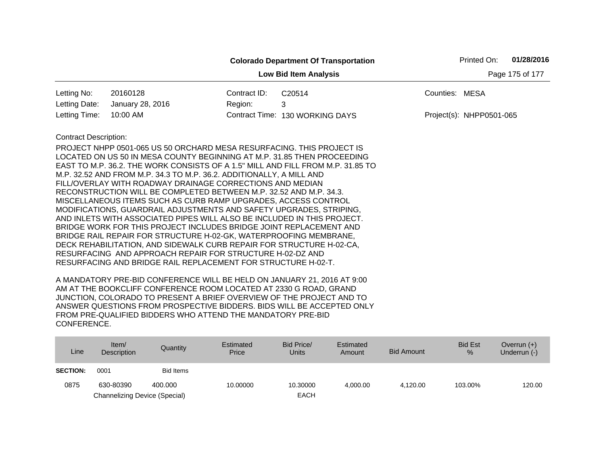|                                                 |                                                                                                                                                  |              | <b>Colorado Department Of Transportation</b> |                | Printed On:              | 01/28/2016 |  |  |  |
|-------------------------------------------------|--------------------------------------------------------------------------------------------------------------------------------------------------|--------------|----------------------------------------------|----------------|--------------------------|------------|--|--|--|
| Page 175 of 177<br><b>Low Bid Item Analysis</b> |                                                                                                                                                  |              |                                              |                |                          |            |  |  |  |
| Letting No:                                     | 20160128                                                                                                                                         | Contract ID: | C20514                                       | Counties: MESA |                          |            |  |  |  |
| Letting Date:                                   | January 28, 2016                                                                                                                                 | Region:      | 3                                            |                |                          |            |  |  |  |
| Letting Time:                                   | 10:00 AM                                                                                                                                         |              | Contract Time: 130 WORKING DAYS              |                | Project(s): NHPP0501-065 |            |  |  |  |
| <b>Contract Description:</b>                    |                                                                                                                                                  |              |                                              |                |                          |            |  |  |  |
|                                                 | PROJECT NHPP 0501-065 US 50 ORCHARD MESA RESURFACING. THIS PROJECT IS<br>LOCATED ON US 50 IN MESA COUNTY BEGINNING AT M.P. 31.85 THEN PROCEEDING |              |                                              |                |                          |            |  |  |  |
|                                                 | EAST TO M.P. 36.2. THE WORK CONSISTS OF A 1.5" MILL AND FILL FROM M.P. 31.85 TO                                                                  |              |                                              |                |                          |            |  |  |  |
|                                                 | M.P. 32.52 AND FROM M.P. 34.3 TO M.P. 36.2. ADDITIONALLY, A MILL AND                                                                             |              |                                              |                |                          |            |  |  |  |
|                                                 | FILL/OVERLAY WITH ROADWAY DRAINAGE CORRECTIONS AND MEDIAN                                                                                        |              |                                              |                |                          |            |  |  |  |
|                                                 | RECONSTRUCTION WILL BE COMPLETED BETWEEN M.P. 32.52 AND M.P. 34.3.                                                                               |              |                                              |                |                          |            |  |  |  |
|                                                 | MISCELLANEOUS ITEMS SUCH AS CURB RAMP UPGRADES, ACCESS CONTROL<br>MODIFICATIONS, GUARDRAIL ADJUSTMENTS AND SAFETY UPGRADES, STRIPING,            |              |                                              |                |                          |            |  |  |  |
|                                                 | AND INLETS WITH ASSOCIATED PIPES WILL ALSO BE INCLUDED IN THIS PROJECT.                                                                          |              |                                              |                |                          |            |  |  |  |
|                                                 | BRIDGE WORK FOR THIS PROJECT INCLUDES BRIDGE JOINT REPLACEMENT AND                                                                               |              |                                              |                |                          |            |  |  |  |
|                                                 | BRIDGE RAIL REPAIR FOR STRUCTURE H-02-GK, WATERPROOFING MEMBRANE,                                                                                |              |                                              |                |                          |            |  |  |  |
|                                                 | DECK REHABILITATION, AND SIDEWALK CURB REPAIR FOR STRUCTURE H-02-CA,                                                                             |              |                                              |                |                          |            |  |  |  |
|                                                 | RESURFACING AND APPROACH REPAIR FOR STRUCTURE H-02-DZ AND<br>RESURFACING AND BRIDGE RAIL REPLACEMENT FOR STRUCTURE H-02-T.                       |              |                                              |                |                          |            |  |  |  |
|                                                 |                                                                                                                                                  |              |                                              |                |                          |            |  |  |  |

| Line            | Item/<br>Description          | Quantity         | Estimated<br>Price | Bid Price/<br><b>Units</b> | Estimated<br>Amount | <b>Bid Amount</b> | <b>Bid Est</b><br>$\%$ | Overrun $(+)$<br>Underrun (-) |
|-----------------|-------------------------------|------------------|--------------------|----------------------------|---------------------|-------------------|------------------------|-------------------------------|
| <b>SECTION:</b> | 0001                          | <b>Bid Items</b> |                    |                            |                     |                   |                        |                               |
| 0875            | 630-80390                     | 400.000          | 10.00000           | 10.30000                   | 4.000.00            | 4.120.00          | 103.00%                | 120.00                        |
|                 | Channelizing Device (Special) |                  |                    | <b>EACH</b>                |                     |                   |                        |                               |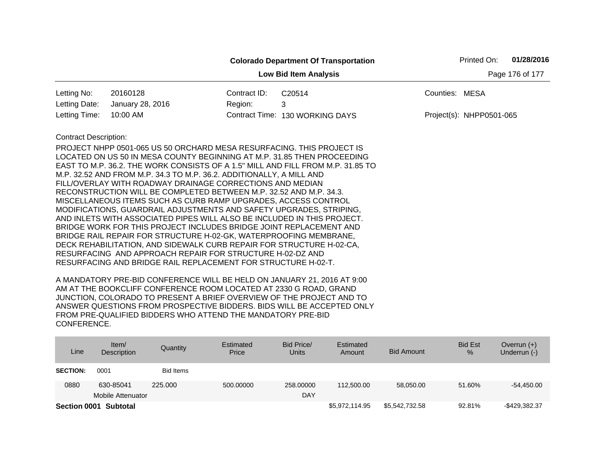|                                                                                           |                                                                                                                                                                                                                                                                                                                                                                                                                                                                                                                                                                                                                                                                                                                                                                                                    |                                          | <b>Colorado Department Of Transportation</b>                                    | 01/28/2016<br>Printed On: |  |  |  |  |
|-------------------------------------------------------------------------------------------|----------------------------------------------------------------------------------------------------------------------------------------------------------------------------------------------------------------------------------------------------------------------------------------------------------------------------------------------------------------------------------------------------------------------------------------------------------------------------------------------------------------------------------------------------------------------------------------------------------------------------------------------------------------------------------------------------------------------------------------------------------------------------------------------------|------------------------------------------|---------------------------------------------------------------------------------|---------------------------|--|--|--|--|
| Page 176 of 177<br><b>Low Bid Item Analysis</b>                                           |                                                                                                                                                                                                                                                                                                                                                                                                                                                                                                                                                                                                                                                                                                                                                                                                    |                                          |                                                                                 |                           |  |  |  |  |
| Letting No:                                                                               | 20160128                                                                                                                                                                                                                                                                                                                                                                                                                                                                                                                                                                                                                                                                                                                                                                                           | Contract ID:<br>Counties: MESA<br>C20514 |                                                                                 |                           |  |  |  |  |
| Letting Date:                                                                             | January 28, 2016                                                                                                                                                                                                                                                                                                                                                                                                                                                                                                                                                                                                                                                                                                                                                                                   | Region:                                  | 3                                                                               |                           |  |  |  |  |
| Letting Time:                                                                             | 10:00 AM                                                                                                                                                                                                                                                                                                                                                                                                                                                                                                                                                                                                                                                                                                                                                                                           |                                          | Contract Time: 130 WORKING DAYS                                                 | Project(s): NHPP0501-065  |  |  |  |  |
| <b>Contract Description:</b><br>RESURFACING AND APPROACH REPAIR FOR STRUCTURE H-02-DZ AND | PROJECT NHPP 0501-065 US 50 ORCHARD MESA RESURFACING. THIS PROJECT IS<br>LOCATED ON US 50 IN MESA COUNTY BEGINNING AT M.P. 31.85 THEN PROCEEDING<br>M.P. 32.52 AND FROM M.P. 34.3 TO M.P. 36.2. ADDITIONALLY, A MILL AND<br>FILL/OVERLAY WITH ROADWAY DRAINAGE CORRECTIONS AND MEDIAN<br>RECONSTRUCTION WILL BE COMPLETED BETWEEN M.P. 32.52 AND M.P. 34.3.<br>MISCELLANEOUS ITEMS SUCH AS CURB RAMP UPGRADES, ACCESS CONTROL<br>MODIFICATIONS, GUARDRAIL ADJUSTMENTS AND SAFETY UPGRADES, STRIPING,<br>AND INLETS WITH ASSOCIATED PIPES WILL ALSO BE INCLUDED IN THIS PROJECT.<br>BRIDGE WORK FOR THIS PROJECT INCLUDES BRIDGE JOINT REPLACEMENT AND<br>BRIDGE RAIL REPAIR FOR STRUCTURE H-02-GK, WATERPROOFING MEMBRANE,<br>DECK REHABILITATION, AND SIDEWALK CURB REPAIR FOR STRUCTURE H-02-CA, |                                          | EAST TO M.P. 36.2. THE WORK CONSISTS OF A 1.5" MILL AND FILL FROM M.P. 31.85 TO |                           |  |  |  |  |

| Line            | Item $/$<br>Description | Quantity         | Estimated<br>Price | Bid Price/<br>Units | Estimated<br>Amount | Bid Amount     | <b>Bid Est</b><br>$\frac{9}{6}$ | Overrun $(+)$<br>Underrun (-) |
|-----------------|-------------------------|------------------|--------------------|---------------------|---------------------|----------------|---------------------------------|-------------------------------|
| <b>SECTION:</b> | 0001                    | <b>Bid Items</b> |                    |                     |                     |                |                                 |                               |
| 0880            | 630-85041               | 225,000          | 500.00000          | 258,00000           | 112,500.00          | 58,050.00      | 51.60%                          | $-54.450.00$                  |
|                 | Mobile Attenuator       |                  |                    | DAY                 |                     |                |                                 |                               |
|                 | Section 0001 Subtotal   |                  |                    |                     | \$5,972,114.95      | \$5,542,732.58 | 92.81%                          | -\$429.382.37                 |